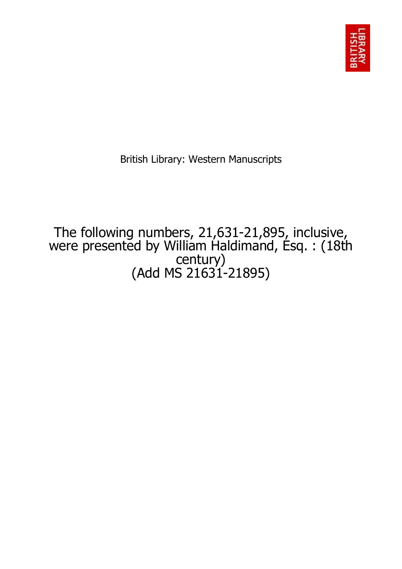

British Library: Western Manuscripts

The following numbers, 21,631-21,895, inclusive, were presented by William Haldimand, Esq. : (18th century) (Add MS 21631-21895)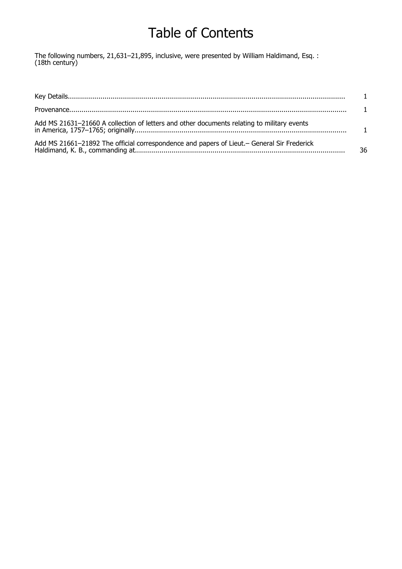# Table of Contents

The following numbers, 21,631–21,895, inclusive, were presented by William Haldimand, Esq. : (18th century)

| Add MS 21631-21660 A collection of letters and other documents relating to military events  |    |
|---------------------------------------------------------------------------------------------|----|
| Add MS 21661-21892 The official correspondence and papers of Lieut. - General Sir Frederick | 36 |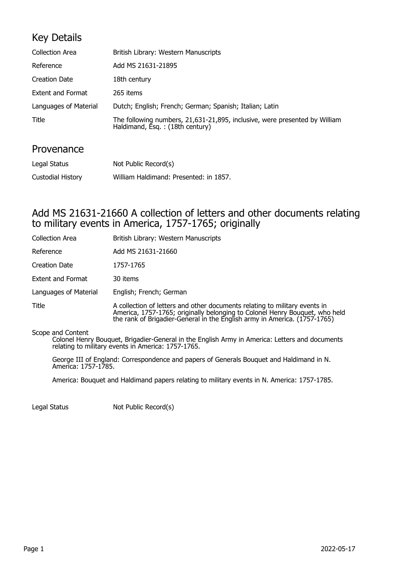#### Key Details

| <b>Collection Area</b>   | British Library: Western Manuscripts                                                                           |
|--------------------------|----------------------------------------------------------------------------------------------------------------|
| Reference                | Add MS 21631-21895                                                                                             |
| <b>Creation Date</b>     | 18th century                                                                                                   |
| <b>Extent and Format</b> | 265 items                                                                                                      |
| Languages of Material    | Dutch; English; French; German; Spanish; Italian; Latin                                                        |
| <b>Title</b>             | The following numbers, 21,631-21,895, inclusive, were presented by William<br>Haldimand, Esq. : (18th century) |

#### Provenance

| Legal Status      | Not Public Record(s)                   |
|-------------------|----------------------------------------|
| Custodial History | William Haldimand: Presented: in 1857. |

#### Add MS 21631-21660 A collection of letters and other documents relating to military events in America, 1757-1765; originally

| <b>Collection Area</b>   | British Library: Western Manuscripts                                                                                                                                                                                                   |
|--------------------------|----------------------------------------------------------------------------------------------------------------------------------------------------------------------------------------------------------------------------------------|
| Reference                | Add MS 21631-21660                                                                                                                                                                                                                     |
| <b>Creation Date</b>     | 1757-1765                                                                                                                                                                                                                              |
| <b>Extent and Format</b> | 30 items                                                                                                                                                                                                                               |
| Languages of Material    | English; French; German                                                                                                                                                                                                                |
| Title                    | A collection of letters and other documents relating to military events in<br>America, 1757-1765; originally belonging to Colonel Henry Bouquet, who held<br>the rank of Brigadier-General in the English army in America. (1757-1765) |

Scope and Content

Colonel Henry Bouquet, Brigadier-General in the English Army in America: Letters and documents relating to military events in America: 1757-1765.

George III of England: Correspondence and papers of Generals Bouquet and Haldimand in N. America: 1757-1785.

America: Bouquet and Haldimand papers relating to military events in N. America: 1757-1785.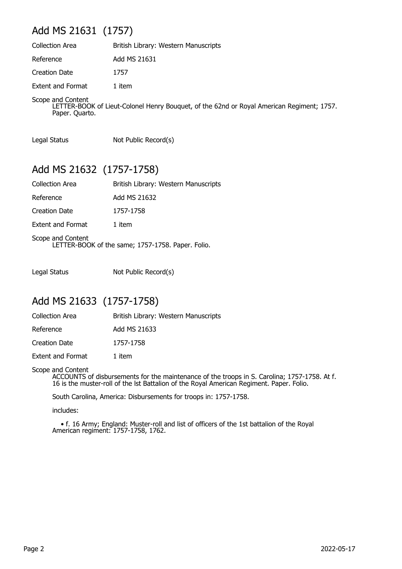## Add MS 21631 (1757)

| <b>Collection Area</b>   | British Library: Western Manuscripts |
|--------------------------|--------------------------------------|
| Reference                | Add MS 21631                         |
| <b>Creation Date</b>     | 1757                                 |
| <b>Extent and Format</b> | 1 item                               |
| Scope and Content        |                                      |

LETTER-BOOK of Lieut-Colonel Henry Bouquet, of the 62nd or Royal American Regiment; 1757. Paper. Quarto.

Legal Status Not Public Record(s)

#### Add MS 21632 (1757-1758)

| <b>Collection Area</b>   | British Library: Western Manuscripts                                   |
|--------------------------|------------------------------------------------------------------------|
| Reference                | Add MS 21632                                                           |
| <b>Creation Date</b>     | 1757-1758                                                              |
| <b>Extent and Format</b> | 1 item                                                                 |
|                          | Scope and Content<br>LETTER-BOOK of the same; 1757-1758. Paper. Folio. |

Legal Status Not Public Record(s)

#### Add MS 21633 (1757-1758)

| <b>Collection Area</b>   | British Library: Western Manuscripts |
|--------------------------|--------------------------------------|
| Reference                | Add MS 21633                         |
| <b>Creation Date</b>     | 1757-1758                            |
| <b>Extent and Format</b> | 1 item                               |

#### Scope and Content

ACCOUNTS of disbursements for the maintenance of the troops in S. Carolina; 1757-1758. At f. 16 is the muster-roll of the lst Battalion of the Royal American Regiment. Paper. Folio.

South Carolina, America: Disbursements for troops in: 1757-1758.

includes:

 • f. 16 Army; England: Muster-roll and list of officers of the 1st battalion of the Royal American regiment: 1757-1758, 1762.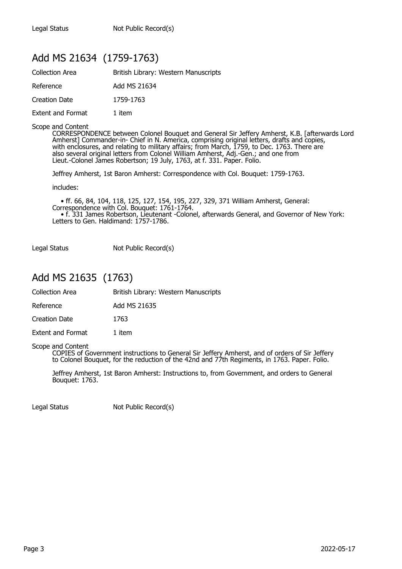#### Add MS 21634 (1759-1763)

| <b>Collection Area</b>   | British Library: Western Manuscripts |  |
|--------------------------|--------------------------------------|--|
| Reference                | Add MS 21634                         |  |
| Creation Date            | 1759-1763                            |  |
| <b>Extent and Format</b> | 1 item                               |  |

#### Scope and Content

CORRESPONDENCE between Colonel Bouquet and General Sir Jeffery Amherst, K.B. [afterwards Lord Amherst] Commander-in- Chief in N. America, comprising original letters, drafts and copies, with enclosures, and relating to military affairs; from March, 1759, to Dec. 1763. There are also several original letters from Colonel William Amherst, Adj.-Gen.; and one from Lieut.-Colonel James Robertson; 19 July, 1763, at f. 331. Paper. Folio.

Jeffrey Amherst, 1st Baron Amherst: Correspondence with Col. Bouquet: 1759-1763.

includes:

 • ff. 66, 84, 104, 118, 125, 127, 154, 195, 227, 329, 371 William Amherst, General: Correspondence with Col. Bouquet: 1761-1764. • f. 331 James Robertson, Lieutenant -Colonel, afterwards General, and Governor of New York: Letters to Gen. Haldimand: 1757-1786.

Legal Status Not Public Record(s)

#### Add MS 21635 (1763)

Collection Area British Library: Western Manuscripts

Reference Add MS 21635

Creation Date 1763

Extent and Format 1 item

Scope and Content

COPIES of Government instructions to General Sir Jeffery Amherst, and of orders of Sir Jeffery to Colonel Bouquet, for the reduction of the 42nd and 77th Regiments, in 1763. Paper. Folio.

Jeffrey Amherst, 1st Baron Amherst: Instructions to, from Government, and orders to General Bouquet: 1763.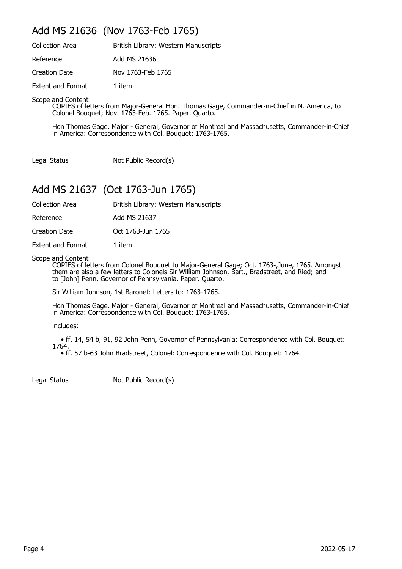#### Add MS 21636 (Nov 1763-Feb 1765)

| <b>Collection Area</b>   | British Library: Western Manuscripts |
|--------------------------|--------------------------------------|
| Reference                | Add MS 21636                         |
| Creation Date            | Nov 1763-Feb 1765                    |
| <b>Extent and Format</b> | 1 item                               |

Scope and Content

COPIES of letters from Major-General Hon. Thomas Gage, Commander-in-Chief in N. America, to Colonel Bouquet; Nov. 1763-Feb. 1765. Paper. Quarto.

Hon Thomas Gage, Major - General, Governor of Montreal and Massachusetts, Commander-in-Chief in America: Correspondence with Col. Bouquet: 1763-1765.

Legal Status Not Public Record(s)

## Add MS 21637 (Oct 1763-Jun 1765)

Collection Area **British Library: Western Manuscripts** 

Reference Add MS 21637

Creation Date Oct 1763-Jun 1765

Extent and Format 1 item

Scope and Content

COPIES of letters from Colonel Bouquet to Major-General Gage; Oct. 1763-,June, 1765. Amongst them are also a few letters to Colonels Sir William Johnson, Bart., Bradstreet, and Ried; and to [John] Penn, Governor of Pennsylvania. Paper. Quarto.

Sir William Johnson, 1st Baronet: Letters to: 1763-1765.

Hon Thomas Gage, Major - General, Governor of Montreal and Massachusetts, Commander-in-Chief in America: Correspondence with Col. Bouquet: 1763-1765.

includes:

 • ff. 14, 54 b, 91, 92 John Penn, Governor of Pennsylvania: Correspondence with Col. Bouquet: 1764.

• ff. 57 b-63 John Bradstreet, Colonel: Correspondence with Col. Bouquet: 1764.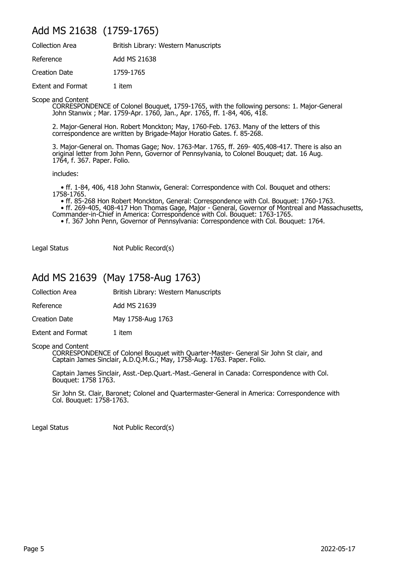#### Add MS 21638 (1759-1765)

| <b>Collection Area</b>   | British Library: Western Manuscripts |
|--------------------------|--------------------------------------|
| Reference                | Add MS 21638                         |
| Creation Date            | 1759-1765                            |
| <b>Extent and Format</b> | 1 item                               |

Scope and Content

CORRESPONDENCE of Colonel Bouquet, 1759-1765, with the following persons: 1. Major-General John Stanwix ; Mar. 1759-Apr. 1760, Jan., Apr. 1765, ff. 1-84, 406, 418.

2. Major-General Hon. Robert Monckton; May, 1760-Feb. 1763. Many of the letters of this correspondence are written by Brigade-Major Horatio Gates. f. 85-268.

3. Major-General on. Thomas Gage; Nov. 1763-Mar. 1765, ff. 269- 405,408-417. There is also an original letter from John Penn, Governor of Pennsylvania, to Colonel Bouquet; dat. 16 Aug. 1764, f. 367. Paper. Folio.

includes:

 • ff. 1-84, 406, 418 John Stanwix, General: Correspondence with Col. Bouquet and others: 1758-1765.

• ff. 85-268 Hon Robert Monckton, General: Correspondence with Col. Bouquet: 1760-1763.

 • ff. 269-405, 408-417 Hon Thomas Gage, Major - General, Governor of Montreal and Massachusetts, Commander-in-Chief in America: Correspondence with Col. Bouquet: 1763-1765.

• f. 367 John Penn, Governor of Pennsylvania: Correspondence with Col. Bouquet: 1764.

Legal Status Not Public Record(s)

#### Add MS 21639 (May 1758-Aug 1763)

Collection Area British Library: Western Manuscripts

Reference Add MS 21639

Creation Date May 1758-Aug 1763

Extent and Format 1 item

Scope and Content

CORRESPONDENCE of Colonel Bouquet with Quarter-Master- General Sir John St clair, and Captain James Sinclair, A.D.Q.M.G.; May, 1758-Aug. 1763. Paper. Folio.

Captain James Sinclair, Asst.-Dep.Quart.-Mast.-General in Canada: Correspondence with Col. Bouquet: 1758 1763.

Sir John St. Clair, Baronet; Colonel and Quartermaster-General in America: Correspondence with Col. Bouquet: 1758-1763.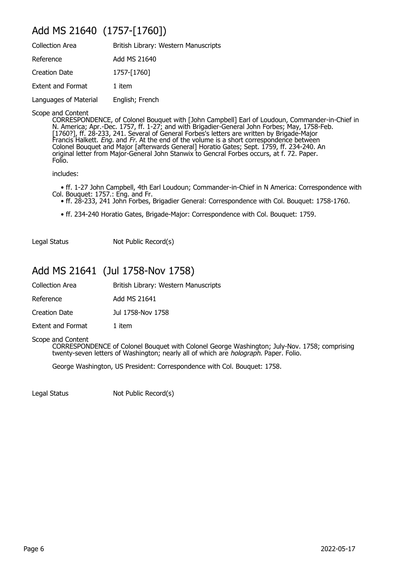#### Add MS 21640 (1757-[1760])

| <b>Collection Area</b>   | British Library: Western Manuscripts |
|--------------------------|--------------------------------------|
| Reference                | Add MS 21640                         |
| <b>Creation Date</b>     | 1757-[1760]                          |
| <b>Extent and Format</b> | 1 item                               |
| Languages of Material    | English; French                      |
|                          |                                      |

Scope and Content

CORRESPONDENCE, of Colonel Bouquet with [John Campbell] Earl of Loudoun, Commander-in-Chief in N. America; Apr.-Dec. 1757, ff. 1-27; and with Brigadier-General John Forbes; May, 1758-Feb. [1760?], ff. 28-233, 241. Several of General Forbes's letters are written by Brigade-Major Francis Halkett. *Eng.* and Fr. At the end of the volume is a short correspondence between Colonel Bouquet and Major [afterwards General] Horatio Gates; Sept. 1759, ff. 234-240. An original letter from Major-General John Stanwix to Gencral Forbes occurs, at f. 72. Paper. Folio.

includes:

 • ff. 1-27 John Campbell, 4th Earl Loudoun; Commander-in-Chief in N America: Correspondence with Col. Bouquet: 1757.: Eng. and Fr.

- ff. 28-233, 241 John Forbes, Brigadier General: Correspondence with Col. Bouquet: 1758-1760.
	- ff. 234-240 Horatio Gates, Brigade-Major: Correspondence with Col. Bouquet: 1759.

Legal Status Not Public Record(s)

#### Add MS 21641 (Jul 1758-Nov 1758)

| Collection Area | British Library: Western Manuscripts |
|-----------------|--------------------------------------|
|-----------------|--------------------------------------|

Reference Add MS 21641

Creation Date Jul 1758-Nov 1758

Extent and Format 1 item

Scope and Content CORRESPONDENCE of Colonel Bouquet with Colonel George Washington; July-Nov. 1758; comprising twenty-seven letters of Washington; nearly all of which are *holograph*. Paper. Folio.

George Washington, US President: Correspondence with Col. Bouquet: 1758.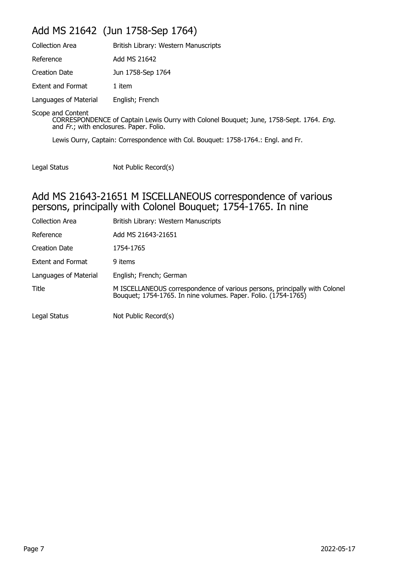## Add MS 21642 (Jun 1758-Sep 1764)

| <b>Collection Area</b>                                       | British Library: Western Manuscripts                                                    |
|--------------------------------------------------------------|-----------------------------------------------------------------------------------------|
| Reference                                                    | Add MS 21642                                                                            |
| <b>Creation Date</b>                                         | Jun 1758-Sep 1764                                                                       |
| <b>Extent and Format</b>                                     | 1 item                                                                                  |
| Languages of Material                                        | English; French                                                                         |
| Scope and Content<br>and Fr.; with enclosures. Paper. Folio. | CORRESPONDENCE of Captain Lewis Ourry with Colonel Bouquet; June, 1758-Sept. 1764. Eng. |
|                                                              | Lewis Ourry, Captain: Correspondence with Col. Bouquet: 1758-1764.: Engl. and Fr.       |

Legal Status Not Public Record(s)

#### Add MS 21643-21651 M ISCELLANEOUS correspondence of various persons, principally with Colonel Bouquet; 1754-1765. In nine

| <b>Collection Area</b>   | British Library: Western Manuscripts                                                                                                         |
|--------------------------|----------------------------------------------------------------------------------------------------------------------------------------------|
| Reference                | Add MS 21643-21651                                                                                                                           |
| Creation Date            | 1754-1765                                                                                                                                    |
| <b>Extent and Format</b> | 9 items                                                                                                                                      |
| Languages of Material    | English; French; German                                                                                                                      |
| Title                    | M ISCELLANEOUS correspondence of various persons, principally with Colonel<br>Bouquet; 1754-1765. In nine volumes. Paper. Folio. (1754-1765) |
| Legal Status             | Not Public Record(s)                                                                                                                         |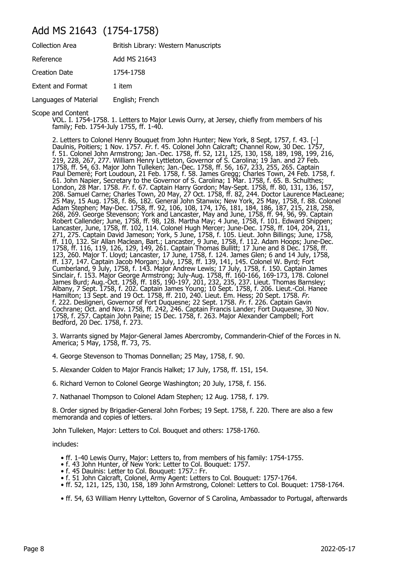#### Add MS 21643 (1754-1758)

| <b>Collection Area</b>   | British Library: Western Manuscripts |
|--------------------------|--------------------------------------|
| Reference                | Add MS 21643                         |
| <b>Creation Date</b>     | 1754-1758                            |
| <b>Extent and Format</b> | 1 item                               |
| Languages of Material    | English; French                      |

Scope and Content

VOL. I. 1754-1758. 1. Letters to Major Lewis Ourry, at Jersey, chiefly from members of his family; Feb. 1754-July 1755, ff. 1-40.

2. Letters to Colonel Henry Bouquet from John Hunter; New York, 8 Sept, 1757, f. 43. [-] Daulnis, Poitiers; 1 Nov. 1757. Fr. f. 45. Colonel John Calcraft; Channel Row, 30 Dec. 1757, f. 51. Colonel John Armstrong; Jan.-Dec. 1758, ff. 52, 121, 125, 130, 158, 189, 198, 199, 216, 219, 228, 267, 277. William Henry Lyttleton, Governor of S. Carolina; 19 Jan. and 27 Feb. 1758, ff. 54, 63. Major John Tulleken; Jan.-Dec. 1758, ff. 56, 167, 233, 255, 265. Captain Paul Demeré; Fort Loudoun, 21 Feb. 1758, f. 58. James Gregg; Charles Town, 24 Feb. 1758, f. 61. John Napier, Secretary to the Governor of S. Carolina; 1 Mar. 1758, f. 65. B. Schulthes; London, 28 Mar. 1758. Fr. f. 67. Captain Harry Gordon; May-Sept. 1758, ff. 80, 131, 136, 157, 208. Samuel Carne; Charles Town, 20 May, 27 Oct. 1758, ff. 82, 244. Doctor Laurence MacLeane; 25 May, 15 Aug. 1758, f. 86, 182. General John Stanwix; New York, 25 May, 1758, f. 88. Colonel Adam Stephen; May-Dec. 1758, ff. 92, 106, 108, 174, 176, 181, 184, 186, 187, 215, 218, 258, 268, 269. George Stevenson; York and Lancaster, May and June, 1758, ff. 94, 96, 99. Captain Robert Callender; June, 1758, ff. 98, 128. Martha May; 4 June, 1758, f. 101. Edward Shippen; Lancaster, June, 1758, ff. 102, 114. Colonel Hugh Mercer; June-Dec. 1758, ff. 104, 204, 211, 271, 275. Captain David Jameson; York, 5 June, 1758, f. 105. Lieut. John Billings; June, 1758, ff. 110, 132. Sir Allan Maclean, Bart.; Lancaster, 9 June, 1758, f. 112. Adam Hoops; June-Dec. 1758, ff. 116, 119, 126, 129, 149, 261. Captain Thomas Bullitt; 17 June and 8 Dec. 1758, ff. 123, 260. Major T. Lloyd; Lancaster, 17 June, 1758, f. 124. James Glen; 6 and 14 July, 1758, ff. 137, 147. Captain Jacob Morgan; July, 1758, ff. 139, 141, 145. Colonel W. Byrd; Fort Cumberland, 9 July, 1758, f. 143. Major Andrew Lewis; 17 July, 1758, f. 150. Captain James Sinclair, f. 153. Major George Armstrong; July-Aug. 1758, ff. 160-166, 169-173, 178. Colonel James Burd; Aug.-Oct. 1758, ff. 185, 190-197, 201, 232, 235, 237. Lieut. Thomas Barnsley; Albany, 7 Sept. 1758, f. 202. Captain James Young; 10 Sept. 1758, f. 206. Lieut.-Col. Hanee Hamilton; 13 Sept. and 19 Oct. 1758, ff. 210, 240. Lieut. Em. Hess; 20 Sept. 1758. Fr. f. 222. Desligneri, Governor of Fort Duquesne; 22 Sept. 1758. *Fr.* f. 226. Captain Gavin Cochrane; Oct. and Nov. 1758, ff. 242, 246. Captain Francis Lander; Fort Duquesne, 30 Nov. 1758, f. 257. Captain John Paine; 15 Dec. 1758, f. 263. Major Alexander Campbell; Fort Bedford, 20 Dec. 1758, f. 273.

3. Warrants signed by Major-General James Abercromby, Commanderin-Chief of the Forces in N. America; 5 May, 1758, ff. 73, 75.

- 4. George Stevenson to Thomas Donnellan; 25 May, 1758, f. 90.
- 5. Alexander Colden to Major Francis Halket; 17 July, 1758, ff. 151, 154.

6. Richard Vernon to Colonel George Washington; 20 July, 1758, f. 156.

7. Nathanael Thompson to Colonel Adam Stephen; 12 Aug. 1758, f. 179.

8. Order signed by Brigadier-General John Forbes; 19 Sept. 1758, f. 220. There are also a few memoranda and copies of letters.

John Tulleken, Major: Letters to Col. Bouquet and others: 1758-1760.

includes:

- ff. 1-40 Lewis Ourry, Major: Letters to, from members of his family: 1754-1755.
- f. 43 John Hunter, of New York: Letter to Col. Bouquet: 1757.
- f. 45 Daulnis: Letter to Col. Bouquet: 1757.: Fr.
- f. 51 John Calcraft, Colonel, Army Agent: Letters to Col. Bouquet: 1757-1764.
- ff. 52, 121, 125, 130, 158, 189 John Armstrong, Colonel: Letters to Col. Bouquet: 1758-1764.
- ff. 54, 63 William Henry Lyttelton, Governor of S Carolina, Ambassador to Portugal, afterwards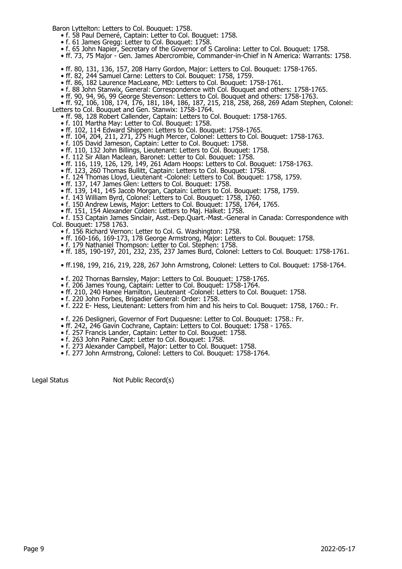Baron Lyttelton: Letters to Col. Bouquet: 1758.

- f. 58 Paul Demeré, Captain: Letter to Col. Bouquet: 1758.
- f. 61 James Gregg: Letter to Col. Bouquet: 1758.
- f. 65 John Napier, Secretary of the Governor of S Carolina: Letter to Col. Bouquet: 1758.
	- ff. 73, 75 Major Gen. James Abercrombie, Commander-in-Chief in N America: Warrants: 1758.
- ff. 80, 131, 136, 157, 208 Harry Gordon, Major: Letters to Col. Bouquet: 1758-1765.
- ff. 82, 244 Samuel Carne: Letters to Col. Bouquet: 1758, 1759.
- ff. 86, 182 Laurence MacLeane, MD: Letters to Col. Bouquet: 1758-1761.
	- f. 88 John Stanwix, General: Correspondence with Col. Bouquet and others: 1758-1765.
- ff. 90, 94, 96, 99 George Stevenson: Letters to Col. Bouquet and others: 1758-1763.
- ff. 92, 106, 108, 174, 176, 181, 184, 186, 187, 215, 218, 258, 268, 269 Adam Stephen, Colonel: Letters to Col. Bouquet and Gen. Stanwix: 1758-1764.
- ff. 98, 128 Robert Callender, Captain: Letters to Col. Bouquet: 1758-1765.
- f. 101 Martha May: Letter to Col. Bouquet: 1758.
	- ff. 102, 114 Edward Shippen: Letters to Col. Bouquet: 1758-1765.
- ff. 104, 204, 211, 271, 275 Hugh Mercer, Colonel: Letters to Col. Bouquet: 1758-1763.
- f. 105 David Jameson, Captain: Letter to Col. Bouquet: 1758.
	- ff. 110, 132 John Billings, Lieutenant: Letters to Col. Bouquet: 1758.
- f. 112 Sir Allan Maclean, Baronet: Letter to Col. Bouquet: 1758.
- ff. 116, 119, 126, 129, 149, 261 Adam Hoops: Letters to Col. Bouquet: 1758-1763.
- ff. 123, 260 Thomas Bullitt, Captain: Letters to Col. Bouquet: 1758.
	- f. 124 Thomas Lloyd, Lieutenant -Colonel: Letters to Col. Bouquet: 1758, 1759.
	- ff. 137, 147 James Glen: Letters to Col. Bouquet: 1758.
	- ff. 139, 141, 145 Jacob Morgan, Captain: Letters to Col. Bouquet: 1758, 1759.
- f. 143 William Byrd, Colonel: Letters to Col. Bouquet: 1758, 1760.
- f. 150 Andrew Lewis, Major: Letters to Col. Bouquet: 1758, 1764, 1765.
- ff. 151, 154 Alexander Colden: Letters to Maj. Halket: 1758.

 • f. 153 Captain James Sinclair, Asst.-Dep.Quart.-Mast.-General in Canada: Correspondence with Col. Bouquet: 1758 1763.

- f. 156 Richard Vernon: Letter to Col. G. Washington: 1758.
- ff. 160-166, 169-173, 178 George Armstrong, Major: Letters to Col. Bouquet: 1758.
- f. 179 Nathaniel Thompson: Letter to Col. Stephen: 1758.
- ff. 185, 190-197, 201, 232, 235, 237 James Burd, Colonel: Letters to Col. Bouquet: 1758-1761.

• ff.198, 199, 216, 219, 228, 267 John Armstrong, Colonel: Letters to Col. Bouquet: 1758-1764.

- f. 202 Thornas Barnsley, Major: Letters to Col. Bouquet: 1758-1765.
- f. 206 James Young, Captain: Letter to Col. Bouquet: 1758-1764.
- ff. 210, 240 Hanee Hamilton, Lieutenant -Colonel: Letters to Col. Bouquet: 1758.
- f. 220 John Forbes, Brigadier General: Order: 1758.
	- f. 222 E- Hess, Lieutenant: Letters from him and his heirs to Col. Bouquet: 1758, 1760.: Fr.
- f. 226 Desligneri, Governor of Fort Duquesne: Letter to Col. Bouquet: 1758.: Fr.
- ff. 242, 246 Gavin Cochrane, Captain: Letters to Col. Bouquet: 1758 1765.
- f. 257 Francis Lander, Captain: Letter to Col. Bouquet: 1758.
- f. 263 John Paine Capt: Letter to Col. Bouquet: 1758.
- f. 273 Alexander Campbell, Major: Letter to Col. Bouquet: 1758.
	- f. 277 John Armstrong, Colonel: Letters to Col. Bouquet: 1758-1764.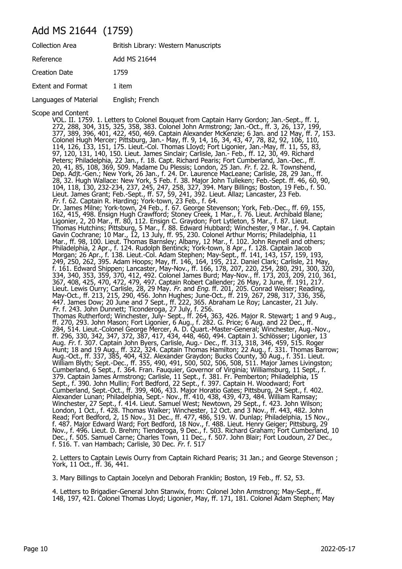#### Add MS 21644 (1759)

| <b>Collection Area</b>   | British Library: Western Manuscripts |
|--------------------------|--------------------------------------|
| Reference                | Add MS 21644                         |
| Creation Date            | 1759                                 |
| <b>Extent and Format</b> | 1 item                               |
| Languages of Material    | English; French                      |

Scope and Content

VOL. II. 1759. 1. Letters to Colonel Bouquet from Captain Harry Gordon; Jan.-Sept., ff. 1, 272, 288, 304, 315, 325, 358, 383. Colonel John Armstrong; Jan.-Oct., ff. 3, 26, 137, 199, 377, 389, 396, 401, 422, 450, 469. Captain Alexander McKenzie; 6 Jan. and 12 May, ff. 7, 153. Colonel Hugh Mercer; Pittsburg, Jan.- May, ff. 9, 14, 16, 34, 43, 47, 78, 82, 92, 106, 110, 114, 126, 133, 151, 175. Lieut.-Col. Thomas LIoyd; Fort Ligonier, Jan.-May, ff. 11, 55, 83, 97, 120, 131, 140, 150. Lieut. James Sinclair; Carlisle, Jan.- Feb., ff. 12, 30, 49. Richard Peters; Philadelphia, 22 Jan., f. 18. Capt. Richard Pearis; Fort Cumberland, Jan.-Dec., ff. 20, 41, 85, 108, 369, 509. Madame Du Plessis; London, 25 Jan. Fr. f. 22. R. Townshend, Dep. Adjt.-Gen.; New York, 26 Jan., f. 24. Dr. Laurence MacLeane; Carlisle, 28, 29 Jan., ff. 28, 32. Hugh Wallace: New York, 5 Feb. f. 38. Major John Tulleken; Feb.-Sept. ff. 46, 60, 90, 104, 118, 130, 232-234, 237, 245, 247, 258, 327, 394. Mary Billings; Boston, 19 Feb., f. 50. Lieut. James Grant; Feb.-Sept., ff. 57, 59, 241, 392. Lieut. Allaz; Lancaster, 23 Feb. Fr. f. 62. Captain R. Harding; York-town, 23 Feb., f. 64. Dr. James Milne; York-town, 24 Feb., f. 67. George Stevenson; York, Feb.-Dec., ff. 69, 155, 162, 415, 498. Ensign Hugh Crawfford; Stoney Creek, 1 Mar., f. 76. Lieut. Archibald Blane; Ligonier, 2, 20 Mar., ff. 80, 112. Ensign C. Graydon; Fort Lytleton, 5 Mar., f. 87. Lieut. Thomas Hutchins; Pittsburg, 5 Mar., f. 88. Edward Hubbard; Winchester, 9 Mar., f. 94. Captain Gavin Cochrane; 10 Mar., 12, 13 July, ff. 95, 230. Colonel Arthur Morris; Philadelphia, 11 Mar., ff. 98, 100. Lieut. Thomas Barnsley; Albany, 12 Mar., f. 102. John Reynell and others; Philadelphia, 2 Apr., f. 124. Rudolph Bentinck; York-town, 8 Apr., f. 128. Captain Jacob Morgan; 26 Apr., f. 138. Lieut.-Col. Adam Stephen; May-Sept., ff. 141, 143, 157, 159, 193, 249, 250, 262, 395. Adam Hoops; May, ff. 146, 164, 195, 212. Daniel Clark; Carlisle, 21 May, f. 161. Edward Shippen; Lancaster, May-Nov., ff. 166, 178, 207, 220, 254, 280, 291, 300, 320, 334, 340, 353, 359, 370, 412, 492. Colonel James Burd; May-Nov., ff. 173, 203, 209, 210, 361, 367, 408, 425, 470, 472, 479, 497. Captain Robert Callender; 26 May, 2 June, ff. 191, 217. Lieut. Lewis Ourry; Carlisle, 28, 29 May. Fr. and Eng. ff. 201, 205. Conrad Weiser; Reading, May-Oct., ff. 213, 215, 290, 456. John Hughes; June-Oct., ff. 219, 267, 298, 317, 336, 356, 447. James Dow; 20 June and 7 Sept., ff. 222, 365. Abraham Le Roy; Lancaster, 21 July. Fr. f. 243. John Dunnett; Ticonderoga, 27 July, f. 256. Thomas Rutherford; Winchester, July- Sept., ff. 264, 363, 426. Major R. Stewart; 1 and 9 Aug., ff. 270, 293. John Mason; Fort Ligonier, 6 Aug., f. 282. G. Price; 6 Aug. and 22 Dec., ff. 284, 514. Lieut.-Colonel George Mercer, A. D. Quart.-Master-General; Winchester, Aug.-Nov., ff. 296, 330, 342, 347, 372, 387, 417, 434, 448, 460, 494. Captain J. Schlösser; Ligonier, 13 Aug. Fr. f. 307. Captain John Byers, Carlisle, Aug.- Dec., ff. 313, 318, 346, 459, 515. Roger Hunt; 18 and 19 Aug., ff. 322, 324. Captain Thomas Hamilton; 22 Aug., f. 331. Thomas Barrow; Aug.-Oct., ff. 337, 385, 404, 432. Alexander Graydon; Bucks County, 30 Aug., f. 351. Lieut. William Blyth; Sept.-Dec., ff. 355, 490, 491, 500, 502, 506, 508, 511. Major James Livingston; Cumberland, 6 Sept., f. 364. Fran. Fauquier, Governor of Virginia; Williamsburg, 11 Sept., f. 379. Captain James Armstrong; Carlisle, 11 Sept., f. 381. Fr. Pemberton; Philadelphia, 15 Sept., f. 390. John Mullin; Fort Bedford, 22 Sept., f. 397. Captain H. Woodward; Fort Cumberland, Sept.-Oct., ff. 399, 406, 433. Major Horatio Gates; Pittsburg, 24 Sept., f. 402. Alexander Lunan; Philadelphia, Sept.- Nov., ff. 410, 438, 439, 473, 484. William Ramsay; Winchester, 27 Sept., f. 414. Lieut. Samuel West; Newtown, 29 Sept., f. 423. John Wilson; London, 1 Oct., f. 428. Thomas Walker; Winchester, 12 Oct. and 3 Nov., ff. 443, 482. John Read; Fort Bedford, 2, 15 Nov., 31 Dec., ff. 477, 486, 519. W. Dunlap; Philadelphia, 15 Nov., f. 487. Major Edward Ward; Fort Bedford, 18 Nov., f. 488. Lieut. Henry Geiger; Pittsburg, 29 Nov., f. 496. Lieut. D. Brehm; Tienderoga, 9 Dec., f. 503. Richard Graham; Fort Cumberland, 10 Dec., f. 505. Samuel Carne; Charles Town, 11 Dec., f. 507. John Blair; Fort Loudoun, 27 Dec., f. 516. T. van Hambach; Carlisle, 30 Dec. Fr. f. 517

2. Letters to Captain Lewis Ourry from Captain Richard Pearis; 31 Jan.; and George Stevenson ; York, 11 Oct., ff. 36, 441.

3. Mary Billings to Captain Jocelyn and Deborah Franklin; Boston, 19 Feb., ff. 52, 53.

4. Letters to Brigadier-General John Stanwix, from: Colonel John Armstrong; May-Sept., ff. 148, 197, 421. Colonel Thomas Lloyd; Ligonier, May, ff. 171, 181. Colonel Adam Stephen; May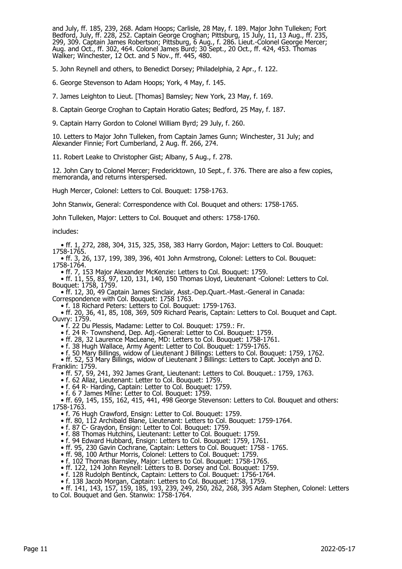and July, ff. 185, 239, 268. Adam Hoops; Carlisle, 28 May, f. 189. Major John Tulleken; Fort Bedford, July, ff. 228, 252. Captain George Croghan; Pittsburg, 15 July, 11, 13 Aug., ff. 235, 299, 309. Captain James Robertson; Pittsburg, 6 Aug., f. 286. Lieut.-Colonel George Mercer; Aug. and Oct., ff. 302, 464. Colonel James Burd; 30 Sept., 20 Oct., ff. 424, 453. Thomas Walker; Winchester, 12 Oct. and 5 Nov., ff. 445, 480.

5. John Reynell and others, to Benedict Dorsey; Philadelphia, 2 Apr., f. 122.

6. George Stevenson to Adam Hoops; York, 4 May, f. 145.

7. James Leighton to Lieut. [Thomas] Bamsley; New York, 23 May, f. 169.

8. Captain George Croghan to Captain Horatio Gates; Bedford, 25 May, f. 187.

9. Captain Harry Gordon to Colonel William Byrd; 29 July, f. 260.

10. Letters to Major John Tulleken, from Captain James Gunn; Winchester, 31 July; and Alexander Finnie; Fort Cumberland, 2 Aug. ff. 266, 274.

11. Robert Leake to Christopher Gist; Albany, 5 Aug., f. 278.

12. John Cary to Colonel Mercer; Fredericktown, 10 Sept., f. 376. There are also a few copies, memoranda, and returns interspersed.

Hugh Mercer, Colonel: Letters to Col. Bouquet: 1758-1763.

John Stanwix, General: Correspondence with Col. Bouquet and others: 1758-1765.

John Tulleken, Major: Letters to Col. Bouquet and others: 1758-1760.

includes:

 • ff. 1, 272, 288, 304, 315, 325, 358, 383 Harry Gordon, Major: Letters to Col. Bouquet: 1758-1765.

 • ff. 3, 26, 137, 199, 389, 396, 401 John Armstrong, Colonel: Letters to Col. Bouquet: 1758-1764.

• ff. 7, 153 Major Alexander McKenzie: Letters to Col. Bouquet: 1759.

 • ff. 11, 55, 83, 97, 120, 131, 140, 150 Thomas Lloyd, Lieutenant -Colonel: Letters to Col. Bouquet: 1758, 1759.

 • ff. 12, 30, 49 Captain James Sinclair, Asst.-Dep.Quart.-Mast.-General in Canada: Correspondence with Col. Bouquet: 1758 1763.

• f. 18 Richard Peters: Letters to Col. Bouquet: 1759-1763.

 • ff. 20, 36, 41, 85, 108, 369, 509 Richard Pearis, Captain: Letters to Col. Bouquet and Capt. Ouvry: 1759.

• f. 22 Du Plessis, Madame: Letter to Col. Bouquet: 1759.: Fr.

• f. 24 R- Townshend, Dep. Adj.-General: Letter to Col. Bouquet: 1759.

• ff. 28, 32 Laurence MacLeane, MD: Letters to Col. Bouquet: 1758-1761.

• f. 38 Hugh Wallace, Army Agent: Letter to Col. Bouquet: 1759-1765.

 • f. 50 Mary Billings, widow of Lieutenant J Billings: Letters to Col. Bouquet: 1759, 1762. • ff. 52, 53 Mary Billings, widow of Lieutenant J Billings: Letters to Capt. Jocelyn and D.

Franklin: 1759.

• ff. 57, 59, 241, 392 James Grant, Lieutenant: Letters to Col. Bouquet.: 1759, 1763.

• f. 62 Allaz, Lieutenant: Letter to Col. Bouquet: 1759.

• f. 64 R- Harding, Captain: Letter to Col. Bouquet: 1759.

• f. 6 7 James Milne: Letter to Col. Bouquet: 1759.

 • ff. 69, 145, 155, 162, 415, 441, 498 George Stevenson: Letters to Col. Bouquet and others: 1758-1763.

• f. 76 Hugh Crawford, Ensign: Letter to Col. Bouquet: 1759.

• ff. 80, 112 Archibald Blane, Lieutenant: Letters to Col. Bouquet: 1759-1764.

- f. 87 C- Graydon, Ensign: Letter to Col. Bouquet: 1759.
	- f. 88 Thomas Hutchins, Lieutenant: Letter to Col. Bouquet: 1759.
- f. 94 Edward Hubbard, Ensign: Letters to Col. Bouquet: 1759, 1761.

• ff. 95, 230 Gavin Cochrane, Captain: Letters to Col. Bouquet: 1758 - 1765.

• ff. 98, 100 Arthur Morris, Colonel: Letters to Col. Bouquet: 1759.

• f. 102 Thornas Barnsley, Major: Letters to Col. Bouquet: 1758-1765.

• ff. 122, 124 John Reynell: Letters to B. Dorsey and Col. Bouquet: 1759.

• f. 128 Rudolph Bentinck, Captain: Letters to Col. Bouquet: 1756-1764.

• f. 138 Jacob Morgan, Captain: Letters to Col. Bouquet: 1758, 1759.

 • ff. 141, 143, 157, 159, 185, 193, 239, 249, 250, 262, 268, 395 Adam Stephen, Colonel: Letters to Col. Bouquet and Gen. Stanwix: 1758-1764.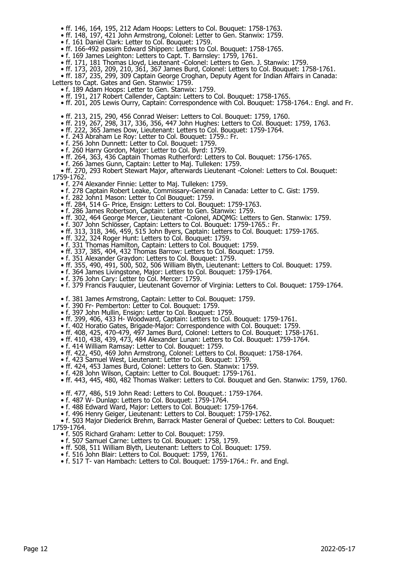- ff. 146, 164, 195, 212 Adam Hoops: Letters to Col. Bouquet: 1758-1763.
- ff. 148, 197, 421 John Armstrong, Colonel: Letter to Gen. Stanwix: 1759.
- f. 161 Daniel Clark: Letter to Col. Bouquet: 1759.
	- ff. 166-492 passim Edward Shippen: Letters to Col. Bouquet: 1758-1765.
	- f. 169 James Leighton: Letters to Capt. T. Barnsley: 1759, 1761.
- ff. 171, 181 Thomas Lloyd, Lieutenant -Colonel: Letters to Gen. J. Stanwix: 1759.
- ff. 173, 203, 209, 210, 361, 367 James Burd, Colonel: Letters to Col. Bouquet: 1758-1761.

 • ff. 187, 235, 299, 309 Captain George Croghan, Deputy Agent for Indian Affairs in Canada: Letters to Capt. Gates and Gen. Stanwix: 1759.

- f. 189 Adam Hoops: Letter to Gen. Stanwix: 1759.
- ff. 191, 217 Robert Callender, Captain: Letters to Col. Bouquet: 1758-1765.
- ff. 201, 205 Lewis Ourry, Captain: Correspondence with Col. Bouquet: 1758-1764.: Engl. and Fr.
- ff. 213, 215, 290, 456 Conrad Weiser: Letters to Col. Bouquet: 1759, 1760.
- ff. 219, 267, 298, 317, 336, 356, 447 John Hughes: Letters to Col. Bouquet: 1759, 1763.
	- ff. 222, 365 James Dow, Lieutenant: Letters to Col. Bouquet: 1759-1764.
- f. 243 Abraham Le Roy: Letter to Col. Bouquet: 1759.: Fr.
- f. 256 John Dunnett: Letter to Col. Bouquet: 1759.
	- f. 260 Harry Gordon, Major: Letter to Col. Byrd: 1759.
	- ff. 264, 363, 436 Captain Thomas Rutherford: Letters to Col. Bouquet: 1756-1765.
- f. 266 James Gunn, Captain: Letter to Maj. Tulleken: 1759.

 • ff. 270, 293 Robert Stewart Major, afterwards Lieutenant -Colonel: Letters to Col. Bouquet: 1759-1762.

- f. 274 Alexander Finnie: Letter to Maj. Tulleken: 1759.
- f. 278 Captain Robert Leake, Commissary-General in Canada: Letter to C. Gist: 1759.
- f. 282 John1 Mason: Letter to Col Bouquet: 1759.
- ff. 284, 514 G- Price, Ensign: Letters to Col. Bouquet: 1759-1763.
- f. 286 James Robertson, Captain: Letter to Gen. Stanwix: 1759.
	- ff. 302, 464 George Mercer, Lieutenant -Colonel, ADQMG: Letters to Gen. Stanwix: 1759.
- f. 307 John Schlösser, Captain: Letters to Col. Bouquet: 1759-1765.: Fr.
- ff. 313, 318, 346, 459, 515 John Byers, Captain: Letters to Col. Bouquet: 1759-1765.
- ff. 322, 324 Roger Hunt: Letters to Col. Bouquet: 1759.
	- f. 331 Thomas Hamilton, Captain: Letters to Col. Bouquet: 1759.
	- ff. 337, 385, 404, 432 Thomas Barrow: Letters to Col. Bouquet: 1759.
- f. 351 Alexander Graydon: Letters to Col. Bouquet: 1759.
- ff. 355, 490, 491, 500, 502, 506 William Blyth, Lieutenant: Letters to Col. Bouquet: 1759.
- f. 364 James Livingstone, Major: Letters to Col. Bouquet: 1759-1764.
	- f. 376 John Cary: Letter to Col. Mercer: 1759.
	- f. 379 Francis Fauquier, Lieutenant Governor of Virginia: Letters to Col. Bouquet: 1759-1764.
- f. 381 James Armstrong, Captain: Letter to Col. Bouquet: 1759.
- f. 390 Fr- Pemberton: Letter to Col. Bouquet: 1759.
	- f. 397 John Mullin, Ensign: Letter to Col. Bouquet: 1759.
	- ff. 399, 406, 433 H- Woodward, Captain: Letters to Col. Bouquet: 1759-1761.
- f. 402 Horatio Gates, Brigade-Major: Correspondence with Col. Bouquet: 1759.
- ff. 408, 425, 470-479, 497 James Burd, Colonel: Letters to Col. Bouquet: 1758-1761.
- ff. 410, 438, 439, 473, 484 Alexander Lunan: Letters to Col. Bouquet: 1759-1764.
	- f. 414 William Ramsay: Letter to Col. Bouquet: 1759.
- ff. 422, 450, 469 John Armstrong, Colonel: Letters to Col. Bouquet: 1758-1764.
- f. 423 Samuel West, Lieutenant: Letter to Col. Bouquet: 1759.
- ff. 424, 453 James Burd, Colonel: Letters to Gen. Stanwix: 1759.
	- f. 428 John Wilson, Captain: Letter to Col. Bouquet: 1759-1761.
	- ff. 443, 445, 480, 482 Thomas Walker: Letters to Col. Bouquet and Gen. Stanwix: 1759, 1760.
	- ff. 477, 486, 519 John Read: Letters to Col. Bouquet.: 1759-1764.
	- f. 487 W- Dunlap: Letters to Col. Bouquet: 1759-1764.
	- f. 488 Edward Ward, Major: Letters to Col. Bouquet: 1759-1764.
- f. 496 Henry Geiger, Lieutenant: Letters to Col. Bouquet: 1759-1762.

 • f. 503 Major Diederick Brehm, Barrack Master General of Quebec: Letters to Col. Bouquet: 1759-1764.

- f. 505 Richard Graham: Letter to Col. Bouquet: 1759.
- f. 507 Samuel Carne: Letters to Col. Bouquet: 1758, 1759.
- ff. 508, 511 William Blyth, Lieutenant: Letters to Col. Bouquet: 1759.
- f. 516 John Blair: Letters to Col. Bouquet: 1759, 1761.
- f. 517 T- van Hambach: Letters to Col. Bouquet: 1759-1764.: Fr. and Engl.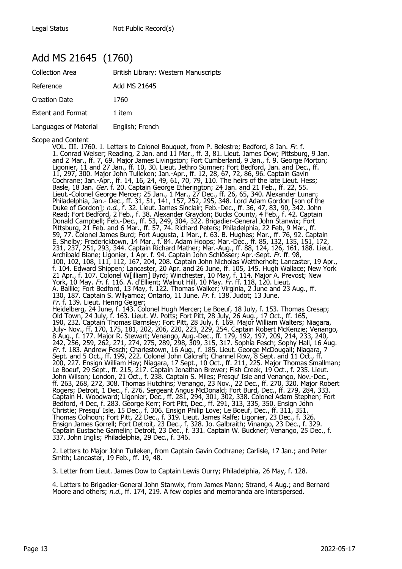#### Add MS 21645 (1760)

| <b>Collection Area</b>   | British Library: Western Manuscripts |
|--------------------------|--------------------------------------|
| Reference                | Add MS 21645                         |
| Creation Date            | 1760                                 |
| <b>Extent and Format</b> | 1 item                               |
| Languages of Material    | English; French                      |

Scope and Content

VOL. III. 1760. 1. Letters to Colonel Bouquet, from P. Belestre; Bedford, 8 Jan. Fr. f. 1. Conrad Weiser; Reading, 2 Jan. and 11 Mar., ff. 3, 81. Lieut. James Dow; Pittsburg, 9 Jan. and 2 Mar., ff. 7, 69. Major James Livingston; Fort Cumberland, 9 Jan., f. 9. George Morton; Ligonier, 11 and 27 Jan., ff. 10, 30. Lieut. Jethro Sumner; Fort Bedford, Jan. and Dec., ff. 11, 297, 300. Major John Tulleken; Jan.-Apr., ff. 12, 28, 67, 72, 86, 96. Captain Gavin Cochrane; Jan.-Apr., ff. 14, 16, 24, 49, 61, 70, 79, 110. The heirs of the late Lieut. Hess; Basle, 18 Jan. Ger. f. 20. Captain George Etherington; 24 Jan. and 21 Feb., ff. 22, 55. Lieut.-Colonel George Mercer; 25 Jan., 1 Mar., 27 Dec., ff. 26, 65, 340. Alexander Lunan; Philadelphia, Jan.- Dec., ff. 31, 51, 141, 157, 252, 295, 348. Lord Adam Gordon [son of the Duke of Gordon]; n.d., f. 32. Lieut. James Sinclair; Feb.-Dec., ff. 36, 47, 83, 90, 342. John Read; Fort Bedford, 2 Feb., f. 38. Alexander Graydon; Bucks County, 4 Feb., f. 42. Captain Donald Campbell; Feb.-Dec., ff. 53, 249, 304, 322. Brigadier-General John Stanwix; Fort Pittsburg, 21 Feb. and 6 Mar., ff. 57, 74. Richard Peters; Philadelphia, 22 Feb, 9 Mar., ff. 59, 77. Colonel James Burd; Fort Augusta, 1 Mar., f. 63. B. Hughes; Mar., ff. 76, 92. Captain E. Shelby; Fredericktown, 14 Mar., f. 84. Adam Hoops; Mar.-Dec., ff. 85, 132, 135, 151, 172, 231, 237, 251, 293, 344. Captain Richard Mather; Mar.-Aug., ff. 88, 124, 126, 161, 188. Lieut. Archibald Blane; Ligonier, 1 Apr. f. 94. Captain John Schlösser; Apr.-Sept. *Fr.* ff. 98, 100, 102, 108, 111, 112, 167, 204, 208. Captain John Nicholas Wettherholt; Lancaster, 19 Apr., f. 104. Edward Shippen; Lancaster, 20 Apr. and 26 June, ff. 105, 145. Hugh Wallace; New York 21 Apr., f. 107. Colonel W[illiam] Byrd; Winchester, 10 May, f. 114. Major A. Prevost; New York, 10 May. Fr. f. 116. A. d'Ellient; Walnut Hill, 10 May. Fr. ff. 118, 120. Lieut. A. Baillie; Fort Bedford, 13 May, f. 122. Thomas Walker; Virginia, 2 June and 23 Aug., ff. 130, 187. Captain S. Wllyamoz; Ontario, 11 June. Fr. f. 138. Judot; 13 June. Fr. f. 139. Lieut. Henrig Geiger; Heidelberg, 24 June, f. 143. Colonel Hugh Mercer; Le Boeuf, 18 July, f. 153. Thomas Cresap; Old Town, 24 July, f. 163. Lieut. W. Potts; Fort Pitt, 28 July, 26 Aug., 17 Oct., ff. 165, 190, 232. Captain Thomas Barnsley; Fort Pitt, 28 July, f. 169. Major William Walters; Niagara, July- Nov., ff. 170, 175, 181, 202, 206, 220, 223, 229, 254. Captain Robert McKenzie; Venango, 8 Aug., f. 177. Major R. Stewart; Venango, Aug.-Dec., ff. 179, 192, 197, 209, 214, 233, 240, 242, 256, 259, 262, 271, 274, 275, 289, 298, 309, 315, 317. Sophia Fesch; Sophy Hall, 16 Aug. Fr. f. 183. Andrew Fesch; Charlestown, 16 Aug., f. 185. Lieut. George McDougall; Niagara, 7 Sept. and 5 Oct., ff. 199, 222. Colonel John Calcraft; Channel Row, 8 Sept. and 11 Oct., ff. 200, 227. Ensign William Hay; Niagara, 17 Sept., 10 Oct., ff. 211, 225. Major Thomas Smallman; Le Boeuf, 29 Sept., ff. 215, 217. Captain Jonathan Brewer; Fish Creek, 19 Oct., f. 235. Lieut. John Wilson; London, 21 Oct., f. 238. Captain S. Miles; Presqu' Isle and Venango, Nov.-Dec., ff. 263, 268, 272, 308. Thomas Hutchins; Venango, 23 Nov., 22 Dec., ff. 270, 320. Major Robert Rogers; Detroit, 1 Dec., f. 276. Sergeant Angus McDonald; Fort Burd, Dec., ff. 279, 284, 333. Solif Wisson, Exhibit, 21 Oct., i. 250. Captain 5. Filles, Fresque Isle and C210, 320. Major Robert<br>ff. 263, 268, 272, 308. Thomas Hutchins; Venango, 23 Nov., 22 Dec., ff. 270, 320. Major Robert<br>Rogers; Detroit, 1 Dec., f. Bedford, 4 Dec, f. 283. George Kerr; Fort Pitt, Dec., ff. 291, 313, 335, 350. Ensign John Christie; Presqu' Isle, 15 Dec., f. 306. Ensign Philip Love; Le Boeuf, Dec., ff. 311, 351. Thomas Colhoon; Fort Pitt, 22 Dec., f. 319. Lieut. James Ralfe; Ligonier, 23 Dec., f. 326. Ensign James Gorrell; Fort Detroit, 23 Dec., f. 328. Jo. Galbraith; Vinango, 23 Dec., f. 329. Captain Eustache Gamelin; Detroit, 23 Dec., f. 331. Captain W. Buckner; Venango, 25 Dec., f. 337. John Inglis; Philadelphia, 29 Dec., f. 346.

2. Letters to Major John Tulleken, from Captain Gavin Cochrane; Carlisle, 17 Jan.; and Peter Smith; Lancaster, 19 Feb., ff. 19, 48.

3. Letter from Lieut. James Dow to Captain Lewis Ourry; Philadelphia, 26 May, f. 128.

4. Letters to Brigadier-General John Stanwix, from James Mann; Strand, 4 Aug.; and Bernard Moore and others; n.d., ff. 174, 219. A few copies and memoranda are interspersed.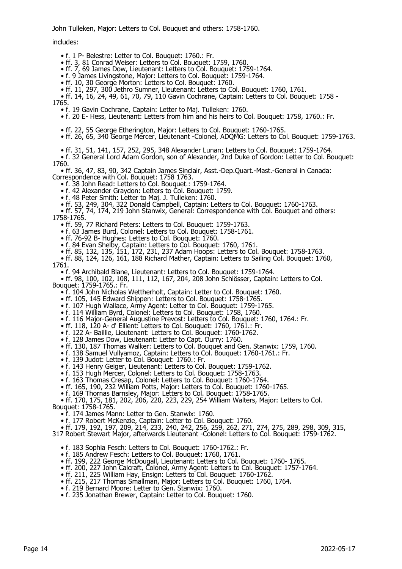John Tulleken, Major: Letters to Col. Bouquet and others: 1758-1760.

includes:

• f. 1 P- Belestre: Letter to Col. Bouquet: 1760.: Fr.

• ff. 3, 81 Conrad Weiser: Letters to Col. Bouquet: 1759, 1760.

• ff. 7, 69 James Dow, Lieutenant: Letters to Col. Bouquet: 1759-1764.

• f. 9 James Livingstone, Major: Letters to Col. Bouquet: 1759-1764.

• ff. 10, 30 George Morton: Letters to Col. Bouquet: 1760.

• ff. 11, 297, 300 Jethro Sumner, Lieutenant: Letters to Col. Bouquet: 1760, 1761.

 • ff. 14, 16, 24, 49, 61, 70, 79, 110 Gavin Cochrane, Captain: Letters to Col. Bouquet: 1758 - 1765.

• f. 19 Gavin Cochrane, Captain: Letter to Maj. Tulleken: 1760.

• f. 20 E- Hess, Lieutenant: Letters from him and his heirs to Col. Bouquet: 1758, 1760.: Fr.

• ff. 22, 55 George Etherington, Major: Letters to Col. Bouquet: 1760-1765.

• ff. 26, 65, 340 George Mercer, Lieutenant -Colonel, ADQMG: Letters to Col. Bouquet: 1759-1763.

• ff. 31, 51, 141, 157, 252, 295, 348 Alexander Lunan: Letters to Col. Bouquet: 1759-1764.

 • f. 32 General Lord Adam Gordon, son of Alexander, 2nd Duke of Gordon: Letter to Col. Bouquet: 1760.

 • ff. 36, 47, 83, 90, 342 Captain James Sinclair, Asst.-Dep.Quart.-Mast.-General in Canada: Correspondence with Col. Bouquet: 1758 1763.

• f. 38 John Read: Letters to Col. Bouquet.: 1759-1764.

• f. 42 Alexander Graydon: Letters to Col. Bouquet: 1759.

• f. 48 Peter Smith: Letter to Maj. J. Tulleken: 1760.

• ff. 53, 249, 304, 322 Donald Campbell, Captain: Letters to Col. Bouquet: 1760-1763.

 • ff. 57, 74, 174, 219 John Stanwix, General: Correspondence with Col. Bouquet and others: 1758-1765.

• ff. 59, 77 Richard Peters: Letters to Col. Bouquet: 1759-1763.

• f. 63 James Burd, Colonel: Letters to Col. Bouquet: 1758-1761.

• ff. 76-92 B- Hughes: Letters to Col. Bouquet: 1760.

• f. 84 Evan Shelby, Captain: Letters to Col. Bouquet: 1760, 1761.

 • ff. 85, 132, 135, 151, 172, 231, 237 Adam Hoops: Letters to Col. Bouquet: 1758-1763. • ff. 88, 124, 126, 161, 188 Richard Mather, Captain: Letters to Sailing Col. Bouquet: 1760,

1761.

• f. 94 Archibald Blane, Lieutenant: Letters to Col. Bouquet: 1759-1764.

 • ff. 98, 100, 102, 108, 111, 112, 167, 204, 208 John Schlösser, Captain: Letters to Col. Bouquet: 1759-1765.: Fr.

• f. 104 John Nicholas Wettherholt, Captain: Letter to Col. Bouquet: 1760.

• ff. 105, 145 Edward Shippen: Letters to Col. Bouquet: 1758-1765.

• f. 107 Hugh Wallace, Army Agent: Letter to Col. Bouquet: 1759-1765.

• f. 114 William Byrd, Colonel: Letters to Col. Bouquet: 1758, 1760.

• f. 116 Major-General Augustine Prevost: Letters to Col. Bouquet: 1760, 1764.: Fr.

• ff. 118, 120 A- d' Ellient: Letters to Col. Bouquet: 1760, 1761.: Fr.

• f. 122 A- Baillie, Lieutenant: Letters to Col. Bouquet: 1760-1762.

• f. 128 James Dow, Lieutenant: Letter to Capt. Ourry: 1760.

• ff. 130, 187 Thomas Walker: Letters to Col. Bouquet and Gen. Stanwix: 1759, 1760.

• f. 138 Samuel Vullyamoz, Captain: Letters to Col. Bouquet: 1760-1761.: Fr.

• f. 139 Judot: Letter to Col. Bouquet: 1760.: Fr.

• f. 143 Henry Geiger, Lieutenant: Letters to Col. Bouquet: 1759-1762.

• f. 153 Hugh Mercer, Colonel: Letters to Col. Bouquet: 1758-1763.

• f. 163 Thomas Cresap, Colonel: Letters to Col. Bouquet: 1760-1764.

 • ff. 165, 190, 232 William Potts, Major: Letters to Col. Bouquet: 1760-1765. • f. 169 Thornas Barnsley, Major: Letters to Col. Bouquet: 1758-1765.

• ff. 170, 175, 181, 202, 206, 220, 223, 229, 254 William Walters, Major: Letters to Col.

Bouquet: 1758-1765.

• f. 174 James Mann: Letter to Gen. Stanwix: 1760.

• f. 177 Robert McKenzie, Captain: Letter to Col. Bouquet: 1760.

 • ff. 179, 192, 197, 209, 214, 233, 240, 242, 256, 259, 262, 271, 274, 275, 289, 298, 309, 315, 317 Robert Stewart Major, afterwards Lieutenant -Colonel: Letters to Col. Bouquet: 1759-1762.

• f. 183 Sophia Fesch: Letters to Col. Bouquet: 1760-1762.: Fr.

• f. 185 Andrew Fesch: Letters to Col. Bouquet: 1760, 1761.

• ff. 199, 222 George McDougall, Lieutenant: Letters to Col. Bouquet: 1760- 1765.

• ff. 200, 227 John Calcraft, Colonel, Army Agent: Letters to Col. Bouquet: 1757-1764.

• ff. 211, 225 William Hay, Ensign: Letters to Col. Bouquet: 1760-1762.

• ff. 215, 217 Thomas Smallman, Major: Letters to Col. Bouquet: 1760, 1764.

• f. 219 Bernard Moore: Letter to Gen. Stanwix: 1760.

• f. 235 Jonathan Brewer, Captain: Letter to Col. Bouquet: 1760.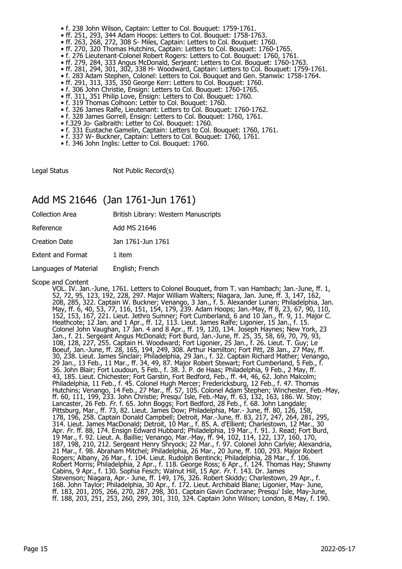- f. 238 John Wilson, Captain: Letter to Col. Bouquet: 1759-1761.
- ff. 251, 293, 344 Adam Hoops: Letters to Col. Bouquet: 1758-1763.
- ff. 263, 268, 272, 308 S- Miles, Captain: Letters to Col. Bouquet: 1760.
- ff. 270, 320 Thomas Hutchins, Captain: Letters to Col. Bouquet: 1760-1765.
- f. 276 Lieutenant-Colonel Robert Rogers: Letters to Col. Bouquet: 1760, 1761.
- ff. 279, 284, 333 Angus McDonald, Serjeant: Letters to Col. Bouquet: 1760-1763.
- ff. 281, 294, 301, 302, 338 H- Woodward, Captain: Letters to Col. Bouquet: 1759-1761.
- f. 283 Adam Stephen, Colonel: Letters to Col. Bouquet and Gen. Stanwix: 1758-1764.
- ff. 291, 313, 335, 350 George Kerr: Letters to Col. Bouquet: 1760.
- f. 306 John Christie, Ensign: Letters to Col. Bouquet: 1760-1765.
- ff. 311, 351 Philip Love, Ensign: Letters to Col. Bouquet: 1760.
- f. 319 Thomas Colhoon: Letter to Col. Bouquet: 1760.
- f. 326 James Ralfe, Lieutenant: Letters to Col. Bouquet: 1760-1762.
- f. 328 James Gorrell, Ensign: Letters to Col. Bouquet: 1760, 1761.
- f.329 Jo- Galbraith: Letter to Col. Bouquet: 1760.
- f. 331 Eustache Gamelin, Captain: Letters to Col. Bouquet: 1760, 1761.
- f. 337 W- Buckner, Captain: Letters to Col. Bouquet: 1760, 1761.
- f. 346 John Inglis: Letter to Col. Bouquet: 1760.

Legal Status Not Public Record(s)

#### Add MS 21646 (Jan 1761-Jun 1761)

Collection Area British Library: Western Manuscripts

Reference Add MS 21646

Creation Date Jan 1761-Jun 1761

Extent and Format 1 item

Languages of Material English; French

Scope and Content

VOL. IV. Jan.-June, 1761. Letters to Colonel Bouquet, from T. van Hambach; Jan.-June, ff. 1, 52, 72, 95, 123, 192, 228, 297. Major William Walters; Niagara, Jan. June, ff. 3, 147, 162, 208, 285, 322. Captain W. Buckner; Venango, 3 Jan., f. 5. Alexander Lunan; Philadelphia, Jan. May, ff. 6, 40, 53, 77, 116, 151, 154, 179, 239. Adam Hoops; Jan.-May, ff 8, 23, 67, 90, 110, 152, 153, 167, 221. Lieut. Jethro Sumner; Fort Cumberland, 6 and 10 Jan., ff. 9, 11. Major C. Heathcote; 12 Jan. and 1 Apr., ff. 12, 113. Lieut. James Ralfe; Ligonier, 15 Jan., f. 15. Colonel John Vaughan, 17 Jan. 4 and 8 Apr., ff. 19, 120, 134. Joseph Haynes; New York, 23 Jan., f. 21. Sergeant Angus McDonald; Fort Burd, Jan.-June, ff. 25, 35, 58, 69, 70, 79, 93, 108, 128, 227, 255. Captain H. Woodward; Fort Ligonier, 25 Jan., f. 26. Lieut. T. Guy; Le Boeuf, Jan.-June, ff. 28, 165, 194, 249, 308. Arthur Hamilton; Fort Pitt, 28 Jan., 27 May, ff. 30, 238. Lieut. James Sinclair; Philadelphia, 29 Jan., f. 32. Captain Richard Mather; Venango, 29 Jan., 13 Feb., 11 Mar., ff. 34, 49, 87. Major Robert Stewart; Fort Cumberland, 5 Feb., f. 36. John Blair; Fort Loudoun, 5 Feb., f. 38. J. P. de Haas; Philadelphia, 9 Feb., 2 May, ff. 43, 185. Lieut. Chichester; Fort Garstin, Fort Bedford, Feb., ff. 44, 46, 62. John Malcolm; Philadelphia, 11 Feb., f. 45. Colonel Hugh Mercer; Fredericksburg, 12 Feb., f. 47. Thomas Hutchins; Venango, 14 Feb., 27 Mar., ff. 57, 105. Colonel Adam Stephen; Winchester, Feb.-May, ff. 60, 111, 199, 233. John Christie; Presqu' Isle, Feb.-May, ff. 63, 132, 163, 186. W. Stoy; Lancaster, 26 Feb. Fr. f. 65. John Boggs; Fort Bedford, 28 Feb., f. 68. John Langdale; Pittsburg, Mar., ff. 73, 82. Lieut. James Dow; Philadelphia, Mar.- June, ff. 80, 126, 158, 178, 196, 258. Captain Donald Campbell; Detroit, Mar.-June, ff. 83, 217, 247, 264, 281, 295, 314. Lieut. James MacDonald; Detroit, 10 Mar., f. 85. A. d'Ellient; Charlestown, 12 Mar., 30 Apr. *Fr.* ff. 88, 174. Ensign Edward Hubbard; Philadelphia, 19 Mar., f. 91. J. Read; Fort Burd, 19 Mar., f. 92. Lieut. A. Baillie; Venango, Mar.-May, ff. 94, 102, 114, 122, 137, 160, 170, 187, 198, 210, 212. Sergeant Henry Shryock; 22 Mar., f. 97. Colonel John Carlyle; Alexandria, 21 Mar., f. 98. Abraham Mitchel; Philadelphia, 26 Mar., 20 June, ff. 100, 293. Major Robert Rogers; Albany, 26 Mar., f. 104. Lieut. Rudolph Bentinck; Philadelphia, 28 Mar., f. 106. Robert Morris; Philadelphia, 2 Apr., f. 118. George Ross; 6 Apr., f. 124. Thomas Hay; Shawny Cabins, 9 Apr., f. 130. Sophia Fesch; Walnut Hill, 15 Apr. Fr. f. 143. Dr. James Stevenson; Niagara, Apr.- June, ff. 149, 176, 326. Robert Skiddy; Charlestown, 29 Apr., f. 168. John Taylor; Philadelphia, 30 Apr., f. 172. Lieut. Archibald Blane; Ligonier, May- June, ff. 183, 201, 205, 266, 270, 287, 298, 301. Captain Gavin Cochrane; Presqu' Isle, May-June, ff. 188, 203, 251, 253, 260, 299, 301, 310, 324. Captain John Wilson; London, 8 May, f. 190.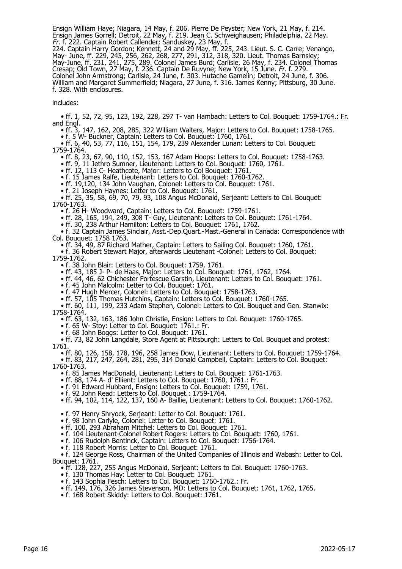Ensign William Haye; Niagara, 14 May, f. 206. Pierre De Peyster; New York, 21 May, f. 214. Ensign James Gorrell; Detroit, 22 May, f. 219. Jean C. Schweighausen; Philadelphia, 22 May. Fr. f. 222. Captain Robert Callender; Sanduskey, 23 May, f. 224. Captain Harry Gordon; Kennett, 24 and 29 May, ff. 225, 243. Lieut. S. C. Carre; Venango, May- June, ff. 229, 245, 256, 262, 268, 277, 291, 312, 318, 320. Lieut. Thomas Barnsley; May-June, ff. 231, 241, 275, 289. Colonel James Burd; Carlisle, 26 May, f. 234. Colonel Thomas Cresap; Old Town, 27 May, f. 236. Captain De Ruvyne; New York, 15 June. Fr. f. 279. Colonel John Armstrong; Carlisle, 24 June, f. 303. Hutache Gamelin; Detroit, 24 June, f. 306. William and Margaret Summerfield; Niagara, 27 June, f. 316. James Kenny; Pittsburg, 30 June. f. 328. With enclosures.

includes:

 • ff. 1, 52, 72, 95, 123, 192, 228, 297 T- van Hambach: Letters to Col. Bouquet: 1759-1764.: Fr. and Engl.

• ff. 3, 147, 162, 208, 285, 322 William Walters, Major: Letters to Col. Bouquet: 1758-1765.

• f. 5 W- Buckner, Captain: Letters to Col. Bouquet: 1760, 1761.

• ff. 6, 40, 53, 77, 116, 151, 154, 179, 239 Alexander Lunan: Letters to Col. Bouquet:

1759-1764.

• ff. 8, 23, 67, 90, 110, 152, 153, 167 Adam Hoops: Letters to Col. Bouquet: 1758-1763.

• ff. 9, 11 Jethro Sumner, Lieutenant: Letters to Col. Bouquet: 1760, 1761.

• ff. 12, 113 C- Heathcote, Major: Letters to Col Bouquet: 1761.

• f. 15 James Ralfe, Lieutenant: Letters to Col. Bouquet: 1760-1762.

• ff. 19,120, 134 John Vaughan, Colonel: Letters to Col. Bouquet: 1761.

• f. 21 Joseph Haynes: Letter to Col. Bouquet: 1761.

 • ff. 25, 35, 58, 69, 70, 79, 93, 108 Angus McDonald, Serjeant: Letters to Col. Bouquet: 1760-1763.

• f. 26 H- Woodward, Captain: Letters to Col. Bouquet: 1759-1761.

• ff. 28, 165, 194, 249, 308 T- Guy, Lieutenant: Letters to Col. Bouquet: 1761-1764.

• ff. 30, 238 Arthur Hamilton: Letters to Col. Bouquet: 1761, 1762.

 • f. 32 Captain James Sinclair, Asst.-Dep.Quart.-Mast.-General in Canada: Correspondence with Col. Bouquet: 1758 1763.

• ff. 34, 49, 87 Richard Mather, Captain: Letters to Sailing Col. Bouquet: 1760, 1761.

 • f. 36 Robert Stewart Major, afterwards Lieutenant -Colonel: Letters to Col. Bouquet: 1759-1762.

• f. 38 John Blair: Letters to Col. Bouquet: 1759, 1761.

• ff. 43, 185 J- P- de Haas, Major: Letters to Col. Bouquet: 1761, 1762, 1764.

• ff. 44, 46, 62 Chichester Fortescue Garstin, Lieutenant: Letters to Col. Bouquet: 1761.

• f. 45 John Malcolm: Letter to Col. Bouquet: 1761.

• f. 47 Hugh Mercer, Colonel: Letters to Col. Bouquet: 1758-1763.

• ff. 57, 105 Thomas Hutchins, Captain: Letters to Col. Bouquet: 1760-1765.

 • ff. 60, 111, 199, 233 Adam Stephen, Colonel: Letters to Col. Bouquet and Gen. Stanwix: 1758-1764.

• ff. 63, 132, 163, 186 John Christie, Ensign: Letters to Col. Bouquet: 1760-1765.

• f. 65 W- Stoy: Letter to Col. Bouquet: 1761.: Fr.

• f. 68 John Boggs: Letter to Col. Bouquet: 1761.

 • ff. 73, 82 John Langdale, Store Agent at Pittsburgh: Letters to Col. Bouquet and protest: 1761.

 • ff. 80, 126, 158, 178, 196, 258 James Dow, Lieutenant: Letters to Col. Bouquet: 1759-1764. • ff. 83, 217, 247, 264, 281, 295, 314 Donald Campbell, Captain: Letters to Col. Bouquet:

1760-1763.

• f. 85 James MacDonald, Lieutenant: Letters to Col. Bouquet: 1761-1763.

• ff. 88, 174 A- d' Ellient: Letters to Col. Bouquet: 1760, 1761.: Fr.

• f. 91 Edward Hubbard, Ensign: Letters to Col. Bouquet: 1759, 1761.

• f. 92 John Read: Letters to Col. Bouquet.: 1759-1764.

• ff. 94, 102, 114, 122, 137, 160 A- Baillie, Lieutenant: Letters to Col. Bouquet: 1760-1762.

• f. 97 Henry Shryock, Serjeant: Letter to Col. Bouquet: 1761.

• f. 98 John Carlyle, Colonel: Letter to Col. Bouquet: 1761.

• ff. 100, 293 Abraham Mitchel: Letters to Col. Bouquet: 1761.

• f. 104 Lieutenant-Colonel Robert Rogers: Letters to Col. Bouquet: 1760, 1761.

• f. 106 Rudolph Bentinck, Captain: Letters to Col. Bouquet: 1756-1764.

• f. 118 Robert Morris: Letter to Col. Bouquet: 1761.

 • f. 124 George Ross, Chairman of the United Companies of Illinois and Wabash: Letter to Col. Bouquet: 1761.

• ff. 128, 227, 255 Angus McDonald, Serjeant: Letters to Col. Bouquet: 1760-1763.

• f. 130 Thomas Hay: Letter to Col. Bouquet: 1761.

• f. 143 Sophia Fesch: Letters to Col. Bouquet: 1760-1762.: Fr.

• ff. 149, 176, 326 James Stevenson, MD: Letters to Col. Bouquet: 1761, 1762, 1765.

• f. 168 Robert Skiddy: Letters to Col. Bouquet: 1761.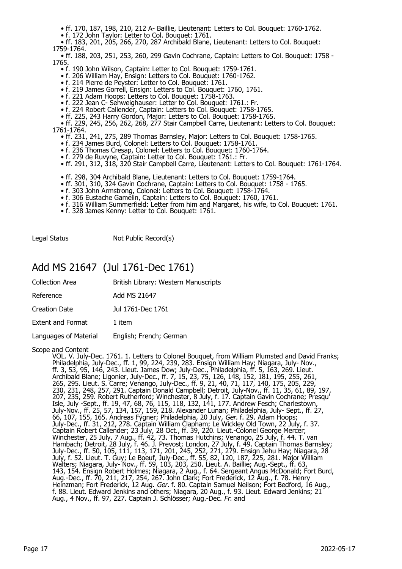• ff. 170, 187, 198, 210, 212 A- Baillie, Lieutenant: Letters to Col. Bouquet: 1760-1762.

• f. 172 John Taylor: Letter to Col. Bouquet: 1761.

 • ff. 183, 201, 205, 266, 270, 287 Archibald Blane, Lieutenant: Letters to Col. Bouquet: 1759-1764.

 • ff. 188, 203, 251, 253, 260, 299 Gavin Cochrane, Captain: Letters to Col. Bouquet: 1758 - 1765.

- f. 190 John Wilson, Captain: Letter to Col. Bouquet: 1759-1761.
- f. 206 William Hay, Ensign: Letters to Col. Bouquet: 1760-1762.
- f. 214 Pierre de Peyster: Letter to Col. Bouquet: 1761.
	- f. 219 James Gorrell, Ensign: Letters to Col. Bouquet: 1760, 1761.
- f. 221 Adam Hoops: Letters to Col. Bouquet: 1758-1763.
- f. 222 Jean C- Sehweighauser: Letter to Col. Bouquet: 1761.: Fr.
- f. 224 Robert Callender, Captain: Letters to Col. Bouquet: 1758-1765.
- ff. 225, 243 Harry Gordon, Major: Letters to Col. Bouquet: 1758-1765.

 • ff. 229, 245, 256, 262, 268, 277 Stair Campbell Carre, Lieutenant: Letters to Col. Bouquet: 1761-1764.

- ff. 231, 241, 275, 289 Thornas Barnsley, Major: Letters to Col. Bouquet: 1758-1765.
- f. 234 James Burd, Colonel: Letters to Col. Bouquet: 1758-1761.
	- f. 236 Thomas Cresap, Colonel: Letters to Col. Bouquet: 1760-1764.
- f. 279 de Ruvyne, Captain: Letter to Col. Bouquet: 1761.: Fr.
- ff. 291, 312, 318, 320 Stair Campbell Carre, Lieutenant: Letters to Col. Bouquet: 1761-1764.
	- ff. 298, 304 Archibald Blane, Lieutenant: Letters to Col. Bouquet: 1759-1764.
- ff. 301, 310, 324 Gavin Cochrane, Captain: Letters to Col. Bouquet: 1758 1765.
- f. 303 John Armstrong, Colonel: Letters to Col. Bouquet: 1758-1764.
- f. 306 Eustache Gamelin, Captain: Letters to Col. Bouquet: 1760, 1761.
- f. 316 William Summerfield: Letter from him and Margaret, his wife, to Col. Bouquet: 1761.
- f. 328 James Kenny: Letter to Col. Bouquet: 1761.

Legal Status Not Public Record(s)

#### Add MS 21647 (Jul 1761-Dec 1761)

| Collection Area   | British Library: Western Manuscripts |
|-------------------|--------------------------------------|
| Reference         | Add MS 21647                         |
| Creation Date     | Jul 1761-Dec 1761                    |
| Extent and Format | 1 item                               |
|                   |                                      |

Languages of Material English; French; German

Scope and Content

VOL. V. July-Dec. 1761. 1. Letters to Colonel Bouquet, from William Plumsted and David Franks; Philadelphia, July-Dec., ff. 1, 99, 224, 239, 283. Ensign William Hay; Niagara, July- Nov., ff. 3, 53, 95, 146, 243. Lieut. James Dow; July-Dec., Philadelphia, ff. 5, 163, 269. Lieut. Archibald Blane; Ligonier, July-Dec., ff. 7, 15, 23, 75, 126, 148, 152, 181, 195, 255, 261, 265, 295. Lieut. S. Carre; Venango, July-Dec., ff. 9, 21, 40, 71, 117, 140, 175, 205, 229, 230, 231, 248, 257, 291. Captain Donald Campbell; Detroit, July-Nov., ff. 11, 35, 61, 89, 197, 207, 235, 259. Robert Rutherford; Winchester, 8 July, f. 17. Captain Gavin Cochrane; Presqu' Isle, July -Sept., ff. 19, 47, 68, 76, 115, 118, 132, 141, 177. Andrew Fesch; Charlestown, July-Nov., ff. 25, 57, 134, 157, 159, 218. Alexander Lunan; Philadelphia, July- Sept., ff. 27, 66, 107, 155, 165. Andreas Fÿgner; Philadelphia, 20 July, Ger. f. 29. Adam Hoops; July-Dec., ff. 31, 212, 278. Captain William Clapham; Le Wickley Old Town, 22 July, f. 37. Captain Robert Callender; 23 July, 28 Oct., ff. 39, 220. Lieut.-Colonel George Mercer; Winchester, 25 July. 7 Aug., ff. 42, 73. Thomas Hutchins; Venango, 25 July, f. 44. T. van Hambach; Detroit, 28 July, f. 46. J. Prevost; London, 27 July, f. 49. Captain Thomas Barnsley; July-Dec., ff. 50, 105, 111, 113, 171, 201, 245, 252, 271, 279. Ensign Jehu Hay; Niagara, 28 July, f. 52. Lieut. T. Guy; Le Boeuf, July-Dec., ff. 55, 82, 120, 187, 225, 281. Major William Walters; Niagara, July- Nov., ff. 59, 103, 203, 250. Lieut. A. Baillie; Aug.-Sept., ff. 63, 143, 154. Ensign Robert Holmes; Niagara, 2 Aug., f. 64. Sergeant Angus McDonald; Fort Burd, Aug.-Dec., ff. 70, 211, 217, 254, 267. John Clark; Fort Frederick, 12 Aug., f. 78. Henry Heinzman; Fort Frederick, 12 Aug. *Ger.* f. 80. Captain Samuel Neilson; Fort Bedford, 16 Aug., f. 88. Lieut. Edward Jenkins and others; Niagara, 20 Aug., f. 93. Lieut. Edward Jenkins; 21 Aug., 4 Nov., ff. 97, 227. Captain J. Schlösser; Aug.-Dec. Fr. and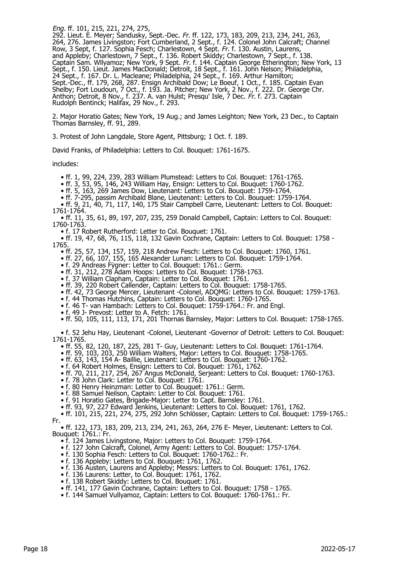Eng. ff. 101, 215, 221, 274, 275,

292. Lieut. E. Meyer; Sandusky, Sept.-Dec. Fr. ff. 122, 173, 183, 209, 213, 234, 241, 263, 264, 276. James Livingston; Fort Cumberland, 2 Sept., f. 124. Colonel John Calcraft; Channel Row, 3 Sept, f. 127. Sophia Fesch; Charlestown, 4 Sept. Fr. f. 130. Austin, Laurens, and Appleby; Charlestown, 7 Sept., f. 136. Robert Skiddy; Charlestown, 7 Sept., f. 138. Captain Sam. Wllyamoz; New York, 9 Sept. *Fr.* f. 144. Captain George Etherington; New York, 13 Sept., f. 150. Lieut. James MacDonald; Detroit, 18 Sept., f. 161. John Nelson; Philadelphia, 24 Sept., f. 167. Dr. L. Macleane; Philadelphia, 24 Sept., f. 169. Arthur Hamilton; Sept.-Dec., ff. 179, 268, 287. Ensign Archibald Dow; Le Boeuf, 1 Oct., f. 185. Captain Evan Shelby; Fort Loudoun, 7 Oct., f. 193. Ja. Pitcher; New York, 2 Nov., f. 222. Dr. George Chr. Anthon; Detroit, 8 Nov., f. 237. A. van Hulst; Presqu' Isle, 7 Dec. *Fr.* f. 273. Captain Rudolph Bentinck; Halifax, 29 Nov., f. 293.

2. Major Horatio Gates; New York, 19 Aug.; and James Leighton; New York, 23 Dec., to Captain Thomas Barnsley, ff. 91, 289.

3. Protest of John Langdale, Store Agent, Pittsburg; 1 Oct. f. 189.

David Franks, of Philadelphia: Letters to Col. Bouquet: 1761-1675.

includes:

- ff. 1, 99, 224, 239, 283 William Plumstead: Letters to Col. Bouquet: 1761-1765.
- ff. 3, 53, 95, 146, 243 William Hay, Ensign: Letters to Col. Bouquet: 1760-1762.
	- ff. 5, 163, 269 James Dow, Lieutenant: Letters to Col. Bouquet: 1759-1764.
- ff. 7-295, passim Archibald Blane, Lieutenant: Letters to Col. Bouquet: 1759-1764.

 • ff. 9, 21, 40, 71, 117, 140, 175 Stair Campbell Carre, Lieutenant: Letters to Col. Bouquet: 1761-1764.

 • ff. 11, 35, 61, 89, 197, 207, 235, 259 Donald Campbell, Captain: Letters to Col. Bouquet: 1760-1763.

• f. 17 Robert Rutherford: Letter to Col. Bouquet: 1761.

 • ff. 19, 47, 68, 76, 115, 118, 132 Gavin Cochrane, Captain: Letters to Col. Bouquet: 1758 - 1765.

- ff. 25, 57, 134, 157, 159, 218 Andrew Fesch: Letters to Col. Bouquet: 1760, 1761.
- ff. 27, 66, 107, 155, 165 Alexander Lunan: Letters to Col. Bouquet: 1759-1764.
- f. 29 Andreas Fÿgner: Letter to Col. Bouquet: 1761.: Germ.
- ff. 31, 212, 278 Adam Hoops: Letters to Col. Bouquet: 1758-1763.
	- f. 37 William Clapham, Captain: Letter to Col. Bouquet: 1761.
	- ff. 39, 220 Robert Callender, Captain: Letters to Col. Bouquet: 1758-1765.
- ff. 42, 73 George Mercer, Lieutenant -Colonel, ADQMG: Letters to Col. Bouquet: 1759-1763.
- f. 44 Thomas Hutchins, Captain: Letters to Col. Bouquet: 1760-1765.
	- f. 46 T- van Hambach: Letters to Col. Bouquet: 1759-1764.: Fr. and Engl.
	- f. 49 J- Prevost: Letter to A. Fetch: 1761.
	- ff. 50, 105, 111, 113, 171, 201 Thornas Barnsley, Major: Letters to Col. Bouquet: 1758-1765.

 • f. 52 Jehu Hay, Lieutenant -Colonel, Lieutenant -Governor of Detroit: Letters to Col. Bouquet: 1761-1765.

- ff. 55, 82, 120, 187, 225, 281 T- Guy, Lieutenant: Letters to Col. Bouquet: 1761-1764.
- ff. 59, 103, 203, 250 William Walters, Major: Letters to Col. Bouquet: 1758-1765.
- ff. 63, 143, 154 A- Baillie, Lieutenant: Letters to Col. Bouquet: 1760-1762.
- f. 64 Robert Holmes, Ensign: Letters to Col. Bouquet: 1761, 1762.
- ff. 70, 211, 217, 254, 267 Angus McDonald, Serjeant: Letters to Col. Bouquet: 1760-1763.
- f. 78 John Clark: Letter to Col. Bouquet: 1761.
	- f. 80 Henry Heinzman: Letter to Col. Bouquet: 1761.: Germ.
	- f. 88 Samuel Neilson, Captain: Letter to Col. Bouquet: 1761.
- f. 91 Horatio Gates, Brigade-Major: Letter to Capt. Barnsley: 1761.
- ff. 93, 97, 227 Edward Jenkins, Lieutenant: Letters to Col. Bouquet: 1761, 1762.

 • ff. 101, 215, 221, 274, 275, 292 John Schlösser, Captain: Letters to Col. Bouquet: 1759-1765.: Fr.

• ff. 122, 173, 183, 209, 213, 234, 241, 263, 264, 276 E- Meyer, Lieutenant: Letters to Col.

- Bouquet: 1761.: Fr.
	- f. 124 James Livingstone, Major: Letters to Col. Bouquet: 1759-1764.
- f. 127 John Calcraft, Colonel, Army Agent: Letters to Col. Bouquet: 1757-1764.
- f. 130 Sophia Fesch: Letters to Col. Bouquet: 1760-1762.: Fr.
	- f. 136 Appleby: Letters to Col. Bouquet: 1761, 1762.
	- f. 136 Austen, Laurens and Appleby; Messrs: Letters to Col. Bouquet: 1761, 1762.
- f. 136 Laurens: Letter, to Col. Bouquet: 1761, 1762.
- f. 138 Robert Skiddy: Letters to Col. Bouquet: 1761.
- ff. 141, 177 Gavin Cochrane, Captain: Letters to Col. Bouquet: 1758 1765.
	- f. 144 Samuel Vullyamoz, Captain: Letters to Col. Bouquet: 1760-1761.: Fr.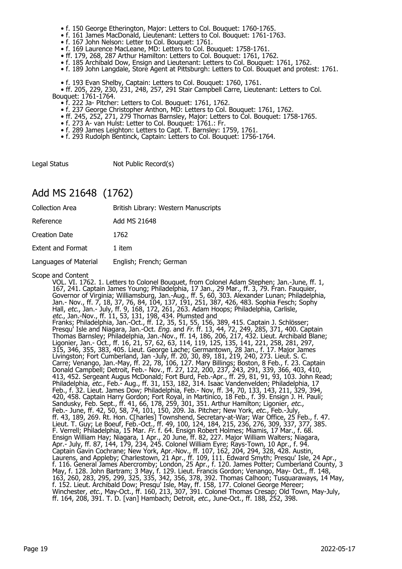- f. 150 George Etherington, Major: Letters to Col. Bouquet: 1760-1765.
- f. 161 James MacDonald, Lieutenant: Letters to Col. Bouquet: 1761-1763.
- f. 167 John Nelson: Letter to Col. Bouquet: 1761.
- f. 169 Laurence MacLeane, MD: Letters to Col. Bouquet: 1758-1761.
	- ff. 179, 268, 287 Arthur Hamilton: Letters to Col. Bouquet: 1761, 1762.
- f. 185 Archibald Dow, Ensign and Lieutenant: Letters to Col. Bouquet: 1761, 1762.
- f. 189 John Langdale, Store Agent at Pittsburgh: Letters to Col. Bouquet and protest: 1761.
- f. 193 Evan Shelby, Captain: Letters to Col. Bouquet: 1760, 1761.

• ff. 205, 229, 230, 231, 248, 257, 291 Stair Campbell Carre, Lieutenant: Letters to Col.

Bouquet: 1761-1764.

- f. 222 Ja- Pitcher: Letters to Col. Bouquet: 1761, 1762.
- f. 237 George Christopher Anthon, MD: Letters to Col. Bouquet: 1761, 1762.
- ff. 245, 252, 271, 279 Thornas Barnsley, Major: Letters to Col. Bouquet: 1758-1765.
- f. 273 A- van Hulst: Letter to Col. Bouquet: 1761.: Fr.
- f. 289 James Leighton: Letters to Capt. T. Barnsley: 1759, 1761.
	- f. 293 Rudolph Bentinck, Captain: Letters to Col. Bouquet: 1756-1764.

Legal Status Not Public Record(s)

### Add MS 21648 (1762)

| <b>Collection Area</b>   | British Library: Western Manuscripts |
|--------------------------|--------------------------------------|
| Reference                | Add MS 21648                         |
| Creation Date            | 1762                                 |
| <b>Extent and Format</b> | 1 item                               |
| Languages of Material    | English; French; German              |

Scope and Content

VOL. VI. 1762. 1. Letters to Colonel Bouquet, from Colonel Adam Stephen; Jan.-June, ff. 1, 167, 241. Captain James Young; Philadelphia, 17 Jan., 29 Mar., ff. 3, 79. Fran. Fauquier, Governor of Virginia; Williamsburg, Jan.-Aug., ff. 5, 60, 303. Alexander Lunan; Philadelphia, Jan.- Nov., ff. 7, 18, 37, 76, 84, 104, 137, 191, 251, 387, 426, 483. Sophia Fesch; Sophy Hall, etc., Jan.- July, ff. 9, 168, 172, 261, 263. Adam Hoops; Philadelphia, Carlisle, etc., Jan.-Nov., ff. 11, 53, 131, 198, 434. Plumsted and Franks; Philadelphia, Jan.-Oct., ff. 12, 35, 51, 55, 156, 389, 415. Captain J. Schlösser; Presqu' Isle and Niagara, Jan.-Oct. *Eng.* and *Fr.* ff. 13, 44, 72, 249, 285, 371, 400. Captain Thomas Barnsley; Philadelphia, Jan.-Nov., ff. 14, 186, 206, 217, 432. Lieut. Archibald Blane; Ligonier, Jan.- Oct., ff. 16, 21, 57, 62, 63, 114, 119, 125, 135, 141, 221, 258, 281, 297, 315, 346, 355, 383, 405. Lieut. George Lache; Germantown, 28 Jan., f. 17. Major James Livingston; Fort Cumberland, Jan -July, ff. 20, 30, 89, 181, 219, 240, 273. Lieut. S. C. Carre; Venango, Jan.-May, ff. 22, 78, 106, 127. Mary Billings; Boston, 8 Feb., f. 23. Captain Donald Campbell; Detroit, Feb.- Nov., ff. 27, 122, 200, 237, 243, 291, 339, 366, 403, 410, 413, 452. Sergeant Augus McDonald; Fort Burd, Feb.-Apr., ff. 29, 81, 91, 93, 103. John Read; Philadelphia, *etc.*, Feb.- Aug., ff. 31, 153, 182, 314. Isaac Vandenvelden; Philadelphia, 17 Feb., f. 32. Lieut. James Dow; Philadelphia, Feb.- Nov, ff. 34, 70, 133, 143, 211, 329, 394, 420, 458. Captain Harry Gordon; Fort Royal, in Martinico, 18 Feb., f. 39. Ensign J. H. Pauli; Sandusky, Feb. Sept., ff. 41, 66, 178, 259, 301, 351. Arthur Hamilton; Ligonier, etc., Feb.- June, ff. 42, 50, 58, 74, 101, 150, 209. Ja. Pitcher; New York, etc., Feb.-July, ff. 43, 189, 269. Rt. Hon. C[harles] Townshend, Secretary-at-War; War Office, 25 Feb., f. 47. Lieut. T. Guy; Le Boeuf, Feb.-Oct., ff. 49, 100, 124, 184, 215, 236, 276, 309, 337, 377, 385. F. Verrell; Philadelphia, 15 Mar. Fr. f. 64. Ensign Robert Holmes; Miamis, 17 Mar., f. 68. Ensign William Hay; Niagara, 1 Apr., 20 June, ff. 82, 227. Major William Walters; Niagara, Apr.- July, ff. 87, 144, 179, 234, 245. Colonel William Eyre; Rays-Town, 10 Apr., f. 94. Captain Gavin Cochrane; New York, Apr.-Nov., ff. 107, 162, 204, 294, 328, 428. Austin, Laurens, and Appleby; Charlestown, 21 Apr., ff. 109, 111. Edward Smyth; Presqu' Isle, 24 Apr., f. 116. General James Abercromby; London, 25 Apr., f. 120. James Potter; Cumberland County, 3 May, f. 128. John Bartram; 3 May, f. 129. Lieut. Francis Gordon; Venango, May- Oct., ff. 148, 163, 260, 283, 295, 299, 325, 335, 342, 356, 378, 392. Thomas Calhoon; Tusquaraways, 14 May, f. 152. Lieut. Archibald Dow; Presqu' Isle, May, ff. 158, 177. Colonel George Mereer; Winchester, *etc.*, May-Oct., ff. 160, 213, 307, 391. Colonel Thomas Cresap; Old Town, May-July, ff. 164, 208, 391. T. D. [van] Hambach; Detroit, etc., June-Oct., ff. 188, 252, 398.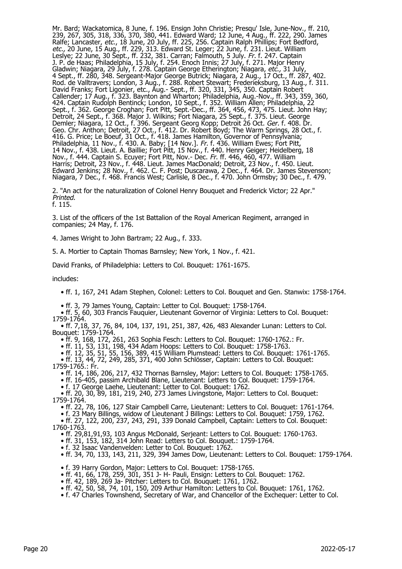Mr. Bard; Wackatomica, 8 June, f. 196. Ensign John Christie; Presqu' Isle, June-Nov., ff. 210, 239, 267, 305, 318, 336, 370, 380, 441. Edward Ward; 12 June, 4 Aug., ff. 222, 290. James Ralfe; Lancaster, *etc.*, 18 June, 20 July, ff. 225, 256. Captain Ralph Phillips; Fort Bedford, etc., 20 June, 15 Aug., ff. 229, 313. Edward St. Leger; 22 June, f. 231. Lieut. William Leslye; 22 June, 30 Sept., ff. 232, 381. Carran; Falmouth, 5 July. Fr. f. 247. Captain J. P. de Haas; Philadelphia, 15 July, f. 254. Enoch Innis; 27 July, f. 271. Major Henry Gladwin; Niagara, 29 July, f. 278. Captain George Etherington; Niagara, etc., 31 July, 4 Sept., ff. 280, 348. Sergeant-Major George Butrick; Niagara, 2 Aug., 17 Oct., ff. 287, 402. Rod. de Valltravers; London, 3 Aug., f. 288. Robert Stewart; Frederieksburg, 13 Aug., f. 311. David Franks; Fort Ligonier, etc., Aug.- Sept., ff. 320, 331, 345, 350. Captain Robert Callender; 17 Aug., f. 323. Baynton and Wharton; Philadelphia, Aug.-Nov., ff. 343, 359, 360, 424. Captain Rudolph Bentinck; London, 10 Sept., f. 352. William Allen; Philadelphia, 22 Sept., f. 362. George Croghan; Fort Pitt, Sept.-Dec., ff. 364, 456, 473, 475. Lieut. John Hay; Detroit, 24 Sept., f. 368. Major J. Wilkins; Fort Niagara, 25 Sept., f. 375. Lieut. George Demler; Niagara, 12 Oct., f. 396. Sergeant Georg Kopp; Detroit 26 Oct. *Ger.* f. 408. Dr. Geo. Chr. Anthon; Detroit, 27 Oct., f. 412. Dr. Robert Boyd; The Warm Springs, 28 Oct., f. 416. G. Price; Le Boeuf, 31 Oct., f. 418. James Hamilton, Governor of Pennsylvania; Philadelphia, 11 Nov., f. 430. A. Baby; [14 Nov.]. *Fr.* f. 436. William Ewes; Fort Pitt, 14 Nov., f. 438. Lieut. A. Baillie; Fort Pitt, 15 Nov., f. 440. Henry Geiger; Heidelberg, 18 Nov., f. 444. Captain S. Ecuyer; Fort Pitt, Nov.- Dec. Fr. ff. 446, 460, 477. William Harris; Detroit, 23 Nov., f. 448. Lieut. James MacDonald; Detroit, 23 Nov., f. 450. Lieut. Edward Jenkins; 28 Nov., f. 462. C. F. Post; Duscarawa, 2 Dec., f. 464. Dr. James Stevenson; Niagara, 7 Dec., f. 468. Francis West; Carlisle, 8 Dec., f. 470. John Ormsby; 30 Dec., f. 479.

2. "An act for the naturalization of Colonel Henry Bouquet and Frederick Victor; 22 Apr." Printed. f. 115.

3. List of the officers of the 1st Battalion of the Royal American Regiment, arranged in companies; 24 May, f. 176.

4. James Wright to John Bartram; 22 Aug., f. 333.

5. A. Mortier to Captain Thomas Barnsley; New York, 1 Nov., f. 421.

David Franks, of Philadelphia: Letters to Col. Bouquet: 1761-1675.

includes:

• ff. 1, 167, 241 Adam Stephen, Colonel: Letters to Col. Bouquet and Gen. Stanwix: 1758-1764.

- ff. 3, 79 James Young, Captain: Letter to Col. Bouquet: 1758-1764.
- ff. 5, 60, 303 Francis Fauquier, Lieutenant Governor of Virginia: Letters to Col. Bouquet: 1759-1764.

 • ff. 7,18, 37, 76, 84, 104, 137, 191, 251, 387, 426, 483 Alexander Lunan: Letters to Col. Bouquet: 1759-1764.

• ff. 9, 168, 172, 261, 263 Sophia Fesch: Letters to Col. Bouquet: 1760-1762.: Fr.<br>• ff. 11, 53, 131, 198, 434 Adam Hoops: Letters to Col. Bouquet: 1758-1763.

• ff. 11, 53, 131, 198, 434 Adam Hoops: Letters to Col. Bouquet: 1758-1763.

• ff. 12, 35, 51, 55, 156, 389, 415 William Plumstead: Letters to Col. Bouquet: 1761-1765.

 • ff. 13, 44, 72, 249, 285, 371, 400 John Schlösser, Captain: Letters to Col. Bouquet: 1759-1765.: Fr.

• ff. 14, 186, 206, 217, 432 Thornas Barnsley, Major: Letters to Col. Bouquet: 1758-1765.

• ff. 16-405, passim Archibald Blane, Lieutenant: Letters to Col. Bouquet: 1759-1764.

• f. 17 George Laehe, Lieutenant: Letter to Col. Bouquet: 1762.

 • ff. 20, 30, 89, 181, 219, 240, 273 James Livingstone, Major: Letters to Col. Bouquet: 1759-1764.

• ff. 22, 78, 106, 127 Stair Campbell Carre, Lieutenant: Letters to Col. Bouquet: 1761-1764.

 • f. 23 Mary Billings, widow of Lieutenant J Billings: Letters to Col. Bouquet: 1759, 1762. • ff. 27, 122, 200, 237, 243, 291, 339 Donald Campbell, Captain: Letters to Col. Bouquet:

1760-1763.

• ff. 29,81,91,93, 103 Angus McDonald, Serjeant: Letters to Col. Bouquet: 1760-1763.

• ff. 31, 153, 182, 314 John Read: Letters to Col. Bouquet.: 1759-1764.

• f. 32 Isaac Vandenvelden: Letter to Col. Bouquet: 1762.

• ff. 34, 70, 133, 143, 211, 329, 394 James Dow, Lieutenant: Letters to Col. Bouquet: 1759-1764.

• f. 39 Harry Gordon, Major: Letters to Col. Bouquet: 1758-1765.

• ff. 41, 66, 178, 259, 301, 351 J- H- Pauli, Ensign: Letters to Col. Bouquet: 1762.

• ff. 42, 189, 269 Ja- Pitcher: Letters to Col. Bouquet: 1761, 1762.

• ff. 42, 50, 58, 74, 101, 150, 209 Arthur Hamilton: Letters to Col. Bouquet: 1761, 1762.

• f. 47 Charles Townshend, Secretary of War, and Chancellor of the Exchequer: Letter to Col.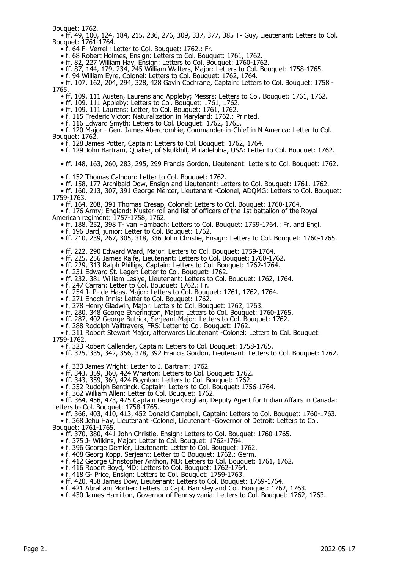Bouquet: 1762.

 • ff. 49, 100, 124, 184, 215, 236, 276, 309, 337, 377, 385 T- Guy, Lieutenant: Letters to Col. Bouquet: 1761-1764.

• f. 64 F- Verrell: Letter to Col. Bouquet: 1762.: Fr.

• f. 68 Robert Holmes, Ensign: Letters to Col. Bouquet: 1761, 1762.

• ff. 82, 227 William Hay, Ensign: Letters to Col. Bouquet: 1760-1762.

• ff. 87, 144, 179, 234, 245 William Walters, Major: Letters to Col. Bouquet: 1758-1765.

• f. 94 William Eyre, Colonel: Letters to Col. Bouquet: 1762, 1764.

 • ff. 107, 162, 204, 294, 328, 428 Gavin Cochrane, Captain: Letters to Col. Bouquet: 1758 - 1765.

• ff. 109, 111 Austen, Laurens and Appleby; Messrs: Letters to Col. Bouquet: 1761, 1762.

• ff. 109, 111 Appleby: Letters to Col. Bouquet: 1761, 1762.

• ff. 109, 111 Laurens: Letter, to Col. Bouquet: 1761, 1762.

• f. 115 Frederic Victor: Naturalization in Maryland: 1762.: Printed.

• f. 116 Edward Smyth: Letters to Col. Bouquet: 1762, 1765.

 • f. 120 Major - Gen. James Abercrombie, Commander-in-Chief in N America: Letter to Col. Bouquet: 1762.

• f. 128 James Potter, Captain: Letters to Col. Bouquet: 1762, 1764.

• f. 129 John Bartram, Quaker, of Skulkhill, Philadelphia, USA: Letter to Col. Bouquet: 1762.

• ff. 148, 163, 260, 283, 295, 299 Francis Gordon, Lieutenant: Letters to Col. Bouquet: 1762.

• f. 152 Thomas Calhoon: Letter to Col. Bouquet: 1762.

• ff. 158, 177 Archibald Dow, Ensign and Lieutenant: Letters to Col. Bouquet: 1761, 1762.

 • ff. 160, 213, 307, 391 George Mercer, Lieutenant -Colonel, ADQMG: Letters to Col. Bouquet: 1759-1763.

• ff. 164, 208, 391 Thomas Cresap, Colonel: Letters to Col. Bouquet: 1760-1764.

 • f. 176 Army; England: Muster-roll and list of officers of the 1st battalion of the Royal American regiment: 1757-1758, 1762.

• ff. 188, 252, 398 T- van Hambach: Letters to Col. Bouquet: 1759-1764.: Fr. and Engl.

• f. 196 Bard, junior: Letter to Col. Bouquet: 1762.

• ff. 210, 239, 267, 305, 318, 336 John Christie, Ensign: Letters to Col. Bouquet: 1760-1765.

• ff. 222, 290 Edward Ward, Major: Letters to Col. Bouquet: 1759-1764.

• ff. 225, 256 James Ralfe, Lieutenant: Letters to Col. Bouquet: 1760-1762.

• ff. 229, 313 Ralph Phillips, Captain: Letters to Col. Bouquet: 1762-1764.

• f. 231 Edward St. Leger: Letter to Col. Bouquet: 1762.

- ff. 232, 381 William Leslye, Lieutenant: Letters to Col. Bouquet: 1762, 1764.
- f. 247 Carran: Letter to Col. Bouquet: 1762.: Fr.
- f. 254 J- P- de Haas, Major: Letters to Col. Bouquet: 1761, 1762, 1764.

• f. 271 Enoch Innis: Letter to Col. Bouquet: 1762.

• f. 278 Henry Gladwin, Major: Letters to Col. Bouquet: 1762, 1763.

• ff. 280, 348 George Etherington, Major: Letters to Col. Bouquet: 1760-1765.

• ff. 287, 402 George Butrick, Serjeant-Major: Letters to Col. Bouquet: 1762.

• f. 288 Rodolph Valltravers, FRS: Letter to Col. Bouquet: 1762.

 • f. 311 Robert Stewart Major, afterwards Lieutenant -Colonel: Letters to Col. Bouquet: 1759-1762.

• f. 323 Robert Callender, Captain: Letters to Col. Bouquet: 1758-1765.

• ff. 325, 335, 342, 356, 378, 392 Francis Gordon, Lieutenant: Letters to Col. Bouquet: 1762.

• f. 333 James Wright: Letter to J. Bartram: 1762.

• ff. 343, 359, 360, 424 Wharton: Letters to Col. Bouquet: 1762.

• ff. 343, 359, 360, 424 Boynton: Letters to Col. Bouquet: 1762.

• f. 352 Rudolph Bentinck, Captain: Letters to Col. Bouquet: 1756-1764.

• f. 362 William Allen: Letter to Col. Bouquet: 1762.

 • ff. 364, 456, 473, 475 Captain George Croghan, Deputy Agent for Indian Affairs in Canada: Letters to Col. Bouquet: 1758-1765.

• ff. 366, 403, 410, 413, 452 Donald Campbell, Captain: Letters to Col. Bouquet: 1760-1763.

 • f. 368 Jehu Hay, Lieutenant -Colonel, Lieutenant -Governor of Detroit: Letters to Col. Bouquet: 1761-1765.

• ff. 370, 380, 441 John Christie, Ensign: Letters to Col. Bouquet: 1760-1765.

• f. 375 J- Wilkins, Major: Letter to Col. Bouquet: 1762-1764.

• f. 396 George Demler, Lieutenant: Letter to Col. Bouquet: 1762.

• f. 408 Georg Kopp, Serjeant: Letter to C Bouquet: 1762.: Germ.

• f. 412 George Christopher Anthon, MD: Letters to Col. Bouquet: 1761, 1762.

• f. 416 Robert Boyd, MD: Letters to Col. Bouquet: 1762-1764.

• f. 418 G- Price, Ensign: Letters to Col. Bouquet: 1759-1763.

• ff. 420, 458 James Dow, Lieutenant: Letters to Col. Bouquet: 1759-1764.

• f. 421 Abraham Mortier: Letters to Capt. Barnsley and Col. Bouquet: 1762, 1763.

• f. 430 James Hamilton, Governor of Pennsylvania: Letters to Col. Bouquet: 1762, 1763.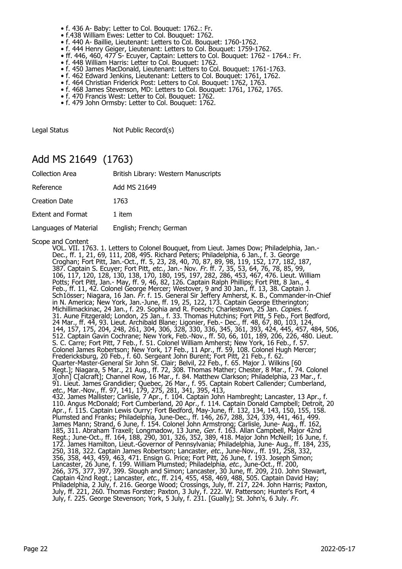- f. 436 A- Baby: Letter to Col. Bouquet: 1762.: Fr.
- f.438 William Ewes: Letter to Col. Bouquet: 1762.
- f. 440 A- Baillie, Lieutenant: Letters to Col. Bouquet: 1760-1762.
- f. 444 Henry Geiger, Lieutenant: Letters to Col. Bouquet: 1759-1762.
- ff. 446, 460, 477 S- Ecuyer, Captain: Letters to Col. Bouquet: 1762 1764.: Fr.
- f. 448 William Harris: Letter to Col. Bouquet: 1762.
	- f. 450 James MacDonald, Lieutenant: Letters to Col. Bouquet: 1761-1763.
- f. 462 Edward Jenkins, Lieutenant: Letters to Col. Bouquet: 1761, 1762.
- f. 464 Christian Friderick Post: Letters to Col. Bouquet: 1762, 1763.
- f. 468 James Stevenson, MD: Letters to Col. Bouquet: 1761, 1762, 1765.
	- f. 470 Francis West: Letter to Col. Bouquet: 1762.
	- f. 479 John Ormsby: Letter to Col. Bouquet: 1762.

Legal Status Not Public Record(s)

#### Add MS 21649 (1763)

| <b>Collection Area</b>   | British Library: Western Manuscripts |
|--------------------------|--------------------------------------|
| Reference                | Add MS 21649                         |
| <b>Creation Date</b>     | 1763                                 |
| <b>Extent and Format</b> | 1 item                               |
| Languages of Material    | English; French; German              |

Scope and Content<br>VOL. VII. 1763. 1. Letters to Colonel Bouquet, from Lieut. James Dow; Philadelphia, Jan.-VOL. VII. 1763. 1. Letters to Colonel Bouquet, from Lieut. James Dow; Philadelphia, Jan.- Dec., ff. 1, 21, 69, 111, 208, 495. Richard Peters; Philadelphia, 6 Jan., f. 3. George Croghan; Fort Pitt, Jan.-Oct., ff. 5, 23, 28, 40, 70, 87, 89, 98, 119, 152, 177, 182, 187, 387. Captain S. Ecuyer; Fort Pitt, etc., Jan.- Nov. Fr. ff. 7, 35, 53, 64, 76, 78, 85, 99, 106, 117, 120, 128, 130, 138, 170, 180, 195, 197, 282, 286, 453, 467, 476. Lieut. William Potts; Fort Pitt, Jan.- May, ff. 9, 46, 82, 126. Captain Ralph Phillips; Fort Pitt, 8 Jan., 4 Feb., ff. 11, 42. Colonel George Mercer; Westover, 9 and 30 Jan., ff. 13, 38. Captain J. Sch1össer; Niagara, 16 Jan. Fr. f. 15. General Sir Jeffery Amherst, K. B., Commander-in-Chief in N. America; New York, Jan.-June, ff. 19, 25, 122, 173. Captain George Etherington; Michillimackinac, 24 Jan., f. 29. Sophia and R. Foesch; Charlestown, 25 Jan. *Copies.* f. 31. Aune Fitzgerald; London, 25 Jan., f. 33. Thomas Hutchins; Fort Pitt, 5 Feb., Fort Bedford, 24 Mar., ff. 44, 93. Lieut. Archibald Blane; Ligonier, Feb.- Dec., ff. 48, 67, 80, 103, 124, 144, 157, 175, 204, 248, 261, 304, 306, 328, 330, 336, 345, 361, 393, 424, 445, 457, 484, 506, 512. Captain Gavin Cochrane; New York, Feb.-Nov., ff. 50, 66, 101, 189, 206, 226, 480. Lieut. S. C. Carre; Fort Pitt, 7 Feb., f. 51. Colonel William Amherst; New York, 16 Feb., f. 57. Colonel James Robertson; New York, 17 Feb., 11 Apr., ff. 59, 108. Colonel Hugh Mercer; Fredericksburg, 20 Feb., f. 60. Sergeant John Burent; Fort Pitt, 21 Feb., f. 62. Quarter-Master-General Sir John St. Clair; Belvil, 22 Feb., f. 65. Major J. Wilkins [60 Regt.]; Niagara, 5 Mar., 21 Aug., ff. 72, 308. Thomas Mather; Chester, 8 Mar., f. 74. Colonel J[ohn] C[alcraft]; Channel Row, 16 Mar., f. 84. Matthew Clarkson; Philadelphia, 23 Mar., f. 91. Lieut. James Grandidier; Quebec, 26 Mar., f. 95. Captain Robert Callender; Cumberland, etc., Mar.-Nov., ff. 97, 141, 179, 275, 281, 341, 395, 413, 432. James Mallister; Carlisle, 7 Apr., f. 104. Captain John Hambreght; Lancaster, 13 Apr., f. 110. Angus McDonald; Fort Cumberland, 20 Apr., f. 114. Captain Donald Campbell; Detroit, 20 Apr., f. 115. Captain Lewis Ourry; Fort Bedford, May-June, ff. 132, 134, 143, 150, 155, 158. Plumsted and Franks; Philadelphia, June-Dec., ff. 146, 267, 288, 324, 339, 441, 461, 499. James Mann; Strand, 6 June, f. 154. Colonel John Armstrong; Carlisle, June- Aug., ff. 162, 185, 311. Abraham Traxell; Longmadow, 13 June, Ger. f. 163. Allan Campbell, Major 42nd Regt.; June-Oct., ff. 164, 188, 290, 301, 326, 352, 389, 418. Major John McNeill; 16 June, f. 172. James Hamilton, Lieut.-Governor of Pennsylvania; Philadelphia, June- Aug., ff. 184, 235, 250, 318, 322. Captain James Robertson; Lancaster, *etc.*, June-Nov., ff. 191, 258, 332, 356, 358, 443, 459, 463, 471. Ensign G. Price; Fort Pitt, 26 June, f. 193. Joseph Simon; Lancaster, 26 June, f. 199. William Plumsted; Philadelphia, *etc.*, June-Oct., ff. 200, 266, 375, 377, 397, 399. Slough and Simon; Lancaster, 30 June, ff. 209, 210. John Stewart, Captain 42nd Regt.; Lancaster, *etc.*, ff. 214, 455, 458, 469, 488, 505. Captain David Hay; Philadelphia, 2 July, f. 216. George Wood; Crossings, July, ff. 217, 224. John Harris; Paxton, July, ff. 221, 260. Thomas Forster; Paxton, 3 July, f. 222. W. Patterson; Hunter's Fort, 4 July, f. 225. George Stevenson; York, 5 July, f. 231. [Gually]; St. John's, 6 July. Fr.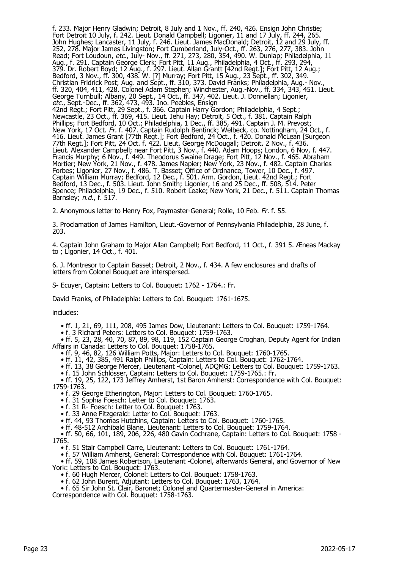f. 233. Major Henry Gladwin; Detroit, 8 July and 1 Nov., ff. 240, 426. Ensign John Christie; Fort Detroit 10 July, f. 242. Lieut. Donald Campbell; Ligonier, 11 and 17 July, ff. 244, 265. John Hughes; Lancaster, 11 July, f. 246. Lieut. James MacDonald; Detroit, 12 and 29 July, ff. 252, 278. Major James Livingston; Fort Cumberland, July-Oct., ff. 263, 276, 277, 383. John Read; Fort Loudoun, etc., July- Nov., ff. 271, 273, 280, 354, 490. W. Dunlap; Philadelphia, 11 Aug., f. 291. Captain George Clerk; Fort Pitt, 11 Aug., Philadelphia, 4 Oct., ff. 293, 294, 379. Dr. Robert Boyd; 12 Aug., f. 297. Lieut. Allan Grantt [42nd Regt.]; Fort Pitt, 12 Aug.; Bedford, 3 Nov., ff. 300, 438. W. [?] Murray; Fort Pitt, 15 Aug., 23 Sept., ff. 302, 349. Christian Fridrick Post; Aug. and Sept., ff. 310, 373. David Franks; Philadelphia, Aug.- Nov., ff. 320, 404, 411, 428. Colonel Adam Stephen; Winchester, Aug.-Nov., ff. 334, 343, 451. Lieut. George Turnbull; Albany, 20 Sept., 14 Oct., ff. 347, 402. Lieut. J. Donnellan; Ligonier, etc., Sept.-Dec., ff. 362, 473, 493. Jno. Peebles, Ensign 42nd Regt.; Fort Pitt, 29 Sept., f. 366. Captain Harry Gordon; Philadelphia, 4 Sept.; Newcastle, 23 Oct., ff. 369, 415. Lieut. Jehu Hay; Detroit, 5 Oct., f. 381. Captain Ralph Phillips; Fort Bedford, 10 Oct.; Philadelphia, 1 Dec., ff. 385, 491. Captain J. M. Prevost; New York, 17 Oct. Fr. f. 407. Captain Rudolph Bentinck; Welbeck, co. Nottingham, 24 Oct., f. 416. Lieut. James Grant [77th Regt.]; Fort Bedford, 24 Oct., f. 420. Donald McLean [Surgeon 77th Regt.]; Fort Pitt, 24 Oct. f. 422. Lieut. George McDougall; Detroit. 2 Nov., f. 436. Lieut. Alexander Campbell; near Fort Pitt, 3 Nov., f. 440. Adam Hoops; London, 6 Nov, f. 447. Francis Murphy; 6 Nov., f. 449. Theodorus Swaine Drage; Fort Pitt, 12 Nov., f. 465. Abraham Mortier; New York, 21 Nov., f. 478. James Napier; New York, 23 Nov., f. 482. Captain Charles Forbes; Ligonier, 27 Nov., f. 486. T. Basset; Office of Ordnance, Tower, 10 Dec., f. 497. Captain William Murray; Bedford, 12 Dec., f. 501. Arm. Gordon, Lieut. 42nd Regt.; Fort Bedford, 13 Dec., f. 503. Lieut. John Smith; Ligonier, 16 and 25 Dec., ff. 508, 514. Peter Spence; Philadelphia, 19 Dec., f. 510. Robert Leake; New York, 21 Dec., f. 511. Captain Thomas Barnsley; n.d., f. 517.

2. Anonymous letter to Henry Fox, Paymaster-General; Rolle, 10 Feb. Fr. f. 55.

3. Proclamation of James Hamilton, Lieut.-Governor of Pennsylvania Philadelphia, 28 June, f. 203.

4. Captain John Graham to Major Allan Campbell; Fort Bedford, 11 Oct., f. 391 5. Æneas Mackay to ; Ligonier, 14 Oct., f. 401.

6. J. Montresor to Captain Basset; Detroit, 2 Nov., f. 434. A few enclosures and drafts of letters from Colonel Bouquet are interspersed.

S- Ecuyer, Captain: Letters to Col. Bouquet: 1762 - 1764.: Fr.

David Franks, of Philadelphia: Letters to Col. Bouquet: 1761-1675.

includes:

• ff. 1, 21, 69, 111, 208, 495 James Dow, Lieutenant: Letters to Col. Bouquet: 1759-1764.

• f. 3 Richard Peters: Letters to Col. Bouquet: 1759-1763.

 • ff. 5, 23, 28, 40, 70, 87, 89, 98, 119, 152 Captain George Croghan, Deputy Agent for Indian Affairs in Canada: Letters to Col. Bouquet: 1758-1765.

• ff. 9, 46, 82, 126 William Potts, Major: Letters to Col. Bouquet: 1760-1765.

• ff. 11, 42, 385, 491 Ralph Phillips, Captain: Letters to Col. Bouquet: 1762-1764.

• ff. 13, 38 George Mercer, Lieutenant -Colonel, ADQMG: Letters to Col. Bouquet: 1759-1763.

• f. 15 John Schlösser, Captain: Letters to Col. Bouquet: 1759-1765.: Fr.

 • ff. 19, 25, 122, 173 Jeffrey Amherst, 1st Baron Amherst: Correspondence with Col. Bouquet: 1759-1763.

• f. 29 George Etherington, Major: Letters to Col. Bouquet: 1760-1765.

• f. 31 Sophia Foesch: Letter to Col. Bouquet: 1763.

• f. 31 R- Foesch: Letter to Col. Bouquet: 1763.

• f. 33 Anne Fitzgerald: Letter to Col. Bouquet: 1763.

• ff. 44, 93 Thomas Hutchins, Captain: Letters to Col. Bouquet: 1760-1765.

• ff. 48-512 Archibald Blane, Lieutenant: Letters to Col. Bouquet: 1759-1764.

 • ff. 50, 66, 101, 189, 206, 226, 480 Gavin Cochrane, Captain: Letters to Col. Bouquet: 1758 - 1765.

• f. 51 Stair Campbell Carre, Lieutenant: Letters to Col. Bouquet: 1761-1764.

• f. 57 William Amherst, General: Correspondence with Col. Bouquet: 1761-1764.

 • ff. 59, 108 James Robertson, Lieutenant -Colonel, afterwards General, and Governor of New York: Letters to Col. Bouquet: 1763.

- f. 60 Hugh Mercer, Colonel: Letters to Col. Bouquet: 1758-1763.
- f. 62 John Burent, Adjutant: Letters to Col. Bouquet: 1763, 1764.

• f. 65 Sir John St. Clair, Baronet; Colonel and Quartermaster-General in America:

Correspondence with Col. Bouquet: 1758-1763.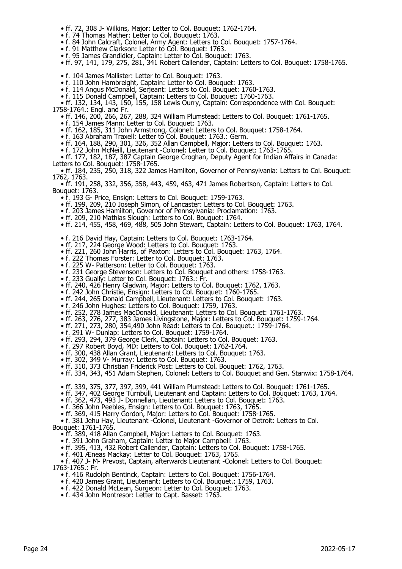- ff. 72, 308 J- Wilkins, Major: Letter to Col. Bouquet: 1762-1764.
- f. 74 Thomas Mather: Letter to Col. Bouquet: 1763.
- f. 84 John Calcraft, Colonel, Army Agent: Letters to Col. Bouquet: 1757-1764.
- f. 91 Matthew Clarkson: Letter to Col. Bouquet: 1763.
	- f. 95 James Grandidier, Captain: Letter to Col. Bouquet: 1763.
	- ff. 97, 141, 179, 275, 281, 341 Robert Callender, Captain: Letters to Col. Bouquet: 1758-1765.
- f. 104 James Mallister: Letter to Col. Bouquet: 1763.
- f. 110 John Hambreight, Captain: Letter to Col. Bouquet: 1763.
- f. 114 Angus McDonald, Serjeant: Letters to Col. Bouquet: 1760-1763.
- f. 115 Donald Campbell, Captain: Letters to Col. Bouquet: 1760-1763.

 • ff. 132, 134, 143, 150, 155, 158 Lewis Ourry, Captain: Correspondence with Col. Bouquet: 1758-1764.: Engl. and Fr.

- ff. 146, 200, 266, 267, 288, 324 William Plumstead: Letters to Col. Bouquet: 1761-1765.
- f. 154 James Mann: Letter to Col. Bouquet: 1763.
- ff. 162, 185, 311 John Armstrong, Colonel: Letters to Col. Bouquet: 1758-1764.
- f. 163 Abraham Traxell: Letter to Col. Bouquet: 1763.: Germ.
- ff. 164, 188, 290, 301, 326, 352 Allan Campbell, Major: Letters to Col. Bouquet: 1763.
- f. 172 John McNeill, Lieutenant -Colonel: Letter to Col. Bouquet: 1763-1765.

 • ff. 177, 182, 187, 387 Captain George Croghan, Deputy Agent for Indian Affairs in Canada: Letters to Col. Bouquet: 1758-1765.

 • ff. 184, 235, 250, 318, 322 James Hamilton, Governor of Pennsylvania: Letters to Col. Bouquet: 1762, 1763.

 • ff. 191, 258, 332, 356, 358, 443, 459, 463, 471 James Robertson, Captain: Letters to Col. Bouquet: 1763.

- f. 193 G- Price, Ensign: Letters to Col. Bouquet: 1759-1763.
- ff. 199, 209, 210 Joseph Simon, of Lancaster: Letters to Col. Bouquet: 1763.
	- f. 203 James Hamilton, Governor of Pennsylvania: Proclamation: 1763.
	- ff. 209, 210 Mathias Slough: Letters to Col. Bouquet: 1764.
	- ff. 214, 455, 458, 469, 488, 505 John Stewart, Captain: Letters to Col. Bouquet: 1763, 1764.
	- f. 216 David Hay, Captain: Letters to Col. Bouquet: 1763-1764.
- ff. 217, 224 George Wood: Letters to Col. Bouquet: 1763.
- ff. 221, 260 John Harris, of Paxton: Letters to Col. Bouquet: 1763, 1764.
- f. 222 Thomas Forster: Letter to Col. Bouquet: 1763.
- f. 225 W- Patterson: Letter to Col. Bouquet: 1763.
- f. 231 George Stevenson: Letters to Col. Bouquet and others: 1758-1763.
	- f. 233 Gually: Letter to Col. Bouquet: 1763.: Fr.
	- ff. 240, 426 Henry Gladwin, Major: Letters to Col. Bouquet: 1762, 1763.
- f. 242 John Christie, Ensign: Letters to Col. Bouquet: 1760-1765.
- ff. 244, 265 Donald Campbell, Lieutenant: Letters to Col. Bouquet: 1763.
- f. 246 John Hughes: Letters to Col. Bouquet: 1759, 1763.
	- ff. 252, 278 James MacDonald, Lieutenant: Letters to Col. Bouquet: 1761-1763.
- ff. 263, 276, 277, 383 James Livingstone, Major: Letters to Col. Bouquet: 1759-1764.
- ff. 271, 273, 280, 354,490 John Read: Letters to Col. Bouquet.: 1759-1764.
- f. 291 W- Dunlap: Letters to Col. Bouquet: 1759-1764.
- ff. 293, 294, 379 George Clerk, Captain: Letters to Col. Bouquet: 1763.
	- f. 297 Robert Boyd, MD: Letters to Col. Bouquet: 1762-1764.
- ff. 300, 438 Allan Grant, Lieutenant: Letters to Col. Bouquet: 1763.
- ff. 302, 349 V- Murray: Letters to Col. Bouquet: 1763.
- ff. 310, 373 Christian Friderick Post: Letters to Col. Bouquet: 1762, 1763.
	- ff. 334, 343, 451 Adam Stephen, Colonel: Letters to Col. Bouquet and Gen. Stanwix: 1758-1764.
- ff. 339, 375, 377, 397, 399, 441 William Plumstead: Letters to Col. Bouquet: 1761-1765.
- ff. 347, 402 George Turnbull, Lieutenant and Captain: Letters to Col. Bouquet: 1763, 1764.
- ff. 362, 473, 493 J- Donnellan, Lieutenant: Letters to Col. Bouquet: 1763.
- f. 366 John Peebles, Ensign: Letters to Col. Bouquet: 1763, 1765.
- ff. 369, 415 Harry Gordon, Major: Letters to Col. Bouquet: 1758-1765.

 • f. 381 Jehu Hay, Lieutenant -Colonel, Lieutenant -Governor of Detroit: Letters to Col. Bouquet: 1761-1765.

- ff. 389, 418 Allan Campbell, Major: Letters to Col. Bouquet: 1763.
- f. 391 John Graham, Captain: Letter to Major Campbell: 1763.
- ff. 395, 413, 432 Robert Callender, Captain: Letters to Col. Bouquet: 1758-1765.
- f. 401 Æneas Mackay: Letter to Col. Bouquet: 1763, 1765.

 • f. 407 J- M- Prevost, Captain, afterwards Lieutenant -Colonel: Letters to Col. Bouquet: 1763-1765.: Fr.

- f. 416 Rudolph Bentinck, Captain: Letters to Col. Bouquet: 1756-1764.
- f. 420 James Grant, Lieutenant: Letters to Col. Bouquet.: 1759, 1763.
- f. 422 Donald McLean, Surgeon: Letter to Col. Bouquet: 1763.
	- f. 434 John Montresor: Letter to Capt. Basset: 1763.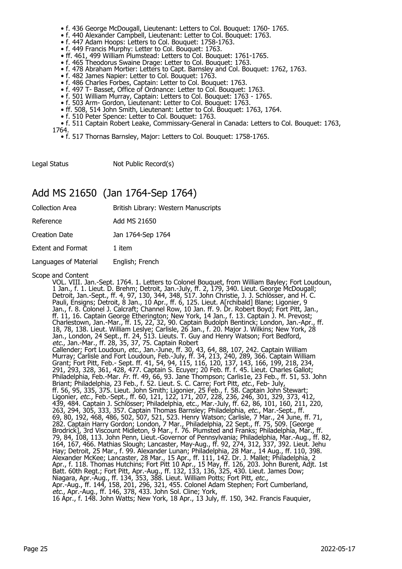- f. 436 George McDougall, Lieutenant: Letters to Col. Bouquet: 1760- 1765.
- f. 440 Alexander Campbell, Lieutenant: Letter to Col. Bouquet: 1763.
- f. 447 Adam Hoops: Letters to Col. Bouquet: 1758-1763.
- f. 449 Francis Murphy: Letter to Col. Bouquet: 1763.
	- ff. 461, 499 William Plumstead: Letters to Col. Bouquet: 1761-1765.
	- f. 465 Theodorus Swaine Drage: Letter to Col. Bouquet: 1763.
	- f. 478 Abraham Mortier: Letters to Capt. Barnsley and Col. Bouquet: 1762, 1763.
- f. 482 James Napier: Letter to Col. Bouquet: 1763.
- f. 486 Charles Forbes, Captain: Letter to Col. Bouquet: 1763.
- f. 497 T- Basset, Office of Ordnance: Letter to Col. Bouquet: 1763.
- f. 501 William Murray, Captain: Letters to Col. Bouquet: 1763 1765.
- f. 503 Arm- Gordon, Lieutenant: Letter to Col. Bouquet: 1763.
- ff. 508, 514 John Smith, Lieutenant: Letter to Col. Bouquet: 1763, 1764.
	- f. 510 Peter Spence: Letter to Col. Bouquet: 1763.

 • f. 511 Captain Robert Leake, Commissary-General in Canada: Letters to Col. Bouquet: 1763, 1764.

• f. 517 Thornas Barnsley, Major: Letters to Col. Bouquet: 1758-1765.

Legal Status Not Public Record(s)

## Add MS 21650 (Jan 1764-Sep 1764)

| <b>Collection Area</b>   | British Library: Western Manuscripts |
|--------------------------|--------------------------------------|
| Reference                | Add MS 21650                         |
| <b>Creation Date</b>     | Jan 1764-Sep 1764                    |
| <b>Extent and Format</b> | 1 item                               |
| Languages of Material    | English; French                      |
|                          |                                      |

#### Scope and Content

VOL. VIII. Jan.-Sept. 1764. 1. Letters to Colonel Bouquet, from William Bayley; Fort Loudoun, 1 Jan., f. 1. Lieut. D. Brehm; Detroit, Jan.-July, ff. 2, 179, 340. Lieut. George McDougall; Detroit, Jan.-Sept., ff. 4, 97, 130, 344, 348, 517. John Christie, J. J. Schlösser, and H. C. Pauli, Ensigns; Detroit, 8 Jan., 10 Apr., ff. 6, 125. Lieut. A[rchibald] Blane; Ligonier, 9 Jan., f. 8. Colonel J. Calcraft; Channel Row, 10 Jan. ff. 9. Dr. Robert Boyd; Fort Pitt, Jan., ff. 11, 16. Captain George Etherington; New York, 14 Jan., f. 13. Captain J. M. Prevost; Charlestown, Jan.-Mar., ff. 15, 22, 32, 90. Captain Budolph Bentinck; London, Jan.-Apr., ff. 18, 78, 138. Lieut. William Leslye; Carlisle, 26 Jan., f. 20. Major J. Wilkins; New York, 28 Jan., London, 24 Sept., ff. 24, 513. Lieuts. T. Guy and Henry Watson; Fort Bedford, etc., Jan.-Mar., ff. 28, 35, 37, 75. Captain Robert Callender; Fort Loudoun, etc., Jan.-June, ff. 30, 43, 64, 88, 107, 242. Captain William Murray; Carlisle and Fort Loudoun, Feb.-July, ff. 34, 213, 240, 289, 366. Captain William Grant; Fort Pitt, Feb.- Sept. ff. 41, 54, 94, 115, 116, 120, 137, 143, 166, 199, 218, 234, 291, 293, 328, 361, 428, 477. Captain S. Ecuyer; 20 Feb. ff. f. 45. Lieut. Charles Gallot; Philadelphia, Feb.-Mar. Fr. ff. 49, 66, 93. Jane Thompson; Carlis1e, 23 Feb., ff. 51, 53. John Briant; Philadelphia, 23 Feb., f. 52. Lieut. S. C. Carre; Fort Pitt, etc., Feb- July, ff. 56, 95, 335, 375. Lieut. John Smith; Ligonier, 25 Feb., f. 58. Captain John Stewart; Ligonier, etc., Feb.-Sept., ff. 60, 121, 122, 171, 207, 228, 236, 246, 301, 329, 373, 412, 439, 484. Captain J. Schlösser; Philadelphia, etc., Mar.-July, ff. 62, 86, 101, 160, 211, 220, 263, 294, 305, 333, 357. Captain Thomas Barnsley; Philadelphia, etc., Mar.-Sept., ff. 69, 80, 192, 468, 486, 502, 507, 521, 523. Henry Watson; Carlisle, 7 Mar., 24 June, ff. 71, 282. Captain Harry Gordon; London, 7 Mar., Philadelphia, 22 Sept., ff. 75, 509. [George Brodrick], 3rd Viscount Midleton, 9 Mar., f. 76. Plumsted and Franks; Philadelphia, Mar., ff. 79, 84, 108, 113. John Penn, Lieut.-Governor of Pennsylvania; Philadelphia, Mar.-Aug., ff. 82, 164, 167, 466. Mathias Slough; Lancaster, May-Aug., ff. 92, 274, 312, 337, 392. Lieut. Jehu Hay; Detroit, 25 Mar., f. 99. Alexander Lunan; Philadelphia, 28 Mar., 14 Aug., ff. 110, 398. Alexander McKee; Lancaster, 28 Mar., 15 Apr., ff. 111, 142. Dr. J. Mallet; Philadelphia, 2 Apr., f. 118. Thomas Hutchins; Fort Pitt 10 Apr., 15 May, ff. 126, 203. John Burent, Adjt. 1st Batt. 60th Regt.; Fort Pitt, Apr.-Aug., ff. 132, 133, 136, 325, 430. Lieut. James Dow; Niagara, Apr.-Aug., ff. 134, 353, 388. Lieut. William Potts; Fort Pitt, etc., Apr.-Aug., ff. 144, 158, 201, 296, 321, 455. Colonel Adam Stephen; Fort Cumberland, etc., Apr.-Aug., ff. 146, 378, 433. John Sol. Cline; York, 16 Apr., f. 148. John Watts; New York, 18 Apr., 13 July, ff. 150, 342. Francis Fauquier,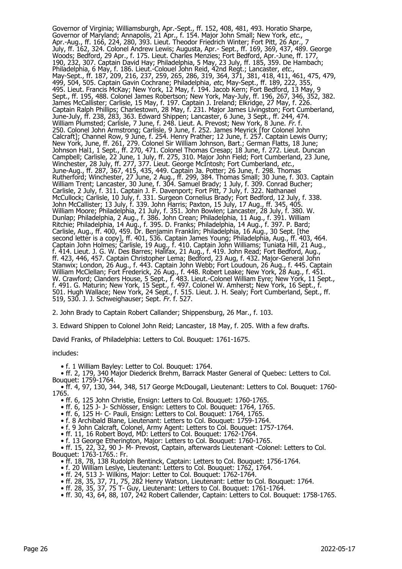Governor of Virginia; Williamsburgh, Apr.-Sept., ff. 152, 408, 481, 493. Horatio Sharpe, Governor of Maryland; Annapolis, 21 Apr., f. 154. Major John Small; New York, etc., Apr.-Aug., ff. 166, 224, 280, 393. Lieut. Theodor Friedrich Winter; Fort Pitt, 26 Apr., 7 July, ff. 162, 324. Colonel Andrew Lewis; Augusta, Apr.- Sept., ff. 169, 369, 437, 489. George Woods; Bedford, 29 Apr., f. 175. Lieut. Charles Menzies; Fort Bedford, Apr.-June, ff. 177, 190, 232, 307. Captain David Hay; Philadelphia, 5 May, 23 July, ff. 185, 359. De Hambach; Philadelphia, 6 May, f. 186. Lieut.-Colouel John Reid, 42nd Regt.; Lancaster, etc., May-Sept., ff. 187, 209, 216, 237, 259, 265, 286, 319, 364, 371, 381, 418, 411, 461, 475, 479, 499, 504, 505. Captain Gavin Cochrane; Philadelphia, *etc*, May-Sept., ff. 189, 222, 355, 495. Lieut. Francis McKay; New York, 12 May, f. 194. Jacob Kern; Fort Bedford, 13 May, 9 Sept., ff. 195, 488. Colonel James Robertson; New York, May-July, ff. 196, 267, 346, 352, 382. James McCallister; Carlisle, 15 May, f. 197. Captain J. Ireland; Elkridge, 27 May, f. 226. Captain Ralph Phillips; Charlestown, 28 May, f. 231. Major James Livingston; Fort Cumberland, June-July, ff. 238, 283, 363. Edward Shippen; Lancaster, 6 June, 3 Sept., ff. 244, 474. William Plumsted; Carlisle, 7 June, f. 248. Lieut. A. Prevost; New York, 8 June. *Fr.* f. 250. Colonel John Armstrong; Carlisle, 9 June, f. 252. James Meyrick [for Colonel John Calcraft]; Channel Row, 9 June, f. 254. Henry Prather; 12 June, f. 257. Captain Lewis Ourry; New York, June, ff. 261, 279. Colonel Sir William Johnson, Bart.; German Flatts, 18 June; Johnson Hal1, 1 Sept., ff. 270, 471. Colonel Thomas Cresap; 18 June, f. 272. Lieut. Duncan Campbell; Carlisle, 22 June, 1 July, ff. 275, 310. Major John Field; Fort Cumberland, 23 June, Winchester, 28 July, ff. 277, 377. Lieut. George McIntosh; Fort Cumberland, *etc.*, June-Aug., ff. 287, 367, 415, 435, 449. Captain Ja. Potter; 26 June, f. 298. Thomas Rutherford; Winchester, 27 June, 2 Aug., ff. 299, 384. Thomas Small; 30 June, f. 303. Captain William Trent; Lancaster, 30 June, f. 304. Samuel Brady; 1 July, f. 309. Conrad Bucher; Carlisle, 2 July, f. 311. Captain J. F. Davenport; Fort Pitt, 7 July, f. 322. Nathanael McCullock; Carlisle, 10 July, f. 331. Surgeon Cornelius Brady; Fort Bedford, 12 July, f. 338. John McCallister; 13 July, f. 339. John Harris; Paxton, 15 July, 17 Aug., ff. 345, 405. William Moore; Philadelphia, 21 July, f. 351. John Bowlen; Lancaster, 28 July, f. 380. W. Dunlap; Philadelphia, 2 Aug., f. 386. John Crean; Philadelphia, 11 Aug., f. 391. William Ritchie; Philadelphia, 14 Aug., f. 395. D. Franks; Philadelphia, 14 Aug., f. 397. P. Bard; Carlisle, Aug., ff. 400, 459. Dr. Benjamin Franklin; Philadelphia, 16 Aug., 30 Sept. [the second letter is a copy], ff. 401, 536. Captain James Young; Philadelphia, Aug., ff. 403, 464. Captain John Holmes; Carlisle, 19 Aug., f. 410. Captain John Williams; Tuniata Hill, 21 Aug., f. 414. Lieut. J. G. W. Des Barres; Halifax, 21 Aug., f. 419. John Read; Fort Bedford, Aug., ff. 423, 446, 457. Captain Christopher Lema; Bedford, 23 Aug, f. 432. Major-General John Stanwix; London, 26 Aug., f. 443. Captain John Webb; Fort Loudoun, 26 Aug., f. 445. Captain William McClellan; Fort Frederick, 26 Aug., f. 448. Robert Leake; New York, 28 Aug., f. 451. W. Crawford; Clanders House, 5 Sept., f. 483. Lieut.-Colonel William Eyre; New York, 11 Sept., f. 491. G. Maturin; New York, 15 Sept., f. 497. Colonel W. Amherst; New York, 16 Sept., f. 501. Hugh Wallace; New York, 24 Sept., f. 515. Lieut. J. H. Sealy; Fort Cumberland, Sept., ff. 519, 530. J. J. Schweighauser; Sept. Fr. f. 527.

2. John Brady to Captain Robert Callander; Shippensburg, 26 Mar., f. 103.

3. Edward Shippen to Colonel John Reid; Lancaster, 18 May, f. 205. With a few drafts.

David Franks, of Philadelphia: Letters to Col. Bouquet: 1761-1675.

includes:

• f. 1 William Bayley: Letter to Col. Bouquet: 1764.

 • ff. 2, 179, 340 Major Diederick Brehm, Barrack Master General of Quebec: Letters to Col. Bouquet: 1759-1764.

 • ff. 4, 97, 130, 344, 348, 517 George McDougall, Lieutenant: Letters to Col. Bouquet: 1760- 1765.

• ff. 6, 125 John Christie, Ensign: Letters to Col. Bouquet: 1760-1765.

• ff. 6, 125 J- J- Schlösser, Ensign: Letters to Col. Bouquet: 1764, 1765.

• ff. 6, 125 H- C- Pauli, Ensign: Letters to Col. Bouquet: 1764, 1765.

• f. 8 Archibald Blane, Lieutenant: Letters to Col. Bouquet: 1759-1764.

• f. 9 John Calcraft, Colonel, Army Agent: Letters to Col. Bouquet: 1757-1764.

• ff. 11, 16 Robert Boyd, MD: Letters to Col. Bouquet: 1762-1764.

• f. 13 George Etherington, Major: Letters to Col. Bouquet: 1760-1765.

 • ff. 15, 22, 32, 90 J- M- Prevost, Captain, afterwards Lieutenant -Colonel: Letters to Col. Bouquet: 1763-1765.: Fr.

• ff. 18, 78, 138 Rudolph Bentinck, Captain: Letters to Col. Bouquet: 1756-1764.

• f. 20 William Leslye, Lieutenant: Letters to Col. Bouquet: 1762, 1764.

• ff. 24, 513 J- Wilkins, Major: Letter to Col. Bouquet: 1762-1764.

• ff. 28, 35, 37, 71, 75, 282 Henry Watson, Lieutenant: Letter to Col. Bouquet: 1764.

• ff. 28, 35, 37, 75 T- Guy, Lieutenant: Letters to Col. Bouquet: 1761-1764.

• ff. 30, 43, 64, 88, 107, 242 Robert Callender, Captain: Letters to Col. Bouquet: 1758-1765.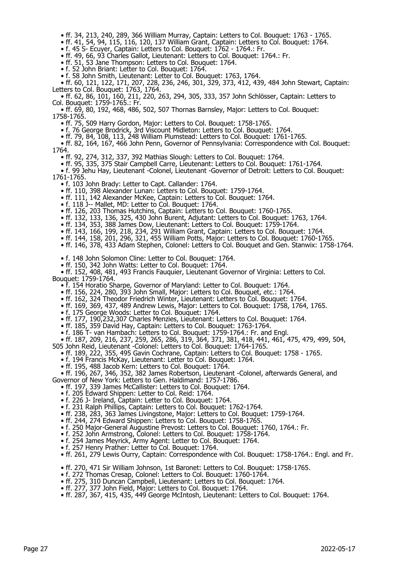- ff. 34, 213, 240, 289, 366 William Murray, Captain: Letters to Col. Bouquet: 1763 1765.
- ff. 41, 54, 94, 115, 116, 120, 137 William Grant, Captain: Letters to Col. Bouquet: 1764.
- f. 45 S- Ecuyer, Captain: Letters to Col. Bouquet: 1762 1764.: Fr.
	- ff. 49, 66, 93 Charles Gallot, Lieutenant: Letters to Col. Bouquet: 1764.: Fr.
	- ff. 51, 53 Jane Thompson: Letters to Col. Bouquet: 1764.
	- f. 52 John Briant: Letter to Col. Bouquet: 1764.
- f. 58 John Smith, Lieutenant: Letter to Col. Bouquet: 1763, 1764.

 • ff. 60, 121, 122, 171, 207, 228, 236, 246, 301, 329, 373, 412, 439, 484 John Stewart, Captain: Letters to Col. Bouquet: 1763, 1764.

 • ff. 62, 86, 101, 160, 211, 220, 263, 294, 305, 333, 357 John Schlösser, Captain: Letters to Col. Bouquet: 1759-1765.: Fr.

 • ff. 69, 80, 192, 468, 486, 502, 507 Thornas Barnsley, Major: Letters to Col. Bouquet: 1758-1765.

• ff. 75, 509 Harry Gordon, Major: Letters to Col. Bouquet: 1758-1765.

• f. 76 George Brodrick, 3rd Viscount Midleton: Letters to Col. Bouquet: 1764.

• ff. 79, 84, 108, 113, 248 William Plumstead: Letters to Col. Bouquet: 1761-1765.

 • ff. 82, 164, 167, 466 John Penn, Governor of Pennsylvania: Correspondence with Col. Bouquet: 1764.

- ff. 92, 274, 312, 337, 392 Mathias Slough: Letters to Col. Bouquet: 1764.
- ff. 95, 335, 375 Stair Campbell Carre, Lieutenant: Letters to Col. Bouquet: 1761-1764.

 • f. 99 Jehu Hay, Lieutenant -Colonel, Lieutenant -Governor of Detroit: Letters to Col. Bouquet: 1761-1765.

- f. 103 John Brady: Letter to Capt. Callander: 1764.
- ff. 110, 398 Alexander Lunan: Letters to Col. Bouquet: 1759-1764.
- ff. 111, 142 Alexander McKee, Captain: Letters to Col. Bouquet: 1764.
- f. 118 J-- Mallet, MD: Letter to Col. Bouquet: 1764.
	- ff. 126, 203 Thomas Hutchins, Captain: Letters to Col. Bouquet: 1760-1765.
	- ff. 132, 133, 136, 325, 430 John Burent, Adjutant: Letters to Col. Bouquet: 1763, 1764.
- ff. 134, 353, 388 James Dow, Lieutenant: Letters to Col. Bouquet: 1759-1764.
- ff. 143, 166, 199, 218, 234, 291 William Grant, Captain: Letters to Col. Bouquet: 1764.
- ff. 144, 158, 201, 296, 321, 455 William Potts, Major: Letters to Col. Bouquet: 1760-1765.
- ff. 146, 378, 433 Adam Stephen, Colonel: Letters to Col. Bouquet and Gen. Stanwix: 1758-1764.

• f. 148 John Solomon Cline: Letter to Col. Bouquet: 1764.

• ff. 150, 342 John Watts: Letter to Col. Bouquet: 1764.

 • ff. 152, 408, 481, 493 Francis Fauquier, Lieutenant Governor of Virginia: Letters to Col. Bouquet: 1759-1764.

- f. 154 Horatio Sharpe, Governor of Maryland: Letter to Col. Bouquet: 1764.
- ff. 156, 224, 280, 393 John Small, Major: Letters to Col. Bouquet, etc.: 1764.
- ff. 162, 324 Theodor Friedrich Winter, Lieutenant: Letters to Col. Bouquet: 1764.
- ff. 169, 369, 437, 489 Andrew Lewis, Major: Letters to Col. Bouquet: 1758, 1764, 1765.
	- f. 175 George Woods: Letter to Col. Bouquet: 1764.
- ff. 177, 190,232,307 Charles Menzies, Lieutenant: Letters to Col. Bouquet: 1764.
- ff. 185, 359 David Hay, Captain: Letters to Col. Bouquet: 1763-1764.
- f. 186 T- van Hambach: Letters to Col. Bouquet: 1759-1764.: Fr. and Engl.
- ff. 187, 209, 216, 237, 259, 265, 286, 319, 364, 371, 381, 418, 441, 461, 475, 479, 499, 504,
- 505 John Reid, Lieutenant -Colonel: Letters to Col. Bouquet: 1764-1765.
- ff. 189, 222, 355, 495 Gavin Cochrane, Captain: Letters to Col. Bouquet: 1758 1765.
- f. 194 Francis McKay, Lieutenant: Letter to Col. Bouquet: 1764.
- ff. 195, 488 Jacob Kern: Letters to Col. Bouquet: 1764.
- ff. 196, 267, 346, 352, 382 James Robertson, Lieutenant -Colonel, afterwards General, and Governor of New York: Letters to Gen. Haldimand: 1757-1786.
	- ff. 197, 339 James McCallister: Letters to Col. Bouquet: 1764.
	- f. 205 Edward Shippen: Letter to Col. Reid: 1764.
	- f. 226 J- Ireland, Captain: Letter to Col. Bouquet: 1764.
	- f. 231 Ralph Phillips, Captain: Letters to Col. Bouquet: 1762-1764.
- ff. 238, 283, 363 James Livingstone, Major: Letters to Col. Bouquet: 1759-1764.
- ff. 244, 274 Edward Shippen: Letters to Col. Bouquet: 1758-1765.
- f. 250 Major-General Augustine Prevost: Letters to Col. Bouquet: 1760, 1764.: Fr.
	- f. 252 John Armstrong, Colonel: Letters to Col. Bouquet: 1758-1764.
	- f. 254 James Meyrick, Army Agent: Letter to Col. Bouquet: 1764.
	- f. 257 Henry Prather: Letter to Col. Bouquet: 1764.
	- ff. 261, 279 Lewis Ourry, Captain: Correspondence with Col. Bouquet: 1758-1764.: Engl. and Fr.
	- ff. 270, 471 Sir William Johnson, 1st Baronet: Letters to Col. Bouquet: 1758-1765.
- f. 272 Thomas Cresap, Colonel: Letters to Col. Bouquet: 1760-1764.
- ff. 275, 310 Duncan Campbell, Lieutenant: Letters to Col. Bouquet: 1764.
- ff. 277, 377 John Field, Major: Letters to Col. Bouquet: 1764.
	- ff. 287, 367, 415, 435, 449 George McIntosh, Lieutenant: Letters to Col. Bouquet: 1764.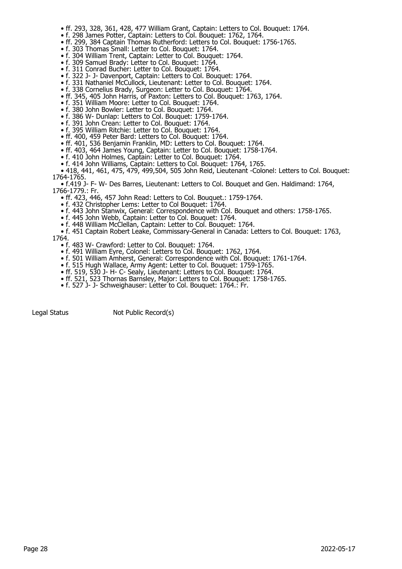- ff. 293, 328, 361, 428, 477 William Grant, Captain: Letters to Col. Bouquet: 1764.
- f. 298 James Potter, Captain: Letters to Col. Bouquet: 1762, 1764.
- ff. 299, 384 Captain Thomas Rutherford: Letters to Col. Bouquet: 1756-1765.
- f. 303 Thomas Small: Letter to Col. Bouquet: 1764.
	- f. 304 William Trent, Captain: Letter to Col. Bouquet: 1764.
	- f. 309 Samuel Brady: Letter to Col. Bouquet: 1764.
	- f. 311 Conrad Bucher: Letter to Col. Bouquet: 1764.
- f. 322 J- J- Davenport, Captain: Letters to Col. Bouquet: 1764.
- f. 331 Nathaniel McCullock, Lieutenant: Letter to Col. Bouquet: 1764.
- f. 338 Cornelius Brady, Surgeon: Letter to Col. Bouquet: 1764.
	- ff. 345, 405 John Harris, of Paxton: Letters to Col. Bouquet: 1763, 1764.
- f. 351 William Moore: Letter to Col. Bouquet: 1764.
- f. 380 John Bowler: Letter to Col. Bouquet: 1764.
	- f. 386 W- Dunlap: Letters to Col. Bouquet: 1759-1764.
	- f. 391 John Crean: Letter to Col. Bouquet: 1764.
	- f. 395 William Ritchie: Letter to Col. Bouquet: 1764.
	- ff. 400, 459 Peter Bard: Letters to Col. Bouquet: 1764.
	- ff. 401, 536 Benjamin Franklin, MD: Letters to Col. Bouquet: 1764.
	- ff. 403, 464 James Young, Captain: Letter to Col. Bouquet: 1758-1764.
	- f. 410 John Holmes, Captain: Letter to Col. Bouquet: 1764.
- f. 414 John Williams, Captain: Letters to Col. Bouquet: 1764, 1765.
- 418, 441, 461, 475, 479, 499,504, 505 John Reid, Lieutenant -Colonel: Letters to Col. Bouquet: 1764-1765.

 • f.419 J- F- W- Des Barres, Lieutenant: Letters to Col. Bouquet and Gen. Haldimand: 1764, 1766-1779.: Fr.

- ff. 423, 446, 457 John Read: Letters to Col. Bouquet.: 1759-1764.
- f. 432 Christopher Lems: Letter to Col Bouquet: 1764.
- f. 443 John Stanwix, General: Correspondence with Col. Bouquet and others: 1758-1765.
- f. 445 John Webb, Captain: Letter to Col. Bouquet: 1764.
- f. 448 William McClellan, Captain: Letter to Col. Bouquet: 1764.

• f. 451 Captain Robert Leake, Commissary-General in Canada: Letters to Col. Bouquet: 1763,

- 1764.
	- f. 483 W- Crawford: Letter to Col. Bouquet: 1764.
	- f. 491 William Eyre, Colonel: Letters to Col. Bouquet: 1762, 1764.
- f. 501 William Amherst, General: Correspondence with Col. Bouquet: 1761-1764.
- f. 515 Hugh Wallace, Army Agent: Letter to Col. Bouquet: 1759-1765.
- ff. 519, 530 J- H- C- Sealy, Lieutenant: Letters to Col. Bouquet: 1764.
	- ff. 521, 523 Thornas Barnsley, Major: Letters to Col. Bouquet: 1758-1765.
	- f. 527 J- J- Schweighauser: Letter to Col. Bouquet: 1764.: Fr.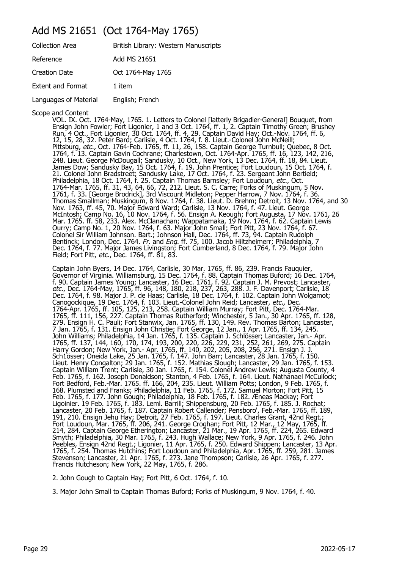#### Add MS 21651 (Oct 1764-May 1765)

| British Library: Western Manuscripts |
|--------------------------------------|
| Add MS 21651                         |
| Oct 1764-May 1765                    |
| 1 item                               |
| English; French                      |
|                                      |

Scope and Content

VOL. IX. Oct. 1764-May, 1765. 1. Letters to Colonel [latterly Brigadier-General] Bouquet, from Ensign John Fowler; Fort Ligonier, 1 and 3 Oct. 1764, ff. 1, 2. Captain Timothy Green; Brushey Run, 4 Oct., Fort Ligonier, 30 Oct. 1764, ff. 4, 29. Captain David Hay; Oct.-Nov. 1764, ff. 6, 12, 15, 28, 32. Peter Bard; Carlisle, 4 Oct. 1764, f. 8. Lieut.-Colonel John McNeill; Pittsburg, etc., Oct. 1764-Feb. 1765, ff. 11, 26, 158. Captain George Turnbull; Quebec, 8 Oct. 1764, f. 13. Captain Gavin Cochrane; Charlestown, Oct. 1764-Apr. 1765, ff. 16, 123, 142, 216, 248. Lieut. George McDougall; Sandusky, 10 Oct., New York, 13 Dec. 1764, ff. 18, 84. Lieut. James Dow; Sandusky Bay, 15 Oct. 1764, f. 19. John Prentice; Fort Loudoun, 15 Oct. 1764, f. 21. Colonel John Bradstreet; Sandusky Lake, 17 Oct. 1764, f. 23. Sergeant John Bertield; Philadelphia, 18 Oct. 1764, f. 25. Captain Thomas Barnsley; Fort Loudoun, etc., Oct. 1764-Mar. 1765, ff. 31, 43, 64, 66, 72, 212. Lieut. S. C. Carre; Forks of Muskingum, 5 Nov. 1761, f. 33. [George Brodrick], 3rd Viscount Midleton; Pepper Harrow, 7 Nov. 1764, f. 36. Thomas Smallman; Muskingum, 8 Nov. 1764, f. 38. Lieut. D. Brehm; Detroit, 13 Nov. 1764, and 30 Nov. 1763, ff. 45, 70. Major Edward Ward; Carlisle, 13 Nov. 1764, f. 47. Lieut. George McIntosh; Camp No. 16, 10 Nov. 1764, f. 56. Ensign A. Keough; Fort Augusta, 17 Nov. 1761, 26 Mar. 1765. ff. 58, 233. Alex. McClanachan; Wappatamaka, 19 Nov. 1764, f. 62. Captain Lewis Ourry; Camp No. 1, 20 Nov. 1764, f. 63. Major John Small; Fort Pitt, 23 Nov. 1764, f. 67. Colonel Sir William Johnson. Bart.; Johnson Hall, Dec. 1764, ff. 73, 94. Captain Rudolph Bentinck; London, Dec. 1764. Fr. and Eng. ff. 75, 100. Jacob Hiltzheimerr; Philadelphia, 7 Dec. 1764, f. 77. Major James Livingston; Fort Cumberland, 8 Dec. 1764, f. 79. Major John Field; Fort Pitt, etc., Dec. 1764, ff. 81, 83.

Captain John Byers, 14 Dec. 1764, Carlisle, 30 Mar. 1765, ff. 86, 239. Francis Fauquier, Governor of Virginia. Williamsburg, 15 Dec. 1764, f. 88. Captain Thomas Buford; 16 Dec. 1764, f. 90. Captain James Young; Lancaster, 16 Dec. 1761, f. 92. Captain J. M. Prevost; Lancaster, etc., Dec. 1764-May, 1765, ff. 96, 148, 180, 218, 237, 263, 288. J. F. Davenport; Carlisle, 18 Dec. 1764, f. 98. Major J. P. de Haas; Carlisle, 18 Dec. 1764, f. 102. Captain John Wolgamot; Canogockique, 19 Dec. 1764, f. 103. Lieut.-Colonel John Reid; Lancaster, etc., Dec. 1764-Apr. 1765, ff. 105, 125, 213, 258. Captain William Murray; Fort Pitt, Dec. 1764-Mar. 1765, ff. 111, 156, 227. Captain Thomas Rutherford; Winchester, 5 Jan., 30 Apr. 1765, ff. 128, 279. Ensign H. C. Pauli; Fort Stanwix, Jan. 1765, ff. 130, 149. Rev. Thomas Barton; Lancaster, 7 Jan. 1765, f. 131. Ensign John Christie; Fort George, 12 Jan., 1 Apr. 1765, ff. 134, 245. John Williams; Philadelphia, 14 Jan. 1765, f. 135. Captain J. Schlösser; Lancaster, Jan.- Apr. 1765, ff. 137, 144, 160, 170, 174, 193, 200, 220, 226, 229, 231, 252, 261, 269, 275. Captain Harry Gordon; New York, Jan.- Apr. 1765, ff. 140, 202, 205, 208, 256, 271. Ensign J. J. Sch1össer; Oneida Lake, 25 Jan. 1765, f. 147. John Barr; Lancaster, 28 Jan. 1765, f. 150. Lieut. Henry Congalton; 29 Jan. 1765, f. 152. Mathias Slough; Lancaster, 29 Jan. 1765, f. 153. Captain William Trent; Carlisle, 30 Jan. 1765, f. 154. Colonel Andrew Lewis; Augusta County, 4 Feb. 1765, f. 162. Joseph Donaldson; Stanton, 4 Feb. 1765, f. 164. Lieut. Nathanael McCullock; Fort Bedford, Feb.-Mar. 1765. ff. 166, 204, 235. Lieut. William Potts; London, 9 Feb. 1765, f. 168. Plumsted and Franks; Philadelphia, 11 Feb. 1765, f. 172. Samuel Morton; Fort Pitt, 15 Feb. 1765, f. 177. John Gough; Philadelphia, 18 Feb. 1765, f. 182. Æneas Mackay; Fort Ligoinier. 19 Feb. 1765, f. 183. Leml. Barrill; Shippensburg, 20 Feb. 1765, f. 185. J. Rochat; Lancaster, 20 Feb. 1765, f. 187. Captain Robert Callender; Pensboro', Feb.-Mar. 1765, ff. 189, 191, 210. Ensign Jehu Hay; Detroit, 27 Feb. 1765, f. 197. Lieut. Charles Grant, 42nd Regt.; Fort Loudoun, Mar. 1765, ff. 206, 241. George Croghan; Fort Pitt, 12 Mar., 12 May, 1765, ff. 214, 284. Captain George Etherington; Lancaster, 21 Mar., 19 Apr. 1765, ff. 224, 265. Edward Smyth; Philadelphia, 30 Mar. 1765, f. 243. Hugh Wallace; New York, 9 Apr. 1765, f. 246. John Peebles, Ensign 42nd Regt.; Ligonier, 11 Apr. 1765, f. 250. Edward Shippen; Lancaster, 13 Apr. 1765, f. 254. Thomas Hutchins; Fort Loudoun and Philadelphia, Apr. 1765, ff. 259, 281. James Stevenson; Lancaster, 21 Apr. 1765, f. 273. Jane Thompson; Carlisle, 26 Apr. 1765, f. 277. Francis Hutcheson; New York, 22 May, 1765, f. 286.

2. John Gough to Captain Hay; Fort Pitt, 6 Oct. 1764, f. 10.

3. Major John Small to Captain Thomas Buford; Forks of Muskingum, 9 Nov. 1764, f. 40.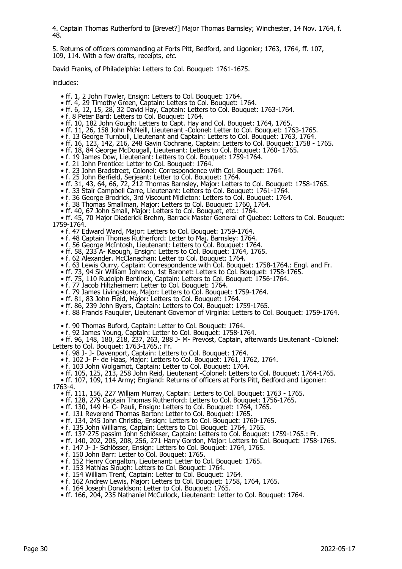4. Captain Thomas Rutherford to [Brevet?] Major Thomas Barnsley; Winchester, 14 Nov. 1764, f. 48.

5. Returns of officers commanding at Forts Pitt, Bedford, and Ligonier; 1763, 1764, ff. 107, 109, 114. With a few drafts, receipts, etc.

David Franks, of Philadelphia: Letters to Col. Bouquet: 1761-1675.

includes:

- ff. 1, 2 John Fowler, Ensign: Letters to Col. Bouquet: 1764.
- ff. 4, 29 Timothy Green, Captain: Letters to Col. Bouquet: 1764.
- ff. 6, 12, 15, 28, 32 David Hay, Captain: Letters to Col. Bouquet: 1763-1764.
- f. 8 Peter Bard: Letters to Col. Bouquet: 1764.
- ff. 10, 182 John Gough: Letters to Capt. Hay and Col. Bouquet: 1764, 1765.
- ff. 11, 26, 158 John McNeill, Lieutenant -Colonel: Letter to Col. Bouquet: 1763-1765.
- f. 13 George Turnbull, Lieutenant and Captain: Letters to Col. Bouquet: 1763, 1764.
- ff. 16, 123, 142, 216, 248 Gavin Cochrane, Captain: Letters to Col. Bouquet: 1758 1765.
- ff. 18, 84 George McDougall, Lieutenant: Letters to Col. Bouquet: 1760- 1765.
	- f. 19 James Dow, Lieutenant: Letters to Col. Bouquet: 1759-1764.
	- f. 21 John Prentice: Letter to Col. Bouquet: 1764.
	- f. 23 John Bradstreet, Colonel: Correspondence with Col. Bouquet: 1764.
- f. 25 John Berfield, Serjeant: Letter to Col. Bouquet: 1764.
- ff. 31, 43, 64, 66, 72, 212 Thornas Barnsley, Major: Letters to Col. Bouquet: 1758-1765.
- f. 33 Stair Campbell Carre, Lieutenant: Letters to Col. Bouquet: 1761-1764.
- f. 36 George Brodrick, 3rd Viscount Midleton: Letters to Col. Bouquet: 1764.
- f. 38 Thomas Smallman, Major: Letters to Col. Bouquet: 1760, 1764.
- ff. 40, 67 John Small, Major: Letters to Col. Bouquet, etc.: 1764.

 • ff. 45, 70 Major Diederick Brehm, Barrack Master General of Quebec: Letters to Col. Bouquet: 1759-1764.

- f. 47 Edward Ward, Major: Letters to Col. Bouquet: 1759-1764.
- f. 48 Captain Thomas Rutherford: Letter to Maj. Barnsley: 1764.
- f. 56 George McIntosh, Lieutenant: Letters to Col. Bouquet: 1764.
- ff. 58, 233 A- Keough, Ensign: Letters to Col. Bouquet: 1764, 1765.
- f. 62 Alexander. McClanachan: Letter to Col. Bouquet: 1764.
- f. 63 Lewis Ourry, Captain: Correspondence with Col. Bouquet: 1758-1764.: Engl. and Fr.
- ff. 73, 94 Sir William Johnson, 1st Baronet: Letters to Col. Bouquet: 1758-1765.
- ff. 75, 110 Rudolph Bentinck, Captain: Letters to Col. Bouquet: 1756-1764.
- f. 77 Jacob Hiltzheimerr: Letter to Col. Bouquet: 1764.
- f. 79 James Livingstone, Major: Letters to Col. Bouquet: 1759-1764.
- ff. 81, 83 John Field, Major: Letters to Col. Bouquet: 1764.
	- ff. 86, 239 John Byers, Captain: Letters to Col. Bouquet: 1759-1765.
	- f. 88 Francis Fauquier, Lieutenant Governor of Virginia: Letters to Col. Bouquet: 1759-1764.
	- f. 90 Thomas Buford, Captain: Letter to Col. Bouquet: 1764.
- f. 92 James Young, Captain: Letter to Col. Bouquet: 1758-1764.
- ff. 96, 148, 180, 218, 237, 263, 288 J- M- Prevost, Captain, afterwards Lieutenant -Colonel: Letters to Col. Bouquet: 1763-1765.: Fr.
- f. 98 J- J- Davenport, Captain: Letters to Col. Bouquet: 1764.
- f. 102 J- P- de Haas, Major: Letters to Col. Bouquet: 1761, 1762, 1764.
	- f. 103 John Wolgamot, Captain: Letter to Col. Bouquet: 1764.
- ff. 105, 125, 213, 258 John Reid, Lieutenant -Colonel: Letters to Col. Bouquet: 1764-1765.

 • ff. 107, 109, 114 Army; England: Returns of officers at Forts Pitt, Bedford and Ligonier: 1763-4.

- ff. 111, 156, 227 William Murray, Captain: Letters to Col. Bouquet: 1763 1765.
- ff. 128, 279 Captain Thomas Rutherford: Letters to Col. Bouquet: 1756-1765.
	- ff. 130, 149 H- C- Pauli, Ensign: Letters to Col. Bouquet: 1764, 1765.
	- f. 131 Reverend Thomas Barton: Letter to Col. Bouquet: 1765.
- ff. 134, 245 John Christie, Ensign: Letters to Col. Bouquet: 1760-1765.
- f. 135 John Williams, Captain: Letters to Col. Bouquet: 1764, 1765.
	- ff. 137-275 passim John Schlösser, Captain: Letters to Col. Bouquet: 1759-1765.: Fr.
- ff. 140, 202, 205, 208, 256, 271 Harry Gordon, Major: Letters to Col. Bouquet: 1758-1765.
- f. 147 J- J- Schlösser, Ensign: Letters to Col. Bouquet: 1764, 1765.
	- f. 150 John Barr: Letter to Col. Bouquet: 1765.
	- f. 152 Henry Congalton, Lieutenant: Letter to Col. Bouquet: 1765.
	- f. 153 Mathias Slough: Letters to Col. Bouquet: 1764.
- f. 154 William Trent, Captain: Letter to Col. Bouquet: 1764.
- f. 162 Andrew Lewis, Major: Letters to Col. Bouquet: 1758, 1764, 1765.
- f. 164 Joseph Donaldson: Letter to Col. Bouquet: 1765.
	- ff. 166, 204, 235 Nathaniel McCullock, Lieutenant: Letter to Col. Bouquet: 1764.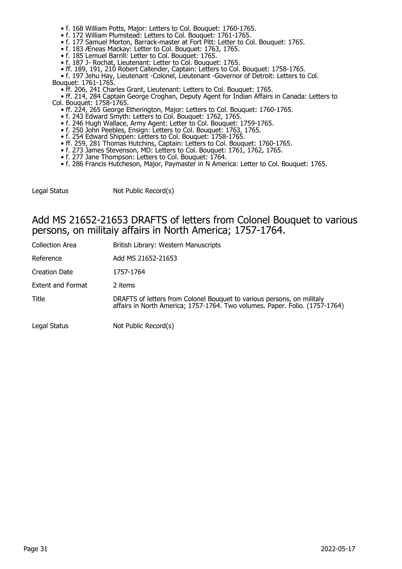- f. 168 William Potts, Major: Letters to Col. Bouquet: 1760-1765.
- f. 172 William Plumstead: Letters to Col. Bouquet: 1761-1765.
- f. 177 Samuel Morton, Barrack-master at Fort Pitt: Letter to Col. Bouquet: 1765.
- f. 183 Æneas Mackay: Letter to Col. Bouquet: 1763, 1765.
- f. 185 Lemuel Barrill: Letter to Col. Bouquet: 1765.
- f. 187 J- Rochat, Lieutenant: Letter to Col. Bouquet: 1765.
- ff. 189, 191, 210 Robert Callender, Captain: Letters to Col. Bouquet: 1758-1765.
- f. 197 Jehu Hay, Lieutenant -Colonel, Lieutenant -Governor of Detroit: Letters to Col. Bouquet: 1761-1765.
	- ff. 206, 241 Charles Grant, Lieutenant: Letters to Col. Bouquet: 1765.
- ff. 214, 284 Captain George Croghan, Deputy Agent for Indian Affairs in Canada: Letters to Col. Bouquet: 1758-1765.
- ff. 224, 265 George Etherington, Major: Letters to Col. Bouquet: 1760-1765.
- f. 243 Edward Smyth: Letters to Col. Bouquet: 1762, 1765.
- f. 246 Hugh Wallace, Army Agent: Letter to Col. Bouquet: 1759-1765.
- f. 250 John Peebles, Ensign: Letters to Col. Bouquet: 1763, 1765.
- f. 254 Edward Shippen: Letters to Col. Bouquet: 1758-1765.
- ff. 259, 281 Thomas Hutchins, Captain: Letters to Col. Bouquet: 1760-1765.
- f. 273 James Stevenson, MD: Letters to Col. Bouquet: 1761, 1762, 1765.
	- f. 277 Jane Thompson: Letters to Col. Bouquet: 1764.
	- f. 286 Francis Hutcheson, Major, Paymaster in N America: Letter to Col. Bouquet: 1765.

| Legal Status | Not Public Record(s) |
|--------------|----------------------|
|              |                      |

#### Add MS 21652-21653 DRAFTS of letters from Colonel Bouquet to various persons, on militaiy affairs in North America; 1757-1764.

| Collection Area          | British Library: Western Manuscripts                                                                                                                  |
|--------------------------|-------------------------------------------------------------------------------------------------------------------------------------------------------|
| Reference                | Add MS 21652-21653                                                                                                                                    |
| <b>Creation Date</b>     | 1757-1764                                                                                                                                             |
| <b>Extent and Format</b> | 2 items                                                                                                                                               |
| Title                    | DRAFTS of letters from Colonel Bouquet to various persons, on militaiy<br>affairs in North America; 1757-1764. Two volumes. Paper. Folio. (1757-1764) |
| Legal Status             | Not Public Record(s)                                                                                                                                  |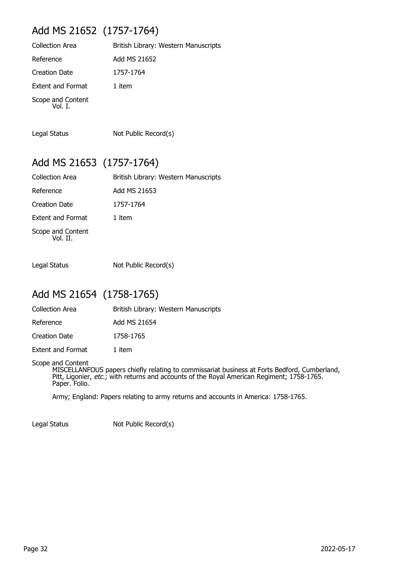## Add MS 21652 (1757-1764)

| <b>Collection Area</b>       | British Library: Western Manuscripts |
|------------------------------|--------------------------------------|
| Reference                    | Add MS 21652                         |
| Creation Date                | 1757-1764                            |
| <b>Extent and Format</b>     | 1 item                               |
| Scope and Content<br>Vol. I. |                                      |

Legal Status Not Public Record(s)

#### Add MS 21653 (1757-1764)

| <b>Collection Area</b>        | British Library: Western Manuscripts |
|-------------------------------|--------------------------------------|
| Reference                     | Add MS 21653                         |
| <b>Creation Date</b>          | 1757-1764                            |
| Extent and Format             | 1 item                               |
| Scope and Content<br>Vol. II. |                                      |

Legal Status Not Public Record(s)

#### Add MS 21654 (1758-1765)

| <b>Collection Area</b>   | British Library: Western Manuscripts |
|--------------------------|--------------------------------------|
| Reference                | Add MS 21654                         |
| Creation Date            | 1758-1765                            |
| <b>Extent and Format</b> | 1 item                               |

Scope and Content

MISCELLANFOUS papers chiefly relating to commissariat business at Forts Bedford, Cumberland, Pitt, Ligonier, etc.; with returns and accounts of the Royal American Regiment; 1758-1765. Paper. Folio.

Army; England: Papers relating to army returns and accounts in America: 1758-1765.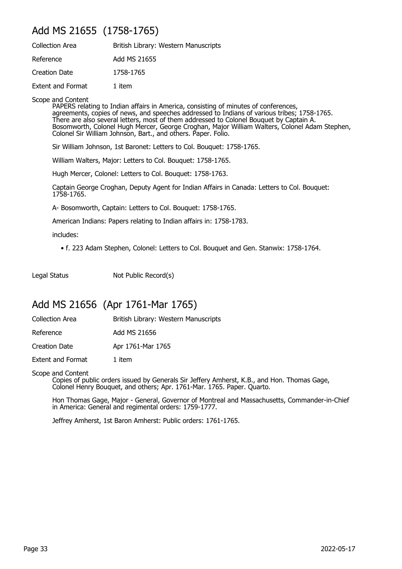#### Add MS 21655 (1758-1765)

| <b>Collection Area</b>   | British Library: Western Manuscripts |
|--------------------------|--------------------------------------|
| Reference                | Add MS 21655                         |
| Creation Date            | 1758-1765                            |
| <b>Extent and Format</b> | 1 item                               |

Scope and Content

PAPERS relating to Indian affairs in America, consisting of minutes of conferences, agreements, copies of news, and speeches addressed to Indians of various tribes; 1758-1765. There are also several letters, most of them addressed to Colonel Bouquet by Captain A. Bosomworth, Colonel Hugh Mercer, George Croghan, Major William Walters, Colonel Adam Stephen, Colonel Sir William Johnson, Bart., and others. Paper. Folio.

Sir William Johnson, 1st Baronet: Letters to Col. Bouquet: 1758-1765.

William Walters, Major: Letters to Col. Bouquet: 1758-1765.

Hugh Mercer, Colonel: Letters to Col. Bouquet: 1758-1763.

Captain George Croghan, Deputy Agent for Indian Affairs in Canada: Letters to Col. Bouquet: 1758-1765.

A- Bosomworth, Captain: Letters to Col. Bouquet: 1758-1765.

American Indians: Papers relating to Indian affairs in: 1758-1783.

includes:

• f. 223 Adam Stephen, Colonel: Letters to Col. Bouquet and Gen. Stanwix: 1758-1764.

Legal Status Not Public Record(s)

#### Add MS 21656 (Apr 1761-Mar 1765)

| Collection Area | British Library: Western Manuscripts |  |
|-----------------|--------------------------------------|--|
|                 |                                      |  |

Reference Add MS 21656

Creation Date Apr 1761-Mar 1765

Extent and Format 1 item

Scope and Content

Copies of public orders issued by Generals Sir Jeffery Amherst, K.B., and Hon. Thomas Gage, Colonel Henry Bouquet, and others; Apr. 1761-Mar. 1765. Paper. Quarto.

Hon Thomas Gage, Major - General, Governor of Montreal and Massachusetts, Commander-in-Chief in America: General and regimental orders: 1759-1777.

Jeffrey Amherst, 1st Baron Amherst: Public orders: 1761-1765.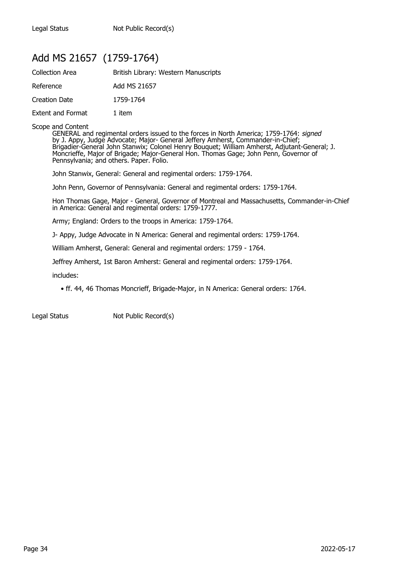#### Add MS 21657 (1759-1764)

| <b>Collection Area</b>   | British Library: Western Manuscripts |
|--------------------------|--------------------------------------|
| Reference                | Add MS 21657                         |
| Creation Date            | 1759-1764                            |
| <b>Extent and Format</b> | 1 item                               |

#### Scope and Content

GENERAL and regimental orders issued to the forces in North America; 1759-1764: signed by J. Appy, Judge Advocate; Major- General Jeffery Amherst, Commander-in-Chief; Brigadier-General John Stanwix; Colonel Henry Bouquet; William Amherst, Adjutant-General; J. Moncrieffe, Major of Brigade; Major-General Hon. Thomas Gage; John Penn, Governor of Pennsylvania; and others. Paper. Folio.

John Stanwix, General: General and regimental orders: 1759-1764.

John Penn, Governor of Pennsylvania: General and regimental orders: 1759-1764.

Hon Thomas Gage, Major - General, Governor of Montreal and Massachusetts, Commander-in-Chief in America: General and regimental orders: 1759-1777.

Army; England: Orders to the troops in America: 1759-1764.

J- Appy, Judge Advocate in N America: General and regimental orders: 1759-1764.

William Amherst, General: General and regimental orders: 1759 - 1764.

Jeffrey Amherst, 1st Baron Amherst: General and regimental orders: 1759-1764.

includes:

• ff. 44, 46 Thomas Moncrieff, Brigade-Major, in N America: General orders: 1764.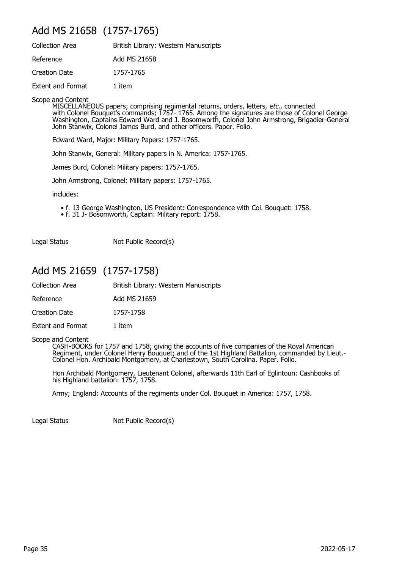## Add MS 21658 (1757-1765)

| <b>Collection Area</b>   | British Library: Western Manuscripts |
|--------------------------|--------------------------------------|
| Reference                | Add MS 21658                         |
| <b>Creation Date</b>     | 1757-1765                            |
| <b>Extent and Format</b> | 1 item                               |

Scope and Content

MISCELLANEOUS papers; comprising regimental returns, orders, letters, *etc.*, connected with Colonel Bouquet's commands; 1757- 1765. Among the signatures are those of Colonel George Washington, Captains Edward Ward and J. Bosomworth, Colonel John Armstrong, Brigadier-General John Stanwix, Colonel James Burd, and other officers. Paper. Folio.

Edward Ward, Major: Military Papers: 1757-1765.

John Stanwix, General: Military papers in N. America: 1757-1765.

James Burd, Colonel: Military papers: 1757-1765.

John Armstrong, Colonel: Military papers: 1757-1765.

includes:

- f. 13 George Washington, US President: Correspondence with Col. Bouquet: 1758.
- f. 31 J- Bosomworth, Captain: Military report: 1758.

Legal Status Not Public Record(s)

### Add MS 21659 (1757-1758)

| Collection Area | British Library: Western Manuscripts |  |
|-----------------|--------------------------------------|--|
|-----------------|--------------------------------------|--|

Reference Add MS 21659

Creation Date 1757-1758

Extent and Format 1 item

Scope and Content

CASH-BOOKS for 1757 and 1758; giving the accounts of five companies of the Royal American Regiment, under Colonel Henry Bouquet; and of the 1st Highland Battalion, commanded by Lieut.- Colonel Hon. Archibald Montgomery, at Charlestown, South Carolina. Paper. Folio.

Hon Archibald Montgomery, Lieutenant Colonel, afterwards 11th Earl of Eglintoun: Cashbooks of his Highland battalion: 1757, 1758.

Army; England: Accounts of the regiments under Col. Bouquet in America: 1757, 1758.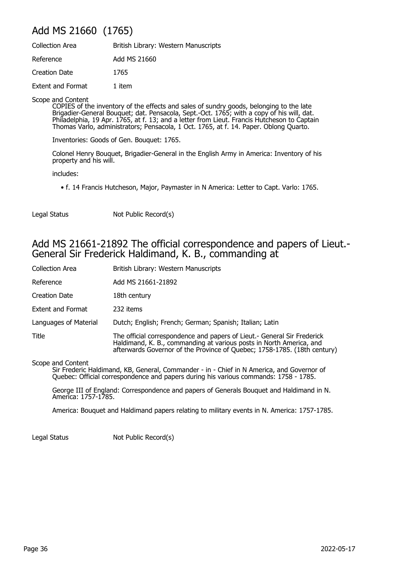# Add MS 21660 (1765)

| <b>Collection Area</b>   | British Library: Western Manuscripts |
|--------------------------|--------------------------------------|
| Reference                | Add MS 21660                         |
| Creation Date            | 1765                                 |
| <b>Extent and Format</b> | 1 item                               |

Scope and Content

COPIES of the inventory of the effects and sales of sundry goods, belonging to the late Brigadier-General Bouquet; dat. Pensacola, Sept.-Oct. 1765; with a copy of his will, dat. Philadelphia, 19 Apr. 1765, at f. 13; and a letter from Lieut. Francis Hutcheson to Captain Thomas Varlo, administrators; Pensacola, 1 Oct. 1765, at f. 14. Paper. Oblong Quarto.

Inventories: Goods of Gen. Bouquet: 1765.

Colonel Henry Bouquet, Brigadier-General in the English Army in America: Inventory of his property and his will.

includes:

• f. 14 Francis Hutcheson, Major, Paymaster in N America: Letter to Capt. Varlo: 1765.

Legal Status Not Public Record(s)

### Add MS 21661-21892 The official correspondence and papers of Lieut.- General Sir Frederick Haldimand, K. B., commanding at

| <b>Collection Area</b>   | British Library: Western Manuscripts                                                                                                                                                                                       |
|--------------------------|----------------------------------------------------------------------------------------------------------------------------------------------------------------------------------------------------------------------------|
| Reference                | Add MS 21661-21892                                                                                                                                                                                                         |
| Creation Date            | 18th century                                                                                                                                                                                                               |
| <b>Extent and Format</b> | 232 items                                                                                                                                                                                                                  |
| Languages of Material    | Dutch; English; French; German; Spanish; Italian; Latin                                                                                                                                                                    |
| Title                    | The official correspondence and papers of Lieut.- General Sir Frederick<br>Haldimand, K. B., commanding at various posts in North America, and<br>afterwards Governor of the Province of Quebec; 1758-1785. (18th century) |

Scope and Content

Sir Frederic Haldimand, KB, General, Commander - in - Chief in N America, and Governor of Quebec: Official correspondence and papers during his various commands: 1758 - 1785.

George III of England: Correspondence and papers of Generals Bouquet and Haldimand in N. America: 1757-1785.

America: Bouquet and Haldimand papers relating to military events in N. America: 1757-1785.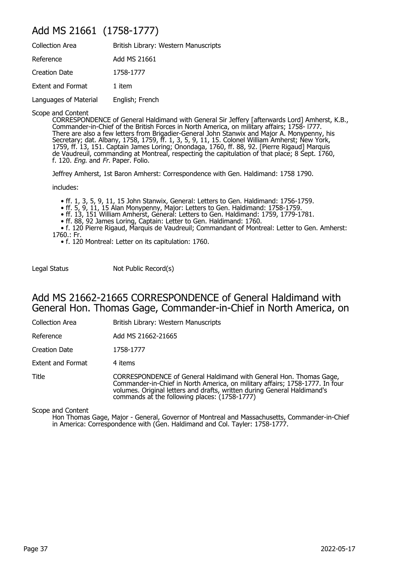## Add MS 21661 (1758-1777)

| <b>Collection Area</b>   | British Library: Western Manuscripts |
|--------------------------|--------------------------------------|
| Reference                | Add MS 21661                         |
| Creation Date            | 1758-1777                            |
| <b>Extent and Format</b> | 1 item                               |
| Languages of Material    | English; French                      |

Scope and Content

CORRESPONDENCE of General Haldimand with General Sir Jeffery [afterwards Lord] Amherst, K.B., Commander-in-Chief of the British Forces in North America, on military affairs; 1758- l777. There are also a few letters from Brigadier-General John Stanwix and Major A. Monypenny, his Secretary; dat. Albany, 1758, 1759, ff. 1, 3, 5, 9, 11, 15. Colonel William Amherst; New York, 1759, ff. 13, 151. Captain James Loring; Onondaga, 1760, ff. 88, 92. [Pierre Rigaud] Marquis de Vaudreuil, commanding at Montreal, respecting the capitulation of that place; 8 Sept. 1760, f. 120. Eng. and Fr. Paper. Folio.

Jeffrey Amherst, 1st Baron Amherst: Correspondence with Gen. Haldimand: 1758 1790.

includes:

- ff. 1, 3, 5, 9, 11, 15 John Stanwix, General: Letters to Gen. Haldimand: 1756-1759.
- ff. 5, 9, 11, 15 Alan Monypenny, Major: Letters to Gen. Haldimand: 1758-1759.
- ff. 13, 151 William Amherst, General: Letters to Gen. Haldimand: 1759, 1779-1781.
	- ff. 88, 92 James Loring, Captain: Letter to Gen. Haldimand: 1760.

 • f. 120 Pierre Rigaud, Marquis de Vaudreuil; Commandant of Montreal: Letter to Gen. Amherst: 1760.: Fr.

• f. 120 Montreal: Letter on its capitulation: 1760.

Legal Status Not Public Record(s)

### Add MS 21662-21665 CORRESPONDENCE of General Haldimand with General Hon. Thomas Gage, Commander-in-Chief in North America, on

Collection Area British Library: Western Manuscripts

Reference Add MS 21662-21665

Creation Date 1758-1777

Extent and Format 4 items

Title CORRESPONDENCE of General Haldimand with General Hon. Thomas Gage, Commander-in-Chief in North America, on military affairs; 1758-1777. In four volumes. Original letters and drafts, written during General Haldimand's commands at the following places: (1758-1777)

Scope and Content

Hon Thomas Gage, Major - General, Governor of Montreal and Massachusetts, Commander-in-Chief in America: Correspondence with (Gen. Haldimand and Col. Tayler: 1758-1777.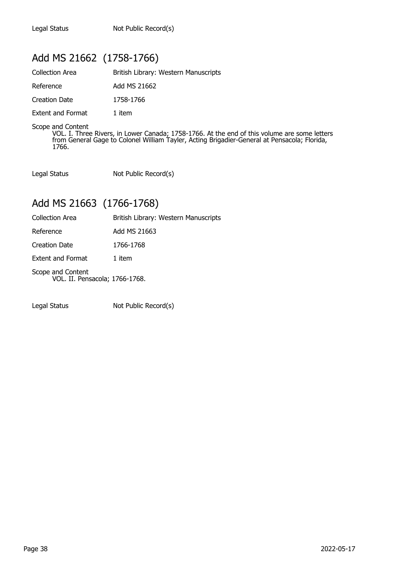# Add MS 21662 (1758-1766)

| British Library: Western Manuscripts |
|--------------------------------------|
| Add MS 21662                         |
| 1758-1766                            |
| 1 item                               |
|                                      |

Scope and Content

VOL. I. Three Rivers, in Lower Canada; 1758-1766. At the end of this volume are some letters from General Gage to Colonel William Tayler, Acting Brigadier-General at Pensacola; Florida, 1766.

Legal Status Not Public Record(s)

## Add MS 21663 (1766-1768)

| Collection Area | British Library: Western Manuscripts |  |
|-----------------|--------------------------------------|--|
|                 |                                      |  |

| Reference | Add MS 21663 |
|-----------|--------------|
|           |              |

Creation Date 1766-1768

Extent and Format 1 item

Scope and Content VOL. II. Pensacola; 1766-1768.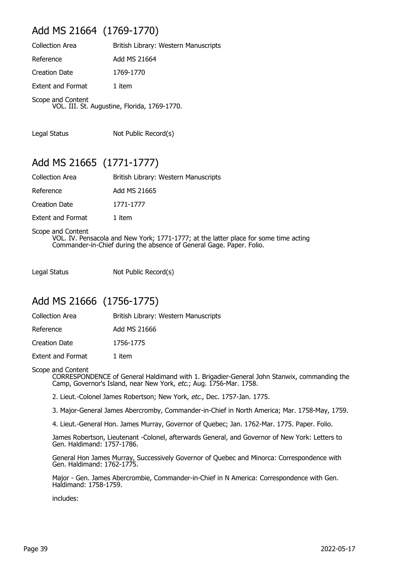## Add MS 21664 (1769-1770)

| <b>Collection Area</b>   | British Library: Western Manuscripts         |
|--------------------------|----------------------------------------------|
| Reference                | Add MS 21664                                 |
| <b>Creation Date</b>     | 1769-1770                                    |
| <b>Extent and Format</b> | 1 item                                       |
| Scope and Content        | VOL. III. St. Augustine, Florida, 1769-1770. |

Legal Status Not Public Record(s)

## Add MS 21665 (1771-1777)

| <b>Collection Area</b>   | British Library: Western Manuscripts |
|--------------------------|--------------------------------------|
| Reference                | Add MS 21665                         |
| <b>Creation Date</b>     | 1771-1777                            |
| <b>Extent and Format</b> | 1 item                               |

Scope and Content VOL. IV. Pensacola and New York; 1771-1777; at the latter place for some time acting Commander-in-Chief during the absence of General Gage. Paper. Folio.

Legal Status Not Public Record(s)

### Add MS 21666 (1756-1775)

Collection Area **British Library: Western Manuscripts** 

Reference Add MS 21666

Creation Date 1756-1775

Extent and Format 1 item

#### Scope and Content

CORRESPONDENCE of General Haldimand with 1. Brigadier-General John Stanwix, commanding the Camp, Governor's Island, near New York, etc.; Aug. 1756-Mar. 1758.

2. Lieut.-Colonel James Robertson; New York, etc., Dec. 1757-Jan. 1775.

3. Major-General James Abercromby, Commander-in-Chief in North America; Mar. 1758-May, 1759.

4. Lieut.-General Hon. James Murray, Governor of Quebec; Jan. 1762-Mar. 1775. Paper. Folio.

James Robertson, Lieutenant -Colonel, afterwards General, and Governor of New York: Letters to Gen. Haldimand: 1757-1786.

General Hon James Murray, Successively Governor of Quebec and Minorca: Correspondence with Gen. Haldimand: 1762-1775.

Major - Gen. James Abercrombie, Commander-in-Chief in N America: Correspondence with Gen. Haldimand: 1758-1759.

includes: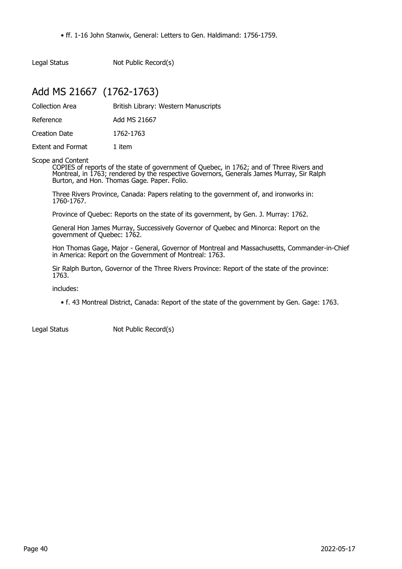• ff. 1-16 John Stanwix, General: Letters to Gen. Haldimand: 1756-1759.

Legal Status Not Public Record(s)

## Add MS 21667 (1762-1763)

Collection Area **British Library: Western Manuscripts** 

Reference Add MS 21667

Creation Date 1762-1763

Extent and Format 1 item

Scope and Content

COPIES of reports of the state of government of Quebec, in 1762; and of Three Rivers and Montreal, in 1763; rendered by the respective Governors, Generals James Murray, Sir Ralph Burton, and Hon. Thomas Gage. Paper. Folio.

Three Rivers Province, Canada: Papers relating to the government of, and ironworks in: 1760-1767.

Province of Quebec: Reports on the state of its government, by Gen. J. Murray: 1762.

General Hon James Murray, Successively Governor of Quebec and Minorca: Report on the government of Quebec: 1762.

Hon Thomas Gage, Major - General, Governor of Montreal and Massachusetts, Commander-in-Chief in America: Report on the Government of Montreal: 1763.

Sir Ralph Burton, Governor of the Three Rivers Province: Report of the state of the province: 1763.

includes:

• f. 43 Montreal District, Canada: Report of the state of the government by Gen. Gage: 1763.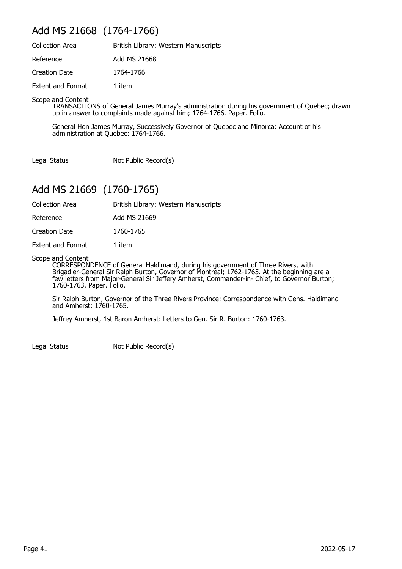## Add MS 21668 (1764-1766)

| <b>Collection Area</b>   | British Library: Western Manuscripts |
|--------------------------|--------------------------------------|
| Reference                | Add MS 21668                         |
| Creation Date            | 1764-1766                            |
| <b>Extent and Format</b> | 1 item                               |

Scope and Content

TRANSACTIONS of General James Murray's administration during his government of Quebec; drawn up in answer to complaints made against him; 1764-1766. Paper. Folio.

General Hon James Murray, Successively Governor of Quebec and Minorca: Account of his administration at Quebec: 1764-1766.

Legal Status Not Public Record(s)

# Add MS 21669 (1760-1765)

| Collection Area | British Library: Western Manuscripts |
|-----------------|--------------------------------------|
|-----------------|--------------------------------------|

Reference Add MS 21669

Creation Date 1760-1765

Extent and Format 1 item

Scope and Content

CORRESPONDENCE of General Haldimand, during his government of Three Rivers, with Brigadier-General Sir Ralph Burton, Governor of Montreal; 1762-1765. At the beginning are a few letters from Major-General Sir Jeffery Amherst, Commander-in- Chief, to Governor Burton; 1760-1763. Paper. Folio.

Sir Ralph Burton, Governor of the Three Rivers Province: Correspondence with Gens. Haldimand and Amherst: 1760-1765.

Jeffrey Amherst, 1st Baron Amherst: Letters to Gen. Sir R. Burton: 1760-1763.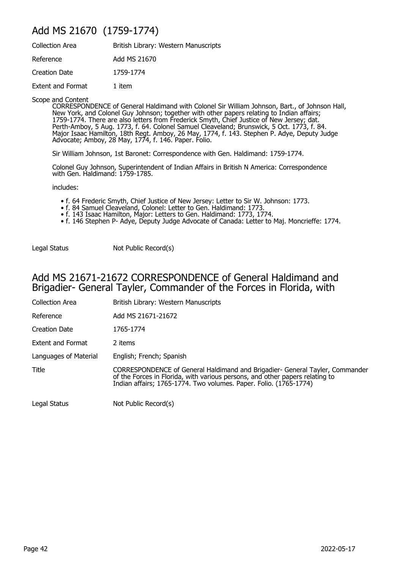## Add MS 21670 (1759-1774)

| <b>Collection Area</b>   | British Library: Western Manuscripts |
|--------------------------|--------------------------------------|
| Reference                | Add MS 21670                         |
| <b>Creation Date</b>     | 1759-1774                            |
| <b>Extent and Format</b> | 1 item                               |

Scope and Content

CORRESPONDENCE of General Haldimand with Colonel Sir William Johnson, Bart., of Johnson Hall, New York, and Colonel Guy Johnson; together with other papers relating to Indian affairs; 1759-1774. There are also letters from Frederick Smyth, Chief Justice of New Jersey; dat. Perth-Amboy, 5 Aug. 1773, f. 64. Colonel Samuel Cleaveland; Brunswick, 5 Oct. 1773, f. 84. Major Isaac Hamilton, 18th Regt. Amboy, 26 May, 1774, f. 143. Stephen P. Adye, Deputy Judge Advocate; Amboy, 28 May, 1774, f. 146. Paper. Folio.

Sir William Johnson, 1st Baronet: Correspondence with Gen. Haldimand: 1759-1774.

Colonel Guy Johnson, Superintendent of Indian Affairs in British N America: Correspondence with Gen. Haldimand: 1759-1785.

includes:

- f. 64 Frederic Smyth, Chief Justice of New Jersey: Letter to Sir W. Johnson: 1773.
- f. 84 Samuel Cleaveland, Colonel: Letter to Gen. Haldimand: 1773.
- f. 143 Isaac Hamilton, Major: Letters to Gen. Haldimand: 1773, 1774.
	- f. 146 Stephen P- Adye, Deputy Judge Advocate of Canada: Letter to Maj. Moncrieffe: 1774.

Legal Status Not Public Record(s)

### Add MS 21671-21672 CORRESPONDENCE of General Haldimand and Brigadier- General Tayler, Commander of the Forces in Florida, with

| <b>Collection Area</b>   | British Library: Western Manuscripts                                                                                                                                                                                              |
|--------------------------|-----------------------------------------------------------------------------------------------------------------------------------------------------------------------------------------------------------------------------------|
| Reference                | Add MS 21671-21672                                                                                                                                                                                                                |
| Creation Date            | 1765-1774                                                                                                                                                                                                                         |
| <b>Extent and Format</b> | 2 items                                                                                                                                                                                                                           |
| Languages of Material    | English; French; Spanish                                                                                                                                                                                                          |
| Title                    | CORRESPONDENCE of General Haldimand and Brigadier- General Tayler, Commander<br>of the Forces in Florida, with various persons, and other papers relating to<br>Indian affairs; 1765-1774. Two volumes. Paper. Folio. (1765-1774) |
| Legal Status             | Not Public Record(s)                                                                                                                                                                                                              |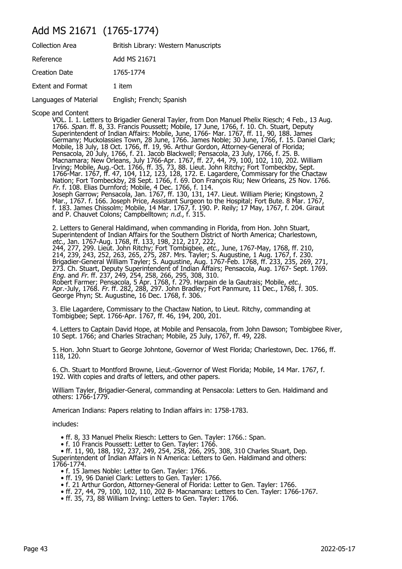## Add MS 21671 (1765-1774)

| <b>Collection Area</b>   | British Library: Western Manuscripts |
|--------------------------|--------------------------------------|
| Reference                | Add MS 21671                         |
| <b>Creation Date</b>     | 1765-1774                            |
| <b>Extent and Format</b> | 1 item                               |
| Languages of Material    | English; French; Spanish             |

Scope and Content

VOL. I. 1. Letters to Brigadier General Tayler, from Don Manuel Phelix Riesch; 4 Feb., 13 Aug. 1766. Span. ff. 8, 33. Francis Poussett; Mobile, 17 June, 1766, f. 10. Ch. Stuart, Deputy Superintendent of Indian Affairs: Mobile, June, 1766- Mar. 1767, ff. 11, 90, 188. James Germany; Muckolassies Town, 28 June, 1766. James Noble; 30 June, 1766, f. 15. Daniel Clark; Mobile, 18 July, 18 Oct. 1766, ff. 19, 96. Arthur Gordon, Attorney-General of Florida; Pensacola, 20 July, 1766, f. 21. Jacob Blackwell; Pensacola, 23 July, 1766, f. 25. B. Macnamara; New Orleans, July 1766-Apr. 1767, ff. 27, 44, 79, 100, 102, 110, 202. William Irving; Mobile, Aug.-Oct. 1766, ff. 35, 73, 88. Lieut. John Ritchy; Fort Tombeckby, Sept. 1766-Mar. 1767, ff. 47, 104, 112, 123, 128, 172. E. Lagardere, Commissary for the Chactaw Nation; Fort Tombeckby, 28 Sept. 1766, f. 69. Don François Riu; New Orleans, 25 Nov. 1766. Fr. f. 108. Elias Durnford; Mobile, 4 Dec. 1766, f. 114. Joseph Garrow; Pensacola, Jan. 1767, ff. 130, 131, 147. Lieut. William Pierie; Kingstown, 2 Mar., 1767. f. 166. Joseph Price, Assistant Surgeon to the Hospital; Fort Bute. 8 Mar. 1767, f. 183. James Chissolm; Mobile, 14 Mar. 1767, f. 190. P. Reily; 17 May, 1767, f. 204. Giraut and P. Chauvet Colons; Campbelltown; n.d., f. 315.

2. Letters to General Haldimand, when commanding in Florida, from Hon. John Stuart, Superintendent of Indian Affairs for the Southern District of North America; Charlestown, etc., Jan. 1767-Aug. 1768, ff. 133, 198, 212, 217, 222, 244, 277, 299. Lieut. John Ritchy; Fort Tombigbee, *etc.,* June, 1767-May, 1768, ff. 210, 214, 239, 243, 252, 263, 265, 275, 287. Mrs. Tayler; S. Augustine, 1 Aug. 1767, f. 230. Brigadier-General William Tayler; S. Augustine, Aug. 1767-Feb. 1768, ff. 233, 235, 269, 271, 273. Ch. Stuart, Deputy Superintendent of Indian Affairs; Pensacola, Aug. 1767- Sept. 1769. Eng. and Fr. ff. 237, 249, 254, 258, 266, 295, 308, 310. Robert Farmer; Pensacola, 5 Apr. 1768, f. 279. Harpain de la Gautrais; Mobile, etc., Apr.-July, 1768. Fr. ff. 282, 288, 297. John Bradley; Fort Panmure, 11 Dec., 1768, f. 305. George Phyn; St. Augustine, 16 Dec. 1768, f. 306.

3. Elie Lagardere, Commissary to the Chactaw Nation, to Lieut. Ritchy, commanding at Tombigbee; Sept. 1766-Apr. 1767, ff. 46, 194, 200, 201.

4. Letters to Captain David Hope, at Mobile and Pensacola, from John Dawson; Tombigbee River, 10 Sept. 1766; and Charles Strachan; Mobile, 25 July, 1767, ff. 49, 228.

5. Hon. John Stuart to George Johntone, Governor of West Florida; Charlestown, Dec. 1766, ff. 118, 120.

6. Ch. Stuart to Montford Browne, Lieut.-Governor of West Florida; Mobile, 14 Mar. 1767, f. 192. With copies and drafts of letters, and other papers.

William Tayler, Brigadier-General, commanding at Pensacola: Letters to Gen. Haldimand and others: 1766-1779.

American Indians: Papers relating to Indian affairs in: 1758-1783.

includes:

• ff. 8, 33 Manuel Phelix Riesch: Letters to Gen. Tayler: 1766.: Span.

• f. 10 Francis Poussett: Letter to Gen. Tayler: 1766.

 • ff. 11, 90, 188, 192, 237, 249, 254, 258, 266, 295, 308, 310 Charles Stuart, Dep. Superintendent of Indian Affairs in N America: Letters to Gen. Haldimand and others: 1766-1774.

- f. 15 James Noble: Letter to Gen. Tayler: 1766.
- ff. 19, 96 Daniel Clark: Letters to Gen. Tayler: 1766.
- f. 21 Arthur Gordon, Attorney-General of Florida: Letter to Gen. Tayler: 1766.
- ff. 27, 44, 79, 100, 102, 110, 202 B- Macnamara: Letters to Cen. Tayler: 1766-1767.
- ff. 35, 73, 88 William Irving: Letters to Gen. Tayler: 1766.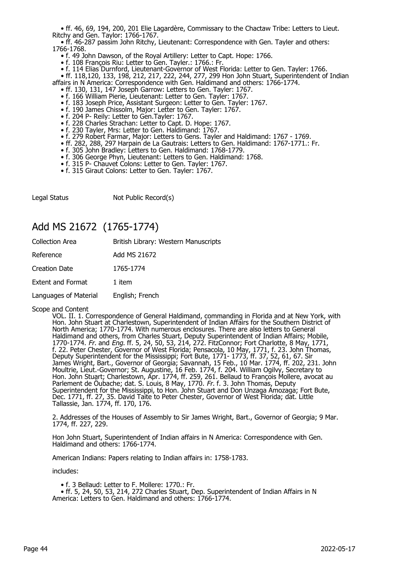• ff. 46, 69, 194, 200, 201 Elie Lagardère, Commissary to the Chactaw Tribe: Letters to Lieut. Ritchy and Gen. Taylor: 1766-1767.

 • ff. 46-287 passim John Ritchy, Lieutenant: Correspondence with Gen. Tayler and others: 1766-1768.

- f. 49 John Dawson, of the Royal Artillery: Letter to Capt. Hope: 1766.
- f. 108 François Riu: Letter to Gen. Tayler.: 1766.: Fr.

• f. 114 Elias Durnford, Lieutenant-Governor of West Florida: Letter to Gen. Tayler: 1766.

 • ff. 118,120, 133, 198, 212, 217, 222, 244, 277, 299 Hon John Stuart, Superintendent of Indian affairs in N America: Correspondence with Gen. Haldimand and others: 1766-1774.

- ff. 130, 131, 147 Joseph Garrow: Letters to Gen. Tayler: 1767.
- f. 166 William Pierie, Lieutenant: Letter to Gen. Tayler: 1767.
- f. 183 Joseph Price, Assistant Surgeon: Letter to Gen. Tayler: 1767.
- f. 190 James Chissolm, Major: Letter to Gen. Tayler: 1767.
	- f. 204 P- Reily: Letter to Gen.Tayler: 1767.
	- f. 228 Charles Strachan: Letter to Capt. D. Hope: 1767.
	- f. 230 Tayler, Mrs: Letter to Gen. Haldimand: 1767.
- f. 279 Robert Farmar, Major: Letters to Gens. Tayler and Haldimand: 1767 1769.
- ff. 282, 288, 297 Harpain de La Gautrais: Letters to Gen. Haldimand: 1767-1771.: Fr.
- f. 305 John Bradley: Letters to Gen. Haldimand: 1768-1779.
- f. 306 George Phyn, Lieutenant: Letters to Gen. Haldimand: 1768.
- f. 315 P- Chauvet Colons: Letter to Gen. Tayler: 1767.
	- f. 315 Giraut Colons: Letter to Gen. Tayler: 1767.

Legal Status Not Public Record(s)

### Add MS 21672 (1765-1774)

| <b>Collection Area</b>   | British Library: Western Manuscripts |
|--------------------------|--------------------------------------|
| Reference                | Add MS 21672                         |
| <b>Creation Date</b>     | 1765-1774                            |
| <b>Extent and Format</b> | 1 item                               |
| Languages of Material    | English; French                      |

Scope and Content

VOL. II. 1. Correspondence of General Haldimand, commanding in Florida and at New York, with Hon. John Stuart at Charlestown, Superintendent of Indian Affairs for the Southern District of North America; 1770-1774. With numerous enclosures. There are also letters to General Haldimand and others, from Charles Stuart, Deputy Superintendent of Indian Affairs; Mobile, 1770-1774. Fr. and Eng. ff. 5, 24, 50, 53, 214, 272. FitzConnor; Fort Charlotte, 8 May, 1771, f. 22. Peter Chester, Governor of West Florida; Pensacola, 10 May, 1771, f. 23. John Thomas, Deputy Superintendent for the Mississippi; Fort Bute, 1771- 1773, ff. 37, 52, 61, 67. Sir James Wright, Bart., Governor of Georgia; Savannah, 15 Feb., 10 Mar. 1774, ff. 202, 231. John Moultrie, Lieut.-Governor; St. Augustine, 16 Feb. 1774, f. 204. William Ogilvy, Secretary to Hon. John Stuart; Charlestown, Apr. 1774, ff. 259, 261. Bellaud to François Mollere, avocat au Parlement de Oubache; dat. S. Louis, 8 May, 1770. Fr. f. 3. John Thomas, Deputy Superintendent for the Mississippi, to Hon. John Stuart and Don Unzaga Amozaga; Fort Bute, Dec. 1771, ff. 27, 35. David Taite to Peter Chester, Governor of West Florida; dat. Little Tallassie, Jan. 1774, ff. 170, 176.

2. Addresses of the Houses of Assembly to Sir James Wright, Bart., Governor of Georgia; 9 Mar. 1774, ff. 227, 229.

Hon John Stuart, Superintendent of Indian affairs in N America: Correspondence with Gen. Haldimand and others: 1766-1774.

American Indians: Papers relating to Indian affairs in: 1758-1783.

includes:

• f. 3 Bellaud: Letter to F. Mollere: 1770.: Fr.

 • ff. 5, 24, 50, 53, 214, 272 Charles Stuart, Dep. Superintendent of Indian Affairs in N America: Letters to Gen. Haldimand and others: 1766-1774.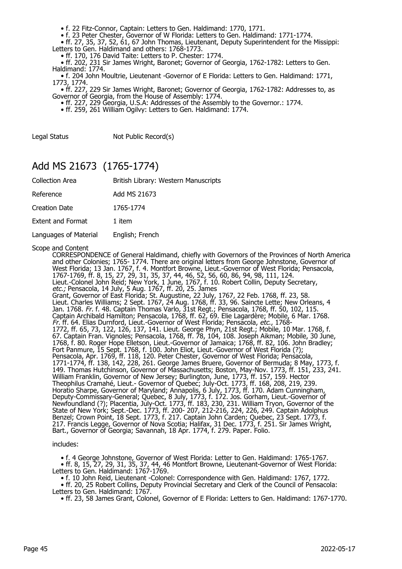• f. 22 Fitz-Connor, Captain: Letters to Gen. Haldimand: 1770, 1771.

• f. 23 Peter Chester, Governor of W Florida: Letters to Gen. Haldimand: 1771-1774.

• ff. 27, 35, 37, 52, 61, 67 John Thomas, Lieutenant, Deputy Superintendent for the Missippi:

Letters to Gen. Haldimand and others: 1768-1773.

• ff. 170, 176 David Taite: Letters to P. Chester: 1774.

 • ff. 202, 231 Sir James Wright, Baronet; Governor of Georgia, 1762-1782: Letters to Gen. Haldimand: 1774.

 • f. 204 John Moultrie, Lieutenant -Governor of E Florida: Letters to Gen. Haldimand: 1771, 1773, 1774.

 • ff. 227, 229 Sir James Wright, Baronet; Governor of Georgia, 1762-1782: Addresses to, as Governor of Georgia, from the House of Assembly: 1774.

• ff. 227, 229 Georgia, U.S.A: Addresses of the Assembly to the Governor.: 1774.

• ff. 259, 261 William Ogilvy: Letters to Gen. Haldimand: 1774.

Legal Status Not Public Record(s)

### Add MS 21673 (1765-1774)

| Collection Area | British Library: Western Manuscripts |
|-----------------|--------------------------------------|
|-----------------|--------------------------------------|

Reference Add MS 21673

Creation Date 1765-1774

Extent and Format 1 item

Languages of Material English; French

Scope and Content

CORRESPONDENCE of General Haldimand, chiefly with Governors of the Provinces of North America and other Colonies; 1765- 1774. There are original letters from George Johnstone, Governor of West Florida; 13 Jan. 1767, f. 4. Montfort Browne, Lieut.-Governor of West Florida; Pensacola, 1767-1769, ff. 8, 15, 27, 29, 31, 35, 37, 44, 46, 52, 56, 60, 86, 94, 98, 111, 124. Lieut.-Colonel John Reid; New York, 1 June, 1767, f. 10. Robert Collin, Deputy Secretary, etc.; Pensacola, 14 July, 5 Aug. 1767, ff. 20, 25. James Grant, Governor of East Florida; St. Augustine, 22 July, 1767, 22 Feb. 1768, ff. 23, 58. Lieut. Charles Williams; 2 Sept. 1767, 24 Aug. 1768, ff. 33, 96. Saincte Lette; New Orleans, 4 Jan. 1768. Fr. f. 48. Captain Thomas Varlo, 31st Regt.; Pensacola, 1768, ff. 50, 102, 115. Captain Archibald Hamilton; Pensacola, 1768, ff. 62, 69. Elie Lagardère; Mobile, 6 Mar. 1768. Fr. ff. 64. Elias Durnford, Lieut.-Governor of West Florida; Pensacola, etc., 1768- 1772, ff. 65, 73, 122, 126, 137, 141. Lieut. George Phyn, 21st Regt.; Mobile, 10 Mar. 1768, f. 67. Captain Fran. Vignoles; Pensacola, 1768, ff. 78, 104, 108. Joseph Aikman; Mobile, 30 June, 1768, f. 80. Roger Hope Elletson, Lieut.-Governor of Jamaica; 1768, ff. 82, 106. John Bradley; Fort Panmure, 15 Sept. 1768, f. 100. John Eliot, Lieut.-Governor of West Florida (?); Pensacola, Apr. 1769, ff. 118, 120. Peter Chester, Governor of West Florida; Pensacola, 1771-1774, ff. 138, 142, 228, 261. George James Bruere, Governor of Bermuda; 8 May, 1773, f. 149. Thomas Hutchinson, Governor of Massachusetts; Boston, May-Nov. 1773, ff. 151, 233, 241. William Franklin, Governor of New Jersey; Burlington, June, 1773, ff. 157, 159. Hector Theophilus Cramahé, Lieut.- Governor of Quebec; July-Oct. 1773, ff. 168, 208, 219, 239. Horatio Sharpe, Governor of Maryland; Annapolis, 6 July, 1773, ff. 170. Adam Cunningham, Deputy-Commissary-General; Quebec, 8 July, 1773, f. 172. Jos. Gorham, Lieut.-Governor of Newfoundland (?); Placentia, July-Oct. 1773, ff. 183, 230, 231. William Tryon, Governor of the State of New York; Sept.-Dec. 1773, ff. 200- 207, 212-216, 224, 226, 249. Captain Adolphus Benzel; Crown Point, 18 Sept. 1773, f. 217. Captain John Carden; Quebec, 23 Sept. 1773, f. 217. Francis Legge, Governor of Nova Scotia; Halifax, 31 Dec. 1773, f. 251. Sir James Wright, Bart., Governor of Georgia; Savannah, 18 Apr. 1774, f. 279. Paper. Folio.

#### includes:

 • f. 4 George Johnstone, Governor of West Florida: Letter to Gen. Haldimand: 1765-1767. • ff. 8, 15, 27, 29, 31, 35, 37, 44, 46 Montfort Browne, Lieutenant-Governor of West Florida: Letters to Gen. Haldimand: 1767-1769.

• f. 10 John Reid, Lieutenant -Colonel: Correspondence with Gen. Haldimand: 1767, 1772.

 • ff. 20, 25 Robert Collins, Deputy Provincial Secretary and Clerk of the Council of Pensacola: Letters to Gen. Haldimand: 1767.

• ff. 23, 58 James Grant, Colonel, Governor of E Florida: Letters to Gen. Haldimand: 1767-1770.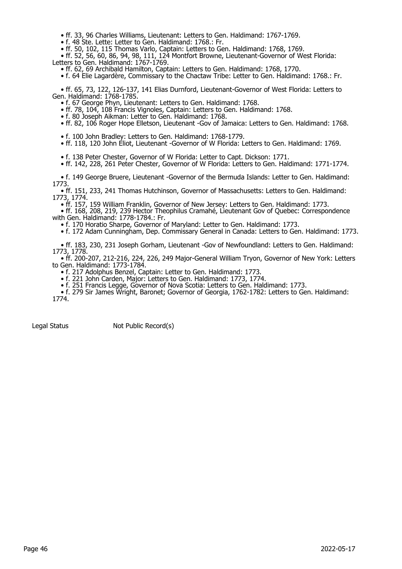• ff. 33, 96 Charles Williams, Lieutenant: Letters to Gen. Haldimand: 1767-1769.

• f. 48 Ste. Lette: Letter to Gen. Haldimand: 1768.: Fr.

• ff. 50, 102, 115 Thomas Varlo, Captain: Letters to Gen. Haldimand: 1768, 1769.

 • ff. 52, 56, 60, 86, 94, 98, 111, 124 Montfort Browne, Lieutenant-Governor of West Florida: Letters to Gen. Haldimand: 1767-1769.

• ff. 62, 69 Archibald Hamilton, Captain: Letters to Gen. Haldimand: 1768, 1770.

• f. 64 Elie Lagardère, Commissary to the Chactaw Tribe: Letter to Gen. Haldimand: 1768.: Fr.

 • ff. 65, 73, 122, 126-137, 141 Elias Durnford, Lieutenant-Governor of West Florida: Letters to Gen. Haldimand: 1768-1785.

• f. 67 George Phyn, Lieutenant: Letters to Gen. Haldimand: 1768.

• ff. 78, 104, 108 Francis Vignoles, Captain: Letters to Gen. Haldimand: 1768.

• f. 80 Joseph Aikman: Letter to Gen. Haldimand: 1768.

• ff. 82, 106 Roger Hope Elletson, Lieutenant -Gov of Jamaica: Letters to Gen. Haldimand: 1768.

• f. 100 John Bradley: Letters to Gen. Haldimand: 1768-1779.

• ff. 118, 120 John Eliot, Lieutenant -Governor of W Florida: Letters to Gen. Haldimand: 1769.

• f. 138 Peter Chester, Governor of W Florida: Letter to Capt. Dickson: 1771.

• ff. 142, 228, 261 Peter Chester, Governor of W Florida: Letters to Gen. Haldimand: 1771-1774.

 • f. 149 George Bruere, Lieutenant -Governor of the Bermuda Islands: Letter to Gen. Haldimand: 1773.

 • ff. 151, 233, 241 Thomas Hutchinson, Governor of Massachusetts: Letters to Gen. Haldimand: 1773, 1774.

• ff. 157, 159 William Franklin, Governor of New Jersey: Letters to Gen. Haldimand: 1773.

 • ff. 168, 208, 219, 239 Hector Theophilus Cramahé, Lieutenant Gov of Quebec: Correspondence with Gen. Haldimand: 1778-1784.: Fr.

• f. 170 Horatio Sharpe, Governor of Maryland: Letter to Gen. Haldimand: 1773.

• f. 172 Adam Cunningham, Dep. Commissary General in Canada: Letters to Gen. Haldimand: 1773.

 • ff. 183, 230, 231 Joseph Gorham, Lieutenant -Gov of Newfoundland: Letters to Gen. Haldimand: 1773, 1778.

 • ff. 200-207, 212-216, 224, 226, 249 Major-General William Tryon, Governor of New York: Letters to Gen. Haldimand: 1773-1784.

• f. 217 Adolphus Benzel, Captain: Letter to Gen. Haldimand: 1773.

• f. 221 John Carden, Major: Letters to Gen. Haldimand: 1773, 1774.

• f. 251 Francis Legge, Governor of Nova Scotia: Letters to Gen. Haldimand: 1773.

 • f. 279 Sir James Wright, Baronet; Governor of Georgia, 1762-1782: Letters to Gen. Haldimand: 1774.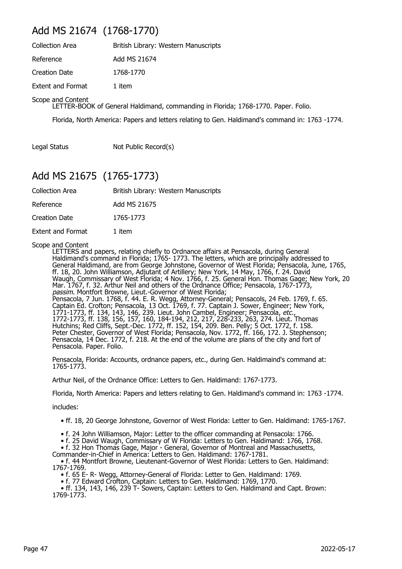## Add MS 21674 (1768-1770)

| <b>Collection Area</b>   | British Library: Western Manuscripts |
|--------------------------|--------------------------------------|
| Reference                | Add MS 21674                         |
| Creation Date            | 1768-1770                            |
| <b>Extent and Format</b> | 1 item                               |

Scope and Content

LETTER-BOOK of General Haldimand, commanding in Florida; 1768-1770. Paper. Folio.

Florida, North America: Papers and letters relating to Gen. Haldimand's command in: 1763 -1774.

Legal Status Not Public Record(s)

## Add MS 21675 (1765-1773)

| <b>Collection Area</b>   | British Library: Western Manuscripts |
|--------------------------|--------------------------------------|
| Reference                | Add MS 21675                         |
| Creation Date            | 1765-1773                            |
| <b>Extent and Format</b> | 1 item                               |

#### Scope and Content

LETTERS and papers, relating chiefly to Ordnance affairs at Pensacola, during General Haldimand's command in Florida; 1765- 1773. The letters, which are principally addressed to General Haldimand, are from George Johnstone, Governor of West Florida; Pensacola, June, 1765, ff. 18, 20. John Williamson, Adjutant of Artillery; New York, 14 May, 1766, f. 24. David Waugh, Commissary of West Florida; 4 Nov. 1766, f. 25. General Hon. Thomas Gage; New York, 20 Mar. 1767, f. 32. Arthur Neil and others of the Ordnance Office; Pensacola, 1767-1773, passim. Montfort Browne, Lieut.-Governor of West Florida; Pensacola, 7 Jun. 1768, f. 44. E. R. Wegg, Attorney-General; Pensacols, 24 Feb. 1769, f. 65. Captain Ed. Crofton; Pensacola, 13 Oct. 1769, f. 77. Captain J. Sower, Engineer; New York, 1771-1773, ff. 134, 143, 146, 239. Lieut. John Cambel, Engineer; Pensacola, etc., 1772-1773, ff. 138, 156, 157, 160, 184-194, 212, 217, 228-233, 263, 274. Lieut. Thomas Hutchins; Red Cliffs, Sept.-Dec. 1772, ff. 152, 154, 209. Ben. Pelly; 5 Oct. 1772, f. 158. Peter Chester, Governor of West Florida; Pensacola, Nov. 1772, ff. 166, 172. J. Stephenson; Pensacola, 14 Dec. 1772, f. 218. At the end of the volume are plans of the city and fort of Pensacola. Paper. Folio.

Pensacola, Florida: Accounts, ordnance papers, etc., during Gen. Haldimaind's command at: 1765-1773.

Arthur Neil, of the Ordnance Office: Letters to Gen. Haldimand: 1767-1773.

Florida, North America: Papers and letters relating to Gen. Haldimand's command in: 1763 -1774.

includes:

• ff. 18, 20 George Johnstone, Governor of West Florida: Letter to Gen. Haldimand: 1765-1767.

• f. 24 John Williamson, Major: Letter to the officer commanding at Pensacola: 1766.

• f. 25 David Waugh, Commissary of W Florida: Letters to Gen. Haldimand: 1766, 1768.

• f. 32 Hon Thomas Gage, Major - General, Governor of Montreal and Massachusetts,

Commander-in-Chief in America: Letters to Gen. Haldimand: 1767-1781.

 • f. 44 Montfort Browne, Lieutenant-Governor of West Florida: Letters to Gen. Haldimand: 1767-1769.

• f. 65 E- R- Wegg, Attorney-General of Florida: Letter to Gen. Haldimand: 1769.

• f. 77 Edward Crofton, Captain: Letters to Gen. Haldimand: 1769, 1770.

 • ff. 134, 143, 146, 239 T- Sowers, Captain: Letters to Gen. Haldimand and Capt. Brown: 1769-1773.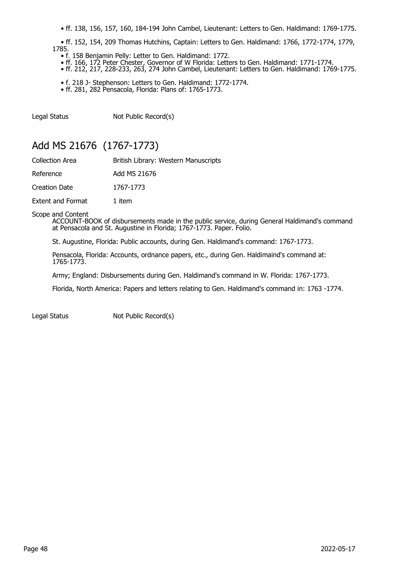• ff. 138, 156, 157, 160, 184-194 John Cambel, Lieutenant: Letters to Gen. Haldimand: 1769-1775.

 • ff. 152, 154, 209 Thomas Hutchins, Captain: Letters to Gen. Haldimand: 1766, 1772-1774, 1779, 1785.

- f. 158 Benjamin Pelly: Letter to Gen. Haldimand: 1772.
- ff. 166, 172 Peter Chester, Governor of W Florida: Letters to Gen. Haldimand: 1771-1774.
- ff. 212, 217, 228-233, 263, 274 John Cambel, Lieutenant: Letters to Gen. Haldimand: 1769-1775.
	- f. 218 J- Stephenson: Letters to Gen. Haldimand: 1772-1774. • ff. 281, 282 Pensacola, Florida: Plans of: 1765-1773.

Legal Status Not Public Record(s)

# Add MS 21676 (1767-1773)

| <b>Collection Area</b>   | British Library: Western Manuscripts |
|--------------------------|--------------------------------------|
| Reference                | Add MS 21676                         |
| Creation Date            | 1767-1773                            |
| <b>Extent and Format</b> | 1 item                               |

Scope and Content

ACCOUNT-BOOK of disbursements made in the public service, during General Haldimand's command at Pensacola and St. Augustine in Florida; 1767-1773. Paper. Folio.

St. Augustine, Florida: Public accounts, during Gen. Haldimand's command: 1767-1773.

Pensacola, Florida: Accounts, ordnance papers, etc., during Gen. Haldimaind's command at: 1765-1773.

Army; England: Disbursements during Gen. Haldimand's command in W. Florida: 1767-1773.

Florida, North America: Papers and letters relating to Gen. Haldimand's command in: 1763 -1774.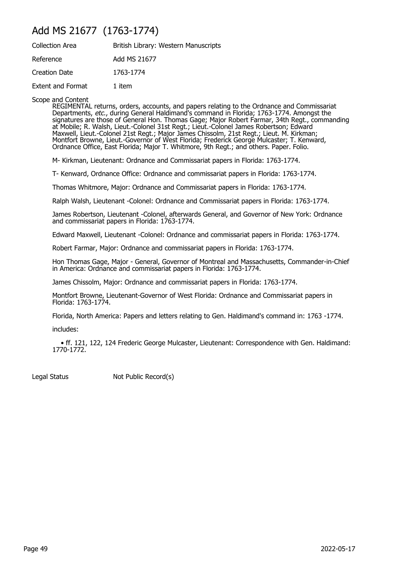## Add MS 21677 (1763-1774)

| <b>Collection Area</b>   | British Library: Western Manuscripts |
|--------------------------|--------------------------------------|
| Reference                | Add MS 21677                         |
| Creation Date            | 1763-1774                            |
| <b>Extent and Format</b> | 1 item                               |

Scope and Content

REGIMENTAL returns, orders, accounts, and papers relating to the Ordnance and Commissariat Departments, *etc.*, during General Haldimand's command in Florida; 1763-1774. Amongst the signatures are those of General Hon. Thomas Gage; Major Robert Farmar, 34th Regt., commanding at Mobile; R. Walsh, Lieut.-Colonel 31st Regt.; Lieut.-Colonel James Robertson; Edward Maxwell, Lieut.-Colonel 21st Regt.; Major James Chissolm, 21st Regt.; Lieut. M. Kirkman; Montfort Browne, Lieut.-Governor of West Florida; Frederick George Mulcaster; T. Kenward, Ordnance Office, East Florida; Major T. Whitmore, 9th Regt.; and others. Paper. Folio.

M- Kirkman, Lieutenant: Ordnance and Commissariat papers in Florida: 1763-1774.

T- Kenward, Ordnance Office: Ordnance and commissariat papers in Florida: 1763-1774.

Thomas Whitmore, Major: Ordnance and Commissariat papers in Florida: 1763-1774.

Ralph Walsh, Lieutenant -Colonel: Ordnance and Commissariat papers in Florida: 1763-1774.

James Robertson, Lieutenant -Colonel, afterwards General, and Governor of New York: Ordnance and commissariat papers in Florida: 1763-1774.

Edward Maxwell, Lieutenant -Colonel: Ordnance and commissariat papers in Florida: 1763-1774.

Robert Farmar, Major: Ordnance and commissariat papers in Florida: 1763-1774.

Hon Thomas Gage, Major - General, Governor of Montreal and Massachusetts, Commander-in-Chief in America: Ordnance and commissariat papers in Florida: 1763-1774.

James Chissolm, Major: Ordnance and commissariat papers in Florida: 1763-1774.

Montfort Browne, Lieutenant-Governor of West Florida: Ordnance and Commissariat papers in Florida: 1763-1774.

Florida, North America: Papers and letters relating to Gen. Haldimand's command in: 1763 -1774.

includes:

 • ff. 121, 122, 124 Frederic George Mulcaster, Lieutenant: Correspondence with Gen. Haldimand: 1770-1772.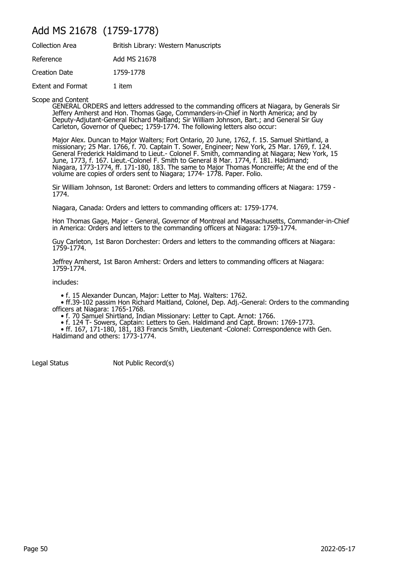## Add MS 21678 (1759-1778)

| <b>Collection Area</b>   | British Library: Western Manuscripts |
|--------------------------|--------------------------------------|
| Reference                | Add MS 21678                         |
| <b>Creation Date</b>     | 1759-1778                            |
| <b>Extent and Format</b> | 1 item                               |

Scope and Content

GENERAL ORDERS and letters addressed to the commanding officers at Niagara, by Generals Sir Jeffery Amherst and Hon. Thomas Gage, Commanders-in-Chief in North America; and by Deputy-Adjutant-General Richard Maitland; Sir William Johnson, Bart.; and General Sir Guy Carleton, Governor of Quebec; 1759-1774. The following letters also occur:

Major Alex. Duncan to Major Walters; Fort Ontario, 20 June, 1762, f. 15. Samuel Shirtland, a missionary; 25 Mar. 1766, f. 70. Captain T. Sower, Engineer; New York, 25 Mar. 1769, f. 124. General Frederick Haldimand to Lieut.- Colonel F. Smith, commanding at Niagara; New York, 15 June, 1773, f. 167. Lieut.-Colonel F. Smith to General 8 Mar. 1774, f. 181. Haldimand; Niagara, 1773-1774, ff. 171-180, 183. The same to Major Thomas Moncreiffe; At the end of the volume are copies of orders sent to Niagara; 1774- 1778. Paper. Folio.

Sir William Johnson, 1st Baronet: Orders and letters to commanding officers at Niagara: 1759 - 1774.

Niagara, Canada: Orders and letters to commanding officers at: 1759-1774.

Hon Thomas Gage, Major - General, Governor of Montreal and Massachusetts, Commander-in-Chief in America: Orders and letters to the commanding officers at Niagara: 1759-1774.

Guy Carleton, 1st Baron Dorchester: Orders and letters to the commanding officers at Niagara: 1759-1774.

Jeffrey Amherst, 1st Baron Amherst: Orders and letters to commanding officers at Niagara: 1759-1774.

includes:

• f. 15 Alexander Duncan, Major: Letter to Maj. Walters: 1762.

 • ff.39-102 passim Hon Richard Maitland, Colonel, Dep. Adj.-General: Orders to the commanding officers at Niagara: 1765-1768.

• f. 70 Samuel Shirtland, Indian Missionary: Letter to Capt. Arnot: 1766.

• f. 124 T- Sowers, Captain: Letters to Gen. Haldimand and Capt. Brown: 1769-1773.

 • ff. 167, 171-180, 181, 183 Francis Smith, Lieutenant -Colonel: Correspondence with Gen. Haldimand and others: 1773-1774.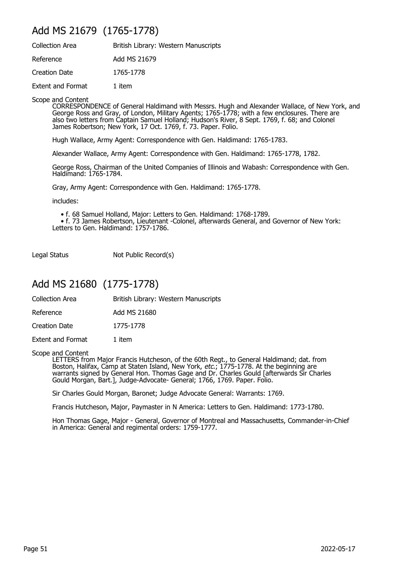## Add MS 21679 (1765-1778)

| <b>Collection Area</b>   | British Library: Western Manuscripts |
|--------------------------|--------------------------------------|
| Reference                | Add MS 21679                         |
| Creation Date            | 1765-1778                            |
| <b>Extent and Format</b> | 1 item                               |

Scope and Content

CORRESPONDENCE of General Haldimand with Messrs. Hugh and Alexander Wallace, of New York, and George Ross and Gray, of London, Military Agents; 1765-1778; with a few enclosures. There are also two letters from Captain Samuel Holland; Hudson's River, 8 Sept. 1769, f. 68; and Colonel James Robertson; New York, 17 Oct. 1769, f. 73. Paper. Folio.

Hugh Wallace, Army Agent: Correspondence with Gen. Haldimand: 1765-1783.

Alexander Wallace, Army Agent: Correspondence with Gen. Haldimand: 1765-1778, 1782.

George Ross, Chairman of the United Companies of Illinois and Wabash: Correspondence with Gen. Haldimand: 1765-1784.

Gray, Army Agent: Correspondence with Gen. Haldimand: 1765-1778.

includes:

• f. 68 Samuel Holland, Major: Letters to Gen. Haldimand: 1768-1789.

 • f. 73 James Robertson, Lieutenant -Colonel, afterwards General, and Governor of New York: Letters to Gen. Haldimand: 1757-1786.

Legal Status Not Public Record(s)

## Add MS 21680 (1775-1778)

| Collection Area | British Library: Western Manuscripts |  |
|-----------------|--------------------------------------|--|
|                 |                                      |  |

Reference Add MS 21680

Creation Date 1775-1778

Extent and Format 1 item

Scope and Content

LETTERS from Major Francis Hutcheson, of the 60th Regt., to General Haldimand; dat. from Boston, Halifax, Camp at Staten Island, New York, *etc*.; 1775-1778. At the beginning are warrants signed by General Hon. Thomas Gage and Dr. Charles Gould [afterwards Sir Charles Gould Morgan, Bart.], Judge-Advocate- General; 1766, 1769. Paper. Folio.

Sir Charles Gould Morgan, Baronet; Judge Advocate General: Warrants: 1769.

Francis Hutcheson, Major, Paymaster in N America: Letters to Gen. Haldimand: 1773-1780.

Hon Thomas Gage, Major - General, Governor of Montreal and Massachusetts, Commander-in-Chief in America: General and regimental orders: 1759-1777.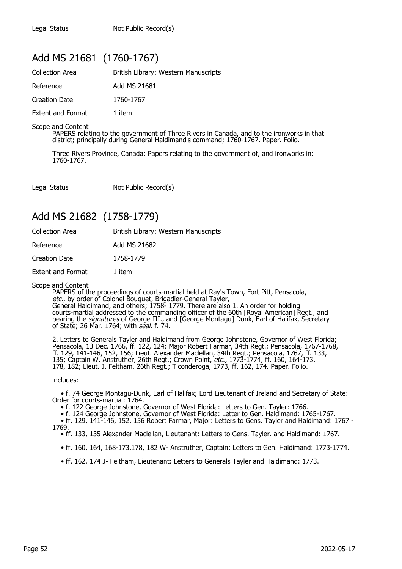# Add MS 21681 (1760-1767)

| <b>Collection Area</b>   | British Library: Western Manuscripts |
|--------------------------|--------------------------------------|
| Reference                | Add MS 21681                         |
| Creation Date            | 1760-1767                            |
| <b>Extent and Format</b> | 1 item                               |

Scope and Content

PAPERS relating to the government of Three Rivers in Canada, and to the ironworks in that district; principally during General Haldimand's command; 1760-1767. Paper. Folio.

Three Rivers Province, Canada: Papers relating to the government of, and ironworks in: 1760-1767

Legal Status Not Public Record(s)

## Add MS 21682 (1758-1779)

| <b>Collection Area</b>   | British Library: Western Manuscripts |
|--------------------------|--------------------------------------|
| Reference                | Add MS 21682                         |
| Creation Date            | 1758-1779                            |
| <b>Extent and Format</b> | 1 item                               |
|                          |                                      |

Scope and Content

PAPERS of the proceedings of courts-martial held at Ray's Town, Fort Pitt, Pensacola, etc., by order of Colonel Bouquet, Brigadier-General Tayler, General Haldimand, and others; 1758- 1779. There are also 1. An order for holding courts-martial addressed to the commanding officer of the 60th [Royal American] Regt., and bearing the *signatures* of George III., and [George Montagu] Dunk, Earl of Halifax, Secretary of State; 26 Mar. 1764; with *seal.* f. 74.

2. Letters to Generals Tayler and Haldimand from George Johnstone, Governor of West Florida; Pensacola, 13 Dec. 1766, ff. 122, 124; Major Robert Farmar, 34th Regt.; Pensacola, 1767-1768, ff. 129, 141-146, 152, 156; Lieut. Alexander Maclellan, 34th Regt.; Pensacola, 1767, ff. 133, 135; Captain W. Anstruther, 26th Regt.; Crown Point, etc., 1773-1774, ff. 160, 164-173, 178, 182; Lieut. J. Feltham, 26th Regt.; Ticonderoga, 1773, ff. 162, 174. Paper. Folio.

includes:

 • f. 74 George Montagu-Dunk, Earl of Halifax; Lord Lieutenant of Ireland and Secretary of State: Order for courts-martial: 1764.

• f. 122 George Johnstone, Governor of West Florida: Letters to Gen. Tayler: 1766.

 • f. 124 George Johnstone, Governor of West Florida: Letter to Gen. Haldimand: 1765-1767. • ff. 129, 141-146, 152, 156 Robert Farmar, Major: Letters to Gens. Tayler and Haldimand: 1767 - 1769.

• ff. 133, 135 Alexander Maclellan, Lieutenant: Letters to Gens. Tayler. and Haldimand: 1767.

• ff. 160, 164, 168-173,178, 182 W- Anstruther, Captain: Letters to Gen. Haldimand: 1773-1774.

• ff. 162, 174 J- Feltham, Lieutenant: Letters to Generals Tayler and Haldimand: 1773.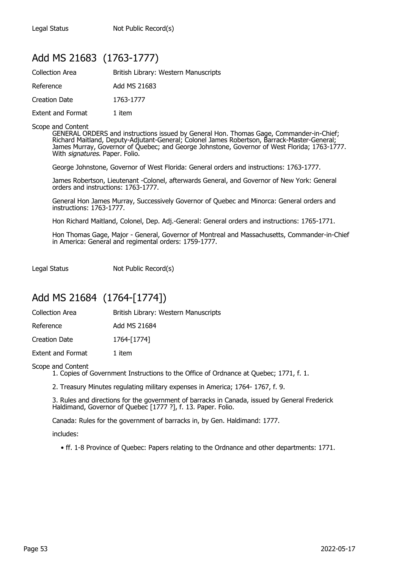# Add MS 21683 (1763-1777)

| <b>Collection Area</b>   | British Library: Western Manuscripts |
|--------------------------|--------------------------------------|
| Reference                | Add MS 21683                         |
| Creation Date            | 1763-1777                            |
| <b>Extent and Format</b> | 1 item                               |

#### Scope and Content

GENERAL ORDERS and instructions issued by General Hon. Thomas Gage, Commander-in-Chief; Richard Maitland, Deputy-Adjutant-General; Colonel James Robertson, Barrack-Master-General; James Murray, Governor of Quebec; and George Johnstone, Governor of West Florida; 1763-1777. With signatures. Paper. Folio.

George Johnstone, Governor of West Florida: General orders and instructions: 1763-1777.

James Robertson, Lieutenant -Colonel, afterwards General, and Governor of New York: General orders and instructions: 1763-1777.

General Hon James Murray, Successively Governor of Quebec and Minorca: General orders and instructions: 1763-1777.

Hon Richard Maitland, Colonel, Dep. Adj.-General: General orders and instructions: 1765-1771.

Hon Thomas Gage, Major - General, Governor of Montreal and Massachusetts, Commander-in-Chief in America: General and regimental orders: 1759-1777.

Legal Status Not Public Record(s)

## Add MS 21684 (1764-[1774])

Reference Add MS 21684

Creation Date 1764-[1774]

Extent and Format 1 item

#### Scope and Content

1. Copies of Government Instructions to the Office of Ordnance at Quebec; 1771, f. 1.

2. Treasury Minutes regulating military expenses in America; 1764- 1767, f. 9.

3. Rules and directions for the government of barracks in Canada, issued by General Frederick Haldimand, Governor of Quebec [1777 ?], f. 13. Paper. Folio.

Canada: Rules for the government of barracks in, by Gen. Haldimand: 1777.

includes:

• ff. 1-8 Province of Quebec: Papers relating to the Ordnance and other departments: 1771.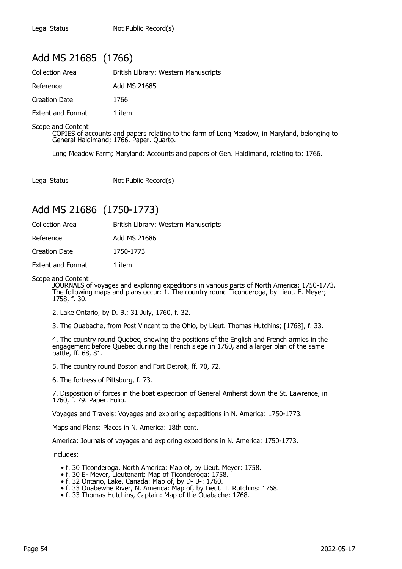## Add MS 21685 (1766)

| <b>Collection Area</b>   | British Library: Western Manuscripts |
|--------------------------|--------------------------------------|
| Reference                | Add MS 21685                         |
| Creation Date            | 1766                                 |
| <b>Extent and Format</b> | 1 item                               |

Scope and Content

COPIES of accounts and papers relating to the farm of Long Meadow, in Maryland, belonging to General Haldimand; 1766. Paper. Quarto.

Long Meadow Farm; Maryland: Accounts and papers of Gen. Haldimand, relating to: 1766.

Legal Status Not Public Record(s)

## Add MS 21686 (1750-1773)

| <b>Collection Area</b> | British Library: Western Manuscripts |  |
|------------------------|--------------------------------------|--|
|                        |                                      |  |

| Reference | Add MS 21686 |  |  |
|-----------|--------------|--|--|
|           |              |  |  |

Creation Date 1750-1773

Extent and Format 1 item

Scope and Content

JOURNALS of voyages and exploring expeditions in various parts of North America; 1750-1773. The following maps and plans occur: 1. The country round Ticonderoga, by Lieut. E. Meyer; 1758, f. 30.

2. Lake Ontario, by D. B.; 31 July, 1760, f. 32.

3. The Ouabache, from Post Vincent to the Ohio, by Lieut. Thomas Hutchins; [1768], f. 33.

4. The country round Quebec, showing the positions of the English and French armies in the engagement before Quebec during the French siege in 1760, and a larger plan of the same battle, ff. 68, 81.

5. The country round Boston and Fort Detroit, ff. 70, 72.

6. The fortress of Pittsburg, f. 73.

7. Disposition of forces in the boat expedition of General Amherst down the St. Lawrence, in 1760, f. 79. Paper. Folio.

Voyages and Travels: Voyages and exploring expeditions in N. America: 1750-1773.

Maps and Plans: Places in N. America: 18th cent.

America: Journals of voyages and exploring expeditions in N. America: 1750-1773.

includes:

- f. 30 Ticonderoga, North America: Map of, by Lieut. Meyer: 1758.
- f. 30 E- Meyer, Lieutenant: Map of Ticonderoga: 1758.
- f. 32 Ontario, Lake, Canada: Map of, by D- B-: 1760.
- f. 33 Ouabewhe River, N. America: Map of, by Lieut. T. Rutchins: 1768.
	- f. 33 Thomas Hutchins, Captain: Map of the Ouabache: 1768.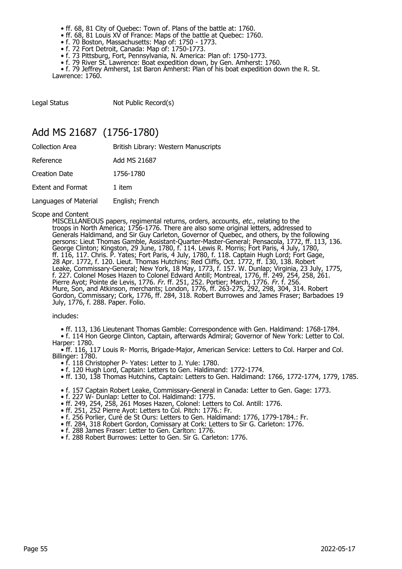- ff. 68, 81 City of Quebec: Town of. Plans of the battle at: 1760.
- ff. 68, 81 Louis XV of France: Maps of the battle at Quebec: 1760.
- f. 70 Boston, Massachusetts: Map of: 1750 1773.
- f. 72 Fort Detroit, Canada: Map of: 1750-1773.
	- f. 73 Pittsburg, Fort, Pennsylvania, N. America: Plan of: 1750-1773.
	- f. 79 River St. Lawrence: Boat expedition down, by Gen. Amherst: 1760.

• f. 79 Jeffrey Amherst, 1st Baron Amherst: Plan of his boat expedition down the R. St. Lawrence: 1760.

Legal Status Not Public Record(s)

### Add MS 21687 (1756-1780)

| Collection Area          | British Library: Western Manuscripts |
|--------------------------|--------------------------------------|
| Reference                | Add MS 21687                         |
| Creation Date            | 1756-1780                            |
| <b>Extent and Format</b> | 1 item                               |
| Languages of Material    | English; French                      |
|                          |                                      |

#### Scope and Content

MISCELLANEOUS papers, regimental returns, orders, accounts, etc., relating to the troops in North America; 1756-1776. There are also some original letters, addressed to Generals Haldimand, and Sir Guy Carleton, Governor of Quebec, and others, by the following persons: Lieut Thomas Gamble, Assistant-Quarter-Master-General; Pensacola, 1772, ff. 113, 136. George Clinton; Kingston, 29 June, 1780, f. 114. Lewis R. Morris; Fort Paris, 4 July, 1780, ff. 116, 117. Chris. P. Yates; Fort Paris, 4 July, 1780, f. 118. Captain Hugh Lord; Fort Gage, 28 Apr. 1772, f. 120. Lieut. Thomas Hutchins; Red Cliffs, Oct. 1772, ff. 130, 138. Robert Leake, Commissary-General; New York, 18 May, 1773, f. 157. W. Dunlap; Virginia, 23 July, 1775, f. 227. Colonel Moses Hazen to Colonel Edward Antill; Montreal, 1776, ff. 249, 254, 258, 261. Pierre Ayot; Pointe de Levis, 1776. Fr. ff. 251, 252. Portier; March, 1776. Fr. f. 256. Mure, Son, and Atkinson, merchants; London, 1776, ff. 263-275, 292, 298, 304, 314. Robert Gordon, Commissary; Cork, 1776, ff. 284, 318. Robert Burrowes and James Fraser; Barbadoes 19 July, 1776, f. 288. Paper. Folio.

includes:

• ff. 113, 136 Lieutenant Thomas Gamble: Correspondence with Gen. Haldimand: 1768-1784.

 • f. 114 Hon George Clinton, Captain, afterwards Admiral; Governor of New York: Letter to Col. Harper: 1780.

 • ff. 116, 117 Louis R- Morris, Brigade-Major, American Service: Letters to Col. Harper and Col. Billinger: 1780.

- f. 118 Christopher P- Yates: Letter to J. Yule: 1780.
- f. 120 Hugh Lord, Captain: Letters to Gen. Haldimand: 1772-1774.
- ff. 130, 138 Thomas Hutchins, Captain: Letters to Gen. Haldimand: 1766, 1772-1774, 1779, 1785.
- f. 157 Captain Robert Leake, Commissary-General in Canada: Letter to Gen. Gage: 1773.
- f. 227 W- Dunlap: Letter to Col. Haldimand: 1775.
- ff. 249, 254, 258, 261 Moses Hazen, Colonel: Letters to Col. Antill: 1776.
- ff. 251, 252 Pierre Ayot: Letters to Col. Pitch: 1776.: Fr.
	- f. 256 Porlier, Curé de St Ours: Letters to Gen. Haldimand: 1776, 1779-1784.: Fr.
	- ff. 284, 318 Robert Gordon, Comissary at Cork: Letters to Sir G. Carleton: 1776.
	- f. 288 James Fraser: Letter to Gen. Carlton: 1776.
	- f. 288 Robert Burrowes: Letter to Gen. Sir G. Carleton: 1776.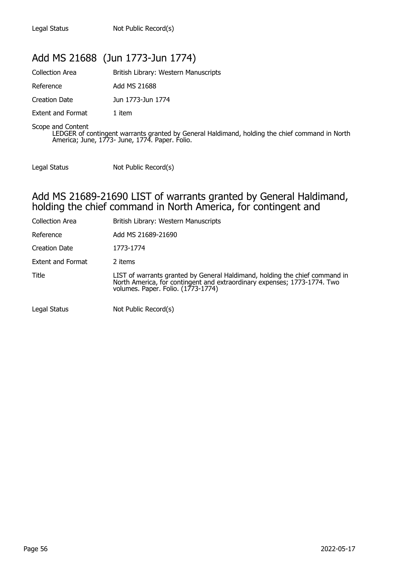## Add MS 21688 (Jun 1773-Jun 1774)

| Collection Area          | British Library: Western Manuscripts |
|--------------------------|--------------------------------------|
| Reference                | Add MS 21688                         |
| Creation Date            | Jun 1773-Jun 1774                    |
| <b>Extent and Format</b> | 1 item                               |
| $\sim$                   |                                      |

Scope and Content LEDGER of contingent warrants granted by General Haldimand, holding the chief command in North America; June, 1773- June, 1774. Paper. Folio.

Legal Status Not Public Record(s)

### Add MS 21689-21690 LIST of warrants granted by General Haldimand, holding the chief command in North America, for contingent and

| <b>Collection Area</b> | British Library: Western Manuscripts                                                                                                                                                          |
|------------------------|-----------------------------------------------------------------------------------------------------------------------------------------------------------------------------------------------|
| Reference              | Add MS 21689-21690                                                                                                                                                                            |
| Creation Date          | 1773-1774                                                                                                                                                                                     |
| Extent and Format      | 2 items                                                                                                                                                                                       |
| Title                  | LIST of warrants granted by General Haldimand, holding the chief command in<br>North America, for contingent and extraordinary expenses; 1773-1774. Two<br>volumes. Paper. Folio. (1773-1774) |
| Legal Status           | Not Public Record(s)                                                                                                                                                                          |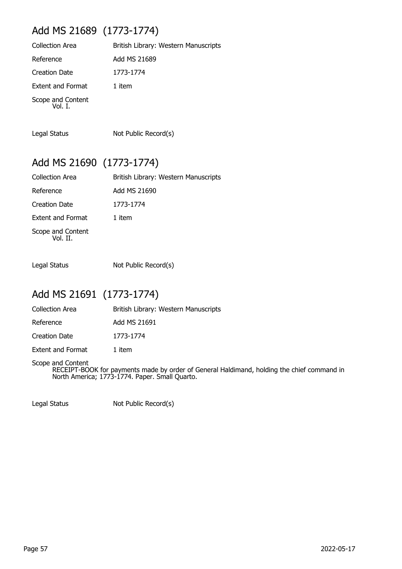# Add MS 21689 (1773-1774)

| British Library: Western Manuscripts |
|--------------------------------------|
| Add MS 21689                         |
| 1773-1774                            |
| 1 item                               |
|                                      |
|                                      |

Legal Status Not Public Record(s)

# Add MS 21690 (1773-1774)

| Collection Area               | British Library: Western Manuscripts |
|-------------------------------|--------------------------------------|
| Reference                     | Add MS 21690                         |
| <b>Creation Date</b>          | 1773-1774                            |
| <b>Extent and Format</b>      | 1 item                               |
| Scope and Content<br>Vol. II. |                                      |

Legal Status Not Public Record(s)

## Add MS 21691 (1773-1774)

| Collection Area | British Library: Western Manuscripts |
|-----------------|--------------------------------------|
| Reference       | Add MS 21691                         |

Creation Date 1773-1774

Extent and Format 1 item

Scope and Content RECEIPT-BOOK for payments made by order of General Haldimand, holding the chief command in North America; 1773-1774. Paper. Small Quarto.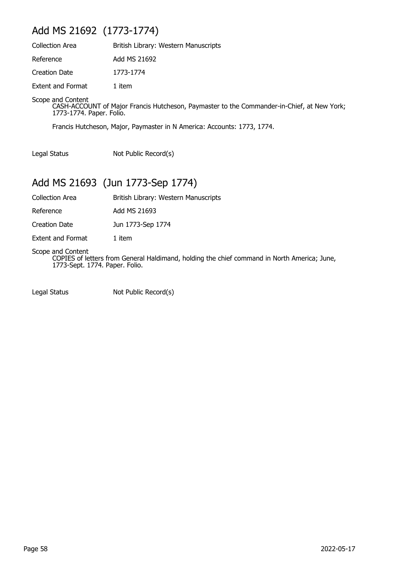# Add MS 21692 (1773-1774)

| <b>Collection Area</b>   | British Library: Western Manuscripts |
|--------------------------|--------------------------------------|
| Reference                | Add MS 21692                         |
| <b>Creation Date</b>     | 1773-1774                            |
| <b>Extent and Format</b> | 1 item                               |

Scope and Content

CASH-ACCOUNT of Major Francis Hutcheson, Paymaster to the Commander-in-Chief, at New York; 1773-1774. Paper. Folio.

Francis Hutcheson, Major, Paymaster in N America: Accounts: 1773, 1774.

Legal Status Not Public Record(s)

# Add MS 21693 (Jun 1773-Sep 1774)

Collection Area British Library: Western Manuscripts

Reference Add MS 21693

Creation Date Jun 1773-Sep 1774

Extent and Format 1 item

Scope and Content

COPIES of letters from General Haldimand, holding the chief command in North America; June, 1773-Sept. 1774. Paper. Folio.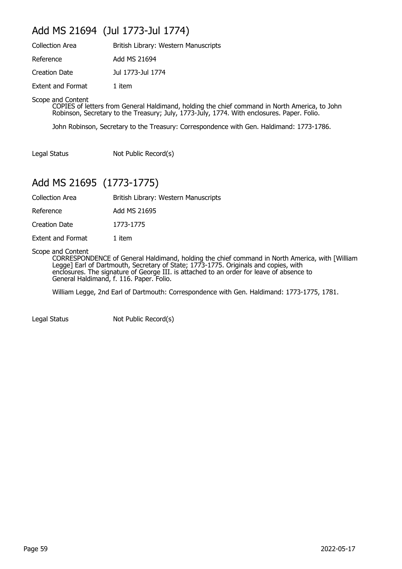## Add MS 21694 (Jul 1773-Jul 1774)

| <b>Collection Area</b>   | British Library: Western Manuscripts |
|--------------------------|--------------------------------------|
| Reference                | Add MS 21694                         |
| <b>Creation Date</b>     | Jul 1773-Jul 1774                    |
| <b>Extent and Format</b> | 1 item                               |

Scope and Content

COPIES of letters from General Haldimand, holding the chief command in North America, to John Robinson, Secretary to the Treasury; July, 1773-July, 1774. With enclosures. Paper. Folio.

John Robinson, Secretary to the Treasury: Correspondence with Gen. Haldimand: 1773-1786.

Legal Status Not Public Record(s)

## Add MS 21695 (1773-1775)

Collection Area British Library: Western Manuscripts

Reference Add MS 21695

Creation Date 1773-1775

Extent and Format 1 item

Scope and Content

CORRESPONDENCE of General Haldimand, holding the chief command in North America, with [William Legge] Earl of Dartmouth, Secretary of State; 1773-1775. Originals and copies, with enclosures. The signature of George III. is attached to an order for leave of absence to General Haldimand, f. 116. Paper. Folio.

William Legge, 2nd Earl of Dartmouth: Correspondence with Gen. Haldimand: 1773-1775, 1781.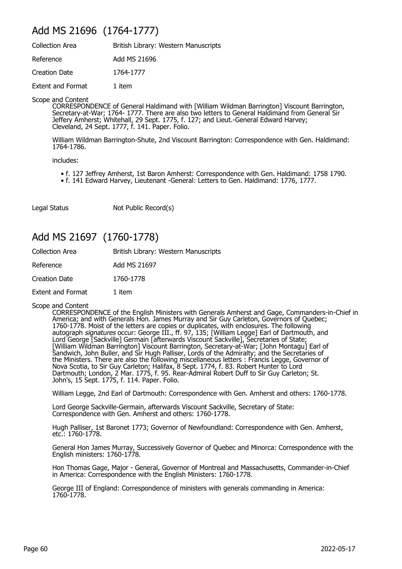## Add MS 21696 (1764-1777)

| <b>Collection Area</b>   | British Library: Western Manuscripts |
|--------------------------|--------------------------------------|
| Reference                | Add MS 21696                         |
| <b>Creation Date</b>     | 1764-1777                            |
| <b>Extent and Format</b> | 1 item                               |

Scope and Content

CORRESPONDENCE of General Haldimand with [William Wildman Barrington] Viscount Barrington, Secretary-at-War; 1764- 1777. There are also two letters to General Haldimand from General Sir Jeffery Amherst; Whitehall, 29 Sept. 1775, f. 127; and Lieut.-General Edward Harvey; Cleveland, 24 Sept. 1777, f. 141. Paper. Folio.

William Wildman Barrington-Shute, 2nd Viscount Barrington: Correspondence with Gen. Haldimand: 1764-1786.

includes:

- f. 127 Jeffrey Amherst, 1st Baron Amherst: Correspondence with Gen. Haldimand: 1758 1790.
- f. 141 Edward Harvey, Lieutenant -General: Letters to Gen. Haldimand: 1776, 1777.

Legal Status Not Public Record(s)

## Add MS 21697 (1760-1778)

| <b>Collection Area</b>   | British Library: Western Manuscripts |
|--------------------------|--------------------------------------|
| Reference                | Add MS 21697                         |
| <b>Creation Date</b>     | 1760-1778                            |
| <b>Extent and Format</b> | 1 item                               |

Scope and Content

CORRESPONDENCE of the English Ministers with Generals Amherst and Gage, Commanders-in-Chief in America; and with Generals Hon. James Murray and Sir Guy Carleton, Governors of Quebec; 1760-1778. Moist of the letters are copies or duplicates, with enclosures. The following autograph *signatures* occur: George III., ff. 97, 135; [William Legge] Earl of Dartmouth, and Lord George [Sackville] Germain [afterwards Viscount Sackville], Secretaries of State; [William Wildman Barrington] Viscount Barrington, Secretary-at-War; [John Montagu] Earl of Sandwich, John Buller, and Sir Hugh Palliser, Lords of the Admiralty; and the Secretaries of the Ministers. There are also the following miscellaneous letters : Francis Legge, Governor of Nova Scotia, to Sir Guy Carleton; Halifax, 8 Sept. 1774, f. 83. Robert Hunter to Lord Dartmouth; London, 2 Mar. 1775, f. 95. Rear-Admiral Robert Duff to Sir Guy Carleton; St. John's, 15 Sept. 1775, f. 114. Paper. Folio.

William Legge, 2nd Earl of Dartmouth: Correspondence with Gen. Amherst and others: 1760-1778.

Lord George Sackville-Germain, afterwards Viscount Sackville, Secretary of State: Correspondence with Gen. Amherst and others: 1760-1778.

Hugh Palliser, 1st Baronet 1773; Governor of Newfoundland: Correspondence with Gen. Amherst, etc.: 1760-1778.

General Hon James Murray, Successively Governor of Quebec and Minorca: Correspondence with the English ministers: 1760-1778.

Hon Thomas Gage, Major - General, Governor of Montreal and Massachusetts, Commander-in-Chief in America: Correspondence with the English Ministers: 1760-1778.

George III of England: Correspondence of ministers with generals commanding in America: 1760-1778.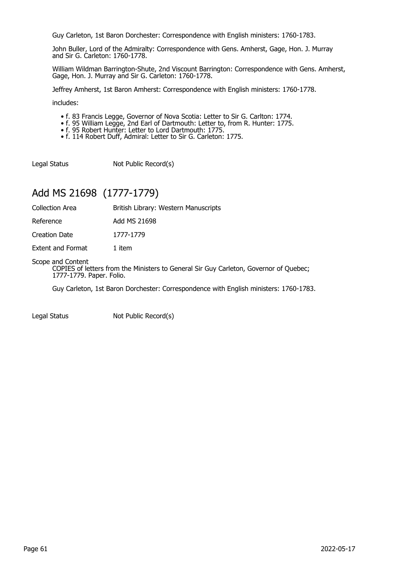Guy Carleton, 1st Baron Dorchester: Correspondence with English ministers: 1760-1783.

John Buller, Lord of the Admiralty: Correspondence with Gens. Amherst, Gage, Hon. J. Murray and Sir G. Carleton: 1760-1778.

William Wildman Barrington-Shute, 2nd Viscount Barrington: Correspondence with Gens. Amherst, Gage, Hon. J. Murray and Sir G. Carleton: 1760-1778.

Jeffrey Amherst, 1st Baron Amherst: Correspondence with English ministers: 1760-1778.

includes:

- f. 83 Francis Legge, Governor of Nova Scotia: Letter to Sir G. Carlton: 1774.
- f. 95 William Legge, 2nd Earl of Dartmouth: Letter to, from R. Hunter: 1775.
- f. 95 Robert Hunter: Letter to Lord Dartmouth: 1775.
	- f. 114 Robert Duff, Admiral: Letter to Sir G. Carleton: 1775.

Legal Status Not Public Record(s)

# Add MS 21698 (1777-1779)

| <b>Collection Area</b> | British Library: Western Manuscripts |
|------------------------|--------------------------------------|
|------------------------|--------------------------------------|

Reference Add MS 21698

Creation Date 1777-1779

Extent and Format 1 item

#### Scope and Content

COPIES of letters from the Ministers to General Sir Guy Carleton, Governor of Quebec; 1777-1779. Paper. Folio.

Guy Carleton, 1st Baron Dorchester: Correspondence with English ministers: 1760-1783.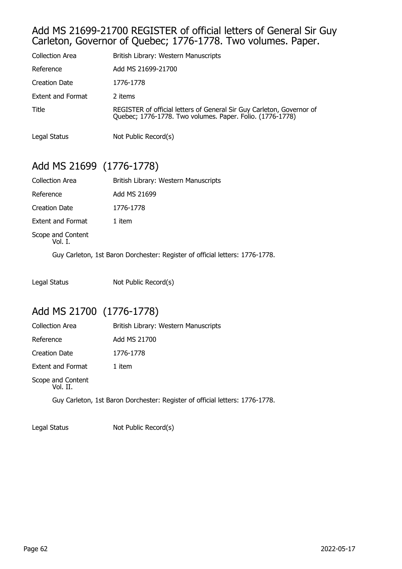### Add MS 21699-21700 REGISTER of official letters of General Sir Guy Carleton, Governor of Quebec; 1776-1778. Two volumes. Paper.

| <b>Collection Area</b>   | British Library: Western Manuscripts                                                                                            |
|--------------------------|---------------------------------------------------------------------------------------------------------------------------------|
| Reference                | Add MS 21699-21700                                                                                                              |
| Creation Date            | 1776-1778                                                                                                                       |
| <b>Extent and Format</b> | 2 items                                                                                                                         |
| Title                    | REGISTER of official letters of General Sir Guy Carleton, Governor of Quebec; 1776-1778. Two volumes. Paper. Folio. (1776-1778) |
| Legal Status             | Not Public Record(s)                                                                                                            |

# Add MS 21699 (1776-1778)

| <b>Collection Area</b>       | British Library: Western Manuscripts |
|------------------------------|--------------------------------------|
| Reference                    | Add MS 21699                         |
| Creation Date                | 1776-1778                            |
| <b>Extent and Format</b>     | 1 item                               |
| Scope and Content<br>Vol. I. |                                      |
|                              |                                      |

Guy Carleton, 1st Baron Dorchester: Register of official letters: 1776-1778.

Legal Status Not Public Record(s)

# Add MS 21700 (1776-1778)

| <b>Collection Area</b>        | British Library: Western Manuscripts |
|-------------------------------|--------------------------------------|
| Reference                     | Add MS 21700                         |
| <b>Creation Date</b>          | 1776-1778                            |
| <b>Extent and Format</b>      | 1 item                               |
| Scope and Content<br>Vol. II. |                                      |

Guy Carleton, 1st Baron Dorchester: Register of official letters: 1776-1778.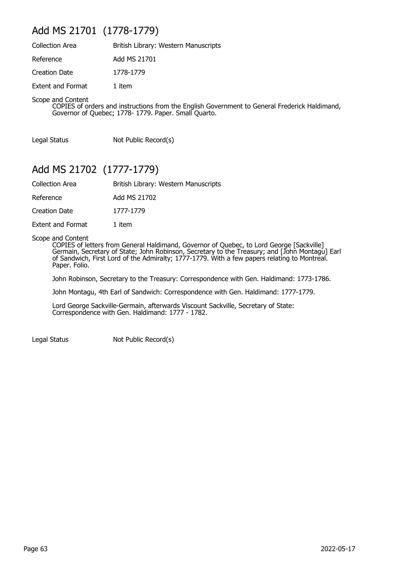## Add MS 21701 (1778-1779)

| <b>Collection Area</b>   | British Library: Western Manuscripts |
|--------------------------|--------------------------------------|
| Reference                | Add MS 21701                         |
| Creation Date            | 1778-1779                            |
| <b>Extent and Format</b> | 1 item                               |

Scope and Content

COPIES of orders and instructions from the English Government to General Frederick Haldimand, Governor of Quebec; 1778- 1779. Paper. Small Quarto.

Legal Status Not Public Record(s)

## Add MS 21702 (1777-1779)

| Collection Area | British Library: Western Manuscripts |
|-----------------|--------------------------------------|
|-----------------|--------------------------------------|

Reference Add MS 21702

Creation Date 1777-1779

Extent and Format 1 item

Scope and Content

COPIES of letters from General Haldimand, Governor of Quebec, to Lord George [Sackville] Germain, Secretary of State; John Robinson, Secretary to the Treasury; and [John Montagu] Earl of Sandwich, First Lord of the Admiralty; 1777-1779. With a few papers relating to Montreal. Paper. Folio.

John Robinson, Secretary to the Treasury: Correspondence with Gen. Haldimand: 1773-1786.

John Montagu, 4th Earl of Sandwich: Correspondence with Gen. Haldimand: 1777-1779.

Lord George Sackville-Germain, afterwards Viscount Sackville, Secretary of State: Correspondence with Gen. Haldimand: 1777 - 1782.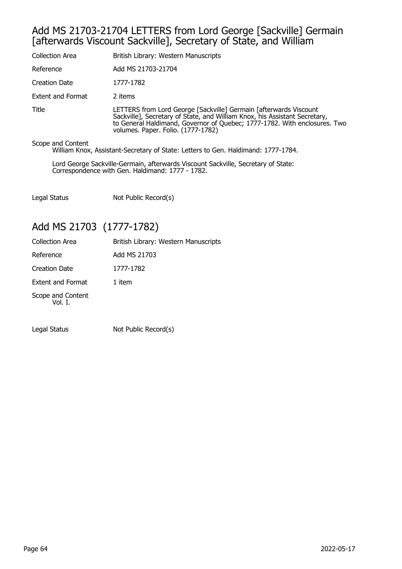### Add MS 21703-21704 LETTERS from Lord George [Sackville] Germain [afterwards Viscount Sackville], Secretary of State, and William

| Collection Area   | British Library: Western Manuscripts                                                                                                                                                                                                                               |
|-------------------|--------------------------------------------------------------------------------------------------------------------------------------------------------------------------------------------------------------------------------------------------------------------|
| Reference         | Add MS 21703-21704                                                                                                                                                                                                                                                 |
| Creation Date     | 1777-1782                                                                                                                                                                                                                                                          |
| Extent and Format | 2 items                                                                                                                                                                                                                                                            |
| Title             | LETTERS from Lord George [Sackville] Germain [afterwards Viscount<br>Sackville], Secretary of State, and William Knox, his Assistant Secretary,<br>to General Haldimand, Governor of Quebec; 1777-1782. With enclosures. Two<br>volumes. Paper. Folio. (1777-1782) |

Scope and Content

William Knox, Assistant-Secretary of State: Letters to Gen. Haldimand: 1777-1784.

Lord George Sackville-Germain, afterwards Viscount Sackville, Secretary of State: Correspondence with Gen. Haldimand: 1777 - 1782.

Legal Status Not Public Record(s)

## Add MS 21703 (1777-1782)

| <b>Collection Area</b>       | British Library: Western Manuscripts |
|------------------------------|--------------------------------------|
| Reference                    | Add MS 21703                         |
| <b>Creation Date</b>         | 1777-1782                            |
| <b>Extent and Format</b>     | 1 item                               |
| Scope and Content<br>Vol. I. |                                      |
|                              |                                      |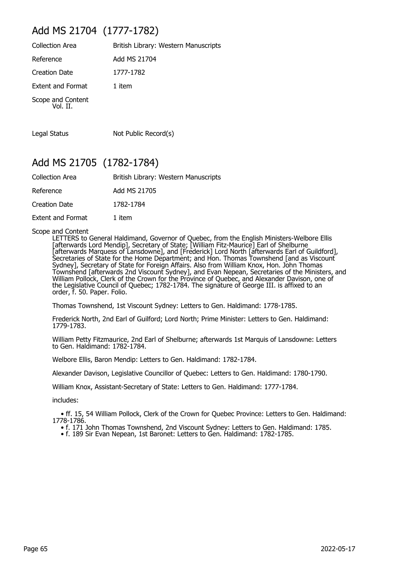# Add MS 21704 (1777-1782)

| <b>Collection Area</b>        | British Library: Western Manuscripts |
|-------------------------------|--------------------------------------|
| Reference                     | Add MS 21704                         |
| Creation Date                 | 1777-1782                            |
| <b>Extent and Format</b>      | 1 item                               |
| Scope and Content<br>Vol. II. |                                      |

Legal Status Not Public Record(s)

## Add MS 21705 (1782-1784)

| <b>Collection Area</b>   | British Library: Western Manuscripts |
|--------------------------|--------------------------------------|
| Reference                | Add MS 21705                         |
| Creation Date            | 1782-1784                            |
| <b>Extent and Format</b> | 1 item                               |

Scope and Content

LETTERS to General Haldimand, Governor of Quebec, from the English Ministers-Welbore Ellis [afterwards Lord Mendip], Secretary of State; [William Fitz-Maurice] Earl of Shelburne [afterwards Marquess of Lansdowne], and [Frederick] Lord North [afterwards Earl of Guildford], Secretaries of State for the Home Department; and Hon. Thomas Townshend [and as Viscount Sydney], Secretary of State for Foreign Affairs. Also from William Knox, Hon. John Thomas Townshend [afterwards 2nd Viscount Sydney], and Evan Nepean, Secretaries of the Ministers, and William Pollock, Clerk of the Crown for the Province of Quebec, and Alexander Davison, one of the Legislative Council of Quebec; 1782-1784. The signature of George III. is affixed to an order, f. 50. Paper. Folio.

Thomas Townshend, 1st Viscount Sydney: Letters to Gen. Haldimand: 1778-1785.

Frederick North, 2nd Earl of Guilford; Lord North; Prime Minister: Letters to Gen. Haldimand: 1779-1783.

William Petty Fitzmaurice, 2nd Earl of Shelburne; afterwards 1st Marquis of Lansdowne: Letters to Gen. Haldimand: 1782-1784.

Welbore Ellis, Baron Mendip: Letters to Gen. Haldimand: 1782-1784.

Alexander Davison, Legislative Councillor of Quebec: Letters to Gen. Haldimand: 1780-1790.

William Knox, Assistant-Secretary of State: Letters to Gen. Haldimand: 1777-1784.

includes:

 • ff. 15, 54 William Pollock, Clerk of the Crown for Quebec Province: Letters to Gen. Haldimand: 1778-1786.

- f. 171 John Thomas Townshend, 2nd Viscount Sydney: Letters to Gen. Haldimand: 1785.
- f. 189 Sir Evan Nepean, 1st Baronet: Letters to Gen. Haldimand: 1782-1785.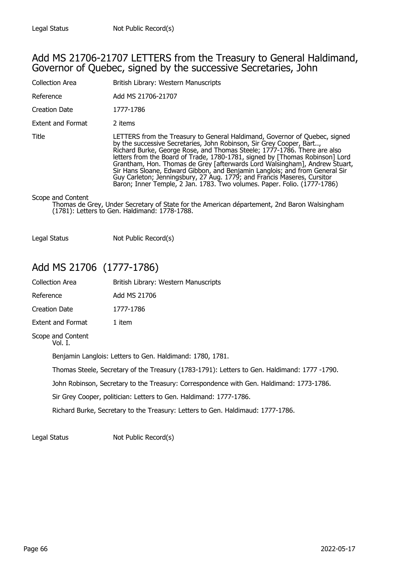### Add MS 21706-21707 LETTERS from the Treasury to General Haldimand, Governor of Quebec, signed by the successive Secretaries, John

| <b>Collection Area</b>   | British Library: Western Manuscripts                                                                                                                                                                                                                                                                                                                                                                                                                                                                                                                                                                                               |
|--------------------------|------------------------------------------------------------------------------------------------------------------------------------------------------------------------------------------------------------------------------------------------------------------------------------------------------------------------------------------------------------------------------------------------------------------------------------------------------------------------------------------------------------------------------------------------------------------------------------------------------------------------------------|
| Reference                | Add MS 21706-21707                                                                                                                                                                                                                                                                                                                                                                                                                                                                                                                                                                                                                 |
| Creation Date            | 1777-1786                                                                                                                                                                                                                                                                                                                                                                                                                                                                                                                                                                                                                          |
| <b>Extent and Format</b> | 2 items                                                                                                                                                                                                                                                                                                                                                                                                                                                                                                                                                                                                                            |
| Title                    | LETTERS from the Treasury to General Haldimand, Governor of Quebec, signed<br>by the successive Secretaries, John Robinson, Sir Grey Cooper, Bart,<br>Richard Burke, George Rose, and Thomas Steele; 1777-1786. There are also<br>letters from the Board of Trade, 1780-1781, signed by [Thomas Robinson] Lord<br>Grantham, Hon. Thomas de Grey [afterwards Lord Walsingham], Andrew Stuart,<br>Sir Hans Sloane, Edward Gibbon, and Benjamin Langlois; and from General Sir<br>Guy Carleton; Jenningsbury, 27 Aug. 1779; and Francis Maseres, Cursitor<br>Baron; Inner Temple, 2 Jan. 1783. Two volumes. Paper. Folio. (1777-1786) |
| Scope and Content        | Thomas de Grey, Under Secretary of State for the American département, 2nd Baron Walsingham<br>(1781): Letters to Gen. Haldimand: 1778-1788.                                                                                                                                                                                                                                                                                                                                                                                                                                                                                       |

Legal Status Not Public Record(s)

# Add MS 21706 (1777-1786)

| <b>Collection Area</b>                                                                       |                              | British Library: Western Manuscripts |
|----------------------------------------------------------------------------------------------|------------------------------|--------------------------------------|
| Reference                                                                                    |                              | Add MS 21706                         |
| <b>Creation Date</b>                                                                         |                              | 1777-1786                            |
|                                                                                              | Extent and Format            | 1 item                               |
|                                                                                              | Scope and Content<br>Vol. I. |                                      |
| Benjamin Langlois: Letters to Gen. Haldimand: 1780, 1781.                                    |                              |                                      |
| Thomas Steele, Secretary of the Treasury (1783-1791): Letters to Gen. Haldimand: 1777 -1790. |                              |                                      |
| John Robinson, Secretary to the Treasury: Correspondence with Gen. Haldimand: 1773-1786.     |                              |                                      |
| Sir Grey Cooper, politician: Letters to Gen. Haldimand: 1777-1786.                           |                              |                                      |
|                                                                                              |                              |                                      |

Richard Burke, Secretary to the Treasury: Letters to Gen. Haldimaud: 1777-1786.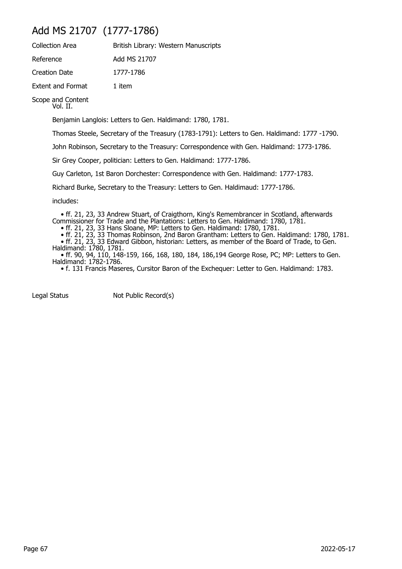# Add MS 21707 (1777-1786)

| <b>Collection Area</b>   | British Library: Western Manuscripts |
|--------------------------|--------------------------------------|
| Reference                | Add MS 21707                         |
| Creation Date            | 1777-1786                            |
| <b>Extent and Format</b> | 1 item                               |

Scope and Content Vol. II.

Benjamin Langlois: Letters to Gen. Haldimand: 1780, 1781.

Thomas Steele, Secretary of the Treasury (1783-1791): Letters to Gen. Haldimand: 1777 -1790.

John Robinson, Secretary to the Treasury: Correspondence with Gen. Haldimand: 1773-1786.

Sir Grey Cooper, politician: Letters to Gen. Haldimand: 1777-1786.

Guy Carleton, 1st Baron Dorchester: Correspondence with Gen. Haldimand: 1777-1783.

Richard Burke, Secretary to the Treasury: Letters to Gen. Haldimaud: 1777-1786.

includes:

• ff. 21, 23, 33 Andrew Stuart, of Craigthorn, King's Remembrancer in Scotland, afterwards

Commissioner for Trade and the Plantations: Letters to Gen. Haldimand: 1780, 1781.

• ff. 21, 23, 33 Hans Sloane, MP: Letters to Gen. Haldimand: 1780, 1781.

• ff. 21, 23, 33 Thomas Robinson, 2nd Baron Grantham: Letters to Gen. Haldimand: 1780, 1781.

 • ff. 21, 23, 33 Edward Gibbon, historian: Letters, as member of the Board of Trade, to Gen. Haldimand: 1780, 1781.

 • ff. 90, 94, 110, 148-159, 166, 168, 180, 184, 186,194 George Rose, PC; MP: Letters to Gen. Haldimand: 1782-1786.

• f. 131 Francis Maseres, Cursitor Baron of the Exchequer: Letter to Gen. Haldimand: 1783.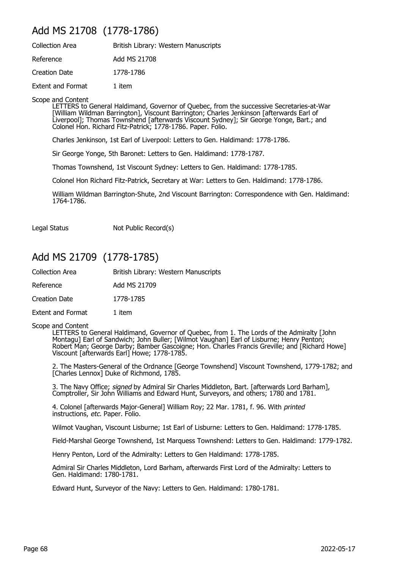## Add MS 21708 (1778-1786)

| <b>Collection Area</b>   | British Library: Western Manuscripts |
|--------------------------|--------------------------------------|
| Reference                | Add MS 21708                         |
| Creation Date            | 1778-1786                            |
| <b>Extent and Format</b> | 1 item                               |

Scope and Content

LETTERS to General Haldimand, Governor of Quebec, from the successive Secretaries-at-War [William Wildman Barrington], Viscount Barrington; Charles Jenkinson [afterwards Earl of Liverpool]; Thomas Townshend [afterwards Viscount Sydney]; Sir George Yonge, Bart.; and Colonel Hon. Richard Fitz-Patrick; 1778-1786. Paper. Folio.

Charles Jenkinson, 1st Earl of Liverpool: Letters to Gen. Haldimand: 1778-1786.

Sir George Yonge, 5th Baronet: Letters to Gen. Haldimand: 1778-1787.

Thomas Townshend, 1st Viscount Sydney: Letters to Gen. Haldimand: 1778-1785.

Colonel Hon Richard Fitz-Patrick, Secretary at War: Letters to Gen. Haldimand: 1778-1786.

William Wildman Barrington-Shute, 2nd Viscount Barrington: Correspondence with Gen. Haldimand: 1764-1786.

Legal Status Not Public Record(s)

### Add MS 21709 (1778-1785)

| <b>Collection Area</b> | British Library: Western Manuscripts |
|------------------------|--------------------------------------|
| Reference              | Add MS 21709                         |
| <b>Creation Date</b>   | 1778-1785                            |
| Extent and Format      | 1 item                               |

#### Scope and Content

LETTERS to General Haldimand, Governor of Quebec, from 1. The Lords of the Admiralty [John Montagu] Earl of Sandwich; John Buller; [Wilmot Vaughan] Earl of Lisburne; Henry Penton; Robert Man; George Darby; Bamber Gascoigne; Hon. Charles Francis Greville; and [Richard Howe] Viscount [afterwards Earl] Howe; 1778-1785.

2. The Masters-General of the Ordnance [George Townshend] Viscount Townshend, 1779-1782; and [Charles Lennox] Duke of Richmond, 1785.

3. The Navy Office; signed by Admiral Sir Charles Middleton, Bart. [afterwards Lord Barham], Comptroller, Sir John Williams and Edward Hunt, Surveyors, and others; 1780 and 1781.

4. Colonel [afterwards Major-General] William Roy; 22 Mar. 1781, f. 96. With printed instructions, etc. Paper. Folio.

Wilmot Vaughan, Viscount Lisburne; 1st Earl of Lisburne: Letters to Gen. Haldimand: 1778-1785.

Field-Marshal George Townshend, 1st Marquess Townshend: Letters to Gen. Haldimand: 1779-1782.

Henry Penton, Lord of the Admiralty: Letters to Gen Haldimand: 1778-1785.

Admiral Sir Charles Middleton, Lord Barham, afterwards First Lord of the Admiralty: Letters to Gen. Haldimand: 1780-1781.

Edward Hunt, Surveyor of the Navy: Letters to Gen. Haldimand: 1780-1781.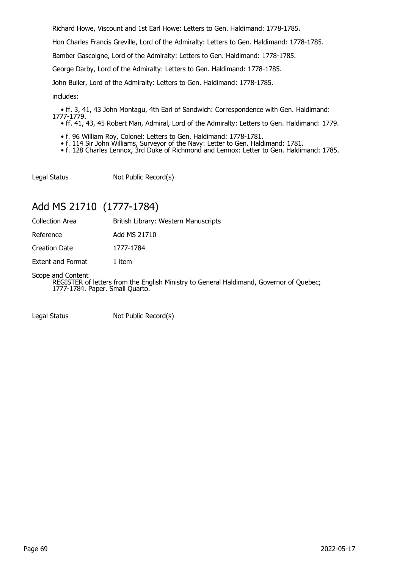Richard Howe, Viscount and 1st Earl Howe: Letters to Gen. Haldimand: 1778-1785.

Hon Charles Francis Greville, Lord of the Admiralty: Letters to Gen. Haldimand: 1778-1785.

Bamber Gascoigne, Lord of the Admiralty: Letters to Gen. Haldimand: 1778-1785.

George Darby, Lord of the Admiralty: Letters to Gen. Haldimand: 1778-1785.

John Buller, Lord of the Admiralty: Letters to Gen. Haldimand: 1778-1785.

includes:

 • ff. 3, 41, 43 John Montagu, 4th Earl of Sandwich: Correspondence with Gen. Haldimand: 1777-1779.

- ff. 41, 43, 45 Robert Man, Admiral, Lord of the Admiralty: Letters to Gen. Haldimand: 1779.
- f. 96 William Roy, Colonel: Letters to Gen, Haldimand: 1778-1781.
- f. 114 Sir John Williams, Surveyor of the Navy: Letter to Gen. Haldimand: 1781.
- f. 128 Charles Lennox, 3rd Duke of Richmond and Lennox: Letter to Gen. Haldimand: 1785.

Legal Status Not Public Record(s)

## Add MS 21710 (1777-1784)

Collection Area **British Library: Western Manuscripts** 

Reference Add MS 21710

Creation Date 1777-1784

Extent and Format 1 item

Scope and Content

REGISTER of letters from the English Ministry to General Haldimand, Governor of Quebec; 1777-1784. Paper. Small Quarto.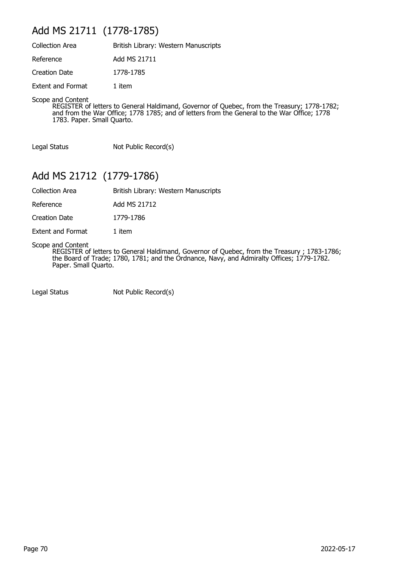# Add MS 21711 (1778-1785)

| <b>Collection Area</b>   | British Library: Western Manuscripts |
|--------------------------|--------------------------------------|
| Reference                | Add MS 21711                         |
| <b>Creation Date</b>     | 1778-1785                            |
| <b>Extent and Format</b> | 1 item                               |

Scope and Content

REGISTER of letters to General Haldimand, Governor of Quebec, from the Treasury; 1778-1782; and from the War Office; 1778 1785; and of letters from the General to the War Office; 1778 1783. Paper. Small Quarto.

Legal Status Not Public Record(s)

## Add MS 21712 (1779-1786)

Collection Area British Library: Western Manuscripts

Reference Add MS 21712

Creation Date 1779-1786

Extent and Format 1 item

Scope and Content

REGISTER of letters to General Haldimand, Governor of Quebec, from the Treasury ; 1783-1786; the Board of Trade; 1780, 1781; and the Ordnance, Navy, and Admiralty Offices; 1779-1782. Paper. Small Quarto.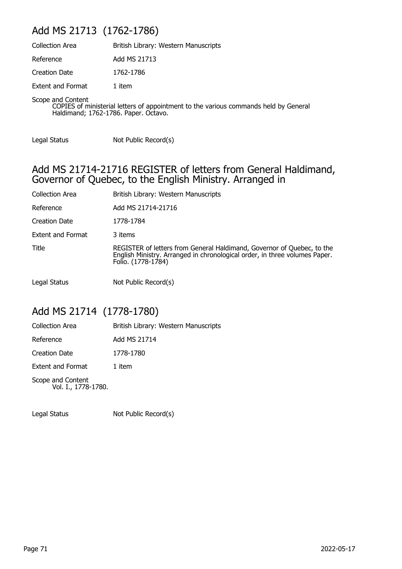## Add MS 21713 (1762-1786)

| <b>Collection Area</b>   | British Library: Western Manuscripts |
|--------------------------|--------------------------------------|
| Reference                | Add MS 21713                         |
| Creation Date            | 1762-1786                            |
| <b>Extent and Format</b> | 1 item                               |
| Scope and Content        |                                      |

COPIES of ministerial letters of appointment to the various commands held by General Haldimand; 1762-1786. Paper. Octavo.

Legal Status Not Public Record(s)

#### Add MS 21714-21716 REGISTER of letters from General Haldimand, Governor of Quebec, to the English Ministry. Arranged in

| <b>Collection Area</b>   | British Library: Western Manuscripts                                                                                                                                       |
|--------------------------|----------------------------------------------------------------------------------------------------------------------------------------------------------------------------|
| Reference                | Add MS 21714-21716                                                                                                                                                         |
| <b>Creation Date</b>     | 1778-1784                                                                                                                                                                  |
| <b>Extent and Format</b> | 3 items                                                                                                                                                                    |
| Title                    | REGISTER of letters from General Haldimand, Governor of Quebec, to the<br>English Ministry. Arranged in chronological order, in three volumes Paper.<br>Folio. (1778-1784) |
| Legal Status             | Not Public Record(s)                                                                                                                                                       |

## Add MS 21714 (1778-1780)

| <b>Collection Area</b>                   | British Library: Western Manuscripts |
|------------------------------------------|--------------------------------------|
| Reference                                | Add MS 21714                         |
| <b>Creation Date</b>                     | 1778-1780                            |
| <b>Extent and Format</b>                 | 1 item                               |
| Scope and Content<br>Vol. I., 1778-1780. |                                      |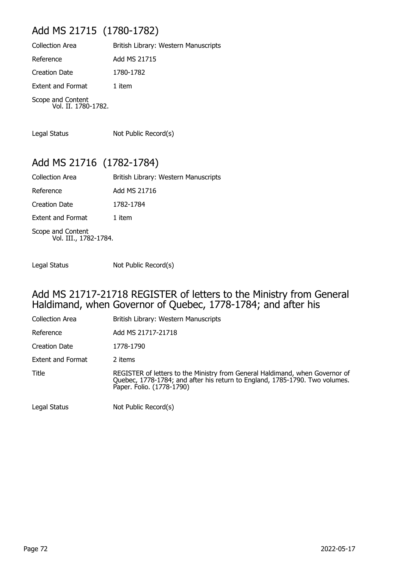# Add MS 21715 (1780-1782)

| <b>Collection Area</b>                   | British Library: Western Manuscripts |
|------------------------------------------|--------------------------------------|
| Reference                                | Add MS 21715                         |
| <b>Creation Date</b>                     | 1780-1782                            |
| <b>Extent and Format</b>                 | 1 item                               |
| Scope and Content<br>Vol. II. 1780-1782. |                                      |

Legal Status Not Public Record(s)

## Add MS 21716 (1782-1784)

| <b>Collection Area</b>                     | British Library: Western Manuscripts |
|--------------------------------------------|--------------------------------------|
| Reference                                  | Add MS 21716                         |
| <b>Creation Date</b>                       | 1782-1784                            |
| <b>Extent and Format</b>                   | 1 item                               |
| Scope and Content<br>Vol. III., 1782-1784. |                                      |

Legal Status Not Public Record(s)

#### Add MS 21717-21718 REGISTER of letters to the Ministry from General Haldimand, when Governor of Quebec, 1778-1784; and after his

| <b>Collection Area</b>   | British Library: Western Manuscripts                                                                                                                                                     |
|--------------------------|------------------------------------------------------------------------------------------------------------------------------------------------------------------------------------------|
| Reference                | Add MS 21717-21718                                                                                                                                                                       |
| <b>Creation Date</b>     | 1778-1790                                                                                                                                                                                |
| <b>Extent and Format</b> | 2 items                                                                                                                                                                                  |
| Title                    | REGISTER of letters to the Ministry from General Haldimand, when Governor of<br>Quebec, 1778-1784; and after his return to England, 1785-1790. Two volumes.<br>Paper. Folio. (1778-1790) |
| Legal Status             | Not Public Record(s)                                                                                                                                                                     |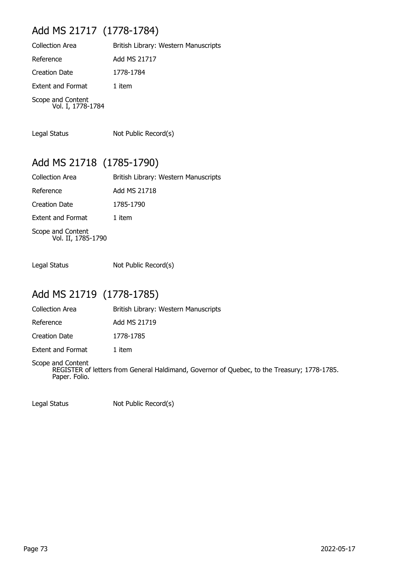# Add MS 21717 (1778-1784)

| <b>Collection Area</b>                 | British Library: Western Manuscripts |
|----------------------------------------|--------------------------------------|
| Reference                              | Add MS 21717                         |
| <b>Creation Date</b>                   | 1778-1784                            |
| <b>Extent and Format</b>               | 1 item                               |
| Scope and Content<br>Vol. I, 1778-1784 |                                      |

Legal Status Not Public Record(s)

## Add MS 21718 (1785-1790)

| <b>Collection Area</b>                  | British Library: Western Manuscripts |
|-----------------------------------------|--------------------------------------|
| Reference                               | Add MS 21718                         |
| <b>Creation Date</b>                    | 1785-1790                            |
| <b>Extent and Format</b>                | 1 item                               |
| Scope and Content<br>Vol. II, 1785-1790 |                                      |

Legal Status Not Public Record(s)

## Add MS 21719 (1778-1785)

| <b>Collection Area</b> | British Library: Western Manuscripts |
|------------------------|--------------------------------------|
| Reference              | Add MS 21719                         |
| Creation Date          | 1778-1785                            |
| Extent and Format      | 1 item                               |

Scope and Content REGISTER of letters from General Haldimand, Governor of Quebec, to the Treasury; 1778-1785. Paper. Folio.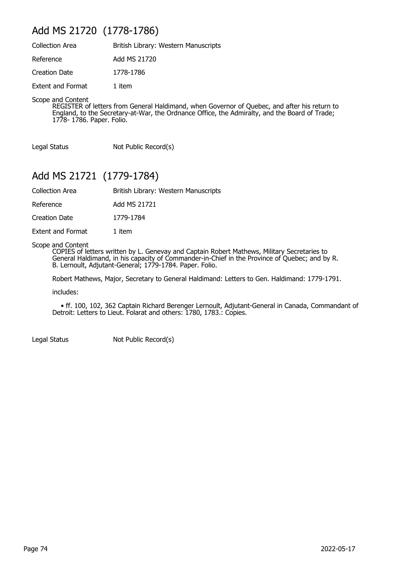## Add MS 21720 (1778-1786)

| <b>Collection Area</b>   | British Library: Western Manuscripts |
|--------------------------|--------------------------------------|
| Reference                | Add MS 21720                         |
| Creation Date            | 1778-1786                            |
| <b>Extent and Format</b> | 1 item                               |

Scope and Content

REGISTER of letters from General Haldimand, when Governor of Quebec, and after his return to England, to the Secretary-at-War, the Ordnance Office, the Admiralty, and the Board of Trade; 1778- 1786. Paper. Folio.

Legal Status Not Public Record(s)

## Add MS 21721 (1779-1784)

Collection Area British Library: Western Manuscripts

Reference Add MS 21721

Creation Date 1779-1784

Extent and Format 1 item

Scope and Content

COPIES of letters written by L. Genevay and Captain Robert Mathews, Military Secretaries to General Haldimand, in his capacity of Commander-in-Chief in the Province of Quebec; and by R. B. Lernoult, Adjutant-General; 1779-1784. Paper. Folio.

Robert Mathews, Major, Secretary to General Haldimand: Letters to Gen. Haldimand: 1779-1791.

includes:

 • ff. 100, 102, 362 Captain Richard Berenger Lernoult, Adjutant-General in Canada, Commandant of Detroit: Letters to Lieut. Folarat and others: 1780, 1783.: Copies.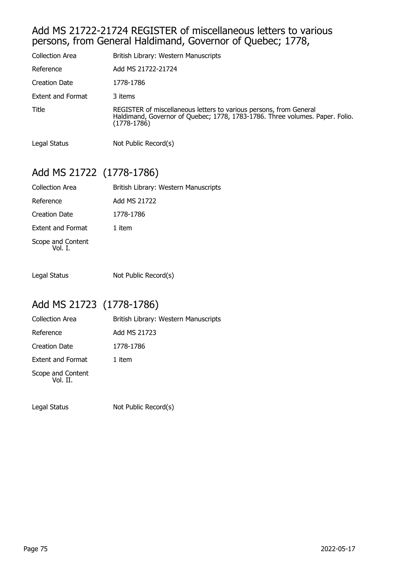#### Add MS 21722-21724 REGISTER of miscellaneous letters to various persons, from General Haldimand, Governor of Quebec; 1778,

| Collection Area      | British Library: Western Manuscripts                                                                                                                                |
|----------------------|---------------------------------------------------------------------------------------------------------------------------------------------------------------------|
| Reference            | Add MS 21722-21724                                                                                                                                                  |
| <b>Creation Date</b> | 1778-1786                                                                                                                                                           |
| Extent and Format    | 3 items                                                                                                                                                             |
| Title                | REGISTER of miscellaneous letters to various persons, from General<br>Haldimand, Governor of Quebec; 1778, 1783-1786. Three volumes. Paper. Folio.<br>$(1778-1786)$ |
| Legal Status         | Not Public Record(s)                                                                                                                                                |

# Add MS 21722 (1778-1786)

| <b>Collection Area</b>       | British Library: Western Manuscripts |
|------------------------------|--------------------------------------|
| Reference                    | Add MS 21722                         |
| <b>Creation Date</b>         | 1778-1786                            |
| <b>Extent and Format</b>     | 1 item                               |
| Scope and Content<br>Vol. I. |                                      |

Legal Status Not Public Record(s)

## Add MS 21723 (1778-1786)

| <b>Collection Area</b>        | British Library: Western Manuscripts |
|-------------------------------|--------------------------------------|
| Reference                     | Add MS 21723                         |
| <b>Creation Date</b>          | 1778-1786                            |
| <b>Extent and Format</b>      | 1 item                               |
| Scope and Content<br>Vol. II. |                                      |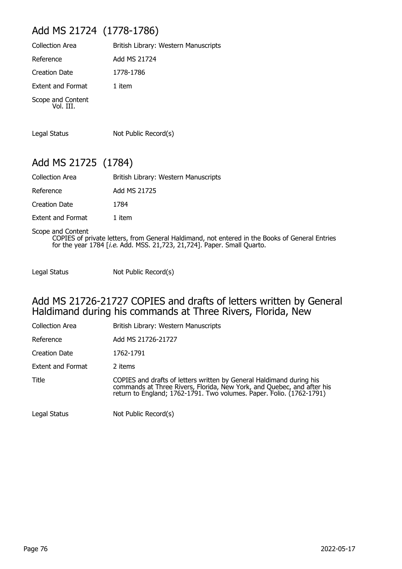# Add MS 21724 (1778-1786)

| <b>Collection Area</b>         | British Library: Western Manuscripts |
|--------------------------------|--------------------------------------|
| Reference                      | Add MS 21724                         |
| Creation Date                  | 1778-1786                            |
| <b>Extent and Format</b>       | 1 item                               |
| Scope and Content<br>Vol. III. |                                      |

Legal Status Not Public Record(s)

## Add MS 21725 (1784)

| British Library: Western Manuscripts |
|--------------------------------------|
| Add MS 21725                         |
| 1784                                 |
|                                      |

Extent and Format 1 item

Scope and Content COPIES of private letters, from General Haldimand, not entered in the Books of General Entries for the year 1784 [i.e. Add. MSS. 21,723, 21,724]. Paper. Small Quarto.

Legal Status Not Public Record(s)

#### Add MS 21726-21727 COPIES and drafts of letters written by General Haldimand during his commands at Three Rivers, Florida, New

| <b>Collection Area</b> | British Library: Western Manuscripts                                                                                                                                                                                   |
|------------------------|------------------------------------------------------------------------------------------------------------------------------------------------------------------------------------------------------------------------|
| Reference              | Add MS 21726-21727                                                                                                                                                                                                     |
| <b>Creation Date</b>   | 1762-1791                                                                                                                                                                                                              |
| Extent and Format      | 2 items                                                                                                                                                                                                                |
| Title                  | COPIES and drafts of letters written by General Haldimand during his<br>commands at Three Rivers, Florida, New York, and Quebec, and after his<br>return to England; 1762-1791. Two volumes. Paper. Folio. (1762-1791) |
| Legal Status           | Not Public Record(s)                                                                                                                                                                                                   |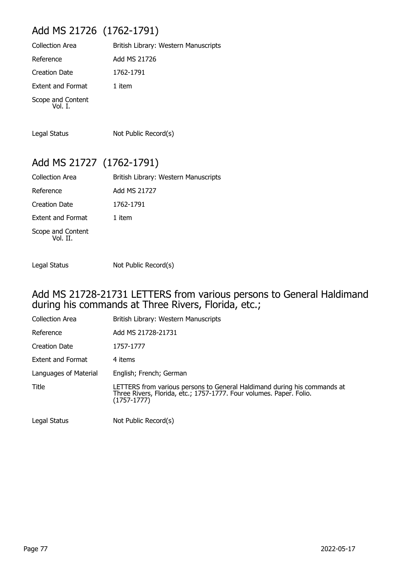# Add MS 21726 (1762-1791)

| British Library: Western Manuscripts |
|--------------------------------------|
| Add MS 21726                         |
| 1762-1791                            |
| 1 item                               |
|                                      |
|                                      |

Legal Status Not Public Record(s)

## Add MS 21727 (1762-1791)

| Collection Area               | British Library: Western Manuscripts |
|-------------------------------|--------------------------------------|
| Reference                     | Add MS 21727                         |
| Creation Date                 | 1762-1791                            |
| <b>Extent and Format</b>      | 1 item                               |
| Scope and Content<br>Vol. II. |                                      |

Legal Status Not Public Record(s)

#### Add MS 21728-21731 LETTERS from various persons to General Haldimand during his commands at Three Rivers, Florida, etc.;

| Collection Area          | British Library: Western Manuscripts                                                                                                                             |
|--------------------------|------------------------------------------------------------------------------------------------------------------------------------------------------------------|
| Reference                | Add MS 21728-21731                                                                                                                                               |
| Creation Date            | 1757-1777                                                                                                                                                        |
| <b>Extent and Format</b> | 4 items                                                                                                                                                          |
| Languages of Material    | English; French; German                                                                                                                                          |
| <b>Title</b>             | LETTERS from various persons to General Haldimand during his commands at<br>Three Rivers, Florida, etc.; 1757-1777. Four volumes. Paper. Folio.<br>$(1757-1777)$ |
| Legal Status             | Not Public Record(s)                                                                                                                                             |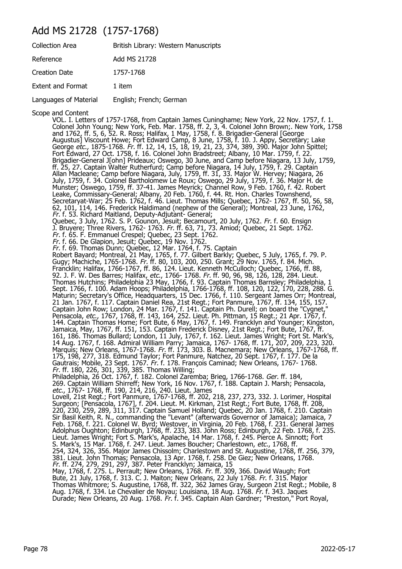### Add MS 21728 (1757-1768)

| <b>Collection Area</b>   | British Library: Western Manuscripts |
|--------------------------|--------------------------------------|
| Reference                | Add MS 21728                         |
| <b>Creation Date</b>     | 1757-1768                            |
| <b>Extent and Format</b> | 1 item                               |
| Languages of Material    | English; French; German              |

Scope and Content

VOL. I. Letters of 1757-1768, from Captain James Cuninghame; New York, 22 Nov. 1757, f. 1. Colonel John Young; New York, Feb. Mar. 1758, ff. 2, 3, 4. Colonel John Brown;. New York, 1758 and 1762, ff. 5, 6, 52. R. Ross; Halifax, 1 May, 1758, f. 8. Brigadier-General [George Augustus] Viscount Howe; Fort Edward Camp, 8 June, 1758, f. 10. J. Appy, Secretary; Lake George etc., 1875-1768. Fr. ff. 12, 14, 15, 18, 19, 21, 23, 374, 389, 390. Major John Spittel; Fort Edward, 27 Oct. 1758, f. 16. Colonel John Bradstreet; Albany, 10 Mar. 1759, f. 22. Brigadier-General J[ohn] Prideaux; Oswego, 30 June, and Camp before Niagara, 13 July, 1759, ff. 25, 27. Captain Walter Rutherfurd; Camp before Niagara, 14 July, 1759, f. 29. Captain Allan Macleane; Camp before Niagara, July, 1759, ff. 31, 33. Major W. Hervey; Niagara, 26 July, 1759, f. 34. Colonel Bartholomew Le Roux; Oswego, 29 July, 1759, f. 36. Major H. de Munster; Oswego, 1759, ff. 37-41. James Meyrick; Channel Row, 9 Feb. 1760, f. 42. Robert Leake, Commissary-General; Albany, 20 Feb. 1760, f. 44. Rt. Hon. Charles Townshend, Secretaryat-War; 25 Feb. 1762, f. 46. Lieut. Thomas Mills; Quebec, 1762- 1767, ff. 50, 56, 58, 62, 101, 114, 146. Frederick Haldimand (nephew of the General); Montreal, 23 June, 1762, Fr. f. 53. Richard Maitland, Deputy-Adjutant- General; Quebec, 3 July, 1762. S. P. Gounon, Jesuit; Becamourt, 20 July, 1762. Fr. f. 60. Ensign J. Bruyere; Three Rivers, 1762- 1763. Fr. ff. 63, 71, 73. Amiod; Quebec, 21 Sept. 1762. Fr. f. 65. F. Emmanuel Crespel; Quebec, 23 Sept. 1762. Fr. f. 66. De Glapion, Jesuit; Quebec, 19 Nov. 1762. Fr. f. 69. Thomas Dunn; Quebec, 12 Mar. 1764, f. 75. Captain Robert Bayard; Montreal, 21 May, 1765, f. 77. Gilbert Barkly; Quebec, 5 July, 1765, f. 79. P. Gugy; Machiche, 1765-1768. Fr. ff. 80, 103, 200, 250. Grant; 29 Nov. 1765, f. 84. Mich. Francklin; Halifax, 1766-1767, ff. 86, 124. Lieut. Kenneth McCulloch; Quebec, 1766, ff. 88, 92. J. F. W. Des Barres; Halifax, etc., 1766- 1768. Fr. ff. 90, 96, 98, 126, 128, 284. Lieut. Thomas Hutchins; Philadelphia 23 May, 1766, f. 93. Captain Thomas Barnsley; Philadelphia, 1 Sept. 1766, f. 100. Adam Hoops; Philadelphia, 1766-1768, ff. 108, 120, 122, 170, 228, 288. G. Maturin; Secretary's Office, Headquarters, 15 Dec. 1766, f. 110. Sergeant James Orr; Montreal, 21 Jan. 1767, f. 117. Captain Daniel Rea, 21st Regt.; Fort Panmure, 1767, ff. 134, 155, 157. Captain John Row; London, 24 Mar. 1767, f. 141. Captain Ph. Durell; on board the "Cygnet," Pensacola, etc., 1767, 1768, ff. 143, 164, 252. Lieut. Ph. Pittman, 15 Regt.; 21 Apr. 1767, f. 144. Captain Thomas Home; Fort Bute, 6 May, 1767, f. 149. Francklyn and Younger; Kingston, Jamaica, May, 1767, ff. 151, 153. Captain Frederick Disney, 21st Regt.; Fort Bute, 1767, ff. 161, 186. Thomas Bullard; London, 11 July, 1767, f. 162. Lieut. James Wright; Fort St. Mark's, 14 Aug. 1767, f. 168. Admiral William Parry; Jamaica, 1767- 1768, ff. 171, 207, 209, 223, 320. Marquis; New Orleans, 1767-1768. Fr. ff. 173, 303. B. Macnemara; New Orleans, 1767-1768, ff. 175, 198, 277, 318. Edmund Taylor; Fort Panmure, Natchez, 20 Sept. 1767, f. 177. De la Gautrais; Mobile, 23 Sept. 1767. Fr. f. 178. François Caminad; New Orleans, 1767- 1768. Fr. ff. 180, 226, 301, 339, 385. Thomas Willing; Philadelphia, 26 Oct. 1767, f. 182. Colonel Zaremba; Brieg, 1766-1768. *Ger.* ff. 184, 269. Captain William Shirreff; New York, 16 Nov. 1767, f. 188. Captain J. Marsh; Pensacola, etc., 1767- 1768, ff. 190, 214, 216, 240. Lieut. James Lovell, 21st Regt.; Fort Panmure, 1767-1768, ff. 202, 218, 237, 273, 332. J. Lorimer, Hospital Surgeon; [Pensacola, 1767], f. 204. Lieut. M. Kirkman, 21st Regt.; Fort Bute, 1768, ff. 208, 220, 230, 259, 289, 311, 317. Captain Samuel Holland; Quebec, 20 Jan. 1768, f. 210. Captain Sir Basil Keith, R. N., commanding the "Levant" (afterwards Governor of Jamaica); Jamaica, 7 Feb. 1768, f. 221. Colonel W. Byrd; Westover, in Virginia, 20 Feb. 1768, f. 231. General James Adolphus Oughton; Edinburgh, 1768, ff. 233, 383. John Ross; Edinburgh, 22 Feb. 1768, f. 235. Lieut. James Wright; Fort S. Mark's, Apalache, 14 Mar. 1768, f. 245. Pierce A. Sinnott; Fort S. Mark's, 15 Mar. 1768, f. 247. Lieut. James Boucher; Charlestown, *etc.*, 1768, ff. 254, 324, 326, 356. Major James Chissolm; Charlestown and St. Augustine, 1768, ff. 256, 379, 381. Lieut. John Thomas; Pensacola, 13 Apr. 1768, f. 258. De Giez; New Orleans, 1768. Fr. ff. 274, 279, 291, 297, 387. Peter Francklyn; Jamaica, 15 May, 1768, f. 275. L. Perrault; New Orleans, 1768. Fr. ff. 309, 366. David Waugh; Fort Bute, 21 July, 1768, f. 313. C. J. Maiton; New Orleans, 22 July 1768. Fr. f. 315. Major Thomas Whitmore; S. Augustine, 1768, ff. 322, 362 James Gray, Surgeon 21st Regt.; Mobile, 8 Aug. 1768, f. 334. Le Chevalier de Noyau; Louisiana, 18 Aug. 1768. Fr. f. 343. Jaques Durade; New Orleans, 20 Aug. 1768. Fr. f. 345. Captain Alan Gardner; "Preston," Port Royal,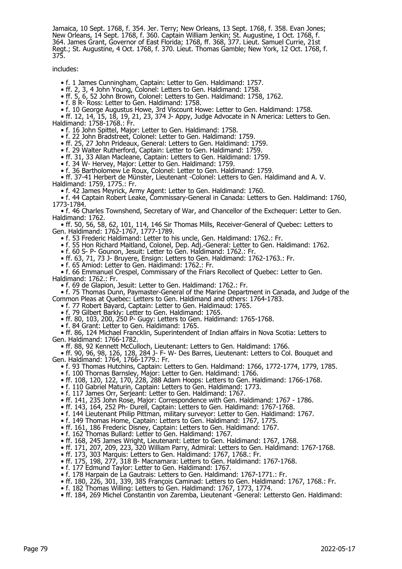Jamaica, 10 Sept. 1768, f. 354. Jer. Terry; New Orleans, 13 Sept. 1768, f. 358. Evan Jones; New Orleans, 14 Sept. 1768, f. 360. Captain William Jenkin; St. Augustine, 1 Oct. 1768, f. 364. James Grant, Governor of East Florida; 1768, ff. 368, 377. Lieut. Samuel Currie, 21st Regt.; St. Augustine, 4 Oct. 1768, f. 370. Lieut. Thomas Gamble; New York, 12 Oct. 1768, f. 375.

includes:

• f. 1 James Cunningham, Captain: Letter to Gen. Haldimand: 1757.

• ff. 2, 3, 4 John Young, Colonel: Letters to Gen. Haldimand: 1758.

• ff. 5, 6, 52 John Brown, Colonel: Letters to Gen. Haldimand: 1758, 1762.

• f. 8 R- Ross: Letter to Gen. Haldimand: 1758.

• f. 10 George Augustus Howe, 3rd Viscount Howe: Letter to Gen. Haldimand: 1758.

 • ff. 12, 14, 15, 18, 19, 21, 23, 374 J- Appy, Judge Advocate in N America: Letters to Gen. Haldimand: 1758-1768.: Fr.

• f. 16 John Spittel, Major: Letter to Gen. Haldimand: 1758.

• f. 22 John Bradstreet, Colonel: Letter to Gen. Haldimand: 1759.

• ff. 25, 27 John Prideaux, General: Letters to Gen. Haldimand: 1759.

• f. 29 Walter Rutherford, Captain: Letter to Gen. Haldimand: 1759.

• ff. 31, 33 Allan Macleane, Captain: Letters to Gen. Haldimand: 1759.

• f. 34 W- Hervey, Major: Letter to Gen. Haldimand: 1759.

• f. 36 Bartholomew Le Roux, Colonel: Letter to Gen. Haldimand: 1759.

 • ff. 37-41 Herbert de Münster, Lieutenant -Colonel: Letters to Gen. Haldimand and A. V. Haldimand: 1759, 1775.: Fr.

• f. 42 James Meyrick, Army Agent: Letter to Gen. Haldimand: 1760.

 • f. 44 Captain Robert Leake, Commissary-General in Canada: Letters to Gen. Haldimand: 1760, 1773-1784.

 • f. 46 Charles Townshend, Secretary of War, and Chancellor of the Exchequer: Letter to Gen. Haldimand: 1762.

 • ff. 50, 56, 58, 62, 101, 114, 146 Sir Thomas Mills, Receiver-General of Quebec: Letters to Gen. Haldimand: 1762-1767, 1777-1789.

• f. 53 Frederic Haldimand: Letter to his uncle, Gen. Haldimand: 1762.: Fr.

• f. 55 Hon Richard Maitland, Colonel, Dep. Adj.-General: Letter to Gen. Haldimand: 1762.

• f. 60 S- P- Gounon, Jesuit: Letter to Gen. Haldimand: 1762.: Fr.

• ff. 63, 71, 73 J- Bruyere, Ensign: Letters to Gen. Haldimand: 1762-1763.: Fr.

• f. 65 Amiod: Letter to Gen. Haidimand: 1762.: Fr.

 • f. 66 Emmanuel Crespel, Commissary of the Friars Recollect of Quebec: Letter to Gen. Haldimand: 1762.: Fr.

• f. 69 de Glapion, Jesuit: Letter to Gen. Haldimand: 1762.: Fr.

 • f. 75 Thomas Dunn, Paymaster-General of the Marine Department in Canada, and Judge of the Common Pleas at Quebec: Letters to Gen. Haldimand and others: 1764-1783.

• f. 77 Robert Bayard, Captain: Letter to Gen. Haldimaud: 1765.

• f. 79 Gilbert Barkly: Letter to Gen. Haldimand: 1765.

• ff. 80, 103, 200, 250 P- Gugy: Letters to Gen. Haldimand: 1765-1768.

• f. 84 Grant: Letter to Gen. Haldimand: 1765.

 • ff. 86, 124 Michael Francklin, Superintendent of Indian affairs in Nova Scotia: Letters to Gen. Haldimand: 1766-1782.

• ff. 88, 92 Kennett McCulloch, Lieutenant: Letters to Gen. Haldimand: 1766.

 • ff. 90, 96, 98, 126, 128, 284 J- F- W- Des Barres, Lieutenant: Letters to Col. Bouquet and Gen. Haldimand: 1764, 1766-1779.: Fr.

• f. 93 Thomas Hutchins, Captain: Letters to Gen. Haldimand: 1766, 1772-1774, 1779, 1785.

• f. 100 Thornas Barnsley, Major: Letter to Gen. Haldimand: 1766.

• ff. 108, 120, 122, 170, 228, 288 Adam Hoops: Letters to Gen. Haldimand: 1766-1768.

• f. 110 Gabriel Maturin, Captain: Letters to Gen. Haldimand: 1773.

• f. 117 James Orr, Serjeant: Letter to Gen. Haldimand: 1767.

• ff. 141, 235 John Rose, Major: Correspondence with Gen. Haldimand: 1767 - 1786.

• ff. 143, 164, 252 Ph- Durell, Captain: Letters to Gen. Haldimand: 1767-1768.

• f. 144 Lieutenant Philip Pittman, military surveyor: Letter to Gen. Haldimand: 1767.

• f. 149 Thomas Home, Captain: Letters to Gen. Haldimand: 1767, 1775.

• ff. 161, 186 Frederic Disney, Captain: Letters to Gen. Haldimand: 1767.

• f. 162 Thomas Bullard: Letter to Gen. Haldimand: 1767.

• ff. 168, 245 James Wright, Lieutenant: Letter to Gen. Haldimand: 1767, 1768.

• ff. 171, 207, 209, 223, 320 William Parry, Admiral: Letters to Gen. Haldimand: 1767-1768.

• ff. 173, 303 Marquis: Letters to Gen. Haldimand: 1767, 1768.: Fr.

• ff. 175, 198, 277, 318 B- Macnamara: Letters to Gen. Haldimand: 1767-1768.

• f. 177 Edmund Taylor: Letter to Gen. Haldimand: 1767.

• f. 178 Harpain de La Gautrais: Letters to Gen. Haldimand: 1767-1771.: Fr.

• ff. 180, 226, 301, 339, 385 François Caminad: Letters to Gen. Haldimand: 1767, 1768.: Fr.

• f. 182 Thomas Willing: Letters to Gen. Haldimand: 1767, 1773, 1774.

• ff. 184, 269 Michel Constantin von Zaremba, Lieutenant -General: Lettersto Gen. Haldimand: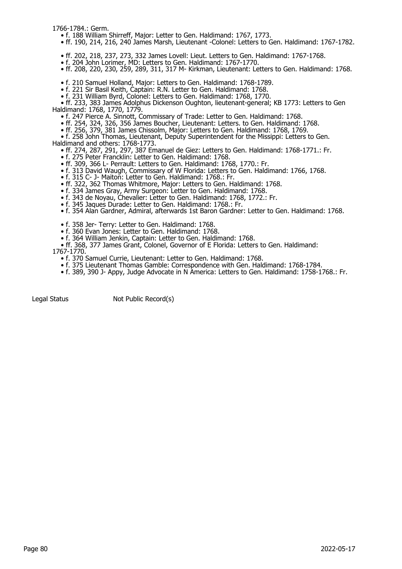1766-1784.: Germ.

- f. 188 William Shirreff, Major: Letter to Gen. Haldimand: 1767, 1773.
- ff. 190, 214, 216, 240 James Marsh, Lieutenant -Colonel: Letters to Gen. Haldimand: 1767-1782.
- ff. 202, 218, 237, 273, 332 James Lovell: Lieut. Letters to Gen. Haldimand: 1767-1768.
- f. 204 John Lorimer, MD: Letters to Gen. Haldimand: 1767-1770.
- ff. 208, 220, 230, 259, 289, 311, 317 M- Kirkman, Lieutenant: Letters to Gen. Haldimand: 1768.
- f. 210 Samuel Holland, Major: Letters to Gen. Haldimand: 1768-1789.
- f. 221 Sir Basil Keith, Captain: R.N. Letter to Gen. Haldimand: 1768.
- f. 231 William Byrd, Colonel: Letters to Gen. Haldimand: 1768, 1770.

 • ff. 233, 383 James Adolphus Dickenson Oughton, lieutenant-general; KB 1773: Letters to Gen Haldimand: 1768, 1770, 1779.

- f. 247 Pierce A. Sinnott, Commissary of Trade: Letter to Gen. Haldimand: 1768.
- ff. 254, 324, 326, 356 James Boucher, Lieutenant: Letters. to Gen. Haldimand: 1768.
- ff. 256, 379, 381 James Chissolm, Major: Letters to Gen. Haldimand: 1768, 1769.

 • f. 258 John Thomas, Lieutenant, Deputy Superintendent for the Missippi: Letters to Gen. Haldimand and others: 1768-1773.

• ff. 274, 287, 291, 297, 387 Emanuel de Giez: Letters to Gen. Haldimand: 1768-1771.: Fr.

- f. 275 Peter Francklin: Letter to Gen. Haldimand: 1768.
- ff. 309, 366 L- Perrault: Letters to Gen. Haldimand: 1768, 1770.: Fr.
- f. 313 David Waugh, Commissary of W Florida: Letters to Gen. Haldimand: 1766, 1768.
- f. 315 C- J- Maiton: Letter to Gen. Haldimand: 1768.: Fr.
- ff. 322, 362 Thomas Whitmore, Major: Letters to Gen. Haldimand: 1768.
- f. 334 James Gray, Army Surgeon: Letter to Gen. Haldimand: 1768.
- f. 343 de Noyau, Chevalier: Letter to Gen. Haldimand: 1768, 1772.: Fr.
- f. 345 Jaques Durade: Letter to Gen. Haldimand: 1768.: Fr.
- f. 354 Alan Gardner, Admiral, afterwards 1st Baron Gardner: Letter to Gen. Haldimand: 1768.
	- f. 358 Jer- Terry: Letter to Gen. Haldimand: 1768.
- f. 360 Evan Jones: Letter to Gen. Haldimand: 1768.
- f. 364 William Jenkin, Captain: Letter to Gen. Haldimand: 1768.
- ff. 368, 377 James Grant, Colonel, Governor of E Florida: Letters to Gen. Haldimand: 1767-1770.
- f. 370 Samuel Currie, Lieutenant: Letter to Gen. Haldimand: 1768.
- f. 375 Lieutenant Thomas Gamble: Correspondence with Gen. Haldimand: 1768-1784.
- f. 389, 390 J- Appy, Judge Advocate in N America: Letters to Gen. Haldimand: 1758-1768.: Fr.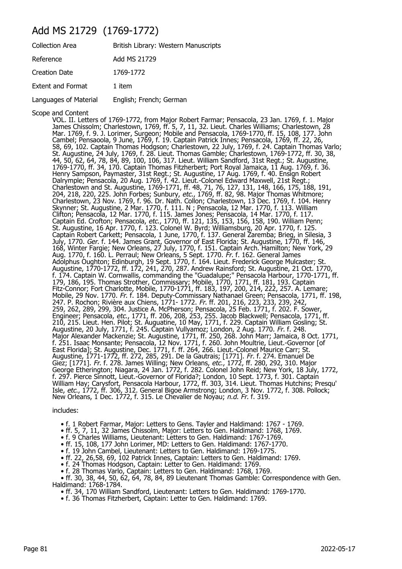### Add MS 21729 (1769-1772)

| <b>Collection Area</b>   | British Library: Western Manuscripts |
|--------------------------|--------------------------------------|
| Reference                | Add MS 21729                         |
| <b>Creation Date</b>     | 1769-1772                            |
| <b>Extent and Format</b> | 1 item                               |
| Languages of Material    | English; French; German              |

Scope and Content

VOL. II. Letters of 1769-1772, from Major Robert Farmar; Pensacola, 23 Jan. 1769, f. 1. Major James Chissolm; Charlestown, 1769, ff. 5, 7, 11, 32. Lieut. Charles Williams; Charlestown, 28 Mar. 1769, f. 9. J. Lorimer, Surgeon; Mobile and Pensacola, 1769-1770, ff. 15, 108, 177. John Cambel; Pensaoola, 9 June, 1769, f. 19. Captain Patrick Innes; Pensacola, 1769, ff. 22, 26, 58, 69, 102. Captain Thomas Hodgson; Charlestown, 22 July, 1769, f. 24. Captain Thomas Varlo; St. Augustine, 24 July, 1769, f. 28. Lieut. Thomas Gamble; Charlestown, 1769-1772, ff. 30, 38, 44, 50, 62, 64, 78, 84, 89, 100, 106, 317. Lieut. William Sandford, 31st Regt.; St. Augustine, 1769-1770, ff. 34, 170. Captain Thomas Fitzherbert; Port Royal Jamaica, 11 Aug. 1769, f. 36. Henry Sampson, Paymaster, 31st Regt.; St. Augustine, 17 Aug. 1769, f. 40. Ensign Robert Dalrymple; Pensacola, 20 Aug. 1769, f. 42. Lieut.-Colonel Edward Maxwell, 21st Regt.; Charlestown and St. Augustine, 1769-1771, ff. 48, 71, 76, 127, 131, 148, 166, 175, 188, 191, 204, 218, 220, 225. John Forbes; Sunbury, *etc.*, 1769, ff. 82, 98. Major Thomas Whitmore; Charlestown, 23 Nov. 1769, f. 96. Dr. Nath. Collon; Charlestown, 13 Dec. 1769, f. 104. Henry Skynner; St. Augustine, 2 Mar. 1770, f. 111. N ; Pensacola, 12 Mar. 1770, f. 113. William Clifton; Pensacola, 12 Mar. 1770, f. 115. James Jones; Pensacola, 14 Mar. 1770, f. 117. Captain Ed. Crofton; Pensacola, *etc.*, 1770, ff. 121, 135, 153, 156, 158, 190. William Penn; St. Augustine, 16 Apr. 1770, f. 123. Colonel W. Byrd; Williamsburg, 20 Apr. 1770, f. 125. Captain Robert Carkett; Pensacola, 1 June, 1770, f. 137. General Zaremba; Brieg, in Silesia, 3 July, 1770. *Ger*. f. 144. James Grant, Governor of East Florida; St. Augustine, 1770, ff. 146, 168, Winter Fargie; New Orleans, 27 July, 1770, f. 151. Captain Arch. Hamilton; New York, 29 Aug. 1770, f. 160. L. Perraul; New Orleans, 5 Sept. 1770. *Fr.* f. 162. General James Adolphus Oughton; Edinburgh, 19 Sept. 1770, f. 164. Lieut. Frederick George Mulcaster; St. Augustine, 1770-1772, ff. 172, 241, 270, 287. Andrew Rainsford; St. Augustine, 21 Oct. 1770, f. 174. Captain W. Cornwallis, commanding the "Guadalupe;" Pensacola Harbour, 1770-1771, ff. 179, 186, 195. Thomas Strother, Commissary; Mobile, 1770, 1771, ff. 181, 193. Captain Fitz-Connor; Fort Charlotte, Mobile, 1770-1771, ff. 183, 197, 200, 214, 222, 257. A. Lemare; Mobile, 29 Nov. 1770. Fr. f. 184. Deputy-Commissary Nathanael Green; Pensacola, 1771, ff. 198, 247. P. Rochon; Rivière aux Chiens, 1771- 1772. Fr. ff. 201, 216, 223, 233, 239, 242, 259, 262, 289, 299, 304. Justice A. McPherson; Pensacola, 25 Feb. 1771, f. 202. F. Sower, Engineer; Pensacola, *etc.*, 1771, ff. 206, 208, 253, 255. Jacob Blackwell; Pensacola, 1771, ff. 210, 215. Lieut. Hen. Pilot; St. Auguatine, 10 May, 1771, f. 229. Captain William Gosling; St. Augustine, 20 July, 1771, f. 245. Captain Vullyamoz; London, 2 Aug. 1770. Fr. f. 248. Major Alexander Mackenzie; St. Augustine, 1771, ff. 250, 268. John Marr; Jamaica, 8 Oct. 1771, f. 251. Isaac Monsante; Pensacola, 12 Nov. 1771, f. 260. John Moultrie, Lieut.-Governor [of East Florida]; St. Augustine, Dec. 1771, f. ff. 264, 266. Lieut.-Colonel Maurice Carr; St. Augustine, 1771-1772, ff. 272, 285, 291. De la Gautrais; [1771]. Fr. f. 274. Emanuel De Giez; [1771]. *Fr*. f. 278. James Willing; New Orleans, *etc.*, 1772, ff. 280, 292, 310. Major George Etherington; Niagara, 24 Jan. 1772, f. 282. Colonel John Reid; New York, 18 July, 1772, f. 297. Pierce Sinnott, Lieut.-Governor of Florida?; London, 10 Sept. 1773, f. 301. Captain William Hay; Carysfort, Pensacola Harbour, 1772, ff. 303, 314. Lieut. Thomas Hutchins; Presqu' Isle, etc., 1772, ff. 306, 312. General Bigoe Armstrong; London, 3 Nov. 1772, f. 308. Pollock; New Orleans, 1 Dec. 1772, f. 315. Le Chevalier de Noyau; n.d. Fr. f. 319.

includes:

• f. 1 Robert Farmar, Major: Letters to Gens. Tayler and Haldimand: 1767 - 1769.

• ff. 5, 7, 11, 32 James Chissolm, Major: Letters to Gen. Haldimand: 1768, 1769.

• f. 9 Charles Williams, Lieutenant: Letters to Gen. Haldimand: 1767-1769.

• ff. 15, 108, 177 John Lorimer, MD: Letters to Gen. Haldimand: 1767-1770.

• f. 19 John Cambel, Lieutenant: Letters to Gen. Haldimand: 1769-1775.

• ff. 22, 26,58, 69, 102 Patrick Innes, Captain: Letters to Gen. Haldimand: 1769.

• f. 24 Thomas Hodgson, Captain: Letter to Gen. Haldimand: 1769.

• f. 28 Thomas Varlo, Captain: Letters to Gen. Haldimand: 1768, 1769.

 • ff. 30, 38, 44, 50, 62, 64, 78, 84, 89 Lieutenant Thomas Gamble: Correspondence with Gen. Haldimand: 1768-1784.

• ff. 34, 170 William Sandford, Lieutenant: Letters to Gen. Haldimand: 1769-1770.

• f. 36 Thomas Fitzherbert, Captain: Letter to Gen. Haldimand: 1769.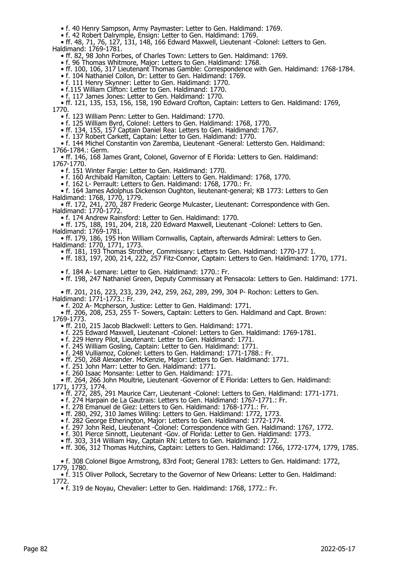• f. 40 Henry Sampson, Army Paymaster: Letter to Gen. Haldimand: 1769.

• f. 42 Robert Dalrymple, Ensign: Letter to Gen. Haldimand: 1769.

• ff. 48, 71, 76, 127, 131, 148, 166 Edward Maxwell, Lieutenant -Colonel: Letters to Gen.

Haldimand: 1769-1781.

• ff. 82, 98 John Forbes, of Charles Town: Letters to Gen. Haldimand: 1769.

• f. 96 Thomas Whitmore, Major: Letters to Gen. Haldimand: 1768.

• ff. 100, 106, 317 Lieutenant Thomas Gamble: Correspondence with Gen. Haldimand: 1768-1784.

• f. 104 Nathaniel Collon, Dr: Letter to Gen. Haldimand: 1769.

• f. 111 Henry Skynner: Letter to Gen. Haldimand: 1770.

 • f.115 William Clifton: Letter to Gen. Haldimand: 1770. • f. 117 James Jones: Letter to Gen. Haldimand: 1770.

 • ff. 121, 135, 153, 156, 158, 190 Edward Crofton, Captain: Letters to Gen. Haldimand: 1769, 1770.

• f. 123 William Penn: Letter to Gen. Haldimand: 1770.

• f. 125 William Byrd, Colonel: Letters to Gen. Haldimand: 1768, 1770.

• ff. 134, 155, 157 Captain Daniel Rea: Letters to Gen. Haldimand: 1767.

• f. 137 Robert Carkett, Captain: Letter to Gen. Haldimand: 1770.

 • f. 144 Michel Constantin von Zaremba, Lieutenant -General: Lettersto Gen. Haldimand: 1766-1784.: Germ.

 • ff. 146, 168 James Grant, Colonel, Governor of E Florida: Letters to Gen. Haldimand: 1767-1770.

• f. 151 Winter Fargie: Letter to Gen. Haldimand: 1770.

• f. 160 Archibald Hamilton, Captain: Letters to Gen. Haldimand: 1768, 1770.

• f. 162 L- Perrault: Letters to Gen. Haldimand: 1768, 1770.: Fr.

 • f. 164 James Adolphus Dickenson Oughton, lieutenant-general; KB 1773: Letters to Gen Haldimand: 1768, 1770, 1779.

 • ff. 172, 241, 270, 287 Frederic George Mulcaster, Lieutenant: Correspondence with Gen. Haldimand: 1770-1772.

• f. 174 Andrew Rainsford: Letter to Gen. Haldimand: 1770.

 • ff. 175, 188, 191, 204, 218, 220 Edward Maxwell, Lieutenant -Colonel: Letters to Gen. Haldimand: 1769-1781.

 • ff. 179, 186, 195 Hon William Cornwallis, Captain, afterwards Admiral: Letters to Gen. Haldimand: 1770, 1771, 1773.

• ff. 181, 193 Thomas Strother, Commissary: Letters to Gen. Haldimand: 1770-177 1.

• ff. 183, 197, 200, 214, 222, 257 Fitz-Connor, Captain: Letters to Gen. Haldimand: 1770, 1771.

• f. 184 A- Lemare: Letter to Gen. Haldimand: 1770.: Fr.

• ff. 198, 247 Nathaniel Green, Deputy Commissary at Pensacola: Letters to Gen. Haldimand: 1771.

 • ff. 201, 216, 223, 233, 239, 242, 259, 262, 289, 299, 304 P- Rochon: Letters to Gen. Haldimand: 1771-1773.: Fr.

• f. 202 A- Mcpherson, Justice: Letter to Gen. Haldimand: 1771.

 • ff. 206, 208, 253, 255 T- Sowers, Captain: Letters to Gen. Haldimand and Capt. Brown: 1769-1773.

• ff. 210, 215 Jacob Blackwell: Letters to Gen. Haldimand: 1771.

• f. 225 Edward Maxwell, Lieutenant -Colonel: Letters to Gen. Haldimand: 1769-1781.

• f. 229 Henry Pilot, Lieutenant: Letter to Gen. Haldimand: 1771.

• f. 245 William Gosling, Captain: Letter to Gen. Haldimand: 1771.

• f. 248 Vulliamoz, Colonel: Letters to Gen. Haldimand: 1771-1788.: Fr.

• ff. 250, 268 Alexander. McKenzie, Major: Letters to Gen. Haldimand: 1771.

• f. 251 John Marr: Letter to Gen. Haldimand: 1771.

• f. 260 Isaac Monsante: Letter to Gen. Haldimand: 1771.

 • ff. 264, 266 John Moultrie, Lieutenant -Governor of E Florida: Letters to Gen. Haldimand: 1771, 1773, 1774.

• ff. 272, 285, 291 Maurice Carr, Lieutenant -Colonel: Letters to Gen. Haldimand: 1771-1771.

• f. 274 Harpain de La Gautrais: Letters to Gen. Haldimand: 1767-1771.: Fr.

• f. 278 Emanuel de Giez: Letters to Gen. Haldimand: 1768-1771.: Fr.

• ff. 280, 292, 310 James Willing: Letters to Gen. Haldimand: 1772, 1773.

• f. 282 George Etherington, Major: Letters to Gen. Haldimand: 1772-1774.

• f. 297 John Reid, Lieutenant -Colonel: Correspondence with Gen. Haldimand: 1767, 1772.

• f. 301 Pierce Sinnott, Lieutenant -Gov. of Florida: Letter to Gen. Haldimand: 1773.

• ff. 303, 314 William Hay, Captain RN: Letters to Gen. Haldimand: 1772.

• ff. 306, 312 Thomas Hutchins, Captain: Letters to Gen. Haldimand: 1766, 1772-1774, 1779, 1785.

 • f. 308 Colonel Bigoe Armstrong, 83rd Foot; General 1783: Letters to Gen. Haldimand: 1772, 1779, 1780.

 • f. 315 Oliver Pollock, Secretary to the Governor of New Orleans: Letter to Gen. Haldimand: 1772.

• f. 319 de Noyau, Chevalier: Letter to Gen. Haldimand: 1768, 1772.: Fr.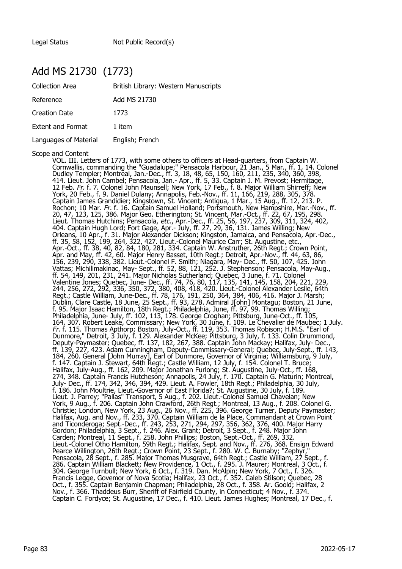#### Add MS 21730 (1773)

| <b>Collection Area</b>   | British Library: Western Manuscripts |
|--------------------------|--------------------------------------|
| Reference                | Add MS 21730                         |
| <b>Creation Date</b>     | 1773                                 |
| <b>Extent and Format</b> | 1 item                               |
| Languages of Material    | English; French                      |

Scope and Content

VOL. III. Letters of 1773, with some others to officers at Head-quarters, from Captain W. Cornwallis, commanding the "Guadalupe;" Pensacola Harbour, 21 Jan., 5 Mar., ff. 1, 14. Colonel Dudley Templer; Montreal, Jan.-Dec., ff. 3, 18, 48, 65, 150, 160, 211, 235, 340, 360, 398, 414. Lieut. John Cambel; Pensacola, Jan.- Apr., ff. 5, 33. Captain J. M. Prevost; Hermitage, 12 Feb. Fr. f. 7. Colonel John Maunsell; New York, 17 Feb., f. 8. Major William Shirreff; New York, 20 Feb., f. 9. Daniel Dulany; Annapolis, Feb.-Nov., ff. 11, 166, 219, 288, 305, 378. Captain James Grandidier; Kingstown, St. Vincent; Antigua, 1 Mar., 15 Aug., ff. 12, 213. P. Rochon; 10 Mar. Fr. f. 16. Captain Samuel Holland; Portsmouth, New Hampshire, Mar.-Nov., ff. 20, 47, 123, 125, 386. Major Geo. Etherington; St. Vincent, Mar.-Oct., ff. 22, 67, 195, 298. Lieut. Thomas Hutchins; Pensacola, *etc.,* Apr.-Dec., ff. 25, 56, 197, 237, 309, 311, 324, 402, 404. Captain Hugh Lord; Fort Gage, Apr.- July, ff. 27, 29, 36, 131. James Willing; New Orleans, 10 Apr., f. 31. Major Alexander Dickson; Kingston, Jamaica, and Pensacola, Apr.-Dec., ff. 35, 58, 152, 199, 264, 322, 427. Lieut.-Colonel Maurice Carr; St. Augustine, etc., Apr.-Oct., ff. 38, 40, 82, 84, 180, 281, 334. Captain W. Anstruther, 26th Regt.; Crown Point, Apr. and May, ff. 42, 60. Major Henry Basset, 10th Regt.; Detroit, Apr.-Nov., ff. 44, 63, 86, 156, 239, 290, 338, 382. Lieut.-Colonel F. Smith; Niagara, May- Dec., ff. 50, 107, 425. John Vattas; Michilimakinac, May- Sept., ff. 52, 88, 121, 252. J. Stephenson; Pensacola, May-Aug., ff. 54, 149, 201, 231, 241. Major Nicholas Sutherland; Quebec, 3 June, f. 71. Colonel Valentine Jones; Quebec, June- Dec., ff. 74, 76, 80, 117, 135, 141, 145, 158, 204, 221, 229, 244, 256, 272, 292, 336, 350, 372, 380, 408, 418, 420. Lieut.-Colonel Alexander Leslie, 64th Regt.; Castle William, June-Dec., ff. 78, 176, 191, 250, 364, 384, 406, 416. Major J. Marsh; Dublin, Clare Castle, 18 June, 25 Sept., ff. 93, 278. Admiral J[ohn] Montagu; Boston, 21 June, f. 95. Major Isaac Hamilton, 18th Regt.; Philadelphia, June, ff. 97, 99. Thomas Willing; Philadelphia, June- July, ff. 102, 113, 178. George Croghan; Pittsburg, June-Oct., ff. 105, 164, 307. Robert Leake, Commissary; New York, 30 June, f. 109. Le Chevalier de Maubec; 1 July. Fr. f. 115. Thomas Apthorp; Boston, July-Oct., ff. 119, 353. Thomas Robison; H.M.S. "Earl of Dunmore," Detroit, 3 July, f. 129. Alexander McKee; Pittsburg, 3 July, f. 133. Colin Drummond, Deputy-Paymaster; Quebec, ff. 137, 182, 267, 388. Captain John Mackay; Halifax, July- Dec., ff. 139, 227, 423. Adam Cunningham, Deputy-Commissary-General; Quebec, July-Sept., ff. 143, 184, 260. General [John Murray], Earl of Dunmore, Governor of Virginia; Williamsburg, 9 July, f. 147. Captain J. Stewart, 64th Regt.; Castle William, 12 July, f. 154. Colonel T. Bruce; Halifax, July-Aug., ff. 162, 209. Major Jonathan Furlong; St. Augustine, July-Oct., ff. 168, 274, 348. Captain Francis Hutcheson; Annapolis, 24 July, f. 170. Captain G. Maturin; Montreal, July- Dec., ff. 174, 342, 346, 394, 429. Lieut. A. Fowler, 18th Regt.; Philadelphia, 30 July, f. 186. John Moultrie, Lieut.-Governor of East Florida?; St. Augustine, 30 July, f. 189. Lieut. J. Parrey; "Pallas" Transport, 5 Aug., f. 202. Lieut.-Colonel Samuel Chavelan; New York, 9 Aug., f. 206. Captain John Crawford, 26th Regt.; Montreal, 13 Aug., f. 208. Colonel G. Christie; London, New York, 23 Aug., 26 Nov., ff. 225, 396. George Turner, Deputy Paymaster; Halifax, Aug. and Nov., ff. 233, 370. Captain William de la Place, Commandant at Crown Point and Ticonderoga; Sept.-Dec., ff. 243, 253, 271, 294, 297, 356, 362, 376, 400. Major Harry Gordon; Philadelphia, 3 Sept., f. 246. Alex. Grant; Detroit, 3 Sept., f. 248. Major John Carden; Montreal, 11 Sept., f. 258. John Phillips; Boston, Sept.-Oct., ff. 269, 332. Lieut.-Colonel Otho Hamilton, 59th Regt.; Halifax, Sept. and Nov., ff. 276, 368. Ensign Edward Pearce Willington, 26th Regt.; Crown Point, 23 Sept., f. 280. W. C. Burnaby; "Zephyr," Pensacola, 28 Sept., f. 285. Major Thomas Musgrave, 64th Regt.; Castle William, 27 Sept., f. 286. Captain William Blackett; New Providence, 1 Oct., f. 295. J. Maurer; Montreal, 3 Oct., f. 304. George Turnbull; New York, 6 Oct., f. 319. Dan. McAlpin; New York, 7 Oct., f. 326. Francis Legge, Govemor of Nova Scotia; Halifax, 23 Oct., f. 352. Caleb Stilson; Quebec, 28 Oct., f. 355. Captain Benjamin Chapman; Philadelphia, 28 Oct., f. 358. Ar. Goold; Halifax, 2 Nov., f. 366. Thaddeus Burr, Sheriff of Fairfield County, in Connecticut; 4 Nov., f. 374. Captain C. Fordyce; St. Augustine, 17 Dec., f. 410. Lieut. James Hughes; Montreal, 17 Dec., f.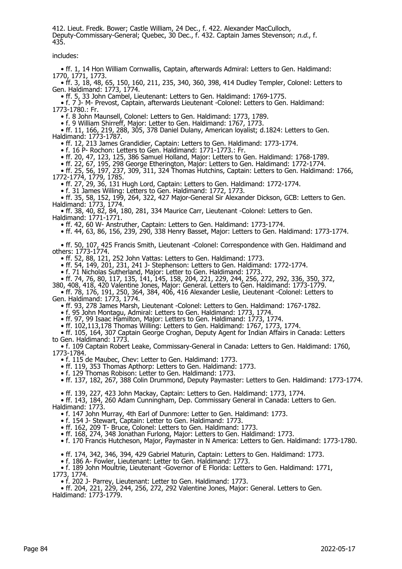412. Lieut. Fredk. Bower; Castle William, 24 Dec., f. 422. Alexander MacCulloch, Deputy-Commissary-General; Quebec, 30 Dec., f. 432. Captain James Stevenson; n.d., f. 435.

includes:

 • ff. 1, 14 Hon William Cornwallis, Captain, afterwards Admiral: Letters to Gen. Haldimand: 1770, 1771, 1773.

 • ff. 3, 18, 48, 65, 150, 160, 211, 235, 340, 360, 398, 414 Dudley Templer, Colonel: Letters to Gen. Haldimand: 1773, 1774.

• ff. 5, 33 John Cambel, Lieutenant: Letters to Gen. Haldimand: 1769-1775.

 • f. 7 J- M- Prevost, Captain, afterwards Lieutenant -Colonel: Letters to Gen. Haldimand: 1773-1780.: Fr.

• f. 8 John Maunsell, Colonel: Letters to Gen. Haldimand: 1773, 1789.

• f. 9 William Shirreff, Major: Letter to Gen. Haldimand: 1767, 1773.

 • ff. 11, 166, 219, 288, 305, 378 Daniel Dulany, American loyalist; d.1824: Letters to Gen. Haldimand: 1773-1787.

• ff. 12, 213 James Grandidier, Captain: Letters to Gen. Haldimand: 1773-1774.

• f. 16 P- Rochon: Letters to Gen. Haldimand: 1771-1773.: Fr.

• ff. 20, 47, 123, 125, 386 Samuel Holland, Major: Letters to Gen. Haldimand: 1768-1789.

• ff. 22, 67, 195, 298 George Etherington, Major: Letters to Gen. Haldimand: 1772-1774.

 • ff. 25, 56, 197, 237, 309, 311, 324 Thomas Hutchins, Captain: Letters to Gen. Haldimand: 1766, 1772-1774, 1779, 1785.

• ff. 27, 29, 36, 131 Hugh Lord, Captain: Letters to Gen. Haldimand: 1772-1774.

• f. 31 James Willing: Letters to Gen. Haldimand: 1772, 1773.

 • ff. 35, 58, 152, 199, 264, 322, 427 Major-General Sir Alexander Dickson, GCB: Letters to Gen. Haldimand: 1773, 1774.

• ff. 38, 40, 82, 84, 180, 281, 334 Maurice Carr, Lieutenant -Colonel: Letters to Gen.

Haldimand: 1771-1771.

• ff. 42, 60 W- Anstruther, Captain: Letters to Gen. Haldimand: 1773-1774.

• ff. 44, 63, 86, 156, 239, 290, 338 Henry Basset, Major: Letters to Gen. Haldimand: 1773-1774.

 • ff. 50, 107, 425 Francis Smith, Lieutenant -Colonel: Correspondence with Gen. Haldimand and others: 1773-1774.

• ff. 52, 88, 121, 252 John Vattas: Letters to Gen. Haldimand: 1773.

• ff. 54, 149, 201, 231, 241 J- Stephenson: Letters to Gen. Haldimand: 1772-1774.

• f. 71 Nicholas Sutherland, Major: Letter to Gen. Haldimand: 1773.

• ff. 74, 76, 80, 117, 135, 141, 145, 158, 204, 221, 229, 244, 256, 272, 292, 336, 350, 372,

380, 408, 418, 420 Valentine Jones, Major: General. Letters to Gen. Haldimand: 1773-1779. • ff. 78, 176, 191, 250, 364, 384, 406, 416 Alexander Leslie, Lieutenant -Colonel: Letters to

Gen. Haldimand: 1773, 1774.

• ff. 93, 278 James Marsh, Lieutenant -Colonel: Letters to Gen. Haldimand: 1767-1782.

• f. 95 John Montagu, Admiral: Letters to Gen. Haldimand: 1773, 1774.

• ff. 97, 99 Isaac Hamilton, Major: Letters to Gen. Haldimand: 1773, 1774.

• ff. 102,113,178 Thomas Willing: Letters to Gen. Haldimand: 1767, 1773, 1774.

 • ff. 105, 164, 307 Captain George Croghan, Deputy Agent for Indian Affairs in Canada: Letters to Gen. Haldimand: 1773.

 • f. 109 Captain Robert Leake, Commissary-General in Canada: Letters to Gen. Haldimand: 1760, 1773-1784.

• f. 115 de Maubec, Chev: Letter to Gen. Haldimand: 1773.

• ff. 119, 353 Thomas Apthorp: Letters to Gen. Haldimand: 1773.

• f. 129 Thomas Robison: Letter to Gen. Haldimand: 1773.

• ff. 137, 182, 267, 388 Colin Drummond, Deputy Paymaster: Letters to Gen. Haldimand: 1773-1774.

• ff. 139, 227, 423 John Mackay, Captain: Letters to Gen. Haldimand: 1773, 1774.

 • ff. 143, 184, 260 Adam Cunningham, Dep. Commissary General in Canada: Letters to Gen. Haldimand: 1773.

• f. 147 John Murray, 4th Earl of Dunmore: Letter to Gen. Haldimand: 1773.

• f. 154 J- Stewart, Captain: Letter to Gen. Haldimand: 1773.

• ff. 162, 209 T- Bruce, Colonel: Letters to Gen. Haldimand: 1773.

• ff. 168, 274, 348 Jonathan Furlong, Major: Letters to Gen. Haldimand: 1773.

• f. 170 Francis Hutcheson, Major, Paymaster in N America: Letters to Gen. Haldimand: 1773-1780.

• ff. 174, 342, 346, 394, 429 Gabriel Maturin, Captain: Letters to Gen. Haldimand: 1773.

• f. 186 A- Fowler, Lieutenant: Letter to Gen. Haldimand: 1773.

 • f. 189 John Moultrie, Lieutenant -Governor of E Florida: Letters to Gen. Haldimand: 1771, 1773, 1774.

• f. 202 J- Parrey, Lieutenant: Letter to Gen. Haldimand: 1773.

 • ff. 204, 221, 229, 244, 256, 272, 292 Valentine Jones, Major: General. Letters to Gen. Haldimand: 1773-1779.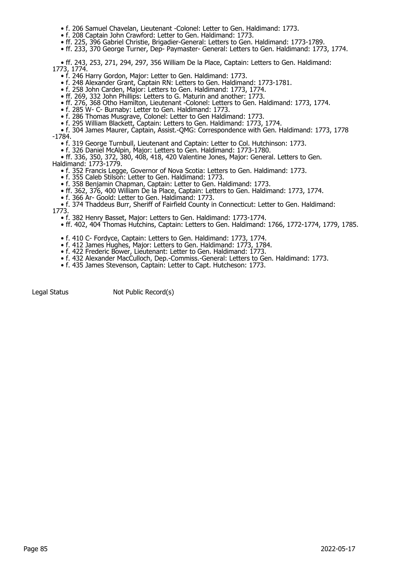- f. 206 Samuel Chavelan, Lieutenant -Colonel: Letter to Gen. Haldimand: 1773.
- f. 208 Captain John Crawford: Letter to Gen. Haldimand: 1773.
- ff. 225, 396 Gabriel Christie, Brigadier-General: Letters to Gen. Haldimand: 1773-1789.
- ff. 233, 370 George Turner, Dep- Paymaster- General: Letters to Gen. Haldimand: 1773, 1774.

 • ff. 243, 253, 271, 294, 297, 356 William De la Place, Captain: Letters to Gen. Haldimand: 1773, 1774.

- f. 246 Harry Gordon, Major: Letter to Gen. Haldimand: 1773.
- f. 248 Alexander Grant, Captain RN: Letters to Gen. Haldimand: 1773-1781.
	- f. 258 John Carden, Major: Letters to Gen. Haldimand: 1773, 1774.
- ff. 269, 332 John Phillips: Letters to G. Maturin and another: 1773.
- ff. 276, 368 Otho Hamilton, Lieutenant -Colonel: Letters to Gen. Haldimand: 1773, 1774.
- f. 285 W- C- Burnaby: Letter to Gen. Haldimand: 1773.
	- f. 286 Thomas Musgrave, Colonel: Letter to Gen Haldimand: 1773.
	- f. 295 William Blackett, Captain: Letters to Gen. Haldimand: 1773, 1774.

 • f. 304 James Maurer, Captain, Assist.-QMG: Correspondence with Gen. Haldimand: 1773, 1778 -1784.

- f. 319 George Turnbull, Lieutenant and Captain: Letter to Col. Hutchinson: 1773.
- f. 326 Daniel McAlpin, Major: Letters to Gen. Haldimand: 1773-1780.

 • ff. 336, 350, 372, 380, 408, 418, 420 Valentine Jones, Major: General. Letters to Gen. Haldimand: 1773-1779.

- f. 352 Francis Legge, Governor of Nova Scotia: Letters to Gen. Haldimand: 1773.
- f. 355 Caleb Stilson: Letter to Gen. Haldimand: 1773.
	- f. 358 Benjamin Chapman, Captain: Letter to Gen. Haldimand: 1773.
	- ff. 362, 376, 400 William De la Place, Captain: Letters to Gen. Haldimand: 1773, 1774.
- f. 366 Ar- Goold: Letter to Gen. Haldimand: 1773.

 • f. 374 Thaddeus Burr, Sheriff of Fairfield County in Connecticut: Letter to Gen. Haldimand: 1773.

- f. 382 Henry Basset, Major: Letters to Gen. Haldimand: 1773-1774.
- ff. 402, 404 Thomas Hutchins, Captain: Letters to Gen. Haldimand: 1766, 1772-1774, 1779, 1785.
- f. 410 C- Fordyce, Captain: Letters to Gen. Haldimand: 1773, 1774.
- f. 412 James Hughes, Major: Letters to Gen. Haldimand: 1773, 1784.
- f. 422 Frederic Bower, Lieutenant: Letter to Gen. Haldimand: 1773.
- f. 432 Alexander MacCulloch, Dep.-Commiss.-General: Letters to Gen. Haldimand: 1773.
- f. 435 James Stevenson, Captain: Letter to Capt. Hutcheson: 1773.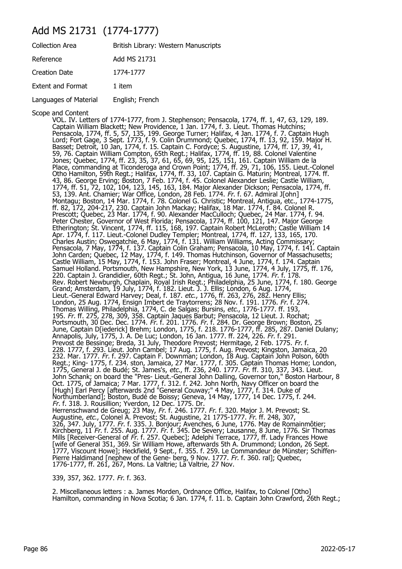## Add MS 21731 (1774-1777)

| <b>Collection Area</b>   | British Library: Western Manuscripts |
|--------------------------|--------------------------------------|
| Reference                | Add MS 21731                         |
| Creation Date            | 1774-1777                            |
| <b>Extent and Format</b> | 1 item                               |
| Languages of Material    | English; French                      |

Scope and Content

VOL. IV. Letters of 1774-1777, from J. Stephenson; Pensacola, 1774, ff. 1, 47, 63, 129, 189. Captain William Blackett; New Providence, 1 Jan. 1774, f. 3. Lieut. Thomas Hutchins; Pensacola, 1774, ff. 5, 57, 135, 199. George Turner; Halifax, 4 Jan. 1774, f. 7. Captain Hugh Lord; Fort Gage, 3 Sept. 1773, f. 9. Colin Drummond; Quebec, 1774, ff. 13, 92, 159. Major H. Basset; Detroit, 10 Jan, 1774, f. 15. Captain C. Fordyce; S. Augustine, 1774, ff. 17, 39, 41, 59, 76. Captain William Compton, 65th Regt.; Halifax, 1774, ff. 19, 88. Colonel Valentine Jones; Quebec, 1774, ff. 23, 35, 37, 61, 65, 69, 95, 125, 151, 161. Captain William de la Place, commanding at Ticonderoga and Crown Point; 1774, ff. 29, 71, 106, 155. Lieut.-Colonel Otho Hamilton, 59th Regt.; Halifax, 1774, ff. 33, 107. Captain G. Maturin; Montreal, 1774. ff. 43, 86. George Erving; Boston, 7 Feb. 1774, f. 45. Colonel Alexander Leslie; Castle William, 1774, ff. 51, 72, 102, 104, 123, 145, 163, 184. Major Alexander Dickson; Pensacola, 1774, ff. 53, 139. Ant. Chamier; War Office, London, 28 Feb. 1774. Fr. f. 67. Admiral J[ohn] Montagu; Boston, 14 Mar. 1774, f. 78. Colonel G. Christic; Montreal, Antigua, etc., 1774-1775, ff. 82, 172, 204-217, 230. Captain John Mackay; Halifax, 18 Mar. 1774, f. 84. Colonel R. Prescott; Quebec, 23 Mar. 1774, f. 90. Alexander MacCulloch; Quebec, 24 Mar. 1774, f. 94. Peter Chester, Governor of West Florida; Pensacola, 1774, ff. 100, 121, 147. Major George Etherington; St. Vincent, 1774, ff. 115, 168, 197. Captain Robert McLeroth; Castle William 14 Apr. 1774, f. 117. Lieut.-Colonel Dudley Templer; Montreal, 1774, ff. 127, 133, 165, 170. Charles Austin; Oswegatchie, 6 May, 1774, f. 131. William Williams, Acting Commissary; Pensacola, 7 May, 1774, f. 137. Captain Colin Graham; Pensacola, 10 May, 1774, f. 141. Captain John Carden; Quebec, 12 May, 1774, f. 149. Thomas Hutchinson, Governor of Massachusetts; Castle William, 15 May, 1774, f. 153. John Fraser; Montreal, 4 June, 1774, f. 174. Captain Samuel Holland. Portsmouth, New Hampshire, New York, 13 June, 1774, 4 July, 1775, ff. 176, 220. Captain J. Grandidier, 60th Regt.; St. John, Antigua, 16 June, 1774. Fr. f. 178. Rev. Robert Newburgh, Chaplain, Royal Irish Regt.; Philadelphia, 25 June, 1774, f. 180. George Grand; Amsterdam, 19 July, 1774, f. 182. Lieut. J. J. Ellis; London, 6 Aug. 1774, Lieut.-General Edward Harvey; Deal, f. 187. etc., 1776, ff. 263, 276, 282. Henry Ellis; London, 25 Aug. 1774, Ensign Imbert de Traytorrens; 28 Nov. f. 191. 1776. Fr. f. 274. Thomas Willing, Philadelphia, 1774, C. de Salgas; Bursins, *etc.*, 1776-1777. ff. 193, 195. Fr. ff. 275, 278, 309, 358. Captain Jaques Barbut; Pensacola, 12 Lieut. J. Rochat; Portsmouth, 30 Dec. Dec. 1774. Fr. f. 201. 1776. Fr. f. 284. Dr. George Brown; Boston, 25 June, Captain D[iederick] Brehm; London, 1775, f. 218. 1776-1777, ff. 285, 287. Daniel Dulany; Annapolis, July, 1775, J. A. De Luc; London, 16 Jan. 1777. ff. 224, 226. Fr. f. 291. Prevost de Bessinge; Breda, 31 July, Theodore Prevost; Hermitage, 2 Feb. 1775. Fr. f. 228. 1777, f. 293. Lieut. John Cambel; 17 Aug. 1775, f. Aug. Prevost; Kingston, Jamaica, 20 232. Mar. 1777. Fr. f. 297. Captain F. Downman; London, 18 Aug. Captain John Polson, 60th Regt.; King- 1775, f. 234. ston, Jamaica, 27 Mar. 1777, f. 305. Captain Thomas Home; London, 1775, General J. de Budé; St. James's, etc., ff. 236, 240. 1777. Fr. ff. 310, 337, 343. Lieut. John Schank; on board the "Pres- Lieut.-General John Dalling, Governor ton," Boston Harbour, 8 Oct. 1775, of Jamaica; 7 Mar. 1777, f. 312. f. 242. John North, Navy Officer on board the [Hugh] Earl Percy [afterwards 2nd "General Couway;" 4 May, 1777, f. 314. Duke of Northumberland]; Boston, Budé de Boissy; Geneva, 14 May, 1777, 14 Dec. 1775, f. 244. Fr. f. 318. J. Rousillion; Yverdon, 12 Dec. 1775. Dr. Herrenschwand de Greug; 23 May, *Fr*. f. 246. 1777. *Fr.* f. 320. Major J. M. Prevost; St. Augustine, *etc*., Colonel A. Prevost; St. Augustine, 21 1775-1777. Fr. ff. 248, 307, 326, 347. July, 1777. Fr. f. 335. J. Bonjour; Avenches, 6 June, 1776. May de Romainmôtier; Kirchberg, 11 Fr. f. 255. Aug. 1777. Fr. f. 345. De Severy; Lausanne, 8 June, 1776. Sir Thomas Mills [Receiver-General of Fr. f. 257. Quebec]; Adelphi Terrace, 1777, ff. Lady Frances Howe [wife of General 351, 369. Sir William Howe, afterwards 5th A. Drummond; London, 26 Sept. 1777, Viscount Howe]; Heckfield, 9 Sept., f. 355. f. 259. Le Commandeur de Münster; Schiffen-Pierre Haldimand [nephew of the Gene- berg, 9 Nov. 1777. Fr. f. 360. ral]; Quebec, 1776-1777, ff. 261, 267, Mons. La Valtrie; La Valtrie, 27 Nov.

339, 357, 362. 1777. Fr. f. 363.

2. Miscellaneous letters : a. James Morden, Ordnance Office, Halifax, to Colonel [Otho] Hamilton, commanding in Nova Scotia; 6 Jan. 1774, f. 11. b. Captain John Crawford, 26th Regt.;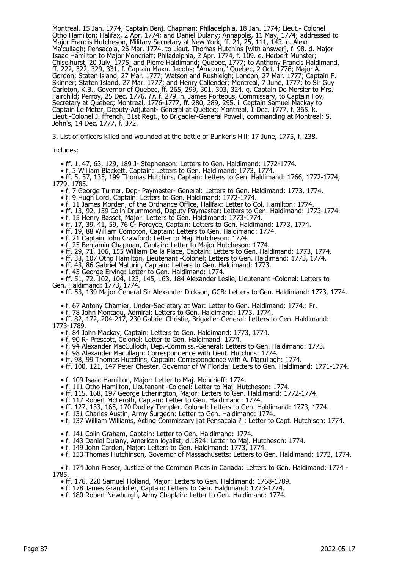Montreal, 15 Jan. 1774; Captain Benj. Chapman; Philadelphia, 18 Jan. 1774; Lieut.- Colonel Otho Hamilton; Halifax, 2 Apr. 1774; and Daniel Dulany; Annapolis, 11 May, 1774; addressed to Major Francis Hutcheson, Military Secretary at New York, ff. 21, 25, 111, 143. c. Alexr. Ma'cullagh; Pensacola, 26 Mar. 1774, to Lieut. Thomas Hutchins [with answer], f. 98. d. Major Isaac Hamilton to Major Moncrieff; Philadelphia, 2 Apr. 1774, f. 109. e. Herbert Munster; Chiselhurst, 20 July, 1775; and Pierre Haldimand; Quebec, 1777; to Anthony Francis Haldimand, ff. 222, 322, 329, 331. f. Captain Maxn. Jacobs; "Amazon," Quebec, 2 Oct. 1776; Major A. Gordon; Staten lsland, 27 Mar. 1777; Watson and Rushleigh; London, 27 Mar. 1777; Captain F. Skinner; Staten Island, 27 Mar. 1777; and Henry Callender; Montreal, 7 June, 1777; to Sir Guy Carleton, K.B., Governor of Quebec, ff. 265, 299, 301, 303, 324. g. Captain De Morsier to Mrs. Fairchild; Perroy, 25 Dec. 1776. Fr. f. 279. h. James Porteous, Commissary, to Captain Foy, Secretary at Quebec; Montreal, 1776-1777, ff. 280, 289, 295. i. Captain Samuel Mackay to Captain Le Meter, Deputy-Adjutant- General at Quebec; Montreal, 1 Dec. 1777, f. 365. k. Lieut.-Colonel J. ffrench, 31st Regt., to Brigadier-General Powell, commanding at Montreal; S. John's, 14 Dec. 1777, f. 372.

3. List of officers killed and wounded at the battle of Bunker's Hill; 17 June, 1775, f. 238.

#### includes:

• ff. 1, 47, 63, 129, 189 J- Stephenson: Letters to Gen. Haldimand: 1772-1774.

• f. 3 William Blackett, Captain: Letters to Gen. Haldimand: 1773, 1774.

 • ff. 5, 57, 135, 199 Thomas Hutchins, Captain: Letters to Gen. Haldimand: 1766, 1772-1774, 1779, 1785.

- f. 7 George Turner, Dep- Paymaster- General: Letters to Gen. Haldimand: 1773, 1774.
	- f. 9 Hugh Lord, Captain: Letters to Gen. Haldimand: 1772-1774.
	- f. 11 James Morden, of the Ordnance Office, Halifax: Letter to Col. Hamilton: 1774.
	- ff. 13, 92, 159 Colin Drummond, Deputy Paymaster: Letters to Gen. Haldimand: 1773-1774.
- f. 15 Henry Basset, Major: Letters to Gen. Haldimand: 1773-1774.
- ff. 17, 39, 41, 59, 76 C- Fordyce, Captain: Letters to Gen. Haldimand: 1773, 1774.
- ff. 19, 88 William Compton, Captain: Letters to Gen. Haldimand: 1774.
- f. 21 Captain John Crawford: Letter to Maj. Hutcheson: 1774.
	- f. 25 Benjamin Chapman, Captain: Letter to Major Hutcheson: 1774.
	- ff. 29, 71, 106, 155 William De la Place, Captain: Letters to Gen. Haldimand: 1773, 1774.
- ff. 33, 107 Otho Hamilton, Lieutenant -Colonel: Letters to Gen. Haldimand: 1773, 1774.
- ff. 43, 86 Gabriel Maturin, Captain: Letters to Gen. Haldimand: 1773.
	- f. 45 George Erving: Letter to Gen. Haldimand: 1774.

 • ff. 51, 72, 102, 104, 123, 145, 163, 184 Alexander Leslie, Lieutenant -Colonel: Letters to Gen. Haldimand: 1773, 1774.

• ff. 53, 139 Major-General Sir Alexander Dickson, GCB: Letters to Gen. Haldimand: 1773, 1774.

- f. 67 Antony Chamier, Under-Secretary at War: Letter to Gen. Haldimand: 1774.: Fr.
- f. 78 John Montagu, Admiral: Letters to Gen. Haldimand: 1773, 1774.

 • ff. 82, 172, 204-217, 230 Gabriel Christie, Brigadier-General: Letters to Gen. Haldimand: 1773-1789.

- f. 84 John Mackay, Captain: Letters to Gen. Haldimand: 1773, 1774.
- f. 90 R- Prescott, Colonel: Letter to Gen. Haldimand: 1774.
- f. 94 Alexander MacCulloch, Dep.-Commiss.-General: Letters to Gen. Haldimand: 1773.
- f. 98 Alexander Macullagh: Correspondence with Lieut. Hutchins: 1774.
- ff. 98, 99 Thomas Hutchins, Captain: Correspondence with A. Macullagh: 1774.
- ff. 100, 121, 147 Peter Chester, Governor of W Florida: Letters to Gen. Haldimand: 1771-1774.
- f. 109 Isaac Hamilton, Major: Letter to Maj. Moncrieff: 1774.
- f. 111 Otho Hamilton, Lieutenant -Colonel: Letter to Maj. Hutcheson: 1774.
- ff. 115, 168, 197 George Etherington, Major: Letters to Gen. Haldimand: 1772-1774.
	- f. 117 Robert McLeroth, Captain: Letter to Gen. Haldimand: 1774.
	- ff. 127, 133, 165, 170 Dudley Templer, Colonel: Letters to Gen. Haldimand: 1773, 1774.
- f. 131 Charles Austin, Army Surgeon: Letter to Gen. Haldimand: 1774.
- f. 137 William Williams, Acting Commissary [at Pensacola ?]: Letter to Capt. Hutchison: 1774.
	- f. 141 Colin Graham, Captain: Letter to Gen. Haldimand: 1774.
- f. 143 Daniel Dulany, American loyalist; d.1824: Letter to Maj. Hutcheson: 1774.
- f. 149 John Carden, Major: Letters to Gen. Haldimand: 1773, 1774.
	- f. 153 Thomas Hutchinson, Governor of Massachusetts: Letters to Gen. Haldimand: 1773, 1774.

 • f. 174 John Fraser, Justice of the Common Pleas in Canada: Letters to Gen. Haldimand: 1774 - 1785.

- ff. 176, 220 Samuel Holland, Major: Letters to Gen. Haldimand: 1768-1789.
- f. 178 James Grandidier, Captain: Letters to Gen. Haldimand: 1773-1774.
- f. 180 Robert Newburgh, Army Chaplain: Letter to Gen. Haldimand: 1774.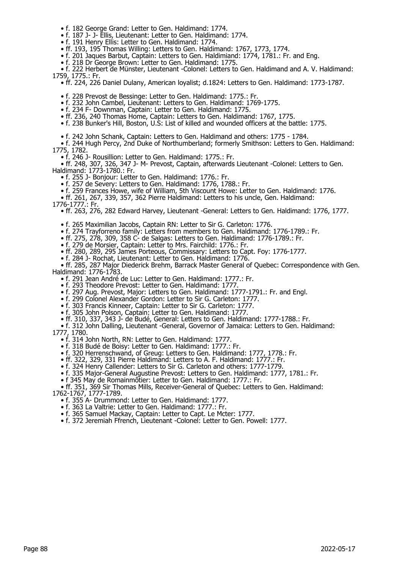- f. 182 George Grand: Letter to Gen. Haldimand: 1774.
- f. 187 J- J- Ellis, Lieutenant: Letter to Gen. Haldimand: 1774.
- f. 191 Henry Ellis: Letter to Gen. Haldimand: 1774.
- ff. 193, 195 Thomas Willing: Letters to Gen. Haldimand: 1767, 1773, 1774.
	- f. 201 Jaques Barbut, Captain: Letters to Gen. Haldimiand: 1774, 1781.: Fr. and Eng.
	- f. 218 Dr George Brown: Letter to Gen. Haldimand: 1775.

 • f. 222 Herbert de Münster, Lieutenant -Colonel: Letters to Gen. Haldimand and A. V. Haldimand: 1759, 1775.: Fr.

- ff. 224, 226 Daniel Dulany, American loyalist; d.1824: Letters to Gen. Haldimand: 1773-1787.
	- f. 228 Prevost de Bessinge: Letter to Gen. Haldimand: 1775.: Fr.
- f. 232 John Cambel, Lieutenant: Letters to Gen. Haldimand: 1769-1775.
- f. 234 F- Downman, Captain: Letter to Gen. Haldimand: 1775.
	- ff. 236, 240 Thomas Home, Captain: Letters to Gen. Haldimand: 1767, 1775.
	- f. 238 Bunker's Hill, Boston, U.S: List of killed and wounded officers at the battle: 1775.
	- f. 242 John Schank, Captain: Letters to Gen. Haldimand and others: 1775 1784.
- f. 244 Hugh Percy, 2nd Duke of Northumberland; formerly Smithson: Letters to Gen. Haldimand: 1775, 1782.
	- f. 246 J- Rousillion: Letter to Gen. Haldimand: 1775.: Fr.
- ff. 248, 307, 326, 347 J- M- Prevost, Captain, afterwards Lieutenant -Colonel: Letters to Gen. Haldimand: 1773-1780.: Fr.
	- f. 255 J- Bonjour: Letter to Gen. Haldimand: 1776.: Fr.
	- f. 257 de Severy: Letters to Gen. Haldimand: 1776, 1788.: Fr.
	- f. 259 Frances Howe, wife of William, 5th Viscount Howe: Letter to Gen. Haldimand: 1776.
- ff. 261, 267, 339, 357, 362 Pierre Haldimand: Letters to his uncle, Gen. Haldimand:
- 1776-1777.: Fr.
- ff. 263, 276, 282 Edward Harvey, Lieutenant -General: Letters to Gen. Haldimand: 1776, 1777.
	- f. 265 Maximilian Jacobs, Captain RN: Letter to Sir G. Carleton: 1776.
- f. 274 Trayforreno family: Letters from members to Gen. Haldimand: 1776-1789.: Fr.
- ff. 275, 278, 309, 358 C- de Salgas: Letters to Gen. Haldimand: 1776-1789.: Fr.
- f. 279 de Morsier, Captain: Letter to Mrs. Fairchild: 1776.: Fr.
- ff. 280, 289, 295 James Porteous, Commissary: Letters to Capt. Foy: 1776-1777.
- f. 284 J- Rochat, Lieutenant: Letter to Gen. Haldimand: 1776.

 • ff. 285, 287 Major Diederick Brehm, Barrack Master General of Quebec: Correspondence with Gen. Haldimand: 1776-1783.

- f. 291 Jean André de Luc: Letter to Gen. Haldimand: 1777.: Fr.
- f. 293 Theodore Prevost: Letter to Gen. Haldimand: 1777.
- f. 297 Aug. Prevost, Major: Letters to Gen. Haldimand: 1777-1791.: Fr. and Engl.
- f. 299 Colonel Alexander Gordon: Letter to Sir G. Carleton: 1777.
	- f. 303 Francis Kinneer, Captain: Letter to Sir G. Carleton: 1777.
- f. 305 John Polson, Captain: Letter to Gen. Haldimand: 1777.
- ff. 310, 337, 343 J- de Budé, General: Letters to Gen. Haldimand: 1777-1788.: Fr.
- f. 312 John Dalling, Lieutenant -General, Governor of Jamaica: Letters to Gen. Haldimand: 1777, 1780.
	- f. 314 John North, RN: Letter to Gen. Haldimand: 1777.
	- f. 318 Budé de Boisy: Letter to Gen. Haldimand: 1777.: Fr.
- f. 320 Herrenschwand, of Greug: Letters to Gen. Haldimand: 1777, 1778.: Fr.
- ff. 322, 329, 331 Pierre Haldimand: Letters to A. F. Haldimand: 1777.: Fr.
- f. 324 Henry Callender: Letters to Sir G. Carleton and others: 1777-1779.
	- f. 335 Major-General Augustine Prevost: Letters to Gen. Haldimand: 1777, 1781.: Fr.
- f 345 May de Romainmôtier: Letter to Gen. Haldimand: 1777.: Fr.

 • ff. 351, 369 Sir Thomas Mills, Receiver-General of Quebec: Letters to Gen. Haldimand: 1762-1767, 1777-1789.

- f. 355 A- Drummond: Letter to Gen. Haldimand: 1777.
- f. 363 La Valtrie: Letter to Gen. Haldimand: 1777.: Fr.
- f. 365 Samuel Mackay, Captain: Letter to Capt. Le Mcter: 1777.
- f. 372 Jeremiah Ffrench, Lieutenant -Colonel: Letter to Gen. Powell: 1777.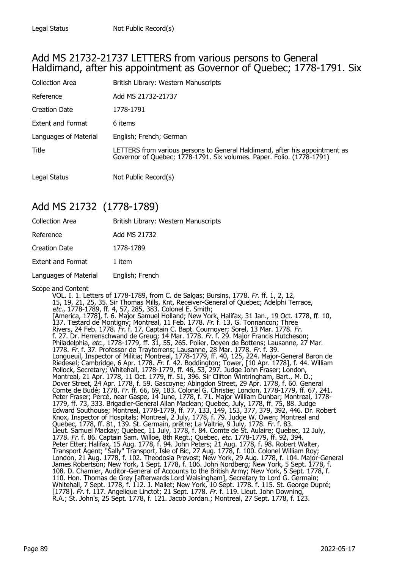#### Add MS 21732-21737 LETTERS from various persons to General Haldimand, after his appointment as Governor of Quebec; 1778-1791. Six

| <b>Collection Area</b> | British Library: Western Manuscripts                                                                                                                 |
|------------------------|------------------------------------------------------------------------------------------------------------------------------------------------------|
| Reference              | Add MS 21732-21737                                                                                                                                   |
| <b>Creation Date</b>   | 1778-1791                                                                                                                                            |
| Extent and Format      | 6 items                                                                                                                                              |
| Languages of Material  | English; French; German                                                                                                                              |
| Title                  | LETTERS from various persons to General Haldimand, after his appointment as<br>Governor of Quebec; 1778-1791. Six volumes. Paper. Folio. (1778-1791) |
| Legal Status           | Not Public Record(s)                                                                                                                                 |

## Add MS 21732 (1778-1789)

| <b>Collection Area</b>   | British Library: Western Manuscripts |
|--------------------------|--------------------------------------|
| Reference                | Add MS 21732                         |
| <b>Creation Date</b>     | 1778-1789                            |
| <b>Extent and Format</b> | 1 item                               |
| Languages of Material    | English; French                      |
|                          |                                      |

#### Scope and Content

VOL. I. 1. Letters of 1778-1789, from C. de Salgas; Bursins, 1778. Fr. ff. 1, 2, 12, 15, 19, 21, 25, 35. Sir Thomas Mills, Knt, Receiver-General of Quebec; Adelphi Terrace, etc., 1778-1789, ff. 4, 57, 285, 383. Colonel E. Smith; [America, 1778], f. 6. Major Samuel Holland; New York, Halifax, 31 Jan., 19 Oct. 1778, ff. 10, 137. Testard de Montigny; Montreal, 11 Feb. 1778. Fr. f. 13. G. Tonnancon; Three Rivers, 24 Feb. 1778. Fr. f. 17. Captain C. Bapt. Cournoyer; Sorel, 13 Mar. 1778. Fr. f. 27. Dr. Herrenschwand de Greug; 14 Mar. 1778. Fr. f. 29. Major Francis Hutcheson; Philadelphia, *etc.*, 1778-1779, ff. 31, 55, 265. Polier, Doyen de Bottens; Lausanne, 27 Mar. 1778. Fr. f. 37. Professor de Traytorrens; Lausanne, 28 Mar. 1778. Fr. f. 39. Longueuil, Inspector of Militia; Montreal, 1778-1779, ff. 40, 125, 224. Major-General Baron de Riedesel; Cambridge, 6 Apr. 1778. *Fr.* f. 42. Boddington; Tower, [10 Apr. 1778], f. 44. William Pollock, Secretary; Whitehall, 1778-1779, ff. 46, 53, 297. Judge John Fraser; London, Montreal, 21 Apr. 1778, 11 Oct. 1779, ff. 51, 396. Sir Clifton Wintringham, Bart., M. D.; Dover Street, 24 Apr. 1778, f. 59. Gascoyne; Abingdon Street, 29 Apr. 1778, f. 60. General Comte de Budé; 1778. Fr. ff. 66, 69, 183. Colonel G. Christie; London, 1778-1779, ff. 67, 241. Peter Fraser; Percé, near Gaspe, 14 June, 1778, f. 71. Major William Dunbar; Montreal, 1778- 1779, ff. 73, 333. Brigadier-General Allan Maclean; Quebec, July, 1778, ff. 75, 88. Judge Edward Southouse; Montreal, 1778-1779, ff. 77, 133, 149, 153, 377, 379, 392, 446. Dr. Robert Knox, Inspector of Hospitals; Montreal, 2 July, 1778, f. 79. Judge W. Owen; Montreal and Quebec, 1778, ff. 81, 139. St. Germain, prêtre; La Valtrie, 9 July, 1778. *Fr.* f. 83. Lieut. Samuel Mackay; Quebec, 11 July, 1778, f. 84. Comte de St. Aulaire; Quebec, 12 July, 1778. Fr. f. 86. Captain Sam. Willoe, 8th Regt.; Quebec, etc. 1778-1779, ff. 92, 394. Peter Etter; Halifax, 15 Aug. 1778, f. 94. John Peters; 21 Aug. 1778, f. 98. Robert Walter, Transport Agent; "Sally" Transport, Isle of Bic, 27 Aug. 1778, f. 100. Colonel William Roy; London, 21 Aug. 1778, f. 102. Theodosia Prevost; New York, 29 Aug. 1778, f. 104. Major-General James Robertson; New York, 1 Sept. 1778, f. 106. John Nordberg; New York, 5 Sept. 1778, f. 108. D. Chamier, Auditor-General of Accounts to the British Army; New York, 5 Sept. 1778, f. 110. Hon. Thomas de Grey [afterwards Lord Walsingham], Secretary to Lord G. Germain; Whitehall, 7 Sept. 1778, f. 112. J. Mallet; New York, 10 Sept. 1778. f. 115. St. George Dupré; [1778]. Fr. f. 117. Angelique Linctot; 21 Sept. 1778. Fr. f. 119. Lieut. John Downing, R.A.; St. John's, 25 Sept. 1778, f. 121. Jacob Jordan.; Montreal, 27 Sept. 1778, f. 123.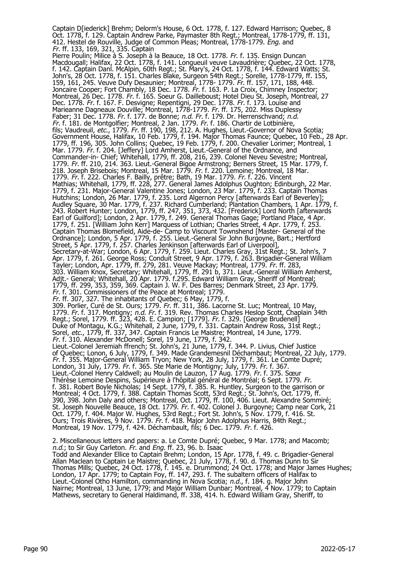Captain D[iederick] Brehm; Delorm's House, 6 Oct. 1778, f. 127. Edward Harrison; Quebec, 8 Oct. 1778, f. 129. Captain Andrew Parke, Paymaster 8th Regt.; Montreal, 1778-1779, ff. 131, 412. Hestel de Rouville, Judge of Common Pleas; Montreal, 1778-1779. *Eng.* and Fr. ff. 133, 169, 321, 335. Captain Pierre Poulin; Milice à S. Joseph à la Beauce, 18 Oct. 1778. Fr. f. 135. Ensign Duncan Macdougall; Halifax, 22 Oct. 1778, f. 141. Longueuil veuve Lavaudrière; Quebec, 22 Oct. 1778, f. 142. Captain Danl. McAlpin, 60th Regt.; St. Mary's, 24 Oct. 1778, f. 144. Edward Watts; St. John's, 28 Oct. 1778, f. 151. Charles Blake, Surgeon 54th Regt.; Sorelle, 1778-1779, ff. 155, 159, 161, 245. Veuve Dufy Desaunier; Montreal, 1778- 1779. Fr. ff. 157, 171, 188, 448. Joncaire Cooper; Fort Chambly, 18 Dec. 1778. Fr. f. 163. P. La Croix, Chimney Inspector; Montreal, 26 Dec. 1778. Fr. f. 165. Soeur G. Dailleboust; Hotel Dieu St. Joseph, Montreal, 27 Dec. 1778. Fr. f. 167. F. Desvigne; Repentigni, 29 Dec. 1778. Fr. f. 173. Louise and Marieanne Dagneaux Douville; Montreal, 1778-1779. Fr. ff. 175, 202. Miss Duplessy Faber; 31 Dec. 1778. *Fr.* f. 177. de Bonne; *n.d. Fr.* f. 179. Dr. Herrenschvand; *n.d*. *Fr.* f. 181. de Montgolfier; Montreal, 2 Jan. 1779. *Fr.* f. 186. Chartir de Lotbinière, fils; Vaudreuil, *etc.*, 1779. *Fr.* ff. 190, 198, 212. A. Hughes, Lieut.-Governor of Nova Scotia; Government House, Halifax, 10 Feb. 1779, f. 194. Major Thomas Faunce; Quebec, 10 Feb., 28 Apr. 1779, ff. 196, 305. John Collins; Quebec, 19 Feb. 1779, f. 200. Chevalier Lorimer; Montreal, 1 Mar. 1779. Fr. f. 204. [Jeffery] Lord Amherst, Lieut.-General of the Ordnance, and Commander-in- Chief; Whitehall, 1779, ff. 208, 216, 239. Colonel Neveu Sevestre; Montreal, 1779. Fr. ff. 210, 214. 363. Lieut.-General Bigoe Armstrong; Berners Street, 15 Mar. 1779, f. 218. Joseph Brisebois; Montreal, 15 Mar. 1779. Fr. f. 220. Lemoine; Montreal, 18 Mar. 1779. Fr. f. 222. Charles F. Bailly, prêtre; Bath, 19 Mar. 1779. Fr. f. 226. Vincent Mathias; Whitehall, 1779, ff. 228, 277. General James Adolphus Oughton; Edinburgh, 22 Mar. 1779, f. 231. Major-General Valentine Jones; London, 23 Mar. 1779, f. 233. Captain Thomas Hutchins; London, 26 Mar. 1779, f. 235. Lord Algernon Percy [afterwards Earl of Beverley]; Audley Square, 30 Mar. 1779, f. 237. Richard Cumberland; Plantation Chambers, 1 Apr. 1779, f. 243. Robert Hunter; London, 1779, ff. 247, 351, 373, 432. [Frederick] Lord North [afterwards Earl of Guilford]; London, 2 Apr. 1779, f. 249. General Thomas Gage; Portland Place, 4 Apr. 1779, f. 251. [William John Kerr] Marquess of Lothian; Charles Street, 4 Apr. 1779, f. 253. Captain Thomas Blomefield, Aide-de- Camp to Viscount Townshend [Master- General of the Ordnance]; London, 5 Apr. 1779, f. 255. Lieut.-General Sir John Burgoyne, Bart.; Hertford Street, 5 Apr. 1779, f. 257. Charles Jenkinson [afterwards Earl of Liverpool], Secretary-at-War; London, 6 Apr. 1779, f. 259. Lieut. Charles Gray, 31st Regt.; St. John's, 7 Apr. 1779, f. 261. George Ross; Conduit Street, 9 Apr. 1779, f. 263. Brigadier-General William Tayler; London, Apr. 1779, ff. 279, 281. Veuve Mackay; Montreal, 1779. Fr. ff. 283, 303. William Knox, Secretary; Whitehall, 1779, ff. 291 b, 371. Lieut.-General William Amherst, Adjt.- General; Whitehall, 20 Apr. 1779. f.295. Edward William Gray, Sheriff of Montreal; 1779, ff. 299, 353, 359, 369. Captain J. W. F. Des Barres; Denmark Street, 23 Apr. 1779. Fr. f. 301. Commissioners of the Peace at Montreal; 1779. Fr. ff. 307, 327. The inhabitants of Quebec; 6 May, 1779, f. 309. Porlier, Curé de St. Ours; 1779. Fr. ff. 311, 386. Lacorne St. Luc; Montreal, 10 May, 1779. Fr. f. 317. Montigny; n.d. Fr. f. 319. Rev. Thomas Charles Heslop Scott, Chaplain 34th Regt.; Sorel, 1779. ff. 323, 428. E. Campion; [1779]. *Fr.* f. 329. [George Brudenell] Duke of Montagu, K.G.; Whitehall, 2 June, 1779, f. 331. Captain Andrew Ross, 31st Regt.; Sorel, etc., 1779, ff. 337, 347. Captain Francis Le Maistre; Montreal, 14 June, 1779. Fr. f. 310. Alexander McDonell; Sorel, 19 June, 1779, f. 342. Lieut.-Colonel Jeremiah ffrench; St. John's, 21 June, 1779, f. 344. P. Livius, Chief Justice of Quebec; Lonon, 6 July, 1779, f. 349. Made Grandemesnil Déchambaut; Montreal, 22 July, 1779. Fr. f. 355. Major-General William Tryon; New York, 28 July, 1779, f. 361. Le Comte Dupré; London, 31 July, 1779. Fr. f. 365. Ste Marie de Montigny; July, 1779. Fr. f. 367. Lieut.-Colonel Henry Caldwell; au Moulin de Lauzon, 17 Aug. 1779. Fr. f. 375. Sœur Thérèse Lemoine Despins, Supérieure à l'hôpital général de Montréal; 6 Sept. 1779. Fr. f. 381. Robert Boyle Nicholas; 14 Sept. 1779, f. 385. R. Huntley, Surgeon to the garrison or Montreal; 4 Oct. 1779, f. 388. Captain Thomas Scott, 53rd Regt.; St. John's, Oct. 1779, ff. 390, 398. John Daly and others; Montreal, Oct. 1779, ff. 100, 406. Lieut. Alexandre Sommiré; St. Joseph Nouvelle Beauce, 18 Oct. 1779. Fr. f. 402. Colonel J. Burgoyne; Camp near Cork, 21 Oct. 1779, f. 404. Major W. Hughes, 53rd Regt.; Fort St. John's, 5 Nov. 1779, f. 416. St. Ours; Trois Rivières, 9 Nov. 1779. Fr. f. 418. Major John Adolphus Harris, 84th Regt.; Montreal, 19 Nov. 1779, f. 424. Déchambault, fils; 6 Dec. 1779. Fr. f. 426. 2. Miscellaneous letters and papers: a. Le Comte Dupré; Quebec, 9 Mar. 1778; and Macomb;

n.d.; to Sir Guy Carleton. Fr. and Eng. ff. 23, 96. b. Isaac Todd and Alexander Ellice to Captain Brehm; London, 15 Apr. 1778, f. 49. c. Brigadier-General Allan Maclean to Captain Le Maistre; Quebec, 21 July, 1778, f. 90. d. Thomas Dunn to Sir Thomas Mills; Quebec, 24 Oct. 1778, f. 145. e. Drummond; 24 Oct. 1778; and Major James Hughes; London, 17 Apr. 1779; to Captain Foy, ff. 147, 293. f. The subaltern officers of Halifax to Lieut.-Colonel Otho Hamilton, commanding in Nova Scotia; n.d., f. 184. g. Major John Nairne; Montreal, 13 June, 1779; and Major William Dunbar; Montreal, 4 Nov. 1779; to Captain Mathews, secretary to General Haldimand, ff. 338, 414. h. Edward William Gray, Sheriff, to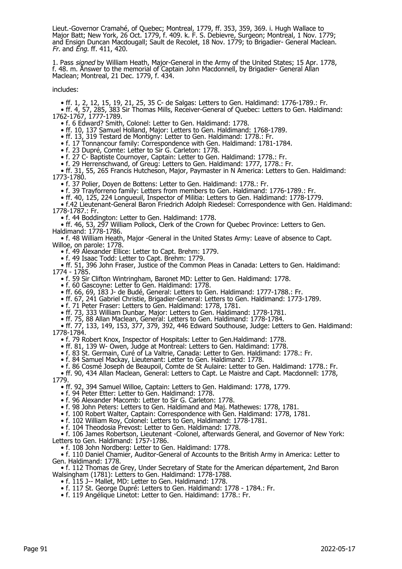Lieut.-Governor Cramahé, of Quebec; Montreal, 1779, ff. 353, 359, 369. i. Hugh Wallace to Major Batt; New York, 26 Oct. 1779, f. 409. k. F. S. Debievre, Surgeon; Montreal, 1 Nov. 1779; and Ensign Duncan Macdougall; Sault de Recolet, 18 Nov. 1779; to Brigadier- General Maclean.  $Fr.$  and  $\tilde{E}$ ng. ff. 411, 420.

1. Pass signed by William Heath, Major-General in the Army of the United States; 15 Apr. 1778, f. 48. m. Answer to the memorial of Captain John Macdonnell, by Brigadier- General Allan Maclean; Montreal, 21 Dec. 1779, f. 434.

includes:

• ff. 1, 2, 12, 15, 19, 21, 25, 35 C- de Salgas: Letters to Gen. Haldimand: 1776-1789.: Fr.

 • ff. 4, 57, 285, 383 Sir Thomas Mills, Receiver-General of Quebec: Letters to Gen. Haldimand: 1762-1767, 1777-1789.

• f. 6 Edward? Smith, Colonel: Letter to Gen. Haldimand: 1778.

• ff. 10, 137 Samuel Holland, Major: Letters to Gen. Haldimand: 1768-1789.

• ff. 13, 319 Testard de Montigny: Letter to Gen. Haldimand: 1778.: Fr.

• f. 17 Tonnancour family: Correspondence with Gen. Haldimand: 1781-1784.

• f. 23 Dupré, Comte: Letter to Sir G. Carleton: 1778.

• f. 27 C- Baptiste Cournoyer, Captain: Letter to Gen. Haldimand: 1778.: Fr.

• f. 29 Herrenschwand, of Greug: Letters to Gen. Haldimand: 1777, 1778.: Fr.

 • ff. 31, 55, 265 Francis Hutcheson, Major, Paymaster in N America: Letters to Gen. Haldimand: 1773-1780.

• f. 37 Polier, Doyen de Bottens: Letter to Gen. Haldimand: 1778.: Fr.

• f. 39 Trayforreno family: Letters from members to Gen. Haldimand: 1776-1789.: Fr.

• ff. 40, 125, 224 Longueuil, Inspector of Militia: Letters to Gen. Haldimand: 1778-1779.

 • f.42 Lieutenant-General Baron Friedrich Adolph Riedesel: Correspondence with Gen. Haldimand: 1778-1787.: Fr.

• f. 44 Boddington: Letter to Gen. Haldimand: 1778.

 • ff. 46, 53, 297 William Pollock, Clerk of the Crown for Quebec Province: Letters to Gen. Haldimand: 1778-1786.

 • f. 48 William Heath, Major -General in the United States Army: Leave of absence to Capt. Willoe, on parole: 1778.

• f. 49 Alexander Ellice: Letter to Capt. Brehm: 1779.

• f. 49 Isaac Todd: Letter to Capt. Brehm: 1779.

 • ff. 51, 396 John Fraser, Justice of the Common Pleas in Canada: Letters to Gen. Haldimand: 1774 - 1785.

• f. 59 Sir Clifton Wintringham, Baronet MD: Letter to Gen. Haldimand: 1778.

• f. 60 Gascoyne: Letter to Gen. Haldimand: 1778.

• ff. 66, 69, 183 J- de Budé, General: Letters to Gen. Haldimand: 1777-1788.: Fr.

• ff. 67, 241 Gabriel Christie, Brigadier-General: Letters to Gen. Haldimand: 1773-1789.

• f. 71 Peter Fraser: Letters to Gen. Haldimand: 1778, 1781.

• ff. 73, 333 William Dunbar, Major: Letters to Gen. Haldimand: 1778-1781.

• ff. 75, 88 Allan Maclean, General: Letters to Gen. Haldimand: 1778-1784.

 • ff. 77, 133, 149, 153, 377, 379, 392, 446 Edward Southouse, Judge: Letters to Gen. Haldimand: 1778-1784.

• f. 79 Robert Knox, Inspector of Hospitals: Letter to Gen.Haldimand: 1778.

• ff. 81, 139 W- Owen, Judge at Montreal: Letters to Gen. Haldimand: 1778.

• f. 83 St. Germain, Curé of La Valtrie, Canada: Letter to Gen. Haldimand: 1778.: Fr.

• f. 84 Samuel Mackay, Lieutenant: Letter to Gen. Haldimand: 1778.

 • f. 86 Cosmé Joseph de Beaupoil, Comte de St Aulaire: Letter to Gen. Haldimand: 1778.: Fr. • ff. 90, 434 Allan Maclean, General: Letters to Capt. Le Maistre and Capt. Macdonnell: 1778,

1779.

• ff. 92, 394 Samuel Willoe, Captain: Letters to Gen. Haldimand: 1778, 1779.

• f. 94 Peter Etter: Letter to Gen. Haldimand: 1778.

• f. 96 Alexander Macomb: Letter to Sir G. Carleton: 1778.

• f. 98 John Peters: Letters to Gen. Haldimand and Maj. Mathewes: 1778, 1781.

• f. 100 Robert Walter, Captain: Correspondence with Gen. Haldimand: 1778, 1781.

• f. 102 William Roy, Colonel: Letters to Gen, Haldimand: 1778-1781.

• f. 104 Theodosia Prevost: Letter to Gen. Haldimand: 1778.

 • f. 106 James Robertson, Lieutenant -Colonel, afterwards General, and Governor of New York: Letters to Gen. Haldimand: 1757-1786.

• f. 108 John Nordberg: Letter to Gen. Haldimand: 1778.

 • f. 110 Daniel Chamier, Auditor-General of Accounts to the British Army in America: Letter to Gen. Haldimand: 1778.

 • f. 112 Thomas de Grey, Under Secretary of State for the American département, 2nd Baron Walsingham (1781): Letters to Gen. Haldimand: 1778-1788.

• f. 115 J-- Mallet, MD: Letter to Gen. Haldimand: 1778.

• f. 117 St. George Dupré: Letters to Gen. Haldimand: 1778 - 1784.: Fr.

• f. 119 Angélique Linetot: Letter to Gen. Haldimand: 1778.: Fr.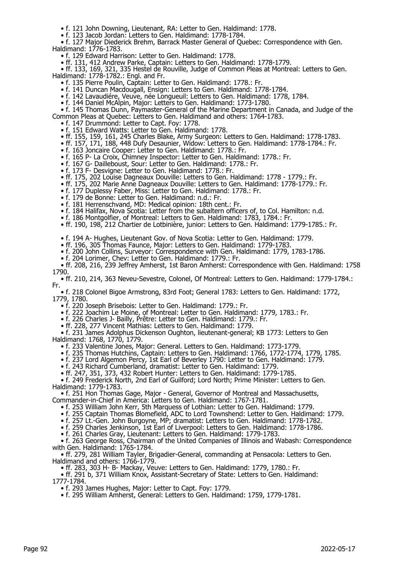• f. 121 John Downing, Lieutenant, RA: Letter to Gen. Haldimand: 1778.

• f. 123 Jacob Jordan: Letters to Gen. Haldimand: 1778-1784.

 • f. 127 Major Diederick Brehm, Barrack Master General of Quebec: Correspondence with Gen. Haldimand: 1776-1783.

• f. 129 Edward Harrison: Letter to Gen. Haldimand: 1778.

• ff. 131, 412 Andrew Parke, Captain: Letters to Gen. Haldimand: 1778-1779.

 • ff. 133, 169, 321, 335 Hestel de Rouville, Judge of Common Pleas at Montreal: Letters to Gen. Haldimand: 1778-1782.: Engl. and Fr.

- f. 135 Pierre Poulin, Captain: Letter to Gen. Haldimand: 1778.: Fr.
	- f. 141 Duncan Macdougall, Ensign: Letters to Gen. Haldimand: 1778-1784.
- f. 142 Lavaudiére, Veuve, née Longueuil: Letters to Gen. Haldimand: 1778, 1784.
- f. 144 Daniel McAlpin, Major: Letters to Gen. Haldimand: 1773-1780.

 • f. 145 Thomas Dunn, Paymaster-General of the Marine Department in Canada, and Judge of the Common Pleas at Quebec: Letters to Gen. Haldimand and others: 1764-1783.

- f. 147 Drummond: Letter to Capt. Foy: 1778.
- f. 151 Edward Watts: Letter to Gen. Haldimand: 1778.
- ff. 155, 159, 161, 245 Charles Blake, Army Surgeon: Letters to Gen. Haldimand: 1778-1783.
- ff. 157, 171, 188, 448 Dufy Desaunier, Widow: Letters to Gen. Haldimand: 1778-1784.: Fr.
- f. 163 Joncaire Cooper: Letter to Gen. Haldimand: 1778.: Fr.
- f. 165 P- La Croix, Chimney Inspector: Letter to Gen. Haldimand: 1778.: Fr.
- f. 167 G- Dailleboust, Sour: Letter to Gen. Haldimand: 1778.: Fr.
- f. 173 F- Desvigne: Letter to Gen. Haldimand: 1778.: Fr.
- ff. 175, 202 Louise Dagneaux Douville: Letters to Gen. Haldimand: 1778 1779.: Fr.
- ff. 175, 202 Marie Anne Dagneaux Douville: Letters to Gen. Haldimand: 1778-1779.: Fr.
	- f. 177 Duplessy Faber, Miss: Letter to Gen. Haldimand: 1778.: Fr.
- f. 179 de Bonne: Letter to Gen. Haldimand: n.d.: Fr.
- f. 181 Herrenschvand, MD: Medical opinion: 18th cent.: Fr.
	- f. 184 Halifax, Nova Scotia: Letter from the subaltern officers of, to Col. Hamilton: n.d.
- f. 186 Montgolfier, of Montreal: Letters to Gen. Haldimand: 1783, 1784.: Fr.
- ff. 190, 198, 212 Chartier de Lotbinière, junior: Letters to Gen. Haldimand: 1779-1785.: Fr.
- f. 194 A- Hughes, Lieutenant Gov. of Nova Scotia: Letter to Gen. Haldimand: 1779.
- ff. 196, 305 Thomas Faunce, Major: Letters to Gen. Haldimand: 1779-1783.
	- f. 200 John Collins, Surveyor: Correspondence with Gen. Haldimand: 1779, 1783-1786.
	- f. 204 Lorimer, Chev: Letter to Gen. Haldimand: 1779.: Fr.

 • ff. 208, 216, 239 Jeffrey Amherst, 1st Baron Amherst: Correspondence with Gen. Haldimand: 1758 1790.

 • ff. 210, 214, 363 Neveu-Sevestre, Colonel, Of Montreal: Letters to Gen. Haldimand: 1779-1784.: Fr.

 • f. 218 Colonel Bigoe Armstrong, 83rd Foot; General 1783: Letters to Gen. Haldimand: 1772, 1779, 1780.

• f. 220 Joseph Brisebois: Letter to Gen. Haldimand: 1779.: Fr.

• f. 222 Joachim Le Moine, of Montreal: Letter to Gen. Haldimand: 1779, 1783.: Fr.

• f. 226 Charles J- Bailly, Prêtre: Letter to Gen. Haldimand: 1779.: Fr.

• ff. 228, 277 Vincent Mathias: Letters to Gen. Haldimand: 1779.

 • f. 231 James Adolphus Dickenson Oughton, lieutenant-general; KB 1773: Letters to Gen Haldimand: 1768, 1770, 1779.

- f. 233 Valentine Jones, Major: General. Letters to Gen. Haldimand: 1773-1779.
- f. 235 Thomas Hutchins, Captain: Letters to Gen. Haldimand: 1766, 1772-1774, 1779, 1785.
- f. 237 Lord Algemon Percy, 1st Earl of Beverley 1790: Letter to Gen. Haldimand: 1779.

• f. 243 Richard Cumberland, dramatist: Letter to Gen. Haldimand: 1779.

• ff. 247, 351, 373, 432 Robert Hunter: Letters to Gen. Haldimand: 1779-1785.

 • f. 249 Frederick North, 2nd Earl of Guilford; Lord North; Prime Minister: Letters to Gen. Haldimand: 1779-1783.

 • f. 251 Hon Thomas Gage, Major - General, Governor of Montreal and Massachusetts, Commander-in-Chief in America: Letters to Gen. Haldimand: 1767-1781.

- 
- f. 253 William John Kerr, 5th Marquess of Lothian: Letter to Gen. Haldimand: 1779.
- f. 255 Captain Thomas Blomefield, ADC to Lord Townshend: Letter to Gen. Haldimand: 1779.
- f. 257 Lt.-Gen. John Burgoyne, MP; dramatist: Letters to Gen. Haldimand: 1778-1782.
- f. 259 Charles Jenkinson, 1st Earl of Liverpool: Letters to Gen. Haldimand: 1778-1786.
	- f. 261 Charles Gray, Lieutenant: Letters to Gen. Haldimand: 1779-1783.

 • f. 263 George Ross, Chairman of the United Companies of Illinois and Wabash: Correspondence with Gen. Haldimand: 1765-1784.

 • ff. 279, 281 William Tayler, Brigadier-General, commanding at Pensacola: Letters to Gen. Haldimand and others: 1766-1779.

• ff. 283, 303 H- B- Mackay, Veuve: Letters to Gen. Haldimand: 1779, 1780.: Fr.

• ff. 291 b, 371 William Knox, Assistant-Secretary of State: Letters to Gen. Haldimand:

1777-1784.

• f. 293 James Hughes, Major: Letter to Capt. Foy: 1779.

• f. 295 William Amherst, General: Letters to Gen. Haldimand: 1759, 1779-1781.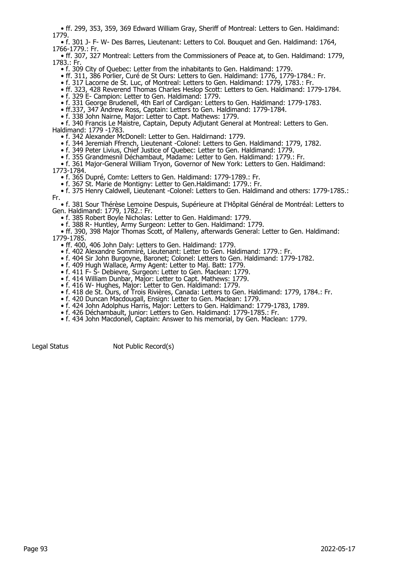• ff. 299, 353, 359, 369 Edward William Gray, Sheriff of Montreal: Letters to Gen. Haldimand: 1779.

 • f. 301 J- F- W- Des Barres, Lieutenant: Letters to Col. Bouquet and Gen. Haldimand: 1764, 1766-1779.: Fr.

 • ff. 307, 327 Montreal: Letters from the Commissioners of Peace at, to Gen. Haldimand: 1779, 1783.: Fr.

• f. 309 City of Quebec: Letter from the inhabitants to Gen. Haldimand: 1779.

• ff. 311, 386 Porlier, Curé de St Ours: Letters to Gen. Haldimand: 1776, 1779-1784.: Fr.

• f. 317 Lacorne de St. Luc, of Montreal: Letters to Gen. Haldimand: 1779, 1783.: Fr.

• ff. 323, 428 Reverend Thomas Charles Heslop Scott: Letters to Gen. Haldimand: 1779-1784.

• f. 329 E- Campion: Letter to Gen. Haldimand: 1779.

• f. 331 George Brudenell, 4th Earl of Cardigan: Letters to Gen. Haldimand: 1779-1783.

• ff.337, 347 Andrew Ross, Captain: Letters to Gen. Haldimand: 1779-1784.

• f. 338 John Nairne, Major: Letter to Capt. Mathews: 1779.

 • f. 340 Francis Le Maistre, Captain, Deputy Adjutant General at Montreal: Letters to Gen. Haldimand: 1779 -1783.

• f. 342 Alexander McDonell: Letter to Gen. Haldirnand: 1779.

• f. 344 Jeremiah Ffrench, Lieutenant -Colonel: Letters to Gen. Haldimand: 1779, 1782.

• f. 349 Peter Livius, Chief Justice of Quebec: Letter to Gen. Haldimand: 1779.

• f. 355 Grandmesnil Déchambaut, Madame: Letter to Gen. Haldimand: 1779.: Fr.

 • f. 361 Major-General William Tryon, Governor of New York: Letters to Gen. Haldimand: 1773-1784.

• f. 365 Dupré, Comte: Letters to Gen. Haldimand: 1779-1789.: Fr.

• f. 367 St. Marie de Montigny: Letter to Gen.Haldimand: 1779.: Fr.

 • f. 375 Henry Caldwell, Lieutenant -Colonel: Letters to Gen. Haldimand and others: 1779-1785.: Fr.

 • f. 381 Sour Thérèse Lemoine Despuis, Supérieure at I'Hôpital Général de Montréal: Letters to Gen. Haldimand: 1779, 1782.: Fr.

• f. 385 Robert Boyle Nicholas: Letter to Gen. Haldimand: 1779.

• f. 388 R- Huntley, Army Surgeon: Letter to Gen. Haldimand: 1779.

 • ff. 390, 398 Major Thomas Scott, of Malleny, afterwards General: Letter to Gen. Haldimand: 1779-1785.

• ff. 400, 406 John Daly: Letters to Gen. Haldimand: 1779.

• f. 402 Alexandre Sommiré, Lieutenant: Letter to Gen. Haldimand: 1779.: Fr.

• f. 404 Sir John Burgoyne, Baronet; Colonel: Letters to Gen. Haldimand: 1779-1782.

• f. 409 Hugh Wallace, Army Agent: Letter to Maj. Batt: 1779.

• f. 411 F- S- Debievre, Surgeon: Letter to Gen. Maclean: 1779.

• f. 414 William Dunbar, Major: Letter to Capt. Mathews: 1779.

• f. 416 W- Hughes, Major: Letter to Gen. Haldimand: 1779.

• f. 418 de St. Ours, of Trois Rivières, Canada: Letters to Gen. Haldimand: 1779, 1784.: Fr.

- f. 420 Duncan Macdougall, Ensign: Letter to Gen. Maclean: 1779.
- f. 424 John Adolphus Harris, Major: Letters to Gen. Haldimand: 1779-1783, 1789.
	- f. 426 Déchambault, junior: Letters to Gen. Haldimand: 1779-1785.: Fr.
	- f. 434 John Macdonell, Captain: Answer to his memorial, by Gen. Maclean: 1779.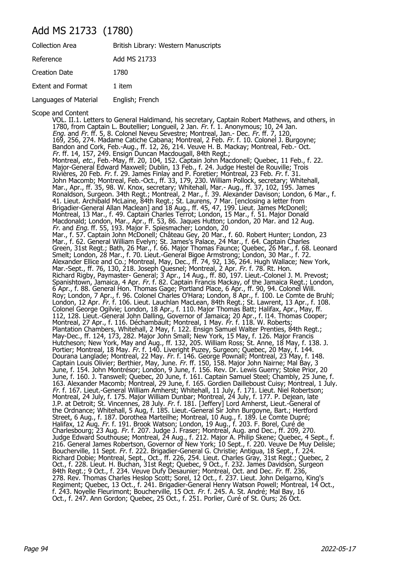## Add MS 21733 (1780)

| <b>Collection Area</b>   | British Library: Western Manuscripts |
|--------------------------|--------------------------------------|
| Reference                | Add MS 21733                         |
| Creation Date            | 1780                                 |
| <b>Extent and Format</b> | 1 item                               |
| Languages of Material    | English; French                      |

Scope and Content

VOL. II.1. Letters to General Haldimand, his secretary, Captain Robert Mathews, and others, in 1780, from Captain L. Boutellier; Longueil, 2 Jan. Fr. f. 1. Anonymous; 10, 24 Jan. Eng. and Fr. ff. 5, 8. Colonel Neveu Sevestre; Montreal, Jan.- Dec. Fr. ff. 7, 120, 169, 256, 274. Madame Catiche Cabana; Montreal, 2 Feb. Fr. f. 10. Colonel J. Burgoyne; Bandon and Cork, Feb.-Aug., ff. 12, 26, 214. Veuve H. B. Mackay; Montreal, Feb.- Oct. Fr. ff. 14, 157, 249. Ensign Duncan Macdougall, 84th Regt.; Montreal, etc., Feb.-May, ff. 20, 104, 152. Captain John Macdonell; Quebec, 11 Feb., f. 22. Major-General Edward Maxwell; Dublin, 13 Feb., f. 24. Judge Hestel de Rouville; Trois Rivières, 20 Feb. Fr. f. 29. James Finlay and P. Foretier; Montreal, 23 Feb. Fr. f. 31. John Macomb; Montreal, Feb.-Oct., ff. 33, 179, 230. William Pollock, secretary; Whitehall, Mar., Apr., ff. 35, 98. W. Knox, secretary; Whitehall, Mar.- Aug., ff. 37, 102, 195. James Ronaldson, Surgeon. 34th Regt.; Montreal, 2 Mar., f. 39. Alexander Davison; London, 6 Mar., f. 41. Lieut. Archibald McLaine, 84th Regt.; St. Laurens, 7 Mar. [enclosing a letter from Brigadier-General Allan Maclean] and 18 Aug., ff. 45, 47, 199. Lieut. James McDonell; Montreal, 13 Mar., f. 49. Captain Charles Terrot; London, 15 Mar., f. 51. Major Donald Macdonald; London, Mar., Apr., ff. 53, 86. Jaques Hutton; London, 20 Mar. and 12 Aug. Fr. and Eng. ff. 55, 193. Major F. Spiesmacher; London, 20 Mar., f. 57. Captain John McDonell; Château Gey, 20 Mar., f. 60. Robert Hunter; London, 23 Mar., f. 62. General William Evelyn; St. James's Palace, 24 Mar., f. 64. Captain Charles Green, 31st Regt.; Bath, 26 Mar., f. 66. Major Thomas Faunce; Quebec, 26 Mar., f. 68. Leonard Smelt; London, 28 Mar., f. 70. Lieut.-General Bigoe Armstrong; London, 30 Mar., f. 72. Alexander Ellice and Co.; Montreal, May, Dec., ff. 74, 92, 136, 264. Hugh Wallace; New York, Mar.-Sept., ff. 76, 130, 218. Joseph Quesnel; Montreal, 2 Apr. Fr. f. 78. Rt. Hon. Richard Rigby, Paymaster- General; 3 Apr., 14 Aug., ff. 80, 197. Lieut.-Colonel J. M. Prevost; Spanishtown, Jamaica, 4 Apr. Fr. f. 82. Captain Francis Mackay, of the Jamaica Regt.; London, 6 Apr., f. 88. General Hon. Thomas Gage; Portland Place, 6 Apr., ff. 90, 94. Colonel Will. Roy; London, 7 Apr., f. 96. Colonel Charles O'Hara; London, 8 Apr., f. 100. Le Comte de Bruhl; London, 12 Apr. Fr. f. 106. Lieut. Lauchlan MacLean, 84th Regt.; St. Lawrent, 13 Apr., f. 108. Colonel George Ogilvie; London, 18 Apr., f. 110. Major Thomas Batt; Halifax, Apr., May, ff. 112, 128. Lieut.-General John Dalling, Governor of Jamaica; 20 Apr., f. l14. Thomas Cooper; Montreal, 27 Apr., f. 116. Déchambault; Montreal, 1 May. Fr. f. 118. W. Roberts; Plantation Chambers, Whitehall, 2 May, f. 122. Ensign Samuel Walter Prenties, 84th Regt.; May-Dec., ff. 124, 173, 282. Major John Small; New York, 15 May, f. 126. Major Francis Hutcheson; New York, May and Aug., ff. 132, 205. William Ross; St. Anne, 18 May, f. 138. J. Portier; Montreal, 18 May. Fr. f. 140. Liveright Puzey, Surgeon; Quebec, 20 May, f. 144. Dourana Langlade; Montreal, 22 May. Fr. f. 146. George Pownall; Montreal, 23 May, f. 148. Captain Louis Olivier; Berthier, May, June. Fr. ff. 150, 158. Major John Nairne; Mal Bay, 3 June, f. 154. John Montrésor; London, 9 June, f. 156. Rev. Dr. Lewis Guerry; Stoke Prior, 20 June, f. 160. J. Tanswell; Quebec, 20 June, f. 161. Captain Samuel Steel; Chambly, 25 June, f. 163. Alexander Macomb; Montreal, 29 June, f. 165. Gordien Dailleboust Cuisy; Montreal, 1 July. Fr. f. 167. Lieut.-General William Amherst; Whitehall, 11 July, f. 171. Lieut. Niel Robertson; Montreal, 24 July, f. 175. Major William Dunbar; Montreal, 24 July, f. 177. P. Dejean, late J.P. at Detroit; St. Vincennes, 28 July. *Fr.* f. 181. [Jeffery] Lord Amherst, Lieut.-General of the Ordnance; Whitehall, 5 Aug, f. 185. Lieut.-General Sir John Burgoyne, Bart.; Hertford Street, 6 Aug., f. 187. Dorothea Marteilhe; Montreal, 10 Aug., f. 189. Le Comte Dupré; Halifax, 12 Aug. Fr. f. 191. Brook Watson; London, 19 Aug., f. 203. F. Borel, Curé de Charlesbourg; 23 Aug. Fr. f. 207. Judge J. Fraser; Montreal, Aug. and Dec., ff. 209, 270. Judge Edward Southouse; Montreal, 24 Aug., f. 212. Major A. Philip Skene; Quebec, 4 Sept., f. 216. General James Robertson, Governor of New York; 10 Sept., f. 220. Veuve De Muy Delisle; Boucherville, 11 Sept. Fr. f. 222. Brigadier-General G. Christie; Antigua, 18 Sept., f. 224. Richard Dobie; Montreal, Sept., Oct., ff. 226, 254. Lieut. Charles Gray, 31st Regt.; Quebec, 2 Oct., f. 228. Lieut. H. Buchan, 31st Regt; Quebec, 9 Oct., f. 232. James Davidson, Surgeon 84th Regt.; 9 Oct., f. 234. Veuve Dufy Desaunier; Montreal, Oct. and Dec. Fr. ff. 236, 278. Rev. Thomas Charles Heslop Scott; Sorel, 12 Oct., f. 237. Lieut. John Delgarno, King's Regiment; Quebec, 13 Oct., f. 241. Brigadier-General Henry Watson Powell; Montreal, 14 Oct., f. 243. Noyelle Fleurimont; Boucherville, 15 Oct. *Fr.* f. 245. A. St. André; Mal Bay, 16 Oct., f. 247. Ann Gordon; Quebec, 25 Oct., f. 251. Porlier, Curé of St. Ours; 26 Oct.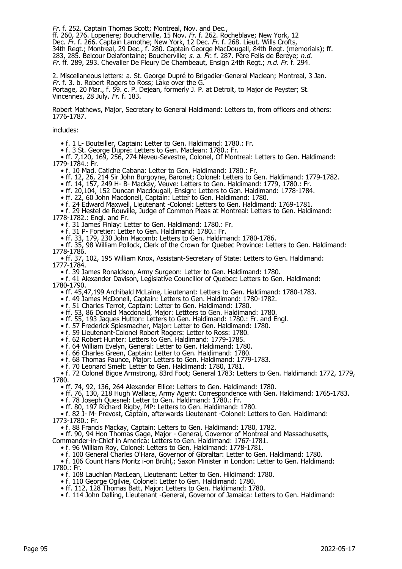Fr. f. 252. Captain Thomas Scott; Montreal, Nov. and Dec., ff. 260, 276. Loperiere; Boucherville, 15 Nov. Fr. f. 262. Rocheblave; New York, 12 Dec. Fr. f. 266. Captain Lamothe; New York, 12 Dec. Fr. f. 268. Lieut. Wills Crofts, 34th Regt.; Montreal, 29 Dec., f. 280. Captain George MacDougall, 84th Regt. (memorials); ff. 283, 285. Belcour Delafontaine; Boucherville; s. a. Fr. f. 287. Père Felis de Bereye; n.d. Fr. ff. 289, 293. Chevalier De Fleury De Chambeaut, Ensign 24th Regt.; n.d. Fr. f. 294.

2. Miscellaneous letters: a. St. George Dupré to Brigadier-General Maclean; Montreal, 3 Jan. Fr. f. 3. b. Robert Rogers to Ross; Lake over the G. Portage, 20 Mar., f. 59. c. P. Dejean, formerly J. P. at Detroit, to Major de Peyster; St. Vincennes, 28 July. Fr. f. 183.

Robert Mathews, Major, Secretary to General Haldimand: Letters to, from officers and others: 1776-1787.

includes:

• f. 1 L- Bouteiller, Captain: Letter to Gen. Haldimand: 1780.: Fr.

• f. 3 St. George Dupré: Letters to Gen. Maclean: 1780.: Fr.

 • ff. 7,120, 169, 256, 274 Neveu-Sevestre, Colonel, Of Montreal: Letters to Gen. Haldimand: 1779-1784.: Fr.

• f. 10 Mad. Catiche Cabana: Letter to Gen. Haldimand: 1780.: Fr.

- ff. 12, 26, 214 Sir John Burgoyne, Baronet; Colonel: Letters to Gen. Haldimand: 1779-1782.
- ff. 14, 157, 249 H- B- Mackay, Veuve: Letters to Gen. Haldimand: 1779, 1780.: Fr.
	- ff. 20,104, 152 Duncan Macdougall, Ensign: Letters to Gen. Haldimand: 1778-1784.

• ff. 22, 60 John Macdonell, Captain: Letter to Gen. Haldimand: 1780.

• f. 24 Edward Maxwell, Lieutenant -Colonel: Letters to Gen. Haldimand: 1769-1781.

 • f. 29 Hestel de Rouville, Judge of Common Pleas at Montreal: Letters to Gen. Haldimand: 1778-1782.: Engl. and Fr.

• f. 31 James Finlay: Letter to Gen. Haldimand: 1780.: Fr.

• f. 31 P- Foretier: Letter to Gen. Haldimand: 1780.: Fr.

• ff. 33, 179, 230 John Macomb: Letters to Gen. Haldimand: 1780-1786.

 • ff. 35, 98 William Pollock, Clerk of the Crown for Quebec Province: Letters to Gen. Haldimand: 1778-1786.

 • ff. 37, 102, 195 William Knox, Assistant-Secretary of State: Letters to Gen. Haldimand: 1777-1784.

• f. 39 James Ronaldson, Army Surgeon: Letter to Gen. Haldimand: 1780.

 • f. 41 Alexander Davison, Legislative Councillor of Quebec: Letters to Gen. Haldimand: 1780-1790.

• ff. 45,47,199 Archibald McLaine, Lieutenant: Letters to Gen. Haldimand: 1780-1783.

• f. 49 James McDonell, Captain: Letters to Gen. Haldimand: 1780-1782.

• f. 51 Charles Terrot, Captain: Letter to Gen. Haldimand: 1780.

• ff. 53, 86 Donald Macdonald, Major: Lettters to Gen. Haldimand: 1780.

• ff. 55, 193 Jaques Hutton: Letters to Gen. Haldimand: 1780.: Fr. and Engl.

• f. 57 Frederick Spiesmacher, Major: Letter to Gen. Haldimand: 1780.

• f. 59 Lieutenant-Colonel Robert Rogers: Letter to Ross: 1780.

• f. 62 Robert Hunter: Letters to Gen. Haldimand: 1779-1785.

• f. 64 William Evelyn, General: Letter to Gen. Haldimand: 1780.

• f. 66 Charles Green, Captain: Letter to Gen. Haldimand: 1780.

• f. 68 Thomas Faunce, Major: Letters to Gen. Haldimand: 1779-1783.

• f. 70 Leonard Smelt: Letter to Gen. Haldimand: 1780, 1781.

 • f. 72 Colonel Bigoe Armstrong, 83rd Foot; General 1783: Letters to Gen. Haldimand: 1772, 1779, 1780.

• ff. 74, 92, 136, 264 Alexander Ellice: Letters to Gen. Haldimand: 1780.

• ff. 76, 130, 218 Hugh Wallace, Army Agent: Correspondence with Gen. Haldimand: 1765-1783.

• f. 78 Joseph Quesnel: Letter to Gen. Haldimand: 1780.: Fr.

• ff. 80, 197 Richard Rigby, MP: Letters to Gen. Haldimand: 1780.

 • f. 82 J- M- Prevost, Captain, afterwards Lieutenant -Colonel: Letters to Gen. Haldimand: 1773-1780.: Fr.

• f. 88 Francis Mackay, Captain: Letters to Gen. Haldimand: 1780, 1782.

• ff. 90, 94 Hon Thomas Gage, Major - General, Governor of Montreal and Massachusetts,

Commander-in-Chief in America: Letters to Gen. Haldimand: 1767-1781.

• f. 96 William Roy, Colonel: Letters to Gen, Haldimand: 1778-1781.

• f. 100 General Charles O'Hara, Governor of Gibraltar: Letter to Gen. Haldimand: 1780.

 • f. 106 Count Hans Moritz i-on Brühl,; Saxon Minister in London: Letter to Gen. Haldimand: 1780.: Fr.

• f. 108 Lauchlan MacLean, Lieutenant: Letter to Gen. Hildimand: 1780.

• f. 110 George Ogilvie, Colonel: Letter to Gen. Haldimand: 1780.

• ff. 112, 128 Thomas Batt, Major: Letters to Gen. Haldimand: 1780.

• f. 114 John Dalling, Lieutenant -General, Governor of Jamaica: Letters to Gen. Haldimand: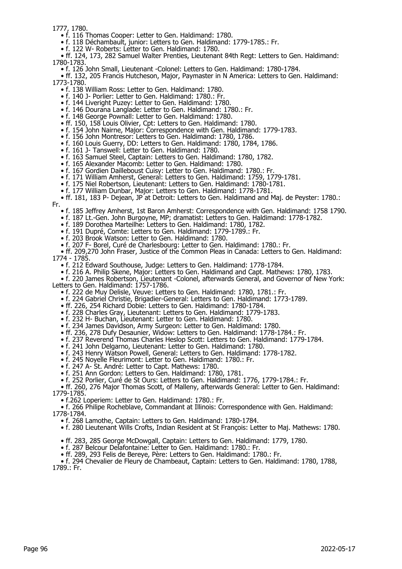1777, 1780.

• f. 116 Thomas Cooper: Letter to Gen. Haldimand: 1780.

• f. 118 Déchambault, junior: Letters to Gen. Haldimand: 1779-1785.: Fr.

• f. 122 W- Roberts: Letter to Gen. Haldimand: 1780.

 • ff. 124, 173, 282 Samuel Walter Prenties, Lieutenant 84th Regt: Letters to Gen. Haldimand: 1780-1783.

• f. 126 John Small, Lieutenant -Colonel: Letters to Gen. Haldimand: 1780-1784.

 • ff. 132, 205 Francis Hutcheson, Major, Paymaster in N America: Letters to Gen. Haldimand: 1773-1780.

• f. 138 William Ross: Letter to Gen. Haldimand: 1780.

- f. 140 J- Porlier: Letter to Gen. Haldimand: 1780.: Fr.
- f. 144 Liveright Puzey: Letter to Gen. Haldimand: 1780.
- f. 146 Dourana Langlade: Letter to Gen. Haldimand: 1780.: Fr.
- f. 148 George Pownall: Letter to Gen. Haldimand: 1780.
- ff. 150, 158 Louis Olivier, Cpt: Letters to Gen. Haldimand: 1780.
- f. 154 John Nairne, Major: Correspondence with Gen. Haldimand: 1779-1783.
- f. 156 John Montresor: Letters to Gen. Haldimand: 1780, 1786.
- f. 160 Louis Guerry, DD: Letters to Gen. Haldimand: 1780, 1784, 1786.
- f. 161 J- Tanswell: Letter to Gen. Haldimand: 1780.
	- f. 163 Samuel Steel, Captain: Letters to Gen. Haldimand: 1780, 1782.
- f. 165 Alexander Macomb: Letter to Gen. Haldimand: 1780.
- f. 167 Gordien Dailleboust Cuisy: Letter to Gen. Haldimand: 1780.: Fr.
- f. 171 William Amherst, General: Letters to Gen. Haldimand: 1759, 1779-1781.
	- f. 175 Niel Robertson, Lieutenant: Letters to Gen. Haldimand: 1780-1781.
	- f. 177 William Dunbar, Major: Letters to Gen. Haldimand: 1778-1781.

• ff. 181, 183 P- Dejean, JP at Detroit: Letters to Gen. Haldimand and Maj. de Peyster: 1780.:

Fr.

- f. 185 Jeffrey Amherst, 1st Baron Amherst: Correspondence with Gen. Haldimand: 1758 1790.
- f. 187 Lt.-Gen. John Burgoyne, MP; dramatist: Letters to Gen. Haldimand: 1778-1782.
- f. 189 Dorothea Marteilhe: Letters to Gen. Haldimand: 1780, 1782.
- f. 191 Dupré, Comte: Letters to Gen. Haldimand: 1779-1789.: Fr.
- f. 203 Brook Watson: Letter to Gen. Haldimand: 1780.
- f. 207 F- Borel, Curé de Charlesbourg: Letter to Gen. Haldimand: 1780.: Fr.

 • ff. 209,270 John Fraser, Justice of the Common Pleas in Canada: Letters to Gen. Haldimand: 1774 - 1785.

• f. 212 Edward Southouse, Judge: Letters to Gen. Haldimand: 1778-1784.

• f. 216 A. Philip Skene, Major: Letters to Gen. Haldimand and Capt. Mathews: 1780, 1783.

 • f. 220 James Robertson, Lieutenant -Colonel, afterwards General, and Governor of New York: Letters to Gen. Haldimand: 1757-1786.

• f. 222 de Muy Delisle, Veuve: Letters to Gen. Haldimand: 1780, 1781.: Fr.

- f. 224 Gabriel Christie, Brigadier-General: Letters to Gen. Haldimand: 1773-1789.
	- ff. 226, 254 Richard Dobie: Letters to Gen. Haldimand: 1780-1784.
- f. 228 Charles Gray, Lieutenant: Letters to Gen. Haldimand: 1779-1783.
- f. 232 H- Buchan, Lieutenant: Letter to Gen. Haldimand: 1780.
- f. 234 James Davidson, Army Surgeon: Letter to Gen. Haldimand: 1780.
- ff. 236, 278 Dufy Desaunier, Widow: Letters to Gen. Haldimand: 1778-1784.: Fr.
- f. 237 Reverend Thomas Charles Heslop Scott: Letters to Gen. Haldimand: 1779-1784.
	- f. 241 John Delgarno, Lieutenant: Letter to Gen. Haldimand: 1780.
- f. 243 Henry Watson Powell, General: Letters to Gen. Haldimand: 1778-1782.
- f. 245 Noyelle Fleurimont: Letter to Gen. Haldimand: 1780.: Fr.
	- f. 247 A- St. André: Letter to Capt. Mathews: 1780.
	- f. 251 Ann Gordon: Letters to Gen. Haldimand: 1780, 1781.
	- f. 252 Porlier, Curé de St Ours: Letters to Gen. Haldimand: 1776, 1779-1784.: Fr.

 • ff. 260, 276 Major Thomas Scott, of Malleny, afterwards General: Letter to Gen. Haldimand: 1779-1785.

• f.262 Loperiem: Letter to Gen. Haldimand: 1780.: Fr.

 • f. 266 Philipe Rocheblave, Commandant at Illinois: Correspondence with Gen. Haldimand: 1778-1784.

- f. 268 Lamothe, Captain: Letters to Gen. Haldimand: 1780-1784.
- f. 280 Lieutenant Wills Crofts, Indian Resident at St François: Letter to Maj. Mathews: 1780.
	- ff. 283, 285 George McDowgall, Captain: Letters to Gen. Haldimand: 1779, 1780.
	- f. 287 Belcour Delafontaine: Letter to Gen. Haldimand: 1780.: Fr.

• ff. 289, 293 Felis de Bereye, Père: Letters to Gen. Haldimand: 1780.: Fr.

• f. 294 Chevalier de Fleury de Chambeaut, Captain: Letters to Gen. Haldimand: 1780, 1788, 1789.: Fr.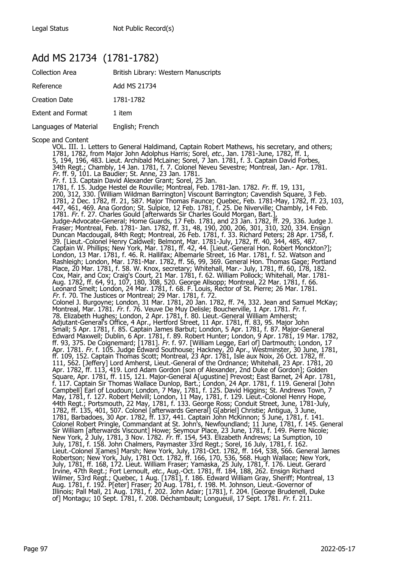## Add MS 21734 (1781-1782)

| <b>Collection Area</b>   | British Library: Western Manuscripts |
|--------------------------|--------------------------------------|
| Reference                | Add MS 21734                         |
| <b>Creation Date</b>     | 1781-1782                            |
| <b>Extent and Format</b> | 1 item                               |
| Languages of Material    | English; French                      |

Scope and Content

VOL. III. 1. Letters to General Haldimand, Captain Robert Mathews, his secretary, and others; 1781, 1782, from Major John Adolphus Harris; Sorel, etc., Jan. 1781-June, 1782, ff. 1, 5, 194, 196, 483. Lieut. Archibald McLaine; Sorel, 7 Jan. 1781, f. 3. Captain David Forbes, 34th Regt.; Chambly, 14 Jan. 1781, f. 7. Colonel Neveu Sevestre; Montreal, Jan.- Apr. 1781. Fr. ff. 9, 101. La Baudier; St. Anne, 23 Jan. 1781. Fr. f. 13. Captain David Alexander Grant; Sorel, 25 Jan. 1781, f. 15. Judge Hestel de Rouville; Montreal, Feb. 1781-Jan. 1782. Fr. ff. 19, 131, 200, 312, 330. [William Wildman Barrington] Viscount Barrington; Cavendish Square, 3 Feb. 1781, 2 Dec. 1782, ff. 21, 587. Major Thomas Faunce; Quebec, Feb. 1781-May, 1782, ff. 23, 103, 447, 461, 469. Ana Gordon; St. Sulpice, 12 Feb. 1781, f. 25. De Niverville; Chambly, 14 Feb. 1781. Fr. f. 27. Charles Gould [afterwards Sir Charles Gould Morgan, Bart.], Judge-Advocate-General; Home Guards, 17 Feb. 1781, and 23 Jan. 1782, ff. 29, 336. Judge J. Fraser; Montreal, Feb. 1781- Jan. 1782, ff. 31, 48, 190, 200, 206, 301, 310, 320, 334. Ensign Duncan Macdougall, 84th Regt; Montreal, 26 Feb. 1781, f. 33. Richard Peters; 28 Apr. 1758, f. 39. [Lieut.-Colonel Henry Caldwell; Belmont, Mar. 1781-July, 1782, ff. 40, 344, 485, 487. Captain W. Phillips; New York, Mar. 1781, ff. 42, 44. [Lieut.-General Hon. Robert Monckton?]; London, 13 Mar. 1781, f. 46. R. Hallifax; Albemarle Street, 16 Mar. 1781, f. 52. Watson and Rashleigh; London, Mar. 1781-Mar. 1782, ff. 56, 99, 369. General Hon. Thomas Gage; Portland Place, 20 Mar. 1781, f. 58. W. Knox, secretary; Whitehall, Mar.- July, 1781, ff. 60, 178, 182. Cox, Mair, and Cox; Craig's Court, 21 Mar. 1781, f. 62. William Pollock; Whitehall, Mar. 1781- Aug. 1782, ff. 64, 91, 107, 180, 308, 520. George Allsopp; Montreal, 22 Mar. 1781, f. 66. Leonard Smelt; London, 24 Mar. 1781, f. 68. F. Louis, Rector of St. Pierre; 26 Mar. 1781. Fr. f. 70. The Justices or Montreal; 29 Mar. 1781, f. 72. Colonel J. Burgoyne; London, 31 Mar. 1781, 20 Jan. 1782, ff. 74, 332. Jean and Samuel McKay; Montreal, Mar. 1781. Fr. f. 76. Veuve De Muy Delisle; Boucherville, 1 Apr. 1781. Fr. f. 78. Elizabeth Hughes; London, 2 Apr. 1781, f. 80. Lieut.-General William Amherst; Adjutant-General's Office, 4 Apr., Hertford Street, 11 Apr. 1781, ff. 83, 95. Major John Small; 5 Apr. 1781, f. 85. Captain James Barbut; London, 5 Apr. 1781, f. 87. Major-General Edward Maxwell; Dublin, 6 Apr. 1781, f. 89. Robert Hunter; London, 9 Apr. 1781, 19 Mar. 1782, ff. 93, 375. De Coignemard; [1781]. *Fr.* f. 97. [William Legge, Earl of] Dartmouth; London, 17 Apr. 1781. *Fr.* f. 105. Judge Edward Southouse; Hackney, 20 Apr., Westminster, 30 June, 1781, ff. 109, 152. Captain Thomas Scott; Montreal, 23 Apr. 1781, Isle aux Noix, 26 Oct. 1782, ff. 111, 562. [Jeffery] Lord Amherst, Lieut.-General of the Ordnance; Whitehall, 23 Apr. 1781, 20 Apr. 1782, ff. 113, 419. Lord Adam Gordon [son of Alexander, 2nd Duke of Gordon]; Golden Square, Apr. 1781, ff. 115, 121. Major-General A[ugustine] Prevost; East Barnet, 24 Apr. 1781, f. 117. Captain Sir Thomas Wallace Dunlop, Bart.; London, 24 Apr. 1781, f. 119. General [John Campbell] Earl of Loudoun; London, 7 May, 1781, f. 125. David Higgins; St. Andrews Town, 7 May, 1781, f. 127. Robert Melvill; London, 11 May, 1781, f. 129. Lieut.-Colonel Henry Hope, 44th Regt.; Portsmouth, 22 May, 1781, f. 133. George Ross; Conduit Street, June, 1781-July, 1782, ff. 135, 401, 507. Colonel [afterwards General] G[abriel] Christie; Antigua, 3 June, 1781, Barbadoes, 30 Apr. 1782, ff. 137, 441. Captain John McKinnon; 5 June, 1781, f. 141. Colonel Robert Pringle, Commandant at St. John's, Newfoundland; 11 June, 1781, f. 145. General Sir William [afterwards Viscount] Howe; Seymour Place, 23 June, 1781, f. 149. Pierre Nicole; New York, 2 July, 1781, 3 Nov. 1782. *Fr.* ff. 154, 543. Elizabeth Andrews; La Sumption, 10 July, 1781, f. 158. John Chalmers, Paymaster 33rd Regt.; Sorel, 16 July, 1781, f. 162. Lieut.-Colonel J[ames] Marsh; New York, July, 1781-Oct. 1782, ff. 164, 538, 566. General James Robertson; New York, July, 1781 Oct. 1782, ff. 166, 170, 536, 568. Hugh Wallace; New York, July, 1781, ff. 168, 172. Lieut. William Fraser; Yamaska, 25 July, 1781, f. 176. Lieut. Gerard Irvine, 47th Regt.; Fort Lernoult, *etc.*, Aug.-Oct. 1781, ff. 184, 188, 262. Ensign Richard Wilmer, 53rd Regt.; Quebec, 1 Aug. [1781], f. 186. Edward William Gray, Sheriff; Montreal, 13 Aug. 1781, f. 192. P[eter] Fraser; 20 Aug. 1781, f. 198. M. Johnson, Lieut.-Governor of Illinois; Pall Mall, 21 Aug. 1781, f. 202. John Adair; [1781], f. 204. [George Brudenell, Duke of] Montagu; 10 Sept. 1781, f. 208. Déchambault; Longueuil, 17 Sept. 1781. Fr. f. 211.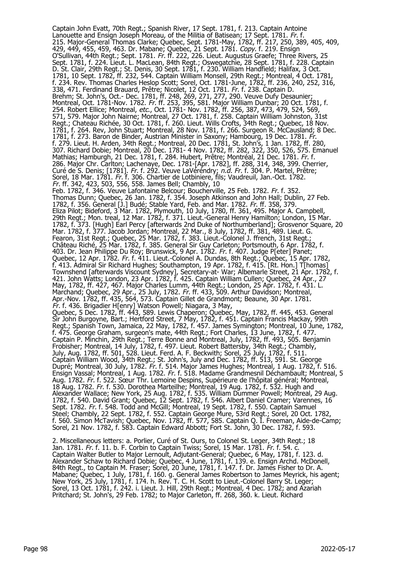Captain John Evatt, 70th Regt.; Spanish River, 17 Sept. 1781, f. 213. Captain Antoine Lanouette and Ensign Joseph Moreau, of the Militia of Batisean; 17 Sept. 1781. Fr. f. 215. Major-General Thomas Clarke; Quebec, Sept. 1781-May, 1782, ff. 217, 250, 389, 405, 409, 429, 449, 455, 459, 463. Dr. Mabane; Quebec, 21 Sept. 1781. *Copy.* f. 219. Ensign O'Sullivan, 44th Regt.; Sept. 1781. *Fr.* ff. 222, 226. Lieut. Augustus Graefe; Three Rivers, 25 Sept. 1781, f. 224. Lieut. L. MacLean, 84th Regt.; Oswegatchie, 28 Sept. 1781, f. 228. Captain D. St. Clair, 29th Regt.; St. Denis, 30 Sept. 1781, f. 230. William Handfield; Halifax, 3 Oct. 1781, 10 Sept. 1782, ff. 232, 544. Captain William Monsell, 29th Regt.; Montreal, 4 Oct. 1781, f. 234. Rev. Thomas Charles Heslop Scott; Sorel, Oct. 1781-June, 1782, ff. 236, 240, 252, 316, 338, 471. Ferdinand Brauard, Prêtre; Nicolet, 12 Oct. 1781. Fr. f. 238. Captain D. Brehm; St. John's, Oct.- Dec. 1781, ff. 248, 269, 271, 277, 290. Veuve Dufy Desaunier; Montreal, Oct. 1781-Nov. 1782. Fr. ff. 253, 395, 581. Major William Dunbar; 20 Oct. 1781, f. 254. Robert Ellice; Montreal, etc., Oct. 1781- Nov. 1782, ff. 256, 387, 473, 479, 524, 569, 571, 579. Major John Nairne; Montreal, 27 Oct. 1781, f. 258. Captain William Johnston, 31st Regt.; Chateau Richée, 30 Oct. 1781, f. 260. Lieut. Wills Crofts, 34th Regt.; Quebec, 18 Nov. 1781, f. 264. Rev, John Stuart; Montreal, 28 Nov. 1781, f. 266. Surgeon R. McCausland; 8 Dec. 1781, f. 273. Baron de Binder, Austrian Minister in Saxony; Hambourg, 19 Dec. 1781. Fr. f. 279. Lieut. H. Arden, 34th Regt.; Montreal, 20 Dec. 1781, St. John's, 1 Jan. 1782, ff. 280, 307. Richard Dobie; Montreal, 20 Dec. 1781- 4 Nov. 1782, ff. 282, 322, 350, 526, 575. Emanuel Mathias; Hamburgh, 21 Dec. 1781, f. 284. Hubert, Prêtre; Montréal, 21 Dec. 1781. Fr. f. 286. Major Chr. Carlton; Lachenaye, Dec. 1781-[Apr. 1782], ff. 288, 314, 348, 399. Cherrier, Curé de S. Denis; [1781]. *Fr.* f. 292. Veuve LaVéréndry; *n.d. Fr.* f. 304. P. Martel, Prêtre; Sorel, 18 Mar. 1781. Fr. f. 306. Chartier de Lotbiniere, fils; Vaudreuil, Jan.-Oct. 1782. Fr. ff. 342, 423, 503, 556, 558. James Bell; Chambly, 10 Feb. 1782, f. 346. Veuve Lafontaine Belcour; Boucherville, 25 Feb. 1782. Fr. f. 352. Thomas Dunn; Quebec, 26 Jan. 1782, f. 354. Joseph Atkinson and John Hall; Dublin, 27 Feb. 1782, f. 356. General [J.] Budé; Stable Yard, Feb. and Mar. 1782. Fr. ff. 358, 379. Eliza Pilot; Bideford, 3 Mar. 1782, Plymouth, 10 July, 1780, ff. 361, 495. Major A. Campbell, 29th Regt.; Mon. treal, 12 Mar. 1782, f. 371. Lieut.-General Henry Hamilton; London, 15 Mar. 1782, f. 373. [Hugh] Earl Percy [afterwards 2nd Duke of Northumberland]; Grosvenor Square, 20 Mar. 1782, f. 377. Jacob Jordan; Montreal, 22 Mar., 8 July, 1782, ff. 381, 489. Lieut. G. Fearon, 31st Regt.; Quebec, 25 Mar. 1782, f. 383. Lieut.-Colonel J. ffrench, 31st Regt.; Château Riché, 25 Mar. 1782, f. 385. General Sir Guy Carleton; Portsmouth, 6 Apr. 1782, f. 403. Dr. Jean Philippe Du Roy; Brunswick, 9 Apr. 1782. *Fr.* f. 407. Judge P[eter] Panet; Quebec, 12 Apr. 1782. Fr. f. 411. Lieut.-Colonel A. Dundas, 8th Regt.; Quebec, 15 Apr. 1782, f. 413. Admiral Sir Richard Hughes; Southampton, 19 Apr. 1782, f. 415. [Rt. Hon.] T[homas] Townshend [afterwards Viscount Sydney], Secretary-at- War; Albemarle Street, 21 Apr. 1782, f. 421. John Watts; London, 23 Apr. 1782, f. 425. Captain William Cullen; Quebec, 24 Apr., 27 May, 1782, ff. 427, 467. Major Charles Lumm, 44th Regt.; London, 25 Apr. 1782, f. 431. L. Marchand; Quebec, 29 Apr., 25 July, 1782. *Fr.* ff. 433, 509. Arthur Davidson; Montreal, Apr.-Nov. 1782, ff. 435, 564, 573. Captain Gillet de Grandmont; Beaune, 30 Apr. 1781. Fr. f. 436. Brigadier H[enry] Watson Powell; Niagara, 3 May, Quebec, 5 Dec. 1782, ff. 443, 589. Lewis Chaperon; Quebec, May, 1782, ff. 445, 453. General Sir John Burgoyne, Bart.; Hertford Street, 7 May, 1782, f. 451. Captain Francis Mackay, 99th Regt.; Spanish Town, Jamaica, 22 May, 1782, f. 457. James Symington; Montreal, 10 June, 1782, f. 475. George Graham, surgeon's mate, 44th Regt.; Fort Charles, 13 June, 1782, f. 477. Captain P. Minchin, 29th Regt.; Terre Bonne and Montreal, July, 1782, ff. 493, 505. Benjamin Frobisher; Montreal, 14 July, 1782, f. 497. Lieut. Robert Battersby, 34th Regt.; Chambly, July, Aug. 1782, ff. 501, 528. Lieut. Ferd. A. F. Beckwith; Sorel, 25 July, 1782, f. 511. Captain William Wood, 34th Regt.; St. John's, July and Dec. 1782, ff. 513, 591. St. George Dupré; Montreal, 30 July, 1782. Fr. f. 514. Major James Hughes; Montreal, 1 Aug. 1782, f. 516. Ensign Vassal; Montreal, 1 Aug. 1782. *Fr.* f. 518. Madame Grandmesnil Déchambault; Montreal, 5 Aug. 1782. *Fr.* f. 522. Sœur Thr. Lemoine Despins, Supérieure de l'hôpital général; Montreal, 18 Aug. 1782. Fr. f. 530. Dorothea Marteilhe; Montreal, 19 Aug. 1782, f. 532. Hugh and Alexander Wallace; New York, 25 Aug. 1782, f. 535. William Dummer Powell; Montreal, 29 Aug. 1782, f. 540. David Grant; Quebec, 12 Sept. 1782, f. 546. Albert Daniel Cramer; Varennes, 16 Sept. 1782. Fr. f. 548. Todd and McGill; Montreal, 19 Sept. 1782, f. 550. Captain Samuel Steel; Chambly, 22 Sept. 1782, f. 552. Captain George Mure, 53rd Regt.; Sorel, 20 Oct. 1782, f. 560. Simon McTavish; Quebec, Nov. 1782, ff. 577, 585. Captain Q. I. Freeman, Aide-de-Camp; Sorel, 21 Nov. 1782, f. 583. Captain Edward Abbott; Fort St. John, 30 Dec. 1782, f. 593.

2. Miscellaneous letters: a. Porlier, Curé of St. Ours, to Colonel St. Leger, 34th Regt.; 18 Jan. 1781. *Fr.* f. 11. b. F. Corbin to Captain Twiss; Sorel, 15 Mar. 1781. *Fr*. f. 54. c. Captain Walter Butler to Major Lernoult, Adjutant-General; Quebec, 6 May, 1781, f. 123. d. Alexander Schaw to Richard Dobie; Quebec, 4 June, 1781, f. 139. e. Ensign Archd. McDonell, 84th Regt., to Captain M. Fraser; Sorel, 20 June, 1781, f. 147. f. Dr. James Fisher to Dr. A. Mabane; Quebec, 1 July, 1781, f. 160. g. General James Robertson to James Meyrick, his agent; New York, 25 July, 1781, f. 174. h. Rev. T. C. H. Scott to Lieut.-Colonel Barry St. Leger; Sorel, 13 Oct. 1781, f. 242. i. Lieut. J. Hill, 29th Regt.; Montreal, 4 Dec. 1782; and Azariah Pritchard; St. John's, 29 Feb. 1782; to Major Carleton, ff. 268, 360. k. Lieut. Richard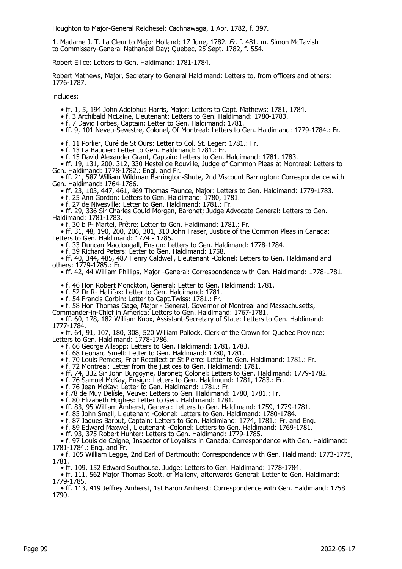Houghton to Major-General Reidhesel; Cachnawaga, 1 Apr. 1782, f. 397.

1. Madame J. T. La Cleur to Major Holland; 17 June, 1782. Fr. f. 481. m. Simon McTavish to Commissary-General Nathanael Day; Quebec, 25 Sept. 1782, f. 554.

Robert Ellice: Letters to Gen. Haldimand: 1781-1784.

Robert Mathews, Major, Secretary to General Haldimand: Letters to, from officers and others: 1776-1787.

includes:

- ff. 1, 5, 194 John Adolphus Harris, Major: Letters to Capt. Mathews: 1781, 1784.
- f. 3 Archibald McLaine, Lieutenant: Letters to Gen. Haldimand: 1780-1783.
- f. 7 David Forbes, Captain: Letter to Gen. Haldimand: 1781.
- ff. 9, 101 Neveu-Sevestre, Colonel, Of Montreal: Letters to Gen. Haldimand: 1779-1784.: Fr.

• f. 11 Porlier, Curé de St Ours: Letter to Col. St. Leger: 1781.: Fr.

• f. 13 La Baudier: Letter to Gen. Haldimand: 1781.: Fr.

• f. 15 David Alexander Grant, Captain: Letters to Gen. Haldimand: 1781, 1783.

 • ff. 19, 131, 200, 312, 330 Hestel de Rouville, Judge of Common Pleas at Montreal: Letters to Gen. Haldimand: 1778-1782.: Engl. and Fr.

 • ff. 21, 587 William Wildman Barrington-Shute, 2nd Viscount Barrington: Correspondence with Gen. Haldimand: 1764-1786.

• ff. 23, 103, 447, 461, 469 Thomas Faunce, Major: Letters to Gen. Haldimand: 1779-1783.

• f. 25 Ann Gordon: Letters to Gen. Haldimand: 1780, 1781.

• f. 27 de Nivesville: Letter to Gen. Haldimand: 1781.: Fr.

 • ff. 29, 336 Sir Charles Gould Morgan, Baronet; Judge Advocate General: Letters to Gen. Haldimand: 1781-1783.

• f. 30 b P- Martel, Prêtre: Letter to Gen. Haldimand: 1781.: Fr.

 • ff. 31, 48, 190, 200, 206, 301, 310 John Fraser, Justice of the Common Pleas in Canada: Letters to Gen. Haldimand: 1774 - 1785.

• f. 33 Duncan Macdougall, Ensign: Letters to Gen. Haldimand: 1778-1784.

• f. 39 Richard Peters: Letter to Gen. Haldimand: 1758.

 • ff. 40, 344, 485, 487 Henry Caldwell, Lieutenant -Colonel: Letters to Gen. Haldimand and others: 1779-1785.: Fr.

• ff. 42, 44 William Phillips, Major -General: Correspondence with Gen. Haldimand: 1778-1781.

• f. 46 Hon Robert Monckton, General: Letter to Gen. Haldimand: 1781.

• f. 52 Dr R- Hallifax: Letter to Gen. Haldimand: 1781.

• f. 54 Francis Corbin: Letter to Capt.Twiss: 1781.: Fr.

• f. 58 Hon Thomas Gage, Major - General, Governor of Montreal and Massachusetts,

Commander-in-Chief in America: Letters to Gen. Haldimand: 1767-1781.

 • ff. 60, 178, 182 William Knox, Assistant-Secretary of State: Letters to Gen. Haldimand: 1777-1784.

 • ff. 64, 91, 107, 180, 308, 520 William Pollock, Clerk of the Crown for Quebec Province: Letters to Gen. Haldimand: 1778-1786.

- f. 66 George Allsopp: Letters to Gen. Haldimand: 1781, 1783.
- f. 68 Leonard Smelt: Letter to Gen. Haldimand: 1780, 1781.
- f. 70 Louis Pemers, Friar Recollect of St Pierre: Letter to Gen. Haldimand: 1781.: Fr.
	- f. 72 Montreal: Letter from the justices to Gen. Haldimand: 1781.
- ff. 74, 332 Sir John Burgoyne, Baronet; Colonel: Letters to Gen. Haldimand: 1779-1782.
- f. 76 Samuel McKay, Ensign: Letters to Gen. Haldimund: 1781, 1783.: Fr.
- f. 76 Jean McKay: Letter to Gen. Haldimand: 1781.: Fr.

• f.78 de Muy Delisle, Veuve: Letters to Gen. Haldimand: 1780, 1781.: Fr.

• f. 80 Elizabeth Hughes: Letter to Gen. Haldimand: 1781.

• ff. 83, 95 William Amherst, General: Letters to Gen. Haldimand: 1759, 1779-1781.

• f. 85 John Small, Lieutenant -Colonel: Letters to Gen. Haldimand: 1780-1784.

• f. 87 Jaques Barbut, Captain: Letters to Gen. Haldimiand: 1774, 1781.: Fr. and Eng.

• f. 89 Edward Maxwell, Lieutenant -Colonel: Letters to Gen. Haldimand: 1769-1781.

• ff. 93, 375 Robert Hunter: Letters to Gen. Haldimand: 1779-1785.

 • f. 97 Louis de Coigne, Inspector of Loyalists in Canada: Correspondence with Gen. Haldimand: 1781-1784.: Eng. and Fr.

 • f. 105 William Legge, 2nd Earl of Dartmouth: Correspondence with Gen. Haldimand: 1773-1775, 1781.

• ff. 109, 152 Edward Southouse, Judge: Letters to Gen. Haldimand: 1778-1784.

 • ff. 111, 562 Major Thomas Scott, of Malleny, afterwards General: Letter to Gen. Haldimand: 1779-1785.

 • ff. 113, 419 Jeffrey Amherst, 1st Baron Amherst: Correspondence with Gen. Haldimand: 1758 1790.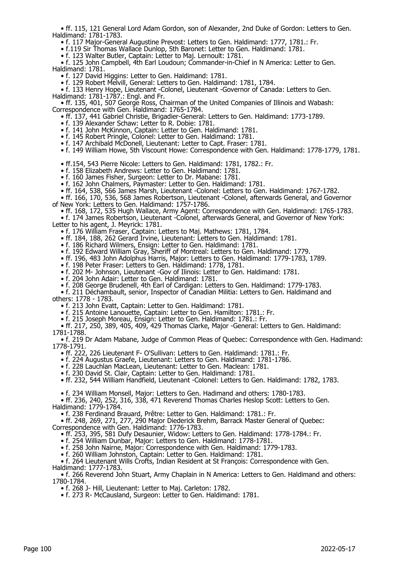• ff. 115, 121 General Lord Adam Gordon, son of Alexander, 2nd Duke of Gordon: Letters to Gen. Haldimand: 1781-1783.

• f. 117 Major-General Augustine Prevost: Letters to Gen. Haldimand: 1777, 1781.: Fr.

• f.119 Sir Thomas Wallace Dunlop, 5th Baronet: Letter to Gen. Haldimand: 1781.

• f. 123 Walter Butler, Captain: Letter to Maj. Lernoult: 1781.

 • f. 125 John Campbell, 4th Earl Loudoun; Commander-in-Chief in N America: Letter to Gen. Haldimand: 1781.

• f. 127 David Higgins: Letter to Gen. Haldimand: 1781.

• f. 129 Robert Melvill, General: Letters to Gen. Haldimand: 1781, 1784.

 • f. 133 Henry Hope, Lieutenant -Colonel, Lieutenant -Governor of Canada: Letters to Gen. Haldimand: 1781-1787.: Engl. and Fr.

 • ff. 135, 401, 507 George Ross, Chairman of the United Companies of Illinois and Wabash: Correspondence with Gen. Haldimand: 1765-1784.

• ff. 137, 441 Gabriel Christie, Brigadier-General: Letters to Gen. Haldimand: 1773-1789.

- f. 139 Alexander Schaw: Letter to R. Dobie: 1781.
- f. 141 John McKinnon, Captain: Letter to Gen. Haldimand: 1781.
- f. 145 Robert Pringle, Colonel: Letter to Gen. Haldimand: 1781.
- f. 147 Archibald McDonell, Lieutenant: Letter to Capt. Fraser: 1781.

• f. 149 William Howe, 5th Viscount Howe: Correspondence with Gen. Haldimand: 1778-1779, 1781.

• ff.154, 543 Pierre Nicole: Letters to Gen. Haldimand: 1781, 1782.: Fr.

• f. 158 Elizabeth Andrews: Letter to Gen. Haldimand: 1781.

• f. 160 James Fisher, Surgeon: Letter to Dr. Mabane: 1781.

• f. 162 John Chalmers, Paymaster: Letter to Gen. Haldimand: 1781.

• ff. 164, 538, 566 James Marsh, Lieutenant -Colonel: Letters to Gen. Haldimand: 1767-1782.

 • ff. 166, 170, 536, 568 James Robertson, Lieutenant -Colonel, afterwards General, and Governor of New York: Letters to Gen. Haldimand: 1757-1786.

• ff. 168, 172, 535 Hugh Wallace, Army Agent: Correspondence with Gen. Haldimand: 1765-1783.

 • f. 174 James Robertson, Lieutenant -Colonel, afterwards General, and Governor of New York: Letter to his agent, J. Meyrick: 1781.

• f. 176 William Fraser, Captain: Letters to Maj. Mathews: 1781, 1784.

• ff. 184, 188, 262 Gerard Irvine, Lieutenant: Letters to Gen. Haldimand: 1781.

• f. 186 Richard Wilmers, Ensign: Letter to Gen. Haldimand: 1781.

• f. 192 Edward William Gray, Sheriff of Montreal: Letters to Gen. Haldimand: 1779.

• ff. 196, 483 John Adolphus Harris, Major: Letters to Gen. Haldimand: 1779-1783, 1789.

• f. 198 Peter Fraser: Letters to Gen. Haldimand: 1778, 1781.

• f. 202 M- Johnson, Lieutenant -Gov of Ilinois: Letter to Gen. Haldimand: 1781.

• f. 204 John Adair: Letter to Gen. Haldimand: 1781.

• f. 208 George Brudenell, 4th Earl of Cardigan: Letters to Gen. Haldimand: 1779-1783.

 • f. 211 Déchambault, senior, Inspector of Canadian Militia: Letters to Gen. Haldimand and others: 1778 - 1783.

• f. 213 John Evatt, Captain: Letter to Gen. Haldimand: 1781.

• f. 215 Antoine Lanouette, Captain: Letter to Gen. Hamilton: 1781.: Fr.

• f. 215 Joseph Moreau, Ensign: Letter to Gen. Haldimand: 1781.: Fr.

 • ff. 217, 250, 389, 405, 409, 429 Thomas Clarke, Major -General: Letters to Gen. Haldimand: 1781-1788.

 • f. 219 Dr Adam Mabane, Judge of Common Pleas of Quebec: Correspondence with Gen. Hadimand: 1778-1791.

• ff. 222, 226 Lieutenant F- O'Sullivan: Letters to Gen. Haldimand: 1781.: Fr.

• f. 224 Augustus Graefe, Lieutenant: Letters to Gen. Haldimand: 1781-1786.

• f. 228 Lauchlan MacLean, Lieutenant: Letter to Gen. Maclean: 1781.

• f. 230 David St. Clair, Captain: Letter to Gen. Haldimand: 1781.

• ff. 232, 544 William Handfield, Lieutenant -Colonel: Letters to Gen. Haldimand: 1782, 1783.

• f. 234 William Monsell, Major: Letters to Gen. Hadimand and others: 1780-1783.

• ff. 236, 240, 252, 316, 338, 471 Reverend Thomas Charles Heslop Scott: Letters to Gen.

Haldimand: 1779-1784.

• f. 238 Ferdinand Brauard, Prêtre: Letter to Gen. Haldimand: 1781.: Fr.

 • ff. 248, 269, 271, 277, 290 Major Diederick Brehm, Barrack Master General of Quebec: Correspondence with Gen. Haldimand: 1776-1783.

• ff. 253, 395, 581 Dufy Desaunier, Widow: Letters to Gen. Haldimand: 1778-1784.: Fr.

• f. 254 William Dunbar, Major: Letters to Gen. Haldimand: 1778-1781.

• f. 258 John Nairne, Major: Correspondence with Gen. Haldimand: 1779-1783.

• f. 260 William Johnston, Captain: Letter to Gen. Haldimand: 1781.

 • f. 264 Lieutenant Wills Crofts, Indian Resident at St François: Correspondence with Gen. Haldimand: 1777-1783.

 • f. 266 Reverend John Stuart, Army Chaplain in N America: Letters to Gen. Haldimand and others: 1780-1784.

• f. 268 J- Hill, Lieutenant: Letter to Maj. Carleton: 1782.

• f. 273 R- McCausland, Surgeon: Letter to Gen. Haldimand: 1781.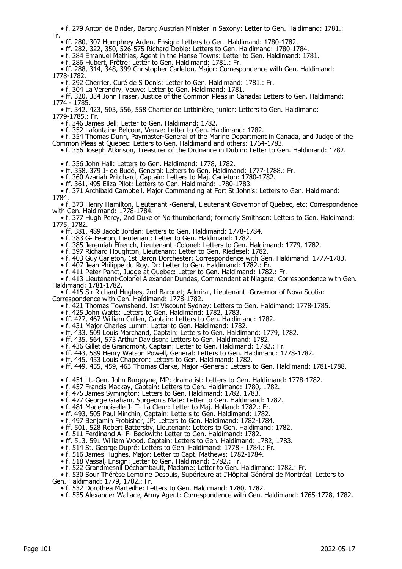• f. 279 Anton de Binder, Baron; Austrian Minister in Saxony: Letter to Gen. Haldimand: 1781.: Fr.

• ff. 280, 307 Humphrey Arden, Ensign: Letters to Gen. Haldimand: 1780-1782.

• ff. 282, 322, 350, 526-575 Richard Dobie: Letters to Gen. Haldimand: 1780-1784.

• f. 284 Emanuel Mathias, Agent in the Hanse Towns: Letter to Gen. Haldimand: 1781.

• f. 286 Hubert, Prêtre: Letter to Gen. Haldimand: 1781.: Fr.

 • ff. 288, 314, 348, 399 Christopher Carleton, Major: Correspondence with Gen. Haldimand: 1778-1782.

• f. 292 Cherrier, Curé de S Denis: Letter to Gen. Haldimand: 1781.: Fr.

• f. 304 La Verendry, Veuve: Letter to Gen. Haldimand: 1781.

 • ff. 320, 334 John Fraser, Justice of the Common Pleas in Canada: Letters to Gen. Haldimand: 1774 - 1785.

 • ff. 342, 423, 503, 556, 558 Chartier de Lotbinière, junior: Letters to Gen. Haldimand: 1779-1785.: Fr.

• f. 346 James Bell: Letter to Gen. Haldimand: 1782.

• f. 352 Lafontaine Belcour, Veuve: Letter to Gen. Haldimand: 1782.

 • f. 354 Thomas Dunn, Paymaster-General of the Marine Department in Canada, and Judge of the Common Pleas at Quebec: Letters to Gen. Haldimand and others: 1764-1783.

• f. 356 Joseph Atkinson, Treasurer of the Ordnance in Dublin: Letter to Gen. Haldimand: 1782.

• f. 356 John Hall: Letters to Gen. Haldimand: 1778, 1782.

• ff. 358, 379 J- de Budé, General: Letters to Gen. Haldimand: 1777-1788.: Fr.

• f. 360 Azariah Pritchard, Captain: Letters to Maj. Carleton: 1780-1782.

• ff. 361, 495 Eliza Pilot: Letters to Gen. Haldimand: 1780-1783.

 • f. 371 Archibald Campbell, Major Commanding at Fort St John's: Letters to Gen. Haldimand: 1784.

 • f. 373 Henry Hamilton, Lieutenant -General, Lieutenant Governor of Quebec, etc: Correspondence with Gen. Haldimand: 1778-1784.

 • f. 377 Hugh Percy, 2nd Duke of Northumberland; formerly Smithson: Letters to Gen. Haldimand: 1775, 1782.

• ff. 381, 489 Jacob Jordan: Letters to Gen. Haldimand: 1778-1784.

• f. 383 G- Fearon, Lieutenant: Letter to Gen. Haldimand: 1782.

• f. 385 Jeremiah Ffrench, Lieutenant -Colonel: Letters to Gen. Haldimand: 1779, 1782.

• f. 397 Richard Houghton, Lieutenant: Letter to Gen. Riedesel: 1782.

• f. 403 Guy Carleton, 1st Baron Dorchester: Correspondence with Gen. Haldimand: 1777-1783.

• f. 407 Jean Philippe du Roy, Dr: Letter to Gen. Haldimand: 1782.: Fr.

• f. 411 Peter Panct, Judge at Quebec: Letter to Gen. Haldimand: 1782.: Fr.

 • f. 413 Lieutenant-Colonel Alexander Dundas, Commandant at Niagara: Correspondence with Gen. Haldimand: 1781-1782.

 • f. 415 Sir Richard Hughes, 2nd Baronet; Admiral, Lieutenant -Governor of Nova Scotia: Correspondence with Gen. Haldimand: 1778-1782.

• f. 421 Thomas Townshend, 1st Viscount Sydney: Letters to Gen. Haldimand: 1778-1785.

• f. 425 John Watts: Letters to Gen. Haldimand: 1782, 1783.

• ff. 427, 467 William Cullen, Captain: Letters to Gen. Haldimand: 1782.

• f. 431 Major Charles Lumm: Letter to Gen. Haldimand: 1782.

• ff. 433, 509 Louis Marchand, Captain: Letters to Gen. Haldimand: 1779, 1782.

• ff. 435, 564, 573 Arthur Davidson: Letters to Gen. Haldimand: 1782.

• f. 436 Gillet de Grandmont, Captain: Letter to Gen. Haldimand: 1782.: Fr.

• ff. 443, 589 Henry Watson Powell, General: Letters to Gen. Haldimand: 1778-1782.

• ff. 445, 453 Louis Chaperon: Letters to Gen. Haldimand: 1782.

• ff. 449, 455, 459, 463 Thomas Clarke, Major -General: Letters to Gen. Haldimand: 1781-1788.

• f. 451 Lt.-Gen. John Burgoyne, MP; dramatist: Letters to Gen. Haldimand: 1778-1782.

• f. 457 Francis Mackay, Captain: Letters to Gen. Haldimand: 1780, 1782.

• f. 475 James Symington: Letters to Gen. Haldimand: 1782, 1783.

• f. 477 George Graham, Surgeon's Mate: Letter to Gen. Haldimand: 1782.

• f. 481 Mademoiselle J- T- La Cleur: Letter to Maj. Holland: 1782.: Fr.

• ff. 493, 505 Paul Minchin, Captain: Letters to Gen. Haldimand: 1782.

• f. 497 Benjamin Frobisher, JP: Letters to Gen. Haldimand: 1782-1784.

• ff. 501, 528 Robert Battersby, Lieutenant: Letters to Gen. Haldimand: 1782.

• f. 511 Ferdinand A- F- Beckwith: Letter to Gen. Haldimand: 1782.

• ff. 513, 591 William Wood, Captain: Letters to Gen. Haldimand: 1782, 1783.

• f. 514 St. George Dupré: Letters to Gen. Haldimand: 1778 - 1784.: Fr.

• f. 516 James Hughes, Major: Letter to Capt. Mathews: 1782-1784.

• f. 518 Vassal, Ensign: Letter to Gen. Haldimand: 1782.: Fr.

• f. 522 Grandmesnil Déchambault, Madame: Letter to Gen. Haldimand: 1782.: Fr.

 • f. 530 Sour Thérèse Lemoine Despuis, Supérieure at I'Hôpital Général de Montréal: Letters to Gen. Haldimand: 1779, 1782.: Fr.

• f. 532 Dorothea Marteilhe: Letters to Gen. Haldimand: 1780, 1782.

• f. 535 Alexander Wallace, Army Agent: Correspondence with Gen. Haldimand: 1765-1778, 1782.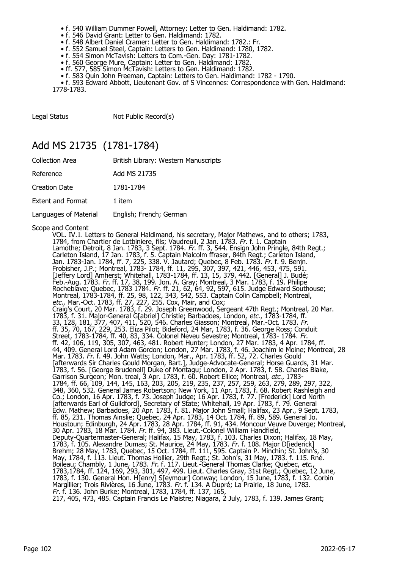- f. 540 William Dummer Powell, Attorney: Letter to Gen. Haldimand: 1782.
- f. 546 David Grant: Letter to Gen. Haldimand: 1782.
- f. 548 Albert Daniel Cramer: Letter to Gen. Haldimand: 1782.: Fr.
- f. 552 Samuel Steel, Captain: Letters to Gen. Haldimand: 1780, 1782.
- f. 554 Simon McTavish: Letters to Com.-Gen. Day: 1781-1782.
- f. 560 George Mure, Captain: Letter to Gen. Haldimand: 1782.
- ff. 577, 585 Simon McTavish: Letters to Gen. Haldimand: 1782.
- f. 583 Quin John Freeman, Captain: Letters to Gen. Haldimand: 1782 1790.

 • f. 593 Edward Abbott, Lieutenant Gov. of S Vincennes: Correspondence with Gen. Haldimand: 1778-1783.

Legal Status Not Public Record(s)

#### Add MS 21735 (1781-1784)

| <b>Collection Area</b>   | British Library: Western Manuscripts |
|--------------------------|--------------------------------------|
| Reference                | Add MS 21735                         |
| Creation Date            | 1781-1784                            |
| <b>Extent and Format</b> | 1 item                               |
| Languages of Material    | English; French; German              |

Scope and Content

VOL. IV.1. Letters to General Haldimand, his secretary, Major Mathews, and to others; 1783, 1784, from Chartier de Lotbiniere, fils; Vaudreuil, 2 Jan. 1783. Fr. f. 1. Captain Lamothe; Detroit, 8 Jan. 1783, 3 Sept. 1784. *Fr.* ff. 3, 544. Ensign John Pringle, 84th Regt.; Carleton Island, 17 Jan. 1783, f. 5. Captain Malcolm ffraser, 84th Regt.; Carleton Island, Jan. 1783-Jan. 1784, ff. 7, 225, 338. V. Jautard; Quebec, 8 Feb. 1783. Fr. f. 9. Benjn. Frobisher, J.P.; Montreal, 1783- 1784, ff. 11, 295, 307, 397, 421, 446, 453, 475, 591. [Jeffery Lord] Amherst; Whitehall, 1783-1784, ff. 13, 15, 379, 442. [General] J. Budé; Feb.-Aug. 1783. Fr. ff. 17, 38, 199. Jon. A. Gray; Montreal, 3 Mar. 1783, f. 19. Philipe Rocheblave; Quebec, 1783 1784. Fr. ff. 21, 62, 64, 92, 597, 615. Judge Edward Southouse; Montreal, 1783-1784, ff. 25, 98, 122, 343, 542, 553. Captain Colin Campbell; Montreal, etc., Mar.-Oct. 1783, ff. 27, 227, 255. Cox, Mair, and Cox; Craig's Court, 20 Mar. 1783, f. 29. Joseph Greenwood, Sergeant 47th Regt.; Montreal, 20 Mar. 1783, f. 31. Major-General G[abriel] Christie; Barbadoes, London, etc., 1783-1784, ff. 33, 128, 181, 377, 407, 411, 520, 546. Charles Giasson; Montreal, Mar.-Oct. 1783. Fr. ff. 35, 70, 167, 229, 253. Eliza Pilot; Bideford, 24 Mar, 1783, f. 36. George Ross; Conduit Street, 1783-1784, ff. 40, 83, 334. Colonel Neveu Sevestre; Montreal, 1783- 1784. Fr. ff. 42, 106, 119, 305, 307, 463, 481. Robert Hunter; London, 27 Mar. 1783, 4 Apr. 1784, ff. 44, 409. General Lord Adam Gordon; London, 27 Mar. 1783, f. 46. Joachim le Moine; Montreal, 28 Mar. 1783. Fr. f. 49. John Watts; London, Mar., Apr. 1783, ff. 52, 72. Charles Gould [afterwards Sir Charles Gould Morgan, Bart.], Judge-Advocate-General; Horse Guards, 31 Mar. 1783, f. 56. [George Brudenell] Duke of Montagu; London, 2 Apr. 1783, f. 58. Charles Blake, Garrison Surgeon; Mon. treal, 3 Apr. 1783, f. 60. Robert Ellice; Montreal, etc., 1783- 1784, ff. 66, 109, 144, 145, 163, 203, 205, 219, 235, 237, 257, 259, 263, 279, 289, 297, 322, 348, 360, 532. General James Robertson; New York, 11 Apr. 1783, f. 68. Robert Rashleigh and Co.; London, 16 Apr. 1783, f. 73. Joseph Judge; 16 Apr. 1783, f. 77. [Frederick] Lord North [afterwards Earl of Guildford], Secretary of State; Whitehall, 19 Apr. 1783, f. 79. General Edw. Mathew; Barbadoes, 20 Apr. 1783, f. 81. Major John Small; Halifax, 23 Apr., 9 Sept. 1783, ff. 85, 231. Thomas Ainslie; Quebec, 24 Apr. 1783, 14 Oct. 1784, ff. 89, 589. General Jo. Houstoun; Edinburgh, 24 Apr. 1783, 28 Apr. 1784, ff. 91, 434. Moncour Veuve Duverge; Montreal, 30 Apr. 1783, 18 Mar. 1784. Fr. ff. 94, 383. Lieut.-Colonel William Handfield, Deputy-Quartermaster-General; Halifax, 15 May, 1783, f. 103. Charles Dixon; Halifax, 18 May, 1783, f. 105. Alexandre Dumas; St. Maurice, 24 May, 1783. Fr. f. 108. Major D[iederick] Brehm; 28 May, 1783, Quebec, 15 Oct. 1784, ff. 111, 595. Captain P. Minchin; St. John's, 30 May, 1784, f. 113. Lieut. Thomas Hollier, 29th Regt.; St. John's, 31 May, 1783. f. 115. Rné. Boileau; Chambly, 1 June, 1783. *Fr.* f. 117. Lieut.-General Thomas Clarke; Quebec, *etc.*, 1783,1784, ff. 124, 169, 293, 301, 497, 499. Lieut. Charles Gray, 31st Regt.; Quebec, 12 June, 1783, f. 130. General Hon. H[enry] S[eymour] Conway; London, 15 June, 1783, f. 132. Corbin Margillier; Trois Rivières, 16 June, 1783. Fr. f. 134. A Dupré; La Prairie, 18 June, 1783. Fr. f. 136. John Burke; Montreal, 1783, 1784, ff. 137, 165, 217, 405, 473, 485. Captain Francis Le Maistre; Niagara, 2 July, 1783, f. 139. James Grant;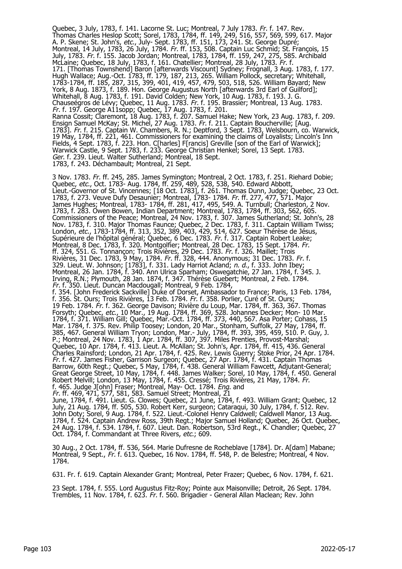Quebec, 3 July, 1783, f. 141. Lacorne St. Luc; Montreal, 7 July 1783. Fr. f. 147. Rev. Thomas Charles Heslop Scott; Sorel, 1783, 1784, ff. 149, 249, 516, 557, 569, 599, 617. Major A. P. Skene; St. John's, etc., July- Sept. 1783, ff. 151, 173, 241. St. George Dupré; Montreal, 14 July, 1783, 26 July, 1784. Fr. ff. 153, 508. Captain Luc Schmid; St. François, 15 July, 1783. Fr. f. 155. Jacob Jordan; Montreal, 1783, 1784, ff. 159, 247, 275, 585. Archibald McLaine; Quebec, 18 July, 1783, f. 161. Chatellier; Montreal, 28 July, 1783. Fr. f. 171. [Thomas Townshend] Baron [afterwards Viscount] Sydney; Frognall, 3 Aug. 1783, f. 177. Hugh Wallace; Aug.-Oct. 1783, ff. 179, 187, 213, 265. William Pollock, secretary; Whitehall, 1783-1784, ff. 185, 287, 315, 399, 401, 419, 457, 479, 503, 518, 526. William Bayard; New York, 8 Aug. 1873, f. 189. Hon. George Augustus North [afterwards 3rd Earl of Guilford]; Whitehall, 8 Aug. 1783, f. 191. David Colden; New York, 10 Aug. 1783, f. 193. J. G. Chauseégros de Lévy; Quebec, 11 Aug. 1783. Fr. f. 195. Brassier; Montreal, 13 Aug. 1783. Fr. f. 197. George A11sopp; Quebec, 17 Aug. 1783, f. 201. Ranna Cossit; Claremont, 18 Aug. 1783, f. 207. Samuel Hake; New York, 23 Aug. 1783, f. 209. Ensign Samuel McKay; St. Michel, 27 Aug. 1783. Fr. f. 211. Captain Boucherville; [Aug. 1783]. Fr. f. 215. Captain W. Chambers, R. N.; Deptford, 3 Sept. 1783, Welsbourn, co. Warwick, 19 May, 1784, ff. 221, 461. Commissioners for examining the claims of Loyalists; Lincoln's Inn Fields, 4 Sept. 1783, f. 223. Hon. C[harles] F[rancis] Greville [son of the Earl of Warwick]; Warwick Castle, 9 Sept. 1783, f. 233. George Christian Henkel; Sorel, 13 Sept. 1783. Ger. f. 239. Lieut. Walter Sutherland; Montreal, 18 Sept. 1783, f. 243. Déchambault; Montreal, 21 Sept.

3 Nov. 1783. Fr. ff. 245, 285. James Symington; Montreal, 2 Oct. 1783, f. 251. Riehard Dobie; Quebec, *etc.,* Oct. 1783- Aug. 1784, ff. 259, 489, 528, 538, 540. Edward Abbott, Lieut.-Governor of St. Vincennes; [18 Oct. 1783], f. 261. Thomas Dunn, Judge; Quebec, 23 Oct. 1783, f. 273. Veuve Dufy Desaunier; Montreal, 1783- 1784. Fr. ff. 277, 477, 571. Major James Hughes; Montreal, 1783- 1784, ff. 281, 417, 495, 549. A. Turnbull; Charleston, 2 Nov. 1783, f. 283. Owen Bowen, Indian Department; Montreal, 1783, 1784, ff. 303, 562, 605. Commissioners of the Peace; Montreal, 24 Nov. 1783, f. 307. James Sutherland; St. John's, 28 Nov. 1783, f. 310. Major Thomas Faunce; Quebec, 2 Dec. 1783, f. 311. Captain William Twiss; London, etc., 1783-1784, ff. 313, 352, 389, 403, 429, 514, 627. Soeur Thérèse de Jésus, Supérieure de l'hôpital général; Quebec, 6 Dec. 1783. Fr. f. 317. Captain Robert Leake; Montreal, 8 Dec. 1783, f. 320. Montgolfier; Montreal, 28 Dec. 1783, 15 Sept. 1784. Fr. ff. 324, 551. G. Tonnançon; Trois Rivières, 29 Dec. 1783. Fr. f. 326. Maillet; Trois Rivières, 31 Dec. 1783, 9 May, 1784. Fr. ff. 328, 444. Anonymous; 31 Dec. 1783. Fr. f. 329. Lieut. W. Johnson; [1783], f. 331. Lady Harriot Acland; n. d., f. 333. John Ibey; Montreal, 26 Jan. 1784, f. 340. Ann Ulrica Sparham; Oswegatchie, 27 Jan. 1784, f. 345. J. Irving, R.N.; Plymouth, 28 Jan. 1874, f. 347. Thérèse Guebert; Montreal, 2 Feb. 1784. Fr. f. 350. Lieut. Duncan Macdougall; Montreal, 9 Feb. 1784, f. 354. [John Frederick Sackville] Duke of Dorset, Ambassador to France; Paris, 13 Feb. 1784, f. 356. St. Ours; Trois Rivières, 13 Feb. 1784. Fr. f. 358. Porlier, Curé of St. Ours; 19 Feb. 1784. Fr. f. 362. George Davison; Rivière du Loup, Mar. 1784, ff. 363, 367. Thomas Forsyth; Quebec, etc., 10 Mar., 19 Aug. 1784, ff. 369, 528. Johannes Decker; Mon- 10 Mar. 1784, f. 371. William Gill; Quebec, Mar.-Oct. 1784, ff. 373, 440, 567. Asa Porter; Cohass, 15 Mar. 1784, f. 375. Rev. Philip Toosey; London, 20 Mar., Stonham, Suffolk, 27 May, 1784, ff. 385, 467. General William Tryon; London, Mar.- July, 1784, ff. 393, 395, 459, 510. P. Guy, J. P.; Montreal, 24 Nov. 1783, 1 Apr. 1784, ff. 307, 397. Miles Prenties, Provost-Marshal; Quebec, 10 Apr. 1784, f. 413. Lieut. A. McAllan; St. John's, Apr. 1784, ff. 415, 436. General Charles Rainsford; London, 21 Apr. 1784, f. 425. Rev. Lewis Guerry; Stoke Prior, 24 Apr. 1784. Fr. f. 427. James Fisher, Garrison Surgeon; Quebec, 27 Apr. 1784, f. 431. Captain Thomas Barrow, 60th Regt.; Quebec, 5 May, 1784, f. 438. General William Fawcett, Adjutant-General; Great George Street, 10 May, 1784, f. 448. James Walker; Sorel, 10 May, 1784, f. 450. General Robert Melvill; London, 13 May, 1784, f. 455. Cressé; Trois Rivières, 21 May, 1784. Fr. f. 465. Judge J[ohn] Fraser; Montreal, May- Oct. 1784. *Eng.* and Fr. ff. 469, 471, 577, 581, 583. Samuel Street; Montreal, 21

June, 1784, f. 491. Lieut. G. Clowes; Quebec, 21 June, 1784, f. 493. William Grant; Quebec, 12 July, 21 Aug. 1784, ff. 505, 530. Robert Kerr, surgeon; Cataraqui, 30 July, 1784, f. 512. Rev. John Doty; Sorel, 9 Aug. 1784, f. 522. Lieut.-Colonel Henry Caldwell; Caldwell Manor, 13 Aug. 1784, f. 524. Captain Andrew Ross, 39th Regt.; Major Samuel Holland; Quebec, 26 Oct. Quebec, 24 Aug. 1784, f. 534. 1784, f. 607. Lieut. Dan. Robertson, 53rd Regt., K. Chandler; Quebec, 27 Oct. 1784, f. Commandant at Three Rivers, etc.; 609.

30 Aug., 2 Oct. 1784, ff. 536, 564. Marie Dufresne de Rocheblave [1784]. Dr. A[dam] Mabane; Montreal, 9 Sept., Fr. f. 613. Quebec, 16 Nov. 1784, ff. 548, P. de Belestre; Montreal, 4 Nov. 1784.

631. Fr. f. 619. Captain Alexander Grant; Montreal, Peter Frazer; Quebec, 6 Nov. 1784, f. 621.

23 Sept. 1784, f. 555. Lord Augustus Fitz-Roy; Pointe aux Maisonville; Detroit, 26 Sept. 1784. Trembles, 11 Nov. 1784, f. 623. Fr. f. 560. Brigadier - General Allan Maclean; Rev. John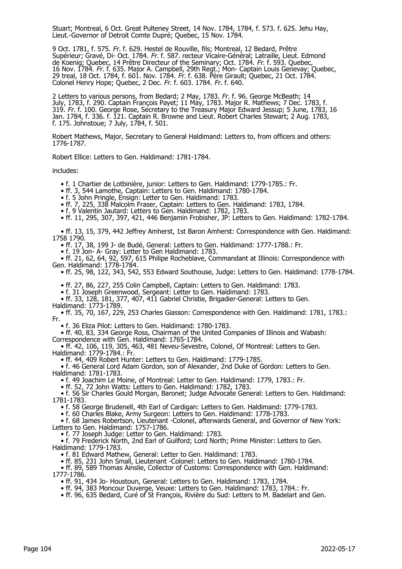Stuart; Montreal, 6 Oct. Great Pulteney Street, 14 Nov. 1784, 1784, f. 573. f. 625. Jehu Hay, Lieut.-Governor of Detroit Comte Dupré; Quebec, 15 Nov. 1784.

9 Oct. 1781, f. 575. Fr. f. 629. Hestel de Rouville, fils; Montreal, 12 Bedard, Prêtre Supérieur; Gravé, Di- Oct. 1784. Fr. f. 587. recteur Vicaire-Général; Latraille, Lieut. Edmond de Koenig; Quebec, 14 Prêtre Directeur of the Seminary; Oct. 1784. Fr. f. 593. Quebec, 16 Nov. 1784. Fr. f. 635. Major A. Campbell, 29th Regt.; Mon- Captain Louis Genevay; Quebec, 29 treal, 18 Oct. 1784, f. 601. Nov. 1784. Fr. f. 638. Père Girault; Quebec, 21 Oct. 1784. Colonel Henry Hope; Quebec, 2 Dec. Fr. f. 603. 1784. Fr. f. 640.

2 Letters to various persons, from Bedard; 2 May, 1783. Fr. f. 96. George McBeath; 14 July, 1783, f. 290. Captain François Payet; 11 May, 1783. Major R. Mathews; 7 Dec. 1783, f. 319. Fr. f. 100. George Rose, Secretary to the Treasury Major Edward Jessup; 5 June, 1783, 16 Jan. 1784, f. 336. f. 121. Captain R. Browne and Lieut. Robert Charles Stewart; 2 Aug. 1783, f. 175. Johnstoue; 7 July, 1784, f. 501.

Robert Mathews, Major, Secretary to General Haldimand: Letters to, from officers and others: 1776-1787.

Robert Ellice: Letters to Gen. Haldimand: 1781-1784.

includes:

- f. 1 Chartier de Lotbinière, junior: Letters to Gen. Haldimand: 1779-1785.: Fr.
- ff. 3, 544 Lamothe, Captain: Letters to Gen. Haldimand: 1780-1784.

• f. 5 John Pringle, Ensign: Letter to Gen. Haldimand: 1783.

- ff. 7, 225, 338 Malcolm Fraser, Captain: Letters to Gen. Haldimand: 1783, 1784.
- f. 9 Valentin Jautard: Letters to Gen. Haldimand: 1782, 1783.
	- ff. 11, 295, 307, 397, 421, 446 Benjamin Frobisher, JP: Letters to Gen. Haldimand: 1782-1784.

 • ff. 13, 15, 379, 442 Jeffrey Amherst, 1st Baron Amherst: Correspondence with Gen. Haldimand: 1758 1790.

• ff. 17, 38, 199 J- de Budé, General: Letters to Gen. Haldimand: 1777-1788.: Fr.

• f. 19 Jon- A- Gray: Letter to Gen Haldimand: 1783.

 • ff. 21, 62, 64, 92, 597, 615 Philipe Rocheblave, Commandant at Illinois: Correspondence with Gen. Haldimand: 1778-1784.

• ff. 25, 98, 122, 343, 542, 553 Edward Southouse, Judge: Letters to Gen. Haldimand: 1778-1784.

• ff. 27, 86, 227, 255 Colin Campbell, Captain: Letters to Gen. Haldimand: 1783.

• f. 31 Joseph Greenwood, Sergeant: Letter to Gen. Haldimand: 1783.

 • ff. 33, 128, 181, 377, 407, 411 Gabriel Christie, Brigadier-General: Letters to Gen. Haldimand: 1773-1789.

 • ff. 35, 70, 167, 229, 253 Charles Giasson: Correspondence with Gen. Haldimand: 1781, 1783.: Fr.

• f. 36 Eliza Pilot: Letters to Gen. Haldimand: 1780-1783.

 • ff. 40, 83, 334 George Ross, Chairman of the United Companies of Illinois and Wabash: Correspondence with Gen. Haldimand: 1765-1784.

 • ff. 42, 106, 119, 305, 463, 481 Neveu-Sevestre, Colonel, Of Montreal: Letters to Gen. Haldimand: 1779-1784.: Fr.

• ff. 44, 409 Robert Hunter: Letters to Gen. Haldimand: 1779-1785.

 • f. 46 General Lord Adam Gordon, son of Alexander, 2nd Duke of Gordon: Letters to Gen. Haldimand: 1781-1783.

• f. 49 Joachim Le Moine, of Montreal: Letter to Gen. Haldimand: 1779, 1783.: Fr.

• ff. 52, 72 John Watts: Letters to Gen. Haldimand: 1782, 1783.

 • f. 56 Sir Charles Gould Morgan, Baronet; Judge Advocate General: Letters to Gen. Haldimand: 1781-1783.

• f. 58 George Brudenell, 4th Earl of Cardigan: Letters to Gen. Haldimand: 1779-1783.

• f. 60 Charles Blake, Army Surgeon: Letters to Gen. Haldimand: 1778-1783.

 • f. 68 James Robertson, Lieutenant -Colonel, afterwards General, and Governor of New York: Letters to Gen. Haldimand: 1757-1786.

• f. 77 Joseph Judge: Letter to Gen. Haldimand: 1783.

 • f. 79 Frederick North, 2nd Earl of Guilford; Lord North; Prime Minister: Letters to Gen. Haldimand: 1779-1783.

• f. 81 Edward Mathew, General: Letter to Gen. Haldimand: 1783.

• ff. 85, 231 John Small, Lieutenant -Colonel: Letters to Gen. Haldimand: 1780-1784.

 • ff. 89, 589 Thomas Ainslie, Collector of Customs: Correspondence with Gen. Haldimand: 1777-1786.

• ff. 91, 434 Jo- Houstoun, General: Letters to Gen. Haldimand: 1783, 1784.

• ff. 94, 383 Moncour Duverge, Veuxe: Letters to Gen. Haldimand: 1783, 1784.: Fr.

• ff. 96, 635 Bedard, Curé of St François, Rivière du Sud: Letters to M. Badelart and Gen.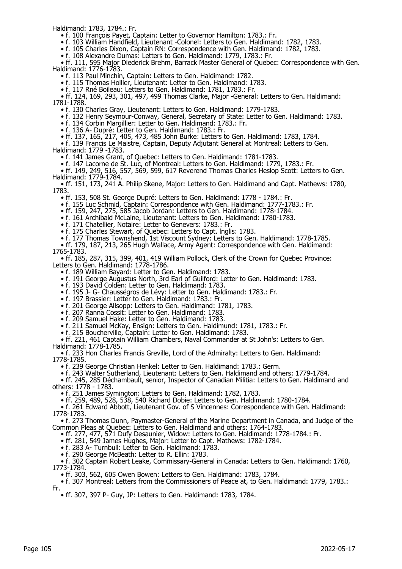Haldimand: 1783, 1784.: Fr.

- f. 100 François Payet, Captain: Letter to Governor Hamilton: 1783.: Fr.
- f. 103 William Handfield, Lieutenant -Colonel: Letters to Gen. Haldimand: 1782, 1783.
	- f. 105 Charles Dixon, Captain RN: Correspondence with Gen. Haldimand: 1782, 1783.
	- f. 108 Alexandre Dumas: Letters to Gen. Haldimand: 1779, 1783.: Fr.

 • ff. 111, 595 Major Diederick Brehm, Barrack Master General of Quebec: Correspondence with Gen. Haldimand: 1776-1783.

• f. 113 Paul Minchin, Captain: Letters to Gen. Haldimand: 1782.

• f. 115 Thomas Hollier, Lieutenant: Letter to Gen. Haldimand: 1783.

• f. 117 Rné Boileau: Letters to Gen. Haldimand: 1781, 1783.: Fr.

 • ff. 124, 169, 293, 301, 497, 499 Thomas Clarke, Major -General: Letters to Gen. Haldimand: 1781-1788.

• f. 130 Charles Gray, Lieutenant: Letters to Gen. Haldimand: 1779-1783.

• f. 132 Henry Seymour-Conway, General, Secretary of State: Letter to Gen. Haldimand: 1783.

• f. 134 Corbin Margillier: Letter to Gen. Haldimand: 1783.: Fr.

• f. 136 A- Dupré: Letter to Gen. Haldimand: 1783.: Fr.

• ff. 137, 165, 217, 405, 473, 485 John Burke: Letters to Gen. Haldimand: 1783, 1784.

• f. 139 Francis Le Maistre, Captain, Deputy Adjutant General at Montreal: Letters to Gen.

Haldimand: 1779 -1783.

• f. 141 James Grant, of Quebec: Letters to Gen. Haldimand: 1781-1783.

• f. 147 Lacorne de St. Luc, of Montreal: Letters to Gen. Haldimand: 1779, 1783.: Fr.

 • ff. 149, 249, 516, 557, 569, 599, 617 Reverend Thomas Charles Heslop Scott: Letters to Gen. Haldimand: 1779-1784.

 • ff. 151, 173, 241 A. Philip Skene, Major: Letters to Gen. Haldimand and Capt. Mathews: 1780, 1783.

• ff. 153, 508 St. George Dupré: Letters to Gen. Haldimand: 1778 - 1784.: Fr.

• f. 155 Luc Schmid, Captain: Correspondence with Gen. Haldimand: 1777-1783.: Fr.

• ff. 159, 247, 275, 585 Jacob Jordan: Letters to Gen. Haldimand: 1778-1784.

• f. 161 Archibald McLaine, Lieutenant: Letters to Gen. Haldimand: 1780-1783.

• f. 171 Chatellier, Notaire: Letter to Genevers: 1783.: Fr.

• f. 175 Charles Stewart, of Quebec: Letters to Capt. lnglis: 1783.

• f. 177 Thomas Townshend, 1st Viscount Sydney: Letters to Gen. Haldimand: 1778-1785.

 • ff. 179, 187, 213, 265 Hugh Wallace, Army Agent: Correspondence with Gen. Haldimand: 1765-1783.

 • ff. 185, 287, 315, 399, 401, 419 William Pollock, Clerk of the Crown for Quebec Province: Letters to Gen. Haldimand: 1778-1786.

• f. 189 William Bayard: Letter to Gen. Haldimand: 1783.

- f. 191 George Augustus North, 3rd Earl of Guilford: Letter to Gen. Haldimand: 1783.
- f. 193 David Colden: Letter to Gen. Haldimand: 1783.
- f. 195 J- G- Chausségros de Lévy: Letter to Gen. Haldimand: 1783.: Fr.

• f. 197 Brassier: Letter to Gen. Haldimand: 1783.: Fr.

- f. 201 George Allsopp: Letters to Gen. Haldimand: 1781, 1783.
- f. 207 Ranna Cossit: Letter to Gen. Haldimand: 1783.
- f. 209 Samuel Hake: Letter to Gen. Haldimand: 1783.

• f. 211 Samuel McKay, Ensign: Letters to Gen. Haldimund: 1781, 1783.: Fr.

• f. 215 Boucherville, Captain: Letter to Gen. Haldimand: 1783.

 • ff. 221, 461 Captain William Chambers, Naval Commander at St John's: Letters to Gen. Haldimand: 1778-1785.

 • f. 233 Hon Charles Francis Greville, Lord of the Admiralty: Letters to Gen. Haldimand: 1778-1785.

• f. 239 George Christian Henkel: Letter to Gen. Haldimand: 1783.: Germ.

• f. 243 Walter Sutherland, Lieutenant: Letters to Gen. Haldimand and others: 1779-1784.

 • ff. 245, 285 Déchambault, senior, Inspector of Canadian Militia: Letters to Gen. Haldimand and others: 1778 - 1783.

• f. 251 James Symington: Letters to Gen. Haldimand: 1782, 1783.

• ff. 259, 489, 528, 538, 540 Richard Dobie: Letters to Gen. Haldimand: 1780-1784.

 • f. 261 Edward Abbott, Lieutenant Gov. of S Vincennes: Correspondence with Gen. Haldimand: 1778-1783.

 • f. 273 Thomas Dunn, Paymaster-General of the Marine Department in Canada, and Judge of the Common Pleas at Quebec: Letters to Gen. Haldimand and others: 1764-1783.

• ff. 277, 477, 571 Dufy Desaunier, Widow: Letters to Gen. Haldimand: 1778-1784.: Fr.

• ff. 281, 549 James Hughes, Major: Letter to Capt. Mathews: 1782-1784.

• f. 283 A- Turnbull: Letter to Gen. Haldimand: 1783.

• f. 290 George McBeath: Letter to R. Ellin: 1783.

 • f. 302 Captain Robert Leake, Commissary-General in Canada: Letters to Gen. Haldimand: 1760, 1773-1784.

• ff. 303, 562, 605 Owen Bowen: Letters to Gen. Haldimand: 1783, 1784.

 • f. 307 Montreal: Letters from the Commissioners of Peace at, to Gen. Haldimand: 1779, 1783.: Fr.

• ff. 307, 397 P- Guy, JP: Letters to Gen. Haldimand: 1783, 1784.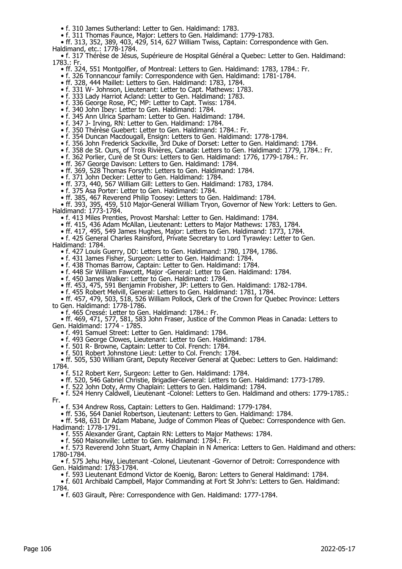- f. 310 James Sutherland: Letter to Gen. Haldimand: 1783.
- f. 311 Thomas Faunce, Major: Letters to Gen. Haldimand: 1779-1783.

 • ff. 313, 352, 389, 403, 429, 514, 627 William Twiss, Captain: Correspondence with Gen. Haldimand, etc.: 1778-1784.

 • f. 317 Thérèse de Jésus, Supérieure de Hospital Général a Quebec: Letter to Gen. Haldimand: 1783.: Fr.

- ff. 324, 551 Montgolfier, of Montreal: Letters to Gen. Haldimand: 1783, 1784.: Fr.
- f. 326 Tonnancour family: Correspondence with Gen. Haldimand: 1781-1784.
- ff. 328, 444 Maillet: Letters to Gen. Haldimand: 1783, 1784.
- f. 331 W- Johnson, Lieutenant: Letter to Capt. Mathews: 1783.
- f. 333 Lady Harriot Acland: Letter to Gen. Haldimand: 1783.
- f. 336 George Rose, PC; MP: Letter to Capt. Twiss: 1784.
- f. 340 John Ibey: Letter to Gen. Haldimand: 1784.
- f. 345 Ann Ulrica Sparham: Letter to Gen. Haldimand: 1784.
- f. 347 J- Irving, RN: Letter to Gen. Haldimand: 1784.
- f. 350 Thérèse Guebert: Letter to Gen. Haldimand: 1784.: Fr.
- f. 354 Duncan Macdougall, Ensign: Letters to Gen. Haldimand: 1778-1784.
- f. 356 John Frederick Sackville, 3rd Duke of Dorset: Letter to Gen. Haldimand: 1784.
- f. 358 de St. Ours, of Trois Rivières, Canada: Letters to Gen. Haldimand: 1779, 1784.: Fr.
	- f. 362 Porlier, Curé de St Ours: Letters to Gen. Haldimand: 1776, 1779-1784.: Fr.
- ff. 367 George Davison: Letters to Gen. Haldimand: 1784.
- ff. 369, 528 Thomas Forsyth: Letters to Gen. Haldimand: 1784.
- f. 371 John Decker: Letter to Gen. Haldimand: 1784.
- ff. 373, 440, 567 William Gill: Letters to Gen. Haldimand: 1783, 1784.
- f. 375 Asa Porter: Letter to Gen. Haldimand: 1784.
- ff. 385, 467 Reverend Philip Toosey: Letters to Gen. Haldimand: 1784.

 • ff. 393, 395, 459, 510 Major-General William Tryon, Governor of New York: Letters to Gen. Haldimand: 1773-1784.

- f. 413 Miles Prenties, Provost Marshal: Letter to Gen. Haldimand: 1784.
- ff. 415, 436 Adam McAllan, Lieutenant: Letters to Major Mathews: 1783, 1784.
- ff. 417, 495, 549 James Hughes, Major: Letters to Gen. Haldimand: 1773, 1784.
- f. 425 General Charles Rainsford, Private Secretary to Lord Tyrawley: Letter to Gen. Haldimand: 1784.
	- f. 427 Louis Guerry, DD: Letters to Gen. Haldimand: 1780, 1784, 1786.
- f. 431 James Fisher, Surgeon: Letter to Gen. Haldimand: 1784.
- f. 438 Thomas Barrow, Captain: Letter to Gen. Haldimand: 1784.
- f. 448 Sir William Fawcett, Major -General: Letter to Gen. Haldimand: 1784.
	- f. 450 James Walker: Letter to Gen. Haldimand: 1784.
	- ff. 453, 475, 591 Benjamin Frobisher, JP: Letters to Gen. Haldimand: 1782-1784.
- f. 455 Robert Melvill, General: Letters to Gen. Haldimand: 1781, 1784.

 • ff. 457, 479, 503, 518, 526 William Pollock, Clerk of the Crown for Quebec Province: Letters to Gen. Haldimand: 1778-1786.

• f. 465 Cressé: Letter to Gen. Haldimand: 1784.: Fr.

 • ff. 469, 471, 577, 581, 583 John Fraser, Justice of the Common Pleas in Canada: Letters to Gen. Haldimand: 1774 - 1785.

• f. 491 Samuel Street: Letter to Gen. Haldimand: 1784.

• f. 493 George Clowes, Lieutenant: Letter to Gen. Haldimand: 1784.

- f. 501 R- Browne, Captain: Letter to Col. French: 1784.
- f. 501 Robert Johnstone Lieut: Letter to Col. French: 1784.

 • ff. 505, 530 William Grant, Deputy Receiver General at Quebec: Letters to Gen. Haldimand: 1784.

- f. 512 Robert Kerr, Surgeon: Letter to Gen. Haldimand: 1784.
- ff. 520, 546 Gabriel Christie, Brigadier-General: Letters to Gen. Haldimand: 1773-1789.

• f. 522 John Doty, Army Chaplain: Letters to Gen. Haldimand: 1784.

 • f. 524 Henry Caldwell, Lieutenant -Colonel: Letters to Gen. Haldimand and others: 1779-1785.: Fr.

• f. 534 Andrew Ross, Captain: Letters to Gen. Haldimand: 1779-1784.

• ff. 536, 564 Daniel Robertson, Lieutenant: Letters to Gen. Haldimand: 1784.

 • ff. 548, 631 Dr Adam Mabane, Judge of Common Pleas of Quebec: Correspondence with Gen. Hadimand: 1778-1791.

• f. 555 Alexander Grant, Captain RN: Letters to Major Mathews: 1784.

• f. 560 Maisonville: Letter to Gen. Haldimand: 1784.: Fr.

 • f. 573 Reverend John Stuart, Army Chaplain in N America: Letters to Gen. Haldimand and others: 1780-1784.

 • f. 575 Jehu Hay, Lieutenant -Colonel, Lieutenant -Governor of Detroit: Correspondence with Gen. Haldimand: 1783-1784.

• f. 593 Lieutenant Edmond Victor de Koenig, Baron: Letters to General Haldimand: 1784.

 • f. 601 Archibald Campbell, Major Commanding at Fort St John's: Letters to Gen. Haldimand: 1784.

• f. 603 Girault, Père: Correspondence with Gen. Haldimand: 1777-1784.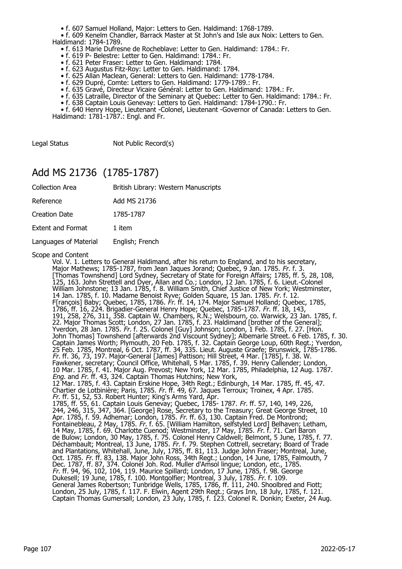• f. 607 Samuel Holland, Major: Letters to Gen. Haldimand: 1768-1789.

 • f. 609 Kenelm Chandler, Barrack Master at St John's and Isle aux Noix: Letters to Gen. Haldimand: 1784-1789.

- f. 613 Marie Dufresne de Rocheblave: Letter to Gen. Haldimand: 1784.: Fr.
- f. 619 P- Belestre: Letter to Gen. Haldimand: 1784.: Fr.
- f. 621 Peter Fraser: Letter to Gen. Haldimand: 1784.
- f. 623 Augustus Fitz-Roy: Letter to Gen. Haldimand: 1784.
- f. 625 Allan Maclean, General: Letters to Gen. Haldimand: 1778-1784.
- f. 629 Dupré, Comte: Letters to Gen. Haldimand: 1779-1789.: Fr.
- f. 635 Gravé, Directeur Vicaire Général: Letter to Gen. Haldimand: 1784.: Fr.
- f. 635 Latraille, Director of the Seminary at Quebec: Letter to Gen. Haldimand: 1784.: Fr.
- f. 638 Captain Louis Genevay: Letters to Gen. Haldimand: 1784-1790.: Fr.

 • f. 640 Henry Hope, Lieutenant -Colonel, Lieutenant -Governor of Canada: Letters to Gen. Haldimand: 1781-1787.: Engl. and Fr.

Legal Status Not Public Record(s)

#### Add MS 21736 (1785-1787)

| <b>Collection Area</b>   | British Library: Western Manuscripts |
|--------------------------|--------------------------------------|
| Reference                | Add MS 21736                         |
| <b>Creation Date</b>     | 1785-1787                            |
| <b>Extent and Format</b> | 1 item                               |
| Languages of Material    | English; French                      |

Scope and Content<br>Vol. V. 1. Letters to General Haldimand, after his return to England, and to his secretary, Vol. V. 1. Letters to General Haldimand, after his return to England, and to his secretary, Major Mathews; 1785-1787, from Jean Jaques Jorand; Quebec, 9 Jan. 1785. Fr. f. 3. [Thomas Townshend] Lord Sydney, Secretary of State for Foreign Affairs; 1785, ff. 5, 28, 108, 125, 163. John Strettell and Dyer, Allan and Co.; London, 12 Jan. 1785, f. 6. Lieut.-Colonel William Johnstone; 13 Jan. 1785, f. 8. William Smith, Chief Justice of New York; Westminster, 14 Jan. 1785, f. 10. Madame Benoist Ryve; Golden Square, 15 Jan. 1785. Fr. f. 12. F[rançois] Baby; Quebec, 1785, 1786. Fr. ff. 14, 174. Major Samuel Holland; Quebec, 1785, 1786, ff. 16, 224. Brigadier-General Henry Hope; Quebec, 1785-1787. Fr. ff. 18, 143, 191, 258, 276, 311, 358. Captain W. Chambers, R.N.; Welsbourn, co. Warwick, 23 Jan. 1785, f. 22. Major Thomas Scott; London, 27 Jan. 1785, f. 23. Haldimand [brother of the General]; Yverdon, 28 Jan. 1785. Fr. f. 25. Colonel [Guy] Johnson; London, 1 Feb. 1785, f. 27. [Hon. John Thomas] Townshend [afterwards 2nd Viscount Sydney]; Albemarle Street. 6 Feb. 1785, f. 30. Captain James Worth; Plymouth, 20 Feb. 1785, f. 32. Captain George Loup, 60th Regt.; Yverdon, 25 Feb. 1785, Montreal, 6 Oct. 1787, ff. 34, 335. Lieut. Auguste Graefe; Brunswick, 1785-1786. Fr. ff. 36, 73, 197. Major-General [James] Pattison; Hill Street, 4 Mar. [1785], f. 38. W. Fawkener, secretary; Council Office, Whitehall, 5 Mar. 1785, f. 39. Henry Callender; London, 10 Mar. 1785, f. 41. Major Aug. Prevost; New York, 12 Mar. 1785, Philadelphia, 12 Aug. 1787. *Eng*. and *Fr*. ff. 43, 324. Captain Thomas Hutchins; New York, 12 Mar. 1785, f. 43. Captain Erskine Hope, 34th Regt.; Edinburgh, 14 Mar. 1785, ff. 45, 47. Chartier de Lotbinière; Paris, 1785. Fr. ff. 49, 67. Jaques Terroux; Troinex, 4 Apr. 1785. Fr. ff. 51, 52, 53. Robert Hunter; King's Arms Yard, Apr. 1785, ff. 55, 61. Captain Louis Genevay; Quebec, 1785- 1787. Fr. ff. 57, 140, 149, 226, 244, 246, 315, 347, 364. [George] Rose, Secretary to the Treasury; Great George Street, 10 Apr. 1785, f. 59. Adhemar; London, 1785. *Fr.* ff. 63, 130. Captain Fred. De Montrond; Fontainebleau, 2 May, 1785. *Fr.* f. 65. [William Hamilton, selfstyled Lord] Belhaven; Letham, 14 May, 1785, f. 69. Charlotte Cuenod; Westminster, 17 May, 1785. Fr. f. 71. Carl Baron de Bulow; London, 30 May, 1785, f. 75. Colonel Henry Caldwell; Belmont, 5 June, 1785, f. 77. Déchambault; Montreal, 13 June, 1785. Fr. f. 79. Stephen Cottrell, secretary; Board of Trade and Plantations, Whitehall, June, July, 1785, ff. 81, 113. Judge John Fraser; Montreal, June, Oct. 1785. Fr. ff. 83, 138. Major John Ross, 34th Regt.; London, 14 June, 1785, Falmouth, 7 Dec. 1787, ff. 87, 374. Colonel Joh. Rod. Muller d'Amsol lingue; London, *etc.*, 1785. Fr. ff. 94, 96, 102, 104, 119. Maurice Spillard; London, 17 June, 1785, f. 98. George Dukesell; 19 June, 1785, f. 100. Montgolfier; Montreal, 3 July, 1785. Fr. f. 109. General James Robertson; Tunbridge Wells, 1785, 1786, ff. 111, 240. Shoolbred and Fiott; London, 25 July, 1785, f. 117. F. Elwin, Agent 29th Regt.; Grays Inn, 18 July, 1785, f. 121. Captain Thomas Gumersall; London, 23 July, 1785, f. 123. Colonel R. Donkin; Exeter, 24 Aug.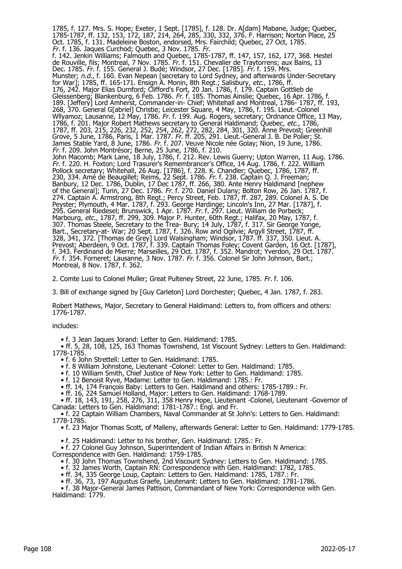1785, f. 127. Mrs. S. Hope; Exeter, 1 Sept. [1785], f. 128. Dr. A[dam] Mabane, Judge; Quebec, 1785-1787, ff. 132, 153, 172, 187, 214, 264, 285, 330, 332, 376. F. Harrison; Norton Place, 25 Oct. 1785, f. 131. Madeleine Boston, endorsed, Mrs. Fairchild; Quebec, 27 Oct, 1785. Fr. f. 136. Jaques Curchod; Quebec, 3 Nov. 1785. Fr. f. 142. Jenkin Williams; Falmouth and Quebec, 1785-1787, ff. 147, 157, 162, 177, 368. Hestel de Rouville, fils; Montreal, 7 Nov. 1785. *Fr.* f. 151. Chevalier de Traytorrens; aux Bains, 13 Dec. 1785. Fr. f. 155. General J. Budé; Windsor, 27 Dec. [1785]. Fr. f. 159. Mrs. Munster; n.d., f. 160. Evan Nepean [secretary to Lord Sydney, and afterwards Under-Secretary for War]; 1785, ff. 165-171. Ensign A. Monin, 8th Regt.; Salisbury, *etc*., 1786, ff. 176, 242. Major Elias Durnford; Clifford's Fort, 20 Jan. 1786, f. 179. Captain Gottlieb de Gleissenberg; Blankenburg, 6 Feb. 1786. *Fr.* f. 185. Thomas Ainslie; Quebec, 16 Apr. 1786, f. 189. [Jeffery] Lord Amherst, Commander-in- Chief; Whitehall and Montreal, 1786- 1787, ff. 193, 268, 370. General G[abriel] Christie; Leicester Square, 4 May, 1786, f. 195. Lieut.-Colonel Wllyamoz; Lausanne, 12 May, 1786. *Fr.* f. 199. Aug. Rogers, secretary; Ordnance Office, 13 May, 1786, f. 201. Major Robert Mathews secretary to General Haldimand; Quebec, etc., 1786, 1787, ff. 203, 215, 226, 232, 252, 254, 262, 272, 282, 284, 301, 320. Anne Prevost; Greenhill Grove, 5 June, 1786, Paris, 1 Mar. 1787. Fr. ff. 205, 291. Lieut.-General J. B. De Polier; St. James Stable Yard, 8 June, 1786. *Fr.* f. 207. Veuve Nicole née Golay; Nion, 19 June, 1786. Fr. f. 209. John Montrésor; Berne, 25 June, 1786, f. 210. John Macomb; Mark Lane, 18 July, 1786, f. 212. Rev. Lewis Guerry; Upton Warren, 11 Aug. 1786. Fr. f. 220. H. Foxton; Lord Trasurer's Remembrancer's Office, 14 Aug. 1786, f. 222. William Pollock secretary; Whitehall, 26 Aug. [1786], f. 228. K. Chandler; Quebec, 1786, 1787, ff. 230, 334. Amé de Beaugillet; Reims, 22 Sept. 1786. Fr. f. 238. Captain Q. J. Freeman; Banbury, 12 Dec. 1786, Dublin, 17 Dec 1787, ff. 266, 380. Ante Henry Haldimand [nephew of the General]; Turin, 27 Dec. 1786. Fr. f. 270. Daniel Dulany; Bolton Row, 26 Jan. 1787, f. 274. Captain A. Armstrong, 8th Regt.; Percy Street, Feb. 1787, ff. 287, 289. Colonel A. S. De Peyster; Plymouth, 4 Mar. 1787, f. 293. George Hardinge; Lincoln's Inn, 27 Mar. [1787], f. 295. General Riedesel; Brunswick, 1 Apr. 1787. Fr. f. 297. Lieut. William de Porbeck; Marbourg, etc., 1787, ff. 299, 309. Major P. Hunter, 60th Regt.; Halifax, 20 May, 1787, f. 307. Thomas Steele, Secretary to the Trea- Bury; 14 July, 1787, f. 317. Sir George Yonge, Bart., Secretary-at- War; 20 Sept. 1787, f. 326. Row and Ogilvie; Argyll Street, 1787, ff. 328, 341, 372. [Thomas de Grey] Lord Walsingham; Windsor, 1787. ff. 337, 350. Lieut. A. Prevost; Aberdeen, 9 Oct. 1787, f. 339. Captain Thomas Foley; Covent Garden, 16 Oct. [1787], f. 343. Ferdinand de Mierre; Marseilles, 29 Oct. 1787, f. 352. Mandrot; Yverdon, 29 Oct. 1787. Fr. f. 354. Forneret; Lausanne, 3 Nov. 1787. Fr. f. 356. Colonel Sir John Johnson, Bart.; Montreal, 8 Nov. 1787, f. 362.

2. Comte Lusi to Colonel Muller; Great Pulteney Street, 22 June, 1785. Fr. f. 106.

3. Bill of exchange signed by [Guy Carleton] Lord Dorchester; Quebec, 4 Jan. 1787, f. 283.

Robert Mathews, Major, Secretary to General Haldimand: Letters to, from officers and others: 1776-1787.

includes:

• f. 3 Jean Jaques Jorand: Letter to Gen. Haldimand: 1785.

 • ff. 5, 28, 108, 125, 163 Thomas Townshend, 1st Viscount Sydney: Letters to Gen. Haldimand: 1778-1785.

• f. 6 John Strettell: Letter to Gen. Haldimand: 1785.

• f. 8 William Johnstone, Lieutenant -Colonel: Letter to Gen. Haldimand: 1785.

• f. 10 William Smith, Chief Justice of New York: Letter to Gen. Haldimand: 1785.

• f. 12 Benoist Ryve, Madame: Letter to Gen. Haldimand: 1785.: Fr.

• ff. 14, 174 François Baby: Letters to Gen. Haldimand and others: 1785-1789.: Fr.

• ff. 16, 224 Samuel Holland, Major: Letters to Gen. Haldimand: 1768-1789.

 • ff. 18, 143, 191, 258, 276, 311, 358 Henry Hope, Lieutenant -Colonel, Lieutenant -Governor of Canada: Letters to Gen. Haldimand: 1781-1787.: Engl. and Fr.

 • f. 22 Captain William Chambers, Naval Commander at St John's: Letters to Gen. Haldimand: 1778-1785.

• f. 23 Major Thomas Scott, of Malleny, afterwards General: Letter to Gen. Haldimand: 1779-1785.

• f. 25 Haldimand: Letter to his brother, Gen. Haldimand: 1785.: Fr.

• f. 27 Colonel Guy Johnson, Superintendent of Indian Affairs in British N America:

Correspondence with Gen. Haldimand: 1759-1785.

- f. 30 John Thomas Townshend, 2nd Viscount Sydney: Letters to Gen. Haldimand: 1785.
- f. 32 James Worth, Captain RN: Correspondence with Gen. Haldimand: 1782, 1785.
- ff. 34, 335 George Loup, Captain: Letters to Gen. Haldimand: 1785, 1787.: Fr.
- ff. 36, 73, 197 Augustus Graefe, Lieutenant: Letters to Gen. Haldimand: 1781-1786.

 • f. 38 Major-General James Pattison, Commandant of New York: Correspondence with Gen. Haldimand: 1779.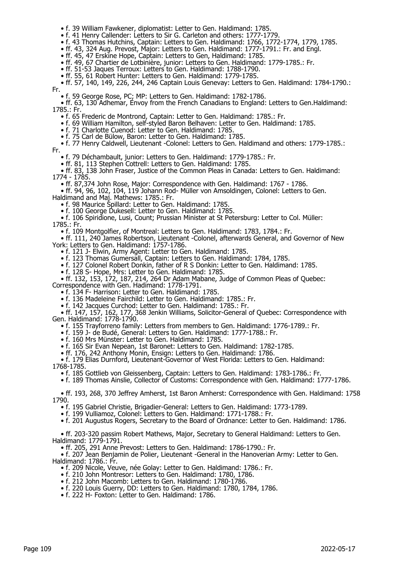• f. 39 William Fawkener, diplomatist: Letter to Gen. Haldimand: 1785.

• f. 41 Henry Callender: Letters to Sir G. Carleton and others: 1777-1779

• f. 43 Thomas Hutchins, Captain: Letters to Gen. Haldimand: 1766, 1772-1774, 1779, 1785.

• ff. 43, 324 Aug. Prevost, Major: Letters to Gen. Haldimand: 1777-1791.: Fr. and Engl.

• ff. 45, 47 Erskine Hope, Captain: Letters to Gen, Haldimand: 1785.

• ff. 49, 67 Chartier de Lotbinière, junior: Letters to Gen. Haldimand: 1779-1785.: Fr.

• ff. 51-53 Jaques Terroux: Letters to Gen. Haldimand: 1788-1790.

• ff. 55, 61 Robert Hunter: Letters to Gen. Haldimand: 1779-1785.

 • ff. 57, 140, 149, 226, 244, 246 Captain Louis Genevay: Letters to Gen. Haldimand: 1784-1790.: Fr.

• f. 59 George Rose, PC; MP: Letters to Gen. Haldimand: 1782-1786.

 • ff. 63, 130 Adhemar, Envoy from the French Canadians to England: Letters to Gen.Haldimand: 1785.: Fr.

• f. 65 Frederic de Montrond, Captain: Letter to Gen. Haldimand: 1785.: Fr.

• f. 69 William Hamilton, self-styled Baron Belhaven: Letter to Gen. Haldimand: 1785.

• f. 71 Charlotte Cuenod: Letter to Gen. Haldimand: 1785.

• f. 75 Carl de Bülow, Baron: Letter to Gen. Haldimand: 1785.

 • f. 77 Henry Caldwell, Lieutenant -Colonel: Letters to Gen. Haldimand and others: 1779-1785.: Fr.

• f. 79 Déchambault, junior: Letters to Gen. Haldimand: 1779-1785.: Fr.

• ff. 81, 113 Stephen Cottrell: Letters to Gen. Haldimand: 1785.

 • ff. 83, 138 John Fraser, Justice of the Common Pleas in Canada: Letters to Gen. Haldimand: 1774 - 1785.

• ff. 87,374 John Rose, Major: Correspondence with Gen. Haldimand: 1767 - 1786.

 • ff. 94, 96, 102, 104, 119 Johann Rod- Müller von Amsoldingen, Colonel: Letters to Gen. Haldimand and Maj. Mathews: 1785.: Fr.

• f. 98 Maurice Spillard: Letter to Gen. Haldimand: 1785.

• f. 100 George Dukesell: Letter to Gen. Haldimand: 1785.

 • f. 106 Spiridione, Lusi, Count; Prussian Minister at St Petersburg: Letter to Col. Müller: 1785.: Fr.

• f. 109 Montgolfier, of Montreal: Letters to Gen. Haldimand: 1783, 1784.: Fr.

 • ff. 111, 240 James Robertson, Lieutenant -Colonel, afterwards General, and Governor of New York: Letters to Gen. Haldimand: 1757-1786.

• f. 121 J- Elwin, Army Agent: Letter to Gen. Haldimand: 1785.

• f. 123 Thomas Gumersall, Captain: Letters to Gen. Haldimand: 1784, 1785.

• f. 127 Colonel Robert Donkin, father of R S Donkin: Letter to Gen. Haldimand: 1785.

• f. 128 S- Hope, Mrs: Letter to Gen. Haldimand: 1785.

 • ff. 132, 153, 172, 187, 214, 264 Dr Adam Mabane, Judge of Common Pleas of Quebec: Correspondence with Gen. Hadimand: 1778-1791.

• f. 134 F- Harrison: Letter to Gen. Haldimand: 1785.

• f. 136 Madeleine Fairchild: Letter to Gen. Haldimand: 1785.: Fr.

• f. 142 Jacques Curchod: Letter to Gen. Haldimand: 1785.: Fr.

 • ff. 147, 157, 162, 177, 368 Jenkin Williams, Solicitor-General of Quebec: Correspondence with Gen. Haldimand: 1778-1790.

• f. 155 Trayforreno family: Letters from members to Gen. Haldimand: 1776-1789.: Fr.

• f. 159 J- de Budé, General: Letters to Gen. Haldimand: 1777-1788.: Fr.

• f. 160 Mrs Münster: Letter to Gen. Haldimand: 1785.

• f. 165 Sir Evan Nepean, 1st Baronet: Letters to Gen. Haldimand: 1782-1785.

• ff. 176, 242 Anthony Monin, Ensign: Letters to Gen. Haldimand: 1786.

 • f. 179 Elias Durnford, Lieutenant-Governor of West Florida: Letters to Gen. Haldimand: 1768-1785.

• f. 185 Gottlieb von Gleissenberg, Captain: Letters to Gen. Haldimand: 1783-1786.: Fr.

• f. 189 Thomas Ainslie, Collector of Customs: Correspondence with Gen. Haldimand: 1777-1786.

 • ff. 193, 268, 370 Jeffrey Amherst, 1st Baron Amherst: Correspondence with Gen. Haldimand: 1758 1790.

• f. 195 Gabriel Christie, Brigadier-General: Letters to Gen. Haldimand: 1773-1789.

• f. 199 Vulliamoz, Colonel: Letters to Gen. Haldimand: 1771-1788.: Fr.

• f. 201 Augustus Rogers, Secretary to the Board of Ordnance: Letter to Gen. Haldimand: 1786.

 • ff. 203-320 passim Robert Mathews, Major, Secretary to General Haldimand: Letters to Gen. Haldimand: 1779-1791.

• ff. 205, 291 Anne Prevost: Letters to Gen. Haldimand: 1786-1790.: Fr.

 • f. 207 Jean Benjamin de Polier, Lieutenant -General in the Hanoverian Army: Letter to Gen. Haldimand: 1786.: Fr.

• f. 209 Nicole, Veuve, née Golay: Letter to Gen. Haldimand: 1786.: Fr.

• f. 210 John Montresor: Letters to Gen. Haldimand: 1780, 1786.

- f. 212 John Macomb: Letters to Gen. Haldimand: 1780-1786.
- f. 220 Louis Guerry, DD: Letters to Gen. Haldimand: 1780, 1784, 1786.

• f. 222 H- Foxton: Letter to Gen. Haldimand: 1786.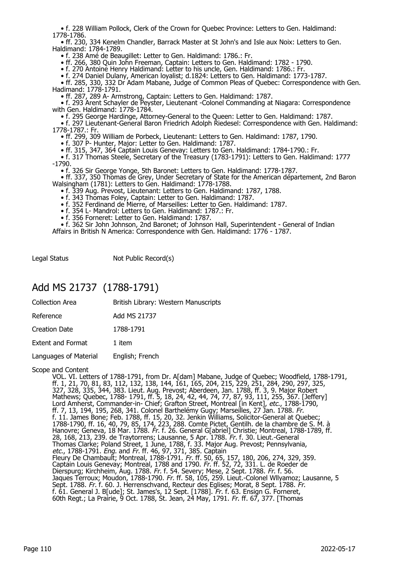• f. 228 William Pollock, Clerk of the Crown for Quebec Province: Letters to Gen. Haldimand: 1778-1786.

 • ff. 230, 334 Kenelm Chandler, Barrack Master at St John's and Isle aux Noix: Letters to Gen. Haldimand: 1784-1789.

• f. 238 Amé de Beaugillet: Letter to Gen. Haldimand: 1786.: Fr.

• ff. 266, 380 Quin John Freeman, Captain: Letters to Gen. Haldimand: 1782 - 1790.

• f. 270 Antoine Henry Haldimand: Letter to his uncle, Gen. Haldimand: 1786.: Fr.

• f. 274 Daniel Dulany, American loyalist; d.1824: Letters to Gen. Haldimand: 1773-1787.

 • ff. 285, 330, 332 Dr Adam Mabane, Judge of Common Pleas of Quebec: Correspondence with Gen. Hadimand: 1778-1791.

• ff. 287, 289 A- Armstrong, Captain: Letters to Gen. Haldimand: 1787.

 • f. 293 Arent Schayler de Peyster, Lieutenant -Colonel Commanding at Niagara: Correspondence with Gen. Haldimand: 1778-1784.

• f. 295 George Hardinge, Attorney-General to the Queen: Letter to Gen. Haldimand: 1787.

 • f. 297 Lieutenant-General Baron Friedrich Adolph Riedesel: Correspondence with Gen. Haldimand: 1778-1787.: Fr.

• ff. 299, 309 William de Porbeck, Lieutenant: Letters to Gen. Haldimand: 1787, 1790.

- f. 307 P- Hunter, Major: Letter to Gen. Haldimand: 1787.
- ff. 315, 347, 364 Captain Louis Genevay: Letters to Gen. Haldimand: 1784-1790.: Fr.

 • f. 317 Thomas Steele, Secretary of the Treasury (1783-1791): Letters to Gen. Haldimand: 1777 -1790.

• f. 326 Sir George Yonge, 5th Baronet: Letters to Gen. Haldimand: 1778-1787.

 • ff. 337, 350 Thomas de Grey, Under Secretary of State for the American département, 2nd Baron Walsingham (1781): Letters to Gen. Haldimand: 1778-1788.

• f. 339 Aug. Prevost, Lieutenant: Letters to Gen. Haldimand: 1787, 1788.

- f. 343 Thomas Foley, Captain: Letter to Gen. Haldimand: 1787.
- f. 352 Ferdinand de Mierre, of Marseilles: Letter to Gen. Haldimand: 1787.
- f. 354 L- Mandrol: Letters to Gen. Haldimand: 1787.: Fr.
	- f. 356 Forneret: Letter to Gen. Haldimand: 1787.

• f. 362 Sir John Johnson, 2nd Baronet; of Johnson Hall, Superintendent - General of Indian

Affairs in British N America: Correspondence with Gen. Haldimand: 1776 - 1787.

Legal Status Not Public Record(s)

#### Add MS 21737 (1788-1791)

| <b>Collection Area</b>   | British Library: Western Manuscripts |
|--------------------------|--------------------------------------|
| Reference                | Add MS 21737                         |
| <b>Creation Date</b>     | 1788-1791                            |
| <b>Extent and Format</b> | 1 item                               |
| Languages of Material    | English; French                      |
|                          |                                      |

Scope and Content

VOL. VI. Letters of 1788-1791, from Dr. A[dam] Mabane, Judge of Quebec; Woodfield, 1788-1791, ff. 1, 21, 70, 81, 83, 112, 132, 138, 144, 161, 165, 204, 215, 229, 251, 284, 290, 297, 325, 327, 328, 335, 344, 383. Lieut. Aug. Prevost; Aberdeen, Jan. 1788, ff. 3, 9. Major Robert Mathews; Quebec, 1788- 1791, ff. 5, 18, 24, 42, 44, 74, 77, 87, 93, 111, 255, 367. [Jeffery] Lord Amherst, Commander-in- Chief; Grafton Street, Montreal [in Kent], *etc.*, 1788-1790, ff. 7, 13, 194, 195, 268, 341. Colonel Barthelémy Gugy; Marseilles, 27 Jan. 1788. *Fr.* f. 11. James Bone; Feb. 1788, ff. 15, 20, 32. Jenkin Williams, Solicitor-General at Quebec; 1788-1790, ff. 16, 40, 79, 85, 174, 223, 288. Comte Pictet, Gentilh. de la chambre de S. M. à Hanovre; Geneva, 18 Mar. 1788. *Fr*. f. 26. General G[abriel] Christie; Montreal, 1788-1789, ff. 28, 168, 213, 239. de Traytorrens; Lausanne, 5 Apr. 1788. Fr. f. 30. Lieut.-General Thomas Clarke; Poland Street, 1 June, 1788, f. 33. Major Aug. Prevost; Pennsylvania, etc., 1788-1791. Eng. and Fr. ff. 46, 97, 371, 385. Captain Fleury De Chambault; Montreal, 1788-1791. Fr. ff. 50, 65, 157, 180, 206, 274, 329, 359. Captain Louis Genevay; Montreal, 1788 and 1790. Fr. ff. 52, 72, 331. L. de Roeder de Dierspurg; Kirchheim, Aug. 1788. Fr. f. 54. Severy; Mese, 2 Sept. 1788. Fr. f. 56. Jaques Terroux; Moudon, 1788-1790. *Fr.* ff. 58, 105, 259. Lieut.-Colonel Wllyamoz; Lausanne, 5 Sept. 1788. Fr. f. 60. J. Herrenschvand, Recteur des Eglises; Morat, 8 Sept. 1788. Fr. f. 61. General J. B[ude]; St. James's, 12 Sept. [1788]. Fr. f. 63. Ensign G. Forneret, 60th Regt.; La Prairie, 9 Oct. 1788, St. Jean, 24 May, 1791. Fr. ff. 67, 377. [Thomas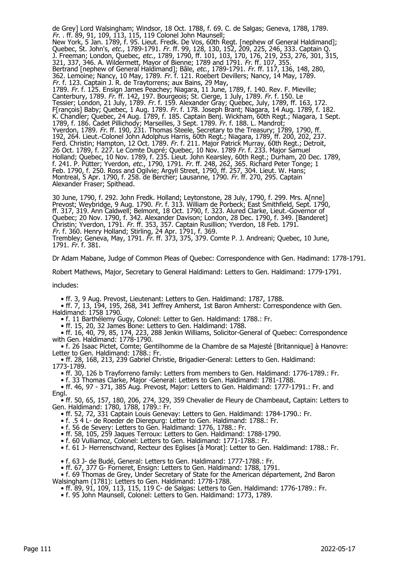de Grey] Lord Walsingham; Windsor, 18 Oct. 1788, f. 69. C. de Salgas; Geneva, 1788, 1789. Fr. . ff. 89, 91, 109, 113, 115, 119 Colonel John Maunsell; New York, 5 Jan. 1789, f. 95. Lieut. Fredk. De Vos, 60th Regt. [nephew of General Haldimand]; Quebec, St. John's, *etc.*, 1789-1791. *Fr.* ff. 99, 128, 130, 152, 209, 225, 246, 333. Captain Q. J. Freeman; London, Quebec, etc., 1789, 1790, ff. 101, 103, 170, 176, 219, 253, 276, 301, 315, 321, 337, 346. A. Wildermett, Mayor of Bienne; 1789 and 1791. Fr. ff. 107, 355. Bertrand [nephew of General Haldimand]; Bâle, etc., 1789-1791. Fr. ff. 117, 136, 148, 280, 362. Lemoine; Nancy, 10 May, 1789. Fr. f. 121. Roebert Devillers; Nancy, 14 May, 1789. Fr. f. 123. Captain J. R. de Traytorrens; aux Bains, 29 May, 1789. Fr. f. 125. Ensign James Peachey; Niagara, 11 June, 1789, f. 140. Rev. F. Mieville; Canterbury, 1789. Fr. ff. 142, 197. Bourgeois; St. Cierge, 1 July, 1789. Fr. f. 150. Le Tessier; London, 21 July, 1789. Fr. f. 159. Alexander Gray; Quebec, July, 1789, ff. 163, 172. F[rançois] Baby; Quebec, 1 Aug. 1789. Fr. f. 178. Joseph Brant; Niagara, 14 Aug. 1789, f. 182. K. Chandler; Quebec, 24 Aug. 1789, f. 185. Captain Benj. Wickham, 60th Regt.; Niagara, 1 Sept. 1789, f. 186. Cadet Pillichody; Marseilles, 3 Sept. 1789. Fr. f. 188. L. Mandrot; Yverdon, 1789. Fr. ff. 190, 231. Thomas Steele, Secretary to the Treasury; 1789, 1790, ff. 192, 264. Lieut.-Colonel John Adolphus Harris, 60th Regt.; Niagara, 1789, ff. 200, 202, 237. Ferd. Christin; Hampton, 12 Oct. 1789. *Fr.* f. 211. Major Patrick Murray, 60th Regt.; Detroit, 26 Oct. 1789, f. 227. Le Comte Dupré; Quebec, 10 Nov. 1789 Fr. f. 233. Major Samuel Holland; Quebec, 10 Nov. 1789, f. 235. Lieut. John Kearsley, 60th Regt.; Durham, 20 Dec. 1789, f. 241. P. Pütter; Yverdon, *etc.*, 1790, 1791. *Fr.* ff. 248, 262, 365. Richard Peter Tonge; 1 Feb. 1790, f. 250. Ross and Ogilvie; Argyll Street, 1790, ff. 257, 304. Lieut. W. Hans; Montreal, 5 Apr. 1790, f. 258. de Bercher; Lausanne, 1790. Fr. ff. 270, 295. Captain Alexander Fraser; Spithead.

30 June, 1790, f. 292. John Fredk. Holland; Leytonstone, 28 July, 1790, f. 299. Mrs. A[nne] Prevost; Weybridge, 9 Aug. 1790. *Fr.* f. 313. William de Porbeck; East Smithfield, Sept. 1790, ff. 317, 319. Ann Caldwell; Belmont, 18 Oct. 1790, f. 323. Alured Clarke, Lieut.-Governor of Quebec; 20 Nov. 1790, f. 342. Alexander Davison; London, 28 Dec. 1790, f. 349. [Banderet] Christin; Yverdon, 1791. Fr. ff. 353, 357. Captain Rusillion; Yverdon, 18 Feb. 1791. Fr. f. 360. Henry Holland; Stirling, 24 Apr. 1791, f. 369. Trembley; Geneva, May, 1791. Fr. ff. 373, 375, 379. Comte P. J. Andreani; Quebec, 10 June, 1791. Fr. f. 381.

Dr Adam Mabane, Judge of Common Pleas of Quebec: Correspondence with Gen. Hadimand: 1778-1791.

Robert Mathews, Major, Secretary to General Haldimand: Letters to Gen. Haldimand: 1779-1791.

includes:

• ff. 3, 9 Aug. Prevost, Lieutenant: Letters to Gen. Haldimand: 1787, 1788.

 • ff. 7, 13, 194, 195, 268, 341 Jeffrey Amherst, 1st Baron Amherst: Correspondence with Gen. Haldimand: 1758 1790.

• f. 11 Barthélemy Gugy, Colonel: Letter to Gen. Haldimand: 1788.: Fr.

• ff. 15, 20, 32 James Bone: Letters to Gen. Haldimand: 1788.

 • ff. 16, 40, 79, 85, 174, 223, 288 Jenkin Williams, Solicitor-General of Quebec: Correspondence with Gen. Haldimand: 1778-1790.

 • f. 26 Isaac Pictet, Comte; Gentilhomme de la Chambre de sa Majesté [Britannique] à Hanovre: Letter to Gen. Haldimand: 1788.: Fr.

 • ff. 28, 168, 213, 239 Gabriel Christie, Brigadier-General: Letters to Gen. Haldimand: 1773-1789.

• ff. 30, 126 b Trayforreno family: Letters from members to Gen. Haldimand: 1776-1789.: Fr.

• f. 33 Thomas Clarke, Major -General: Letters to Gen. Haldimand: 1781-1788.

 • ff. 46, 97 - 371, 385 Aug. Prevost, Major: Letters to Gen. Haldimand: 1777-1791.: Fr. and Engl.

 • ff. 50, 65, 157, 180, 206, 274, 329, 359 Chevalier de Fleury de Chambeaut, Captain: Letters to Gen. Haldimand: 1780, 1788, 1789.: Fr.

• ff. 52, 72, 331 Captain Louis Genevay: Letters to Gen. Haldimand: 1784-1790.: Fr.

• f. .5 4 L- de Roeder de Dierepurg: Letter to Gen. Haldimand: 1788.: Fr.

• f. 56 de Severy: Letters to Gen. Haldimand: 1776, 1788.: Fr.

• ff. 58, 105, 259 Jaques Terroux: Letters to Gen. Haldimand: 1788-1790.

• f. 60 Vulliamoz, Colonel: Letters to Gen. Haldimand: 1771-1788.: Fr.

• f. 61 J- Herrenschvand, Recteur des Eglises [à Morat]: Letter to Gen. Haldimand: 1788.: Fr.

• f. 63 J- de Budé, General: Letters to Gen. Haldimand: 1777-1788.: Fr.

• ff. 67, 377 G- Forneret, Ensign: Letters to Gen. Haldimand: 1788, 1791.

 • f. 69 Thomas de Grey, Under Secretary of State for the American département, 2nd Baron Walsingham (1781): Letters to Gen. Haldimand: 1778-1788.

• ff. 89, 91, 109, 113, 115, 119 C- de Salgas: Letters to Gen. Haldimand: 1776-1789.: Fr.

• f. 95 John Maunsell, Colonel: Letters to Gen. Haldimand: 1773, 1789.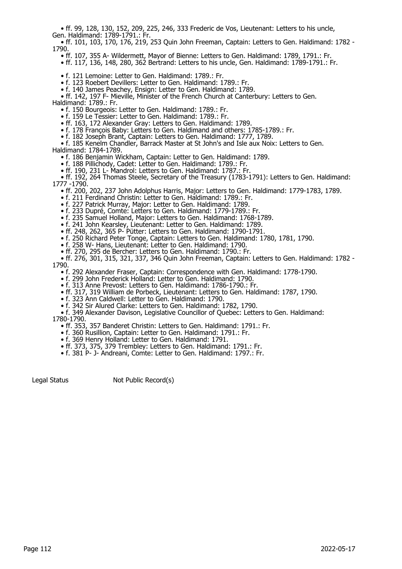• ff. 99, 128, 130, 152, 209, 225, 246, 333 Frederic de Vos, Lieutenant: Letters to his uncle, Gen. Haldimand: 1789-1791.: Fr.

 • ff. 101, 103, 170, 176, 219, 253 Quin John Freeman, Captain: Letters to Gen. Haldimand: 1782 - 1790.

- ff. 107, 355 A- Wildermett, Mayor of Bienne: Letters to Gen. Haldimand: 1789, 1791.: Fr.
- ff. 117, 136, 148, 280, 362 Bertrand: Letters to his uncle, Gen. Haldimand: 1789-1791.: Fr.

• f. 121 Lemoine: Letter to Gen. Haldimand: 1789.: Fr.

• f. 123 Roebert Devillers: Letter to Gen. Haldimand: 1789.: Fr.

• f. 140 James Peachey, Ensign: Letter to Gen. Haldimand: 1789.

• ff. 142, 197 F- Mieville, Minister of the French Church at Canterbury: Letters to Gen.

Haldimand: 1789.: Fr.

• f. 150 Bourgeois: Letter to Gen. Haldimand: 1789.: Fr.

• f. 159 Le Tessier: Letter to Gen. Haldimand: 1789.: Fr.

• ff. 163, 172 Alexander Gray: Letters to Gen. Haldimand: 1789.

• f. 178 François Baby: Letters to Gen. Haldimand and others: 1785-1789.: Fr.

• f. 182 Joseph Brant, Captain: Letters to Gen. Haldimand: 1777, 1789.

• f. 185 Kenelm Chandler, Barrack Master at St John's and Isle aux Noix: Letters to Gen.

Haldimand: 1784-1789.

• f. 186 Benjamin Wickham, Captain: Letter to Gen. Haldimand: 1789.

• f. 188 Pillichody, Cadet: Letter to Gen. Haldimand: 1789.: Fr.

• ff. 190, 231 L- Mandrol: Letters to Gen. Haldimand: 1787.: Fr.

 • ff. 192, 264 Thomas Steele, Secretary of the Treasury (1783-1791): Letters to Gen. Haldimand: 1777 -1790.

• ff. 200, 202, 237 John Adolphus Harris, Major: Letters to Gen. Haldimand: 1779-1783, 1789.

• f. 211 Ferdinand Christin: Letter to Gen. Haldimand: 1789.: Fr.

• f. 227 Patrick Murray, Major: Letter to Gen. Haldimand: 1789.

• f. 233 Dupré, Comte: Letters to Gen. Haldimand: 1779-1789.: Fr.

• f. 235 Samuel Holland, Major: Letters to Gen. Haldimand: 1768-1789.

• f. 241 John Kearsley, Lieutenant: Letter to Gen. Haldimand: 1789.

• ff. 248, 262, 365 P- Pütter: Letters to Gen. Haldimand: 1790-1791.

• f. 250 Richard Peter Tonge, Captain: Letters to Gen. Haldimand: 1780, 1781, 1790.

• f. 258 W- Hans, Lieutenant: Letter to Gen. Haldimand: 1790.

• ff. 270, 295 de Bercher: Letters to Gen. Haldimand: 1790.: Fr.

• ff. 276, 301, 315, 321, 337, 346 Quin John Freeman, Captain: Letters to Gen. Haldimand: 1782 -

1790.

• f. 292 Alexander Fraser, Captain: Correspondence with Gen. Haldimand: 1778-1790.

• f. 299 John Frederick Holland: Letter to Gen. Haldimand: 1790.

• f. 313 Anne Prevost: Letters to Gen. Haldimand: 1786-1790.: Fr.

• ff. 317, 319 William de Porbeck, Lieutenant: Letters to Gen. Haldimand: 1787, 1790.

• f. 323 Ann Caldwell: Letter to Gen. Haldimand: 1790.

• f. 342 Sir Alured Clarke: Letters to Gen. Haldimand: 1782, 1790.

 • f. 349 Alexander Davison, Legislative Councillor of Quebec: Letters to Gen. Haldimand: 1780-1790.

• ff. 353, 357 Banderet Christin: Letters to Gen. Haldimand: 1791.: Fr.

• f. 360 Rusillion, Captain: Letter to Gen. Haldimand: 1791.: Fr.

• f. 369 Henry Holland: Letter to Gen. Haldimand: 1791.

• ff. 373, 375, 379 Trembley: Letters to Gen. Haldimand: 1791.: Fr.

• f. 381 P- J- Andreani, Comte: Letter to Gen. Haldimand: 1797.: Fr.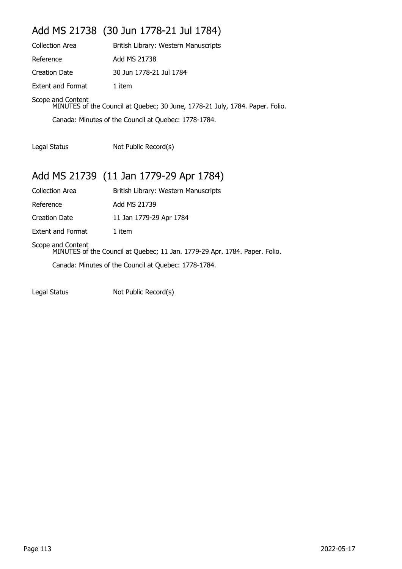## Add MS 21738 (30 Jun 1778-21 Jul 1784)

| <b>Collection Area</b>   | British Library: Western Manuscripts                                         |
|--------------------------|------------------------------------------------------------------------------|
| Reference                | Add MS 21738                                                                 |
| Creation Date            | 30 Jun 1778-21 Jul 1784                                                      |
| <b>Extent and Format</b> | 1 item                                                                       |
| Scope and Content        | MINUTES of the Council at Quebec; 30 June, 1778-21 July, 1784. Paper. Folio. |

Canada: Minutes of the Council at Quebec: 1778-1784.

Legal Status Not Public Record(s)

## Add MS 21739 (11 Jan 1779-29 Apr 1784)

| Collection Area                                                                                 | British Library: Western Manuscripts |  |
|-------------------------------------------------------------------------------------------------|--------------------------------------|--|
| Reference                                                                                       | Add MS 21739                         |  |
| Creation Date                                                                                   | 11 Jan 1779-29 Apr 1784              |  |
| Extent and Format                                                                               | 1 item                               |  |
| Scope and Content<br>MINUTES of the Council at Quebec; 11 Jan. 1779-29 Apr. 1784. Paper. Folio. |                                      |  |
| Canada: Minutes of the Council at Quebec: 1778-1784.                                            |                                      |  |
|                                                                                                 |                                      |  |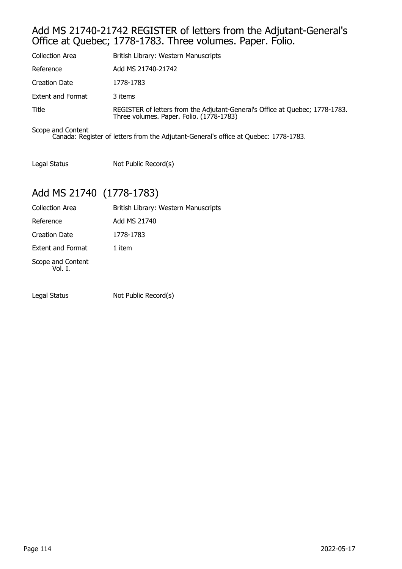#### Add MS 21740-21742 REGISTER of letters from the Adjutant-General's Office at Quebec; 1778-1783. Three volumes. Paper. Folio.

| <b>Collection Area</b>   | British Library: Western Manuscripts                                                                                     |
|--------------------------|--------------------------------------------------------------------------------------------------------------------------|
| Reference                | Add MS 21740-21742                                                                                                       |
| <b>Creation Date</b>     | 1778-1783                                                                                                                |
| <b>Extent and Format</b> | 3 items                                                                                                                  |
| Title                    | REGISTER of letters from the Adjutant-General's Office at Quebec; 1778-1783.<br>Three volumes. Paper. Folio. (1778-1783) |

Scope and Content Canada: Register of letters from the Adjutant-General's office at Quebec: 1778-1783.

Legal Status Not Public Record(s)

## Add MS 21740 (1778-1783)

| <b>Collection Area</b>       | British Library: Western Manuscripts |
|------------------------------|--------------------------------------|
| Reference                    | Add MS 21740                         |
| Creation Date                | 1778-1783                            |
| <b>Extent and Format</b>     | 1 item                               |
| Scope and Content<br>Vol. I. |                                      |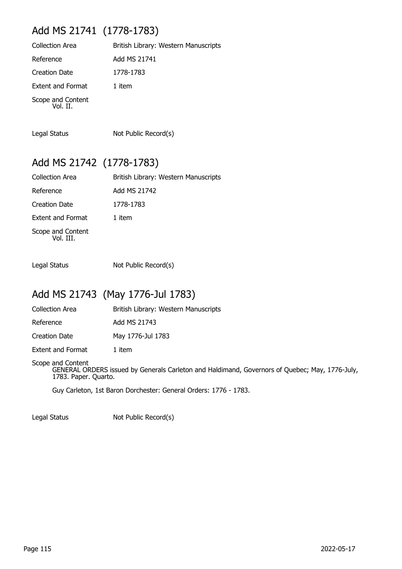## Add MS 21741 (1778-1783)

| <b>Collection Area</b>        | British Library: Western Manuscripts |
|-------------------------------|--------------------------------------|
| Reference                     | Add MS 21741                         |
| <b>Creation Date</b>          | 1778-1783                            |
| <b>Extent and Format</b>      | 1 item                               |
| Scope and Content<br>Vol. II. |                                      |

Legal Status Not Public Record(s)

#### Add MS 21742 (1778-1783)

| <b>Collection Area</b>         | British Library: Western Manuscripts |
|--------------------------------|--------------------------------------|
| Reference                      | Add MS 21742                         |
| <b>Creation Date</b>           | 1778-1783                            |
| <b>Extent and Format</b>       | 1 item                               |
| Scope and Content<br>Vol. III. |                                      |

Legal Status Not Public Record(s)

## Add MS 21743 (May 1776-Jul 1783)

Collection Area **British Library: Western Manuscripts** 

Reference Add MS 21743

Creation Date May 1776-Jul 1783

Extent and Format 1 item

Scope and Content GENERAL ORDERS issued by Generals Carleton and Haldimand, Governors of Quebec; May, 1776-July, 1783. Paper. Quarto.

Guy Carleton, 1st Baron Dorchester: General Orders: 1776 - 1783.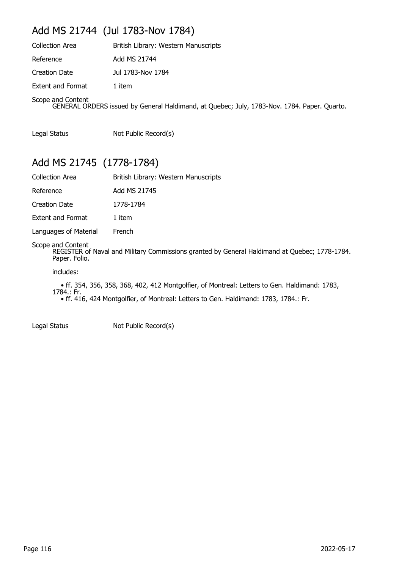## Add MS 21744 (Jul 1783-Nov 1784)

| <b>Collection Area</b>   | British Library: Western Manuscripts                                                        |
|--------------------------|---------------------------------------------------------------------------------------------|
| Reference                | Add MS 21744                                                                                |
| <b>Creation Date</b>     | Jul 1783-Nov 1784                                                                           |
| <b>Extent and Format</b> | 1 item                                                                                      |
| Scope and Content        | GENERAL ORDERS issued by General Haldimand, at Quebec; July, 1783-Nov. 1784. Paper. Quarto. |

Legal Status Not Public Record(s)

### Add MS 21745 (1778-1784)

| British Library: Western Manuscripts |
|--------------------------------------|
| Add MS 21745                         |
| 1778-1784                            |
| 1 item                               |
| French                               |
|                                      |

Scope and Content

REGISTER of Naval and Military Commissions granted by General Haldimand at Quebec; 1778-1784. Paper. Folio.

includes:

 • ff. 354, 356, 358, 368, 402, 412 Montgolfier, of Montreal: Letters to Gen. Haldimand: 1783, 1784.: Fr. • ff. 416, 424 Montgolfier, of Montreal: Letters to Gen. Haldimand: 1783, 1784.: Fr.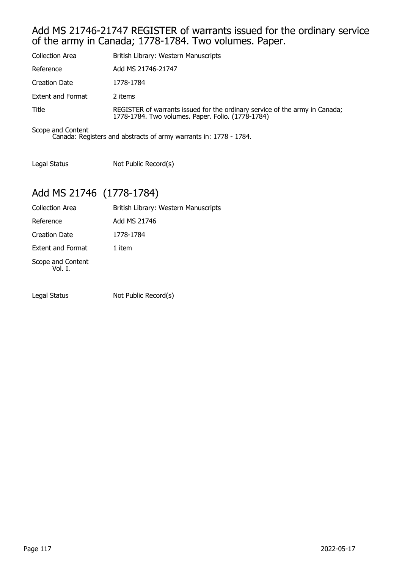#### Add MS 21746-21747 REGISTER of warrants issued for the ordinary service of the army in Canada; 1778-1784. Two volumes. Paper.

| <b>Collection Area</b>   | British Library: Western Manuscripts                                                                                             |
|--------------------------|----------------------------------------------------------------------------------------------------------------------------------|
| Reference                | Add MS 21746-21747                                                                                                               |
| Creation Date            | 1778-1784                                                                                                                        |
| <b>Extent and Format</b> | 2 items                                                                                                                          |
| Title                    | REGISTER of warrants issued for the ordinary service of the army in Canada;<br>1778-1784. Two volumes. Paper. Folio. (1778-1784) |
| Scope and Content        |                                                                                                                                  |

Canada: Registers and abstracts of army warrants in: 1778 - 1784.

Legal Status Not Public Record(s)

## Add MS 21746 (1778-1784)

| <b>Collection Area</b>       | British Library: Western Manuscripts |
|------------------------------|--------------------------------------|
| Reference                    | Add MS 21746                         |
| <b>Creation Date</b>         | 1778-1784                            |
| <b>Extent and Format</b>     | 1 item                               |
| Scope and Content<br>Vol. I. |                                      |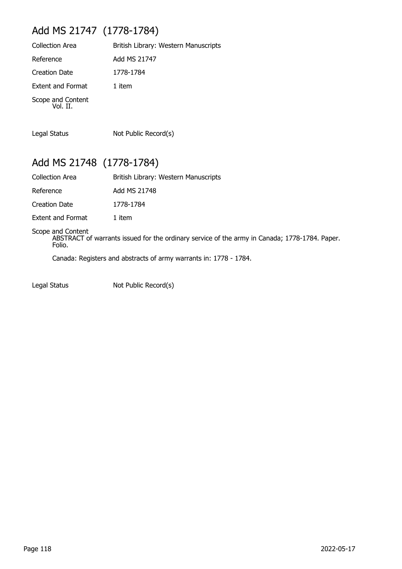# Add MS 21747 (1778-1784)

| <b>Collection Area</b>        | British Library: Western Manuscripts |
|-------------------------------|--------------------------------------|
| Reference                     | Add MS 21747                         |
| <b>Creation Date</b>          | 1778-1784                            |
| <b>Extent and Format</b>      | 1 item                               |
| Scope and Content<br>Vol. II. |                                      |

Legal Status Not Public Record(s)

### Add MS 21748 (1778-1784)

| <b>Collection Area</b> | British Library: Western Manuscripts |
|------------------------|--------------------------------------|
| Reference              | Add MS 21748                         |
| Creation Date          | 1778-1784                            |
|                        |                                      |

Extent and Format 1 item

#### Scope and Content

ABSTRACT of warrants issued for the ordinary service of the army in Canada; 1778-1784. Paper. Folio.

Canada: Registers and abstracts of army warrants in: 1778 - 1784.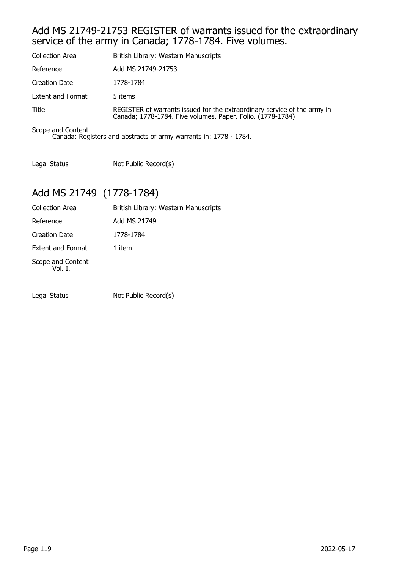#### Add MS 21749-21753 REGISTER of warrants issued for the extraordinary service of the army in Canada; 1778-1784. Five volumes.

| <b>Collection Area</b>   | British Library: Western Manuscripts                                                                                                   |
|--------------------------|----------------------------------------------------------------------------------------------------------------------------------------|
| Reference                | Add MS 21749-21753                                                                                                                     |
| Creation Date            | 1778-1784                                                                                                                              |
| <b>Extent and Format</b> | 5 items                                                                                                                                |
| Title                    | REGISTER of warrants issued for the extraordinary service of the army in<br>Canada; 1778-1784. Five volumes. Paper. Folio. (1778-1784) |
| Scope and Content        |                                                                                                                                        |

Canada: Registers and abstracts of army warrants in: 1778 - 1784.

Legal Status Not Public Record(s)

## Add MS 21749 (1778-1784)

| <b>Collection Area</b>       | British Library: Western Manuscripts |
|------------------------------|--------------------------------------|
| Reference                    | Add MS 21749                         |
| <b>Creation Date</b>         | 1778-1784                            |
| <b>Extent and Format</b>     | 1 item                               |
| Scope and Content<br>Vol. I. |                                      |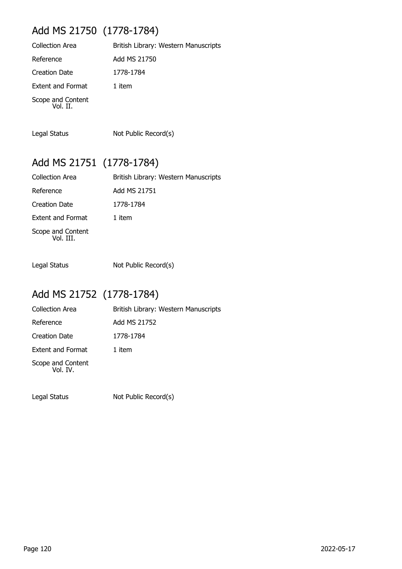## Add MS 21750 (1778-1784)

| <b>Collection Area</b>        | British Library: Western Manuscripts |
|-------------------------------|--------------------------------------|
| Reference                     | Add MS 21750                         |
| Creation Date                 | 1778-1784                            |
| <b>Extent and Format</b>      | 1 item                               |
| Scope and Content<br>Vol. II. |                                      |

Legal Status Not Public Record(s)

# Add MS 21751 (1778-1784)

| <b>Collection Area</b>         | British Library: Western Manuscripts |
|--------------------------------|--------------------------------------|
| Reference                      | Add MS 21751                         |
| <b>Creation Date</b>           | 1778-1784                            |
| <b>Extent and Format</b>       | 1 item                               |
| Scope and Content<br>Vol. III. |                                      |

Legal Status Not Public Record(s)

# Add MS 21752 (1778-1784)

| <b>Collection Area</b>        | British Library: Western Manuscripts |
|-------------------------------|--------------------------------------|
| Reference                     | Add MS 21752                         |
| <b>Creation Date</b>          | 1778-1784                            |
| <b>Extent and Format</b>      | 1 item                               |
| Scope and Content<br>Vol. IV. |                                      |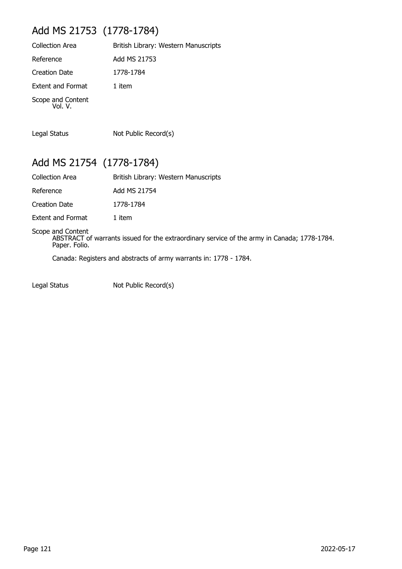## Add MS 21753 (1778-1784)

| <b>Collection Area</b>       | British Library: Western Manuscripts |
|------------------------------|--------------------------------------|
| Reference                    | Add MS 21753                         |
| <b>Creation Date</b>         | 1778-1784                            |
| <b>Extent and Format</b>     | 1 item                               |
| Scope and Content<br>Vol. V. |                                      |

Legal Status Not Public Record(s)

Add MS 21754 (1778-1784)

| <b>Collection Area</b>   | British Library: Western Manuscripts |
|--------------------------|--------------------------------------|
| Reference                | Add MS 21754                         |
| Creation Date            | 1778-1784                            |
| <b>Extent and Format</b> | 1 item                               |

Scope and Content

ABSTRACT of warrants issued for the extraordinary service of the army in Canada; 1778-1784. Paper. Folio.

Canada: Registers and abstracts of army warrants in: 1778 - 1784.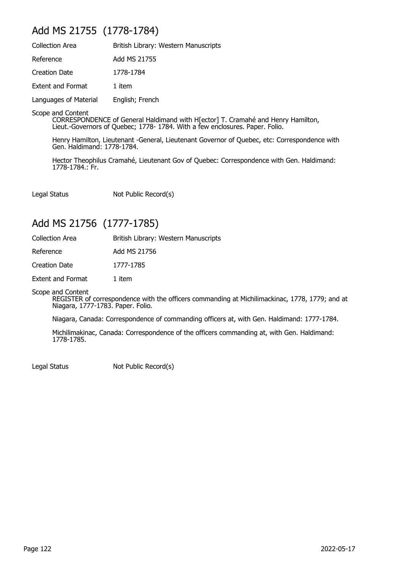#### Add MS 21755 (1778-1784)

| <b>Collection Area</b>   | British Library: Western Manuscripts |
|--------------------------|--------------------------------------|
| Reference                | Add MS 21755                         |
| <b>Creation Date</b>     | 1778-1784                            |
| <b>Extent and Format</b> | 1 item                               |
| Languages of Material    | English; French                      |

Scope and Content

CORRESPONDENCE of General Haldimand with H[ector] T. Cramahé and Henry Hamilton, Lieut.-Governors of Quebec; 1778- 1784. With a few enclosures. Paper. Folio.

Henry Hamilton, Lieutenant -General, Lieutenant Governor of Quebec, etc: Correspondence with Gen. Haldimand: 1778-1784.

Hector Theophilus Cramahé, Lieutenant Gov of Quebec: Correspondence with Gen. Haldimand: 1778-1784.: Fr.

Legal Status Not Public Record(s)

#### Add MS 21756 (1777-1785)

| <b>Collection Area</b>   | British Library: Western Manuscripts |
|--------------------------|--------------------------------------|
| Reference                | Add MS 21756                         |
| Creation Date            | 1777-1785                            |
| <b>Extent and Format</b> | 1 item                               |

Scope and Content

REGISTER of correspondence with the officers commanding at Michilimackinac, 1778, 1779; and at Niagara, 1777-1783. Paper. Folio.

Niagara, Canada: Correspondence of commanding officers at, with Gen. Haldimand: 1777-1784.

Michilimakinac, Canada: Correspondence of the officers commanding at, with Gen. Haldimand: 1778-1785.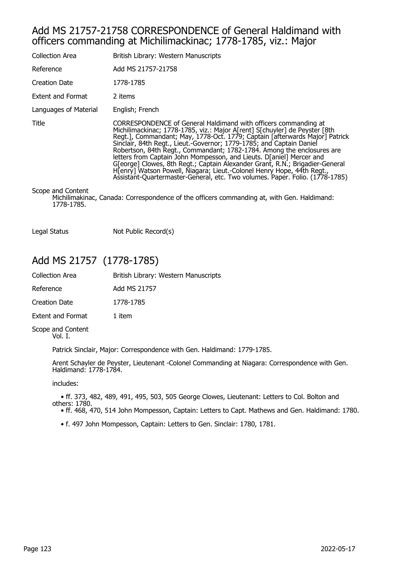#### Add MS 21757-21758 CORRESPONDENCE of General Haldimand with officers commanding at Michilimackinac; 1778-1785, viz.: Major

| Collection Area                 | British Library: Western Manuscripts                                                                                                                                                                                                                                                                                                                                                                                                                                                                                                                                                                                                                                                             |
|---------------------------------|--------------------------------------------------------------------------------------------------------------------------------------------------------------------------------------------------------------------------------------------------------------------------------------------------------------------------------------------------------------------------------------------------------------------------------------------------------------------------------------------------------------------------------------------------------------------------------------------------------------------------------------------------------------------------------------------------|
| Reference                       | Add MS 21757-21758                                                                                                                                                                                                                                                                                                                                                                                                                                                                                                                                                                                                                                                                               |
| <b>Creation Date</b>            | 1778-1785                                                                                                                                                                                                                                                                                                                                                                                                                                                                                                                                                                                                                                                                                        |
| Extent and Format               | 2 items                                                                                                                                                                                                                                                                                                                                                                                                                                                                                                                                                                                                                                                                                          |
| Languages of Material           | English; French                                                                                                                                                                                                                                                                                                                                                                                                                                                                                                                                                                                                                                                                                  |
| Title                           | CORRESPONDENCE of General Haldimand with officers commanding at<br>Michilimackinac; 1778-1785, viz.: Major A[rent] S[chuyler] de Peyster [8th<br>Regt.], Commandant; May, 1778-Oct. 1779; Captain [afterwards Major] Patrick<br>Sinclair, 84th Regt., Lieut.-Governor; 1779-1785; and Captain Daniel<br>Robertson, 84th Regt., Commandant; 1782-1784. Among the enclosures are<br>letters from Captain John Mompesson, and Lieuts. D[aniel] Mercer and<br>G[eorge] Clowes, 8th Regt.; Captain Alexander Grant, R.N.; Brigadier-General<br>Hienry] Watson Powell, Niagara; Lieut.-Colonel Henry Hope, 44th Regt.,<br>Assistant-Quartermaster-General, etc. Two volumes. Paper. Folio. (1778-1785) |
| Scope and Content<br>1778-1785. | Michilimakinac, Canada: Correspondence of the officers commanding at, with Gen. Haldimand:                                                                                                                                                                                                                                                                                                                                                                                                                                                                                                                                                                                                       |

Legal Status Not Public Record(s)

#### Add MS 21757 (1778-1785)

| Collection Area      | British Library: Western Manuscripts |
|----------------------|--------------------------------------|
| Reference            | Add MS 21757                         |
| <b>Creation Date</b> | 1778-1785                            |
| Extent and Format    | 1 item                               |
|                      |                                      |

Scope and Content Vol. I.

Patrick Sinclair, Major: Correspondence with Gen. Haldimand: 1779-1785.

Arent Schayler de Peyster, Lieutenant -Colonel Commanding at Niagara: Correspondence with Gen. Haldimand: 1778-1784.

includes:

 • ff. 373, 482, 489, 491, 495, 503, 505 George Clowes, Lieutenant: Letters to Col. Bolton and others: 1780.

• ff. 468, 470, 514 John Mompesson, Captain: Letters to Capt. Mathews and Gen. Haldimand: 1780.

• f. 497 John Mompesson, Captain: Letters to Gen. Sinclair: 1780, 1781.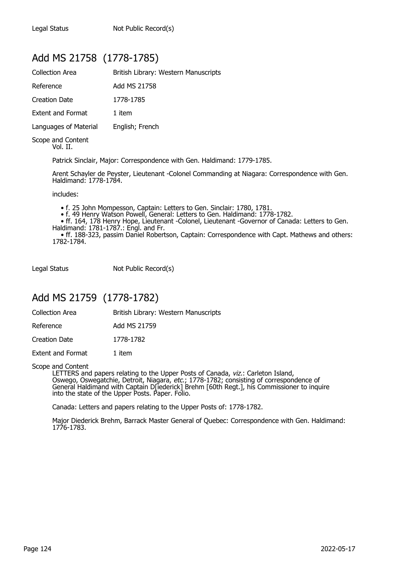## Add MS 21758 (1778-1785)

| Collection Area               | British Library: Western Manuscripts |
|-------------------------------|--------------------------------------|
| Reference                     | Add MS 21758                         |
| Creation Date                 | 1778-1785                            |
| <b>Extent and Format</b>      | 1 item                               |
| Languages of Material         | English; French                      |
| Scope and Content<br>Vol. II. |                                      |

Patrick Sinclair, Major: Correspondence with Gen. Haldimand: 1779-1785.

Arent Schayler de Peyster, Lieutenant -Colonel Commanding at Niagara: Correspondence with Gen. Haldimand: 1778-1784.

includes:

• f. 25 John Mompesson, Captain: Letters to Gen. Sinclair: 1780, 1781.

• f. 49 Henry Watson Powell, General: Letters to Gen. Haldimand: 1778-1782.

 • ff. 164, 178 Henry Hope, Lieutenant -Colonel, Lieutenant -Governor of Canada: Letters to Gen. Haldimand: 1781-1787.: Engl. and Fr.

 • ff. 188-323, passim Daniel Robertson, Captain: Correspondence with Capt. Mathews and others: 1782-1784.

Legal Status Not Public Record(s)

#### Add MS 21759 (1778-1782)

Collection Area **British Library: Western Manuscripts** 

Reference Add MS 21759

Creation Date 1778-1782

Extent and Format 1 item

Scope and Content

LETTERS and papers relating to the Upper Posts of Canada, viz.: Carleton Island, Oswego, Oswegatchie, Detroit, Niagara, etc.; 1778-1782; consisting of correspondence of General Haldimand with Captain D[iederick] Brehm [60th Regt.], his Commissioner to inquire into the state of the Upper Posts. Paper. Folio.

Canada: Letters and papers relating to the Upper Posts of: 1778-1782.

Major Diederick Brehm, Barrack Master General of Quebec: Correspondence with Gen. Haldimand: 1776-1783.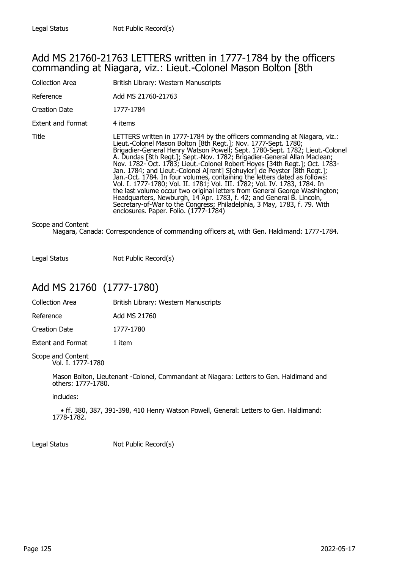#### Add MS 21760-21763 LETTERS written in 1777-1784 by the officers commanding at Niagara, viz.: Lieut.-Colonel Mason Bolton [8th

| <b>Collection Area</b> | British Library: Western Manuscripts                                                                                                                                                                                                                                                                                                                                                                                                                                                                                                                                                                                                                                                                                                                                                                                                                                                                   |
|------------------------|--------------------------------------------------------------------------------------------------------------------------------------------------------------------------------------------------------------------------------------------------------------------------------------------------------------------------------------------------------------------------------------------------------------------------------------------------------------------------------------------------------------------------------------------------------------------------------------------------------------------------------------------------------------------------------------------------------------------------------------------------------------------------------------------------------------------------------------------------------------------------------------------------------|
| Reference              | Add MS 21760-21763                                                                                                                                                                                                                                                                                                                                                                                                                                                                                                                                                                                                                                                                                                                                                                                                                                                                                     |
| Creation Date          | 1777-1784                                                                                                                                                                                                                                                                                                                                                                                                                                                                                                                                                                                                                                                                                                                                                                                                                                                                                              |
| Extent and Format      | 4 items                                                                                                                                                                                                                                                                                                                                                                                                                                                                                                                                                                                                                                                                                                                                                                                                                                                                                                |
| Title                  | LETTERS written in 1777-1784 by the officers commanding at Niagara, viz.:<br>Lieut.-Colonel Mason Bolton [8th Regt.]; Nov. 1777-Sept. 1780;<br>Brigadier-General Henry Watson Powell; Sept. 1780-Sept. 1782; Lieut.-Colonel<br>A. Dundas [8th Regt.]; Sept.-Nov. 1782; Brigadier-General Allan Maclean;<br>Nov. 1782- Oct. 1783; Lieut.-Colonel Robert Hoyes [34th Regt.]; Oct. 1783-<br>Jan. 1784; and Lieut.-Colonel A[rent] S[ehuyler] de Peyster [8th Regt.];<br>Jan.-Oct. 1784. In four volumes, containing the letters dated as follows:<br>Vol. I. 1777-1780; Vol. II. 1781; Vol. III. 1782; Vol. IV. 1783, 1784. In<br>the last volume occur two original letters from General George Washington;<br>Headquarters, Newburgh, 14 Apr. 1783, f. 42; and General B. Lincoln,<br>Secretary-of-War to the Congress; Philadelphia, 3 May, 1783, f. 79. With<br>enclosures. Paper. Folio. (1777-1784) |
| Scope and Content      |                                                                                                                                                                                                                                                                                                                                                                                                                                                                                                                                                                                                                                                                                                                                                                                                                                                                                                        |

Niagara, Canada: Correspondence of commanding officers at, with Gen. Haldimand: 1777-1784.

Legal Status Not Public Record(s)

## Add MS 21760 (1777-1780)

| <b>Collection Area</b>   | British Library: Western Manuscripts |
|--------------------------|--------------------------------------|
| Reference                | Add MS 21760                         |
| Creation Date            | 1777-1780                            |
| <b>Extent and Format</b> | 1 item                               |
| Scope and Content        |                                      |

Vol. I. 1777-1780

Mason Bolton, Lieutenant -Colonel, Commandant at Niagara: Letters to Gen. Haldimand and others: 1777-1780.

includes:

 • ff. 380, 387, 391-398, 410 Henry Watson Powell, General: Letters to Gen. Haldimand: 1778-1782.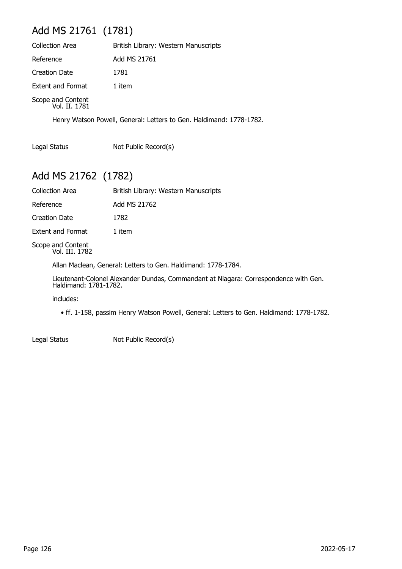# Add MS 21761 (1781)

| <b>Collection Area</b>             | British Library: Western Manuscripts |
|------------------------------------|--------------------------------------|
| Reference                          | Add MS 21761                         |
| <b>Creation Date</b>               | 1781                                 |
| Extent and Format                  | 1 item                               |
| Scope and Content<br>Vol. II. 1781 |                                      |

Henry Watson Powell, General: Letters to Gen. Haldimand: 1778-1782.

Legal Status Not Public Record(s)

## Add MS 21762 (1782)

| Collection Area          | British Library: Western Manuscripts |
|--------------------------|--------------------------------------|
| Reference                | Add MS 21762                         |
| Creation Date            | 1782                                 |
| <b>Extent and Format</b> | 1 item                               |
|                          |                                      |

Scope and Content Vol. III. 1782

Allan Maclean, General: Letters to Gen. Haldimand: 1778-1784.

Lieutenant-Colonel Alexander Dundas, Commandant at Niagara: Correspondence with Gen. Haldimand: 1781-1782.

includes:

• ff. 1-158, passim Henry Watson Powell, General: Letters to Gen. Haldimand: 1778-1782.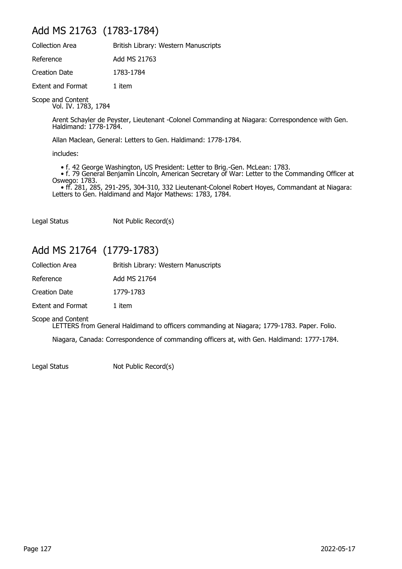## Add MS 21763 (1783-1784)

| <b>Collection Area</b>   | British Library: Western Manuscripts |
|--------------------------|--------------------------------------|
| Reference                | Add MS 21763                         |
| Creation Date            | 1783-1784                            |
| <b>Extent and Format</b> | 1 item                               |

Scope and Content

Vol. IV. 1783, 1784

Arent Schayler de Peyster, Lieutenant -Colonel Commanding at Niagara: Correspondence with Gen. Haldimand: 1778-1784.

Allan Maclean, General: Letters to Gen. Haldimand: 1778-1784.

includes:

• f. 42 George Washington, US President: Letter to Brig.-Gen. McLean: 1783.

 • f. 79 General Benjamin Lincoln, American Secretary of War: Letter to the Commanding Officer at Oswego: 1783.

 • ff. 281, 285, 291-295, 304-310, 332 Lieutenant-Colonel Robert Hoyes, Commandant at Niagara: Letters to Gen. Haldimand and Major Mathews: 1783, 1784.

Legal Status Not Public Record(s)

### Add MS 21764 (1779-1783)

| <b>Collection Area</b>   | British Library: Western Manuscripts |
|--------------------------|--------------------------------------|
| Reference                | Add MS 21764                         |
| Creation Date            | 1779-1783                            |
| <b>Extent and Format</b> | 1 item                               |

Scope and Content

LETTERS from General Haldimand to officers commanding at Niagara; 1779-1783. Paper. Folio.

Niagara, Canada: Correspondence of commanding officers at, with Gen. Haldimand: 1777-1784.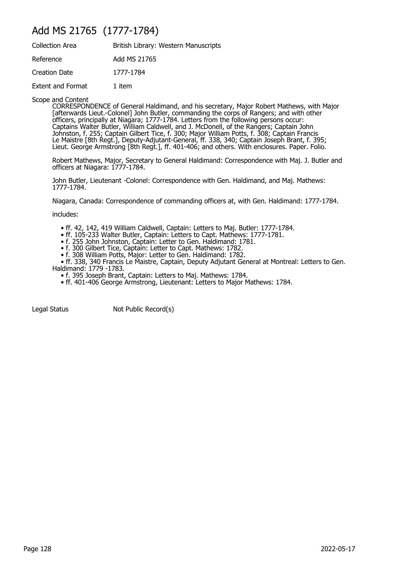#### Add MS 21765 (1777-1784)

| <b>Collection Area</b> | British Library: Western Manuscripts |
|------------------------|--------------------------------------|
| Reference              | Add MS 21765                         |
| Creation Date          | 1777-1784                            |
| Extent and Format      | 1 item                               |

Scope and Content

CORRESPONDENCE of General Haldimand, and his secretary, Major Robert Mathews, with Major [afterwards Lieut.-Colonel] John Butler, commanding the corps of Rangers; and with other officers, principally at Niagara; 1777-1784. Letters from the following persons occur: Captains Walter Butler, William Caldwell, and J. McDonell, of the Rangers; Captain John Johnston, f. 255; Captain Gilbert Tice, f. 300; Major William Potts, f. 308; Captain Francis Le Maistre [8th Regt.], Deputy-Adjutant-General, ff. 338, 340; Captain Joseph Brant, f. 395; Lieut. George Armstrong [8th Regt.], ff. 401-406; and others. With enclosures. Paper. Folio.

Robert Mathews, Major, Secretary to General Haldimand: Correspondence with Maj. J. Butler and officers at Niagara: 1777-1784.

John Butler, Lieutenant -Colonel: Correspondence with Gen. Haldimand, and Maj. Mathews: 1777-1784.

Niagara, Canada: Correspondence of commanding officers at, with Gen. Haldimand: 1777-1784.

includes:

- ff. 42, 142, 419 William Caldwell, Captain: Letters to Maj. Butler: 1777-1784.
- ff. 105-233 Walter Butler, Captain: Letters to Capt. Mathews: 1777-1781.
- f. 255 John Johnston, Captain: Letter to Gen. Haldimand: 1781.
- f. 300 Gilbert Tice, Captain: Letter to Capt. Mathews: 1782.
- f. 308 William Potts, Major: Letter to Gen. Haldimand: 1782.

 • ff. 338, 340 Francis Le Maistre, Captain, Deputy Adjutant General at Montreal: Letters to Gen. Haldimand: 1779 -1783.

- f. 395 Joseph Brant, Captain: Letters to Maj. Mathews: 1784.
- ff. 401-406 George Armstrong, Lieutenant: Letters to Major Mathews: 1784.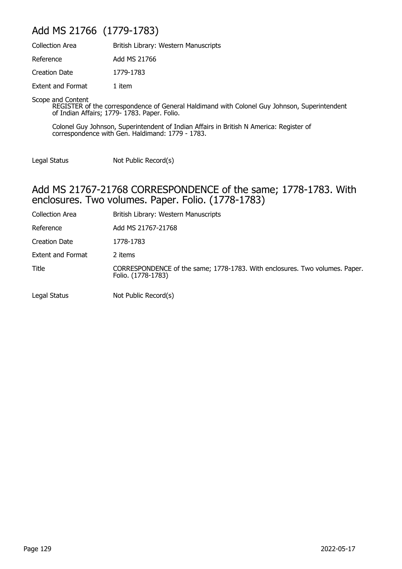## Add MS 21766 (1779-1783)

| <b>Collection Area</b>   | British Library: Western Manuscripts |
|--------------------------|--------------------------------------|
| Reference                | Add MS 21766                         |
| Creation Date            | 1779-1783                            |
| <b>Extent and Format</b> | 1 item                               |

Scope and Content

REGISTER of the correspondence of General Haldimand with Colonel Guy Johnson, Superintendent of Indian Affairs; 1779- 1783. Paper. Folio.

Colonel Guy Johnson, Superintendent of Indian Affairs in British N America: Register of correspondence with Gen. Haldimand: 1779 - 1783.

Legal Status Not Public Record(s)

#### Add MS 21767-21768 CORRESPONDENCE of the same; 1778-1783. With enclosures. Two volumes. Paper. Folio. (1778-1783)

| <b>Collection Area</b> | British Library: Western Manuscripts                                                              |
|------------------------|---------------------------------------------------------------------------------------------------|
| Reference              | Add MS 21767-21768                                                                                |
| Creation Date          | 1778-1783                                                                                         |
| Extent and Format      | 2 items                                                                                           |
| Title                  | CORRESPONDENCE of the same; 1778-1783. With enclosures. Two volumes. Paper.<br>Folio. (1778-1783) |
| Legal Status           | Not Public Record(s)                                                                              |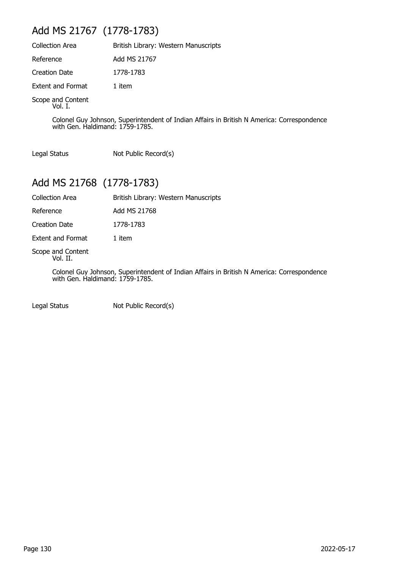## Add MS 21767 (1778-1783)

| <b>Collection Area</b>       | British Library: Western Manuscripts |
|------------------------------|--------------------------------------|
| Reference                    | Add MS 21767                         |
| <b>Creation Date</b>         | 1778-1783                            |
| <b>Extent and Format</b>     | 1 item                               |
| Scope and Content<br>Vol. I. |                                      |

Colonel Guy Johnson, Superintendent of Indian Affairs in British N America: Correspondence with Gen. Haldimand: 1759-1785.

Legal Status Not Public Record(s)

## Add MS 21768 (1778-1783)

| Collection Area | British Library: Western Manuscripts |
|-----------------|--------------------------------------|
| Reference       | Add MS 21768                         |
| Creation Date   | 1778-1783                            |

Extent and Format 1 item

Scope and Content Vol. II.

> Colonel Guy Johnson, Superintendent of Indian Affairs in British N America: Correspondence with Gen. Haldimand: 1759-1785.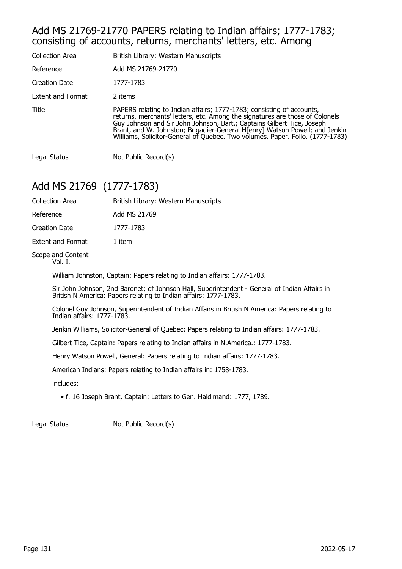#### Add MS 21769-21770 PAPERS relating to Indian affairs; 1777-1783; consisting of accounts, returns, merchants' letters, etc. Among

| <b>Collection Area</b>   | British Library: Western Manuscripts                                                                                                                                                                                                                                                                                                                                                          |
|--------------------------|-----------------------------------------------------------------------------------------------------------------------------------------------------------------------------------------------------------------------------------------------------------------------------------------------------------------------------------------------------------------------------------------------|
| Reference                | Add MS 21769-21770                                                                                                                                                                                                                                                                                                                                                                            |
| <b>Creation Date</b>     | 1777-1783                                                                                                                                                                                                                                                                                                                                                                                     |
| <b>Extent and Format</b> | 2 items                                                                                                                                                                                                                                                                                                                                                                                       |
| Title                    | PAPERS relating to Indian affairs; 1777-1783; consisting of accounts,<br>returns, merchants' letters, etc. Among the signatures are those of Colonels<br>Guy Johnson and Sir John Johnson, Bart.; Captains Gilbert Tice, Joseph<br>Brant, and W. Johnston; Brigadier-General Henry Watson Powell; and Jenkin<br>Williams, Solicitor-General of Quebec. Two volumes. Paper. Folio. (1777-1783) |
| Legal Status             | Not Public Record(s)                                                                                                                                                                                                                                                                                                                                                                          |

#### Add MS 21769 (1777-1783)

| Collection Area          | British Library: Western Manuscripts |
|--------------------------|--------------------------------------|
| Reference                | Add MS 21769                         |
| <b>Creation Date</b>     | 1777-1783                            |
| <b>Extent and Format</b> | 1 item                               |
| Scope and Content        |                                      |

Vol. I.

William Johnston, Captain: Papers relating to Indian affairs: 1777-1783.

Sir John Johnson, 2nd Baronet; of Johnson Hall, Superintendent - General of Indian Affairs in British N America: Papers relating to Indian affairs: 1777-1783.

Colonel Guy Johnson, Superintendent of Indian Affairs in British N America: Papers relating to Indian affairs: 1777-1783.

Jenkin Williams, Solicitor-General of Quebec: Papers relating to Indian affairs: 1777-1783.

Gilbert Tice, Captain: Papers relating to Indian affairs in N.America.: 1777-1783.

Henry Watson Powell, General: Papers relating to Indian affairs: 1777-1783.

American Indians: Papers relating to Indian affairs in: 1758-1783.

includes:

• f. 16 Joseph Brant, Captain: Letters to Gen. Haldimand: 1777, 1789.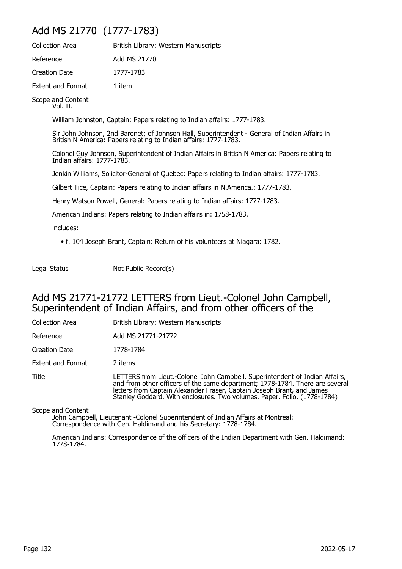#### Add MS 21770 (1777-1783)

| <b>Collection Area</b>             | British Library: Western Manuscripts |
|------------------------------------|--------------------------------------|
| Reference                          | Add MS 21770                         |
| <b>Creation Date</b>               | 1777-1783                            |
| <b>Extent and Format</b>           | 1 item                               |
| $\sim$ $\sim$ $\sim$ $\sim$ $\sim$ |                                      |

Scope and Content Vol. II.

William Johnston, Captain: Papers relating to Indian affairs: 1777-1783.

Sir John Johnson, 2nd Baronet; of Johnson Hall, Superintendent - General of Indian Affairs in British N America: Papers relating to Indian affairs: 1777-1783.

Colonel Guy Johnson, Superintendent of Indian Affairs in British N America: Papers relating to Indian affairs: 1777-1783.

Jenkin Williams, Solicitor-General of Quebec: Papers relating to Indian affairs: 1777-1783.

Gilbert Tice, Captain: Papers relating to Indian affairs in N.America.: 1777-1783.

Henry Watson Powell, General: Papers relating to Indian affairs: 1777-1783.

American Indians: Papers relating to Indian affairs in: 1758-1783.

includes:

• f. 104 Joseph Brant, Captain: Return of his volunteers at Niagara: 1782.

Legal Status Not Public Record(s)

#### Add MS 21771-21772 LETTERS from Lieut.-Colonel John Campbell, Superintendent of Indian Affairs, and from other officers of the

| <b>Collection Area</b>   | British Library: Western Manuscripts                                                                                                                                                                                                                                                                               |
|--------------------------|--------------------------------------------------------------------------------------------------------------------------------------------------------------------------------------------------------------------------------------------------------------------------------------------------------------------|
| Reference                | Add MS 21771-21772                                                                                                                                                                                                                                                                                                 |
| Creation Date            | 1778-1784                                                                                                                                                                                                                                                                                                          |
| <b>Extent and Format</b> | 2 items                                                                                                                                                                                                                                                                                                            |
| Title                    | LETTERS from Lieut.-Colonel John Campbell, Superintendent of Indian Affairs,<br>and from other officers of the same department; 1778-1784. There are several<br>letters from Captain Alexander Fraser, Captain Joseph Brant, and James<br>Stanley Goddard. With enclosures. Two volumes. Paper. Folio. (1778-1784) |

Scope and Content

John Campbell, Lieutenant -Colonel Superintendent of Indian Affairs at Montreal: Correspondence with Gen. Haldimand and his Secretary: 1778-1784.

American Indians: Correspondence of the officers of the Indian Department with Gen. Haldimand: 1778-1784.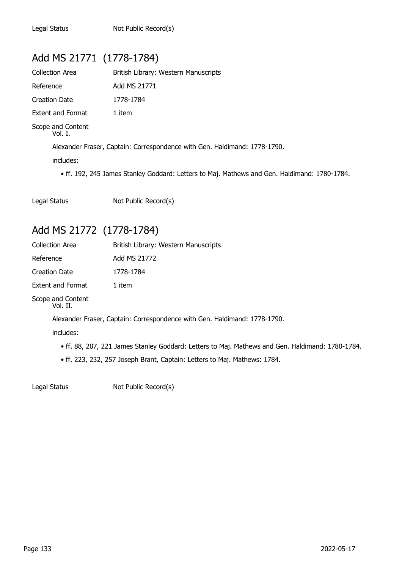## Add MS 21771 (1778-1784)

| Collection Area              | British Library: Western Manuscripts |
|------------------------------|--------------------------------------|
| Reference                    | Add MS 21771                         |
| Creation Date                | 1778-1784                            |
| <b>Extent and Format</b>     | 1 item                               |
| Scope and Content<br>Vol. I. |                                      |

Alexander Fraser, Captain: Correspondence with Gen. Haldimand: 1778-1790.

includes:

• ff. 192, 245 James Stanley Goddard: Letters to Maj. Mathews and Gen. Haldimand: 1780-1784.

Legal Status Not Public Record(s)

#### Add MS 21772 (1778-1784)

| <b>Collection Area</b>   | British Library: Western Manuscripts |
|--------------------------|--------------------------------------|
| Reference                | Add MS 21772                         |
| <b>Creation Date</b>     | 1778-1784                            |
| <b>Extent and Format</b> | 1 item                               |
| Cassa sud Captant        |                                      |

Scope and Content Vol. II.

Alexander Fraser, Captain: Correspondence with Gen. Haldimand: 1778-1790.

includes:

- ff. 88, 207, 221 James Stanley Goddard: Letters to Maj. Mathews and Gen. Haldimand: 1780-1784.
- ff. 223, 232, 257 Joseph Brant, Captain: Letters to Maj. Mathews: 1784.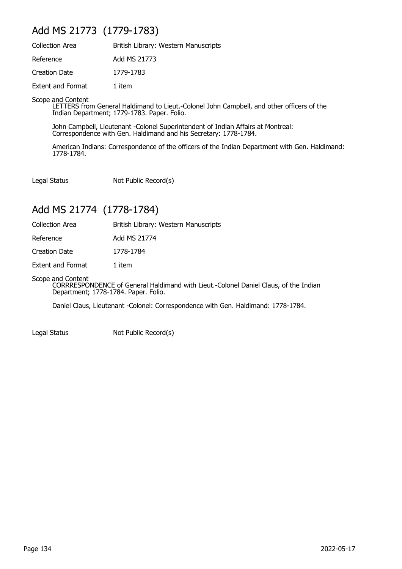#### Add MS 21773 (1779-1783)

| <b>Collection Area</b>   | British Library: Western Manuscripts |
|--------------------------|--------------------------------------|
| Reference                | Add MS 21773                         |
| Creation Date            | 1779-1783                            |
| <b>Extent and Format</b> | 1 item                               |

Scope and Content

LETTERS from General Haldimand to Lieut.-Colonel John Campbell, and other officers of the Indian Department; 1779-1783. Paper. Folio.

John Campbell, Lieutenant -Colonel Superintendent of Indian Affairs at Montreal: Correspondence with Gen. Haldimand and his Secretary: 1778-1784.

American Indians: Correspondence of the officers of the Indian Department with Gen. Haldimand: 1778-1784.

Legal Status Not Public Record(s)

#### Add MS 21774 (1778-1784)

Collection Area **British Library: Western Manuscripts** 

Reference Add MS 21774

Creation Date 1778-1784

Extent and Format 1 item

Scope and Content

CORRRESPONDENCE of General Haldimand with Lieut.-Colonel Daniel Claus, of the Indian Department; 1778-1784. Paper. Folio.

Daniel Claus, Lieutenant -Colonel: Correspondence with Gen. Haldimand: 1778-1784.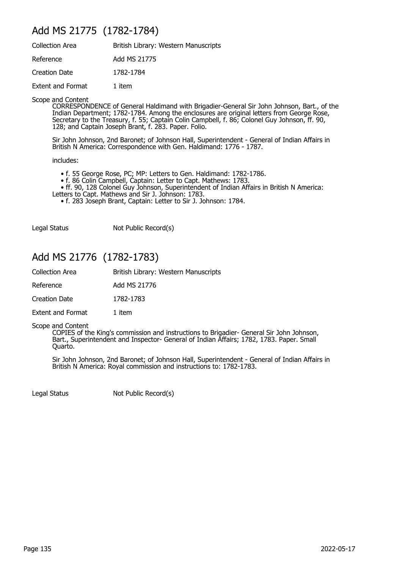#### Add MS 21775 (1782-1784)

| <b>Collection Area</b>   | British Library: Western Manuscripts |
|--------------------------|--------------------------------------|
| Reference                | Add MS 21775                         |
| Creation Date            | 1782-1784                            |
| <b>Extent and Format</b> | 1 item                               |

Scope and Content

CORRESPONDENCE of General Haldimand with Brigadier-General Sir John Johnson, Bart., of the Indian Department; 1782-1784. Among the enclosures are original letters from George Rose, Secretary to the Treasury, f. 55; Captain Colin Campbell, f. 86; Colonel Guy Johnson, ff. 90, 128; and Captain Joseph Brant, f. 283. Paper. Folio.

Sir John Johnson, 2nd Baronet; of Johnson Hall, Superintendent - General of Indian Affairs in British N America: Correspondence with Gen. Haldimand: 1776 - 1787.

includes:

- f. 55 George Rose, PC; MP: Letters to Gen. Haldimand: 1782-1786.
- f. 86 Colin Campbell, Captain: Letter to Capt. Mathews: 1783.

• ff. 90, 128 Colonel Guy Johnson, Superintendent of Indian Affairs in British N America:

- Letters to Capt. Mathews and Sir J. Johnson: 1783.
	- f. 283 Joseph Brant, Captain: Letter to Sir J. Johnson: 1784.

Legal Status Not Public Record(s)

#### Add MS 21776 (1782-1783)

| Collection Area | British Library: Western Manuscripts |
|-----------------|--------------------------------------|
| Reference       | Add MS 21776                         |

Creation Date 1782-1783

Extent and Format 1 item

Scope and Content

COPIES of the King's commission and instructions to Brigadier- General Sir John Johnson, Bart., Superintendent and Inspector- General of Indian Affairs; 1782, 1783. Paper. Small Quarto.

Sir John Johnson, 2nd Baronet; of Johnson Hall, Superintendent - General of Indian Affairs in British N America: Royal commission and instructions to: 1782-1783.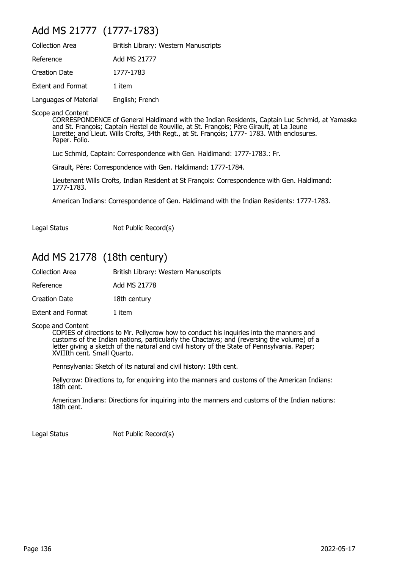## Add MS 21777 (1777-1783)

| <b>Collection Area</b>   | British Library: Western Manuscripts |
|--------------------------|--------------------------------------|
| Reference                | Add MS 21777                         |
| <b>Creation Date</b>     | 1777-1783                            |
| <b>Extent and Format</b> | 1 item                               |
| Languages of Material    | English; French                      |

Scope and Content

CORRESPONDENCE of General Haldimand with the Indian Residents, Captain Luc Schmid, at Yamaska and St. François; Captain Hestel de Rouville, at St. François; Père Girault, at La Jeune Lorette; and Lieut. Wills Crofts, 34th Regt., at St. François; 1777- 1783. With enclosures. Paper. Folio.

Luc Schmid, Captain: Correspondence with Gen. Haldimand: 1777-1783.: Fr.

Girault, Père: Correspondence with Gen. Haldimand: 1777-1784.

Lieutenant Wills Crofts, Indian Resident at St François: Correspondence with Gen. Haldimand: 1777-1783.

American Indians: Correspondence of Gen. Haldimand with the Indian Residents: 1777-1783.

Legal Status Not Public Record(s)

#### Add MS 21778 (18th century)

| British Library: Western Manuscripts |
|--------------------------------------|
| Add MS 21778                         |
| 18th century                         |
| 1 item                               |
|                                      |

Scope and Content

COPIES of directions to Mr. Pellycrow how to conduct his inquiries into the manners and customs of the Indian nations, particularly the Chactaws; and (reversing the volume) of a letter giving a sketch of the natural and civil history of the State of Pennsylvania. Paper; XVIIIth cent. Small Quarto.

Pennsylvania: Sketch of its natural and civil history: 18th cent.

Pellycrow: Directions to, for enquiring into the manners and customs of the American Indians: 18th cent.

American Indians: Directions for inquiring into the manners and customs of the Indian nations: 18th cent.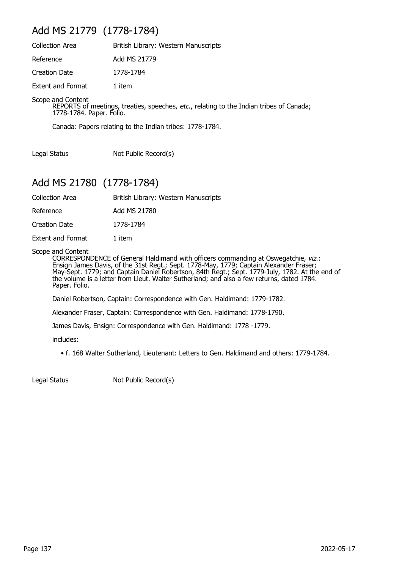#### Add MS 21779 (1778-1784)

| <b>Collection Area</b>   | British Library: Western Manuscripts |
|--------------------------|--------------------------------------|
| Reference                | Add MS 21779                         |
| Creation Date            | 1778-1784                            |
| <b>Extent and Format</b> | 1 item                               |

Scope and Content

REPORTS of meetings, treaties, speeches, *etc.*, relating to the Indian tribes of Canada; 1778-1784. Paper. Folio.

Canada: Papers relating to the Indian tribes: 1778-1784.

Legal Status Not Public Record(s)

#### Add MS 21780 (1778-1784)

| British Library: Western Manuscripts |
|--------------------------------------|

Reference Add MS 21780

Creation Date 1778-1784

Extent and Format 1 item

Scope and Content

CORRESPONDENCE of General Haldimand with officers commanding at Oswegatchie, viz.: Ensign James Davis, of the 31st Regt.; Sept. 1778-May, 1779; Captain Alexander Fraser; May-Sept. 1779; and Captain Daniel Robertson, 84th Regt.; Sept. 1779-July, 1782. At the end of the volume is a letter from Lieut. Walter Sutherland; and also a few returns, dated 1784. Paper. Folio.

Daniel Robertson, Captain: Correspondence with Gen. Haldimand: 1779-1782.

Alexander Fraser, Captain: Correspondence with Gen. Haldimand: 1778-1790.

James Davis, Ensign: Correspondence with Gen. Haldimand: 1778 -1779.

includes:

• f. 168 Walter Sutherland, Lieutenant: Letters to Gen. Haldimand and others: 1779-1784.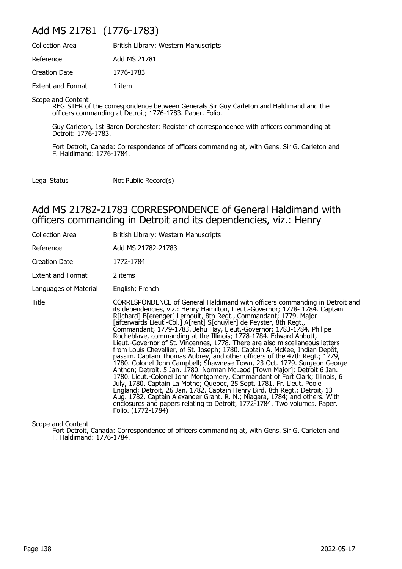#### Add MS 21781 (1776-1783)

| <b>Collection Area</b>   | British Library: Western Manuscripts |
|--------------------------|--------------------------------------|
| Reference                | Add MS 21781                         |
| <b>Creation Date</b>     | 1776-1783                            |
| <b>Extent and Format</b> | 1 item                               |

Scope and Content

REGISTER of the correspondence between Generals Sir Guy Carleton and Haldimand and the officers commanding at Detroit; 1776-1783. Paper. Folio.

Guy Carleton, 1st Baron Dorchester: Register of correspondence with officers commanding at Detroit: 1776-1783.

Fort Detroit, Canada: Correspondence of officers commanding at, with Gens. Sir G. Carleton and F. Haldimand: 1776-1784.

Legal Status Not Public Record(s)

#### Add MS 21782-21783 CORRESPONDENCE of General Haldimand with officers commanding in Detroit and its dependencies, viz.: Henry

| Collection Area       | British Library: Western Manuscripts                                                                                                                                                                                                                                                                                                                                                                                                                                                                                                                                                                                                                                                                                                                                                                                                                                                                                                                                                                                                                                                                                                                                                                                                                                          |
|-----------------------|-------------------------------------------------------------------------------------------------------------------------------------------------------------------------------------------------------------------------------------------------------------------------------------------------------------------------------------------------------------------------------------------------------------------------------------------------------------------------------------------------------------------------------------------------------------------------------------------------------------------------------------------------------------------------------------------------------------------------------------------------------------------------------------------------------------------------------------------------------------------------------------------------------------------------------------------------------------------------------------------------------------------------------------------------------------------------------------------------------------------------------------------------------------------------------------------------------------------------------------------------------------------------------|
| Reference             | Add MS 21782-21783                                                                                                                                                                                                                                                                                                                                                                                                                                                                                                                                                                                                                                                                                                                                                                                                                                                                                                                                                                                                                                                                                                                                                                                                                                                            |
| <b>Creation Date</b>  | 1772-1784                                                                                                                                                                                                                                                                                                                                                                                                                                                                                                                                                                                                                                                                                                                                                                                                                                                                                                                                                                                                                                                                                                                                                                                                                                                                     |
| Extent and Format     | 2 items                                                                                                                                                                                                                                                                                                                                                                                                                                                                                                                                                                                                                                                                                                                                                                                                                                                                                                                                                                                                                                                                                                                                                                                                                                                                       |
| Languages of Material | English; French                                                                                                                                                                                                                                                                                                                                                                                                                                                                                                                                                                                                                                                                                                                                                                                                                                                                                                                                                                                                                                                                                                                                                                                                                                                               |
| Title                 | CORRESPONDENCE of General Haldimand with officers commanding in Detroit and<br>its dependencies, viz.: Henry Hamilton, Lieut.-Governor; 1778-1784. Captain<br>R[ichard] B[erenger] Lernoult, 8th Regt., Commandant; 1779. Major<br>afterwards Lieut.-Col.] A[rent] S[chuyler] de Peyster, 8th Regt.,<br>Commandant; 1779-1783. Jehu Hay, Lieut.-Governor; 1783-1784. Philipe<br>Rocheblave, commanding at the Illinois; 1778-1784. Edward Abbott,<br>Lieut.-Governor of St. Vincennes, 1778. There are also miscellaneous letters<br>from Louis Chevallier, of St. Joseph; 1780. Captain A. McKee, Indian Depôt,<br>passim. Captain Thomas Aubrey, and other officers of the 47th Regt.; 1779,<br>1780. Colonel John Campbell; Shawnese Town, 23 Oct. 1779. Surgeon George<br>Anthon; Detroit, 5 Jan. 1780. Norman McLeod [Town Major]; Detroit 6 Jan.<br>1780. Lieut.-Colonel John Montgomery, Commandant of Fort Clark; Illinois, 6<br>July, 1780. Captain La Mothe; Quebec, 25 Sept. 1781. Fr. Lieut. Poole<br>England; Detroit, 26 Jan. 1782. Captain Henry Bird, 8th Regt.; Detroit, 13<br>Aug. 1782. Captain Alexander Grant, R. N.; Niagara, 1784; and others. With<br>enclosures and papers relating to Detroit; 1772-1784. Two volumes. Paper.<br>Folio. (1772-1784) |

Scope and Content

Fort Detroit, Canada: Correspondence of officers commanding at, with Gens. Sir G. Carleton and F. Haldimand: 1776-1784.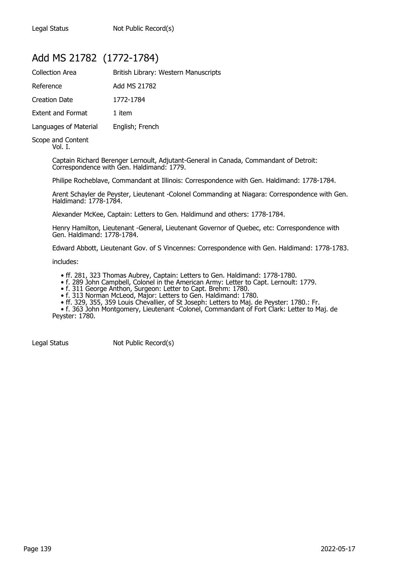#### Add MS 21782 (1772-1784)

| <b>Collection Area</b>   | British Library: Western Manuscripts |
|--------------------------|--------------------------------------|
| Reference                | Add MS 21782                         |
| <b>Creation Date</b>     | 1772-1784                            |
| <b>Extent and Format</b> | 1 item                               |
| Languages of Material    | English; French                      |
| Conno and Contant        |                                      |

Scope and Content Vol. I.

> Captain Richard Berenger Lernoult, Adjutant-General in Canada, Commandant of Detroit: Correspondence with Gen. Haldimand: 1779.

Philipe Rocheblave, Commandant at Illinois: Correspondence with Gen. Haldimand: 1778-1784.

Arent Schayler de Peyster, Lieutenant -Colonel Commanding at Niagara: Correspondence with Gen. Haldimand: 1778-1784.

Alexander McKee, Captain: Letters to Gen. Haldimund and others: 1778-1784.

Henry Hamilton, Lieutenant -General, Lieutenant Governor of Quebec, etc: Correspondence with Gen. Haldimand: 1778-1784.

Edward Abbott, Lieutenant Gov. of S Vincennes: Correspondence with Gen. Haldimand: 1778-1783.

includes:

• ff. 281, 323 Thomas Aubrey, Captain: Letters to Gen. Haldimand: 1778-1780.

• f. 289 John Campbell, Colonel in the American Army: Letter to Capt. Lernoult: 1779.

• f. 311 George Anthon, Surgeon: Letter to Capt. Brehm: 1780.

• f. 313 Norman McLeod, Major: Letters to Gen. Haldimand: 1780.

• ff. 329, 355, 359 Louis Chevallier, of St Joseph: Letters to Maj. de Peyster: 1780.: Fr.

 • f. 363 John Montgomery, Lieutenant -Colonel, Commandant of Fort Clark: Letter to Maj. de Peyster: 1780.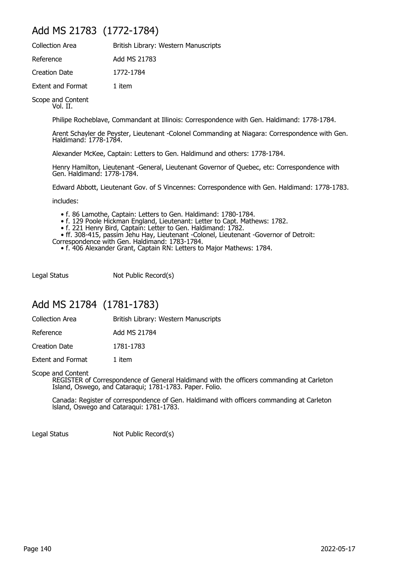#### Add MS 21783 (1772-1784)

| <b>Collection Area</b>   | British Library: Western Manuscripts |
|--------------------------|--------------------------------------|
| Reference                | Add MS 21783                         |
| Creation Date            | 1772-1784                            |
| <b>Extent and Format</b> | 1 item                               |

Scope and Content Vol. II.

Philipe Rocheblave, Commandant at Illinois: Correspondence with Gen. Haldimand: 1778-1784.

Arent Schayler de Peyster, Lieutenant -Colonel Commanding at Niagara: Correspondence with Gen. Haldimand: 1778-1784.

Alexander McKee, Captain: Letters to Gen. Haldimund and others: 1778-1784.

Henry Hamilton, Lieutenant -General, Lieutenant Governor of Quebec, etc: Correspondence with Gen. Haldimand: 1778-1784.

Edward Abbott, Lieutenant Gov. of S Vincennes: Correspondence with Gen. Haldimand: 1778-1783.

includes:

- f. 86 Lamothe, Captain: Letters to Gen. Haldimand: 1780-1784.
- f. 129 Poole Hickman England, Lieutenant: Letter to Capt. Mathews: 1782.
- f. 221 Henry Bird, Captain: Letter to Gen. Haldimand: 1782.
- ff. 308-415, passim Jehu Hay, Lieutenant -Colonel, Lieutenant -Governor of Detroit:
- Correspondence with Gen. Haldimand: 1783-1784.
	- f. 406 Alexander Grant, Captain RN: Letters to Major Mathews: 1784.

Legal Status Not Public Record(s)

#### Add MS 21784 (1781-1783)

Collection Area **British Library: Western Manuscripts** 

| Reference | Add MS 21784 |
|-----------|--------------|
|           |              |

Creation Date 1781-1783

Extent and Format 1 item

Scope and Content

REGISTER of Correspondence of General Haldimand with the officers commanding at Carleton Island, Oswego, and Cataraqui; 1781-1783. Paper. Folio.

Canada: Register of correspondence of Gen. Haldimand with officers commanding at Carleton lsland, Oswego and Cataraqui: 1781-1783.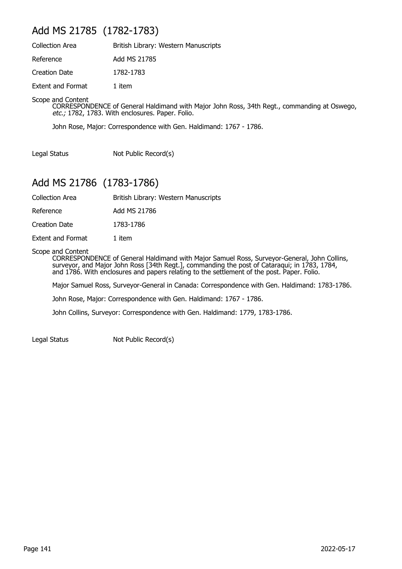#### Add MS 21785 (1782-1783)

| <b>Collection Area</b>   | British Library: Western Manuscripts |
|--------------------------|--------------------------------------|
| Reference                | Add MS 21785                         |
| <b>Creation Date</b>     | 1782-1783                            |
| <b>Extent and Format</b> | 1 item                               |

Scope and Content

CORRESPONDENCE of General Haldimand with Major John Ross, 34th Regt., commanding at Oswego, etc.; 1782, 1783. With enclosures. Paper. Folio.

John Rose, Major: Correspondence with Gen. Haldimand: 1767 - 1786.

Legal Status Not Public Record(s)

#### Add MS 21786 (1783-1786)

Collection Area British Library: Western Manuscripts

Reference Add MS 21786

Creation Date 1783-1786

Extent and Format 1 item

Scope and Content

CORRESPONDENCE of General Haldimand with Major Samuel Ross, Surveyor-General, John Collins, surveyor, and Major John Ross [34th Regt.], commanding the post of Cataraqui; in 1783, 1784, and 1786. With enclosures and papers relating to the settlement of the post. Paper. Folio.

Major Samuel Ross, Surveyor-General in Canada: Correspondence with Gen. Haldimand: 1783-1786.

John Rose, Major: Correspondence with Gen. Haldimand: 1767 - 1786.

John Collins, Surveyor: Correspondence with Gen. Haldimand: 1779, 1783-1786.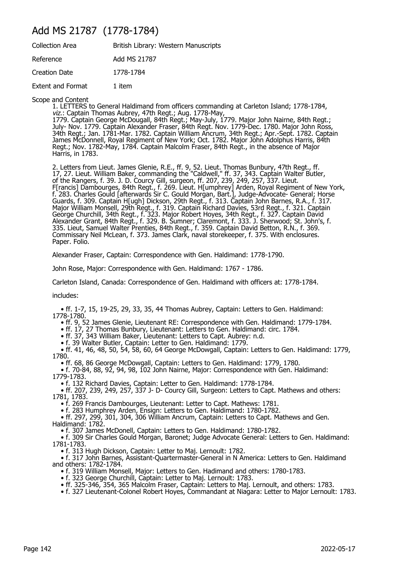#### Add MS 21787 (1778-1784)

| <b>Collection Area</b>   | British Library: Western Manuscripts |
|--------------------------|--------------------------------------|
| Reference                | Add MS 21787                         |
| <b>Creation Date</b>     | 1778-1784                            |
| <b>Extent and Format</b> | 1 item                               |

Scope and Content

1. LETTERS to General Haldimand from officers commanding at Carleton Island; 1778-1784, viz.: Captain Thomas Aubrey, 47th Regt.; Aug. 1778-May, 1779. Captain George McDougall, 84th Regt.; May-July, 1779. Major John Nairne, 84th Regt.; July- Nov. 1779. Captain Alexander Fraser, 84th Regt. Nov. 1779-Dec. 1780. Major John Ross, 34th Regt.; Jan. 1781-Mar. 1782. Captain William Ancrum, 34th Regt.; Apr.-Sept. 1782. Captain James McDonnell, Royal Regiment of New York; Oct. 1782. Major John Adolphus Harris, 84th Regt.; Nov. 1782-May, 1784. Captain Malcolm Fraser, 84th Regt., in the absence of Major Harris, in 1783.

2. Letters from Lieut. James Glenie, R.E., ff. 9, 52. Lieut. Thomas Bunbury, 47th Regt., ff. 17, 27. Lieut. William Baker, commanding the "Caldwell," ff. 37, 343. Captain Walter Butler, of the Rangers, f. 39. J. D. Courcy Gill, surgeon, ff. 207, 239, 249, 257, 337. Lieut. F[rancis] Dambourges, 84th Regt., f. 269. Lieut. H[umphrey] Arden, Royal Regiment of New York, f. 283. Charles Gould [afterwards Sir C. Gould Morgan, Bart.], Judge-Advocate- General; Horse Guards, f. 309. Captain H[ugh] Dickson, 29th Regt., f. 313. Captain John Barnes, R.A., f. 317. Major William Monsell, 29th Regt., f. 319. Captain Richard Davies, 53rd Regt., f. 321. Captain George Churchill, 34th Regt., f. 323. Major Robert Hoyes, 34th Regt., f. 327. Captain David Alexander Grant, 84th Regt., f. 329. B. Sumner; Claremont, f. 333. J. Sherwood; St. John's, f. 335. Lieut, Samuel Walter Prenties, 84th Regt., f. 359. Captain David Betton, R.N., f. 369. Commissary Neil McLean, f. 373. James Clark, naval storekeeper, f. 375. With enclosures. Paper. Folio.

Alexander Fraser, Captain: Correspondence with Gen. Haldimand: 1778-1790.

John Rose, Major: Correspondence with Gen. Haldimand: 1767 - 1786.

Carleton Island, Canada: Correspondence of Gen. Haldimand with officers at: 1778-1784.

includes:

 • ff. 1-7, 15, 19-25, 29, 33, 35, 44 Thomas Aubrey, Captain: Letters to Gen. Haldimand: 1778-1780.

• ff. 9, 52 James Glenie, Lieutenant RE: Correspondence with Gen. Haldimand: 1779-1784.

• ff. 17, 27 Thomas Bunbury, Lieutenant: Letters to Gen. Haldimand: circ. 1784.

• ff. 37, 343 William Baker, Lieutenant: Letters to Capt. Aubrey: n.d.

• f. 39 Walter Butler, Captain: Letter to Gen. Haldimand: 1779.

 • ff. 41, 46, 48, 50, 54, 58, 60, 64 George McDowgall, Captain: Letters to Gen. Haldimand: 1779, 1780.

• ff. 68, 86 George McDowgall, Captain: Letters to Gen. Haldimand: 1779, 1780.

 • f. 70-84, 88, 92, 94, 98, 102 John Nairne, Major: Correspondence with Gen. Haldimand: 1779-1783.

• f. 132 Richard Davies, Captain: Letter to Gen. Haldimand: 1778-1784.

 • ff. 207, 239, 249, 257, 337 J- D- Courcy Gill, Surgeon: Letters to Capt. Mathews and others: 1781, 1783.

• f. 269 Francis Dambourges, Lieutenant: Letter to Capt. Mathews: 1781.

• f. 283 Humphrey Arden, Ensign: Letters to Gen. Haldimand: 1780-1782.

 • ff. 297, 299, 301, 304, 306 William Ancrum, Captain: Letters to Capt. Mathews and Gen. Haldimand: 1782.

• f. 307 James McDonell, Captain: Letters to Gen. Haldimand: 1780-1782.

 • f. 309 Sir Charles Gould Morgan, Baronet; Judge Advocate General: Letters to Gen. Haldimand: 1781-1783.

• f. 313 Hugh Dickson, Captain: Letter to Maj. Lernoult: 1782.

 • f. 317 John Barnes, Assistant-Quartermaster-General in N America: Letters to Gen. Haldimand and others: 1782-1784.

• f. 319 William Monsell, Major: Letters to Gen. Hadimand and others: 1780-1783.

• f. 323 George Churchill, Captain: Letter to Maj. Lernoult: 1783.

• ff. 325-346, 354, 365 Malcolm Fraser, Captain: Letters to Maj. Lernoult, and others: 1783.

• f. 327 Lieutenant-Colonel Robert Hoyes, Commandant at Niagara: Letter to Major Lernoult: 1783.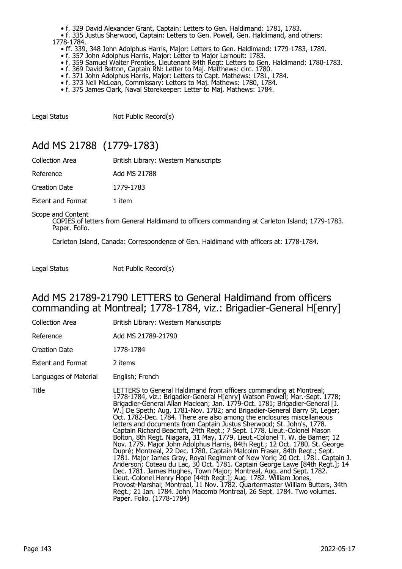- f. 329 David Alexander Grant, Captain: Letters to Gen. Haldimand: 1781, 1783.
- f. 335 Justus Sherwood, Captain: Letters to Gen. Powell, Gen. Haldimand, and others: 1778-1784.
	- ff. 339, 348 John Adolphus Harris, Major: Letters to Gen. Haldimand: 1779-1783, 1789.
- f. 357 John Adolphus Harris, Major: Letter to Major Lernoult: 1783.
- f. 359 Samuel Walter Prenties, Lieutenant 84th Regt: Letters to Gen. Haldimand: 1780-1783.
- f. 369 David Betton, Captain RN: Letter to Maj. Matthews: circ. 1780.
- f. 371 John Adolphus Harris, Major: Letters to Capt. Mathews: 1781, 1784.
- f. 373 Neil McLean, Commissary: Letters to Maj. Mathews: 1780, 1784.
- f. 375 James Clark, Naval Storekeeper: Letter to Maj. Mathews: 1784.

Legal Status Not Public Record(s)

### Add MS 21788 (1779-1783)

| Collection Area | British Library: Western Manuscripts |
|-----------------|--------------------------------------|
| Reference       | Add MS 21788                         |

Creation Date 1779-1783

Extent and Format 1 item

Scope and Content

COPIES of letters from General Haldimand to officers commanding at Carleton Island; 1779-1783. Paper. Folio.

Carleton Island, Canada: Correspondence of Gen. Haldimand with officers at: 1778-1784.

Legal Status Not Public Record(s)

#### Add MS 21789-21790 LETTERS to General Haldimand from officers commanding at Montreal; 1778-1784, viz.: Brigadier-General H[enry]

| Collection Area       | British Library: Western Manuscripts                                                                                                                                                                                                                                                                                                                                                                                                                                                                                                                                                                                                                                                                                                                                                                                                                                                                                                                                                                                                                                                                                                                                                                                                                                                    |
|-----------------------|-----------------------------------------------------------------------------------------------------------------------------------------------------------------------------------------------------------------------------------------------------------------------------------------------------------------------------------------------------------------------------------------------------------------------------------------------------------------------------------------------------------------------------------------------------------------------------------------------------------------------------------------------------------------------------------------------------------------------------------------------------------------------------------------------------------------------------------------------------------------------------------------------------------------------------------------------------------------------------------------------------------------------------------------------------------------------------------------------------------------------------------------------------------------------------------------------------------------------------------------------------------------------------------------|
| Reference             | Add MS 21789-21790                                                                                                                                                                                                                                                                                                                                                                                                                                                                                                                                                                                                                                                                                                                                                                                                                                                                                                                                                                                                                                                                                                                                                                                                                                                                      |
| Creation Date         | 1778-1784                                                                                                                                                                                                                                                                                                                                                                                                                                                                                                                                                                                                                                                                                                                                                                                                                                                                                                                                                                                                                                                                                                                                                                                                                                                                               |
| Extent and Format     | 2 items                                                                                                                                                                                                                                                                                                                                                                                                                                                                                                                                                                                                                                                                                                                                                                                                                                                                                                                                                                                                                                                                                                                                                                                                                                                                                 |
| Languages of Material | English; French                                                                                                                                                                                                                                                                                                                                                                                                                                                                                                                                                                                                                                                                                                                                                                                                                                                                                                                                                                                                                                                                                                                                                                                                                                                                         |
| Title                 | LETTERS to General Haldimand from officers commanding at Montreal;<br>1778-1784, viz.: Brigadier-General H[enry] Watson Powell; Mar.-Sept. 1778;<br>Brigadier-General Allan Maclean; Jan. 1779-Oct. 1781; Brigadier-General [J.<br>W.] De Speth; Aug. 1781-Nov. 1782; and Brigadier-General Barry St, Leger;<br>Oct. 1782-Dec. 1784. There are also among the enclosures miscellaneous<br>letters and documents from Captain Justus Sherwood; St. John's, 1778.<br>Captain Richard Beacroft, 24th Regt.; 7 Sept. 1778. Lieut.-Colonel Mason<br>Bolton, 8th Regt. Niagara, 31 May, 1779. Lieut.-Colonel T. W. de Barner; 12<br>Nov. 1779. Major John Adolphus Harris, 84th Regt.; 12 Oct. 1780. St. George<br>Dupré; Montreal, 22 Dec. 1780. Captain Malcolm Fraser, 84th Regt.; Sept.<br>1781. Major James Gray, Royal Regiment of New York; 20 Oct. 1781. Captain J.<br>Anderson; Coteau du Lac, 30 Oct. 1781. Captain George Lawe [84th Regt.]; 14<br>Dec. 1781. James Hughes, Town Major; Montreal, Aug. and Sept. 1782.<br>Lieut.-Colonel Henry Hope [44th Regt.]; Aug. 1782. William Jones,<br>Provost-Marshal; Montreal, 11 Nov. 1782. Quartermaster William Butters, 34th<br>Regt.; 21 Jan. 1784. John Macomb Montreal, 26 Sept. 1784. Two volumes.<br>Paper. Folio. (1778-1784) |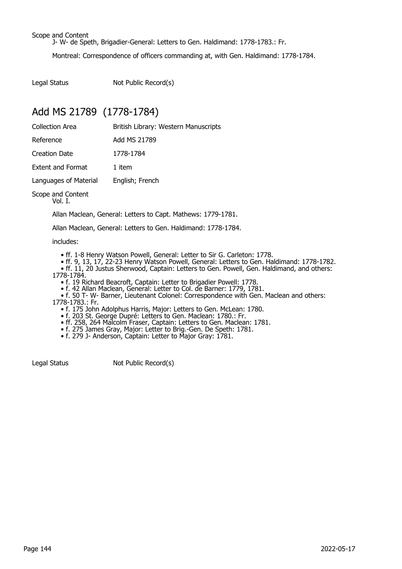Scope and Content

J- W- de Speth, Brigadier-General: Letters to Gen. Haldimand: 1778-1783.: Fr.

Montreal: Correspondence of officers commanding at, with Gen. Haldimand: 1778-1784.

Legal Status Not Public Record(s)

### Add MS 21789 (1778-1784)

| <b>Collection Area</b>   | British Library: Western Manuscripts |
|--------------------------|--------------------------------------|
| Reference                | Add MS 21789                         |
| Creation Date            | 1778-1784                            |
| <b>Extent and Format</b> | 1 item                               |
| Languages of Material    | English; French                      |
| Scope and Content        |                                      |

Vol. I.

Allan Maclean, General: Letters to Capt. Mathews: 1779-1781.

Allan Maclean, General: Letters to Gen. Haldimand: 1778-1784.

includes:

- ff. 1-8 Henry Watson Powell, General: Letter to Sir G. Carleton: 1778.
- ff. 9, 13, 17, 22-23 Henry Watson Powell, General: Letters to Gen. Haldimand: 1778-1782.
- ff. 11, 20 Justus Sherwood, Captain: Letters to Gen. Powell, Gen. Haldimand, and others: 1778-1784.
- f. 19 Richard Beacroft, Captain: Letter to Brigadier Powell: 1778.
- f. 42 Allan Maclean, General: Letter to Col. de Barner: 1779, 1781.

 • f. 50 T- W- Barner, Lieutenant Colonel: Correspondence with Gen. Maclean and others: 1778-1783.: Fr.

- f. 175 John Adolphus Harris, Major: Letters to Gen. McLean: 1780.
- f. 203 St. George Dupré: Letters to Gen. Maclean: 1780.: Fr.
- ff. 258, 264 Malcolm Fraser, Captain: Letters to Gen. Maclean: 1781.
- f. 275 James Gray, Major: Letter to Brig.-Gen. De Speth: 1781.
- f. 279 J- Anderson, Captain: Letter to Major Gray: 1781.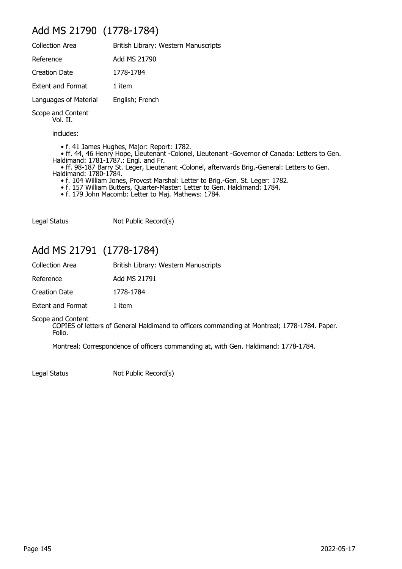## Add MS 21790 (1778-1784)

| <b>Collection Area</b>                                        | British Library: Western Manuscripts                                                                                                                                                                                                                                                                                                                                                                                                                              |
|---------------------------------------------------------------|-------------------------------------------------------------------------------------------------------------------------------------------------------------------------------------------------------------------------------------------------------------------------------------------------------------------------------------------------------------------------------------------------------------------------------------------------------------------|
| Reference                                                     | Add MS 21790                                                                                                                                                                                                                                                                                                                                                                                                                                                      |
| Creation Date                                                 | 1778-1784                                                                                                                                                                                                                                                                                                                                                                                                                                                         |
| Extent and Format                                             | 1 item                                                                                                                                                                                                                                                                                                                                                                                                                                                            |
| Languages of Material                                         | English; French                                                                                                                                                                                                                                                                                                                                                                                                                                                   |
| Scope and Content<br>Vol. II.                                 |                                                                                                                                                                                                                                                                                                                                                                                                                                                                   |
| includes:                                                     |                                                                                                                                                                                                                                                                                                                                                                                                                                                                   |
| Haldimand: 1781-1787.: Engl. and Fr.<br>Haldimand: 1780-1784. | • f. 41 James Hughes, Major: Report: 1782.<br>• ff. 44, 46 Henry Hope, Lieutenant -Colonel, Lieutenant -Governor of Canada: Letters to Gen.<br>• ff. 98-187 Barry St. Leger, Lieutenant -Colonel, afterwards Brig.-General: Letters to Gen.<br>• f. 104 William Jones, Provcst Marshal: Letter to Brig.-Gen. St. Leger: 1782.<br>. f. 157 William Butters, Quarter-Master: Letter to Gen. Haldimand: 1784.<br>• f. 179 John Macomb: Letter to Maj. Mathews: 1784. |

# Add MS 21791 (1778-1784)

Legal Status Not Public Record(s)

| <b>Collection Area</b>   | British Library: Western Manuscripts |
|--------------------------|--------------------------------------|
| Reference                | Add MS 21791                         |
| Creation Date            | 1778-1784                            |
| <b>Extent and Format</b> | 1 item                               |

Scope and Content

COPIES of letters of General Haldimand to officers commanding at Montreal; 1778-1784. Paper. Folio.

Montreal: Correspondence of officers commanding at, with Gen. Haldimand: 1778-1784.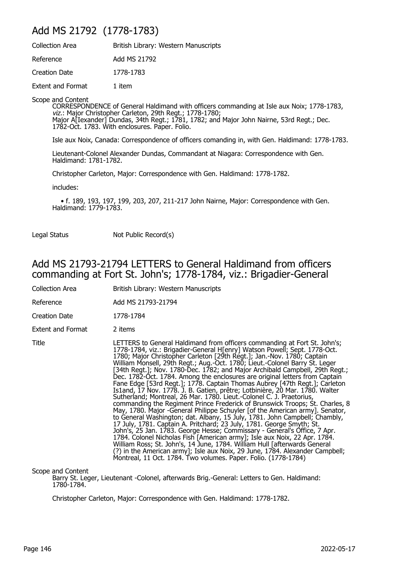### Add MS 21792 (1778-1783)

| <b>Collection Area</b>   | British Library: Western Manuscripts |
|--------------------------|--------------------------------------|
| Reference                | Add MS 21792                         |
| Creation Date            | 1778-1783                            |
| <b>Extent and Format</b> | 1 item                               |

Scope and Content

CORRESPONDENCE of General Haldimand with officers commanding at Isle aux Noix; 1778-1783, viz.: Major Christopher Carleton, 29th Regt.; 1778-1780; Major A[Iexander] Dundas, 34th Regt.; 1781, 1782; and Major John Nairne, 53rd Regt.; Dec. 1782-Oct. 1783. With enclosures. Paper. Folio.

Isle aux Noix, Canada: Correspondence of officers comanding in, with Gen. Haldimand: 1778-1783.

Lieutenant-Colonel Alexander Dundas, Commandant at Niagara: Correspondence with Gen. Haldimand: 1781-1782.

Christopher Carleton, Major: Correspondence with Gen. Haldimand: 1778-1782.

includes:

 • f. 189, 193, 197, 199, 203, 207, 211-217 John Nairne, Major: Correspondence with Gen. Haldimand: 1779-1783.

Legal Status Not Public Record(s)

### Add MS 21793-21794 LETTERS to General Haldimand from officers commanding at Fort St. John's; 1778-1784, viz.: Brigadier-General

| Collection Area          | British Library: Western Manuscripts                                                                                                                                                                                                                                                                                                                                                                                                                                                                                                                                                                                                                                                                                                                                                                                                                                                                                                                                                                                                                                                                                                                                                                                                                                                                                                                                                                                                 |
|--------------------------|--------------------------------------------------------------------------------------------------------------------------------------------------------------------------------------------------------------------------------------------------------------------------------------------------------------------------------------------------------------------------------------------------------------------------------------------------------------------------------------------------------------------------------------------------------------------------------------------------------------------------------------------------------------------------------------------------------------------------------------------------------------------------------------------------------------------------------------------------------------------------------------------------------------------------------------------------------------------------------------------------------------------------------------------------------------------------------------------------------------------------------------------------------------------------------------------------------------------------------------------------------------------------------------------------------------------------------------------------------------------------------------------------------------------------------------|
| Reference                | Add MS 21793-21794                                                                                                                                                                                                                                                                                                                                                                                                                                                                                                                                                                                                                                                                                                                                                                                                                                                                                                                                                                                                                                                                                                                                                                                                                                                                                                                                                                                                                   |
| Creation Date            | 1778-1784                                                                                                                                                                                                                                                                                                                                                                                                                                                                                                                                                                                                                                                                                                                                                                                                                                                                                                                                                                                                                                                                                                                                                                                                                                                                                                                                                                                                                            |
| <b>Extent and Format</b> | 2 items                                                                                                                                                                                                                                                                                                                                                                                                                                                                                                                                                                                                                                                                                                                                                                                                                                                                                                                                                                                                                                                                                                                                                                                                                                                                                                                                                                                                                              |
| Title                    | LETTERS to General Haldimand from officers commanding at Fort St. John's;<br>1778-1784, viz.: Brigadier-General H[enry] Watson Powell; Sept. 1778-Oct.<br>1780; Major Christopher Carleton [29th Regt.]; Jan.-Nov. 1780; Captain<br>William Monsell, 29th Regt.; Aug.-Oct. 1780; Lieut.-Colonel Barry St. Leger<br>[34th Regt.]; Nov. 1780-Dec. 1782; and Major Archibald Campbell, 29th Regt.;<br>Dec. 1782-Oct. 1784. Among the enclosures are original letters from Captain<br>Fane Edge [53rd Regt.]; 1778. Captain Thomas Aubrey [47th Regt.]; Carleton<br>Is1and, 17 Nov. 1778. J. B. Gatien, prêtre; Lotbinière, 20 Mar. 1780. Walter<br>Sutherland; Montreal, 26 Mar. 1780. Lieut.-Colonel C. J. Praetorius,<br>commanding the Regiment Prince Frederick of Brunswick Troops; St. Charles, 8<br>May, 1780. Major -General Philippe Schuyler [of the American army]. Senator,<br>to General Washington; dat. Albany, 15 July, 1781. John Campbell; Chambly,<br>17 July, 1781. Captain A. Pritchard; 23 July, 1781. George Smyth; St.<br>John's, 25 Jan. 1783. George Hesse; Commissary - General's Office, 7 Apr.<br>1784. Colonel Nicholas Fish [American army]; Isle aux Noix, 22 Apr. 1784.<br>William Ross; St. John's, 14 June, 1784. William Hull [afterwards General<br>(?) in the American army]; Isle aux Noix, 29 June, 1784. Alexander Campbell;<br>Montreal, 11 Oct. 1784. Two volumes. Paper. Folio. (1778-1784) |

Scope and Content

Barry St. Leger, Lieutenant -Colonel, afterwards Brig.-General: Letters to Gen. Haldimand: 1780-1784.

Christopher Carleton, Major: Correspondence with Gen. Haldimand: 1778-1782.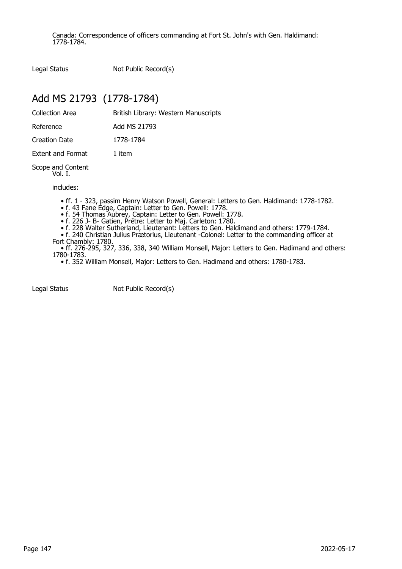Canada: Correspondence of officers commanding at Fort St. John's with Gen. Haldimand: 1778-1784.

Legal Status Not Public Record(s)

# Add MS 21793 (1778-1784)

| Collection Area   | British Library: Western Manuscripts |
|-------------------|--------------------------------------|
| Reference         | Add MS 21793                         |
| Creation Date     | 1778-1784                            |
| Extent and Format | 1 item                               |
|                   |                                      |

Scope and Content Vol. I.

includes:

• ff. 1 - 323, passim Henry Watson Powell, General: Letters to Gen. Haldimand: 1778-1782.

• f. 43 Fane Edge, Captain: Letter to Gen. Powell: 1778.

• f. 54 Thomas Aubrey, Captain: Letter to Gen. Powell: 1778.

• f. 226 J- B- Gatien, Prêtre: Letter to Maj. Carleton: 1780.

• f. 228 Walter Sutherland, Lieutenant: Letters to Gen. Haldimand and others: 1779-1784.

 • f. 240 Christian Julius Prætorius, Lieutenant -Colonel: Letter to the commanding officer at Fort Chambly: 1780.

 • ff. 276-295, 327, 336, 338, 340 William Monsell, Major: Letters to Gen. Hadimand and others: 1780-1783.

• f. 352 William Monsell, Major: Letters to Gen. Hadimand and others: 1780-1783.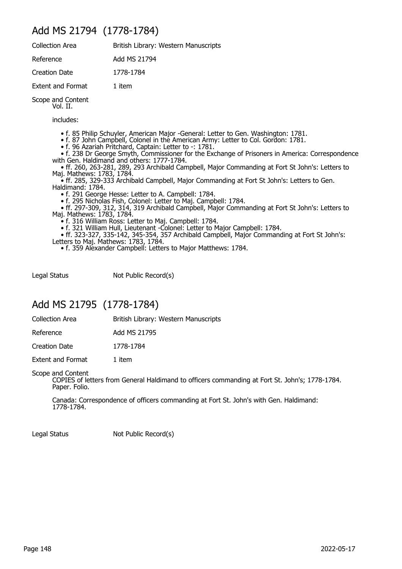### Add MS 21794 (1778-1784)

| <b>Collection Area</b>        | British Library: Western Manuscripts |
|-------------------------------|--------------------------------------|
| Reference                     | Add MS 21794                         |
| <b>Creation Date</b>          | 1778-1784                            |
| <b>Extent and Format</b>      | 1 item                               |
| Scope and Content<br>Vol. II. |                                      |

includes:

• f. 85 Philip Schuyler, American Major -General: Letter to Gen. Washington: 1781.

- f. 87 John Campbell, Colonel in the American Army: Letter to Col. Gordon: 1781.
	- f. 96 Azariah Pritchard, Captain: Letter to -: 1781.

 • f. 238 Dr George Smyth, Commissioner for the Exchange of Prisoners in America: Correspondence with Gen. Haldimand and others: 1777-1784.

 • ff. 260, 263-281, 289, 293 Archibald Campbell, Major Commanding at Fort St John's: Letters to Maj. Mathews: 1783, 1784.

 • ff. 285, 329-333 Archibald Campbell, Major Commanding at Fort St John's: Letters to Gen. Haldimand: 1784.

• f. 291 George Hesse: Letter to A. Campbell: 1784.

• f. 295 Nicholas Fish, Colonel: Letter to Maj. Campbell: 1784.

 • ff. 297-309, 312, 314, 319 Archibald Campbell, Major Commanding at Fort St John's: Letters to Maj. Mathews: 1783, 1784.

• f. 316 William Ross: Letter to Maj. Campbell: 1784.

• f. 321 William Hull, Lieutenant -Colonel: Letter to Major Campbell: 1784.

 • ff. 323-327, 335-142, 345-354, 357 Archibald Campbell, Major Commanding at Fort St John's: Letters to Maj. Mathews: 1783, 1784.

• f. 359 Alexander Campbell: Letters to Major Matthews: 1784.

Legal Status Not Public Record(s)

### Add MS 21795 (1778-1784)

Collection Area **British Library: Western Manuscripts** 

Reference Add MS 21795

Creation Date 1778-1784

Extent and Format 1 item

Scope and Content

COPIES of letters from General Haldimand to officers commanding at Fort St. John's; 1778-1784. Paper. Folio.

Canada: Correspondence of officers commanding at Fort St. John's with Gen. Haldimand: 1778-1784.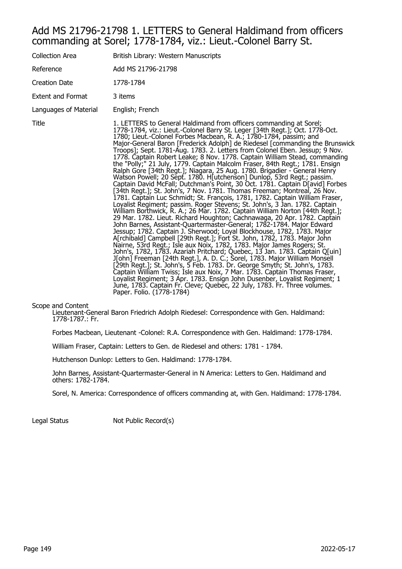#### Add MS 21796-21798 1. LETTERS to General Haldimand from officers commanding at Sorel; 1778-1784, viz.: Lieut.-Colonel Barry St.

| Collection Area       | British Library: Western Manuscripts                                                                                                                                                                                                                                                                                                                                                                                                                                                                                                                                                                                                                                                                                                                                                                                                                                                                                                                                                                                                                                                                                                                                                                                                                                                                                                                                                                                                                                                                                                                                                                                                                                                                                                                                                                                                                                                                                                                                                                                      |
|-----------------------|---------------------------------------------------------------------------------------------------------------------------------------------------------------------------------------------------------------------------------------------------------------------------------------------------------------------------------------------------------------------------------------------------------------------------------------------------------------------------------------------------------------------------------------------------------------------------------------------------------------------------------------------------------------------------------------------------------------------------------------------------------------------------------------------------------------------------------------------------------------------------------------------------------------------------------------------------------------------------------------------------------------------------------------------------------------------------------------------------------------------------------------------------------------------------------------------------------------------------------------------------------------------------------------------------------------------------------------------------------------------------------------------------------------------------------------------------------------------------------------------------------------------------------------------------------------------------------------------------------------------------------------------------------------------------------------------------------------------------------------------------------------------------------------------------------------------------------------------------------------------------------------------------------------------------------------------------------------------------------------------------------------------------|
| Reference             | Add MS 21796-21798                                                                                                                                                                                                                                                                                                                                                                                                                                                                                                                                                                                                                                                                                                                                                                                                                                                                                                                                                                                                                                                                                                                                                                                                                                                                                                                                                                                                                                                                                                                                                                                                                                                                                                                                                                                                                                                                                                                                                                                                        |
| Creation Date         | 1778-1784                                                                                                                                                                                                                                                                                                                                                                                                                                                                                                                                                                                                                                                                                                                                                                                                                                                                                                                                                                                                                                                                                                                                                                                                                                                                                                                                                                                                                                                                                                                                                                                                                                                                                                                                                                                                                                                                                                                                                                                                                 |
| Extent and Format     | 3 items                                                                                                                                                                                                                                                                                                                                                                                                                                                                                                                                                                                                                                                                                                                                                                                                                                                                                                                                                                                                                                                                                                                                                                                                                                                                                                                                                                                                                                                                                                                                                                                                                                                                                                                                                                                                                                                                                                                                                                                                                   |
| Languages of Material | English; French                                                                                                                                                                                                                                                                                                                                                                                                                                                                                                                                                                                                                                                                                                                                                                                                                                                                                                                                                                                                                                                                                                                                                                                                                                                                                                                                                                                                                                                                                                                                                                                                                                                                                                                                                                                                                                                                                                                                                                                                           |
| Title                 | 1. LETTERS to General Haldimand from officers commanding at Sorel;<br>1778-1784, viz.: Lieut.-Colonel Barry St. Leger [34th Regt.]; Oct. 1778-Oct.<br>1780; Lieut.-Colonel Forbes Macbean, R. A.; 1780-1784, passim; and<br>Major-General Baron [Frederick Adolph] de Riedesel [commanding the Brunswick<br>Troops]; Sept. 1781-Aug. 1783. 2. Letters from Colonel Eben. Jessup; 9 Nov.<br>1778. Captain Robert Leake; 8 Nov. 1778. Captain William Stead, commanding<br>the "Polly;" 21 July, 1779. Captain Malcolm Fraser, 84th Regt.; 1781. Ensign<br>Ralph Gore [34th Regt.]; Niagara, 25 Aug. 1780. Brigadier - General Henry<br>Watson Powell; 20 Sept. 1780. H[utchenson] Dunlop, 53rd Regt.; passim.<br>Captain David McFall; Dutchman's Point, 30 Oct. 1781. Captain D[avid] Forbes<br>[34th Regt.]; St. John's, 7 Nov. 1781. Thomas Freeman; Montreal, 26 Nov.<br>1781. Captain Luc Schmidt; St. François, 1781, 1782. Captain William Fraser,<br>Loyalist Regiment; passim. Roger Stevens; St. John's, 3 Jan. 1782. Captain<br>William Borthwick, R. A.; 26 Mar. 1782. Captain William Norton [44th Regt.];<br>29 Mar. 1782. Lieut. Richard Houghton; Cachnawaga, 20 Apr. 1782. Captain<br>John Barnes, Assistant-Quartermaster-General; 1782-1784. Major Edward<br>Jessup; 1782. Captain J. Sherwood; Loyal Blockhouse, 1782, 1783. Major<br>A[rchibald] Campbell [29th Regt.]; Fort St. John, 1782, 1783. Major John<br>Nairne, 53rd Regt.; Isle aux Noix, 1782, 1783. Major James Rogers; St.<br>John's, 1782, 1783. Azariah Pritchard; Quebec, 13 Jan. 1783. Captain Q[uin]<br>J[ohn] Freeman [24th Regt.], A. D. C.; Sorel, 1783. Major William Monsell<br>[29th Regt.]; St. John's, 5 Feb. 1783. Dr. George Smyth; St. John's, 1783.<br>Captain William Twiss; Isle aux Noix, 7 Mar. 1783. Captain Thomas Fraser,<br>Loyalist Regiment; 3 Apr. 1783. Ensign John Dusenber, Loyalist Regiment; 1<br>June, 1783. Captain Fr. Cleve; Quebec, 22 July, 1783. Fr. Three volumes.<br>Paper. Folio. (1778-1784) |

#### Scope and Content

Lieutenant-General Baron Friedrich Adolph Riedesel: Correspondence with Gen. Haldimand: 1778-1787.: Fr.

Forbes Macbean, Lieutenant -Colonel: R.A. Correspondence with Gen. Haldimand: 1778-1784.

William Fraser, Captain: Letters to Gen. de Riedesel and others: 1781 - 1784.

Hutchenson Dunlop: Letters to Gen. Haldimand: 1778-1784.

John Barnes, Assistant-Quartermaster-General in N America: Letters to Gen. Haldimand and others: 1782-1784.

Sorel, N. America: Correspondence of officers commanding at, with Gen. Haldimand: 1778-1784.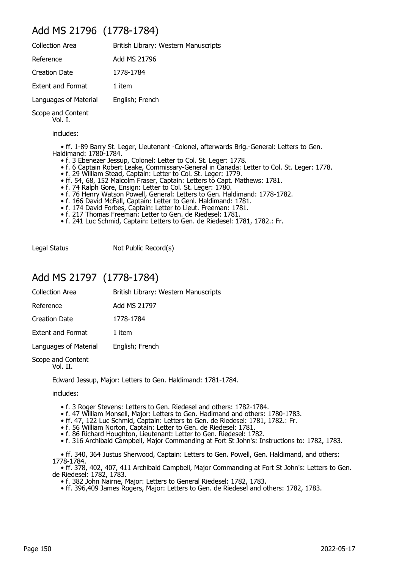### Add MS 21796 (1778-1784)

| <b>Collection Area</b>   | British Library: Western Manuscripts |
|--------------------------|--------------------------------------|
| Reference                | Add MS 21796                         |
| <b>Creation Date</b>     | 1778-1784                            |
| <b>Extent and Format</b> | 1 item                               |
| Languages of Material    | English; French                      |
|                          |                                      |

Scope and Content

Vol. I.

includes:

 • ff. 1-89 Barry St. Leger, Lieutenant -Colonel, afterwards Brig.-General: Letters to Gen. Haldimand: 1780-1784.

- f. 3 Ebenezer Jessup, Colonel: Letter to Col. St. Leger: 1778.
- f. 6 Captain Robert Leake, Commissary-General in Canada: Letter to Col. St. Leger: 1778.
- f. 29 William Stead, Captain: Letter to Col. St. Leger: 1779.
- ff. 54, 68, 152 Malcolm Fraser, Captain: Letters to Capt. Mathews: 1781.
	- f. 74 Ralph Gore, Ensign: Letter to Col. St. Leger: 1780.
	- f. 76 Henry Watson Powell, General: Letters to Gen. Haldimand: 1778-1782.
- f. 166 David McFall, Captain: Letter to Genl. Haldimand: 1781.
- f. 174 David Forbes, Captain: Letter to Lieut. Freeman: 1781.
	- f. 217 Thomas Freeman: Letter to Gen. de Riedesel: 1781.
	- f. 241 Luc Schmid, Captain: Letters to Gen. de Riedesel: 1781, 1782.: Fr.

Legal Status Not Public Record(s)

### Add MS 21797 (1778-1784)

| <b>Collection Area</b>   | British Library: Western Manuscripts |
|--------------------------|--------------------------------------|
| Reference                | Add MS 21797                         |
| Creation Date            | 1778-1784                            |
| <b>Extent and Format</b> | 1 item                               |
| Languages of Material    | English; French                      |
| Conno and Contant        |                                      |

Scope and Content Vol. II.

Edward Jessup, Major: Letters to Gen. Haldimand: 1781-1784.

includes:

- f. 3 Roger Stevens: Letters to Gen. Riedesel and others: 1782-1784.
- f. 47 William Monsell, Major: Letters to Gen. Hadimand and others: 1780-1783.
- ff. 47, 122 Luc Schmid, Captain: Letters to Gen. de Riedesel: 1781, 1782.: Fr.
- f. 56 William Norton, Captain: Letter to Gen. de Riedesel: 1781.
	- f. 86 Richard Houghton, Lieutenant: Letter to Gen. Riedesel: 1782.
	- f. 316 Archibald Campbell, Major Commanding at Fort St John's: Instructions to: 1782, 1783.

 • ff. 340, 364 Justus Sherwood, Captain: Letters to Gen. Powell, Gen. Haldimand, and others: 1778-1784.

 • ff. 378, 402, 407, 411 Archibald Campbell, Major Commanding at Fort St John's: Letters to Gen. de Riedesel: 1782, 1783.

• f. 382 John Nairne, Major: Letters to General Riedesel: 1782, 1783.

• ff. 396,409 James Rogers, Major: Letters to Gen. de Riedesel and others: 1782, 1783.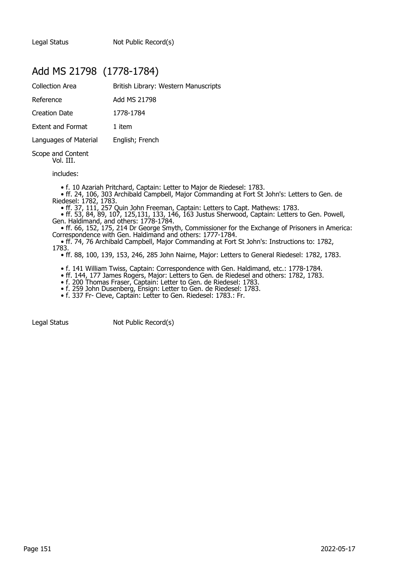### Add MS 21798 (1778-1784)

| <b>Collection Area</b>   | British Library: Western Manuscripts |
|--------------------------|--------------------------------------|
| Reference                | Add MS 21798                         |
| <b>Creation Date</b>     | 1778-1784                            |
| <b>Extent and Format</b> | 1 item                               |
| Languages of Material    | English; French                      |
|                          |                                      |

Scope and Content Vol. III.

includes:

• f. 10 Azariah Pritchard, Captain: Letter to Major de Riedesel: 1783.

 • ff. 24, 106, 303 Archibald Campbell, Major Commanding at Fort St John's: Letters to Gen. de Riedesel: 1782, 1783.

• ff. 37, 111, 257 Quin John Freeman, Captain: Letters to Capt. Mathews: 1783.

 • ff. 53, 84, 89, 107, 125,131, 133, 146, 163 Justus Sherwood, Captain: Letters to Gen. Powell, Gen. Haldimand, and others: 1778-1784.

 • ff. 66, 152, 175, 214 Dr George Smyth, Commissioner for the Exchange of Prisoners in America: Correspondence with Gen. Haldimand and others: 1777-1784.

• ff. 74, 76 Archibald Campbell, Major Commanding at Fort St John's: Instructions to: 1782,

1783.

• ff. 88, 100, 139, 153, 246, 285 John Nairne, Major: Letters to General Riedesel: 1782, 1783.

• f. 141 William Twiss, Captain: Correspondence with Gen. Haldimand, etc.: 1778-1784.

• ff. 144, 177 James Rogers, Major: Letters to Gen. de Riedesel and others: 1782, 1783.

• f. 200 Thomas Fraser, Captain: Letter to Gen. de Riedesel: 1783.

• f. 259 John Dusenberg, Ensign: Letter to Gen. de Riedesel: 1783.

• f. 337 Fr- Cleve, Captain: Letter to Gen. Riedesel: 1783.: Fr.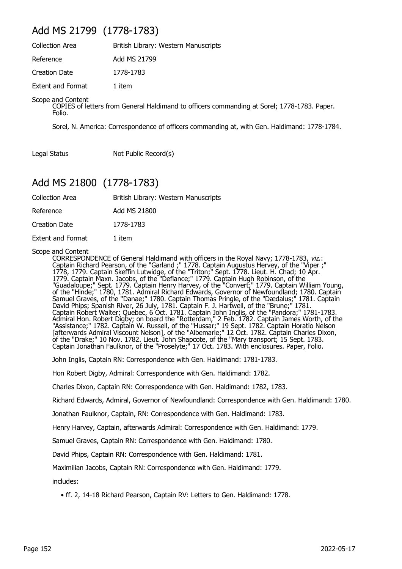### Add MS 21799 (1778-1783)

| <b>Collection Area</b>   | British Library: Western Manuscripts |
|--------------------------|--------------------------------------|
| Reference                | Add MS 21799                         |
| Creation Date            | 1778-1783                            |
| <b>Extent and Format</b> | 1 item                               |

#### Scope and Content

COPIES of letters from General Haldimand to officers commanding at Sorel; 1778-1783. Paper. Folio.

Sorel, N. America: Correspondence of officers commanding at, with Gen. Haldimand: 1778-1784.

Legal Status Not Public Record(s)

### Add MS 21800 (1778-1783)

| Collection Area | British Library: Western Manuscripts |
|-----------------|--------------------------------------|
| Reference       | Add MS 21800                         |
| Creation Date   | 1778-1783                            |

Extent and Format 1 item

Scope and Content

CORRESPONDENCE of General Haldimand with officers in the Royal Navy; 1778-1783, viz.: Captain Richard Pearson, of the "Garland ;" 1778. Captain Augustus Hervey, of the "Viper ;" 1778, 1779. Captain Skeffin Lutwidge, of the "Triton;" Sept. 1778. Lieut. H. Chad; 10 Apr. 1779. Captain Maxn. Jacobs, of the "Defiance;" 1779. Captain Hugh Robinson, of the "Guadaloupe;" Sept. 1779. Captain Henry Harvey, of the "Convert;" 1779. Captain William Young, of the "Hinde;" 1780, 1781. Admiral Richard Edwards, Governor of Newfoundland; 1780. Captain Samuel Graves, of the "Danae;" 1780. Captain Thomas Pringle, of the "Dædalus;" 1781. Captain David Phips; Spanish River, 26 July, 1781. Captain F. J. Hartwell, of the "Brune;" 1781. Captain Robert Walter; Quebec, 6 Oct. 1781. Captain John Inglis, of the "Pandora;" 1781-1783. Admiral Hon. Robert Digby; on board the "Rotterdam," 2 Feb. 1782. Captain James Worth, of the "Assistance;" 1782. Captain W. Russell, of the "Hussar;" 19 Sept. 1782. Captain Horatio Nelson [afterwards Admiral Viscount Nelson], of the "Albemarle;" 12 Oct. 1782. Captain Charles Dixon, of the "Drake;" 10 Nov. 1782. Lieut. John Shapcote, of the "Mary transport; 15 Sept. 1783. Captain Jonathan Faulknor, of the "Proselyte;" 17 Oct. 1783. With enclosures. Paper, Folio.

John Inglis, Captain RN: Correspondence with Gen. Haldimand: 1781-1783.

Hon Robert Digby, Admiral: Correspondence with Gen. Haldimand: 1782.

Charles Dixon, Captain RN: Correspondence with Gen. Haldimand: 1782, 1783.

Richard Edwards, Admiral, Governor of Newfoundland: Correspondence with Gen. Haldimand: 1780.

Jonathan Faulknor, Captain, RN: Correspondence with Gen. Haldimand: 1783.

Henry Harvey, Captain, afterwards Admiral: Correspondence with Gen. Haldimand: 1779.

Samuel Graves, Captain RN: Correspondence with Gen. Haldimand: 1780.

David Phips, Captain RN: Correspondence with Gen. Haldimand: 1781.

Maximilian Jacobs, Captain RN: Correspondence with Gen. Haldimand: 1779.

includes:

 <sup>•</sup> ff. 2, 14-18 Richard Pearson, Captain RV: Letters to Gen. Haldimand: 1778.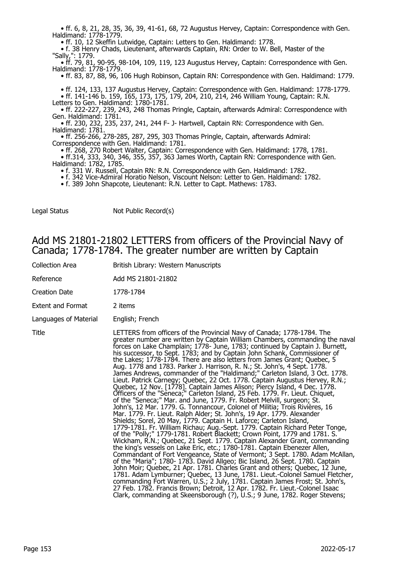• ff. 6, 8, 21, 28, 35, 36, 39, 41-61, 68, 72 Augustus Hervey, Captain: Correspondence with Gen. Haldimand: 1778-1779.

• ff. 10, 12 Skeffin Lutwidge, Captain: Letters to Gen. Haldimand: 1778.

 • f. 38 Henry Chads, Lieutenant, afterwards Captain, RN: Order to W. Bell, Master of the "Sally,": 1779.

 • ff. 79, 81, 90-95, 98-104, 109, 119, 123 Augustus Hervey, Captain: Correspondence with Gen. Haldimand: 1778-1779.

• ff. 83, 87, 88, 96, 106 Hugh Robinson, Captain RN: Correspondence with Gen. Haldimand: 1779.

• ff. 124, 133, 137 Augustus Hervey, Captain: Correspondence with Gen. Haldimand: 1778-1779.

 • ff. 141-146 b. 159, 165, 173, 175, 179, 204, 210, 214, 246 William Young, Captain: R.N. Letters to Gen. Haldimand: 1780-1781.

 • ff. 222-227, 239, 243, 248 Thomas Pringle, Captain, afterwards Admiral: Correspondence with Gen. Haldimand: 1781.

 • ff. 230, 232, 235, 237, 241, 244 F- J- Hartwell, Captain RN: Correspondence with Gen. Haldimand: 1781.

 • ff. 256-266, 278-285, 287, 295, 303 Thomas Pringle, Captain, afterwards Admiral: Correspondence with Gen. Haldimand: 1781.

• ff. 268, 270 Robert Walter, Captain: Correspondence with Gen. Haldimand: 1778, 1781.

 • ff.314, 333, 340, 346, 355, 357, 363 James Worth, Captain RN: Correspondence with Gen. Haldimand: 1782, 1785.

• f. 331 W. Russell, Captain RN: R.N. Correspondence with Gen. Haldimand: 1782.

• f. 342 Vice-Admiral Horatio Nelson, Viscount Nelson: Letter to Gen. Haldimand: 1782.

• f. 389 John Shapcote, Lieutenant: R.N. Letter to Capt. Mathews: 1783.

Legal Status Not Public Record(s)

#### Add MS 21801-21802 LETTERS from officers of the Provincial Navy of Canada; 1778-1784. The greater number are written by Captain

| Collection Area | British Library: Western Manuscripts |
|-----------------|--------------------------------------|
|-----------------|--------------------------------------|

Reference **Add MS 21801-21802** 

Creation Date 1778-1784

Extent and Format 2 items

Languages of Material English; French

Title LETTERS from officers of the Provincial Navy of Canada; 1778-1784. The greater number are written by Captain William Chambers, commanding the naval forces on Lake Champlain; 1778- June, 1783; continued by Captain J. Burnett, his successor, to Sept. 1783; and by Captain John Schank, Commissioner of the Lakes; 1778-1784. There are also letters from James Grant; Quebec, 5 Aug. 1778 and 1783. Parker J. Harrison, R. N.; St. John's, 4 Sept. 1778. James Andrews, commander of the "Haldimand;" Carleton Island, 3 Oct. 1778. Lieut. Patrick Carnegy; Quebec, 22 Oct. 1778. Captain Augustus Hervey, R.N.; Quebec, 12 Nov. [1778]. Captain James Alison; Piercy Island, 4 Dec. 1778. Officers of the "Seneca;" Carleton Island, 25 Feb. 1779. Fr. Lieut. Chiquet, of the "Seneca;" Mar. and June, 1779. Fr. Robert Melvill, surgeon; St. John's, 12 Mar. 1779. G. Tonnancour, Colonel of Militia; Trois Rivières, 16 Mar. 1779. Fr. Lieut. Ralph Alder; St. John's, 19 Apr. 1779. Alexander Shields; Sorel, 20 May, 1779. Captain H. Laforce; Carleton Island, 1779-1781. Fr. William Richau; Aug.-Sept. 1779. Captain Richard Peter Tonge, of the "Polly;" 1779-1781. Robert Blackett; Crown Point, 1779 and 1781. S. Wickham, R.N.; Quebec, 21 Sept. 1779. Captain Alexander Grant, commanding the king's vessels on Lake Eric, etc.; 1780-1781. Captain Ebenezer Allen, Commandant of Fort Vengeance, State of Vermont; 3 Sept. 1780. Adam McAllan, of the "Maria"; 1780- 1783. David Allgeo; Bic Island, 26 Sept. 1780. Captain John Moir; Quebec, 21 Apr. 1781. Charles Grant and others; Quebec, 12 June, 1781. Adam Lymburner; Quebec, 13 June, 1781. Lieut.-Colonel Samuel Fletcher, commanding Fort Warren, U.S.; 2 July, 1781. Captain James Frost; St. John's, 27 Feb. 1782. Francis Brown; Detroit, 12 Apr. 1782. Fr. Lieut.-Colonel Isaac Clark, commanding at Skeensborough (?), U.S.; 9 June, 1782. Roger Stevens;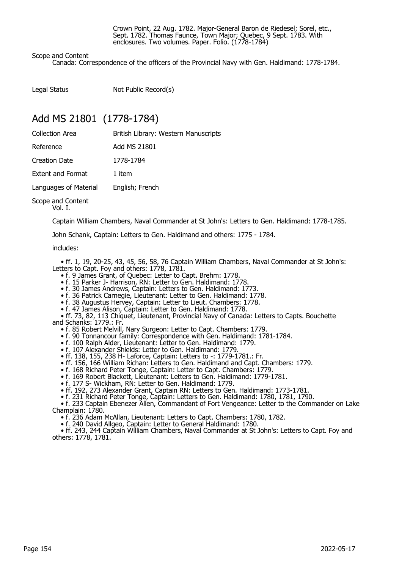Crown Point, 22 Aug. 1782. Major-General Baron de Riedesel; Sorel, etc., Sept. 1782. Thomas Faunce, Town Major; Quebec, 9 Sept. 1783. With enclosures. Two volumes. Paper. Folio. (1778-1784)

#### Scope and Content

Canada: Correspondence of the officers of the Provincial Navy with Gen. Haldimand: 1778-1784.

Legal Status Not Public Record(s)

### Add MS 21801 (1778-1784)

| <b>Collection Area</b>   | British Library: Western Manuscripts |
|--------------------------|--------------------------------------|
| Reference                | Add MS 21801                         |
| <b>Creation Date</b>     | 1778-1784                            |
| <b>Extent and Format</b> | 1 item                               |
| Languages of Material    | English; French                      |
| Coope and Contant        |                                      |

Scope and Content Vol. I.

Captain William Chambers, Naval Commander at St John's: Letters to Gen. Haldimand: 1778-1785.

John Schank, Captain: Letters to Gen. Haldimand and others: 1775 - 1784.

#### includes:

 • ff. 1, 19, 20-25, 43, 45, 56, 58, 76 Captain William Chambers, Naval Commander at St John's: Letters to Capt. Foy and others: 1778, 1781.

- f. 9 James Grant, of Quebec: Letter to Capt. Brehm: 1778.
- f. 15 Parker J- Harrison, RN: Letter to Gen. Haldimand: 1778.
- f. 30 James Andrews, Captain: Letters to Gen. Haldimand: 1773.
- f. 36 Patrick Carnegie, Lieutenant: Letter to Gen. Haldimand: 1778.
	- f. 38 Augustus Hervey, Captain: Letter to Lieut. Chambers: 1778.
- f. 47 James Alison, Captain: Letter to Gen. Haldimand: 1778.

 • ff. 73, 82, 113 Chiquet, Lieutenant, Provincial Navy of Canada: Letters to Capts. Bouchette and Schanks: 1779.: Fr.

- f. 85 Robert Melvill, Nary Surgeon: Letter to Capt. Chambers: 1779.
- f. 90 Tonnancour family: Correspondence with Gen. Haldimand: 1781-1784.
	- f. 100 Ralph Alder, Lieutenant: Letter to Gen. Haldimand: 1779.
	- f. 107 Alexander Shields: Letter to Gen. Haldimand: 1779.
- ff. 138, 155, 238 H- Laforce, Captain: Letters to -: 1779-1781.: Fr.
- ff. 156, 166 William Richan: Letters to Gen. Haldimand and Capt. Chambers: 1779.
- f. 168 Richard Peter Tonge, Captain: Letter to Capt. Chambers: 1779.
- f. 169 Robert Blackett, Lieutenant: Letters to Gen. Haldimand: 1779-1781.
- f. 177 S- Wickham, RN: Letter to Gen. Haldimand: 1779.
- ff. 192, 273 Alexander Grant, Captain RN: Letters to Gen. Haldimand: 1773-1781.
- f. 231 Richard Peter Tonge, Captain: Letters to Gen. Haldimand: 1780, 1781, 1790.

 • f. 233 Captain Ebenezer Allen, Commandant of Fort Vengeance: Letter to the Commander on Lake Champlain: 1780.

• f. 236 Adam McAllan, Lieutenant: Letters to Capt. Chambers: 1780, 1782.

• f. 240 David Allgeo, Captain: Letter to General Haldimand: 1780.

 • ff. 243, 244 Captain William Chambers, Naval Commander at St John's: Letters to Capt. Foy and others: 1778, 1781.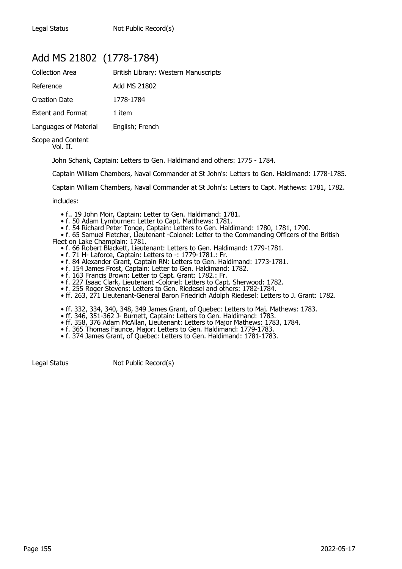### Add MS 21802 (1778-1784)

| Collection Area               | British Library: Western Manuscripts |
|-------------------------------|--------------------------------------|
| Reference                     | Add MS 21802                         |
| Creation Date                 | 1778-1784                            |
| <b>Extent and Format</b>      | 1 item                               |
| Languages of Material         | English; French                      |
| Scope and Content<br>Vol. II. |                                      |

John Schank, Captain: Letters to Gen. Haldimand and others: 1775 - 1784.

Captain William Chambers, Naval Commander at St John's: Letters to Gen. Haldimand: 1778-1785.

Captain William Chambers, Naval Commander at St John's: Letters to Capt. Mathews: 1781, 1782.

includes:

- f.. 19 John Moir, Captain: Letter to Gen. Haldimand: 1781.
- f. 50 Adam Lymburner: Letter to Capt. Matthews: 1781.
- f. 54 Richard Peter Tonge, Captain: Letters to Gen. Haldimand: 1780, 1781, 1790.
- f. 65 Samuel Fletcher, Lieutenant -Colonel: Letter to the Commanding Officers of the British Fleet on Lake Champlain: 1781.
	- f. 66 Robert Blackett, Lieutenant: Letters to Gen. Haldimand: 1779-1781.
	- f. 71 H- Laforce, Captain: Letters to -: 1779-1781.: Fr.
	- f. 84 Alexander Grant, Captain RN: Letters to Gen. Haldimand: 1773-1781.
- f. 154 James Frost, Captain: Letter to Gen. Haldimand: 1782.
- f. 163 Francis Brown: Letter to Capt. Grant: 1782.: Fr.
- f. 227 Isaac Clark, Lieutenant -Colonel: Letters to Capt. Sherwood: 1782.
- f. 255 Roger Stevens: Letters to Gen. Riedesel and others: 1782-1784.
	- ff. 263, 271 Lieutenant-General Baron Friedrich Adolph Riedesel: Letters to J. Grant: 1782.
- ff. 332, 334, 340, 348, 349 James Grant, of Quebec: Letters to Maj. Mathews: 1783.
- ff. 346, 351-362 J- Burnett, Captain: Letters to Gen. Haldimand: 1783.
	- ff. 358, 376 Adam McAllan, Lieutenant: Letters to Major Mathews: 1783, 1784.
- f. 365 Thomas Faunce, Major: Letters to Gen. Haldimand: 1779-1783.
- f. 374 James Grant, of Quebec: Letters to Gen. Haldimand: 1781-1783.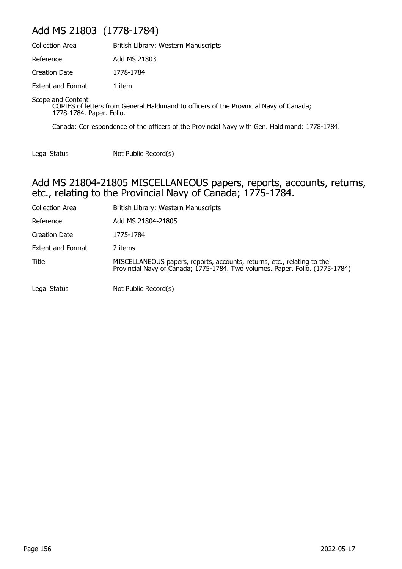## Add MS 21803 (1778-1784)

| Collection Area          | British Library: Western Manuscripts |
|--------------------------|--------------------------------------|
| Reference                | Add MS 21803                         |
| Creation Date            | 1778-1784                            |
| <b>Extent and Format</b> | 1 item                               |

Scope and Content

COPIES of letters from General Haldimand to officers of the Provincial Navy of Canada; 1778-1784. Paper. Folio.

Canada: Correspondence of the officers of the Provincial Navy with Gen. Haldimand: 1778-1784.

Legal Status Not Public Record(s)

#### Add MS 21804-21805 MISCELLANEOUS papers, reports, accounts, returns, etc., relating to the Provincial Navy of Canada; 1775-1784.

| <b>Collection Area</b>   | British Library: Western Manuscripts                                                                                                                    |
|--------------------------|---------------------------------------------------------------------------------------------------------------------------------------------------------|
| Reference                | Add MS 21804-21805                                                                                                                                      |
| <b>Creation Date</b>     | 1775-1784                                                                                                                                               |
| <b>Extent and Format</b> | 2 items                                                                                                                                                 |
| Title                    | MISCELLANEOUS papers, reports, accounts, returns, etc., relating to the<br>Provincial Navy of Canada; 1775-1784. Two volumes. Paper. Folio. (1775-1784) |
| Legal Status             | Not Public Record(s)                                                                                                                                    |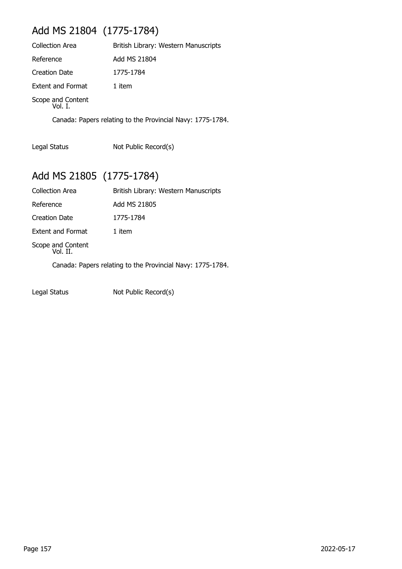## Add MS 21804 (1775-1784)

| <b>Collection Area</b>       | British Library: Western Manuscripts |
|------------------------------|--------------------------------------|
| Reference                    | Add MS 21804                         |
| <b>Creation Date</b>         | 1775-1784                            |
| <b>Extent and Format</b>     | 1 item                               |
| Scope and Content<br>Vol. I. |                                      |

Canada: Papers relating to the Provincial Navy: 1775-1784.

Legal Status Not Public Record(s)

# Add MS 21805 (1775-1784)

| <b>Collection Area</b>        | British Library: Western Manuscripts                       |
|-------------------------------|------------------------------------------------------------|
| Reference                     | Add MS 21805                                               |
| Creation Date                 | 1775-1784                                                  |
| <b>Extent and Format</b>      | 1 item                                                     |
| Scope and Content<br>Vol. II. |                                                            |
|                               | Canada: Papers relating to the Provincial Navy: 1775-1784. |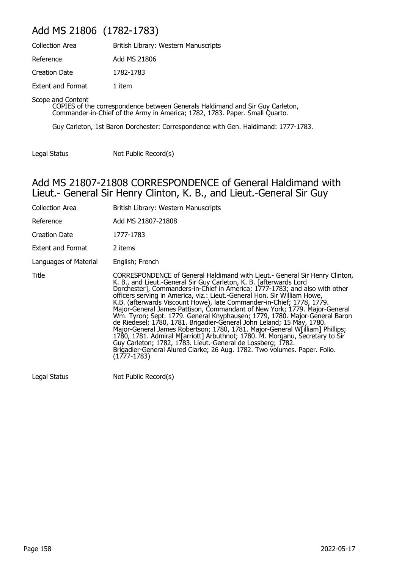## Add MS 21806 (1782-1783)

| <b>Collection Area</b>   | British Library: Western Manuscripts |
|--------------------------|--------------------------------------|
| Reference                | Add MS 21806                         |
| Creation Date            | 1782-1783                            |
| <b>Extent and Format</b> | 1 item                               |

Scope and Content

COPIES of the correspondence between Generals Haldimand and Sir Guy Carleton, Commander-in-Chief of the Army in America; 1782, 1783. Paper. Small Quarto.

Guy Carleton, 1st Baron Dorchester: Correspondence with Gen. Haldimand: 1777-1783.

Legal Status Not Public Record(s)

#### Add MS 21807-21808 CORRESPONDENCE of General Haldimand with Lieut.- General Sir Henry Clinton, K. B., and Lieut.-General Sir Guy

| Collection Area       | British Library: Western Manuscripts                                                                                                                                                                                                                                                                                                                                                                                                                                                                                                                                                                                                                                                                                                                                                                                                                                                                                                                  |
|-----------------------|-------------------------------------------------------------------------------------------------------------------------------------------------------------------------------------------------------------------------------------------------------------------------------------------------------------------------------------------------------------------------------------------------------------------------------------------------------------------------------------------------------------------------------------------------------------------------------------------------------------------------------------------------------------------------------------------------------------------------------------------------------------------------------------------------------------------------------------------------------------------------------------------------------------------------------------------------------|
| Reference             | Add MS 21807-21808                                                                                                                                                                                                                                                                                                                                                                                                                                                                                                                                                                                                                                                                                                                                                                                                                                                                                                                                    |
| Creation Date         | 1777-1783                                                                                                                                                                                                                                                                                                                                                                                                                                                                                                                                                                                                                                                                                                                                                                                                                                                                                                                                             |
| Extent and Format     | 2 items                                                                                                                                                                                                                                                                                                                                                                                                                                                                                                                                                                                                                                                                                                                                                                                                                                                                                                                                               |
| Languages of Material | English; French                                                                                                                                                                                                                                                                                                                                                                                                                                                                                                                                                                                                                                                                                                                                                                                                                                                                                                                                       |
| Title                 | CORRESPONDENCE of General Haldimand with Lieut.- General Sir Henry Clinton,<br>K. B., and Lieut.-General Sir Guy Carleton, K. B. [afterwards Lord]<br>Dorchester], Commanders-in-Chief in America; 1777-1783; and also with other<br>officers serving in America, viz.: Lieut.-General Hon. Sir William Howe,<br>K.B. (afterwards Viscount Howe), late Commander-in-Chief; 1778, 1779.<br>Major-General James Pattison, Commandant of New York; 1779. Major-General<br>Wm. Tyron; Sept. 1779. General Knyphausen; 1779, 1780. Major-General Baron<br>de Riedesel; 1780, 1781. Brigadier-General John Leland; 15 May, 1780.<br>Major-General James Robertson; 1780, 1781. Major-General W[illiam] Phillips;<br>1780, 1781. Admiral M[arriott] Arbuthnot; 1780. M. Morganu, Secretary to Sir<br>Guy Carleton; 1782, 1783. Lieut.-General de Lossberg; 1782.<br>Brigadier-General Alured Clarke; 26 Aug. 1782. Two volumes. Paper. Folio.<br>(1777-1783) |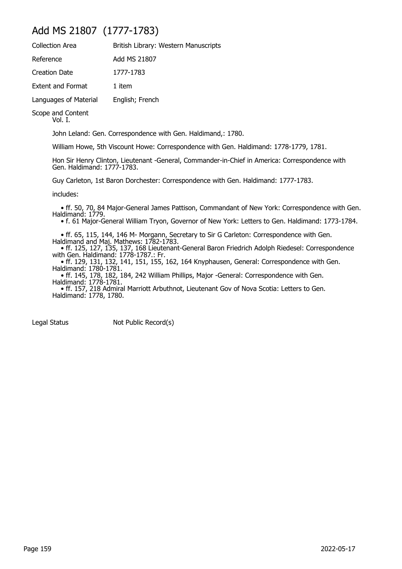### Add MS 21807 (1777-1783)

| <b>Collection Area</b>   | British Library: Western Manuscripts |
|--------------------------|--------------------------------------|
| Reference                | Add MS 21807                         |
| <b>Creation Date</b>     | 1777-1783                            |
| <b>Extent and Format</b> | 1 item                               |
| Languages of Material    | English; French                      |
|                          |                                      |

Scope and Content

Vol. I.

John Leland: Gen. Correspondence with Gen. Haldimand,: 1780.

William Howe, 5th Viscount Howe: Correspondence with Gen. Haldimand: 1778-1779, 1781.

Hon Sir Henry Clinton, Lieutenant -General, Commander-in-Chief in America: Correspondence with Gen. Haldimand: 1777-1783.

Guy Carleton, 1st Baron Dorchester: Correspondence with Gen. Haldimand: 1777-1783.

includes:

 • ff. 50, 70, 84 Major-General James Pattison, Commandant of New York: Correspondence with Gen. Haldimand: 1779.

• f. 61 Major-General William Tryon, Governor of New York: Letters to Gen. Haldimand: 1773-1784.

 • ff. 65, 115, 144, 146 M- Morgann, Secretary to Sir G Carleton: Correspondence with Gen. Haldimand and Maj. Mathews: 1782-1783.

 • ff. 125, 127, 135, 137, 168 Lieutenant-General Baron Friedrich Adolph Riedesel: Correspondence with Gen. Haldimand: 1778-1787.: Fr.

 • ff. 129, 131, 132, 141, 151, 155, 162, 164 Knyphausen, General: Correspondence with Gen. Haldimand: 1780-1781.

 • ff. 145, 178, 182, 184, 242 William Phillips, Major -General: Correspondence with Gen. Haldimand: 1778-1781.

 • ff. 157, 218 Admiral Marriott Arbuthnot, Lieutenant Gov of Nova Scotia: Letters to Gen. Haldimand: 1778, 1780.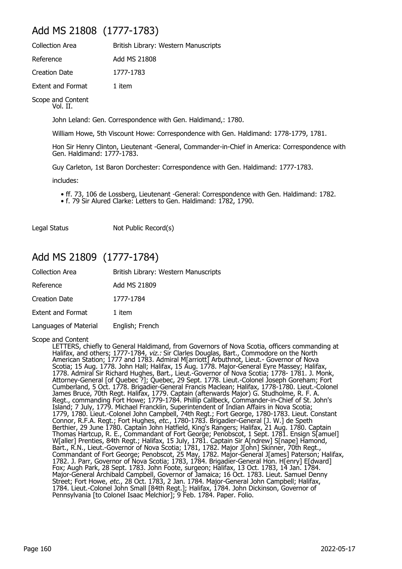### Add MS 21808 (1777-1783)

Reference Add MS 21808

Creation Date 1777-1783

Extent and Format 1 item

Scope and Content Vol. II.

John Leland: Gen. Correspondence with Gen. Haldimand,: 1780.

William Howe, 5th Viscount Howe: Correspondence with Gen. Haldimand: 1778-1779, 1781.

Hon Sir Henry Clinton, Lieutenant -General, Commander-in-Chief in America: Correspondence with Gen. Haldimand: 1777-1783.

Guy Carleton, 1st Baron Dorchester: Correspondence with Gen. Haldimand: 1777-1783.

includes:

- ff. 73, 106 de Lossberg, Lieutenant -General: Correspondence with Gen. Haldimand: 1782.
- f. 79 Sir Alured Clarke: Letters to Gen. Haldimand: 1782, 1790.

Legal Status Not Public Record(s)

### Add MS 21809 (1777-1784)

| <b>Collection Area</b>   | British Library: Western Manuscripts |
|--------------------------|--------------------------------------|
| Reference                | Add MS 21809                         |
| Creation Date            | 1777-1784                            |
| <b>Extent and Format</b> | 1 item                               |
| Languages of Material    | English; French                      |

#### Scope and Content

LETTERS, chiefly to General Haldimand, from Governors of Nova Scotia, officers commanding at Halifax, and others; 1777-1784, viz.: Sir Clarles Douglas, Bart., Commodore on the North American Station; 1777 and 1783. Admiral M[arriott] Arbuthnot, Lieut.- Governor of Nova Scotia; 15 Aug. 1778. John Hall; Halifax, 15 Aug. 1778. Major-General Eyre Massey; Halifax, 1778. Admiral Sir Richard Hughes, Bart., Lieut.-Governor of Nova Scotia; 1778- 1781. J. Monk, Attorney-General [of Quebec ?]; Quebec, 29 Sept. 1778. Lieut.-Colonel Joseph Goreham; Fort Cumberland, 5 Oct. 1778. Brigadier-General Francis Maclean; Halifax, 1778-1780. Lieut.-Colonel James Bruce, 70th Regt. Halifax, 1779. Captain (afterwards Major) G. Studholme, R. F. A. Regt., commanding Fort Howe; 1779-1784. Phillip Callbeck, Commander-in-Chief of St. John's Island; 7 July, 1779. Michael Francklin, Superintendent of Indian Affairs in Nova Scotia; 1779, 1780. Lieut.-Colonel John Campbell, 74th Regt.; Fort George, 1780-1783. Lieut. Constant Connor, R.F.A. Regt.; Fort Hughes, etc., 1780-1783. Brigadier-General [J. W.] de Speth Berthier, 29 June 1780. Captain John Hatfield, King's Rangers; Halifax, 21 Aug. 1780. Captain Thomas Hartcup, R. E., Commandant of Fort George; Penobscot, 1 Sept. 1781. Ensign S[amuel] W[aller] Prenties, 84th Regt.; Halifax, 15 July, 1781. Captain Sir A[ndrew] S[nape] Hamond, Bart., R.N., Lieut.-Governor of Nova Scotia; 1781, 1782. Major J[ohn] Skinner, 70th Regt., Commandant of Fort George; Penobscot, 25 May, 1782. Major-General J[ames] Paterson; Halifax, 1782. J. Parr, Governor of Nova Scotia; 1783, 1784. Brigadier-General Hon. H[enry] E[dward] Fox; Augh Park, 28 Sept. 1783. John Foote, surgeon; Halifax, 13 Oct. 1783, 14 Jan. 1784. Major-General Archibald Campbell, Governor of Jamaica; 16 Oct. 1783. Lieut. Samuel Denny Street; Fort Howe, etc., 28 Oct. 1783, 2 Jan. 1784. Major-General John Campbell; Halifax, 1784. Lieut.-Colonel John Small [84th Regt.]; Halifax, 1784. John Dickinson, Governor of Pennsylvania [to Colonel Isaac Melchior]; 9 Feb. 1784. Paper. Folio.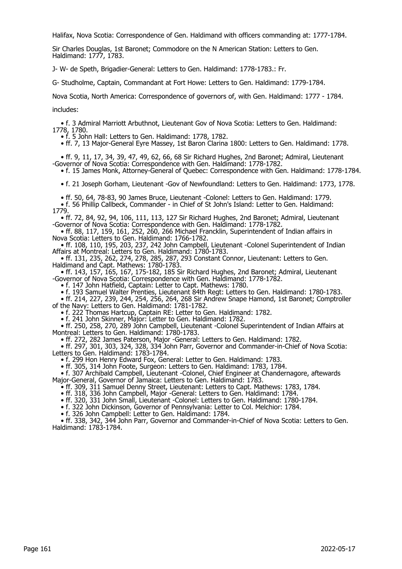Halifax, Nova Scotia: Correspondence of Gen. Haldimand with officers commanding at: 1777-1784.

Sir Charles Douglas, 1st Baronet; Commodore on the N American Station: Letters to Gen. Haldimand: 1777, 1783.

J- W- de Speth, Brigadier-General: Letters to Gen. Haldimand: 1778-1783.: Fr.

G- Studholme, Captain, Commandant at Fort Howe: Letters to Gen. Haldimand: 1779-1784.

Nova Scotia, North America: Correspondence of governors of, with Gen. Haldimand: 1777 - 1784.

includes:

 • f. 3 Admiral Marriott Arbuthnot, Lieutenant Gov of Nova Scotia: Letters to Gen. Haldimand: 1778, 1780.

• f. 5 John Hall: Letters to Gen. Haldimand: 1778, 1782.

• ff. 7, 13 Major-General Eyre Massey, 1st Baron Clarina 1800: Letters to Gen. Haldimand: 1778.

 • ff. 9, 11, 17, 34, 39, 47, 49, 62, 66, 68 Sir Richard Hughes, 2nd Baronet; Admiral, Lieutenant -Governor of Nova Scotia: Correspondence with Gen. Haldimand: 1778-1782.

• f. 15 James Monk, Attorney-General of Quebec: Correspondence with Gen. Haldimand: 1778-1784.

• f. 21 Joseph Gorham, Lieutenant -Gov of Newfoundland: Letters to Gen. Haldimand: 1773, 1778.

 • ff. 50, 64, 78-83, 90 James Bruce, Lieutenant -Colonel: Letters to Gen. Haldimand: 1779. • f. 56 Phillip Callbeck, Commander - in Chief of St John's Island: Letter to Gen. Haldimand: 1779.

 • ff. 72, 84, 92, 94, 106, 111, 113, 127 Sir Richard Hughes, 2nd Baronet; Admiral, Lieutenant -Governor of Nova Scotia: Correspondence with Gen. Haldimand: 1778-1782.

 • ff. 88, 117, 159, 161, 252, 260, 266 Michael Francklin, Superintendent of Indian affairs in Nova Scotia: Letters to Gen. Haldimand: 1766-1782.

 • ff. 108, 110, 195, 203, 237, 242 John Campbell, Lieutenant -Colonel Superintendent of Indian Affairs at Montreal: Letters to Gen. Haldimand: 1780-1783.

 • ff. 131, 235, 262, 274, 278, 285, 287, 293 Constant Connor, Lieutenant: Letters to Gen. Haldimand and Capt. Mathews: 1780-1783.

 • ff. 143, 157, 165, 167, 175-182, 185 Sir Richard Hughes, 2nd Baronet; Admiral, Lieutenant -Governor of Nova Scotia: Correspondence with Gen. Haldimand: 1778-1782.

• f. 147 John Hatfield, Captain: Letter to Capt. Mathews: 1780.

• f. 193 Samuel Walter Prenties, Lieutenant 84th Regt: Letters to Gen. Haldimand: 1780-1783.

 • ff. 214, 227, 239, 244, 254, 256, 264, 268 Sir Andrew Snape Hamond, 1st Baronet; Comptroller of the Navy: Letters to Gen. Haldimand: 1781-1782.

• f. 222 Thomas Hartcup, Captain RE: Letter to Gen. Haldimand: 1782.

• f. 241 John Skinner, Major: Letter to Gen. Haldimand: 1782.

 • ff. 250, 258, 270, 289 John Campbell, Lieutenant -Colonel Superintendent of Indian Affairs at Montreal: Letters to Gen. Haldimand: 1780-1783.

• ff. 272, 282 James Paterson, Major -General: Letters to Gen. Haldimand: 1782.

 • ff. 297, 301, 303, 324, 328, 334 John Parr, Governor and Commander-in-Chief of Nova Scotia: Letters to Gen. Haldimand: 1783-1784.

• f. 299 Hon Henry Edward Fox, General: Letter to Gen. Haldimand: 1783.

• ff. 305, 314 John Foote, Surgeon: Letters to Gen. Haldimand: 1783, 1784.

 • f. 307 Archibald Campbell, Lieutenant -Colonel, Chief Engineer at Chandernagore, aftewards Major-General, Governor of Jamaica: Letters to Gen. Haldimand: 1783.

• ff. 309, 311 Samuel Denny Street, Lieutenant: Letters to Capt. Mathews: 1783, 1784.

• ff. 318, 336 John Campbell, Major -General: Letters to Gen. Haldimand: 1784.

• ff. 320, 331 John Small, Lieutenant -Colonel: Letters to Gen. Haldimand: 1780-1784.

• f. 322 John Dickinson, Governor of Pennsylvania: Letter to Col. Melchior: 1784.

• f. 326 John Campbell: Letter to Gen. Haldimand: 1784.

 • ff. 338, 342, 344 John Parr, Governor and Commander-in-Chief of Nova Scotia: Letters to Gen. Haldimand: 1783-1784.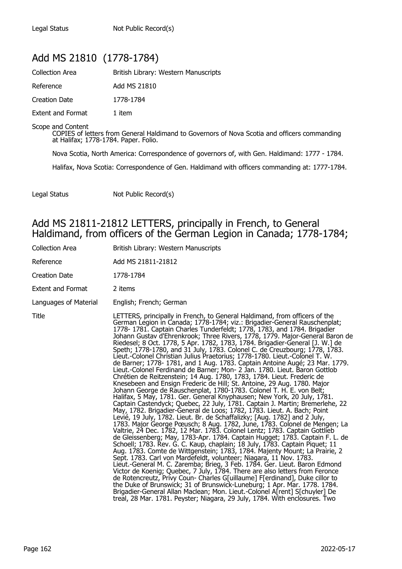### Add MS 21810 (1778-1784)

| <b>Collection Area</b>   | British Library: Western Manuscripts |
|--------------------------|--------------------------------------|
| Reference                | Add MS 21810                         |
| Creation Date            | 1778-1784                            |
| <b>Extent and Format</b> | 1 item                               |

Scope and Content

COPIES of letters from General Haldimand to Governors of Nova Scotia and officers commanding at Halifax; 1778-1784. Paper. Folio.

Nova Scotia, North America: Correspondence of governors of, with Gen. Haldimand: 1777 - 1784.

Halifax, Nova Scotia: Correspondence of Gen. Haldimand with officers commanding at: 1777-1784.

Legal Status Not Public Record(s)

### Add MS 21811-21812 LETTERS, principally in French, to General Haldimand, from officers of the German Legion in Canada; 1778-1784;

| Collection Area          | British Library: Western Manuscripts                                                                                                                                                                                                                                                                                                                                                                                                                                                                                                                                                                                                                                                                                                                                                                                                                                                                                                                                                                                                                                                                                                                                                                                                                                                                                                                                                                                                                                                                                                                                                                                                                                                                                                                                                                                                                                                                                                                                                                                                                                                                                                                                                                                                            |
|--------------------------|-------------------------------------------------------------------------------------------------------------------------------------------------------------------------------------------------------------------------------------------------------------------------------------------------------------------------------------------------------------------------------------------------------------------------------------------------------------------------------------------------------------------------------------------------------------------------------------------------------------------------------------------------------------------------------------------------------------------------------------------------------------------------------------------------------------------------------------------------------------------------------------------------------------------------------------------------------------------------------------------------------------------------------------------------------------------------------------------------------------------------------------------------------------------------------------------------------------------------------------------------------------------------------------------------------------------------------------------------------------------------------------------------------------------------------------------------------------------------------------------------------------------------------------------------------------------------------------------------------------------------------------------------------------------------------------------------------------------------------------------------------------------------------------------------------------------------------------------------------------------------------------------------------------------------------------------------------------------------------------------------------------------------------------------------------------------------------------------------------------------------------------------------------------------------------------------------------------------------------------------------|
| Reference                | Add MS 21811-21812                                                                                                                                                                                                                                                                                                                                                                                                                                                                                                                                                                                                                                                                                                                                                                                                                                                                                                                                                                                                                                                                                                                                                                                                                                                                                                                                                                                                                                                                                                                                                                                                                                                                                                                                                                                                                                                                                                                                                                                                                                                                                                                                                                                                                              |
| Creation Date            | 1778-1784                                                                                                                                                                                                                                                                                                                                                                                                                                                                                                                                                                                                                                                                                                                                                                                                                                                                                                                                                                                                                                                                                                                                                                                                                                                                                                                                                                                                                                                                                                                                                                                                                                                                                                                                                                                                                                                                                                                                                                                                                                                                                                                                                                                                                                       |
| <b>Extent and Format</b> | 2 items                                                                                                                                                                                                                                                                                                                                                                                                                                                                                                                                                                                                                                                                                                                                                                                                                                                                                                                                                                                                                                                                                                                                                                                                                                                                                                                                                                                                                                                                                                                                                                                                                                                                                                                                                                                                                                                                                                                                                                                                                                                                                                                                                                                                                                         |
| Languages of Material    | English; French; German                                                                                                                                                                                                                                                                                                                                                                                                                                                                                                                                                                                                                                                                                                                                                                                                                                                                                                                                                                                                                                                                                                                                                                                                                                                                                                                                                                                                                                                                                                                                                                                                                                                                                                                                                                                                                                                                                                                                                                                                                                                                                                                                                                                                                         |
| Title                    | LETTERS, principally in French, to General Haldimand, from officers of the<br>German Legion in Canada; 1778-1784; viz.: Brigadier-General Rauschenplat;<br>1778- 1781. Captain Charles Tunderfeldt; 1778, 1783, and 1784. Brigadier<br>Johann Gustav d'Ehrenkrook; Three Rivers, 1778, 1779. Major-General Baron de<br>Riedesel; 8 Oct. 1778, 5 Apr. 1782, 1783, 1784. Brigadier-General [J. W.] de<br>Speth; 1778-1780, and 31 July, 1783. Colonel C. de Creuzbourg; 1778, 1783.<br>Lieut.-Colonel Christian Julius Praetorius; 1778-1780. Lieut.-Colonel T. W.<br>de Barner; 1778- 1781, and 1 Aug. 1783. Captain Antoine Augé; 23 Mar. 1779.<br>Lieut.-Colonel Ferdinand de Barner; Mon- 2 Jan. 1780. Lieut. Baron Gottlob<br>Chrétien de Reitzenstein; 14 Aug. 1780, 1783, 1784. Lieut. Frederic de<br>Knesebeen and Ensign Frederic de Hill; St. Antoine, 29 Aug. 1780. Major<br>Johann George de Rauschenplat, 1780-1783. Colonel T. H. E. von Belt;<br>Halifax, 5 May, 1781. Ger. General Knyphausen; New York, 20 July, 1781.<br>Captain Castendyck; Quebec, 22 July, 1781. Captain J. Martin; Bremerlehe, 22<br>May, 1782. Brigadier-General de Loos; 1782, 1783. Lieut. A. Bach; Point<br>Levié, 19 July, 1782. Lieut. Br. de Schaffalizky; [Aug. 1782] and 2 July,<br>1783. Major George Pœusch; 8 Aug. 1782, June, 1783. Colonel de Mengen; La<br>Valtrie, 24 Dec. 1782, 12 Mar. 1783. Colonel Lentz; 1783. Captain Gottlieb<br>de Gleissenberg; May, 1783-Apr. 1784. Captain Hugget; 1783. Captain F. L. de<br>Schoell; 1783. Rev. G. C. Kaup, chaplain; 18 July, 1783. Captain Piquet; 11<br>Aug. 1783. Comte de Wittgenstein; 1783, 1784. Majenty Mount; La Prairie, 2<br>Sept. 1783. Carl von Mardefeldt, volunteer; Niagara, 11 Nov. 1783.<br>Lieut.-General M. C. Zaremba; Brieg, 3 Feb. 1784. Ger. Lieut. Baron Edmond<br>Victor de Koenig; Quebec, 7 July, 1784. There are also letters from Feronce<br>de Rotencreutz, Privy Coun- Charles G[uillaume] F[erdinand], Duke cillor to<br>the Duke of Brunswick; 31 of Brunswick-Luneburg; 1 Apr. Mar. 1778. 1784.<br>Brigadier-General Allan Maclean; Mon. Lieut.-Colonel A[rent] S[chuyler] De<br>treal, 28 Mar. 1781. Peyster; Niagara, 29 July, 1784. With enclosures. Two |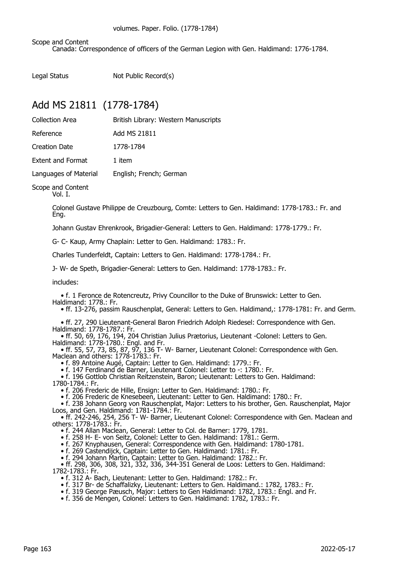Scope and Content

Canada: Correspondence of officers of the German Legion with Gen. Haldimand: 1776-1784.

Legal Status Not Public Record(s)

### Add MS 21811 (1778-1784)

| Collection Area          | British Library: Western Manuscripts |
|--------------------------|--------------------------------------|
| Reference                | Add MS 21811                         |
| Creation Date            | 1778-1784                            |
| <b>Extent and Format</b> | 1 item                               |
| Languages of Material    | English; French; German              |

Scope and Content

Vol. I.

Colonel Gustave Philippe de Creuzbourg, Comte: Letters to Gen. Haldimand: 1778-1783.: Fr. and Eng.

Johann Gustav Ehrenkrook, Brigadier-General: Letters to Gen. Haldimand: 1778-1779.: Fr.

G- C- Kaup, Army Chaplain: Letter to Gen. Haldimand: 1783.: Fr.

Charles Tunderfeldt, Captain: Letters to Gen. Haldimand: 1778-1784.: Fr.

J- W- de Speth, Brigadier-General: Letters to Gen. Haldimand: 1778-1783.: Fr.

includes:

 • f. 1 Feronce de Rotencreutz, Privy Councillor to the Duke of Brunswick: Letter to Gen. Haldimand: 1778.: Fr.

• ff. 13-276, passim Rauschenplat, General: Letters to Gen. Haldimand,: 1778-1781: Fr. and Germ.

 • ff. 27, 290 Lieutenant-General Baron Friedrich Adolph Riedesel: Correspondence with Gen. Haldimand: 1778-1787.: Fr.

 • ff. 50, 69, 176, 194, 204 Christian Julius Prætorius, Lieutenant -Colonel: Letters to Gen. Haldimand: 1778-1780.: Engl. and Fr.

 • ff. 55, 57, 73, 85, 87, 97, 136 T- W- Barner, Lieutenant Colonel: Correspondence with Gen. Maclean and others: 1778-1783.: Fr.

• f. 89 Antoine Augé, Captain: Letter to Gen. Haldimand: 1779.: Fr.

• f. 147 Ferdinand de Barner, Lieutenant Colonel: Letter to -: 1780.: Fr.

• f. 196 Gottlob Christian Reitzenstein, Baron; Lieutenant: Letters to Gen. Haldimand:

1780-1784.: Fr.

• f. 206 Frederic de Hille, Ensign: Letter to Gen. Haldimand: 1780.: Fr.

• f. 206 Frederic de Knesebeen, Lieutenant: Letter to Gen. Haldimand: 1780.: Fr.

 • f. 238 Johann Georg von Rauschenplat, Major: Letters to his brother, Gen. Rauschenplat, Major Loos, and Gen. Haldimand: 1781-1784.: Fr.

 • ff. 242-246, 254, 256 T- W- Barner, Lieutenant Colonel: Correspondence with Gen. Maclean and others: 1778-1783.: Fr.

• f. 244 Allan Maclean, General: Letter to Col. de Barner: 1779, 1781.

• f. 258 H- E- von Seitz, Colonel: Letter to Gen. Haldimand: 1781.: Germ.

• f. 267 Knyphausen, General: Correspondence with Gen. Haldimand: 1780-1781.

• f. 269 Castendijck, Captain: Letter to Gen. Haldimand: 1781.: Fr.

• f. 294 Johann Martin, Captain: Letter to Gen. Haldimand: 1782.: Fr.

 • ff. 298, 306, 308, 321, 332, 336, 344-351 General de Loos: Letters to Gen. Haldimand: 1782-1783.: Fr.

• f. 312 A- Bach, Lieutenant: Letter to Gen. Haldimand: 1782.: Fr.

- f. 317 Br- de Schaffalizky, Lieutenant: Letters to Gen. Haldimand.: 1782, 1783.: Fr.
- f. 319 George Pæusch, Major: Letters to Gen Haldimand: 1782, 1783.: Engl. and Fr.

• f. 356 de Mengen, Colonel: Letters to Gen. Haldimand: 1782, 1783.: Fr.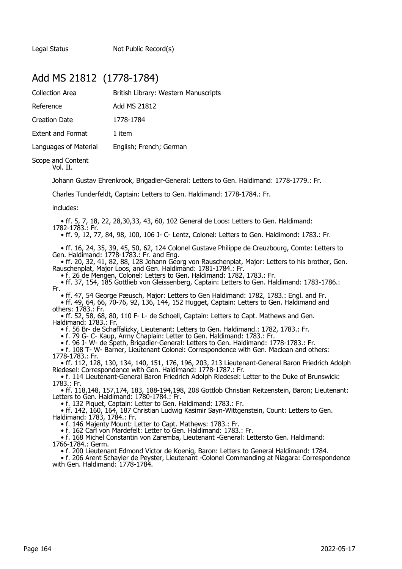Legal Status Not Public Record(s)

### Add MS 21812 (1778-1784)

| <b>Collection Area</b>   | British Library: Western Manuscripts |
|--------------------------|--------------------------------------|
| Reference                | Add MS 21812                         |
| <b>Creation Date</b>     | 1778-1784                            |
| <b>Extent and Format</b> | 1 item                               |
| Languages of Material    | English; French; German              |
|                          |                                      |

#### Scope and Content Vol. II.

Johann Gustav Ehrenkrook, Brigadier-General: Letters to Gen. Haldimand: 1778-1779.: Fr.

Charles Tunderfeldt, Captain: Letters to Gen. Haldimand: 1778-1784.: Fr.

includes:

• ff. 5, 7, 18, 22, 28,30,33, 43, 60, 102 General de Loos: Letters to Gen. Haldimand:

1782-1783.: Fr.

• ff. 9, 12, 77, 84, 98, 100, 106 J- C- Lentz, Colonel: Letters to Gen. Haldimond: 1783.: Fr.

 • ff. 16, 24, 35, 39, 45, 50, 62, 124 Colonel Gustave Philippe de Creuzbourg, Comte: Letters to Gen. Haldimand: 1778-1783.: Fr. and Eng.

• ff. 20, 32, 41, 82, 88, 128 Johann Georg von Rauschenplat, Major: Letters to his brother, Gen. Rauschenplat, Major Loos, and Gen. Haldimand: 1781-1784.: Fr.

• f. 26 de Mengen, Colonel: Letters to Gen. Haldimand: 1782, 1783.: Fr.

 • ff. 37, 154, 185 Gottlieb von Gleissenberg, Captain: Letters to Gen. Haldimand: 1783-1786.: Fr.

• ff. 47, 54 George Pæusch, Major: Letters to Gen Haldimand: 1782, 1783.: Engl. and Fr.

 • ff. 49, 64, 66, 70-76, 92, 136, 144, 152 Hugget, Captain: Letters to Gen. Haldimand and others: 1783.: Fr.

 • ff. 52, 58, 68, 80, 110 F- L- de Schoell, Captain: Letters to Capt. Mathews and Gen. Haldimand: 1783.: Fr.

• f. 56 Br- de Schaffalizky, Lieutenant: Letters to Gen. Haldimand.: 1782, 1783.: Fr.

• f. 79 G- C- Kaup, Army Chaplain: Letter to Gen. Haldimand: 1783.: Fr.

• f. 96 J- W- de Speth, Brigadier-General: Letters to Gen. Haldimand: 1778-1783.: Fr.

 • f. 108 T- W- Barner, Lieutenant Colonel: Correspondence with Gen. Maclean and others: 1778-1783.: Fr.

 • ff. 112, 128, 130, 134, 140, 151, 176, 196, 203, 213 Lieutenant-General Baron Friedrich Adolph Riedesel: Correspondence with Gen. Haldimand: 1778-1787.: Fr.

 • f. 114 Lieutenant-General Baron Friedrich Adolph Riedesel: Letter to the Duke of Brunswick: 1783.: Fr.

 • ff. 118,148, 157,174, 183, 188-194,198, 208 Gottlob Christian Reitzenstein, Baron; Lieutenant: Letters to Gen. Haldimand: 1780-1784.: Fr.

• f. 132 Piquet, Captain: Letter to Gen. Haldimand: 1783.: Fr.

 • ff. 142, 160, 164, 187 Christian Ludwig Kasimir Sayn-Wittgenstein, Count: Letters to Gen. Haldimand: 1783, 1784.: Fr.

• f. 146 Majenty Mount: Letter to Capt. Mathews: 1783.: Fr.

• f. 162 Carl von Mardefelt: Letter to Gen. Haldimand: 1783.: Fr.

 • f. 168 Michel Constantin von Zaremba, Lieutenant -General: Lettersto Gen. Haldimand: 1766-1784.: Germ.

• f. 200 Lieutenant Edmond Victor de Koenig, Baron: Letters to General Haldimand: 1784.

 • f. 206 Arent Schayler de Peyster, Lieutenant -Colonel Commanding at Niagara: Correspondence with Gen. Haldimand: 1778-1784.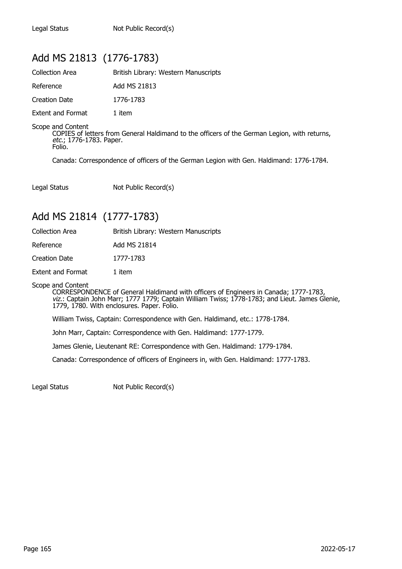### Add MS 21813 (1776-1783)

| <b>Collection Area</b>   | British Library: Western Manuscripts |
|--------------------------|--------------------------------------|
| Reference                | Add MS 21813                         |
| Creation Date            | 1776-1783                            |
| <b>Extent and Format</b> | 1 item                               |

Scope and Content

COPIES of letters from General Haldimand to the officers of the German Legion, with returns, etc.; 1776-1783. Paper. Folio.

Canada: Correspondence of officers of the German Legion with Gen. Haldimand: 1776-1784.

Legal Status Not Public Record(s)

### Add MS 21814 (1777-1783)

| British Library: Western Manuscripts |
|--------------------------------------|
| Add MS 21814                         |
| 1777-1783                            |
| 1 item                               |
|                                      |

Scope and Content

CORRESPONDENCE of General Haldimand with officers of Engineers in Canada; 1777-1783, viz.: Captain John Marr; 1777 1779; Captain William Twiss; 1778-1783; and Lieut. James Glenie, 1779, 1780. With enclosures. Paper. Folio.

William Twiss, Captain: Correspondence with Gen. Haldimand, etc.: 1778-1784.

John Marr, Captain: Correspondence with Gen. Haldimand: 1777-1779.

James Glenie, Lieutenant RE: Correspondence with Gen. Haldimand: 1779-1784.

Canada: Correspondence of officers of Engineers in, with Gen. Haldimand: 1777-1783.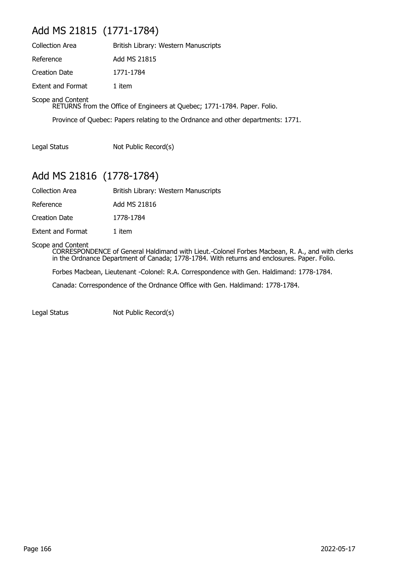## Add MS 21815 (1771-1784)

| <b>Collection Area</b>                                                                        | British Library: Western Manuscripts |  |
|-----------------------------------------------------------------------------------------------|--------------------------------------|--|
| Reference                                                                                     | Add MS 21815                         |  |
| <b>Creation Date</b>                                                                          | 1771-1784                            |  |
| <b>Extent and Format</b>                                                                      | 1 item                               |  |
| Scope and Content<br>RETURNS from the Office of Engineers at Quebec; 1771-1784. Paper. Folio. |                                      |  |

Province of Quebec: Papers relating to the Ordnance and other departments: 1771.

Legal Status Not Public Record(s)

## Add MS 21816 (1778-1784)

| <b>Collection Area</b> | British Library: Western Manuscripts |  |
|------------------------|--------------------------------------|--|
|                        |                                      |  |

Reference Add MS 21816

Creation Date 1778-1784

Extent and Format 1 item

#### Scope and Content

CORRESPONDENCE of General Haldimand with Lieut.-Colonel Forbes Macbean, R. A., and with clerks in the Ordnance Department of Canada; 1778-1784. With returns and enclosures. Paper. Folio.

Forbes Macbean, Lieutenant -Colonel: R.A. Correspondence with Gen. Haldimand: 1778-1784.

Canada: Correspondence of the Ordnance Office with Gen. Haldimand: 1778-1784.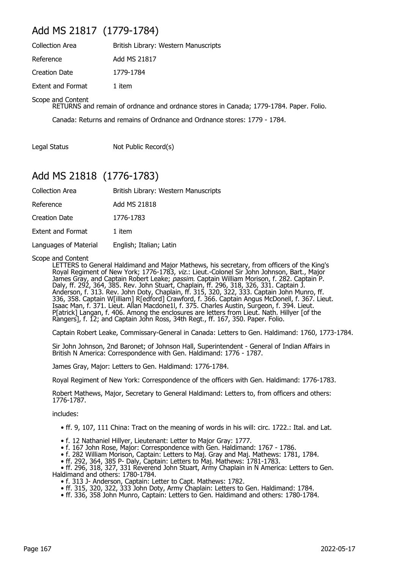### Add MS 21817 (1779-1784)

| <b>Collection Area</b>   | British Library: Western Manuscripts |
|--------------------------|--------------------------------------|
| Reference                | Add MS 21817                         |
| Creation Date            | 1779-1784                            |
| <b>Extent and Format</b> | 1 item                               |

Scope and Content

RETURNS and remain of ordnance and ordnance stores in Canada; 1779-1784. Paper. Folio.

Canada: Returns and remains of Ordnance and Ordnance stores: 1779 - 1784.

Legal Status Not Public Record(s)

### Add MS 21818 (1776-1783)

| <b>Collection Area</b>   | British Library: Western Manuscripts |
|--------------------------|--------------------------------------|
| Reference                | Add MS 21818                         |
| Creation Date            | 1776-1783                            |
| <b>Extent and Format</b> | 1 item                               |
| Languages of Material    | English; Italian; Latin              |

Scope and Content

LETTERS to General Haldimand and Major Mathews, his secretary, from officers of the King's Royal Regiment of New York; 1776-1783, viz.: Lieut.-Colonel Sir John Johnson, Bart., Major James Gray, and Captain Robert Leake; *passim*. Captain William Morison, f. 282. Captain P. Daly, ff. 292, 364, 385. Rev. John Stuart, Chaplain, ff. 296, 318, 326, 331. Captain J. Anderson, f. 313. Rev. John Doty, Chaplain, ff. 315, 320, 322, 333. Captain John Munro, ff. 336, 358. Captain W[illiam] R[edford] Crawford, f. 366. Captain Angus McDonell, f. 367. Lieut. Isaac Man, f. 371. Lieut. Allan Macdone1l, f. 375. Charles Austin, Surgeon, f. 394. Lieut. P[atrick] Langan, f. 406. Among the enclosures are letters from Lieut. Nath. Hillyer [of the Rangers], f. 12; and Captain John Ross, 34th Regt., ff. 167, 350. Paper. Folio.

Captain Robert Leake, Commissary-General in Canada: Letters to Gen. Haldimand: 1760, 1773-1784.

Sir John Johnson, 2nd Baronet; of Johnson Hall, Superintendent - General of Indian Affairs in British N America: Correspondence with Gen. Haldimand: 1776 - 1787.

James Gray, Major: Letters to Gen. Haldimand: 1776-1784.

Royal Regiment of New York: Correspondence of the officers with Gen. Haldimand: 1776-1783.

Robert Mathews, Major, Secretary to General Haldimand: Letters to, from officers and others: 1776-1787.

includes:

- ff. 9, 107, 111 China: Tract on the meaning of words in his will: circ. 1722.: Ital. and Lat.
- f. 12 Nathaniel Hillyer, Lieutenant: Letter to Major Gray: 1777.
- f. 167 John Rose, Major: Correspondence with Gen. Haldimand: 1767 1786.
- f. 282 William Morison, Captain: Letters to Maj. Gray and Maj. Mathews: 1781, 1784.
- ff. 292, 364, 385 P- Daly, Captain: Letters to Maj. Mathews: 1781-1783.

 • ff. 296, 318, 327, 331 Reverend John Stuart, Army Chaplain in N America: Letters to Gen. Haldimand and others: 1780-1784.

- f. 313 J- Anderson, Captain: Letter to Capt. Mathews: 1782.
- ff. 315, 320, 322, 333 John Doty, Army Chaplain: Letters to Gen. Haldimand: 1784.
	- ff. 336, 358 John Munro, Captain: Letters to Gen. Haldimand and others: 1780-1784.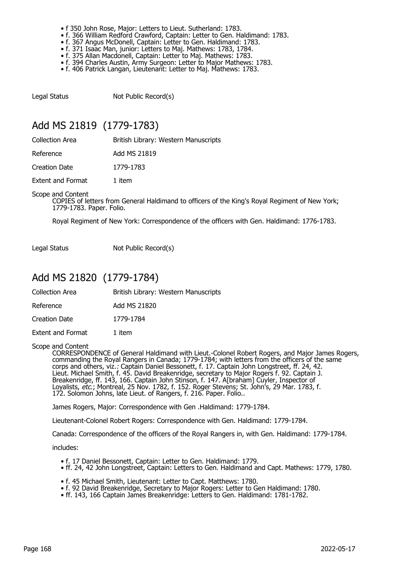- f 350 John Rose, Major: Letters to Lieut. Sutherland: 1783.
- f. 366 William Redford Crawford, Captain: Letter to Gen. Haldimand: 1783.
- f. 367 Angus McDonell, Captain: Letter to Gen. Haldimand: 1783.
- f. 371 Isaac Man, junior: Letters to Maj. Mathews: 1783, 1784.
- f. 375 Allan Macdonell, Captain: Letter to Maj. Mathews: 1783.
	- f. 394 Charles Austin, Army Surgeon: Letter to Major Mathews: 1783.
	- f. 406 Patrick Langan, Lieutenant: Letter to Maj. Mathews: 1783.

Legal Status Not Public Record(s)

### Add MS 21819 (1779-1783)

Collection Area **British Library: Western Manuscripts** 

Reference Add MS 21819

Creation Date 1779-1783

Extent and Format 1 item

Scope and Content

COPIES of letters from General Haldimand to officers of the King's Royal Regiment of New York; 1779-1783. Paper. Folio.

Royal Regiment of New York: Correspondence of the officers with Gen. Haldimand: 1776-1783.

Legal Status Not Public Record(s)

### Add MS 21820 (1779-1784)

| Collection Area | British Library: Western Manuscripts |  |
|-----------------|--------------------------------------|--|
|                 |                                      |  |

Reference Add MS 21820

Creation Date 1779-1784

Extent and Format 1 item

Scope and Content

CORRESPONDENCE of General Haldimand with Lieut.-Colonel Robert Rogers, and Major James Rogers, commanding the Royal Rangers in Canada; 1779-1784; with letters from the officers of the same corps and others, viz.: Captain Daniel Bessonett, f. 17. Captain John Longstreet, ff. 24, 42. Lieut. Michael Smith, f. 45. David Breakenridge, secretary to Major Rogers f. 92. Captain J. Breakenridge, ff. 143, 166. Captain John Stinson, f. 147. A[braham] Cuyler, Inspector of Loyalists, etc.; Montreal, 25 Nov. 1782, f. 152. Roger Stevens; St. John's, 29 Mar. 1783, f. 172. Solomon Johns, late Lieut. of Rangers, f. 216. Paper. Folio..

James Rogers, Major: Correspondence with Gen .Haldimand: 1779-1784.

Lieutenant-Colonel Robert Rogers: Correspondence with Gen. Haldimand: 1779-1784.

Canada: Correspondence of the officers of the Royal Rangers in, with Gen. Haldimand: 1779-1784.

includes:

- f. 17 Daniel Bessonett, Captain: Letter to Gen. Haldimand: 1779.
- ff. 24, 42 John Longstreet, Captain: Letters to Gen. Haldimand and Capt. Mathews: 1779, 1780.
- f. 45 Michael Smith, Lieutenant: Letter to Capt. Matthews: 1780.
- f. 92 David Breakenridge, Secretary to Major Rogers: Letter to Gen Haldimand: 1780.
- ff. 143, 166 Captain James Breakenridge: Letters to Gen. Haldimand: 1781-1782.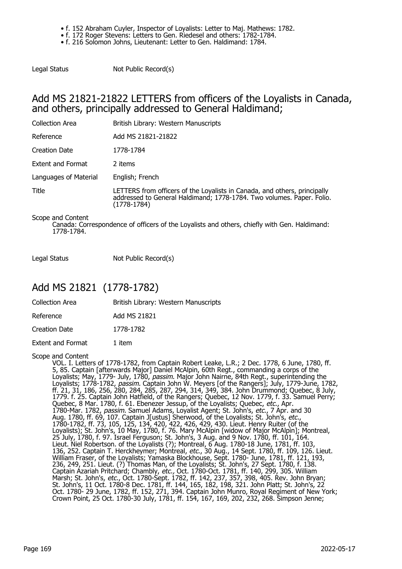- f. 152 Abraham Cuyler, Inspector of Loyalists: Letter to Maj. Mathews: 1782.
- f. 172 Roger Stevens: Letters to Gen. Riedesel and others: 1782-1784.

• f. 216 Solomon Johns, Lieutenant: Letter to Gen. Haldimand: 1784.

Legal Status Not Public Record(s)

### Add MS 21821-21822 LETTERS from officers of the Loyalists in Canada, and others, principally addressed to General Haldimand;

| <b>Collection Area</b>   | British Library: Western Manuscripts                                                                                                                                |
|--------------------------|---------------------------------------------------------------------------------------------------------------------------------------------------------------------|
| Reference                | Add MS 21821-21822                                                                                                                                                  |
| Creation Date            | 1778-1784                                                                                                                                                           |
| <b>Extent and Format</b> | 2 items                                                                                                                                                             |
| Languages of Material    | English; French                                                                                                                                                     |
| Title                    | LETTERS from officers of the Loyalists in Canada, and others, principally<br>addressed to General Haldimand; 1778-1784. Two volumes. Paper. Folio.<br>$(1778-1784)$ |
| Scone and Content        |                                                                                                                                                                     |

ope and Content: Canada: Correspondence of officers of the Loyalists and others, chiefly with Gen. Haldimand: 1778-1784.

Legal Status Not Public Record(s)

## Add MS 21821 (1778-1782)

| <b>Collection Area</b> | British Library: Western Manuscripts |
|------------------------|--------------------------------------|
| Reference              | Add MS 21821                         |
| Creation Date          | 1778-1782                            |
| Extent and Format      | 1 item                               |

Scope and Content

VOL. I. Letters of 1778-1782, from Captain Robert Leake, L.R.; 2 Dec. 1778, 6 June, 1780, ff. 5, 85. Captain [afterwards Major] Daniel McAlpin, 60th Regt., commanding a corps of the Loyalists; May, 1779- July, 1780, *passim*. Major John Nairne, 84th Regt., superintending the Loyalists; 1778-1782, *passim.* Captain John W. Meyers [of the Rangers]; July, 1779-June, 1782, ff. 21, 31, 186, 256, 280, 284, 285, 287, 294, 314, 349, 384. John Drummond; Quebec, 8 July, 1779. f. 25. Captain John Hatfield, of the Rangers; Quebec, 12 Nov. 1779, f. 33. Samuel Perry; Quebec, 8 Mar. 1780, f. 61. Ebenezer Jessup, of the Loyalists; Quebec, *etc*., Apr. 1780-Mar. 1782, passim. Samuel Adams, Loyalist Agent; St. John's, etc., 7 Apr. and 30 Aug. 1780, ff. 69, 107. Captain J[ustus] Sherwood, of the Loyalists; St. John's, *etc.*, 1780-1782, ff. 73, 105, 125, 134, 420, 422, 426, 429, 430. Lieut. Henry Ruiter (of the Loyalists); St. John's, 10 May, 1780, f. 76. Mary McAlpin [widow of Major McAlpin]; Montreal, 25 July, 1780, f. 97. Israel Ferguson; St. John's, 3 Aug. and 9 Nov. 1780, ff. 101, 164. Lieut. Niel Robertson. of the Loyalists (?); Montreal, 6 Aug. 1780-18 June, 1781, ff. 103, 136, 252. Captain T. Herckheymer; Montreal, etc., 30 Aug., 14 Sept. 1780, ff. 109, 126. Lieut. William Fraser, of the Loyalists; Yamaska Blockhouse, Sept. 1780- June, 1781, ff. 121, 193, 236, 249, 251. Lieut. (?) Thomas Man, of the Loyalists; St. John's, 27 Sept. 1780, f. 138. Captain Azariah Pritchard; Chambly, *etc.,* Oct. 1780-Oct. 1781, ff. 140, 299, 305. William Marsh; St. John's, *etc.*, Oct. 1780-Sept. 1782, ff. 142, 237, 357, 398, 405. Rev. John Bryan; St. John's, 11 Oct. 1780-8 Dec. 1781, ff. 144, 165, 182, 198, 321. John Platt; St. John's, 22 Oct. 1780- 29 June, 1782, ff. 152, 271, 394. Captain John Munro, Royal Regiment of New York; Crown Point, 25 Oct. 1780-30 July, 1781, ff. 154, 167, 169, 202, 232, 268. Simpson Jenne;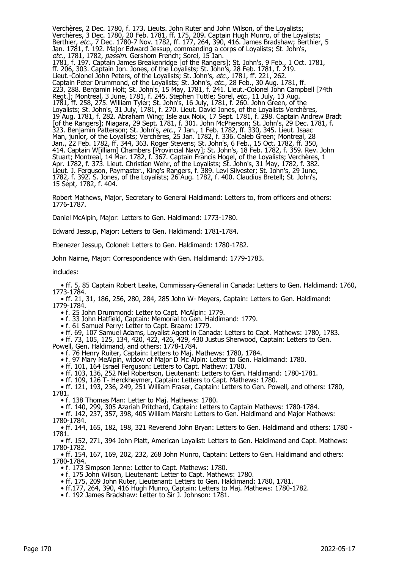Verchères, 2 Dec. 1780, f. 173. Lieuts. John Ruter and John Wilson, of the Loyalists; Verchères, 3 Dec. 1780, 20 Feb. 1781, ff. 175, 209. Captain Hugh Munro, of the Loyalists; Berthier, *etc.*, 7 Dec. 1780-7 Nov. 1782, ff. 177, 264, 390, 416. James Bradshaw; Berthier, 5 Jan. 1781, f. 192. Major Edward Jessup, commanding a corps of Loyalists; St. John's, *etc.,* 1781, 1782, *passim*. Gershom French; Sorel, 15 Jan. 1781, f. 197. Captain James Breakenridge [of the Rangers]; St. John's, 9 Feb., 1 Oct. 1781, ff. 206, 303. Captain Jon. Jones, of the Loyalists; St. John's, 28 Feb. 1781, f. 219. Lieut.-Colonel John Peters, of the Loyalists; St. John's, etc., 1781, ff. 221, 262. Captain Peter Drummond, of the Loyalists; St. John's, *etc.*, 28 Feb., 30 Aug. 1781, ff. 223, 288. Benjamin Holt; St. John's, 15 May, 1781, f. 241. Lieut.-Colonel John Campbell [74th Regt.]; Montreal, 3 June, 1781, f. 245. Stephen Tuttle; Sorel, *etc.,* 11 July, 13 Aug. 1781, ff. 258, 275. William Tyler; St. John's, 16 July, 1781, f. 260. John Green, of the Loyalists; St. John's, 31 July, 1781, f. 270. Lieut. David Jones, of the Loyalists Verchères, 19 Aug. 1781, f. 282. Abraham Wing; Isle aux Noix, 17 Sept. 1781, f. 298. Captain Andrew Bradt [of the Rangers]; Niagara, 29 Sept. 1781, f. 301. John McPherson; St. John's, 29 Dec. 1781, f. 323. Benjamin Patterson; St. John's, *etc.*, 7 Jan., 1 Feb. 1782, ff. 330, 345. Lieut. Isaac Man, junior, of the Loyalists; Verchères, 25 Jan. 1782, f. 336. Caleb Green; Montreal, 28 Jan., 22 Feb. 1782, ff. 344, 363. Roger Stevens; St. John's, 6 Feb., 15 Oct. 1782, ff. 350, 414. Captain W[illiam] Chambers [Provincial Navy]; St. John's, 18 Feb. 1782, f. 359. Rev. John Stuart; Montreal, 14 Mar. 1782, f. 367. Captain Francis Hogel, of the Loyalists; Verchères, 1 Apr. 1782, f. 373. Lieut. Christian Wehr, of the Loyalists; St. John's, 31 May, 1782, f. 382. Lieut. J. Ferguson, Paymaster., King's Rangers, f. 389. Levi Silvester; St. John's, 29 June, 1782, f. 392. S. Jones, of the Loyalists; 26 Aug. 1782, f. 400. Claudius Bretell; St. John's, 15 Sept, 1782, f. 404.

Robert Mathews, Major, Secretary to General Haldimand: Letters to, from officers and others: 1776-1787.

Daniel McAlpin, Major: Letters to Gen. Haldimand: 1773-1780.

Edward Jessup, Major: Letters to Gen. Haldimand: 1781-1784.

Ebenezer Jessup, Colonel: Letters to Gen. Haldimand: 1780-1782.

John Nairne, Major: Correspondence with Gen. Haldimand: 1779-1783.

includes:

 • ff. 5, 85 Captain Robert Leake, Commissary-General in Canada: Letters to Gen. Haldimand: 1760, 1773-1784.

 • ff. 21, 31, 186, 256, 280, 284, 285 John W- Meyers, Captain: Letters to Gen. Haldimand: 1779-1784.

• f. 25 John Drummond: Letter to Capt. McAlpin: 1779.

• f. 33 John Hatfield, Captain: Memorial to Gen. Haldimand: 1779.

• f. 61 Samuel Perry: Letter to Capt. Braam: 1779.

• ff. 69, 107 Samuel Adams, Loyalist Agent in Canada: Letters to Capt. Mathews: 1780, 1783.

 • ff. 73, 105, 125, 134, 420, 422, 426, 429, 430 Justus Sherwood, Captain: Letters to Gen. Powell, Gen. Haldimand, and others: 1778-1784.

• f. 76 Henry Ruiter, Captain: Letters to Maj. Mathews: 1780, 1784.

• f. 97 Mary MeAlpin, widow of Major D Mc Alpin: Letter to Gen. Haldimand: 1780.

• ff. 101, 164 Israel Ferguson: Letters to Capt. Mathew: 1780.

• ff. 103, 136, 252 Niel Robertson, Lieutenant: Letters to Gen. Haldimand: 1780-1781.

• ff. 109, 126 T- Herckheymer, Captain: Letters to Capt. Mathews: 1780.

 • ff. 121, 193, 236, 249, 251 William Fraser, Captain: Letters to Gen. Powell, and others: 1780, 1781.

• f. 138 Thomas Man: Letter to Maj. Mathews: 1780.

• ff. 140, 299, 305 Azariah Pritchard, Captain: Letters to Captain Mathews: 1780-1784.

 • ff. 142, 237, 357, 398, 405 William Marsh: Letters to Gen. Haldimand and Major Mathews: 1780-1784.

 • ff. 144, 165, 182, 198, 321 Reverend John Bryan: Letters to Gen. Haldimand and others: 1780 - 1781.

 • ff. 152, 271, 394 John Platt, American Loyalist: Letters to Gen. Haldimand and Capt. Mathews: 1780-1782.

 • ff. 154, 167, 169, 202, 232, 268 John Munro, Captain: Letters to Gen. Haldimand and others: 1780-1784.

• f. 173 Simpson Jenne: Letter to Capt. Mathews: 1780.

- f. 175 John Wilson, Lieutenant: Letter to Capt. Mathews: 1780.
- ff. 175, 209 John Ruter, Lieutenant: Letters to Gen. Haldimand: 1780, 1781.
- ff.177, 264, 390, 416 Hugh Munro, Captain: Letters to Maj. Mathews: 1780-1782.

• f. 192 James Bradshaw: Letter to Sir J. Johnson: 1781.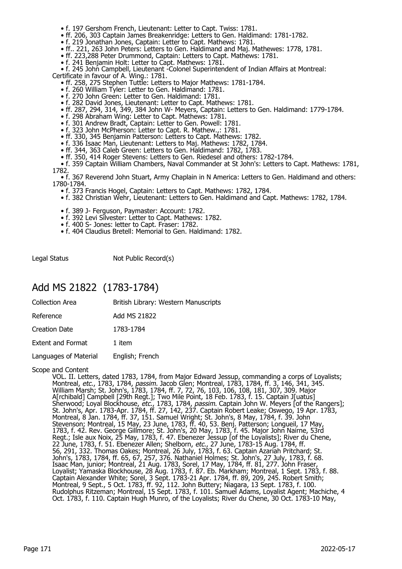- f. 197 Gershom French, Lieutenant: Letter to Capt. Twiss: 1781.
- ff. 206, 303 Captain James Breakenridge: Letters to Gen. Haldimand: 1781-1782.
- f. 219 Jonathan Jones, Captain: Letter to Capt. Mathews: 1781.
- ff.. 221, 263 John Peters: Letters to Gen. Haldimand and Maj. Mathewes: 1778, 1781.
	- ff. 223,288 Peter Drummond, Captain: Letters to Capt. Mathews: 1781.
	- f. 241 Benjamin Holt: Letter to Capt. Mathews: 1781.

• f. 245 John Campbell, Lieutenant - Colonel Superintendent of Indian Affairs at Montreal:

- Certificate in favour of A. Wing.: 1781.
- ff. 258, 275 Stephen Tuttle: Letters to Major Mathews: 1781-1784.
- f. 260 William Tyler: Letter to Gen. Haldimand: 1781.
	- f. 270 John Green: Letter to Gen. Haldimand: 1781.
- f. 282 David Jones, Lieutenant: Letter to Capt. Mathews: 1781.
- ff. 287, 294, 314, 349, 384 John W- Meyers, Captain: Letters to Gen. Haldimand: 1779-1784.
- f. 298 Abraham Wing: Letter to Capt. Mathews: 1781.
- f. 301 Andrew Bradt, Captain: Letter to Gen. Powell: 1781.
- f. 323 John McPherson: Letter to Capt. R. Mathew.,: 1781.
- ff. 330, 345 Benjamin Patterson: Letters to Capt. Mathews: 1782.
- f. 336 Isaac Man, Lieutenant: Letters to Maj. Mathews: 1782, 1784.
- ff. 344, 363 Caleb Green: Letters to Gen. Haldimand: 1782, 1783.
	- ff. 350, 414 Roger Stevens: Letters to Gen. Riedesel and others: 1782-1784.
- f. 359 Captain William Chambers, Naval Commander at St John's: Letters to Capt. Mathews: 1781, 1782.

 • f. 367 Reverend John Stuart, Army Chaplain in N America: Letters to Gen. Haldimand and others: 1780-1784.

- f. 373 Francis Hogel, Captain: Letters to Capt. Mathews: 1782, 1784.
- f. 382 Christian Wehr, Lieutenant: Letters to Gen. Haldimand and Capt. Mathews: 1782, 1784.
- f. 389 J- Ferguson, Paymaster: Account: 1782.
- f. 392 Levi Silvester: Letter to Capt. Mathews: 1782.
- f. 400 S- Jones: letter to Capt. Fraser: 1782.
- f. 404 Claudius Bretell: Memorial to Gen. Haldimand: 1782.

Legal Status Not Public Record(s)

### Add MS 21822 (1783-1784)

| <b>Collection Area</b>   | British Library: Western Manuscripts |
|--------------------------|--------------------------------------|
| Reference                | Add MS 21822                         |
| <b>Creation Date</b>     | 1783-1784                            |
| <b>Extent and Format</b> | 1 item                               |
| Languages of Material    | English; French                      |
|                          |                                      |

Scope and Content

VOL. II. Letters, dated 1783, 1784, from Major Edward Jessup, commanding a corps of Loyalists; Montreal, *etc.*, 1783, 1784, *passim.* Jacob Glen; Montreal, 1783, 1784, ff. 3, 146, 341, 345. William Marsh; St. John's, 1783, 1784, ff. 7, 72, 76, 103, 106, 108, 181, 307, 309. Major A[rchibald] Campbell [29th Regt.]; Two Mile Point, 18 Feb. 1783, f. 15. Captain J[uatus] Sherwood; Loyal Blockhouse, *etc.*, 1783, 1784, *passim*. Captain John W. Meyers [of the Rangers]; St. John's, Apr. 1783-Apr. 1784, ff. 27, 142, 237. Captain Robert Leake; Oswego, 19 Apr. 1783, Montreal, 8 Jan. 1784, ff. 37, 151. Samuel Wright; St. John's, 8 May, 1784, f. 39. John Stevenson; Montreal, 15 May, 23 June, 1783, ff. 40, 53. Benj. Patterson; Longueil, 17 May, 1783, f. 42. Rev. George Gillmore; St. John's, 20 May, 1783, f. 45. Major John Nairne, 53rd Regt.; Isle aux Noix, 25 May, 1783, f. 47. Ebenezer Jessup [of the Loyalists]; River du Chene, 22 June, 1783, f. 51. Ebenezer Allen; Shelborn, *etc.*, 27 June, 1783-15 Aug. 1784, ff. 56, 291, 332. Thomas Oakes; Montreal, 26 July, 1783, f. 63. Captain Azariah Pritchard; St. John's, 1783, 1784, ff. 65, 67, 257, 376. Nathaniel Holmes; St. John's, 27 July, 1783, f. 68. Isaac Man, junior; Montreal, 21 Aug. 1783, Sorel, 17 May, 1784, ff. 81, 277. John Fraser, Loyalist; Yamaska Blockhouse, 28 Aug. 1783, f. 87. Eb. Markham; Montreal, 1 Sept. 1783, f. 88. Captain Alexander White; Sorel, 3 Sept. 1783-21 Apr. 1784, ff. 89, 209, 245. Robert Smith; Montreal, 9 Sept., 5 Oct. 1783, ff. 92, 112. John Buttery; Niagara, 13 Sept. 1783, f. 100. Rudolphus Ritzeman; Montreal, 15 Sept. 1783, f. 101. Samuel Adams, Loyalist Agent; Machiche, 4 Oct. 1783, f. 110. Captain Hugh Munro, of the Loyalists; River du Chene, 30 Oct. 1783-10 May,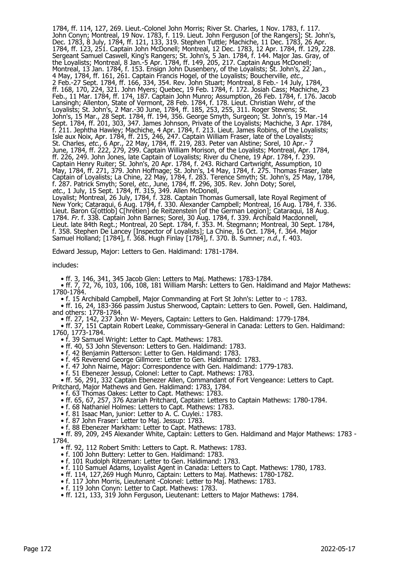1784, ff. 114, 127, 269. Lieut.-Colonel John Morris; River St. Charles, 1 Nov. 1783, f. 117. John Conyn; Montreal, 19 Nov. 1783, f. 119. Lieut. John Ferguson [of the Rangers]; St. John's, Dec. 1783, 8 July, 1784, ff. 121, 133, 319. Stephen Tuttle; Machiche, 11 Dec. 1783, 26 Apr. 1784, ff. 123, 251. Captain John McDonell; Montreal, 12 Dec. 1783, 12 Apr. 1784, ff. 129, 228. Sergeant Samuel Caswell, King's Rangers; St. John's, 5 Jan. 1784, f. 144. Major Jas. Gray, of the Loyalists; Montreal, 8 Jan.-5 Apr. 1784, ff. 149, 205, 217. Captain Angus McDonell; Montreal, 13 Jan. 1784, f. 153. Ensign John Dusenbery, of the Loyalists; St. John's, 22 Jan., 4 May, 1784, ff. 161, 261. Captain Francis Hogel, of the Loyalists; Boucherville, *etc.*, 2 Feb.-27 Sept. 1784, ff. 166, 334, 354. Rev. John Stuart; Montreal, 8 Feb.- 14 July, 1784, ff. 168, 170, 224, 321. John Myers; Quebec, 19 Feb. 1784, f. 172. Josiah Cass; Machiche, 23 Feb., 11 Mar. 1784, ff. 174, 187. Captain John Munro; Assumption, 26 Feb. 1784, f. 176. Jacob Lansingh; Allenton, State of Vermont, 28 Feb. 1784, f. 178. Lieut. Christian Wehr, of the Loyalists; St. John's, 2 Mar.-30 June, 1784, ff. 185, 253, 255, 311. Roger Stevens; St. John's, 15 Mar., 28 Sept. 1784, ff. 194, 356. George Smyth, Surgeon; St. John's, 19 Mar.-14 Sept. 1784, ff. 201, 303, 347. James Johnson, Private of the Loyalists; Machiche, 3 Apr. 1784, f. 211. Jephtha Hawley; Machiche, 4 Apr. 1784, f. 213. Lieut. James Robins, of the Loyalists; Isle aux Noix, Apr. 1784, ff. 215, 246, 247. Captain William Fraser, late of the Loyalists; St. Charles, *etc.*, 6 Apr., 22 May, 1784, ff. 219, 283. Peter van Alstine; Sorel, 10 Apr.- 7 June, 1784, ff. 222, 279, 299. Captain William Morison, of the Loyalists; Montreal, Apr. 1784, ff. 226, 249. John Jones, late Captain of Loyalists; River du Chene, 19 Apr. 1784, f. 239. Captain Henry Ruiter; St. John's, 20 Apr. 1784, f. 243. Richard Cartwright, Assumption, 10 May, 1784, ff. 271, 379. John Hoffnage; St. John's, 14 May, 1784, f. 275. Thomas Fraser, late Captain of Loyalists; La Chine, 22 May, 1784, f. 283. Terence Smyth; St. John's, 25 May, 1784, f. 287. Patrick Smyth; Sorel, *etc.,* June, 1784, ff. 296, 305. Rev. John Doty; Sorel, etc., 1 July, 15 Sept. 1784, ff. 315, 349. Allen McDonell, Loyalist; Montreal, 26 July, 1784, f. 328. Captain Thomas Gumersall, late Royal Regiment of

New York; Cataraqui, 6 Aug. 1784, f. 330. Alexander Campbell; Montreal, 16 Aug. 1784, f. 336. Lieut. Baron G[ottlob] C[hrétien] de Reitzenstein [of the German Legion]; Cataraqui, 18 Aug. 1784. Fr. f. 338. Captain John Barnes; Sorel, 30 Aug. 1784, f. 339. Archibald Macdonnell, Lieut. late 84th Regt.; Montreal, 20 Sept. 1784, f. 353. M. Stegmann; Montreal, 30 Sept. 1784, f. 358. Stephen De Lancey [Inspector of Loyalists]; La Chine, 16 Oct. 1784, f. 364. Major Samuel Holland; [1784], f. 368. Hugh Finlay [1784], f. 370. B. Sumner; n.d., f. 403.

Edward Jessup, Major: Letters to Gen. Haldimand: 1781-1784.

includes:

• ff. 3, 146, 341, 345 Jacob Glen: Letters to Maj. Mathews: 1783-1784.

 • ff. 7, 72, 76, 103, 106, 108, 181 William Marsh: Letters to Gen. Haldimand and Major Mathews: 1780-1784.

• f. 15 Archibald Campbell, Major Commanding at Fort St John's: Letter to -: 1783.

• ff. 16, 24, 183-366 passim Justus Sherwood, Captain: Letters to Gen. Powell, Gen. Haldimand, and others: 1778-1784.

• ff. 27, 142, 237 John W- Meyers, Captain: Letters to Gen. Haldimand: 1779-1784.

 • ff. 37, 151 Captain Robert Leake, Commissary-General in Canada: Letters to Gen. Haldimand: 1760, 1773-1784.

• f. 39 Samuel Wright: Letter to Capt. Mathews: 1783.

• ff. 40, 53 John Stevenson: Letters to Gen. Haldimand: 1783.

• f. 42 Benjamin Patterson: Letter to Gen. Haldimand: 1783.

• f. 45 Reverend George Gillmore: Letter to Gen. Haldimand: 1783.

• f. 47 John Nairne, Major: Correspondence with Gen. Haldimand: 1779-1783.

• f. 51 Ebenezer Jessup, Colonel: Letter to Capt. Mathews: 1783.

• ff. 56, 291, 332 Captain Ebenezer Allen, Commandant of Fort Vengeance: Letters to Capt.

Pritchard, Major Mathews and Gen. Haldimand: 1783, 1784.

• f. 63 Thomas Oakes: Letter to Capt. Mathews: 1783.

• ff. 65, 67, 257, 376 Azariah Pritchard, Captain: Letters to Captain Mathews: 1780-1784.

• f. 68 Nathaniel Holmes: Letters to Capt. Mathews: 1783.

• f. 81 Isaac Man, junior: Letter to A. C. Cuylei.: 1783.

• f. 87 John Fraser: Letter to Maj. Jessup: 1783.

• f. 88 Ebenezer Markham: Letter to Capt. Mathews: 1783.

 • ff. 89, 209, 245 Alexander White, Captain: Letters to Gen. Haldimand and Major Mathews: 1783 - 1784.

• ff. 92, 112 Robert Smith: Letters to Capt. R. Mathews: 1783.

• f. 100 John Buttery: Letter to Gen. Haldimand: 1783.

• f. 101 Rudolph Ritzeman: Letter to Gen. Haldimand: 1783.

• f. 110 Samuel Adams, Loyalist Agent in Canada: Letters to Capt. Mathews: 1780, 1783.

• ff. 114, 127,269 Hugh Munro, Captain: Letters to Maj. Mathews: 1780-1782.

• f. 117 John Morris, Lieutenant -Colonel: Letter to Maj. Mathews: 1783.

• f. 119 John Conyn: Letter to Capt. Mathews: 1783.

• ff. 121, 133, 319 John Ferguson, Lieutenant: Letters to Major Mathews: 1784.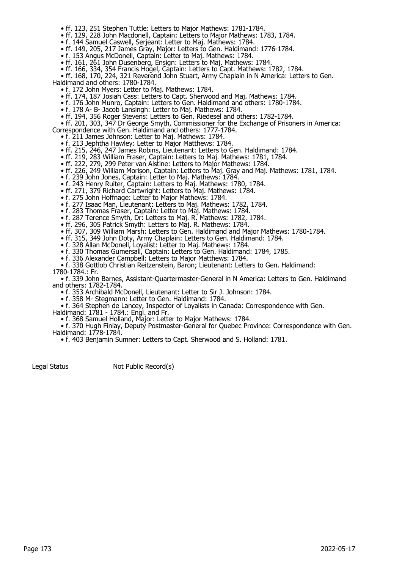- ff. 123, 251 Stephen Tuttle: Letters to Major Mathews: 1781-1784.
- ff. 129, 228 John Macdonell, Captain: Letters to Major Mathews: 1783, 1784.
- f. 144 Samuel Caswell, Serjeant: Letter to Maj. Mathews: 1784.
- ff. 149, 205, 217 James Gray, Major: Letters to Gen. Haldimand: 1776-1784.
	- f. 153 Angus McDonell, Captain: Letter to Maj. Mathews: 1784.
- ff. 161, 261 John Dusenberg, Ensign: Letters to Maj. Mathews: 1784.
- ff. 166, 334, 354 Francis Hogel, Captain: Letters to Capt. Mathews: 1782, 1784.

 • ff. 168, 170, 224, 321 Reverend John Stuart, Army Chaplain in N America: Letters to Gen. Haldimand and others: 1780-1784.

- f. 172 John Myers: Letter to Maj. Mathews: 1784.
- ff. 174, 187 Josiah Cass: Letters to Capt. Sherwood and Maj. Mathews: 1784.
- f. 176 John Munro, Captain: Letters to Gen. Haldimand and others: 1780-1784.
- f. 178 A- B- Jacob Lansingh: Letter to Maj. Mathews: 1784.
- ff. 194, 356 Roger Stevens: Letters to Gen. Riedesel and others: 1782-1784.

 • ff. 201, 303, 347 Dr George Smyth, Commissioner for the Exchange of Prisoners in America: Correspondence with Gen. Haldimand and others: 1777-1784.

- f. 211 James Johnson: Letter to Maj. Mathews: 1784.
- f. 213 Jephtha Hawley: Letter to Major Matthews: 1784.
- ff. 215, 246, 247 James Robins, Lieutenant: Letters to Gen. Haldimand: 1784.
- ff. 219, 283 William Fraser, Captain: Letters to Maj. Mathews: 1781, 1784.
- ff. 222, 279, 299 Peter van Alstine: Letters to Major Mathews: 1784.
- ff. 226, 249 William Morison, Captain: Letters to Maj. Gray and Maj. Mathews: 1781, 1784.
- f. 239 John Jones, Captain: Letter to Maj. Mathews: 1784.
- f. 243 Henry Ruiter, Captain: Letters to Maj. Mathews: 1780, 1784.
- ff. 271, 379 Richard Cartwright: Letters to Maj. Mathews: 1784.
- f. 275 John Hoffnage: Letter to Major Mathews: 1784.
- f. 277 Isaac Man, Lieutenant: Letters to Maj. Mathews: 1782, 1784.
- f. 283 Thomas Fraser, Captain: Letter to Maj. Mathews: 1784.
- f. 287 Terence Smyth, Dr: Letters to Maj. R. Mathews: 1782, 1784.
- ff. 296, 305 Patrick Smyth: Letters to Maj. R. Mathews: 1784.
- ff. 307, 309 William Marsh: Letters to Gen. Haldimand and Major Mathews: 1780-1784.
- ff. 315, 349 John Doty, Army Chaplain: Letters to Gen. Haldimand: 1784.
- f. 328 Allan McDonell, Loyalist: Letter to Maj. Mathews: 1784.
	- f. 330 Thomas Gumersall, Captain: Letters to Gen. Haldimand: 1784, 1785.
- f. 336 Alexander Campbell: Letters to Major Matthews: 1784.
- f. 338 Gottlob Christian Reitzenstein, Baron; Lieutenant: Letters to Gen. Haldimand:
- 1780-1784.: Fr.

 • f. 339 John Barnes, Assistant-Quartermaster-General in N America: Letters to Gen. Haldimand and others: 1782-1784.

• f. 353 Archibald McDonell, Lieutenant: Letter to Sir J. Johnson: 1784.

- f. 358 M- Stegmann: Letter to Gen. Haldimand: 1784.
	- f. 364 Stephen de Lancey, Inspector of Loyalists in Canada: Correspondence with Gen.

Haldimand: 1781 - 1784.: Engl. and Fr.

• f. 368 Samuel Holland, Major: Letter to Major Mathews: 1784.

 • f. 370 Hugh Finlay, Deputy Postmaster-General for Quebec Province: Correspondence with Gen. Haldimand: 1778-1784.

• f. 403 Benjamin Sumner: Letters to Capt. Sherwood and S. Holland: 1781.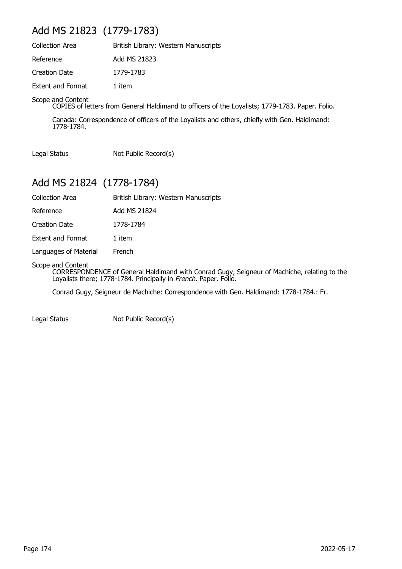## Add MS 21823 (1779-1783)

| <b>Collection Area</b>   | British Library: Western Manuscripts |
|--------------------------|--------------------------------------|
| Reference                | Add MS 21823                         |
| Creation Date            | 1779-1783                            |
| <b>Extent and Format</b> | 1 item                               |

#### Scope and Content

COPIES of letters from General Haldimand to officers of the Loyalists; 1779-1783. Paper. Folio.

Canada: Correspondence of officers of the Loyalists and others, chiefly with Gen. Haldimand: 1778-1784.

Legal Status Not Public Record(s)

### Add MS 21824 (1778-1784)

| Collection Area |  | British Library: Western Manuscripts |
|-----------------|--|--------------------------------------|
|-----------------|--|--------------------------------------|

Reference Add MS 21824

Creation Date 1778-1784

Extent and Format 1 item

Languages of Material French

Scope and Content

CORRESPONDENCE of General Haldimand with Conrad Gugy, Seigneur of Machiche, relating to the Loyalists there; 1778-1784. Principally in French. Paper. Folio.

Conrad Gugy, Seigneur de Machiche: Correspondence with Gen. Haldimand: 1778-1784.: Fr.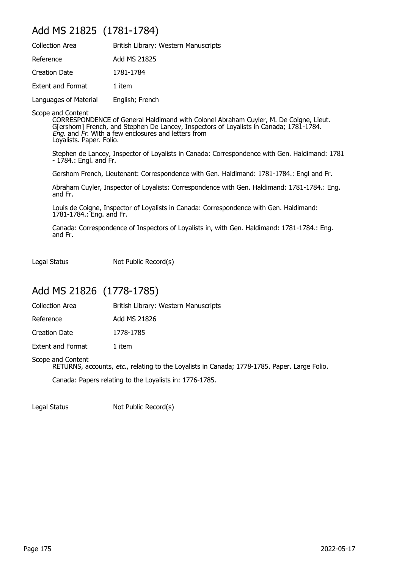### Add MS 21825 (1781-1784)

| <b>Collection Area</b> | British Library: Western Manuscripts |
|------------------------|--------------------------------------|
| Reference              | Add MS 21825                         |
| <b>Creation Date</b>   | 1781-1784                            |
| Extent and Format      | 1 item                               |
| Languages of Material  | English; French                      |
|                        |                                      |

Scope and Content

CORRESPONDENCE of General Haldimand with Colonel Abraham Cuyler, M. De Coigne, Lieut. G[ershom] French, and Stephen De Lancey, Inspectors of Loyalists in Canada; 1781-1784. *Eng.* and *Fr*. With a few enclosures and letters from Loyalists. Paper. Folio.

Stephen de Lancey, Inspector of Loyalists in Canada: Correspondence with Gen. Haldimand: 1781 - 1784.: Engl. and Fr.

Gershom French, Lieutenant: Correspondence with Gen. Haldimand: 1781-1784.: Engl and Fr.

Abraham Cuyler, Inspector of Loyalists: Correspondence with Gen. Haldimand: 1781-1784.: Eng. and Fr.

Louis de Coigne, Inspector of Loyalists in Canada: Correspondence with Gen. Haldimand: 1781-1784.: Eng. and Fr.

Canada: Correspondence of Inspectors of Loyalists in, with Gen. Haldimand: 1781-1784.: Eng. and Fr.

Legal Status Not Public Record(s)

### Add MS 21826 (1778-1785)

Collection Area **British Library: Western Manuscripts** 

| Reference | Add MS 21826 |
|-----------|--------------|
|           |              |

Creation Date 1778-1785

Extent and Format 1 item

#### Scope and Content

RETURNS, accounts, etc., relating to the Loyalists in Canada; 1778-1785. Paper. Large Folio.

Canada: Papers relating to the Loyalists in: 1776-1785.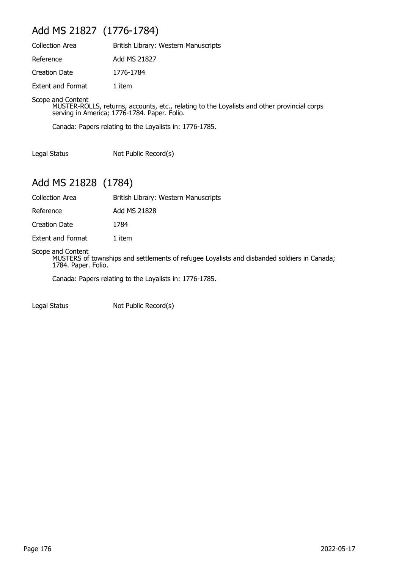## Add MS 21827 (1776-1784)

| <b>Collection Area</b>   | British Library: Western Manuscripts |
|--------------------------|--------------------------------------|
| Reference                | Add MS 21827                         |
| Creation Date            | 1776-1784                            |
| <b>Extent and Format</b> | 1 item                               |

Scope and Content

MUSTER-ROLLS, returns, accounts, etc., relating to the Loyalists and other provincial corps serving in America; 1776-1784. Paper. Folio.

Canada: Papers relating to the Loyalists in: 1776-1785.

Legal Status Not Public Record(s)

### Add MS 21828 (1784)

Collection Area British Library: Western Manuscripts

Reference Add MS 21828

Creation Date 1784

Extent and Format 1 item

#### Scope and Content

MUSTERS of townships and settlements of refugee Loyalists and disbanded soldiers in Canada; 1784. Paper. Folio.

Canada: Papers relating to the Loyalists in: 1776-1785.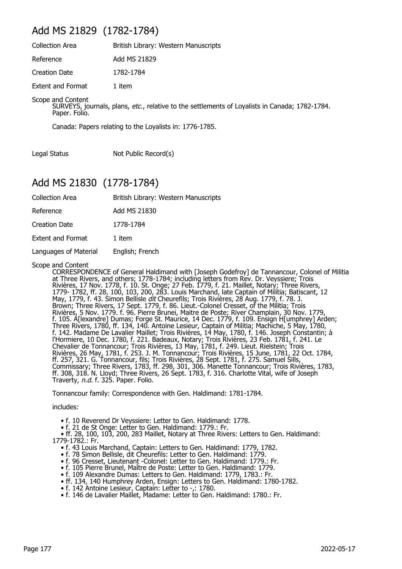### Add MS 21829 (1782-1784)

| Collection Area   | British Library: Western Manuscripts |
|-------------------|--------------------------------------|
| Reference         | Add MS 21829                         |
| Creation Date     | 1782-1784                            |
| Extent and Format | 1 item                               |

Scope and Content

SURVEYS, journals, plans, etc., relative to the settlements of Loyalists in Canada; 1782-1784. Paper. Folio.

Canada: Papers relating to the Loyalists in: 1776-1785.

Legal Status Not Public Record(s)

### Add MS 21830 (1778-1784)

| <b>Collection Area</b>   | British Library: Western Manuscripts |
|--------------------------|--------------------------------------|
| Reference                | Add MS 21830                         |
| <b>Creation Date</b>     | 1778-1784                            |
| <b>Extent and Format</b> | 1 item                               |
| Languages of Material    | English; French                      |
|                          |                                      |

Scope and Content

CORRESPONDENCE of General Haldimand with [Joseph Godefroy] de Tannancour, Colonel of Militia at Three Rivers, and others; 1778-1784; including letters from Rev. Dr. Veyssiere; Trois Rivières, 17 Nov. 1778, f. 10. St. Onge; 27 Feb. 1779, f. 21. Maillet, Notary; Three Rivers, 1779- 1782, ff. 28, 100, 103, 200, 283. Louis Marchand, late Captain of Militia; Batiscant, 12 May, 1779, f. 43. Simon Bellisle *dit* Cheurefils; Trois Rivières, 28 Aug. 1779, f. 78. J. Brown; Three Rivers, 17 Sept. 1779, f. 86. Lieut.-Colonel Cresset, of the Militia; Trois Rivières, 5 Nov. 1779. f. 96. Pierre Brunei, Maitre de Poste; River Champlain, 30 Nov. 1779, f. 105. A[lexandre] Dumas; Forge St. Maurice, 14 Dec. 1779, f. 109. Ensign H[umphrey] Arden; Three Rivers, 1780, ff. 134, 140. Antoine Lesieur, Captain of Militia; Machiche, 5 May, 1780, f. 142. Madame De Lavalier Maillet; Trois Rivières, 14 May, 1780, f. 146. Joseph Constantin; à l'Hormiere, 10 Dec. 1780, f. 221. Badeaux, Notary; Trois Rivières, 23 Feb. 1781, f. 241. Le Chevalier de Tonnancour; Trois Rivières, 13 May, 1781, f. 249. Lieut. Rielstein; Trois Rivières, 26 May, 1781, f. 253. J. M. Tonnancour; Trois Rivières, 15 June, 1781, 22 Oct. 1784, ff. 257, 321. G. Tonnancour, fils; Trois Rivières, 28 Sept. 1781, f. 275. Samuel Sills, Commissary; Three Rivers, 1783, ff. 298, 301, 306. Manette Tonnancour; Trois Rivières, 1783, ff. 308, 318. N. Lloyd; Three Rivers, 26 Sept. 1783, f. 316. Charlotte Vital, wife of Joseph Traverty, n.d. f. 325. Paper. Folio.

Tonnancour family: Correspondence with Gen. Haldimand: 1781-1784.

includes:

- f. 10 Reverend Dr Veyssiere: Letter to Gen. Haldimand: 1778.
- f. 21 de St Onge: Letter to Gen. Haldimand: 1779.: Fr.

 • ff. 28, 100, 103, 200, 283 Maillet, Notary at Three Rivers: Letters to Gen. Haldimand: 1779-1782.: Fr.

- f. 43 Louis Marchand, Captain: Letters to Gen. Haldimand: 1779, 1782.
- f. 78 Simon Bellisle, dit Cheurefils: Letter to Gen. Haldimand: 1779.
- f. 96 Cresset, Lieutenant -Colonel: Letter to Gen. Haldimand: 1779.: Fr.
- f. 105 Pierre Brunel, Maître de Poste: Letter to Gen. Haldimand: 1779.
	- f. 109 Alexandre Dumas: Letters to Gen. Haldimand: 1779, 1783.: Fr.
- ff. 134, 140 Humphrey Arden, Ensign: Letters to Gen. Haldimand: 1780-1782.
- f. 142 Antoine Lesieur, Captain: Letter to -,: 1780.
	- f. 146 de Lavalier Maillet, Madame: Letter to Gen. Haldimand: 1780.: Fr.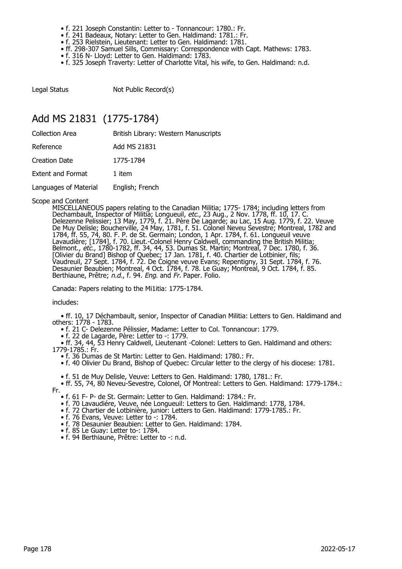- f. 221 Joseph Constantin: Letter to Tonnancour: 1780.: Fr.
- f. 241 Badeaux, Notary: Letter to Gen. Haldimand: 1781.: Fr.
- f. 253 Rielstein, Lieutenant: Letter to Gen. Haldimand: 1781.
	- ff. 298-307 Samuel Sills, Commissary: Correspondence with Capt. Mathews: 1783.
	- f. 316 N- Lloyd: Letter to Gen. Haldimand: 1783.
	- f. 325 Joseph Traverty: Letter of Charlotte Vital, his wife, to Gen. Haldimand: n.d.

Legal Status Not Public Record(s)

### Add MS 21831 (1775-1784)

| Collection Area          | British Library: Western Manuscripts |
|--------------------------|--------------------------------------|
| Reference                | Add MS 21831                         |
| <b>Creation Date</b>     | 1775-1784                            |
| <b>Extent and Format</b> | 1 item                               |
| Languages of Material    | English; French                      |

Scope and Content

MISCELLANEOUS papers relating to the Canadian Militia; 1775- 1784; including letters from Dechambault, Inspector of Militia; Longueuil, etc., 23 Aug., 2 Nov. 1778, ff. 10, 17. C. Delezenne Pelissier; 13 May, 1779, f. 21. Père De Lagarde; au Lac, 15 Aug. 1779, f. 22. Veuve De Muy Delisle; Boucherville, 24 May, 1781, f. 51. Colonel Neveu Sevestre; Montreal, 1782 and 1784, ff. 55, 74, 80. F. P. de St. Germain; London, 1 Apr. 1784, f. 61. Longueuil veuve Lavaudière; [1784], f. 70. Lieut.-Colonel Henry Caldwell, commanding the British Militia; Belmont., etc., 1780-1782, ff. 34, 44, 53. Dumas St. Martin; Montreal, 7 Dec. 1780, f. 36. [Olivier du Brand] Bishop of Quebec; 17 Jan. 1781, f. 40. Chartier de Lotbinier, fils; Vaudreuil, 27 Sept. 1784, f. 72. De Coigne veuve Evans; Repentigny, 31 Sept. 1784, f. 76. Desaunier Beaubien; Montreal, 4 Oct. 1784, f. 78. Le Guay; Montreal, 9 Oct. 1784, f. 85. Berthiaune, Prêtre; n.d., f. 94. Eng. and Fr. Paper. Folio.

Canada: Papers relating to the Mi1itia: 1775-1784.

includes:

 • ff. 10, 17 Déchambault, senior, Inspector of Canadian Militia: Letters to Gen. Haldimand and others: 1778 - 1783.

• f. 21 C- Delezenne Pélissier, Madame: Letter to Col. Tonnancour: 1779.

• f. 22 de Lagarde, Père: Letter to -: 1779.

 • ff. 34, 44, 53 Henry Caldwell, Lieutenant -Colonel: Letters to Gen. Haldimand and others: 1779-1785.: Fr.

• f. 36 Dumas de St Martin: Letter to Gen. Haldimand: 1780.: Fr.

• f. 40 Olivier Du Brand, Bishop of Quebec: Circular letter to the clergy of his diocese: 1781.

• f. 51 de Muy Delisle, Veuve: Letters to Gen. Haldimand: 1780, 1781.: Fr.

 • ff. 55, 74, 80 Neveu-Sevestre, Colonel, Of Montreal: Letters to Gen. Haldimand: 1779-1784.: Fr.

• f. 61 F- P- de St. Germain: Letter to Gen. Haldimand: 1784.: Fr.

- f. 70 Lavaudiére, Veuve, née Longueuil: Letters to Gen. Haldimand: 1778, 1784.
- f. 72 Chartier de Lotbinière, junior: Letters to Gen. Haldimand: 1779-1785.: Fr.
- f. 76 Evans, Veuve: Letter to -: 1784.
- f. 78 Desaunier Beaubien: Letter to Gen. Haldimand: 1784.
- f. 85 Le Guay: Letter to-: 1784.
- f. 94 Berthiaune, Prêtre: Letter to -: n.d.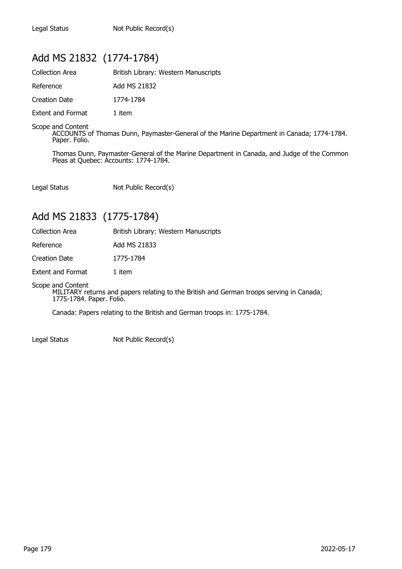## Add MS 21832 (1774-1784)

| <b>Collection Area</b>   | British Library: Western Manuscripts |
|--------------------------|--------------------------------------|
| Reference                | Add MS 21832                         |
| Creation Date            | 1774-1784                            |
| <b>Extent and Format</b> | 1 item                               |

Scope and Content ACCOUNTS of Thomas Dunn, Paymaster-General of the Marine Department in Canada; 1774-1784. Paper. Folio.

Thomas Dunn, Paymaster-General of the Marine Department in Canada, and Judge of the Common Pleas at Quebec: Accounts: 1774-1784.

Legal Status Not Public Record(s)

## Add MS 21833 (1775-1784)

| <b>Collection Area</b> | British Library: Western Manuscripts |
|------------------------|--------------------------------------|
| Reference              | Add MS 21833                         |
| Creation Date          | 1775-1784                            |
| Extent and Format      | 1 item                               |

Scope and Content

MILITARY returns and papers relating to the British and German troops serving in Canada; 1775-1784. Paper. Folio.

Canada: Papers relating to the British and German troops in: 1775-1784.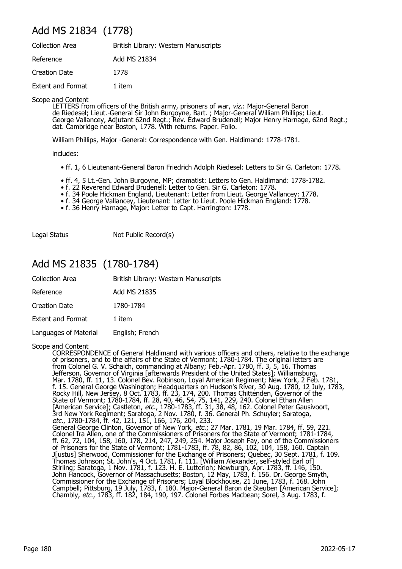## Add MS 21834 (1778)

| <b>Collection Area</b>   | British Library: Western Manuscripts |
|--------------------------|--------------------------------------|
| Reference                | Add MS 21834                         |
| Creation Date            | 1778                                 |
| <b>Extent and Format</b> | 1 item                               |

Scope and Content

LETTERS from officers of the British army, prisoners of war, viz.: Major-General Baron de Riedesel; Lieut.-General Sir John Burgoyne, Bart. ; Major-General William Phillips; Lieut. George Vallancey, Adjutant 62nd Regt.; Rev. Edward Brudenell; Major Henry Harnage, 62nd Regt.; dat. Cambridge near Boston, 1778. With returns. Paper. Folio.

William Phillips, Major -General: Correspondence with Gen. Haldimand: 1778-1781.

includes:

- ff. 1, 6 Lieutenant-General Baron Friedrich Adolph Riedesel: Letters to Sir G. Carleton: 1778.
- ff. 4, 5 Lt.-Gen. John Burgoyne, MP; dramatist: Letters to Gen. Haldimand: 1778-1782.
- f. 22 Reverend Edward Brudenell: Letter to Gen. Sir G. Carleton: 1778.
- f. 34 Poole Hickman England, Lieutenant: Letter from Lieut. George Vallancey: 1778.
- f. 34 George Vallancey, Lieutenant: Letter to Lieut. Poole Hickman England: 1778.
	- f. 36 Henry Harnage, Major: Letter to Capt. Harrington: 1778.

Legal Status Not Public Record(s)

## Add MS 21835 (1780-1784)

| <b>Collection Area</b>   | British Library: Western Manuscripts |
|--------------------------|--------------------------------------|
| Reference                | Add MS 21835                         |
| <b>Creation Date</b>     | 1780-1784                            |
| <b>Extent and Format</b> | 1 item                               |
| Languages of Material    | English; French                      |

Scope and Content

CORRESPONDENCE of General Haldimand with various officers and others, relative to the exchange of prisoners, and to the affairs of the State of Vermont; 1780-1784. The original letters are from Colonel G. V. Schaich, commanding at Albany; Feb.-Apr. 1780, ff. 3, 5, 16. Thomas Jefferson, Governor of Virginia [afterwards President of the United States]; Williamsburg, Mar. 1780, ff. 11, 13. Colonel Bev. Robinson, Loyal American Regiment; New York, 2 Feb. 1781, f. 15. General George Washington; Headquarters on Hudson's River, 30 Aug. 1780, 12 July, 1783, Rocky Hill, New Jersey, 8 Oct. 1783, ff. 23, 174, 200. Thomas Chittenden, Governor of the State of Vermont; 1780-1784, ff. 28, 40, 46, 54, 75, 141, 229, 240. Colonel Ethan Allen [American Service]; Castleton, *etc.*, 1780-1783, ff. 31, 38, 48, 162. Colonel Peter Gausivoort, 3rd New York Regiment; Saratoga, 2 Nov. 1780, f. 36. General Ph. Schuyler; Saratoga, etc., 1780-1784, ff. 42, 121, 151, 166, 176, 204, 233. General George Clinton, Govemor of New York, etc.; 27 Mar. 1781, 19 Mar. 1784, ff. 59, 221. Colonel Ira Allen, one of the Commissioners of Prisoners for the State of Vermont; 1781-1784, ff. 62, 72, 104, 158, 160, 178, 214, 247, 249, 254. Major Joseph Fay, one of the Commissioners of Prisoners for the State of Vermont; 1781-1783, ff. 78, 82, 86, 102, 104, 158, 160. Captain J[ustus] Sherwood, Commissioner for the Exchange of Prisoners; Quebec, 30 Sept. 1781, f. 109. Thomas Johnson; St. John's, 4 Oct. 1781, f. 111. [William Alexander, self-styled Earl of] Stirling; Saratoga, 1 Nov. 1781, f. 123. H. E. Lutterloh; Newburgh, Apr. 1783, ff. 146, 150. John Hancock, Governor of Massachusetts; Boston, 12 May, 1783, f. 156. Dr. George Smyth, Commissioner for the Exchange of Prisoners; Loyal Blockhouse, 21 June, 1783, f. 168. John Campbell; Pittsburg, 19 July, 1783, f. 180. Major-General Baron de Steuben [American Service]; Chambly, etc., 1783, ff. 182, 184, 190, 197. Colonel Forbes Macbean; Sorel, 3 Aug. 1783, f.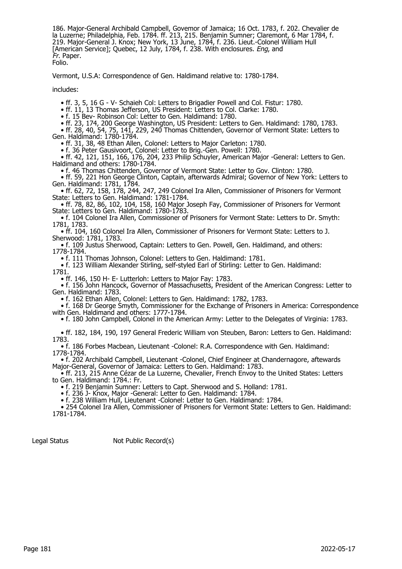186. Major-General Archibald Campbell, Govemor of Jamaica; 16 Oct. 1783, f. 202. Chevalier de la Luzerne; Philadelphia, Feb. 1784. ff. 213, 215. Benjamin Sumner; Claremont, 6 Mar 1784, f. 219. Major-General J. Knox; New York, 13 June, 1784, f. 236. Lieut.-Colonel William Hull [American Service]; Quebec, 12 July, 1784, f. 238. With enclosures. *Eng*, and Fr. Paper. Folio.

Vermont, U.S.A: Correspondence of Gen. Haldimand relative to: 1780-1784.

includes:

• ff. 3, 5, 16 G - V- Schaieh Col: Letters to Brigadier Powell and Col. Fistur: 1780.

• ff. 11, 13 Thomas Jefferson, US President: Letters to Col. Clarke: 1780.

• f. 15 Bev- Robinson Col: Letter to Gen. Haldimand: 1780.

• ff. 23, 174, 200 George Washington, US President: Letters to Gen. Haldimand: 1780, 1783.

 • ff. 28, 40, 54, 75, 141, 229, 240 Thomas Chittenden, Governor of Vermont State: Letters to Gen. Haldimand: 1780-1784.

• ff. 31, 38, 48 Ethan Allen, Colonel: Letters to Major Carleton: 1780.

• f. 36 Peter Gausivoort, Colonel: Letter to Brig.-Gen. Powell: 1780.

 • ff. 42, 121, 151, 166, 176, 204, 233 Philip Schuyler, American Major -General: Letters to Gen. Haldimand and others: 1780-1784.

• f. 46 Thomas Chittenden, Governor of Vermont State: Letter to Gov. Clinton: 1780.

 • ff. 59, 221 Hon George Clinton, Captain, afterwards Admiral; Governor of New York: Letters to Gen. Haldimand: 1781, 1784.

 • ff. 62, 72, 158, 178, 244, 247, 249 Colonel Ira Allen, Commissioner of Prisoners for Vermont State: Letters to Gen. Haldimand: 1781-1784.

 • ff. 78, 82, 86, 102, 104, 158, 160 Major Joseph Fay, Commissioner of Prisoners for Vermont State: Letters to Gen. Haldimand: 1780-1783.

 • f. 104 Colonel Ira Allen, Commissioner of Prisoners for Vermont State: Letters to Dr. Smyth: 1781, 1783.

 • ff. 104, 160 Colonel Ira Allen, Commissioner of Prisoners for Vermont State: Letters to J. Sherwood: 1781, 1783.

 • f. 109 Justus Sherwood, Captain: Letters to Gen. Powell, Gen. Haldimand, and others: 1778-1784.

• f. 111 Thomas Johnson, Colonel: Letters to Gen. Haldimand: 1781.

 • f. 123 William Alexander Stirling, self-styled Earl of Stirling: Letter to Gen. Haldimand: 1781.

• ff. 146, 150 H- E- Lutterloh: Letters to Major Fay: 1783.

 • f. 156 John Hancock, Governor of Massachusetts, President of the American Congress: Letter to Gen. Haldimand: 1783.

• f. 162 Ethan Allen, Colonel: Letters to Gen. Haldimand: 1782, 1783.

• f. 168 Dr George Smyth, Commissioner for the Exchange of Prisoners in America: Correspondence with Gen. Haldimand and others: 1777-1784.

• f. 180 John Campbell, Colonel in the American Army: Letter to the Delegates of Virginia: 1783.

 • ff. 182, 184, 190, 197 General Frederic William von Steuben, Baron: Letters to Gen. Haldimand: 1783.

 • f. 186 Forbes Macbean, Lieutenant -Colonel: R.A. Correspondence with Gen. Haldimand: 1778-1784.

 • f. 202 Archibald Campbell, Lieutenant -Colonel, Chief Engineer at Chandernagore, aftewards Major-General, Governor of Jamaica: Letters to Gen. Haldimand: 1783.

 • ff. 213, 215 Anne Cézar de La Luzerne, Chevalier, French Envoy to the United States: Letters to Gen. Haldimand: 1784.: Fr.

• f. 219 Benjamin Sumner: Letters to Capt. Sherwood and S. Holland: 1781.

• f. 236 J- Knox, Major -General: Letter to Gen. Haldimand: 1784.

• f. 238 William Hull, Lieutenant -Colonel: Letter to Gen. Haldimand: 1784.

 • 254 Colonel Ira Allen, Commissioner of Prisoners for Vermont State: Letters to Gen. Haldimand: 1781-1784.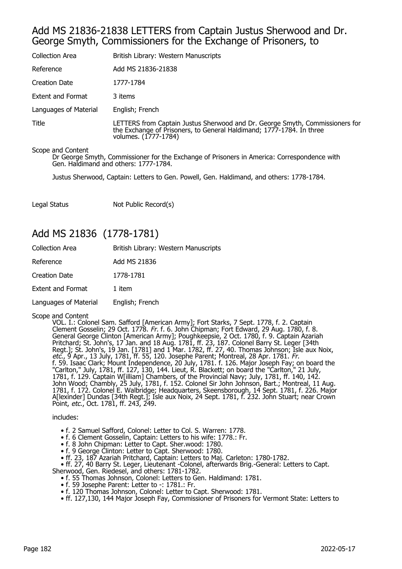### Add MS 21836-21838 LETTERS from Captain Justus Sherwood and Dr. George Smyth, Commissioners for the Exchange of Prisoners, to

| <b>Collection Area</b>   | British Library: Western Manuscripts                                                                                                                                         |
|--------------------------|------------------------------------------------------------------------------------------------------------------------------------------------------------------------------|
| Reference                | Add MS 21836-21838                                                                                                                                                           |
| Creation Date            | 1777-1784                                                                                                                                                                    |
| <b>Extent and Format</b> | 3 items                                                                                                                                                                      |
| Languages of Material    | English; French                                                                                                                                                              |
| Title                    | LETTERS from Captain Justus Sherwood and Dr. George Smyth, Commissioners for<br>the Exchange of Prisoners, to General Haldimand; 1777-1784. In three<br>volumes. (1777-1784) |

#### Scope and Content

Dr George Smyth, Commissioner for the Exchange of Prisoners in America: Correspondence with Gen. Haldimand and others: 1777-1784.

Justus Sherwood, Captain: Letters to Gen. Powell, Gen. Haldimand, and others: 1778-1784.

Legal Status Not Public Record(s)

### Add MS 21836 (1778-1781)

| <b>Collection Area</b>   | British Library: Western Manuscripts |
|--------------------------|--------------------------------------|
| Reference                | Add MS 21836                         |
| <b>Creation Date</b>     | 1778-1781                            |
| <b>Extent and Format</b> | 1 item                               |
| Languages of Material    | English; French                      |

Scope and Content

VOL. I.: Colonel Sam. Safford [American Army]; Fort Starks, 7 Sept. 1778, f. 2. Captain Clement Gosselin; 29 Oct. 1778. Fr. f. 6. John Chipman; Fort Edward, 29 Aug. 1780, f. 8. General George Clinton [American Army]; Poughkeepsie, 2 Oct. 1780, f. 9. Captain Azariah Pritchard; St. John's, 17 Jan. and 18 Aug. 1781, ff. 23, 187. Colonel Barry St. Leger [34th Regt.]; St. John's, 19 Jan. [1781] and 1 Mar. 1782, ff. 27, 40. Thomas Johnson; Isle aux Noix, etc., 9 Apr., 13 July, 1781, ff. 55, 120. Josephe Parent; Montreal, 28 Apr. 1781. Fr. f. 59. Isaac Clark; Mount Independence, 20 July, 1781. f. 126. Major Joseph Fay; on board the "Carlton," July, 1781, ff. 127, 130, 144. Lieut, R. Blackett; on board the "Carlton," 21 July, 1781, f. 129. Captain W[illiam] Chambers, of the Provincial Navy; July, 1781, ff. 140, 142. John Wood; Chambly, 25 July, 1781, f. 152. Colonel Sir John Johnson, Bart.; Montreal, 11 Aug. 1781, f. 172. Colonel E. Walbridge; Headquarters, Skeensborough, 14 Sept. 1781, f. 226. Major A[lexinder] Dundas [34th Regt.]; Isle aux Noix, 24 Sept. 1781, f. 232. John Stuart; near Crown Point, etc., Oct. 1781, ff. 243, 249.

includes:

- f. 2 Samuel Safford, Colonel: Letter to Col. S. Warren: 1778.
- f. 6 Clement Gosselin, Captain: Letters to his wife: 1778.: Fr.
- f. 8 John Chipman: Letter to Capt. Sher.wood: 1780.
- f. 9 George Clinton: Letter to Capt. Sherwood: 1780.
- ff. 23, 187 Azariah Pritchard, Captain: Letters to Maj. Carleton: 1780-1782.

 • ff. 27, 40 Barry St. Leger, Lieutenant -Colonel, afterwards Brig.-General: Letters to Capt. Sherwood, Gen. Riedesel, and others: 1781-1782.

- f. 55 Thomas Johnson, Colonel: Letters to Gen. Haldimand: 1781.
- f. 59 Josephe Parent: Letter to -: 1781.: Fr.
- f. 120 Thomas Johnson, Colonel: Letter to Capt. Sherwood: 1781.
- ff. 127,130, 144 Major Joseph Fay, Commissioner of Prisoners for Vermont State: Letters to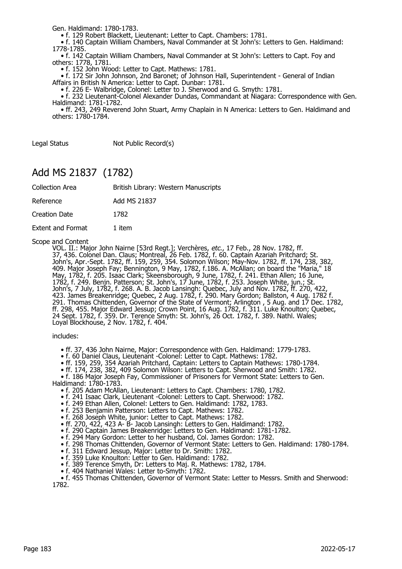Gen. Haldimand: 1780-1783.

• f. 129 Robert Blackett, Lieutenant: Letter to Capt. Chambers: 1781.

 • f. 140 Captain William Chambers, Naval Commander at St John's: Letters to Gen. Haldimand: 1778-1785.

 • f. 142 Captain William Chambers, Naval Commander at St John's: Letters to Capt. Foy and others: 1778, 1781.

• f. 152 John Wood: Letter to Capt. Mathews: 1781.

 • f. 172 Sir John Johnson, 2nd Baronet; of Johnson Hall, Superintendent - General of Indian Affairs in British N America: Letter to Capt. Dunbar: 1781.

• f. 226 E- Walbridge, Colonel: Letter to J. Sherwood and G. Smyth: 1781.

 • f. 232 Lieutenant-Colonel Alexander Dundas, Commandant at Niagara: Correspondence with Gen. Haldimand: 1781-1782.

 • ff. 243, 249 Reverend John Stuart, Army Chaplain in N America: Letters to Gen. Haldimand and others: 1780-1784.

Legal Status Not Public Record(s)

## Add MS 21837 (1782)

| <b>Collection Area</b>   | British Library: Western Manuscripts |
|--------------------------|--------------------------------------|
| Reference                | Add MS 21837                         |
| Creation Date            | 1782                                 |
| <b>Extent and Format</b> | 1 item                               |

#### Scope and Content

VOL. II.: Major John Nairne [53rd Regt.]; Verchères, *etc.*, 17 Feb., 28 Nov. 1782, ff. 37, 436. Colonel Dan. Claus; Montreal, 26 Feb. 1782, f. 60. Captain Azariah Pritchard; St. John's, Apr.-Sept. 1782, ff. 159, 259, 354. Solomon Wilson; May-Nov. 1782, ff. 174, 238, 382, 409. Major Joseph Fay; Bennington, 9 May, 1782, f.186. A. McAllan; on board the "Maria," 18 May, 1782, f. 205. Isaac Clark; Skeensborough, 9 June, 1782, f. 241. Ethan Allen; 16 June, 1782, f. 249. Benjn. Patterson; St. John's, 17 June, 1782, f. 253. Joseph White, jun.; St. John's, 7 July, 1782, f. 268. A. B. Jacob Lansingh: Quebec, July and Nov. 1782, ff. 270, 422, 423. James Breakenridge; Quebec, 2 Aug. 1782, f. 290. Mary Gordon; Ballston, 4 Aug. 1782 f. 291. Thomas Chittenden, Governor of the State of Vermont; Arlington , 5 Aug. and 17 Dec. 1782, ff. 298, 455. Major Edward Jessup; Crown Point, 16 Aug. 1782, f. 311. Luke Knoulton; Quebec, 24 Sept. 1782, f. 359. Dr. Terence Smyth: St. John's, 26 Oct. 1782, f. 389. Nathl. Wales; Loyal Blockhouse, 2 Nov. 1782, f. 404.

#### includes:

- ff. 37, 436 John Nairne, Major: Correspondence with Gen. Haldimand: 1779-1783.
- f. 60 Daniel Claus, Lieutenant -Colonel: Letter to Capt. Mathews: 1782.
- ff. 159, 259, 354 Azariah Pritchard, Captain: Letters to Captain Mathews: 1780-1784.
- ff. 174, 238, 382, 409 Solomon Wilson: Letters to Capt. Sherwood and Smith: 1782.

• f. 186 Major Joseph Fay, Commissioner of Prisoners for Vermont State: Letters to Gen.

Haldimand: 1780-1783.

- f. 205 Adam McAllan, Lieutenant: Letters to Capt. Chambers: 1780, 1782.
- f. 241 Isaac Clark, Lieutenant -Colonel: Letters to Capt. Sherwood: 1782.
	- f. 249 Ethan Allen, Colonel: Letters to Gen. Haldimand: 1782, 1783.
	- f. 253 Benjamin Patterson: Letters to Capt. Mathews: 1782.
- f. 268 Joseph White, junior: Letter to Capt. Mathews: 1782.
- ff. 270, 422, 423 A- B- Jacob Lansingh: Letters to Gen. Haldimand: 1782.
- f. 290 Captain James Breakenridge: Letters to Gen. Haldimand: 1781-1782.
	- f. 294 Mary Gordon: Letter to her husband, Col. James Gordon: 1782.
	- f. 298 Thomas Chittenden, Governor of Vermont State: Letters to Gen. Haldimand: 1780-1784.
- f. 311 Edward Jessup, Major: Letter to Dr. Smith: 1782.
- f. 359 Luke Knoulton: Letter to Gen. Haldimand: 1782.
	- f. 389 Terence Smyth, Dr: Letters to Maj. R. Mathews: 1782, 1784.
	- f. 404 Nathaniel Wales: Letter to-Smyth: 1782.

• f. 455 Thomas Chittenden, Governor of Vermont State: Letter to Messrs. Smith and Sherwood: 1782.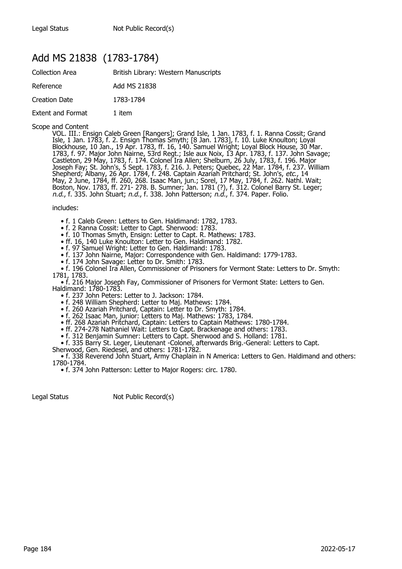## Add MS 21838 (1783-1784)

| <b>Collection Area</b>   | British Library: Western Manuscripts |
|--------------------------|--------------------------------------|
| Reference                | Add MS 21838                         |
| Creation Date            | 1783-1784                            |
| <b>Extent and Format</b> | 1 item                               |

#### Scope and Content

VOL. III.: Ensign Caleb Green [Rangers]; Grand Isle, 1 Jan. 1783, f. 1. Ranna Cossit; Grand Isle, 1 Jan. 1783, f. 2. Ensign Thomas Smyth; [8 Jan. 1783], f. 10. Luke Knoulton; Loyal Blockhouse, 10 Jan., 19 Apr. 1783, ff. 16, 140. Samuel Wright; Loyal Block House, 30 Mar. 1783, f. 97. Major John Nairne, 53rd Regt.; Isle aux Noix, 13 Apr. 1783, f. 137. John Savage; Castleton, 29 May, 1783, f. 174. Colonel Ira Allen; Shelburn, 26 July, 1783, f. 196. Major Joseph Fay; St. John's, 5 Sept. 1783, f. 216. J. Peters; Quebec, 22 Mar. 1784, f. 237. William Shepherd; Albany, 26 Apr. 1784, f. 248. Captain Azariah Pritchard; St. John's, *etc.,* 14 May, 2 June, 1784, ff. 260, 268. Isaac Man, jun.; Sorel, 17 May, 1784, f. 262. Nathl. Wait; Boston, Nov. 1783, ff. 271- 278. B. Sumner; Jan. 1781 (?), f. 312. Colonel Barry St. Leger; n.d., f. 335. John Stuart; n.d., f. 338. John Patterson; n.d., f. 374. Paper. Folio.

#### includes:

- f. 1 Caleb Green: Letters to Gen. Haldimand: 1782, 1783.
- f. 2 Ranna Cossit: Letter to Capt. Sherwood: 1783.
- f. 10 Thomas Smyth, Ensign: Letter to Capt. R. Mathews: 1783.
- ff. 16, 140 Luke Knoulton: Letter to Gen. Haldimand: 1782.
	- f. 97 Samuel Wright: Letter to Gen. Haldimand: 1783.
- f. 137 John Nairne, Major: Correspondence with Gen. Haldimand: 1779-1783.
- f. 174 John Savage: Letter to Dr. Smith: 1783.
- f. 196 Colonel Ira Allen, Commissioner of Prisoners for Vermont State: Letters to Dr. Smyth: 1781, 1783.
- f. 216 Major Joseph Fay, Commissioner of Prisoners for Vermont State: Letters to Gen.

Haldimand: 1780-1783.

- f. 237 John Peters: Letter to J. Jackson: 1784.
- f. 248 William Shepherd: Letter to Maj. Mathews: 1784.
- f. 260 Azariah Pritchard, Captain: Letter to Dr. Smyth: 1784.
- f. 262 Isaac Man, junior: Letters to Maj. Mathews: 1783, 1784.
- ff. 268 Azariah Pritchard, Captain: Letters to Captain Mathews: 1780-1784.
- ff. 274-278 Nathaniel Wait: Letters to Capt. Brackenage and others: 1783.
- f. 312 Benjamin Sumner: Letters to Capt. Sherwood and S. Holland: 1781.
- f. 335 Barry St. Leger, Lieutenant -Colonel, afterwards Brig.-General: Letters to Capt.
- Sherwood, Gen. Riedesel, and others: 1781-1782.

 • f. 338 Reverend John Stuart, Army Chaplain in N America: Letters to Gen. Haldimand and others: 1780-1784.

• f. 374 John Patterson: Letter to Major Rogers: circ. 1780.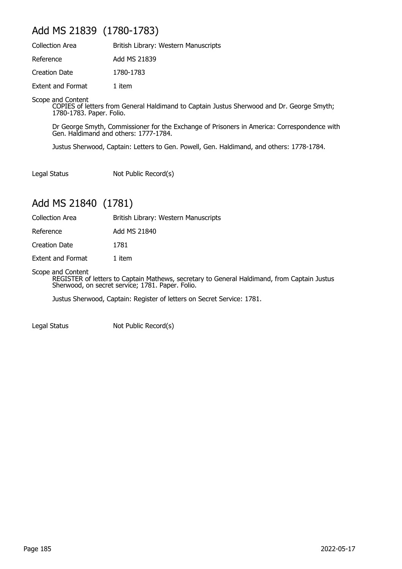## Add MS 21839 (1780-1783)

| <b>Collection Area</b>   | British Library: Western Manuscripts |
|--------------------------|--------------------------------------|
| Reference                | Add MS 21839                         |
| <b>Creation Date</b>     | 1780-1783                            |
| <b>Extent and Format</b> | 1 item                               |

Scope and Content

COPIES of letters from General Haldimand to Captain Justus Sherwood and Dr. George Smyth; 1780-1783. Paper. Folio.

Dr George Smyth, Commissioner for the Exchange of Prisoners in America: Correspondence with Gen. Haldimand and others: 1777-1784.

Justus Sherwood, Captain: Letters to Gen. Powell, Gen. Haldimand, and others: 1778-1784.

Legal Status Not Public Record(s)

## Add MS 21840 (1781)

Collection Area British Library: Western Manuscripts

Reference Add MS 21840

Creation Date 1781

Extent and Format 1 item

Scope and Content

REGISTER of letters to Captain Mathews, secretary to General Haldimand, from Captain Justus Sherwood, on secret service; 1781. Paper. Folio.

Justus Sherwood, Captain: Register of letters on Secret Service: 1781.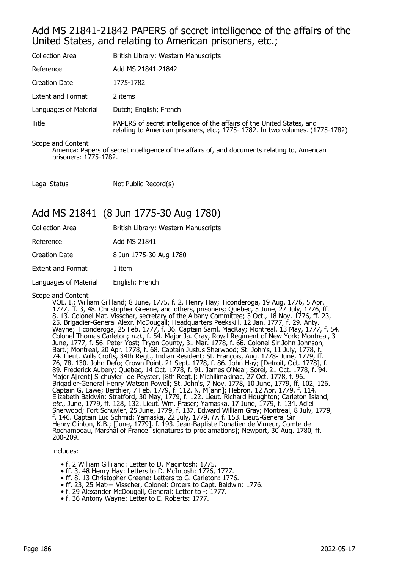### Add MS 21841-21842 PAPERS of secret intelligence of the affairs of the United States, and relating to American prisoners, etc.;

| <b>Collection Area</b> | British Library: Western Manuscripts                                                                                                                   |
|------------------------|--------------------------------------------------------------------------------------------------------------------------------------------------------|
| Reference              | Add MS 21841-21842                                                                                                                                     |
| Creation Date          | 1775-1782                                                                                                                                              |
| Extent and Format      | 2 items                                                                                                                                                |
| Languages of Material  | Dutch; English; French                                                                                                                                 |
| Title                  | PAPERS of secret intelligence of the affairs of the United States, and<br>relating to American prisoners, etc.; 1775-1782. In two volumes. (1775-1782) |

Scope and Content

America: Papers of secret intelligence of the affairs of, and documents relating to, American prisoners: 1775-1782.

Legal Status Not Public Record(s)

## Add MS 21841 (8 Jun 1775-30 Aug 1780)

| Reference<br>Add MS 21841                |
|------------------------------------------|
|                                          |
| 8 Jun 1775-30 Aug 1780<br>Creation Date  |
| <b>Extent and Format</b><br>1 item       |
| Languages of Material<br>English; French |

#### Scope and Content

VOL. I.: William Gilliland; 8 June, 1775, f. 2. Henry Hay; Ticonderoga, 19 Aug. 1776, 5 Apr. 1777, ff. 3, 48. Christopher Greene, and others, prisoners; Quebec, 5 June, 27 July, 1776, ff. 8, 13. Colonel Mat. Visscher, secretary of the Albany Committee; 3 Oct., 18 Nov. 1776, ff. 23, 25. Brigadier-General Alexr. McDougall; Headquarters Peekskill, 12 Jan. 1777, f. 29. Anty. Wayne; Ticonderoga, 25 Feb. 1777, f. 36. Captain Saml. MacKay; Montreal, 13 May, 1777, f. 54. Colonel Thomas Carleton; n.d., f. 54. Major Ja. Gray, Royal Regiment of New York; Montreal, 3 June, 1777, f. 56. Peter Yost; Tryon County, 31 Mar. 1778, f. 66. Colonel Sir John Johnson, Bart.; Montreal, 20 Apr. 1778, f. 68. Captain Justus Sherwood; St. John's, 11 July, 1778, f. 74. Lieut. Wills Crofts, 34th Regt., Indian Resident; St. François, Aug. 1778- June, 1779, ff. 76, 78, 130. John Defo; Crown Point, 21 Sept. 1778, f. 86. John Hay; [Detroit, Oct. 1778], f. 89. Frederick Aubery; Quebec, 14 Oct. 1778, f. 91. James O'Neal; Sorel, 21 Oct. 1778, f. 94. Major A[rent] S[chuyler] de Peyster, [8th Regt.]; Michilimakinac, 27 Oct. 1778, f. 96. Brigadier-General Henry Watson Powell; St. John's, 7 Nov. 1778, 10 June, 1779, ff. 102, 126. Captain G. Lawe; Berthier, 7 Feb. 1779, f. 112. N. M[ann]; Hebron, 12 Apr. 1779, f. 114. Elizabeth Baldwin; Stratford, 30 May, 1779, f. 122. Lieut. Richard Houghton; Carleton Island, *etc., J*une, 1779, ff. 128, 132. Lieut. Wm. Fraser; Yamaska, 17 June, 1779, f. 134. Adiel Sherwood; Fort Schuyler, 25 June, 1779, f. 137. Edward William Gray; Montreal, 8 July, 1779, f. 146. Captain Luc Schmid; Yamaska, 22 July, 1779. Fr. f. 153. Lieut.-General Sir Henry Clinton, K.B.; [June, 1779], f. 193. Jean-Baptiste Donatien de Vimeur, Comte de Rochambeau, Marshal of France [signatures to proclamations]; Newport, 30 Aug. 1780, ff. 200-209.

#### includes:

- f. 2 William Gilliland: Letter to D. Macintosh: 1775.
- ff. 3, 48 Henry Hay: Letters to D. McIntosh: 1776, 1777.
- ff. 8, 13 Christopher Greene: Letters to G. Carleton: 1776.
- ff. 23, 25 Mat--- Visscher, Colonel: Orders to Capt. Baldwin: 1776.
- f. 29 Alexander McDougall, General: Letter to -: 1777.
	- f. 36 Antony Wayne: Letter to E. Roberts: 1777.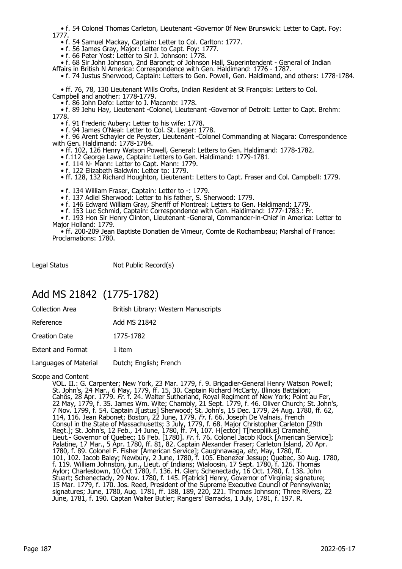• f. 54 Colonel Thomas Carleton, Lieutenant -Governor 0f New Brunswick: Letter to Capt. Foy: 1777.

• f. 54 Samuel Mackay, Captain: Letter to Col. Carlton: 1777.

• f. 56 James Gray, Major: Letter to Capt. Foy: 1777.

• f. 66 Peter Yost: Letter to Sir J. Johnson: 1778.

• f. 68 Sir John Johnson, 2nd Baronet; of Johnson Hall, Superintendent - General of Indian

Affairs in British N America: Correspondence with Gen. Haldimand: 1776 - 1787.

• f. 74 Justus Sherwood, Captain: Letters to Gen. Powell, Gen. Haldimand, and others: 1778-1784.

 • ff. 76, 78, 130 Lieutenant Wills Crofts, Indian Resident at St François: Letters to Col. Campbell and another: 1778-1779.

• f. 86 John Defo: Letter to J. Macomb: 1778.

 • f. 89 Jehu Hay, Lieutenant -Colonel, Lieutenant -Governor of Detroit: Letter to Capt. Brehm: 1778.

• f. 91 Frederic Aubery: Letter to his wife: 1778.

• f. 94 James O'Neal: Letter to Col. St. Leger: 1778.

 • f. 96 Arent Schayler de Peyster, Lieutenant -Colonel Commanding at Niagara: Correspondence with Gen. Haldimand: 1778-1784.

• ff. 102, 126 Henry Watson Powell, General: Letters to Gen. Haldimand: 1778-1782.

• f.112 George Lawe, Captain: Letters to Gen. Haldimand: 1779-1781.

- f. 114 N- Mann: Letter to Capt. Mann: 1779.
- f. 122 Elizabeth Baldwin: Letter to: 1779.

• ff. 128, 132 Richard Houghton, Lieutenant: Letters to Capt. Fraser and Col. Campbell: 1779.

• f. 134 William Fraser, Captain: Letter to -: 1779.

- f. 137 Adiel Sherwood: Letter to his father, S. Sherwood: 1779.
- f. 146 Edward William Gray, Sheriff of Montreal: Letters to Gen. Haldimand: 1779.

• f. 153 Luc Schmid, Captain: Correspondence with Gen. Haldimand: 1777-1783.: Fr.

 • f. 193 Hon Sir Henry Clinton, Lieutenant -General, Commander-in-Chief in America: Letter to Major Holland: 1779.

 • ff. 200-209 Jean Baptiste Donatien de Vimeur, Comte de Rochambeau; Marshal of France: Proclamations: 1780.

Legal Status Not Public Record(s)

### Add MS 21842 (1775-1782)

| Collection Area | British Library: Western Manuscripts |
|-----------------|--------------------------------------|
|-----------------|--------------------------------------|

Creation Date 1775-1782

Extent and Format 1 item

Languages of Material Dutch; English; French

#### Scope and Content

VOL. II.: G. Carpenter; New York, 23 Mar. 1779, f. 9. Brigadier-General Henry Watson Powell; St. John's, 24 Mar., 6 May, 1779, ff. 15, 30. Captain Richard McCarty, Illinois Battalion; Cahôs, 28 Apr. 1779. Fr. f. 24. Walter Sutherland, Royal Regiment of New York; Point au Fer, 22 May, 1779, f. 35. James Wm. Wite; Chambly, 21 Sept. 1779, f. 46. Oliver Church; St. John's, 7 Nov. 1799, f. 54. Captain J[ustus] Sherwood; St. John's, 15 Dec. 1779, 24 Aug. 1780, ff. 62, 114, 116. Jean Rabonet; Boston, 22 June, 1779. Fr. f. 66. Joseph De Valnais, French Consul in the State of Massachusetts; 3 July, 1779, f. 68. Major Christopher Carleton [29th Regt.]; St. John's, 12 Feb., 14 June, 1780, ff. 74, 107. H[ector] T[heopliilus] Cramahé, Lieut.- Governor of Quebec; 16 Feb. [1780]. Fr. f. 76. Colonel Jacob Klock [American Service]; Palatine, 17 Mar., 5 Apr. 1780, ff. 81, 82. Captain Alexander Fraser; Carleton Island, 20 Apr. 1780, f. 89. Colonel F. Fisher [American Service]; Caughnawaga, etc, May, 1780, ff. 101, 102. Jacob Baley; Newbury, 2 June, 1780, f. 105. Ebenezer Jessup; Quebec, 30 Aug. 1780, f. 119. William Johnston, jun., Lieut. of Indians; Wialoosin, 17 Sept. 1780, f. 126. Thomas Aylor; Charlestown, 10 Oct 1780, f. 136. H. Glen; Schenectady, 16 Oct. 1780, f. 138. John Stuart; Schenectady, 29 Nov. 1780, f. 145. P[atrick] Henry, Governor of Virginia; signature; 15 Mar. 1779, f. 170. Jos. Reed, President of the Supreme Executive Council of Pennsylvania; signatures; June, 1780, Aug. 1781, ff. 188, 189, 220, 221. Thomas Johnson; Three Rivers, 22 June, 1781, f. 190. Captan Walter Butler; Rangers' Barracks, 1 July, 1781, f. 197. R.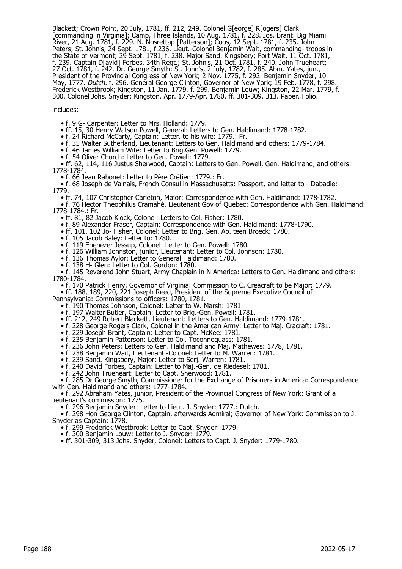Blackett; Crown Point, 20 July, 1781, ff. 212, 249. Colonel G[eorge] R[ogers] Clark [commanding in Virginia]; Camp, Three Islands, 10 Aug. 1781, f. 228. Jos. Brant: Big Miami River, 21 Aug. 1781, f. 229. N. Nosrettap [Patterson]; Coos, 12 Sept. 1781, f. 235. John Peters; St. John's, 24 Sept. 1781, f.236. Lieut.-Colonel Benjamin Wait, commanding- troops in the State of Vermont; 29 Sept. 1781, f. 238. Major Sand. Kingsbery; Fort Wait, 11 Oct. 1781, f. 239. Captain D[avid] Forbes, 34th Regt.; St. John's, 21 Oct. 1781, f. 240. John Trueheart; 27 Oct. 1781, f. 242. Dr. George Smyth; St. John's, 2 July, 1782, f. 285. Abm. Yates, jun., President of the Provincial Congress of New York; 2 Nov. 1775, f. 292. Benjamin Snyder, 10 May, 1777. Dutch. f. 296. General George Clinton, Governor of New York; 19 Feb. 1778, f. 298. Frederick Westbrook; Kingston, 11 Jan. 1779, f. 299. Benjamin Louw; Kingston, 22 Mar. 1779, f. 300. Colonel Johs. Snyder; Kingston, Apr. 1779-Apr. 1780, ff. 301-309, 313. Paper. Folio.

#### includes:

• f. 9 G- Carpenter: Letter to Mrs. Holland: 1779.

• ff. 15, 30 Henry Watson Powell, General: Letters to Gen. Haldimand: 1778-1782.

• f. 24 Richard McCarty, Captain: Letter. to his wife: 1779.: Fr.

• f. 35 Walter Sutherland, Lieutenant: Letters to Gen. Haldimand and others: 1779-1784.

• f. 46 James William Wite: Letter to Brig.Gen. Powell: 1779.

• f. 54 Oliver Church: Letter to Gen. Powell: 1779.

 • ff. 62, 114, 116 Justus Sherwood, Captain: Letters to Gen. Powell, Gen. Haldimand, and others: 1778-1784.

• f. 66 Jean Rabonet: Letter to Père Crétien: 1779.: Fr.

 • f. 68 Joseph de Valnais, French Consul in Massachusetts: Passport, and letter to - Dabadie: 1779.

• ff. 74, 107 Christopher Carleton, Major: Correspondence with Gen. Haldimand: 1778-1782.

 • f. 76 Hector Theophilus Cramahé, Lieutenant Gov of Quebec: Correspondence with Gen. Haldimand: 1778-1784.: Fr.

• ff. 81, 82 Jacob Klock, Colonel: Letters to Col. Fisher: 1780.

• f. 89 Alexander Fraser, Captain: Correspondence with Gen. Haldimand: 1778-1790.

• ff. 101, 102 Jo- Fisher, Colonel: Letter to Brig. Gen. Ab. teen Broeck: 1780.

• f. 105 Jacob Baley: Letter to: 1780.

• f. 119 Ebenezer Jessup, Colonel: Letter to Gen. Powell: 1780.

• f. 126 William Johnston, junior, Lieutenant: Letter to Col. Johnson: 1780.

• f. 136 Thomas Aylor: Letter to General Haldimand: 1780.

• f. 138 H- Glen: Letter to Col. Gordon: 1780.

 • f. 145 Reverend John Stuart, Army Chaplain in N America: Letters to Gen. Haldimand and others: 1780-1784.

• f. 170 Patrick Henry, Governor of Virginia: Commission to C. Creacraft to be Major: 1779.

• ff. 188, 189, 220, 221 Joseph Reed, President of the Supreme Executive Council of

Pennsylvania: Commissions to officers: 1780, 1781.

• f. 190 Thomas Johnson, Colonel: Letter to W. Marsh: 1781.

• f. 197 Walter Butler, Captain: Letter to Brig.-Gen. Powell: 1781.

• ff. 212, 249 Robert Blackett, Lieutenant: Letters to Gen. Haldimand: 1779-1781.

• f. 228 George Rogers Clark, Colonel in the American Army: Letter to Maj. Cracraft: 1781.

• f. 229 Joseph Brant, Captain: Letter to Capt. McKee: 1781.

• f. 235 Benjamin Patterson: Letter to Col. Toconnoquass: 1781.

• f. 236 John Peters: Letters to Gen. Haldimand and Maj. Mathewes: 1778, 1781.

• f. 238 Benjamin Wait, Lieutenant -Colonel: Letter to M. Warren: 1781.

• f. 239 Sand. Kingsbery, Major: Letter to Serj. Warren: 1781.

• f. 240 David Forbes, Captain: Letter to Maj.-Gen. de Riedesel: 1781.

• f. 242 John Trueheart: Letter to Capt. Sherwood: 1781.

 • f. 285 Dr George Smyth, Commissioner for the Exchange of Prisoners in America: Correspondence with Gen. Haldimand and others: 1777-1784.

 • f. 292 Abraham Yates, junior, President of the Provincial Congress of New York: Grant of a lieutenant's commission: 1775.

• f. 296 Benjamin Snyder: Letter to Lieut. J. Snyder: 1777.: Dutch.

 • f. 298 Hon George Clinton, Captain, afterwards Admiral; Governor of New York: Commission to J. Snyder as Captain: 1778.

• f. 299 Frederick Westbrook: Letter to Capt. Snyder: 1779.

• f. 300 Benjamin Louw: Letter to J. Snyder: 1779.

• ff. 301-309, 313 Johs. Snyder, Colonel: Letters to Capt. J. Snyder: 1779-1780.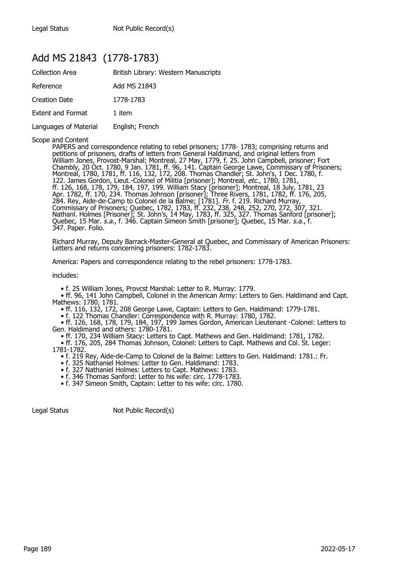# Add MS 21843 (1778-1783)

| <b>Collection Area</b>   | British Library: Western Manuscripts |
|--------------------------|--------------------------------------|
| Reference                | Add MS 21843                         |
| <b>Creation Date</b>     | 1778-1783                            |
| <b>Extent and Format</b> | 1 item                               |
| Languages of Material    | English; French                      |

Scope and Content

PAPERS and correspondence relating to rebel prisoners; 1778- 1783; comprising returns and petitions of prisoners, drafts of letters from General Haldimand, and original letters from William Jones, Provost-Marshal; Montreal, 27 May, 1779, f. 25. John Campbell, prisoner; Fort Chambly, 20 Oct. 1780, 9 Jan. 1781, ff. 96, 141. Captain George Lawe, Commissary of Prisoners; Montreal, 1780, 1781, ff. 116, 132, 172, 208. Thomas Chandler; St. John's, 1 Dec. 1780, f. 122. James Gordon, Lieut.-Colonel of Militia [prisoner]; Montreal, etc., 1780, 1781, ff. 126, 168, 178, 179, 184, 197, 199. William Stacy [prisoner]; Montreal, 18 July, 1781, 23 Apr. 1782, ff. 170, 234. Thomas Johnson [prisoner]; Three Rivers, 1781, 1782, ff. 176, 205, 284. Rey, Aide-de-Camp to Colonel de la Balme; [1781]. Fr. f. 219. Richard Murray, Commissary of Prisoners; Quebec, 1782, 1783, ff. 232, 238, 248, 252, 270, 272, 307, 321. Nathanl. Holmes [Prisoner]; St. John's, 14 May, 1783, ff. 325, 327. Thomas Sanford [prisoner]; Quebec, 15 Mar. *s.a.*, f. 346. Captain Simeon Smith [prisoner]; Quebec, 15 Mar. *s.a.*, f. 347. Paper. Folio.

Richard Murray, Deputy Barrack-Master-General at Quebec, and Commissary of American Prisoners: Letters and returns concerning prisoners: 1782-1783.

America: Papers and correspondence relating to the rebel prisoners: 1778-1783.

includes:

• f. 25 William Jones, Provcst Marshal: Letter to R. Murray: 1779.

 • ff. 96, 141 John Campbell, Colonel in the American Army: Letters to Gen. Haldimand and Capt. Mathews: 1780, 1781.

• ff. 116, 132, 172, 208 George Lawe, Captain: Letters to Gen. Haldimand: 1779-1781.

• f. 122 Thomas Chandler: Correspondence with R. Murray: 1780, 1782.

 • ff. 126, 168, 178, 179, 184, 197, 199 James Gordon, American Lieutenant -Colonel: Letters to Gen. Haldimand and others: 1780-1781.

• ff. 170, 234 William Stacy: Letters to Capt. Mathews and Gen. Haldimand: 1781, 1782.

 • ff. 176, 205, 284 Thomas Johnson, Colonel: Letters to Capt. Mathews and Col. St. Leger: 1781-1782.

• f. 219 Rey, Aide-de-Camp to Colonel de la Balme: Letters to Gen. Haldimand: 1781.: Fr.

- f. 325 Nathaniel Holmes: Letter to Gen. Haldimand: 1783.
- f. 327 Nathaniel Holmes: Letters to Capt. Mathews: 1783.
	- f. 346 Thomas Sanford: Letter to his wife: circ. 1778-1783.

• f. 347 Simeon Smith, Captain: Letter to his wife: circ. 1780.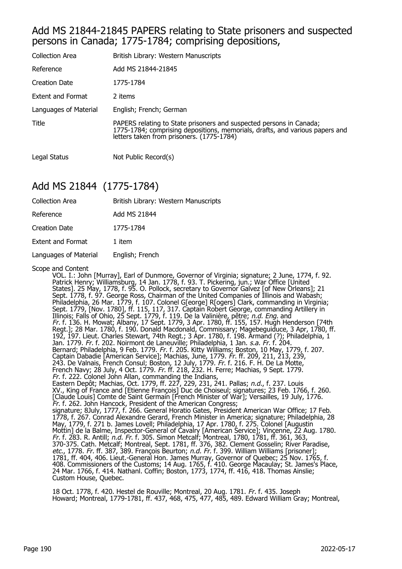### Add MS 21844-21845 PAPERS relating to State prisoners and suspected persons in Canada; 1775-1784; comprising depositions,

| <b>Collection Area</b>   | British Library: Western Manuscripts                                                                                                                                                             |
|--------------------------|--------------------------------------------------------------------------------------------------------------------------------------------------------------------------------------------------|
| Reference                | Add MS 21844-21845                                                                                                                                                                               |
| <b>Creation Date</b>     | 1775-1784                                                                                                                                                                                        |
| <b>Extent and Format</b> | 2 items                                                                                                                                                                                          |
| Languages of Material    | English; French; German                                                                                                                                                                          |
| Title                    | PAPERS relating to State prisoners and suspected persons in Canada;<br>1775-1784; comprising depositions, memorials, drafts, and various papers and<br>letters taken from prisoners. (1775-1784) |
| Legal Status             | Not Public Record(s)                                                                                                                                                                             |

## Add MS 21844 (1775-1784)

| <b>Collection Area</b>   | British Library: Western Manuscripts |
|--------------------------|--------------------------------------|
| Reference                | Add MS 21844                         |
| Creation Date            | 1775-1784                            |
| <b>Extent and Format</b> | 1 item                               |
| Languages of Material    | English; French                      |

Scope and Content<br>VOL. I.: John [Murray], Earl of Dunmore, Governor of Virginia; signature; 2 June, 1774, f. 92. VOL. I.: John [Murray], Earl of Dunmore, Governor of Virginia; signature; 2 June, 1774, f. 92. Patrick Henry; Williamsburg, 14 Jan. 1778, f. 93. T. Pickering, jun.; War Office [United States]. 25 May, 1778, f. 95. O. Pollock, secretary to Governor Galvez [of New Orleans]; 21 Sept. 1778, f. 97. George Ross, Chairman of the United Companies of Illinois and Wabash; Philadelphia, 26 Mar. 1779, f. 107. Colonel G[eorge] R[ogers] Clark, commanding in Virginia; Sept. 1779, [Nov. 1780], ff. 115, 117, 317. Captain Robert George, commanding Artillery in Illinois; Falls of Ohio, 25 Sept. 1779, f. 119. De la Valinière, pêtre; *n.d. Eng.* and Fr. f. 136. H. Mowat; Albany, 17 Sept. 1779, 3 Apr. 1780, ff. 155, 157. Hugh Henderson [74th Regt.]; 28 Mar. 1780, f. 190. Donald Macdonald, Commissary; Magebeguiduce, 3 Apr, 1780, ff. 192, 197. Lieut. Charles Stewart, 74th Regt.; 3 Apr. 1780, f. 198. Armand (?); Philadelphia, 1 Jan. 1779. *Fr.* f. 202. Noirmont de Laneuville; Philadelphia, 1 Jan. *s.a. Fr.* f. 204. Bernard; Philadelphia, 9 Feb. 1779. Fr. f. 205. Kitty Williams; Boston, 10 May, 1779, f. 207. Captain Dabadie [American Service]; Machias, June, 1779. Fr. ff. 209, 211, 213, 239, 243. De Valnais, French Consul; Boston, 12 July, 1779. Fr. f. 216. F. H. De La Motte, French Navy; 28 July, 4 Oct. 1779. Fr. ff. 218, 232. H. Ferre; Machias, 9 Sept. 1779. Fr. f. 222. Colonel John Allan, commanding the Indians, Eastern Depôt; Machias, Oct. 1779, ff. 227, 229, 231, 241. Pallas; *n.d.*, f. 237. Louis XV., King of France and [Etienne François] Duc de Choiseul; signatures; 23 Feb. 1766, f. 260. [Claude Louis] Comte de Saint Germain [French Minister of War]; Versailles, 19 July, 1776. Fr. f. 262. John Hancock, President of the American Congress; signature; 8July, 1777, f. 266. General Horatio Gates, President American War Office; 17 Feb. 1778, f. 267. Conrad Alexandre Gerard, French Minister in America; signature; Philadelphia, 28 May, 1779, f. 271 b. James Lovell; Philadelphia, 17 Apr. 1780, f. 275. Colonel [Augustin Mottin] de la Balme, Inspector-General of Cavalry [American Service]; Vinçenne, 22 Aug. 1780. Fr. f. 283. R. Antill; n.d. Fr. f. 305. Simon Metcalf; Montreal, 1780, 1781, ff. 361, 363, 370-375. Cath. Metcalf; Montreal, Sept. 1781, ff. 376, 382. Clement Gosselin; River Paradise, etc., 1778. Fr. ff. 387, 389. François Beurton; n.d. Fr. f. 399. William Williams [prisoner]; 1781, ff. 404, 406. Lieut.-General Hon. James Murray, Governor of Quebec; 25 Nov. 1765, f. 408. Commissioners of the Customs; 14 Aug. 1765, f. 410. George Macaulay; St. James's Place, 24 Mar. 1766, f. 414. Nathanl. Coffin; Boston, 1773, 1774, ff. 416, 418. Thomas Ainslie; Custom House, Quebec.

18 Oct. 1778, f. 420. Hestel de Rouville; Montreal, 20 Aug. 1781. Fr. f. 435. Joseph Howard; Montreal, 1779-1781, ff. 437, 468, 475, 477, 485, 489. Edward William Gray; Montreal,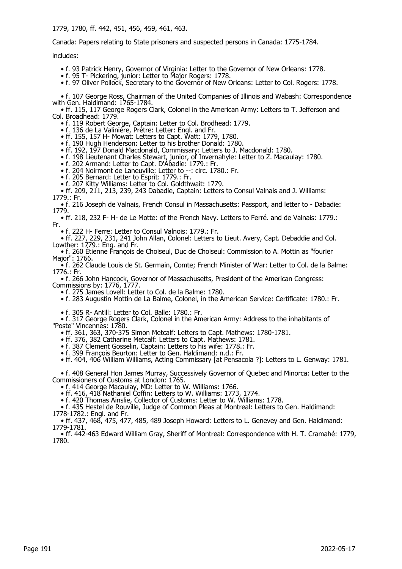1779, 1780, ff. 442, 451, 456, 459, 461, 463.

Canada: Papers relating to State prisoners and suspected persons in Canada: 1775-1784.

includes:

- f. 93 Patrick Henry, Governor of Virginia: Letter to the Governor of New Orleans: 1778.
- f. 95 T- Pickering, junior: Letter to Major Rogers: 1778.
- f. 97 Oliver Pollock, Secretary to the Governor of New Orleans: Letter to Col. Rogers: 1778.

 • f. 107 George Ross, Chairman of the United Companies of Illinois and Wabash: Correspondence with Gen. Haldimand: 1765-1784.

 • ff. 115, 117 George Rogers Clark, Colonel in the American Army: Letters to T. Jefferson and Col. Broadhead: 1779.

• f. 119 Robert George, Captain: Letter to Col. Brodhead: 1779.

- f. 136 de La Valiniére, Prêtre: Letter: Engl. and Fr.
- ff. 155, 157 H- Mowat: Letters to Capt. Watt: 1779, 1780.
- f. 190 Hugh Henderson: Letter to his brother Donald: 1780.
	- ff. 192, 197 Donald Macdonald, Commissary: Letters to J. Macdonald: 1780.
- f. 198 Lieutenant Charles Stewart, junior, of Invernahyle: Letter to Z. Macaulay: 1780.
- f. 202 Armand: Letter to Capt. D'Abadie: 1779.: Fr.
- f. 204 Noirmont de Laneuville: Letter to --: circ. 1780.: Fr.
- f. 205 Bernard: Letter to Esprit: 1779.: Fr.
- f. 207 Kitty Williams: Letter to Col. Goldthwait: 1779.

 • ff. 209, 211, 213, 239, 243 Dabadie, Captain: Letters to Consul Valnais and J. Williams: 1779.: Fr.

 • f. 216 Joseph de Valnais, French Consul in Massachusetts: Passport, and letter to - Dabadie: 1779.

 • ff. 218, 232 F- H- de Le Motte: of the French Navy. Letters to Ferré. and de Valnais: 1779.: Fr.

• f. 222 H- Ferre: Letter to Consul Valnois: 1779.: Fr.

 • ff. 227, 229, 231, 241 John Allan, Colonel: Letters to Lieut. Avery, Capt. Debaddie and Col. Lowther: 1779.: Eng. and Fr. • f. 260 Étienne François de Choiseul, Duc de Choiseul: Commission to A. Mottin as "fourier

Major": 1766.

 • f. 262 Claude Louis de St. Germain, Comte; French Minister of War: Letter to Col. de la Balme: 1776.: Fr.

 • f. 266 John Hancock, Governor of Massachusetts, President of the American Congress: Commissions by: 1776, 1777.

• f. 275 James Lovell: Letter to Col. de la Balme: 1780.

• f. 283 Augustin Mottin de La Balme, Colonel, in the American Service: Certificate: 1780.: Fr.

• f. 305 R- Antill: Letter to Col. Balle: 1780.: Fr.

 • f. 317 George Rogers Clark, Colonel in the American Army: Address to the inhabitants of "Poste" Vincennes: 1780.

• ff. 361, 363, 370-375 Simon Metcalf: Letters to Capt. Mathews: 1780-1781.

• ff. 376, 382 Catharine Metcalf: Letters to Capt. Mathews: 1781.

- f. 387 Clement Gosselin, Captain: Letters to his wife: 1778.: Fr.
	- f. 399 François Beurton: Letter to Gen. Haldimand: n.d.: Fr.

• ff. 404, 406 William Williams, Acting Commissary [at Pensacola ?]: Letters to L. Genway: 1781.

 • f. 408 General Hon James Murray, Successively Governor of Quebec and Minorca: Letter to the Commissioners of Customs at London: 1765.

• f. 414 George Macaulay, MD: Letter to W. Williams: 1766.

• ff. 416, 418 Nathaniel Coffin: Letters to W. Williams: 1773, 1774.

• f. 420 Thomas Ainslie, Collector of Customs: Letter to W. Williams: 1778.

 • f. 435 Hestel de Rouville, Judge of Common Pleas at Montreal: Letters to Gen. Haldimand: 1778-1782.: Engl. and Fr.

 • ff. 437, 468, 475, 477, 485, 489 Joseph Howard: Letters to L. Genevey and Gen. Haldimand: 1779-1781.

 • ff. 442-463 Edward William Gray, Sheriff of Montreal: Correspondence with H. T. Cramahé: 1779, 1780.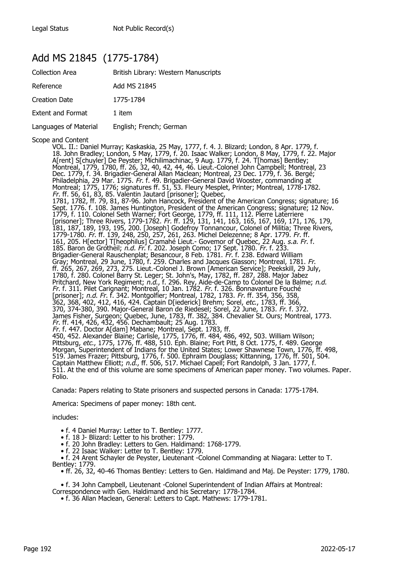## Add MS 21845 (1775-1784)

| <b>Collection Area</b>   | British Library: Western Manuscripts |
|--------------------------|--------------------------------------|
| Reference                | Add MS 21845                         |
| <b>Creation Date</b>     | 1775-1784                            |
| <b>Extent and Format</b> | 1 item                               |
| Languages of Material    | English; French; German              |

Scope and Content

VOL. II.: Daniel Murray; Kaskaskia, 25 May, 1777, f. 4. J. Blizard; London, 8 Apr. 1779, f. 18. John Bradley; London, 5 May, 1779, f. 20. Isaac Walker; London, 8 May, 1779, f. 22. Major A[rent] S[chuyler] De Peyster; Michilimachinac, 9 Aug. 1779, f. 24. T[homas] Bentley; Montreal, 1779, 1780, ff. 26, 32, 40, 42, 44, 46. Lieut.-Colonel John Campbell; Montreal, 23 Dec. 1779, f. 34. Brigadier-General Allan Maclean; Montreal, 23 Dec. 1779, f. 36. Bergé; Philadelphia, 29 Mar. 1775. Fr. f. 49. Brigadier-General David Wooster, commanding at Montreal; 1775, 1776; signatures ff. 51, 53. Fleury Mesplet, Printer; Montreal, 1778-1782. Fr. ff. 56, 61, 83, 85. Valentin Jautard [prisoner]; Quebec, 1781, 1782, ff. 79, 81, 87-96. John Hancock, President of the American Congress; signature; 16 Sept. 1776. f. 108. James Huntington, President of the American Congress; signature; 12 Nov. 1779, f. 110. Colonel Seth Warner; Fort George, 1779, ff. 111, 112. Pierre Laterriere [prisoner]; Three Rivers, 1779-1782. Fr. ff. 129, 131, 141, 163, 165, 167, 169, 171, 176, 179, 181, 187, 189, 193, 195, 200. [Joseph] Godefroy Tonnancour, Colonel of Militia; Three Rivers, 1779-1780. Fr. ff. 139, 248, 250, 257, 261, 263. Michel Delezenne; 8 Apr. 1779. Fr. ff. 161, 205. H[ector] T[heophilus] Cramahé Lieut.- Govemor of Quebec, 22 Aug. s.a. Fr. f. 185. Baron de Grotheil; n.d. Fr. f. 202. Joseph Como; 17 Sept. 1780. Fr. f. 233. Brigadier-General Rauschenplat; Besancour, 8 Feb. 1781. Fr. f. 238. Edward William Gray; Montreal, 29 June, 1780, f. 259. Charles and Jacques Giasson; Montreal, 1781. Fr. ff. 265, 267, 269, 273, 275. Lieut.-Colonel J. Brown [American Service]; Peekskill, 29 July, 1780, f. 280. Colonel Barry St. Leger; St. John's, May, 1782, ff. 287, 288. Major Jabez Pritchard, New York Regiment; n.d., f. 296. Rey, Aide-de-Camp to Colonel De la Balme; n.d. Fr. f. 311. Pilet Carignant; Montreal, 10 Jan. 1782. Fr. f. 326. Bonnavanture Fouché [prisoner]; n.d. Fr. f. 342. Montgolfier; Montreal, 1782, 1783. Fr. ff. 354, 356, 358, 362, 368, 402, 412, 416, 424. Captain D[iederick] Brehm; Sorel, etc., 1783, ff. 366, 370, 374-380, 390. Major-General Baron de Riedesel; Sorel, 22 June, 1783. Fr. f. 372. James Fisher, Surgeon; Quebec, June, 1783, ff. 382, 384. Chevalier St. Ours; Montreal, 1773. Fr. ff. 414, 426, 432, 456. Dechambault; 25 Aug. 1783. Fr. f. 447. Doctor A[dam] Mabane; Montreal, Sept. 1783, ff. 450, 452. Alexander Blaine; Carlisle, 1775, 1776, ff. 484, 486, 492, 503. William Wilson; Pittsburg, *etc.*, 1775, 1776, ff. 488, 510. Eph. Blaine; Fort Pitt, 8 Oct. 1775, f. 489. George Morgan, Superintendent of Indians for the United States; Lower Shawnese Town, 1776, ff. 498, 519. James Frazer; Pittsburg, 1776, f. 500. Ephraim Douglass; Kittanning, 1776, ff. 501, 504. Captain Matthew Elliott; n.d., ff. 506, 517. Michael Capell; Fort Randolph, 3 Jan. 1777, f. 511. At the end of this volume are some specimens of American paper money. Two volumes. Paper. Folio.

Canada: Papers relating to State prisoners and suspected persons in Canada: 1775-1784.

America: Specimens of paper money: 18th cent.

includes:

- f. 4 Daniel Murray: Letter to T. Bentley: 1777.
- f. 18 J- Blizard: Letter to his brother: 1779.
- f. 20 John Bradley: Letters to Gen. Haldimand: 1768-1779.
- f. 22 Isaac Walker: Letter to T. Bentley: 1779.

 • f. 24 Arent Schayler de Peyster, Lieutenant -Colonel Commanding at Niagara: Letter to T. Bentley: 1779.

• ff. 26, 32, 40-46 Thomas Bentley: Letters to Gen. Haldimand and Maj. De Peyster: 1779, 1780.

 • f. 34 John Campbell, Lieutenant -Colonel Superintendent of Indian Affairs at Montreal: Correspondence with Gen. Haldimand and his Secretary: 1778-1784.

• f. 36 Allan Maclean, General: Letters to Capt. Mathews: 1779-1781.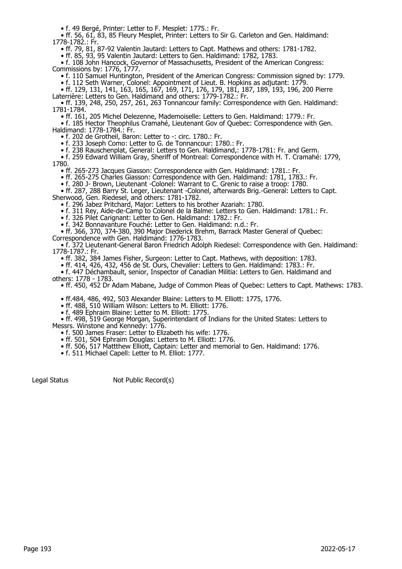• f. 49 Bergé, Printer: Letter to F. Mesplet: 1775.: Fr.

 • ff. 56, 61, 83, 85 Fleury Mesplet, Printer: Letters to Sir G. Carleton and Gen. Haldimand: 1778-1782.: Fr.

• ff. 79, 81, 87-92 Valentin Jautard: Letters to Capt. Mathews and others: 1781-1782.

• ff. 85, 93, 95 Valentin Jautard: Letters to Gen. Haldimand: 1782, 1783.

 • f. 108 John Hancock, Governor of Massachusetts, President of the American Congress: Commissions by: 1776, 1777.

• f. 110 Samuel Huntington, President of the American Congress: Commission signed by: 1779.

• f. 112 Seth Warner, Colonel: Appointment of Lieut. B. Hopkins as adjutant: 1779.

• ff. 129, 131, 141, 163, 165, 167, 169, 171, 176, 179, 181, 187, 189, 193, 196, 200 Pierre

Laterrière: Letters to Gen. Haldimand and others: 1779-1782.: Fr. • ff. 139, 248, 250, 257, 261, 263 Tonnancour family: Correspondence with Gen. Haldimand: 1781-1784.

• ff. 161, 205 Michel Delezenne, Mademoiselle: Letters to Gen. Haldimand: 1779.: Fr.

 • f. 185 Hector Theophilus Cramahé, Lieutenant Gov of Quebec: Correspondence with Gen. Haldimand: 1778-1784.: Fr.

• f. 202 de Grotheil, Baron: Letter to -: circ. 1780.: Fr.

• f. 233 Joseph Como: Letter to G. de Tonnancour: 1780.: Fr.

• f. 238 Rauschenplat, General: Letters to Gen. Haldimand,: 1778-1781: Fr. and Germ.

 • f. 259 Edward William Gray, Sheriff of Montreal: Correspondence with H. T. Cramahé: 1779, 1780.

• ff. 265-273 Jacques Giasson: Correspondence with Gen. Haldimand: 1781.: Fr.

• ff. 265-275 Charles Giasson: Correspondence with Gen. Haldimand: 1781, 1783.: Fr.

• f. 280 J- Brown, Lieutenant -Colonel: Warrant to C. Grenic to raise a troop: 1780.

 • ff. 287, 288 Barry St. Leger, Lieutenant -Colonel, afterwards Brig.-General: Letters to Capt. Sherwood, Gen. Riedesel, and others: 1781-1782.

• f. 296 Jabez Pritchard, Major: Letters to his brother Azariah: 1780.

• f. 311 Rey, Aide-de-Camp to Colonel de la Balme: Letters to Gen. Haldimand: 1781.: Fr.

• f. 326 Pilet Carignant: Letter to Gen. Haldimand: 1782.: Fr.

• f. 342 Bonnavanture Fouché: Letter to Gen. Haldimand: n.d.: Fr.

• ff. 366, 370, 374-380, 390 Major Diederick Brehm, Barrack Master General of Quebec:

Correspondence with Gen. Haldimand: 1776-1783.

 • f. 372 Lieutenant-General Baron Friedrich Adolph Riedesel: Correspondence with Gen. Haldimand: 1778-1787.: Fr.

• ff. 382, 384 James Fisher, Surgeon: Letter to Capt. Mathews, with deposition: 1783.

• ff. 414, 426, 432, 456 de St. Ours, Chevalier: Letters to Gen. Haldimand: 1783.: Fr.

 • f. 447 Déchambault, senior, Inspector of Canadian Militia: Letters to Gen. Haldimand and others: 1778 - 1783.

• ff. 450, 452 Dr Adam Mabane, Judge of Common Pleas of Quebec: Letters to Capt. Mathews: 1783.

• ff.484, 486, 492, 503 Alexander Blaine: Letters to M. Elliott: 1775, 1776.

• ff. 488, 510 William Wilson: Letters to M. Elliott: 1776.

• f. 489 Ephraim Blaine: Letter to M. Elliott: 1775.

 • ff. 498, 519 George Morgan, Superintendant of Indians for the United States: Letters to Messrs. Winstone and Kennedy: 1776.

• f. 500 James Fraser: Letter to Elizabeth his wife: 1776.

• ff. 501, 504 Ephraim Douglas: Letters to M. Elliott: 1776.

• ff. 506, 517 Mattthew Elliott, Captain: Letter and memorial to Gen. Haldimand: 1776.

• f. 511 Michael Capell: Letter to M. Elliot: 1777.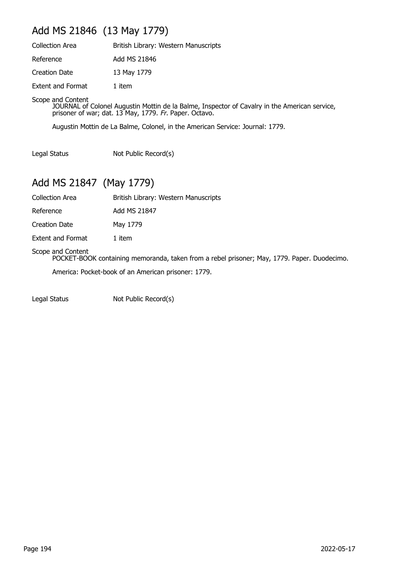## Add MS 21846 (13 May 1779)

| <b>Collection Area</b> | British Library: Western Manuscripts |
|------------------------|--------------------------------------|
| Reference              | Add MS 21846                         |
| Creation Date          | 13 May 1779                          |
| Extent and Format      | 1 item                               |

Scope and Content

JOURNAL of Colonel Augustin Mottin de la Balme, Inspector of Cavalry in the American service, prisoner of war; dat. 13 May, 1779. Fr. Paper. Octavo.

Augustin Mottin de La Balme, Colonel, in the American Service: Journal: 1779.

Legal Status Not Public Record(s)

## Add MS 21847 (May 1779)

Collection Area British Library: Western Manuscripts

Reference Add MS 21847

Creation Date May 1779

Extent and Format 1 item

#### Scope and Content

POCKET-BOOK containing memoranda, taken from a rebel prisoner; May, 1779. Paper. Duodecimo.

America: Pocket-book of an American prisoner: 1779.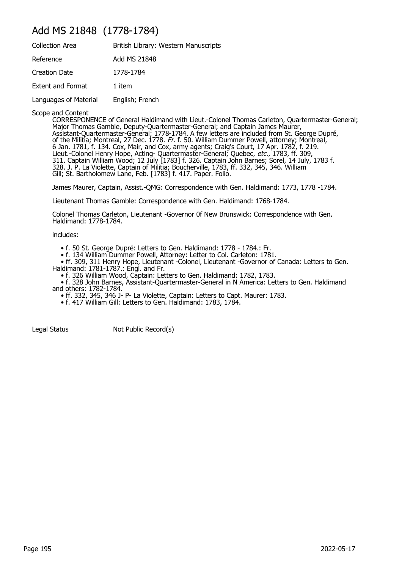## Add MS 21848 (1778-1784)

| <b>Collection Area</b> | British Library: Western Manuscripts |
|------------------------|--------------------------------------|
| Reference              | Add MS 21848                         |
| <b>Creation Date</b>   | 1778-1784                            |
| Extent and Format      | 1 item                               |
| Languages of Material  | English; French                      |
|                        |                                      |

Scope and Content

CORRESPONENCE of General Haldimand with Lieut.-Colonel Thomas Carleton, Quartermaster-General; Major Thomas Gamble, Deputy-Quartermaster-General; and Captain James Maurer, Assistant-Quartermaster-General; 1778-1784. A few letters are included from St. George Dupré, of the Militia; Montreal, 27 Dec. 1778. Fr. f. 50. William Dummer Powell, attorney; Montreal, 6 Jan. 1781, f. 134. Cox, Mair, and Cox, army agents; Craig's Court, 17 Apr. 1782, f. 219. Lieut.-Colonel Henry Hope, Acting- Quartermaster-General; Quebec, etc., 1783, ff. 309, 311. Captain William Wood; 12 July [1783] f. 326. Captain John Barnes; Sorel, 14 July, 1783 f. 328. J. P. La Violette, Captain of Militia; Boucherville, 1783, ff. 332, 345, 346. William Gill; St. Bartholomew Lane, Feb. [1783] f. 417. Paper. Folio.

James Maurer, Captain, Assist.-QMG: Correspondence with Gen. Haldimand: 1773, 1778 -1784.

Lieutenant Thomas Gamble: Correspondence with Gen. Haldimand: 1768-1784.

Colonel Thomas Carleton, Lieutenant -Governor 0f New Brunswick: Correspondence with Gen. Haldimand: 1778-1784.

includes:

• f. 50 St. George Dupré: Letters to Gen. Haldimand: 1778 - 1784.: Fr.

• f. 134 William Dummer Powell, Attorney: Letter to Col. Carleton: 1781.

 • ff. 309, 311 Henry Hope, Lieutenant -Colonel, Lieutenant -Governor of Canada: Letters to Gen. Haldimand: 1781-1787.: Engl. and Fr.

• f. 326 William Wood, Captain: Letters to Gen. Haldimand: 1782, 1783.

 • f. 328 John Barnes, Assistant-Quartermaster-General in N America: Letters to Gen. Haldimand and others: 1782-1784.

• ff. 332, 345, 346 J- P- La Violette, Captain: Letters to Capt. Maurer: 1783.

• f. 417 William Gill: Letters to Gen. Haldimand: 1783, 1784.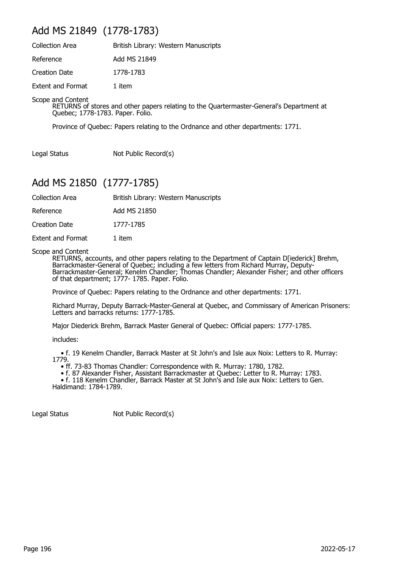## Add MS 21849 (1778-1783)

| <b>Collection Area</b>   | British Library: Western Manuscripts |
|--------------------------|--------------------------------------|
| Reference                | Add MS 21849                         |
| <b>Creation Date</b>     | 1778-1783                            |
| <b>Extent and Format</b> | 1 item                               |

Scope and Content

RETURNS of stores and other papers relating to the Quartermaster-General's Department at Quebec; 1778-1783. Paper. Folio.

Province of Quebec: Papers relating to the Ordnance and other departments: 1771.

Legal Status Not Public Record(s)

## Add MS 21850 (1777-1785)

| British Library: Western Manuscripts |
|--------------------------------------|
|                                      |

Reference Add MS 21850

Creation Date 1777-1785

Extent and Format 1 item

Scope and Content

RETURNS, accounts, and other papers relating to the Department of Captain D[iederick] Brehm, Barrackmaster-General of Quebec; including a few letters from Richard Murray, Deputy-Barrackmaster-General; Kenelm Chandler; Thomas Chandler; Alexander Fisher; and other officers of that department; 1777- 1785. Paper. Folio.

Province of Quebec: Papers relating to the Ordnance and other departments: 1771.

Richard Murray, Deputy Barrack-Master-General at Quebec, and Commissary of American Prisoners: Letters and barracks returns: 1777-1785.

Major Diederick Brehm, Barrack Master General of Quebec: Official papers: 1777-1785.

includes:

 • f. 19 Kenelm Chandler, Barrack Master at St John's and Isle aux Noix: Letters to R. Murray: 1779.

• ff. 73-83 Thomas Chandler: Correspondence with R. Murray: 1780, 1782.

• f. 87 Alexander Fisher, Assistant Barrackmaster at Quebec: Letter to R. Murray: 1783.

• f. 118 Kenelm Chandler, Barrack Master at St John's and Isle aux Noix: Letters to Gen. Haldimand: 1784-1789.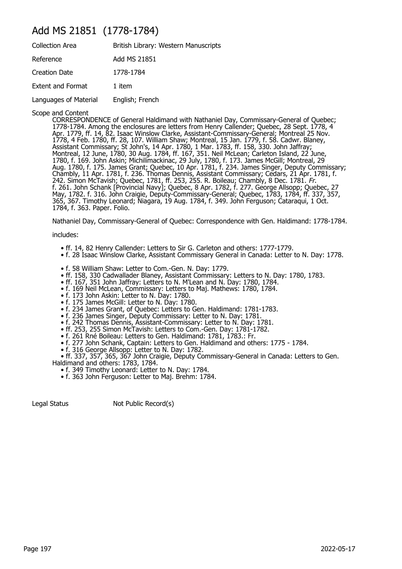### Add MS 21851 (1778-1784)

| <b>Collection Area</b>   | British Library: Western Manuscripts |
|--------------------------|--------------------------------------|
| Reference                | Add MS 21851                         |
| Creation Date            | 1778-1784                            |
| <b>Extent and Format</b> | 1 item                               |
| Languages of Material    | English; French                      |

Scope and Content

CORRESPONDENCE of General Haldimand with Nathaniel Day, Commissary-General of Quebec; 1778-1784. Among the enclosures are letters from Henry Callender; Quebec, 28 Sept. 1778, 4 Apr. 1779, ff. 14, 82. Isaac Winslow Clarke, Assistant-Commissary-General; Montreal 25 Nov. 1778, 4 Feb. 1780, ff. 28, 107. William Shaw; Montreal, 15 Jan. 1779, f. 58. Cadwr. Blaney, Assistant Commissary; St John's, 14 Apr. 1780, 1 Mar. 1783, ff. 158, 330. John Jaffray; Montreal, 12 June, 1780, 30 Aug. 1784, ff. 167, 351. Neil McLean; Carleton Island, 22 June, 1780, f. 169. John Askin; Michilimackinac, 29 July, 1780, f. 173. James McGill; Montreal, 29 Aug. 1780, f. 175. James Grant; Quebec, 10 Apr. 1781, f. 234. James Singer, Deputy Commissary; Chambly, 11 Apr. 1781, f. 236. Thomas Dennis, Assistant Commissary; Cedars, 21 Apr. 1781, f. 242. Simon McTavish; Quebec, 1781, ff. 253, 255. R. Boileau; Chambly, 8 Dec. 1781. Fr. f. 261. John Schank [Provincial Navy]; Quebec, 8 Apr. 1782, f. 277. George Allsopp; Quebec, 27 May, 1782. f. 316. John Craigie, Deputy-Commissary-General; Quebec, 1783, 1784, ff. 337, 357, 365, 367. Timothy Leonard; Niagara, 19 Aug. 1784, f. 349. John Ferguson; Cataraqui, 1 Oct. 1784, f. 363. Paper. Folio.

Nathaniel Day, Commissary-General of Quebec: Correspondence with Gen. Haldimand: 1778-1784.

includes:

- ff. 14, 82 Henry Callender: Letters to Sir G. Carleton and others: 1777-1779.
- f. 28 Isaac Winslow Clarke, Assistant Commissary General in Canada: Letter to N. Day: 1778.
- f. 58 William Shaw: Letter to Com.-Gen. N. Day: 1779.
- ff. 158, 330 Cadwallader Blaney, Assistant Commissary: Letters to N. Day: 1780, 1783.
- ff. 167, 351 John Jaffray: Letters to N. M'Lean and N. Day: 1780, 1784.
- f. 169 Neil McLean, Commissary: Letters to Maj. Mathews: 1780, 1784.
- f. 173 John Askin: Letter to N. Day: 1780.
	- f. 175 James McGill: Letter to N. Day: 1780.
- f. 234 James Grant, of Quebec: Letters to Gen. Haldimand: 1781-1783.
- f. 236 James Singer, Deputy Commissary: Letter to N. Day: 1781.
- f. 242 Thomas Dennis, Assistant-Commissary: Letter to N. Day: 1781.
- ff. 253, 255 Simon McTavish: Letters to Com.-Gen. Day: 1781-1782.
- f. 261 Rné Boileau: Letters to Gen. Haldimand: 1781, 1783.: Fr.
	- f. 277 John Schank, Captain: Letters to Gen. Haldimand and others: 1775 1784.
- f. 316 George Allsopp: Letter to N. Day: 1782.

 • ff. 337, 357, 365, 367 John Craigie, Deputy Commissary-General in Canada: Letters to Gen. Haldimand and others: 1783, 1784.

- f. 349 Timothy Leonard: Letter to N. Day: 1784.
	- f. 363 John Ferguson: Letter to Maj. Brehm: 1784.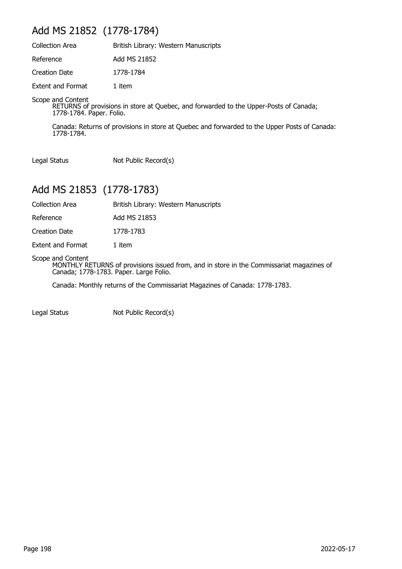## Add MS 21852 (1778-1784)

| <b>Collection Area</b>   | British Library: Western Manuscripts |
|--------------------------|--------------------------------------|
| Reference                | Add MS 21852                         |
| Creation Date            | 1778-1784                            |
| <b>Extent and Format</b> | 1 item                               |

Scope and Content

RETURNS of provisions in store at Quebec, and forwarded to the Upper-Posts of Canada; 1778-1784. Paper. Folio.

Canada: Returns of provisions in store at Quebec and forwarded to the Upper Posts of Canada: 1778-1784.

Legal Status Not Public Record(s)

## Add MS 21853 (1778-1783)

Collection Area British Library: Western Manuscripts

Reference Add MS 21853

Creation Date 1778-1783

Extent and Format 1 item

Scope and Content

MONTHLY RETURNS of provisions issued from, and in store in the Commissariat magazines of Canada; 1778-1783. Paper. Large Folio.

Canada: Monthly returns of the Commissariat Magazines of Canada: 1778-1783.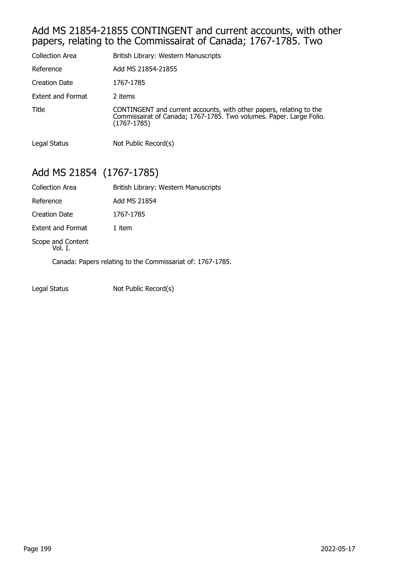### Add MS 21854-21855 CONTINGENT and current accounts, with other papers, relating to the Commissairat of Canada; 1767-1785. Two

| Collection Area      | British Library: Western Manuscripts                                                                                                                      |
|----------------------|-----------------------------------------------------------------------------------------------------------------------------------------------------------|
| Reference            | Add MS 21854-21855                                                                                                                                        |
| <b>Creation Date</b> | 1767-1785                                                                                                                                                 |
| Extent and Format    | 2 items                                                                                                                                                   |
| Title                | CONTINGENT and current accounts, with other papers, relating to the<br>Commissairat of Canada; 1767-1785. Two volumes. Paper. Large Folio.<br>(1767-1785) |
| Legal Status         | Not Public Record(s)                                                                                                                                      |

## Add MS 21854 (1767-1785)

| <b>Collection Area</b>       | British Library: Western Manuscripts                       |
|------------------------------|------------------------------------------------------------|
| Reference                    | Add MS 21854                                               |
| Creation Date                | 1767-1785                                                  |
| <b>Extent and Format</b>     | 1 item                                                     |
| Scope and Content<br>Vol. I. |                                                            |
|                              | Canada: Papers relating to the Commissariat of: 1767-1785. |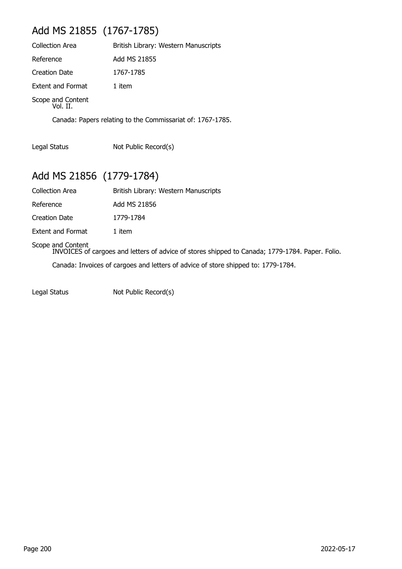## Add MS 21855 (1767-1785)

| <b>Collection Area</b>        | British Library: Western Manuscripts |
|-------------------------------|--------------------------------------|
| Reference                     | Add MS 21855                         |
| <b>Creation Date</b>          | 1767-1785                            |
| <b>Extent and Format</b>      | 1 item                               |
| Scope and Content<br>Vol. II. |                                      |
|                               |                                      |

Canada: Papers relating to the Commissariat of: 1767-1785.

Legal Status Not Public Record(s)

## Add MS 21856 (1779-1784)

| <b>Collection Area</b>   | British Library: Western Manuscripts |
|--------------------------|--------------------------------------|
| Reference                | Add MS 21856                         |
| Creation Date            | 1779-1784                            |
| <b>Extent and Format</b> | 1 item                               |

#### Scope and Content

INVOICES of cargoes and letters of advice of stores shipped to Canada; 1779-1784. Paper. Folio. Canada: Invoices of cargoes and letters of advice of store shipped to: 1779-1784.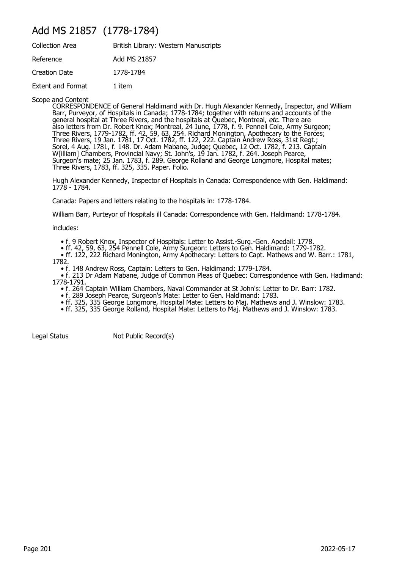## Add MS 21857 (1778-1784)

| <b>Collection Area</b> | British Library: Western Manuscripts |
|------------------------|--------------------------------------|
| Reference              | Add MS 21857                         |
| Creation Date          | 1778-1784                            |
| Extent and Format      | 1 item                               |

Scope and Content

CORRESPONDENCE of General Haldimand with Dr. Hugh Alexander Kennedy, Inspector, and William Barr, Purveyor, of Hospitals in Canada; 1778-1784; together with returns and accounts of the general hospital at Three Rivers, and the hospitals at Quebec, Montreal, *etc.* There are also letters from Dr. Robert Knox; Montreal, 24 June, 1778, f. 9. Pennell Cole, Army Surgeon; Three Rivers, 1779-1782, ff. 42, 59, 63, 254. Richard Monington, Apothecary to the Forces; Three Rivers, 19 Jan. 1781, 17 Oct. 1782, ff. 122, 222. Captain Andrew Ross, 31st Regt.; Sorel, 4 Aug. 1781, f. 148. Dr. Adam Mabane, Judge; Quebec, 12 Oct. 1782, f. 213. Captain W[illiam] Chambers, Provincial Navy; St. John's, 19 Jan. 1782, f. 264. Joseph Pearce, Surgeon's mate; 25 Jan. 1783, f. 289. George Rolland and George Longmore, Hospital mates; Three Rivers, 1783, ff. 325, 335. Paper. Folio.

Hugh Alexander Kennedy, Inspector of Hospitals in Canada: Correspondence with Gen. Haldimand: 1778 - 1784.

Canada: Papers and letters relating to the hospitals in: 1778-1784.

William Barr, Purteyor of Hospitals ill Canada: Correspondence with Gen. Haldimand: 1778-1784.

includes:

- f. 9 Robert Knox, Inspector of Hospitals: Letter to Assist.-Surg.-Gen. Apedail: 1778.
- ff. 42, 59, 63, 254 Pennell Cole, Army Surgeon: Letters to Gen. Haldimand: 1779-1782.

 • ff. 122, 222 Richard Monington, Army Apothecary: Letters to Capt. Mathews and W. Barr.: 1781, 1782.

• f. 148 Andrew Ross, Captain: Letters to Gen. Haldimand: 1779-1784.

 • f. 213 Dr Adam Mabane, Judge of Common Pleas of Quebec: Correspondence with Gen. Hadimand: 1778-1791.

- f. 264 Captain William Chambers, Naval Commander at St John's: Letter to Dr. Barr: 1782.
- f. 289 Joseph Pearce, Surgeon's Mate: Letter to Gen. Haldimand: 1783.
- ff. 325, 335 George Longmore, Hospital Mate: Letters to Maj. Mathews and J. Winslow: 1783.
- ff. 325, 335 George Rolland, Hospital Mate: Letters to Maj. Mathews and J. Winslow: 1783.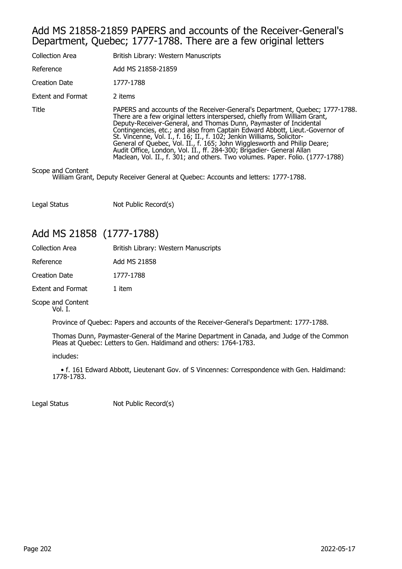#### Add MS 21858-21859 PAPERS and accounts of the Receiver-General's Department, Quebec; 1777-1788. There are a few original letters

| <b>Collection Area</b>   | British Library: Western Manuscripts                                                                                                                                                                                                                                                                                                                                                                                                                                                                                                                                                                                            |
|--------------------------|---------------------------------------------------------------------------------------------------------------------------------------------------------------------------------------------------------------------------------------------------------------------------------------------------------------------------------------------------------------------------------------------------------------------------------------------------------------------------------------------------------------------------------------------------------------------------------------------------------------------------------|
| Reference                | Add MS 21858-21859                                                                                                                                                                                                                                                                                                                                                                                                                                                                                                                                                                                                              |
| Creation Date            | 1777-1788                                                                                                                                                                                                                                                                                                                                                                                                                                                                                                                                                                                                                       |
| <b>Extent and Format</b> | 2 items                                                                                                                                                                                                                                                                                                                                                                                                                                                                                                                                                                                                                         |
| Title                    | PAPERS and accounts of the Receiver-General's Department, Quebec; 1777-1788.<br>There are a few original letters interspersed, chiefly from William Grant,<br>Deputy-Receiver-General, and Thomas Dunn, Paymaster of Incidental<br>Contingencies, etc.; and also from Captain Edward Abbott, Lieut.-Governor of<br>St. Vincenne, Vol. I., f. 16; II., f. 102; Jenkin Williams, Solicitor-<br>General of Quebec, Vol. II., f. 165; John Wigglesworth and Philip Deare;<br>Audit Office, London, Vol. II., ff. 284-300; Brigadier- General Allan<br>Maclean, Vol. II., f. 301; and others. Two volumes. Paper. Folio. (1777-1788) |
|                          |                                                                                                                                                                                                                                                                                                                                                                                                                                                                                                                                                                                                                                 |

Scope and Content

William Grant, Deputy Receiver General at Quebec: Accounts and letters: 1777-1788.

Legal Status Not Public Record(s)

## Add MS 21858 (1777-1788)

| <b>Collection Area</b>   | British Library: Western Manuscripts |
|--------------------------|--------------------------------------|
| Reference                | Add MS 21858                         |
| <b>Creation Date</b>     | 1777-1788                            |
| <b>Extent and Format</b> | 1 item                               |
|                          |                                      |

Scope and Content Vol. I.

Province of Quebec: Papers and accounts of the Receiver-General's Department: 1777-1788.

Thomas Dunn, Paymaster-General of the Marine Department in Canada, and Judge of the Common Pleas at Quebec: Letters to Gen. Haldimand and others: 1764-1783.

includes:

 • f. 161 Edward Abbott, Lieutenant Gov. of S Vincennes: Correspondence with Gen. Haldimand: 1778-1783.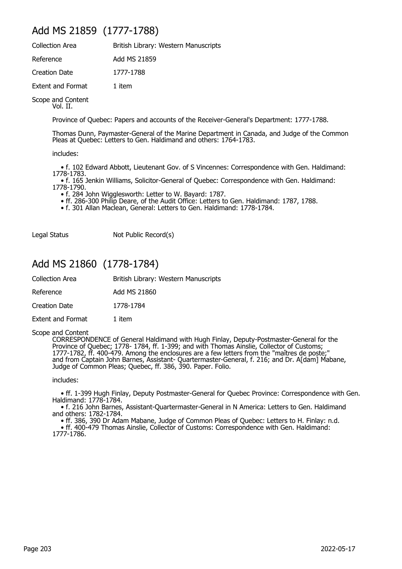## Add MS 21859 (1777-1788)

| <b>Collection Area</b>   | British Library: Western Manuscripts |
|--------------------------|--------------------------------------|
| Reference                | Add MS 21859                         |
| Creation Date            | 1777-1788                            |
| <b>Extent and Format</b> | 1 item                               |

Scope and Content Vol. II.

Province of Quebec: Papers and accounts of the Receiver-General's Department: 1777-1788.

Thomas Dunn, Paymaster-General of the Marine Department in Canada, and Judge of the Common Pleas at Quebec: Letters to Gen. Haldimand and others: 1764-1783.

includes:

 • f. 102 Edward Abbott, Lieutenant Gov. of S Vincennes: Correspondence with Gen. Haldimand: 1778-1783.

 • f. 165 Jenkin Williams, Solicitor-General of Quebec: Correspondence with Gen. Haldimand: 1778-1790.

• f. 284 John Wigglesworth: Letter to W. Bayard: 1787.

• ff. 286-300 Philip Deare, of the Audit Office: Letters to Gen. Haldimand: 1787, 1788.

• f. 301 Allan Maclean, General: Letters to Gen. Haldimand: 1778-1784.

Legal Status Not Public Record(s)

## Add MS 21860 (1778-1784)

| British Library: Western Manuscripts |  |
|--------------------------------------|--|
|                                      |  |

Reference Add MS 21860

Creation Date 1778-1784

Extent and Format 1 item

#### Scope and Content

CORRESPONDENCE of General Haldimand with Hugh Finlay, Deputy-Postmaster-General for the Province of Quebec; 1778- 1784, ff. 1-399; and with Thomas Ainslie, Collector of Customs; 1777-1782, ff. 400-479. Among the enclosures are a few letters from the "maîtres de poste;" and from Captain John Barnes, Assistant- Quartermaster-General, f. 216; and Dr. A[dam] Mabane, Judge of Common Pleas; Quebec, ff. 386, 390. Paper. Folio.

includes:

 • ff. 1-399 Hugh Finlay, Deputy Postmaster-General for Quebec Province: Correspondence with Gen. Haldimand: 1778-1784.

 • f. 216 John Barnes, Assistant-Quartermaster-General in N America: Letters to Gen. Haldimand and others: 1782-1784.

 • ff. 386, 390 Dr Adam Mabane, Judge of Common Pleas of Quebec: Letters to H. Finlay: n.d. • ff. 400-479 Thomas Ainslie, Collector of Customs: Correspondence with Gen. Haldimand:

1777-1786.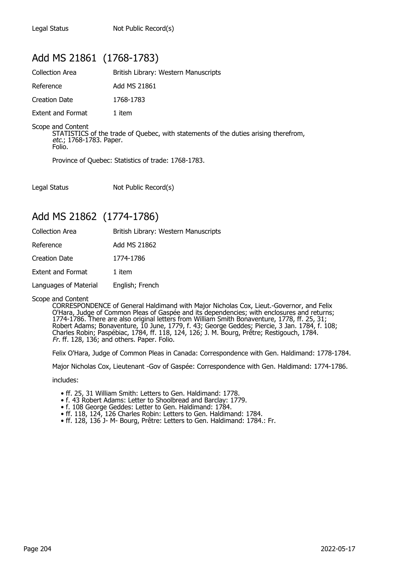## Add MS 21861 (1768-1783)

| <b>Collection Area</b>   | British Library: Western Manuscripts |
|--------------------------|--------------------------------------|
| Reference                | Add MS 21861                         |
| Creation Date            | 1768-1783                            |
| <b>Extent and Format</b> | 1 item                               |

Scope and Content STATISTICS of the trade of Quebec, with statements of the duties arising therefrom, etc.; 1768-1783. Paper.

Folio.

Province of Quebec: Statistics of trade: 1768-1783.

Legal Status Not Public Record(s)

## Add MS 21862 (1774-1786)

| <b>Collection Area</b>   | British Library: Western Manuscripts |
|--------------------------|--------------------------------------|
| Reference                | Add MS 21862                         |
| <b>Creation Date</b>     | 1774-1786                            |
| <b>Extent and Format</b> | 1 item                               |
| Languages of Material    | English; French                      |

#### Scope and Content

CORRESPONDENCE of General Haldimand with Major Nicholas Cox, Lieut.-Governor, and Felix O'Hara, Judge of Common Pleas of Gaspée and its dependencies; with enclosures and returns; 1774-1786. There are also original letters from William Smith Bonaventure, 1778, ff. 25, 31; Robert Adams; Bonaventure, 10 June, 1779, f. 43; George Geddes; Piercie, 3 Jan. 1784, f. 108; Charles Robin; Paspébiac, 1784, ff. 118, 124, 126; J. M. Bourg, Prêtre; Restigouch, 1784. Fr. ff. 128, 136; and others. Paper. Folio.

Felix O'Hara, Judge of Common Pleas in Canada: Correspondence with Gen. Haldimand: 1778-1784.

Major Nicholas Cox, Lieutenant -Gov of Gaspée: Correspondence with Gen. Haldimand: 1774-1786.

includes:

- ff. 25, 31 William Smith: Letters to Gen. Haldimand: 1778.
- f. 43 Robert Adams: Letter to Shoolbread and Barclay: 1779.
	- f. 108 George Geddes: Letter to Gen. Haldimand: 1784.
	- ff. 118, 124, 126 Charles Robin: Letters to Gen. Haldimand: 1784.
	- ff. 128, 136 J- M- Bourg, Prêtre: Letters to Gen. Haldimand: 1784.: Fr.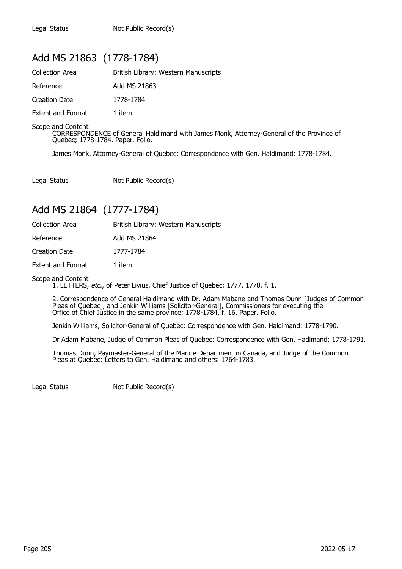## Add MS 21863 (1778-1784)

| <b>Collection Area</b>   | British Library: Western Manuscripts |
|--------------------------|--------------------------------------|
| Reference                | Add MS 21863                         |
| Creation Date            | 1778-1784                            |
| <b>Extent and Format</b> | 1 item                               |

Scope and Content

CORRESPONDENCE of General Haldimand with James Monk, Attorney-General of the Province of Quebec; 1778-1784. Paper. Folio.

James Monk, Attorney-General of Quebec: Correspondence with Gen. Haldimand: 1778-1784.

Legal Status Not Public Record(s)

## Add MS 21864 (1777-1784)

| <b>Collection Area</b>   | British Library: Western Manuscripts |
|--------------------------|--------------------------------------|
| Reference                | Add MS 21864                         |
| Creation Date            | 1777-1784                            |
| <b>Extent and Format</b> | 1 item                               |

Scope and Content

1. LETTERS, etc., of Peter Livius, Chief Justice of Quebec; 1777, 1778, f. 1.

2. Correspondence of General Haldimand with Dr. Adam Mabane and Thomas Dunn [Judges of Common Pleas of Quebec], and Jenkin Williams [Solicitor-General], Commissioners for executing the Office of Chief Justice in the same province; 1778-1784, f. 16. Paper. Folio.

Jenkin Williams, Solicitor-General of Quebec: Correspondence with Gen. Haldimand: 1778-1790.

Dr Adam Mabane, Judge of Common Pleas of Quebec: Correspondence with Gen. Hadimand: 1778-1791.

Thomas Dunn, Paymaster-General of the Marine Department in Canada, and Judge of the Common Pleas at Quebec: Letters to Gen. Haldimand and others: 1764-1783.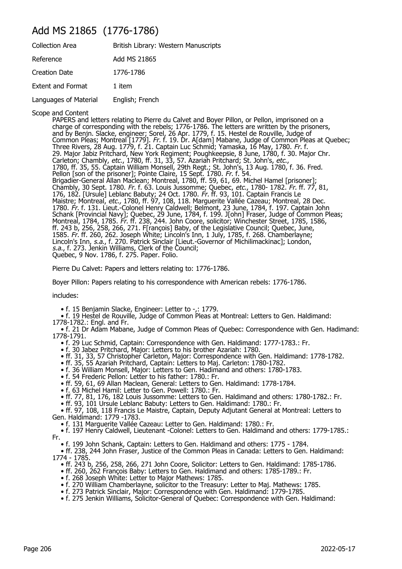## Add MS 21865 (1776-1786)

| British Library: Western Manuscripts |
|--------------------------------------|
| Add MS 21865                         |
| 1776-1786                            |
| 1 item                               |
| English; French                      |
|                                      |

Scope and Content

PAPERS and letters relating to Pierre du Calvet and Boyer Pillon, or Pellon, imprisoned on a charge of corresponding with the rebels; 1776-1786. The letters are written by the prisoners, and by Benjn. Slacke, engineer; Sorel, 26 Apr. 1779, f. 15. Hestel de Rouville, Judge of Common Pleas; Montreal [1779]. Fr. f. 19. Dr. A[dam] Mabane, Judge of Common Pleas at Quebec; Three Rivers, 28 Aug. 1779, f. 21. Captain Luc Schmid; Yamaska, 16 May, 1780. Fr. f. 29. Major Jabiz Pritchard, New York Regiment; Poughkeepsie, 8 June, 1780, f. 30. Major Chr. Carleton; Chambly, etc., 1780, ff. 31, 33, 57. Azariah Pritchard; St. John's, etc., 1780, ff. 35, 55. Captain William Monsell, 29th Regt.; St. John's, 13 Aug. 1780, f. 36. Fred. Pellon [son of the prisoner]; Pointe Claire, 15 Sept. 1780. Fr. f. 54. Brigadier-General Allan Maclean; Montreal, 1780, ff. 59, 61, 69. Michel Hamel [prisoner]; Chambly, 30 Sept. 1780. Fr. f. 63. Louis Jussomme; Quebec, etc., 1780- 1782. Fr. ff. 77, 81, 176, 182. [Ursule] Leblanc Babuty; 24 Oct. 1780. Fr. ff. 93, 101. Captain Francis Le Maistre; Montreal, *etc.,* 1780, ff. 97, 108, 118. Marguerite Vallée Cazeau; Montreal, 28 Dec. 1780. Fr. f. 131. Lieut.-Colonel Henry Caldwell; Belmont, 23 June, 1784, f. 197. Captain John Schank [Provincial Navy]; Quebec, 29 June, 1784, f. 199. J[ohn] Fraser, Judge of Common Pleas; Montreal, 1784, 1785. Fr. ff. 238, 244. John Coore, solicitor; Winchester Street, 1785, 1586, ff. 243 b, 256, 258, 266, 271. F[rançois] Baby, of the Legislative Council; Quebec, June, 1585. Fr. ff. 260, 262. Joseph White; Lincoln's Inn, 1 July, 1785, f. 268. Chamberlayne; Lincoln's Inn, s.a., f. 270. Patrick Sinclair [Lieut.-Governor of Michilimackinac]; London, s.a., f. 273. Jenkin Williams, Clerk of the Council; Quebec, 9 Nov. 1786, f. 275. Paper. Folio.

Pierre Du Calvet: Papers and letters relating to: 1776-1786.

Boyer Pillon: Papers relating to his correspondence with American rebels: 1776-1786.

includes:

• f. 15 Benjamin Slacke, Engineer: Letter to -,: 1779.

 • f. 19 Hestel de Rouville, Judge of Common Pleas at Montreal: Letters to Gen. Haldimand: 1778-1782.: Engl. and Fr.

 • f. 21 Dr Adam Mabane, Judge of Common Pleas of Quebec: Correspondence with Gen. Hadimand: 1778-1791.

- f. 29 Luc Schmid, Captain: Correspondence with Gen. Haldimand: 1777-1783.: Fr.
- f. 30 Jabez Pritchard, Major: Letters to his brother Azariah: 1780.
- ff. 31, 33, 57 Christopher Carleton, Major: Correspondence with Gen. Haldimand: 1778-1782.
- ff. 35, 55 Azariah Pritchard, Captain: Letters to Maj. Carleton: 1780-1782.
- f. 36 William Monsell, Major: Letters to Gen. Hadimand and others: 1780-1783.
- f. 54 Frederic Pellon: Letter to his father: 1780.: Fr.
- ff. 59, 61, 69 Allan Maclean, General: Letters to Gen. Haldimand: 1778-1784.
- f. 63 Michel Hamil: Letter to Gen. Powell: 1780.: Fr.
- ff. 77, 81, 176, 182 Louis Jussomme: Letters to Gen. Haldimand and others: 1780-1782.: Fr.
	- ff. 93, 101 Ursule Leblanc Babuty: Letters to Gen. Haldimand: 1780.: Fr.

 • ff. 97, 108, 118 Francis Le Maistre, Captain, Deputy Adjutant General at Montreal: Letters to Gen. Haldimand: 1779 -1783.

• f. 131 Marguerite Vallée Cazeau: Letter to Gen. Haldimand: 1780.: Fr.

 • f. 197 Henry Caldwell, Lieutenant -Colonel: Letters to Gen. Haldimand and others: 1779-1785.: Fr.

• f. 199 John Schank, Captain: Letters to Gen. Haldimand and others: 1775 - 1784.

 • ff. 238, 244 John Fraser, Justice of the Common Pleas in Canada: Letters to Gen. Haldimand: 1774 - 1785.

- ff. 243 b, 256, 258, 266, 271 John Coore, Solicitor: Letters to Gen. Haldimand: 1785-1786.
- ff. 260, 262 François Baby: Letters to Gen. Haldimand and others: 1785-1789.: Fr.
	- f. 268 Joseph White: Letter to Major Mathews: 1785.
- f. 270 William Chamberlayne, solicitor to the Treasury: Letter to Maj. Mathews: 1785.
- f. 273 Patrick Sinclair, Major: Correspondence with Gen. Haldimand: 1779-1785.
	- f. 275 Jenkin Williams, Solicitor-General of Quebec: Correspondence with Gen. Haldimand: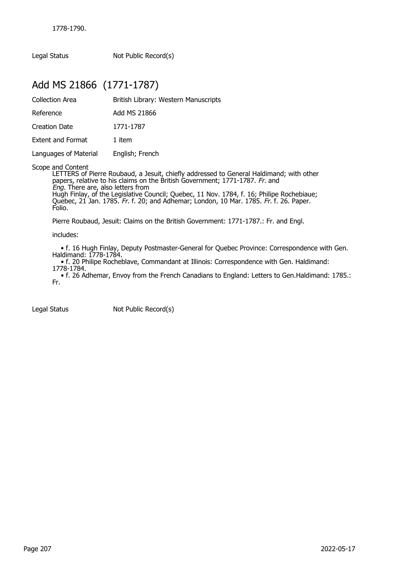Legal Status Not Public Record(s)

## Add MS 21866 (1771-1787)

| Collection Area       | British Library: Western Manuscripts                                              |
|-----------------------|-----------------------------------------------------------------------------------|
| Reference             | Add MS 21866                                                                      |
| Creation Date         | 1771-1787                                                                         |
| Extent and Format     | 1 item                                                                            |
| Languages of Material | English; French                                                                   |
| Scope and Content     | I ETTERS of Pierre Roubaud a Jesuit, chiefly addressed to General Haldimand; with |

LETTERS of Pierre Roubaud, a Jesuit, chiefly addressed to General Haldimand; with other papers, relative to his claims on the British Government; 1771-1787. Fr. and Eng. There are, also letters from Hugh Finlay, of the Legislative Council; Quebec, 11 Nov. 1784, f. 16; Philipe Rochebiaue; Quebec, 21 Jan. 1785. Fr. f. 20; and Adhemar; London, 10 Mar. 1785. Fr. f. 26. Paper. Folio.

Pierre Roubaud, Jesuit: Claims on the British Government: 1771-1787.: Fr. and Engl.

includes:

 • f. 16 Hugh Finlay, Deputy Postmaster-General for Quebec Province: Correspondence with Gen. Haldimand: 1778-1784.

 • f. 20 Philipe Rocheblave, Commandant at Illinois: Correspondence with Gen. Haldimand: 1778-1784.

 • f. 26 Adhemar, Envoy from the French Canadians to England: Letters to Gen.Haldimand: 1785.: Fr.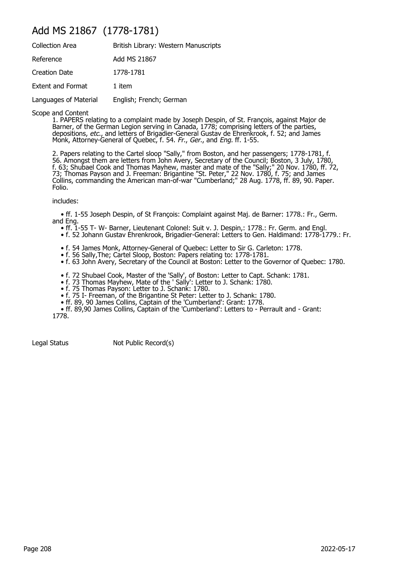## Add MS 21867 (1778-1781)

| <b>Collection Area</b>   | British Library: Western Manuscripts |
|--------------------------|--------------------------------------|
| Reference                | Add MS 21867                         |
| <b>Creation Date</b>     | 1778-1781                            |
| <b>Extent and Format</b> | 1 item                               |
| Languages of Material    | English; French; German              |

Scope and Content

1. PAPERS relating to a complaint made by Joseph Despin, of St. François, against Major de Barner, of the German Legion serving in Canada, 1778; comprising letters of the parties, depositions, *etc*., and letters of Brigadier-General Gustav de Ehrenkrook, f. 52; and James Monk, Attorney-General of Quebec, f. 54. Fr., Ger., and Eng. ff. 1-55.

2. Papers relating to the Cartel sloop "Sally," from Boston, and her passengers; 1778-1781, f. 56. Amongst them are letters from John Avery, Secretary of the Council; Boston, 3 July, 1780, f. 63; Shubael Cook and Thomas Mayhew, master and mate of the "Sally;" 20 Nov. 1780, ff. 72, 73; Thomas Payson and J. Freeman: Brigantine "St. Peter," 22 Nov. 1780, f. 75; and James Collins, commanding the American man-of-war "Cumberland;" 28 Aug. 1778, ff. 89, 90. Paper. Folio.

includes:

 • ff. 1-55 Joseph Despin, of St François: Complaint against Maj. de Barner: 1778.: Fr., Germ. and Eng.

- ff. 1-55 T- W- Barner, Lieutenant Colonel: Suit v. J. Despin,: 1778.: Fr. Germ. and Engl.
- f. 52 Johann Gustav Ehrenkrook, Brigadier-General: Letters to Gen. Haldimand: 1778-1779.: Fr.
	- f. 54 James Monk, Attorney-General of Quebec: Letter to Sir G. Carleton: 1778.
	- f. 56 Sally,The; Cartel Sloop, Boston: Papers relating to: 1778-1781.
	- f. 63 John Avery, Secretary of the Council at Boston: Letter to the Governor of Quebec: 1780.
- f. 72 Shubael Cook, Master of the 'Sally', of Boston: Letter to Capt. Schank: 1781.
- f. 73 Thomas Mayhew, Mate of the ' Sally': Letter to J. Schank: 1780.
- f. 75 Thomas Payson: Letter to J. Schank: 1780.
- f. 75 I- Freeman, of the Brigantine St Peter: Letter to J. Schank: 1780.
- ff. 89, 90 James Collins, Captain of the 'Cumberland': Grant: 1778.
- ff. 89,90 James Collins, Captain of the 'Cumberland': Letters to Perrault and Grant:

1778.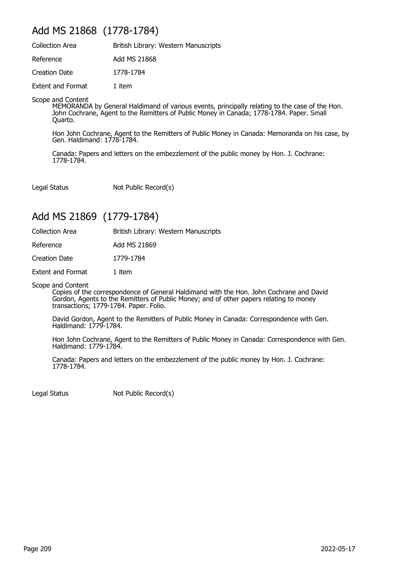## Add MS 21868 (1778-1784)

| <b>Collection Area</b>   | British Library: Western Manuscripts |
|--------------------------|--------------------------------------|
| Reference                | Add MS 21868                         |
| Creation Date            | 1778-1784                            |
| <b>Extent and Format</b> | 1 item                               |

Scope and Content

MEMORANDA by General Haldimand of various events, principally relating to the case of the Hon. John Cochrane, Agent to the Remitters of Public Money in Canada; 1778-1784. Paper. Small Quarto.

Hon John Cochrane, Agent to the Remitters of Public Money in Canada: Memoranda on his case, by Gen. Haldimand: 1778-1784.

Canada: Papers and letters on the embezzlement of the public money by Hon. J. Cochrane: 1778-1784.

Legal Status Not Public Record(s)

## Add MS 21869 (1779-1784)

| <b>Collection Area</b>   | British Library: Western Manuscripts |
|--------------------------|--------------------------------------|
| Reference                | Add MS 21869                         |
| Creation Date            | 1779-1784                            |
| <b>Extent and Format</b> | 1 item                               |
|                          |                                      |

Scope and Content

Copies of the correspondence of General Haldimand with the Hon. John Cochrane and David Gordon, Agents to the Remitters of Public Money; and of other papers relating to money transactions; 1779-1784. Paper. Folio.

David Gordon, Agent to the Remitters of Public Money in Canada: Correspondence with Gen. Haldimand: 1779-1784.

Hon John Cochrane, Agent to the Remitters of Public Money in Canada: Correspondence with Gen. Haldimand: 1779-1784.

Canada: Papers and letters on the embezzlement of the public money by Hon. J. Cochrane: 1778-1784.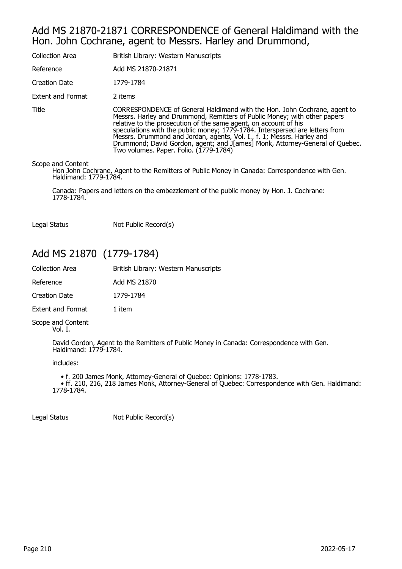### Add MS 21870-21871 CORRESPONDENCE of General Haldimand with the Hon. John Cochrane, agent to Messrs. Harley and Drummond,

| <b>Collection Area</b>                     | British Library: Western Manuscripts                                                                                                                                                                                                                                                                                                                                                                                                                                                                           |
|--------------------------------------------|----------------------------------------------------------------------------------------------------------------------------------------------------------------------------------------------------------------------------------------------------------------------------------------------------------------------------------------------------------------------------------------------------------------------------------------------------------------------------------------------------------------|
| Reference                                  | Add MS 21870-21871                                                                                                                                                                                                                                                                                                                                                                                                                                                                                             |
| Creation Date                              | 1779-1784                                                                                                                                                                                                                                                                                                                                                                                                                                                                                                      |
| Extent and Format                          | 2 items                                                                                                                                                                                                                                                                                                                                                                                                                                                                                                        |
| Title                                      | CORRESPONDENCE of General Haldimand with the Hon. John Cochrane, agent to<br>Messrs. Harley and Drummond, Remitters of Public Money; with other papers<br>relative to the prosecution of the same agent, on account of his<br>speculations with the public money; 1779-1784. Interspersed are letters from<br>Messrs. Drummond and Jordan, agents, Vol. I., f. 1; Messrs. Harley and<br>Drummond; David Gordon, agent; and J[ames] Monk, Attorney-General of Quebec.<br>Two volumes. Paper. Folio. (1779-1784) |
| Scope and Content<br>Haldimand: 1779-1784. | Hon John Cochrane, Agent to the Remitters of Public Money in Canada: Correspondence with Gen.                                                                                                                                                                                                                                                                                                                                                                                                                  |

Canada: Papers and letters on the embezzlement of the public money by Hon. J. Cochrane: 1778-1784.

Legal Status Not Public Record(s)

## Add MS 21870 (1779-1784)

| <b>Collection Area</b>   | British Library: Western Manuscripts |
|--------------------------|--------------------------------------|
| Reference                | Add MS 21870                         |
| Creation Date            | 1779-1784                            |
| <b>Extent and Format</b> | 1 item                               |

Scope and Content Vol. I.

> David Gordon, Agent to the Remitters of Public Money in Canada: Correspondence with Gen. Haldimand: 1779-1784.

includes:

 • f. 200 James Monk, Attorney-General of Quebec: Opinions: 1778-1783. • ff. 210, 216, 218 James Monk, Attorney-General of Quebec: Correspondence with Gen. Haldimand: 1778-1784.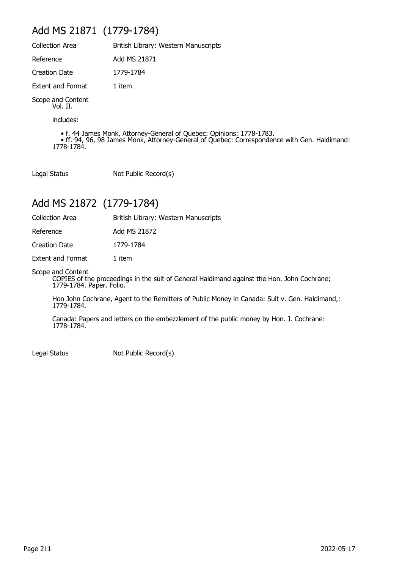## Add MS 21871 (1779-1784)

| <b>Collection Area</b>        | British Library: Western Manuscripts |
|-------------------------------|--------------------------------------|
| Reference                     | Add MS 21871                         |
| <b>Creation Date</b>          | 1779-1784                            |
| <b>Extent and Format</b>      | 1 item                               |
| Scope and Content<br>Vol. II. |                                      |
| includes:                     |                                      |

 • f. 44 James Monk, Attorney-General of Quebec: Opinions: 1778-1783. • ff. 94, 96, 98 James Monk, Attorney-General of Quebec: Correspondence with Gen. Haldimand: 1778-1784.

Legal Status Not Public Record(s)

## Add MS 21872 (1779-1784)

Collection Area British Library: Western Manuscripts

Reference Add MS 21872

Creation Date 1779-1784

Extent and Format 1 item

Scope and Content

COPIES of the proceedings in the suit of General Haldimand against the Hon. John Cochrane; 1779-1784. Paper. Folio.

Hon John Cochrane, Agent to the Remitters of Public Money in Canada: Suit v. Gen. Haldimand,: 1779-1784.

Canada: Papers and letters on the embezzlement of the public money by Hon. J. Cochrane: 1778-1784.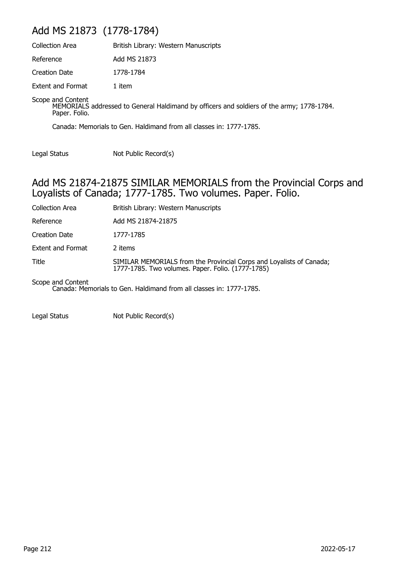## Add MS 21873 (1778-1784)

| Collection Area                    | British Library: Western Manuscripts                                                      |
|------------------------------------|-------------------------------------------------------------------------------------------|
| Reference                          | Add MS 21873                                                                              |
| Creation Date                      | 1778-1784                                                                                 |
| <b>Extent and Format</b>           | 1 item                                                                                    |
| Scope and Content<br>Paper. Folio. | MEMORIALS addressed to General Haldimand by officers and soldiers of the army; 1778-1784. |

Canada: Memorials to Gen. Haldimand from all classes in: 1777-1785.

Legal Status Not Public Record(s)

#### Add MS 21874-21875 SIMILAR MEMORIALS from the Provincial Corps and Loyalists of Canada; 1777-1785. Two volumes. Paper. Folio.

| Collection Area          | British Library: Western Manuscripts                                                                                      |
|--------------------------|---------------------------------------------------------------------------------------------------------------------------|
| Reference                | Add MS 21874-21875                                                                                                        |
| Creation Date            | 1777-1785                                                                                                                 |
| <b>Extent and Format</b> | 2 items                                                                                                                   |
| Title                    | SIMILAR MEMORIALS from the Provincial Corps and Loyalists of Canada;<br>1777-1785. Two volumes. Paper. Folio. (1777-1785) |
| Scope and Content        |                                                                                                                           |

Canada: Memorials to Gen. Haldimand from all classes in: 1777-1785.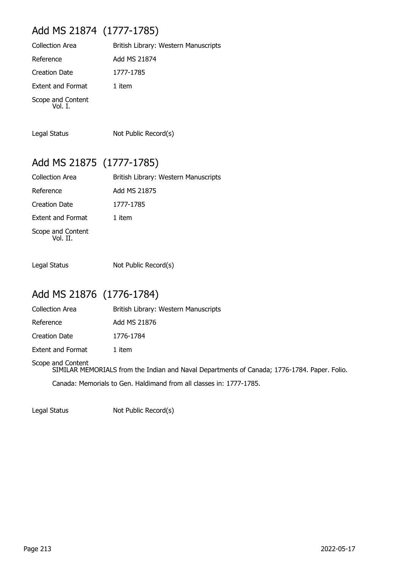## Add MS 21874 (1777-1785)

| <b>Collection Area</b>       | British Library: Western Manuscripts |
|------------------------------|--------------------------------------|
| Reference                    | Add MS 21874                         |
| <b>Creation Date</b>         | 1777-1785                            |
| <b>Extent and Format</b>     | 1 item                               |
| Scope and Content<br>Vol. I. |                                      |

Legal Status Not Public Record(s)

## Add MS 21875 (1777-1785)

| Collection Area               | British Library: Western Manuscripts |
|-------------------------------|--------------------------------------|
| Reference                     | Add MS 21875                         |
| <b>Creation Date</b>          | 1777-1785                            |
| <b>Extent and Format</b>      | 1 item                               |
| Scope and Content<br>Vol. II. |                                      |

Legal Status Not Public Record(s)

## Add MS 21876 (1776-1784)

| <b>Collection Area</b> | British Library: Western Manuscripts |
|------------------------|--------------------------------------|
| Reference              | Add MS 21876                         |
| <b>Creation Date</b>   | 1776-1784                            |
| Extent and Format      | 1 item                               |

Scope and Content SIMILAR MEMORIALS from the Indian and Naval Departments of Canada; 1776-1784. Paper. Folio. Canada: Memorials to Gen. Haldimand from all classes in: 1777-1785.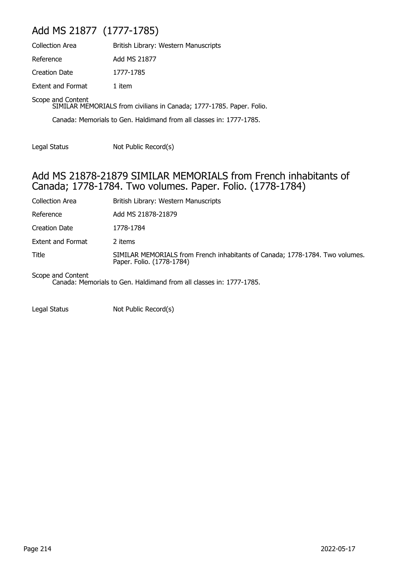## Add MS 21877 (1777-1785)

| <b>Collection Area</b>                                                                    | British Library: Western Manuscripts |
|-------------------------------------------------------------------------------------------|--------------------------------------|
| Reference                                                                                 | Add MS 21877                         |
| <b>Creation Date</b>                                                                      | 1777-1785                            |
| <b>Extent and Format</b>                                                                  | 1 item                               |
| Scope and Content<br>SIMILAR MEMORIALS from civilians in Canada; 1777-1785. Paper. Folio. |                                      |

Canada: Memorials to Gen. Haldimand from all classes in: 1777-1785.

Legal Status Not Public Record(s)

### Add MS 21878-21879 SIMILAR MEMORIALS from French inhabitants of Canada; 1778-1784. Two volumes. Paper. Folio. (1778-1784)

| <b>Collection Area</b>   | British Library: Western Manuscripts                                                                      |
|--------------------------|-----------------------------------------------------------------------------------------------------------|
| Reference                | Add MS 21878-21879                                                                                        |
| <b>Creation Date</b>     | 1778-1784                                                                                                 |
| <b>Extent and Format</b> | 2 items                                                                                                   |
| Title                    | SIMILAR MEMORIALS from French inhabitants of Canada; 1778-1784. Two volumes.<br>Paper. Folio. (1778-1784) |
| Scope and Content        | .                                                                                                         |

Canada: Memorials to Gen. Haldimand from all classes in: 1777-1785.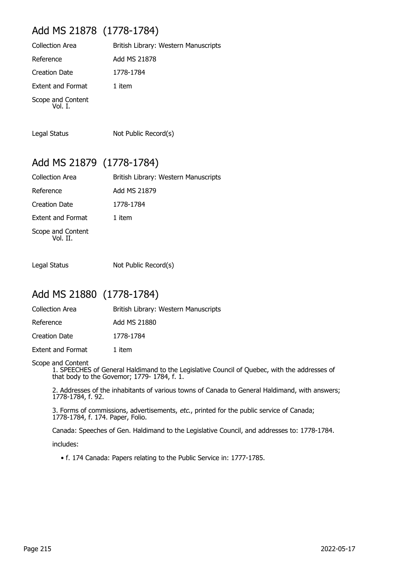# Add MS 21878 (1778-1784)

| <b>Collection Area</b>       | British Library: Western Manuscripts |
|------------------------------|--------------------------------------|
| Reference                    | Add MS 21878                         |
| Creation Date                | 1778-1784                            |
| <b>Extent and Format</b>     | 1 item                               |
| Scope and Content<br>Vol. I. |                                      |

Legal Status Not Public Record(s)

#### Add MS 21879 (1778-1784)

| Collection Area               | British Library: Western Manuscripts |
|-------------------------------|--------------------------------------|
| Reference                     | Add MS 21879                         |
| Creation Date                 | 1778-1784                            |
| <b>Extent and Format</b>      | 1 item                               |
| Scope and Content<br>Vol. II. |                                      |

Legal Status Not Public Record(s)

#### Add MS 21880 (1778-1784)

| Collection Area | British Library: Western Manuscripts |
|-----------------|--------------------------------------|
| Reference       | Add MS 21880                         |
| Creation Date   | 1778-1784                            |

Extent and Format 1 item

Scope and Content

1. SPEECHES of General Haldimand to the Legislative Council of Quebec, with the addresses of that body to the Govemor; 1779- 1784, f. 1.

2. Addresses of the inhabitants of various towns of Canada to General Haldimand, with answers; 1778-1784, f. 92.

3. Forms of commissions, advertisements, etc., printed for the public service of Canada; 1778-1784, f. 174. Paper, Folio.

Canada: Speeches of Gen. Haldimand to the Legislative Council, and addresses to: 1778-1784.

includes:

• f. 174 Canada: Papers relating to the Public Service in: 1777-1785.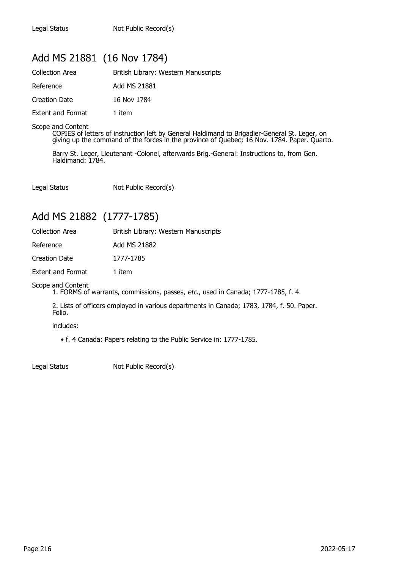## Add MS 21881 (16 Nov 1784)

| <b>Collection Area</b>   | British Library: Western Manuscripts |
|--------------------------|--------------------------------------|
| Reference                | Add MS 21881                         |
| Creation Date            | 16 Nov 1784                          |
| <b>Extent and Format</b> | 1 item                               |

Scope and Content

COPIES of letters of instruction left by General Haldimand to Brigadier-General St. Leger, on giving up the command of the forces in the province of Quebec; 16 Nov. 1784. Paper. Quarto.

Barry St. Leger, Lieutenant -Colonel, afterwards Brig.-General: Instructions to, from Gen. Haldimand: 1784.

Legal Status Not Public Record(s)

## Add MS 21882 (1777-1785)

| <b>Collection Area</b> | British Library: Western Manuscripts |
|------------------------|--------------------------------------|
| Reference              | Add MS 21882                         |
| <b>Creation Date</b>   | 1777-1785                            |
| Extent and Format      | 1 item                               |

Scope and Content

1. FORMS of warrants, commissions, passes, etc., used in Canada; 1777-1785, f. 4.

2. Lists of officers employed in various departments in Canada; 1783, 1784, f. 50. Paper. Folio.

includes:

• f. 4 Canada: Papers relating to the Public Service in: 1777-1785.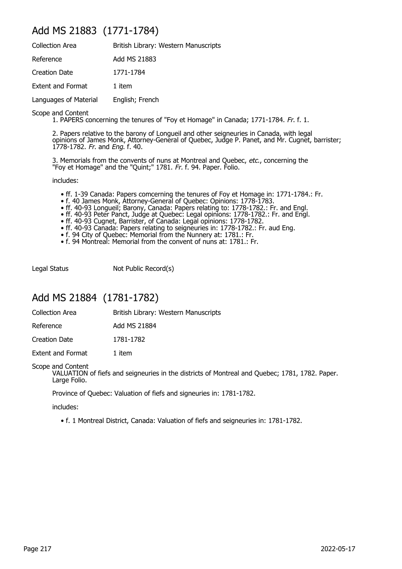#### Add MS 21883 (1771-1784)

| <b>Collection Area</b>   | British Library: Western Manuscripts |
|--------------------------|--------------------------------------|
| Reference                | Add MS 21883                         |
| <b>Creation Date</b>     | 1771-1784                            |
| <b>Extent and Format</b> | 1 item                               |
| Languages of Material    | English; French                      |

Scope and Content

1. PAPERS concerning the tenures of "Foy et Homage" in Canada; 1771-1784. Fr. f. 1.

2. Papers relative to the barony of Longueil and other seigneuries in Canada, with legal opinions of James Monk, Attorney-General of Quebec, Judge P. Panet, and Mr. Cugnet, barrister; 1778-1782. Fr. and Eng. f. 40.

3. Memorials from the convents of nuns at Montreal and Quebec, etc., concerning the "Foy et Homage" and the "Quint;" 1781. Fr. f. 94. Paper. Folio.

includes:

- ff. 1-39 Canada: Papers comcerning the tenures of Foy et Homage in: 1771-1784.: Fr.
- f. 40 James Monk, Attorney-General of Quebec: Opinions: 1778-1783.
- ff. 40-93 Longueil; Barony, Canada: Papers relating to: 1778-1782.: Fr. and Engl.
- ff. 40-93 Peter Panct, Judge at Quebec: Legal opinions: 1778-1782.: Fr. and Engl.
- ff. 40-93 Cugnet, Barrister, of Canada: Legal opinions: 1778-1782.
- ff. 40-93 Canada: Papers relating to seigneuries in: 1778-1782.: Fr. aud Eng.
- f. 94 City of Quebec: Memorial from the Nunnery at: 1781.: Fr.
- f. 94 Montreal: Memorial from the convent of nuns at: 1781.: Fr.

Legal Status Not Public Record(s)

### Add MS 21884 (1781-1782)

| <b>Collection Area</b> | British Library: Western Manuscripts |
|------------------------|--------------------------------------|
|------------------------|--------------------------------------|

Reference Add MS 21884

Creation Date 1781-1782

Extent and Format 1 item

Scope and Content

VALUATION of fiefs and seigneuries in the districts of Montreal and Quebec; 1781, 1782. Paper. Large Folio.

Province of Quebec: Valuation of fiefs and signeuries in: 1781-1782.

includes:

• f. 1 Montreal District, Canada: Valuation of fiefs and seigneuries in: 1781-1782.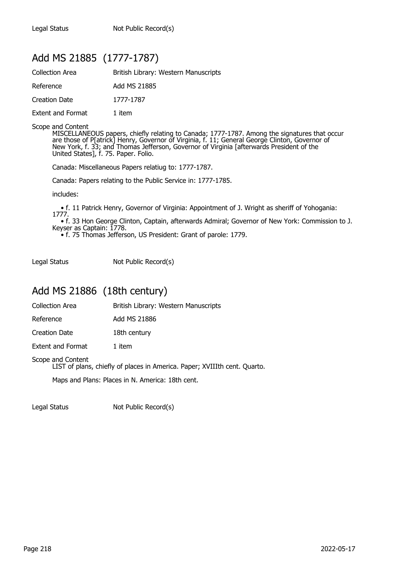## Add MS 21885 (1777-1787)

| <b>Collection Area</b>   | British Library: Western Manuscripts |
|--------------------------|--------------------------------------|
| Reference                | Add MS 21885                         |
| Creation Date            | 1777-1787                            |
| <b>Extent and Format</b> | 1 item                               |

#### Scope and Content

MISCELLANEOUS papers, chiefly relating to Canada; 1777-1787. Among the signatures that occur are those of P[atrick] Henry, Governor of Virginia, f. 11; General George Clinton, Governor of New York, f. 33; and Thomas Jefferson, Governor of Virginia [afterwards President of the United States], f. 75. Paper. Folio.

Canada: Miscellaneous Papers relatiug to: 1777-1787.

Canada: Papers relating to the Public Service in: 1777-1785.

includes:

 • f. 11 Patrick Henry, Governor of Virginia: Appointment of J. Wright as sheriff of Yohogania: 1777.

 • f. 33 Hon George Clinton, Captain, afterwards Admiral; Governor of New York: Commission to J. Keyser as Captain: 1778.

• f. 75 Thomas Jefferson, US President: Grant of parole: 1779.

Legal Status Not Public Record(s)

#### Add MS 21886 (18th century)

Collection Area **British Library: Western Manuscripts** 

Reference Add MS 21886

Creation Date 18th century

Extent and Format 1 item

Scope and Content

LIST of plans, chiefly of places in America. Paper; XVIIIth cent. Quarto.

Maps and Plans: Places in N. America: 18th cent.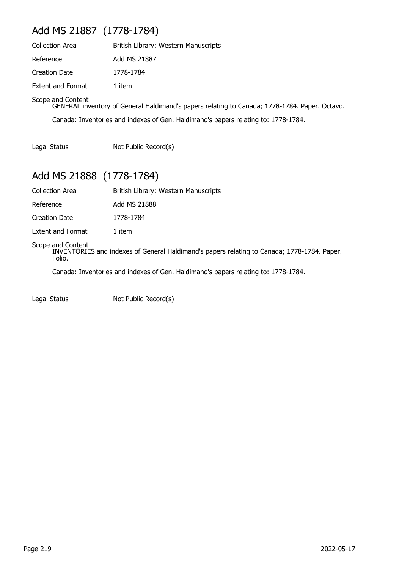# Add MS 21887 (1778-1784)

| <b>Collection Area</b>   | British Library: Western Manuscripts |
|--------------------------|--------------------------------------|
| Reference                | Add MS 21887                         |
| Creation Date            | 1778-1784                            |
| <b>Extent and Format</b> | 1 item                               |

Scope and Content

GENERAL inventory of General Haldimand's papers relating to Canada; 1778-1784. Paper. Octavo. Canada: Inventories and indexes of Gen. Haldimand's papers relating to: 1778-1784.

Legal Status Not Public Record(s)

# Add MS 21888 (1778-1784)

| <b>Collection Area</b> | British Library: Western Manuscripts |  |
|------------------------|--------------------------------------|--|
|                        |                                      |  |

Reference Add MS 21888

Creation Date 1778-1784

Extent and Format 1 item

#### Scope and Content

INVENTORIES and indexes of General Haldimand's papers relating to Canada; 1778-1784. Paper. Folio.

Canada: Inventories and indexes of Gen. Haldimand's papers relating to: 1778-1784.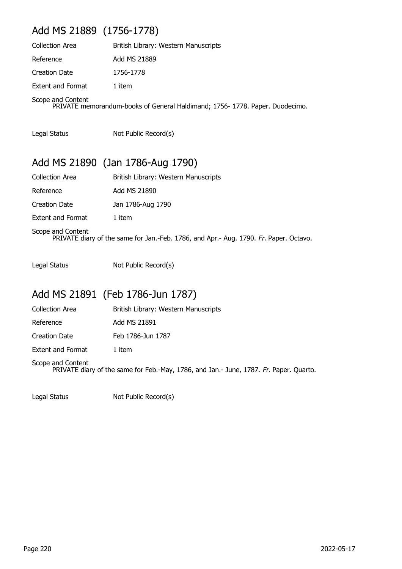# Add MS 21889 (1756-1778)

| <b>Collection Area</b>   | British Library: Western Manuscripts                                        |
|--------------------------|-----------------------------------------------------------------------------|
| Reference                | Add MS 21889                                                                |
| <b>Creation Date</b>     | 1756-1778                                                                   |
| <b>Extent and Format</b> | 1 item                                                                      |
| Scope and Content        | PRIVATE memorandum-books of General Haldimand; 1756-1778. Paper. Duodecimo. |

Legal Status Not Public Record(s)

## Add MS 21890 (Jan 1786-Aug 1790)

| <b>Collection Area</b>   | British Library: Western Manuscripts                                                  |
|--------------------------|---------------------------------------------------------------------------------------|
| Reference                | Add MS 21890                                                                          |
| Creation Date            | Jan 1786-Aug 1790                                                                     |
| <b>Extent and Format</b> | 1 item                                                                                |
| Scope and Content        | PRIVATE diary of the same for Jan.-Feb. 1786, and Apr.- Aug. 1790. Fr. Paper. Octavo. |

Legal Status Not Public Record(s)

# Add MS 21891 (Feb 1786-Jun 1787)

| <b>Collection Area</b>   | British Library: Western Manuscripts |
|--------------------------|--------------------------------------|
| Reference                | Add MS 21891                         |
| Creation Date            | Feb 1786-Jun 1787                    |
| <b>Extent and Format</b> | 1 item                               |
| Scope and Content        |                                      |

PRIVATE diary of the same for Feb.-May, 1786, and Jan.- June, 1787. Fr. Paper. Quarto.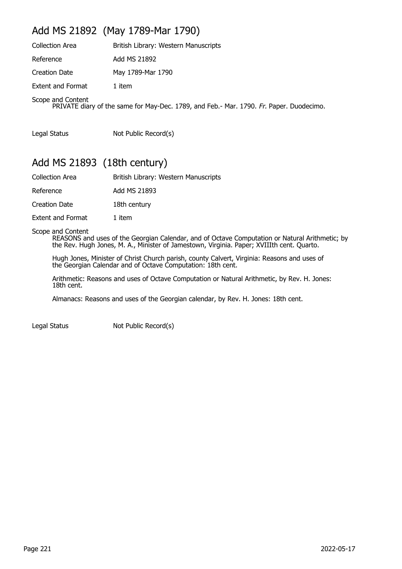# Add MS 21892 (May 1789-Mar 1790)

| <b>Collection Area</b>                                                                                       | British Library: Western Manuscripts |  |
|--------------------------------------------------------------------------------------------------------------|--------------------------------------|--|
| Reference                                                                                                    | Add MS 21892                         |  |
| Creation Date                                                                                                | May 1789-Mar 1790                    |  |
| <b>Extent and Format</b>                                                                                     | 1 item                               |  |
| Scope and Content<br>PRIVATE diary of the same for May-Dec. 1789, and Feb.- Mar. 1790. Fr. Paper. Duodecimo. |                                      |  |

Legal Status Not Public Record(s)

## Add MS 21893 (18th century)

| <b>Collection Area</b>   | British Library: Western Manuscripts |
|--------------------------|--------------------------------------|
| Reference                | Add MS 21893                         |
| Creation Date            | 18th century                         |
| <b>Extent and Format</b> | 1 item                               |

Scope and Content

REASONS and uses of the Georgian Calendar, and of Octave Computation or Natural Arithmetic; by the Rev. Hugh Jones, M. A., Minister of Jamestown, Virginia. Paper; XVIIIth cent. Quarto.

Hugh Jones, Minister of Christ Church parish, county Calvert, Virginia: Reasons and uses of the Georgian Calendar and of Octave Computation: 18th cent.

Arithmetic: Reasons and uses of Octave Computation or Natural Arithmetic, by Rev. H. Jones: 18th cent.

Almanacs: Reasons and uses of the Georgian calendar, by Rev. H. Jones: 18th cent.